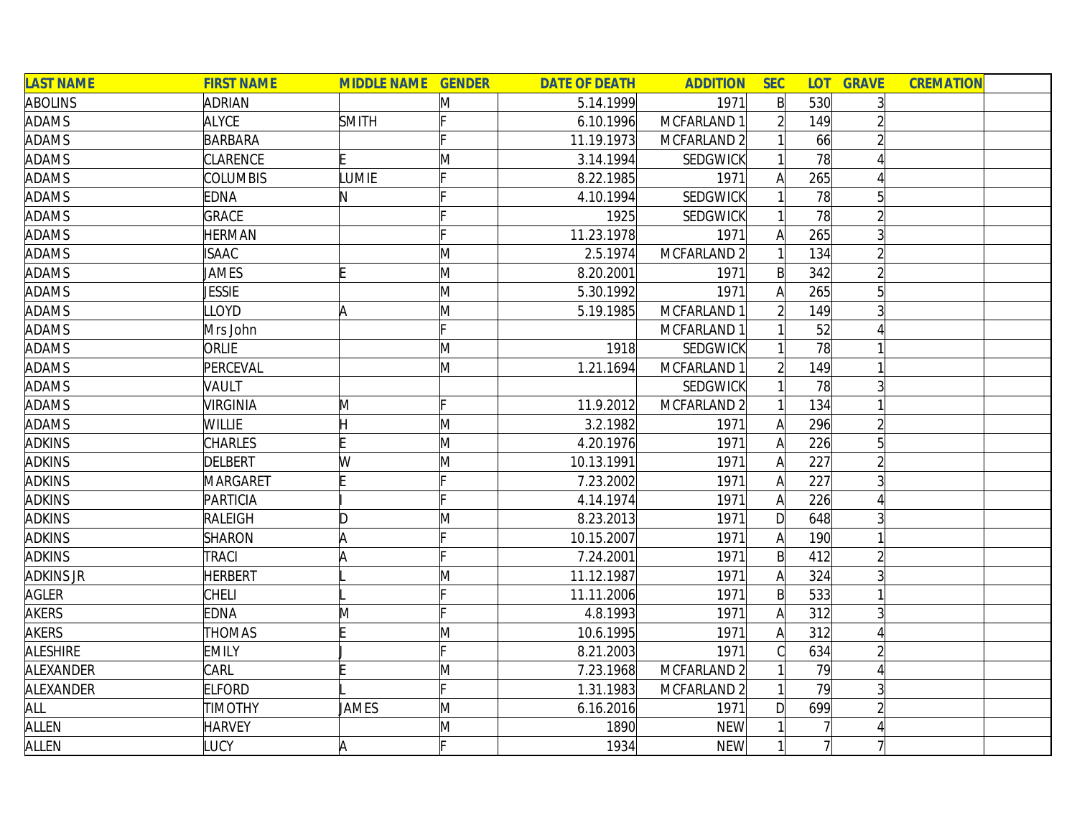| <b>LAST NAME</b> | <b>FIRST NAME</b> | <b>MIDDLE NAME GENDER</b> |   | <b>DATE OF DEATH</b> | <b>ADDITION</b>        | <b>SEC</b>     |     | <b>LOT GRAVE</b> | <b>CREMATION</b> |  |
|------------------|-------------------|---------------------------|---|----------------------|------------------------|----------------|-----|------------------|------------------|--|
| <b>ABOLINS</b>   | <b>ADRIAN</b>     |                           | M | 5.14.1999            | 1971                   | $\mathsf{B}$   | 530 | $\overline{3}$   |                  |  |
| ADAMS            | <b>ALYCE</b>      | <b>SMITH</b>              |   | 6.10.1996            | MCFARLAND 1            | $\overline{2}$ | 149 |                  |                  |  |
| ADAMS            | <b>BARBARA</b>    |                           |   | 11.19.1973           | MCFARLAND 2            |                | 66  |                  |                  |  |
| <b>ADAMS</b>     | CLARENCE          |                           | M | 3.14.1994            | <b>SEDGWICK</b>        |                | 78  |                  |                  |  |
| ADAMS            | <b>COLUMBIS</b>   | LUMIE                     |   | 8.22.1985            | 1971                   | A              | 265 | 4                |                  |  |
| ADAMS            | EDNA              | N                         |   | 4.10.1994            | SEDGWICK               |                | 78  | 5                |                  |  |
| <b>ADAMS</b>     | GRACE             |                           |   | 1925                 | <b>SEDGWICK</b>        |                | 78  | $\overline{2}$   |                  |  |
| <b>ADAMS</b>     | <b>HERMAN</b>     |                           |   | 11.23.1978           | 1971                   | A              | 265 | 3                |                  |  |
| <b>ADAMS</b>     | <b>ISAAC</b>      |                           | M | 2.5.1974             | MCFARLAND 2            |                | 134 | $\overline{2}$   |                  |  |
| ADAMS            | JAMES             |                           | M | 8.20.2001            | 1971                   | $\mathsf{B}$   | 342 |                  |                  |  |
| ADAMS            | JESSIE            |                           | M | 5.30.1992            | 1971                   | A              | 265 | 5                |                  |  |
| <b>ADAMS</b>     | LLOYD             | Α                         | M | 5.19.1985            | MCFARLAND 1            |                | 149 |                  |                  |  |
| <b>ADAMS</b>     | Mrs John          |                           |   |                      | MCFARLAND 1            |                | 52  |                  |                  |  |
| ADAMS            | <b>ORLIE</b>      |                           | M | 1918                 | <b>SEDGWICK</b>        |                | 78  |                  |                  |  |
| <b>ADAMS</b>     | PERCEVAL          |                           | M | 1.21.1694            | MCFARLAND <sup>-</sup> |                | 149 |                  |                  |  |
| ADAMS            | VAULT             |                           |   |                      | <b>SEDGWICK</b>        |                | 78  | 3                |                  |  |
| <b>ADAMS</b>     | <b>VIRGINIA</b>   | Μ                         |   | 11.9.2012            | MCFARLAND <sub>2</sub> |                | 134 |                  |                  |  |
| <b>ADAMS</b>     | <b>WILLIE</b>     | H                         | M | 3.2.1982             | 1971                   | A              | 296 | $\overline{2}$   |                  |  |
| <b>ADKINS</b>    | <b>CHARLES</b>    |                           | M | 4.20.1976            | 1971                   | A              | 226 | 5 <sup>1</sup>   |                  |  |
| <b>ADKINS</b>    | <b>DELBERT</b>    | W                         | M | 10.13.1991           | 1971                   | A              | 227 | $\overline{2}$   |                  |  |
| <b>ADKINS</b>    | MARGARET          |                           |   | 7.23.2002            | 1971                   | A              | 227 |                  |                  |  |
| <b>ADKINS</b>    | PARTICIA          |                           |   | 4.14.1974            | 1971                   | A              | 226 |                  |                  |  |
| <b>ADKINS</b>    | RALEIGH           | D                         | M | 8.23.2013            | 1971                   | $\mathsf{D}$   | 648 | 3                |                  |  |
| <b>ADKINS</b>    | <b>SHARON</b>     | A                         |   | 10.15.2007           | 1971                   | A              | 190 |                  |                  |  |
| <b>ADKINS</b>    | <b>TRACI</b>      | I۵                        |   | 7.24.2001            | 1971                   | $\mathsf{B}$   | 412 |                  |                  |  |
| <b>ADKINS JR</b> | <b>HERBERT</b>    |                           | Μ | 11.12.1987           | 1971                   | A              | 324 | 3                |                  |  |
| <b>AGLER</b>     | <b>CHELI</b>      |                           |   | 11.11.2006           | 1971                   | $\mathsf{B}$   | 533 |                  |                  |  |
| <b>AKERS</b>     | EDNA              | M                         |   | 4.8.1993             | 1971                   | A              | 312 | 3                |                  |  |
| <b>AKERS</b>     | <b>THOMAS</b>     |                           | Μ | 10.6.1995            | 1971                   | A              | 312 | 4                |                  |  |
| <b>ALESHIRE</b>  | <b>EMILY</b>      |                           |   | 8.21.2003            | 1971                   | C              | 634 | $\overline{2}$   |                  |  |
| ALEXANDER        | CARL              |                           | M | 7.23.1968            | MCFARLAND 2            |                | 79  | Δ                |                  |  |
| ALEXANDER        | <b>ELFORD</b>     |                           |   | 1.31.1983            | MCFARLAND 2            |                | 79  | 3                |                  |  |
| ALL              | <b>TIMOTHY</b>    | <b>JAMES</b>              | M | 6.16.2016            | 1971                   | D              | 699 | $\overline{2}$   |                  |  |
| ALLEN            | <b>HARVEY</b>     |                           | M | 1890                 | <b>NEW</b>             |                |     |                  |                  |  |
| ALLEN            | LUCY              | A                         |   | 1934                 | <b>NEW</b>             |                |     |                  |                  |  |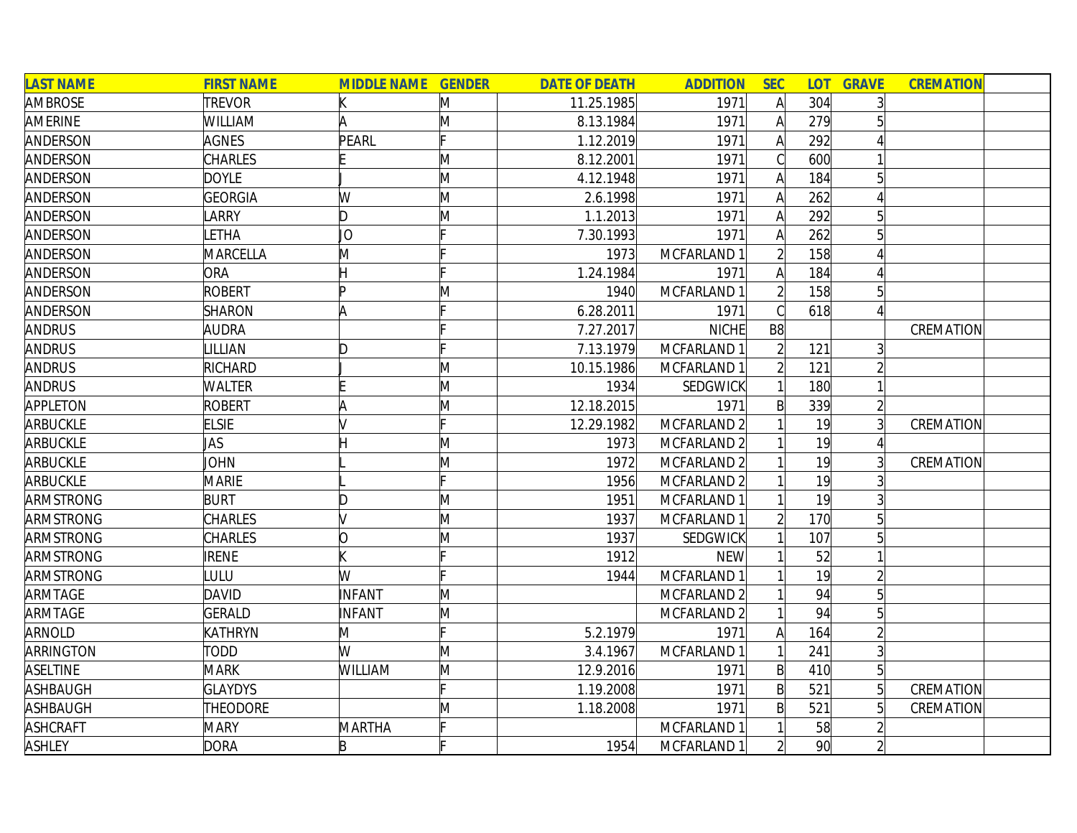| <b>LAST NAME</b> | <b>FIRST NAME</b> | <b>MIDDLE NAME GENDER</b> |   | <b>DATE OF DEATH</b> | <b>ADDITION</b> | <b>SEC</b>     |                 | <b>LOT GRAVE</b> | <b>CREMATION</b> |  |
|------------------|-------------------|---------------------------|---|----------------------|-----------------|----------------|-----------------|------------------|------------------|--|
| AMBROSE          | <b>TREVOR</b>     |                           | M | 11.25.1985           | 1971            | $\mathsf{A}$   | 304             | $\overline{3}$   |                  |  |
| AMERINE          | WILLIAM           | A                         | M | 8.13.1984            | 1971            | $\mathsf{A}$   | 279             |                  |                  |  |
| ANDERSON         | <b>AGNES</b>      | PEARL                     |   | 1.12.2019            | 1971            | $\mathsf{A}$   | 292             |                  |                  |  |
| ANDERSON         | CHARLES           |                           | M | 8.12.2001            | 1971            |                | 600             |                  |                  |  |
| ANDERSON         | <b>DOYLE</b>      |                           | M | 4.12.1948            | 1971            | A              | 184             | 5                |                  |  |
| ANDERSON         | <b>GEORGIA</b>    | W                         | M | 2.6.1998             | 1971            | A              | 262             | 4                |                  |  |
| ANDERSON         | LARRY             | D                         | M | 1.1.2013             | 1971            | A              | 292             | 5 <sup>1</sup>   |                  |  |
| ANDERSON         | LETHA             | JО                        |   | 7.30.1993            | 1971            | A              | 262             | $5\overline{a}$  |                  |  |
| ANDERSON         | MARCELLA          | M                         |   | 1973                 | MCFARLAND 1     |                | 158             |                  |                  |  |
| ANDERSON         | ORA               |                           |   | 1.24.1984            | 1971            |                | 184             |                  |                  |  |
| ANDERSON         | <b>ROBERT</b>     | In                        | M | 1940                 | MCFARLAND 1     |                | 158             | $5\overline{)}$  |                  |  |
| ANDERSON         | <b>SHARON</b>     |                           |   | 6.28.2011            | 1971            |                | 618             |                  |                  |  |
| <b>ANDRUS</b>    | AUDRA             |                           |   | 7.27.2017            | <b>NICHE</b>    | B8             |                 |                  | CREMATION        |  |
| <b>ANDRUS</b>    | LILLIAN           | D                         |   | 7.13.1979            | MCFARLAND 1     |                | 121             | $\overline{3}$   |                  |  |
| <b>ANDRUS</b>    | <b>RICHARD</b>    |                           | M | 10.15.1986           | MCFARLAND 1     |                | 121             |                  |                  |  |
| <b>ANDRUS</b>    | <b>WALTER</b>     |                           | M | 1934                 | <b>SEDGWICK</b> |                | 180             |                  |                  |  |
| APPLETON         | <b>ROBERT</b>     |                           | M | 12.18.2015           | 1971            | $\mathsf{B}$   | 339             | $\overline{2}$   |                  |  |
| <b>ARBUCKLE</b>  | <b>ELSIE</b>      |                           |   | 12.29.1982           | MCFARLAND 2     |                | 19              | $\overline{3}$   | CREMATION        |  |
| <b>ARBUCKLE</b>  | JAS               |                           | M | 1973                 | MCFARLAND 2     |                | 19              |                  |                  |  |
| <b>ARBUCKLE</b>  | JOHN              |                           | M | 1972                 | MCFARLAND 2     |                | 19              |                  | CREMATION        |  |
| <b>ARBUCKLE</b>  | <b>MARIE</b>      |                           |   | 1956                 | MCFARLAND 2     |                | 19              |                  |                  |  |
| <b>ARMSTRONG</b> | <b>BURT</b>       | Ŋ                         | M | 1951                 | MCFARLAND 1     |                | 19              |                  |                  |  |
| ARMSTRONG        | CHARLES           |                           | M | 1937                 | MCFARLAND 1     |                | 170             | $5\overline{)}$  |                  |  |
| ARMSTRONG        | CHARLES           | ∩                         | M | 1937                 | <b>SEDGWICK</b> |                | 107             | $5\overline{)}$  |                  |  |
| ARMSTRONG        | <b>IRENE</b>      |                           |   | 1912                 | <b>NEW</b>      |                | 52              |                  |                  |  |
| ARMSTRONG        | LULU              | W                         |   | 1944                 | MCFARLAND 1     |                | 19              | $\overline{2}$   |                  |  |
| ARMTAGE          | <b>DAVID</b>      | INFANT                    | M |                      | MCFARLAND 2     |                | 94              | $5\overline{)}$  |                  |  |
| ARMTAGE          | <b>GERALD</b>     | <b>INFANT</b>             | M |                      | MCFARLAND 2     |                | 94              | 5                |                  |  |
| ARNOLD           | KATHRYN           | M                         |   | 5.2.1979             | 1971            | A              | 164             | $\overline{2}$   |                  |  |
| ARRINGTON        | <b>TODD</b>       | W                         | M | 3.4.1967             | MCFARLAND 1     |                | 241             | $\overline{3}$   |                  |  |
| <b>ASELTINE</b>  | <b>MARK</b>       | <b>WILLIAM</b>            | M | 12.9.2016            | 1971            | $\mathsf{B}$   | 410             | 5 <sup>1</sup>   |                  |  |
| <b>ASHBAUGH</b>  | <b>GLAYDYS</b>    |                           |   | 1.19.2008            | 1971            | $\mathsf{B}$   | 521             | $\overline{5}$   | CREMATION        |  |
| <b>ASHBAUGH</b>  | <b>THEODORE</b>   |                           | M | 1.18.2008            | 1971            | $\mathsf{B}$   | 521             | $\overline{5}$   | CREMATION        |  |
| <b>ASHCRAFT</b>  | <b>MARY</b>       | MARTHA                    |   |                      | MCFARLAND 1     |                | 58              |                  |                  |  |
| ASHLEY           | <b>DORA</b>       | B                         |   | 1954                 | MCFARLAND 1     | $\overline{2}$ | 90 <sup>1</sup> | $\overline{2}$   |                  |  |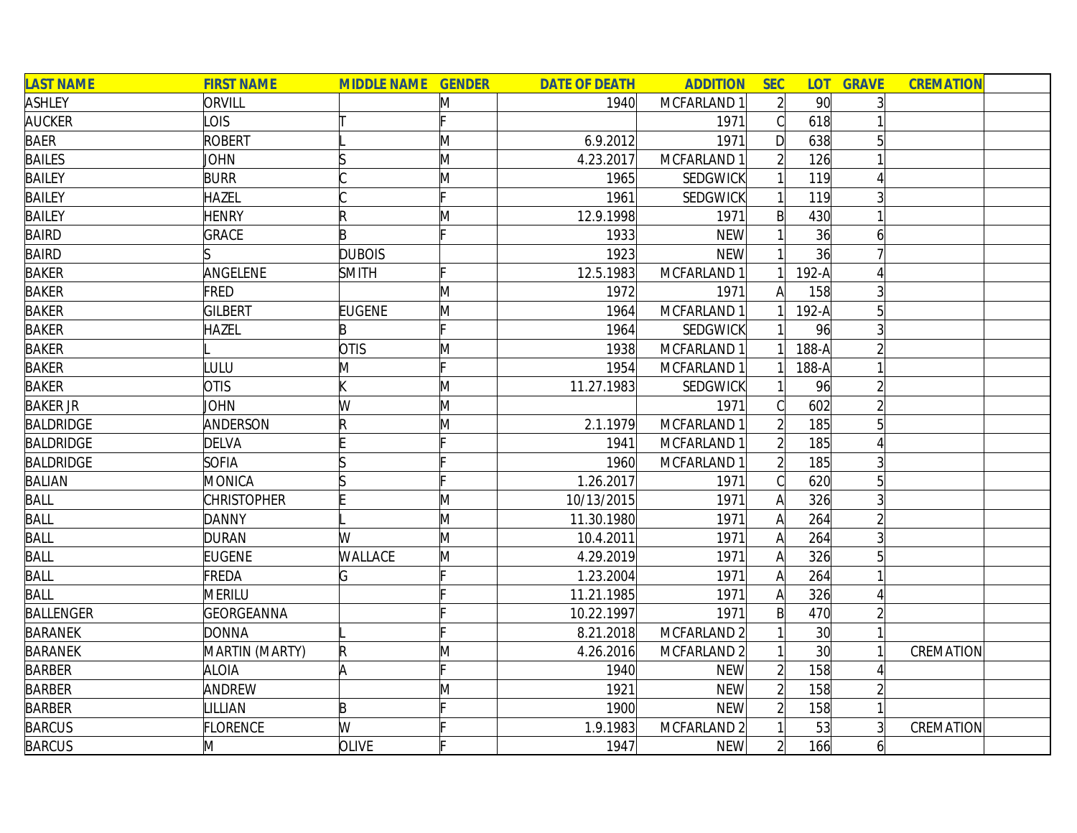| <b>LAST NAME</b> | <b>FIRST NAME</b>  | <b>MIDDLE NAME GENDER</b> |   | <b>DATE OF DEATH</b> | <b>ADDITION</b>        | <b>SEC</b>     | <b>LOT</b>      | <b>GRAVE</b> | <b>CREMATION</b> |  |
|------------------|--------------------|---------------------------|---|----------------------|------------------------|----------------|-----------------|--------------|------------------|--|
| <b>ASHLEY</b>    | ORVILL             |                           | M | 1940                 | MCFARLAND 1            | $\overline{2}$ | 90 <sup>°</sup> |              |                  |  |
| <b>AUCKER</b>    | <b>LOIS</b>        |                           |   |                      | 1971                   | $\mathcal{C}$  | 618             |              |                  |  |
| <b>BAER</b>      | <b>ROBERT</b>      |                           | M | 6.9.2012             | 1971                   | D              | 638             |              |                  |  |
| <b>BAILES</b>    | <b>JOHN</b>        |                           | M | 4.23.2017            | MCFARLAND 1            |                | 126             |              |                  |  |
| <b>BAILEY</b>    | <b>BURR</b>        |                           | M | 1965                 | SEDGWICK               |                | 119             |              |                  |  |
| <b>BAILEY</b>    | HAZEL              |                           |   | 1961                 | <b>SEDGWICK</b>        |                | 119             |              |                  |  |
| <b>BAILEY</b>    | <b>HENRY</b>       | R                         | M | 12.9.1998            | 1971                   | $\mathsf{B}$   | 430             |              |                  |  |
| <b>BAIRD</b>     | <b>GRACE</b>       | B                         |   | 1933                 | <b>NEW</b>             |                | 36              | 6            |                  |  |
| <b>BAIRD</b>     |                    | <b>DUBOIS</b>             |   | 1923                 | <b>NEW</b>             |                | 36              |              |                  |  |
| <b>BAKER</b>     | ANGELENE           | <b>SMITH</b>              |   | 12.5.1983            | MCFARLAND 1            |                | $192-A$         |              |                  |  |
| <b>BAKER</b>     | FRED               |                           | M | 1972                 | 1971                   | A              | 158             |              |                  |  |
| <b>BAKER</b>     | <b>GILBERT</b>     | <b>EUGENE</b>             | M | 1964                 | MCFARLAND 1            |                | $192-A$         |              |                  |  |
| <b>BAKER</b>     | HAZEL              | B                         |   | 1964                 | SEDGWICK               |                | 96              |              |                  |  |
| <b>BAKER</b>     |                    | <b>OTIS</b>               | M | 1938                 | MCFARLAND 1            |                | $188-A$         |              |                  |  |
| <b>BAKER</b>     | <b>ULU</b>         | M                         |   | 1954                 | MCFARLAND 1            |                | $188-A$         |              |                  |  |
| <b>BAKER</b>     | <b>OTIS</b>        |                           | M | 11.27.1983           | SEDGWICK               |                | 96              |              |                  |  |
| <b>BAKER JR</b>  | <b>JOHN</b>        | W                         | M |                      | 1971                   |                | 602             |              |                  |  |
| <b>BALDRIDGE</b> | ANDERSON           |                           | M | 2.1.1979             | MCFARLAND 1            |                | 185             | 5            |                  |  |
| <b>BALDRIDGE</b> | <b>DELVA</b>       |                           |   | 1941                 | MCFARLAND 1            | $\overline{2}$ | 185             |              |                  |  |
| <b>BALDRIDGE</b> | <b>SOFIA</b>       |                           |   | 1960                 | MCFARLAND 1            | $\overline{2}$ | 185             |              |                  |  |
| <b>BALIAN</b>    | <b>MONICA</b>      |                           |   | 1.26.2017            | 1971                   | C              | 620             | 5            |                  |  |
| <b>BALL</b>      | <b>CHRISTOPHER</b> |                           | M | 10/13/2015           | 1971                   | $\mathsf{A}$   | 326             |              |                  |  |
| <b>BALL</b>      | <b>DANNY</b>       |                           | M | 11.30.1980           | 1971                   | $\mathsf{A}$   | 264             |              |                  |  |
| <b>BALL</b>      | <b>DURAN</b>       | W                         | M | 10.4.2011            | 1971                   | Α              | 264             |              |                  |  |
| BALL             | <b>EUGENE</b>      | <b>WALLACE</b>            | M | 4.29.2019            | 1971                   | Α              | 326             |              |                  |  |
| <b>BALL</b>      | FREDA              | G                         |   | 1.23.2004            | 1971                   | A              | 264             |              |                  |  |
| <b>BALL</b>      | <b>MERILU</b>      |                           |   | 11.21.1985           | 1971                   | $\mathsf{A}$   | 326             |              |                  |  |
| <b>BALLENGER</b> | GEORGEANNA         |                           |   | 10.22.1997           | 1971                   | $\mathsf{B}$   | 470             |              |                  |  |
| <b>BARANEK</b>   | <b>DONNA</b>       |                           |   | 8.21.2018            | MCFARLAND <sub>2</sub> |                | 30 <sup>l</sup> |              |                  |  |
| <b>BARANEK</b>   | MARTIN (MARTY)     | R                         | M | 4.26.2016            | MCFARLAND <sub>2</sub> |                | 30 <sup>1</sup> |              | CREMATION        |  |
| <b>BARBER</b>    | <b>ALOIA</b>       | A                         |   | 1940                 | <b>NEW</b>             | $\overline{2}$ | 158             |              |                  |  |
| <b>BARBER</b>    | ANDREW             |                           | M | 1921                 | <b>NEW</b>             | $\overline{2}$ | 158             |              |                  |  |
| <b>BARBER</b>    | LILLIAN            | B                         |   | 1900                 | <b>NEW</b>             | $\overline{2}$ | 158             |              |                  |  |
| <b>BARCUS</b>    | FLORENCE           | W                         |   | 1.9.1983             | MCFARLAND 2            |                | 53              |              | CREMATION        |  |
| <b>BARCUS</b>    | M                  | <b>OLIVE</b>              |   | 1947                 | <b>NEW</b>             | $\overline{2}$ | 166             | 6            |                  |  |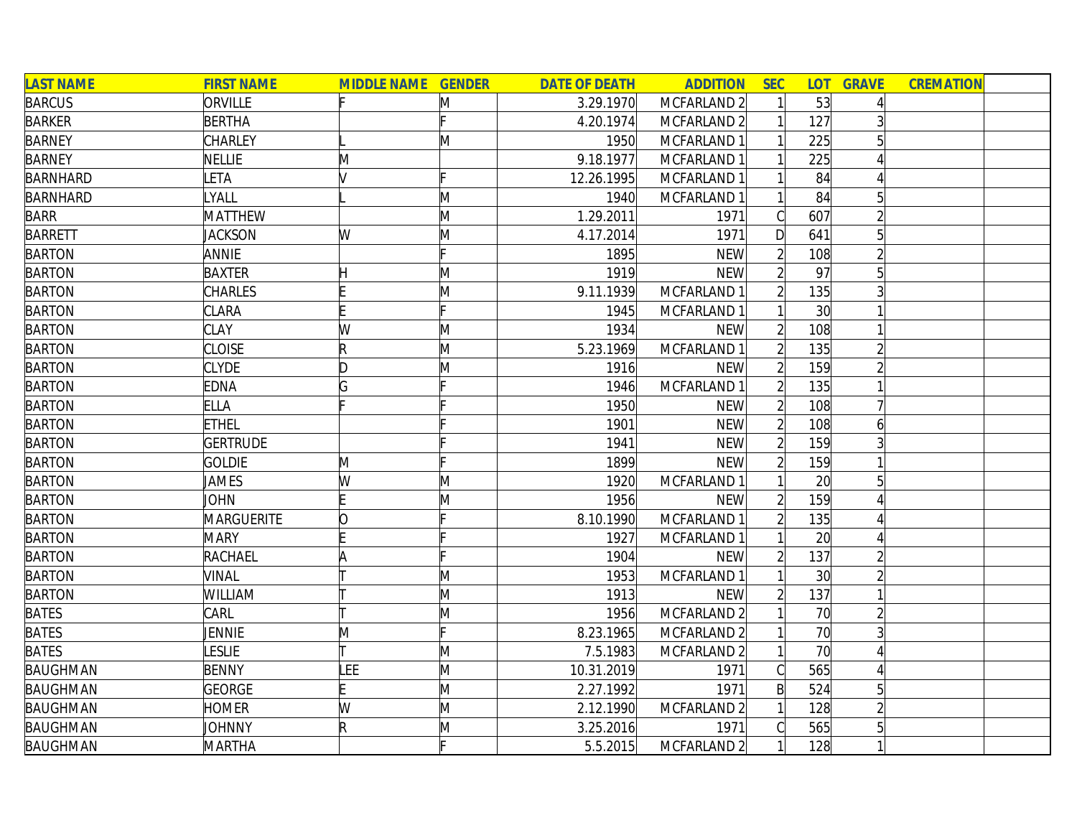| <b>LAST NAME</b> | <b>FIRST NAME</b> | <b>MIDDLE NAME GENDER</b> |   | <b>DATE OF DEATH</b> | <b>ADDITION</b>        | <b>SEC</b>     | <b>LOT</b>      | <b>GRAVE</b>   | <b>CREMATION</b> |
|------------------|-------------------|---------------------------|---|----------------------|------------------------|----------------|-----------------|----------------|------------------|
| <b>BARCUS</b>    | ORVILLE           |                           | Μ | 3.29.1970            | MCFARLAND 2            |                | 53              |                |                  |
| <b>BARKER</b>    | <b>BERTHA</b>     |                           |   | 4.20.1974            | MCFARLAND <sub>2</sub> |                | 127             |                |                  |
| <b>BARNEY</b>    | <b>CHARLEY</b>    |                           | M | 1950                 | MCFARLAND 1            |                | 225             |                |                  |
| <b>BARNEY</b>    | <b>NELLIE</b>     | M                         |   | 9.18.1977            | MCFARLAND 1            |                | 225             |                |                  |
| <b>BARNHARD</b>  | LETA              |                           |   | 12.26.1995           | MCFARLAND 1            |                | 84              |                |                  |
| <b>BARNHARD</b>  | LYALL             |                           | M | 1940                 | MCFARLAND 1            |                | 84              | 5 <sup>1</sup> |                  |
| <b>BARR</b>      | <b>MATTHEW</b>    |                           | M | 1.29.2011            | 1971                   | C              | 607             | $\overline{2}$ |                  |
| <b>BARRETT</b>   | <b>JACKSON</b>    | W                         | M | 4.17.2014            | 1971                   | D              | 641             | 5              |                  |
| <b>BARTON</b>    | <b>ANNIE</b>      |                           |   | 1895                 | <b>NEW</b>             |                | 108             |                |                  |
| <b>BARTON</b>    | <b>BAXTER</b>     |                           | M | 1919                 | <b>NEW</b>             |                | 97              |                |                  |
| <b>BARTON</b>    | <b>CHARLES</b>    |                           | Μ | 9.11.1939            | MCFARLAND 1            |                | 135             |                |                  |
| <b>BARTON</b>    | <b>CLARA</b>      |                           |   | 1945                 | MCFARLAND 1            |                | 30              |                |                  |
| <b>BARTON</b>    | <b>CLAY</b>       | W                         | Μ | 1934                 | <b>NEW</b>             |                | 108             |                |                  |
| <b>BARTON</b>    | <b>CLOISE</b>     | R                         | M | 5.23.1969            | MCFARLAND 1            |                | 135             |                |                  |
| <b>BARTON</b>    | <b>CLYDE</b>      | D                         | M | 1916                 | <b>NEW</b>             |                | 159             |                |                  |
| <b>BARTON</b>    | <b>EDNA</b>       | G                         |   | 1946                 | MCFARLAND 1            |                | 135             |                |                  |
| <b>BARTON</b>    | <b>ELLA</b>       |                           |   | 1950                 | <b>NEW</b>             |                | 108             |                |                  |
| <b>BARTON</b>    | <b>ETHEL</b>      |                           |   | 1901                 | <b>NEW</b>             | $\overline{2}$ | 108             | 6              |                  |
| <b>BARTON</b>    | <b>GERTRUDE</b>   |                           |   | 1941                 | <b>NEW</b>             | $\overline{2}$ | 159             |                |                  |
| <b>BARTON</b>    | <b>GOLDIE</b>     | M                         |   | 1899                 | <b>NEW</b>             | $\overline{2}$ | 159             |                |                  |
| <b>BARTON</b>    | JAMES             | W                         | Μ | 1920                 | MCFARLAND 1            |                | 20              | 5              |                  |
| <b>BARTON</b>    | <b>JOHN</b>       |                           | M | 1956                 | <b>NEW</b>             |                | 159             |                |                  |
| <b>BARTON</b>    | MARGUERITE        | 0                         |   | 8.10.1990            | MCFARLAND 1            |                | 135             |                |                  |
| <b>BARTON</b>    | <b>MARY</b>       |                           |   | 1927                 | MCFARLAND 1            |                | 20              |                |                  |
| <b>BARTON</b>    | <b>RACHAEL</b>    | ۱A                        |   | 1904                 | <b>NEW</b>             |                | 137             |                |                  |
| <b>BARTON</b>    | <b>VINAL</b>      |                           | M | 1953                 | MCFARLAND 1            |                | 30 <sup>l</sup> |                |                  |
| <b>BARTON</b>    | WILLIAM           |                           | M | 1913                 | <b>NEW</b>             |                | 137             |                |                  |
| <b>BATES</b>     | CARL              |                           | M | 1956                 | MCFARLAND 2            |                | 70              |                |                  |
| <b>BATES</b>     | JENNIE            | M                         |   | 8.23.1965            | MCFARLAND <sub>2</sub> |                | 70              |                |                  |
| <b>BATES</b>     | <b>LESLIE</b>     |                           | M | 7.5.1983             | MCFARLAND <sub>2</sub> |                | 70              |                |                  |
| <b>BAUGHMAN</b>  | <b>BENNY</b>      | LEE                       | M | 10.31.2019           | 1971                   | C              | 565             | Δ              |                  |
| <b>BAUGHMAN</b>  | <b>GEORGE</b>     |                           | M | 2.27.1992            | 1971                   | B              | 524             | 5              |                  |
| <b>BAUGHMAN</b>  | <b>HOMER</b>      | W                         | M | 2.12.1990            | MCFARLAND <sub>2</sub> |                | 128             |                |                  |
| <b>BAUGHMAN</b>  | JOHNNY            | $\mathsf R$               | M | 3.25.2016            | 1971                   |                | 565             |                |                  |
| <b>BAUGHMAN</b>  | <b>MARTHA</b>     |                           |   | 5.5.2015             | MCFARLAND <sub>2</sub> |                | 128             |                |                  |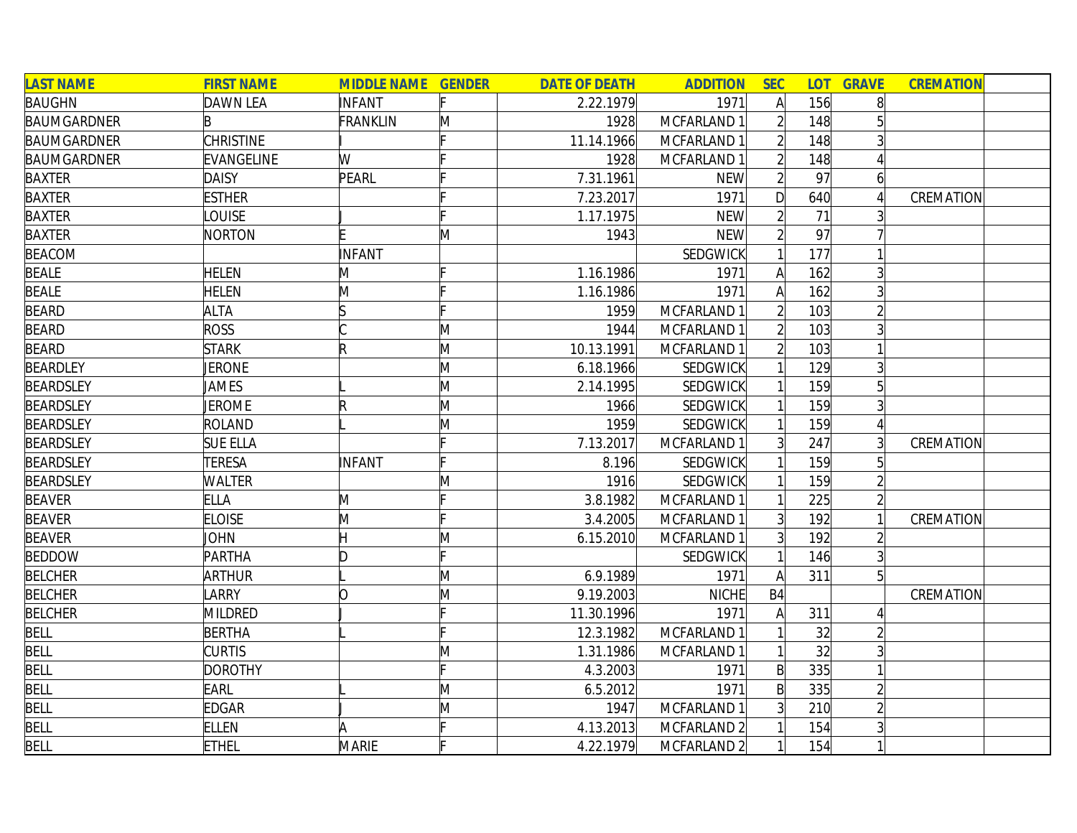| <b>LAST NAME</b>   | <b>FIRST NAME</b> | <b>MIDDLE NAME GENDER</b> |   | <b>DATE OF DEATH</b> | <b>ADDITION</b> | <b>SEC</b>     | <b>LOT</b> | <b>GRAVE</b>   | <b>CREMATION</b> |  |
|--------------------|-------------------|---------------------------|---|----------------------|-----------------|----------------|------------|----------------|------------------|--|
| <b>BAUGHN</b>      | <b>DAWN LEA</b>   | <b>INFANT</b>             |   | 2.22.1979            | 1971            | A              | 156        | 8 <sup>1</sup> |                  |  |
| <b>BAUMGARDNER</b> | B                 | <b>FRANKLIN</b>           | M | 1928                 | MCFARLAND 1     |                | 148        |                |                  |  |
| <b>BAUMGARDNER</b> | <b>CHRISTINE</b>  |                           |   | 11.14.1966           | MCFARLAND 1     |                | 148        |                |                  |  |
| <b>BAUMGARDNER</b> | EVANGELINE        | W                         |   | 1928                 | MCFARLAND 1     |                | 148        |                |                  |  |
| BAXTER             | <b>DAISY</b>      | PEARL                     |   | 7.31.1961            | <b>NEW</b>      |                | 97         | $\overline{6}$ |                  |  |
| <b>BAXTER</b>      | <b>ESTHER</b>     |                           |   | 7.23.2017            | 1971            | D              | 640        |                | CREMATION        |  |
| <b>BAXTER</b>      | LOUISE            |                           |   | 1.17.1975            | <b>NEW</b>      | $\overline{2}$ | 71         | 3 <sup>1</sup> |                  |  |
| <b>BAXTER</b>      | NORTON            |                           | M | 1943                 | <b>NEW</b>      |                | 97         |                |                  |  |
| <b>BEACOM</b>      |                   | INFANT                    |   |                      | <b>SEDGWICK</b> |                | 177        |                |                  |  |
| <b>BEALE</b>       | <b>HELEN</b>      | M                         |   | 1.16.1986            | 1971            | A              | 162        |                |                  |  |
| <b>BEALE</b>       | <b>HELEN</b>      | M                         |   | 1.16.1986            | 1971            |                | 162        |                |                  |  |
| <b>BEARD</b>       | <b>ALTA</b>       |                           |   | 1959                 | MCFARLAND 1     |                | 103        |                |                  |  |
| <b>BEARD</b>       | <b>ROSS</b>       |                           | M | 1944                 | MCFARLAND 1     |                | 103        |                |                  |  |
| <b>BEARD</b>       | <b>STARK</b>      | R                         | M | 10.13.1991           | MCFARLAND 1     |                | 103        |                |                  |  |
| <b>BEARDLEY</b>    | JERONE            |                           | M | 6.18.1966            | <b>SEDGWICK</b> |                | 129        | $\overline{3}$ |                  |  |
| <b>BEARDSLEY</b>   | JAMES             |                           | M | 2.14.1995            | <b>SEDGWICK</b> |                | 159        |                |                  |  |
| <b>BEARDSLEY</b>   | <b>JEROME</b>     |                           | M | 1966                 | <b>SEDGWICK</b> |                | 159        | 3              |                  |  |
| <b>BEARDSLEY</b>   | <b>ROLAND</b>     |                           | M | 1959                 | <b>SEDGWICK</b> |                | 159        | $\vert$        |                  |  |
| <b>BEARDSLEY</b>   | <b>SUE ELLA</b>   |                           |   | 7.13.2017            | MCFARLAND 1     | 3              | 247        |                | CREMATION        |  |
| <b>BEARDSLEY</b>   | <b>TERESA</b>     | INFANT                    |   | 8.196                | <b>SEDGWICK</b> |                | 159        |                |                  |  |
| <b>BEARDSLEY</b>   | <b>WALTER</b>     |                           | M | 1916                 | <b>SEDGWICK</b> |                | 159        |                |                  |  |
| <b>BEAVER</b>      | <b>ELLA</b>       | M                         |   | 3.8.1982             | MCFARLAND 1     |                | 225        |                |                  |  |
| <b>BEAVER</b>      | <b>ELOISE</b>     | M                         |   | 3.4.2005             | MCFARLAND 1     |                | 192        |                | CREMATION        |  |
| <b>BEAVER</b>      | JOHN              |                           | M | 6.15.2010            | MCFARLAND 1     | 3              | 192        | $\overline{2}$ |                  |  |
| <b>BEDDOW</b>      | <b>PARTHA</b>     |                           |   |                      | <b>SEDGWICK</b> |                | 146        | 3              |                  |  |
| <b>BELCHER</b>     | <b>ARTHUR</b>     |                           | M | 6.9.1989             | 1971            | A              | 311        | 5 <sup>1</sup> |                  |  |
| <b>BELCHER</b>     | LARRY             | n                         | M | 9.19.2003            | NICHE           | <b>B4</b>      |            |                | CREMATION        |  |
| <b>BELCHER</b>     | MILDRED           |                           |   | 11.30.1996           | 1971            | А              | 311        |                |                  |  |
| <b>BELL</b>        | <b>BERTHA</b>     |                           |   | 12.3.1982            | MCFARLAND 1     |                | 32         | $\overline{2}$ |                  |  |
| <b>BELL</b>        | <b>CURTIS</b>     |                           | M | 1.31.1986            | MCFARLAND 1     |                | 32         | $\overline{3}$ |                  |  |
| BELL               | <b>DOROTHY</b>    |                           |   | 4.3.2003             | 1971            | B              | 335        |                |                  |  |
| <b>BELL</b>        | EARL              |                           | M | 6.5.2012             | 1971            | B              | 335        | $\overline{2}$ |                  |  |
| BELL               | <b>EDGAR</b>      |                           | M | 1947                 | MCFARLAND 1     | 3              | 210        |                |                  |  |
| BELL               | <b>ELLEN</b>      |                           |   | 4.13.2013            | MCFARLAND 2     |                | 154        |                |                  |  |
| <b>BELL</b>        | <b>ETHEL</b>      | MARIE                     |   | 4.22.1979            | MCFARLAND 2     | $\mathbf{1}$   | 154        | $1\vert$       |                  |  |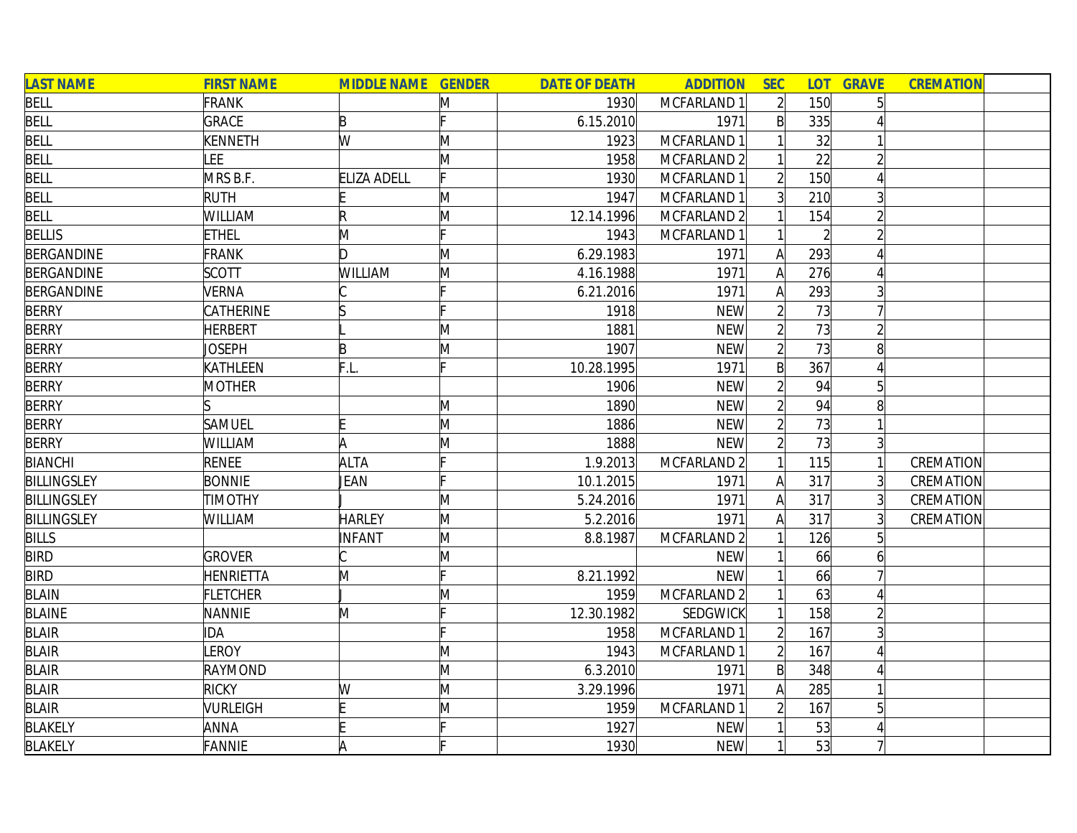| <b>LAST NAME</b>   | <b>FIRST NAME</b> | <b>MIDDLE NAME GENDER</b> |   | <b>DATE OF DEATH</b> | <b>ADDITION</b> | <b>SEC</b>     | <b>LOT</b> | <b>GRAVE</b>   | <b>CREMATION</b> |
|--------------------|-------------------|---------------------------|---|----------------------|-----------------|----------------|------------|----------------|------------------|
| <b>BELL</b>        | <b>FRANK</b>      |                           | M | 1930                 | MCFARLAND 1     | $\overline{2}$ | 150        | 5 <sup>1</sup> |                  |
| <b>BELL</b>        | <b>GRACE</b>      | B                         |   | 6.15.2010            | 1971            | $\mathsf{B}$   | 335        |                |                  |
| <b>BELL</b>        | KENNETH           | W                         | M | 1923                 | MCFARLAND 1     |                | 32         |                |                  |
| <b>BELL</b>        | <b>EE</b>         |                           | M | 1958                 | MCFARLAND 2     |                | 22         |                |                  |
| <b>BELL</b>        | MRS B.F.          | <b>ELIZA ADELL</b>        |   | 1930                 | MCFARLAND 1     |                | 150        | 4              |                  |
| BELL               | <b>RUTH</b>       |                           | M | 1947                 | MCFARLAND 1     | 3 <sup>1</sup> | 210        | $\overline{3}$ |                  |
| <b>BELL</b>        | WILLIAM           | R                         | M | 12.14.1996           | MCFARLAND 2     |                | 154        | $\overline{2}$ |                  |
| <b>BELLIS</b>      | <b>ETHEL</b>      | M                         |   | 1943                 | MCFARLAND 1     |                |            |                |                  |
| <b>BERGANDINE</b>  | <b>FRANK</b>      | Ŋ                         | M | 6.29.1983            | 1971            | A              | 293        |                |                  |
| <b>BERGANDINE</b>  | <b>SCOTT</b>      | <b>WILLIAM</b>            | M | 4.16.1988            | 1971            | A              | 276        |                |                  |
| <b>BERGANDINE</b>  | <b>VERNA</b>      |                           |   | 6.21.2016            | 1971            | A              | 293        |                |                  |
| <b>BERRY</b>       | CATHERINE         |                           |   | 1918                 | <b>NEW</b>      |                | 73         |                |                  |
| <b>BERRY</b>       | <b>HERBERT</b>    |                           | M | 1881                 | <b>NEW</b>      |                | 73         |                |                  |
| <b>BERRY</b>       | <b>JOSEPH</b>     | B                         | M | 1907                 | <b>NEW</b>      |                | 73         | 8              |                  |
| <b>BERRY</b>       | KATHLEEN          | F.L.                      |   | 10.28.1995           | 1971            | $\mathsf{B}$   | 367        |                |                  |
| <b>BERRY</b>       | MOTHER            |                           |   | 1906                 | <b>NEW</b>      |                | 94         | 51             |                  |
| <b>BERRY</b>       |                   |                           | M | 1890                 | <b>NEW</b>      |                | 94         | 8              |                  |
| <b>BERRY</b>       | <b>SAMUEL</b>     |                           | M | 1886                 | <b>NEW</b>      |                | 73         |                |                  |
| <b>BERRY</b>       | WILLIAM           | A                         | M | 1888                 | <b>NEW</b>      |                | 73         | 3              |                  |
| <b>BIANCHI</b>     | <b>RENEE</b>      | <b>ALTA</b>               |   | 1.9.2013             | MCFARLAND 2     |                | 115        |                | CREMATION        |
| <b>BILLINGSLEY</b> | <b>BONNIE</b>     | JEAN                      |   | 10.1.2015            | 1971            | A              | 317        | $\overline{3}$ | CREMATION        |
| <b>BILLINGSLEY</b> | <b>TIMOTHY</b>    |                           | M | 5.24.2016            | 1971            | A              | 317        | $\overline{3}$ | <b>CREMATION</b> |
| <b>BILLINGSLEY</b> | WILLIAM           | <b>HARLEY</b>             | M | 5.2.2016             | 1971            | A              | 317        |                | CREMATION        |
| <b>BILLS</b>       |                   | <b>INFANT</b>             | M | 8.8.1987             | MCFARLAND 2     |                | 126        |                |                  |
| <b>BIRD</b>        | <b>GROVER</b>     |                           | M |                      | <b>NEW</b>      |                | 66         | 6              |                  |
| <b>BIRD</b>        | HENRIETTA         | M                         |   | 8.21.1992            | <b>NEW</b>      |                | 66         |                |                  |
| <b>BLAIN</b>       | <b>FLETCHER</b>   |                           | M | 1959                 | MCFARLAND 2     |                | 63         |                |                  |
| <b>BLAINE</b>      | NANNIE            | M                         |   | 12.30.1982           | SEDGWICK        |                | 158        |                |                  |
| <b>BLAIR</b>       | <b>IDA</b>        |                           |   | 1958                 | MCFARLAND 1     |                | 167        |                |                  |
| <b>BLAIR</b>       | <b>EROY</b>       |                           | M | 1943                 | MCFARLAND 1     | $\overline{2}$ | 167        |                |                  |
| <b>BLAIR</b>       | RAYMOND           |                           | M | 6.3.2010             | 1971            | $\mathsf{B}$   | 348        |                |                  |
| <b>BLAIR</b>       | <b>RICKY</b>      | W                         | M | 3.29.1996            | 1971            | A              | 285        |                |                  |
| <b>BLAIR</b>       | VURLEIGH          |                           | M | 1959                 | MCFARLAND 1     |                | 167        | 5              |                  |
| <b>BLAKELY</b>     | ANNA              |                           |   | 1927                 | <b>NEW</b>      |                | 53         |                |                  |
| <b>BLAKELY</b>     | <b>FANNIE</b>     |                           |   | 1930                 | <b>NEW</b>      |                | 53         |                |                  |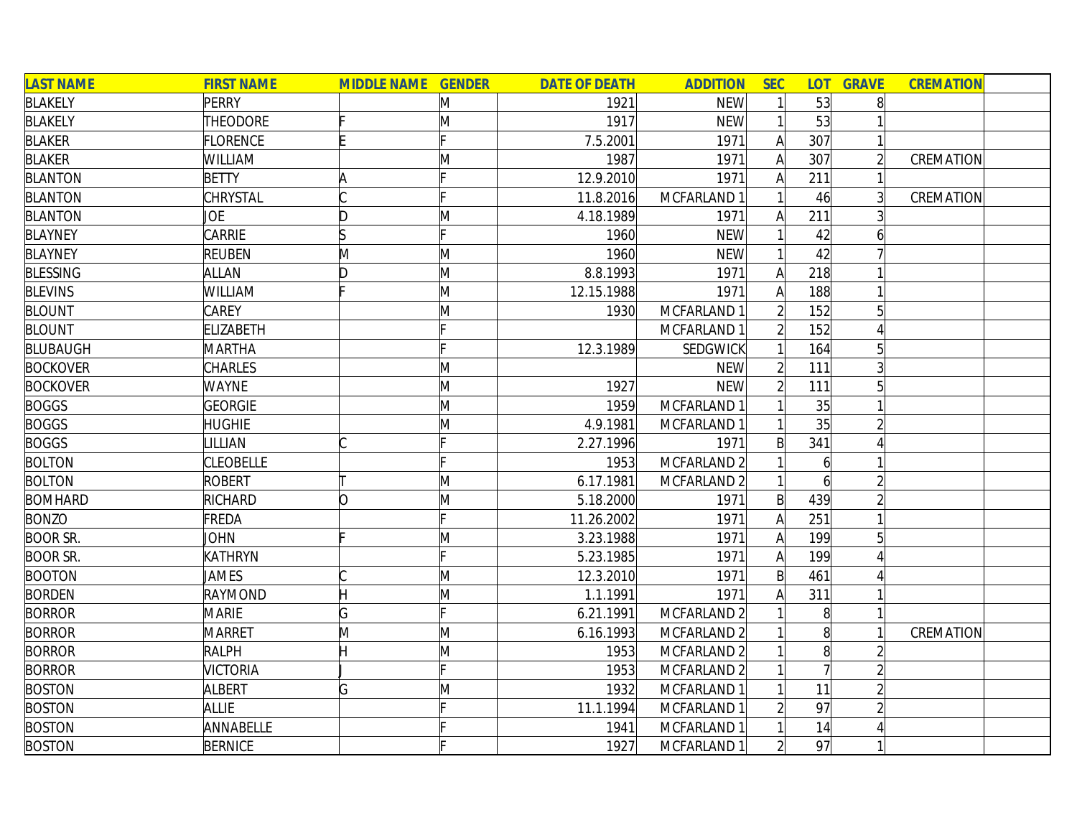| <b>LAST NAME</b> | <b>FIRST NAME</b> | <b>MIDDLE NAME GENDER</b> |   | <b>DATE OF DEATH</b> | <b>ADDITION</b>        | <b>SEC</b>     |                | <b>LOT GRAVE</b> | <b>CREMATION</b> |  |
|------------------|-------------------|---------------------------|---|----------------------|------------------------|----------------|----------------|------------------|------------------|--|
| <b>BLAKELY</b>   | PERRY             |                           | M | 1921                 | <b>NEW</b>             |                | 53             | 8                |                  |  |
| <b>BLAKELY</b>   | THEODORE          |                           | M | 1917                 | <b>NEW</b>             |                | 53             |                  |                  |  |
| <b>BLAKER</b>    | FLORENCE          |                           |   | 7.5.2001             | 1971                   | A              | 307            |                  |                  |  |
| <b>BLAKER</b>    | WILLIAM           |                           | Μ | 1987                 | 1971                   | $\mathsf{A}$   | 307            |                  | CREMATION        |  |
| <b>BLANTON</b>   | <b>BETTY</b>      | ۱A                        |   | 12.9.2010            | 1971                   | A              | 211            |                  |                  |  |
| <b>BLANTON</b>   | CHRYSTAL          |                           |   | 11.8.2016            | MCFARLAND 1            |                | 46             | $\overline{3}$   | CREMATION        |  |
| <b>BLANTON</b>   | JOE               | D                         | Μ | 4.18.1989            | 1971                   | A              | 211            |                  |                  |  |
| <b>BLAYNEY</b>   | CARRIE            | ls                        |   | 1960                 | <b>NEW</b>             |                | 42             | 6                |                  |  |
| <b>BLAYNEY</b>   | <b>REUBEN</b>     | M                         | M | 1960                 | <b>NEW</b>             |                | 42             |                  |                  |  |
| <b>BLESSING</b>  | <b>ALLAN</b>      | ID.                       | M | 8.8.1993             | 1971                   | A              | 218            |                  |                  |  |
| <b>BLEVINS</b>   | WILLIAM           |                           | M | 12.15.1988           | 1971                   | A              | 188            |                  |                  |  |
| <b>BLOUNT</b>    | <b>CAREY</b>      |                           | M | 1930                 | MCFARLAND 1            |                | 152            |                  |                  |  |
| <b>BLOUNT</b>    | <b>ELIZABETH</b>  |                           |   |                      | MCFARLAND 1            |                | 152            |                  |                  |  |
| <b>BLUBAUGH</b>  | <b>MARTHA</b>     |                           |   | 12.3.1989            | SEDGWICK               |                | 164            |                  |                  |  |
| <b>BOCKOVER</b>  | <b>CHARLES</b>    |                           | M |                      | <b>NEW</b>             |                | 111            |                  |                  |  |
| <b>BOCKOVER</b>  | <b>WAYNE</b>      |                           | M | 1927                 | <b>NEW</b>             |                | 111            |                  |                  |  |
| <b>BOGGS</b>     | <b>GEORGIE</b>    |                           | M | 1959                 | MCFARLAND 1            |                | 35             |                  |                  |  |
| <b>BOGGS</b>     | <b>HUGHIE</b>     |                           | Μ | 4.9.1981             | MCFARLAND 1            |                | 35             |                  |                  |  |
| <b>BOGGS</b>     | LILLIAN           |                           |   | 2.27.1996            | 1971                   | $\mathsf{B}$   | 341            |                  |                  |  |
| <b>BOLTON</b>    | <b>CLEOBELLE</b>  |                           |   | 1953                 | MCFARLAND <sub>2</sub> |                | $\overline{6}$ |                  |                  |  |
| <b>BOLTON</b>    | ROBERT            |                           | M | 6.17.1981            | MCFARLAND <sub>2</sub> |                |                |                  |                  |  |
| <b>BOMHARD</b>   | RICHARD           | lO.                       | M | 5.18.2000            | 1971                   | $\mathsf{B}$   | 439            |                  |                  |  |
| <b>BONZO</b>     | FREDA             |                           |   | 11.26.2002           | 1971                   | A              | 251            |                  |                  |  |
| <b>BOOR SR.</b>  | JOHN              |                           | M | 3.23.1988            | 1971                   | A              | 199            |                  |                  |  |
| <b>BOOR SR.</b>  | KATHRYN           |                           |   | 5.23.1985            | 1971                   | Α              | 199            |                  |                  |  |
| <b>BOOTON</b>    | <b>JAMES</b>      |                           | M | 12.3.2010            | 1971                   | $\mathsf{B}$   | 461            |                  |                  |  |
| <b>BORDEN</b>    | <b>RAYMOND</b>    |                           | M | 1.1.1991             | 1971                   |                | 311            |                  |                  |  |
| <b>BORROR</b>    | <b>MARIE</b>      | G                         |   | 6.21.1991            | MCFARLAND <sub>2</sub> |                | 8              |                  |                  |  |
| <b>BORROR</b>    | <b>MARRET</b>     | M                         | M | 6.16.1993            | MCFARLAND 2            |                | 8              |                  | CREMATION        |  |
| <b>BORROR</b>    | <b>RALPH</b>      |                           | M | 1953                 | MCFARLAND <sub>2</sub> |                | 8              |                  |                  |  |
| <b>BORROR</b>    | <b>VICTORIA</b>   |                           |   | 1953                 | MCFARLAND 2            |                |                |                  |                  |  |
| <b>BOSTON</b>    | <b>ALBERT</b>     | G                         | M | 1932                 | MCFARLAND 1            |                | 11             |                  |                  |  |
| <b>BOSTON</b>    | <b>ALLIE</b>      |                           |   | 11.1.1994            | MCFARLAND 1            |                | 97             |                  |                  |  |
| <b>BOSTON</b>    | ANNABELLE         |                           |   | 1941                 | MCFARLAND 1            |                | 14             |                  |                  |  |
| <b>BOSTON</b>    | <b>BERNICE</b>    |                           |   | 1927                 | MCFARLAND 1            | $\overline{2}$ | 97             |                  |                  |  |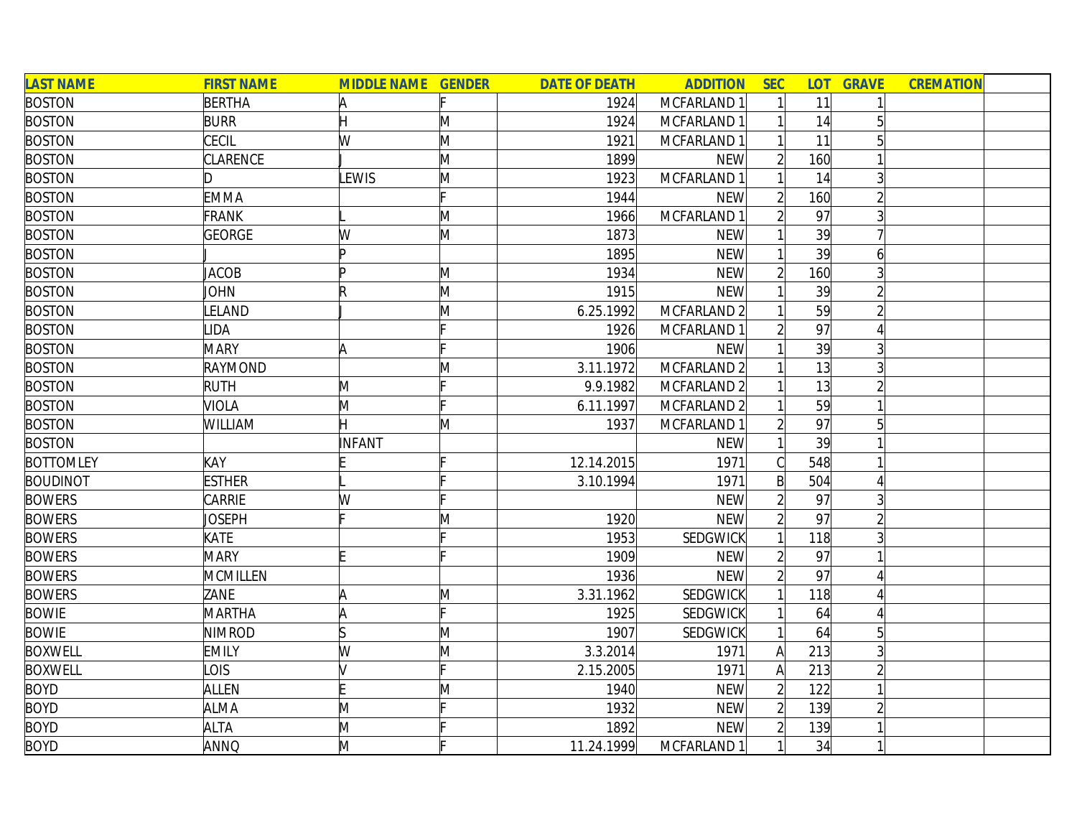| <b>LAST NAME</b> | <b>FIRST NAME</b> | <b>MIDDLE NAME GENDER</b> |   | <b>DATE OF DEATH</b> | <b>ADDITION</b> | <b>SEC</b>     | <b>LOT</b> | <b>GRAVE</b>   | <b>CREMATION</b> |  |
|------------------|-------------------|---------------------------|---|----------------------|-----------------|----------------|------------|----------------|------------------|--|
| <b>BOSTON</b>    | <b>BERTHA</b>     | A                         |   | 1924                 | MCFARLAND 1     |                | 11         |                |                  |  |
| <b>BOSTON</b>    | <b>BURR</b>       | H                         | M | 1924                 | MCFARLAND 1     |                | 14         | 5              |                  |  |
| <b>BOSTON</b>    | CECIL             | W                         | M | 1921                 | MCFARLAND 1     |                | 11         |                |                  |  |
| <b>BOSTON</b>    | CLARENCE          |                           | M | 1899                 | <b>NEW</b>      |                | 160        |                |                  |  |
| <b>BOSTON</b>    | D                 | LEWIS                     | M | 1923                 | MCFARLAND 1     |                | 14         | $\overline{3}$ |                  |  |
| <b>BOSTON</b>    | <b>EMMA</b>       |                           |   | 1944                 | <b>NEW</b>      |                | 160        | $\overline{2}$ |                  |  |
| <b>BOSTON</b>    | <b>FRANK</b>      |                           | M | 1966                 | MCFARLAND 1     | $\overline{2}$ | 97         | 3 <sup>l</sup> |                  |  |
| <b>BOSTON</b>    | <b>GEORGE</b>     | W                         | M | 1873                 | <b>NEW</b>      |                | 39         |                |                  |  |
| <b>BOSTON</b>    |                   | In                        |   | 1895                 | <b>NEW</b>      |                | 39         |                |                  |  |
| <b>BOSTON</b>    | <b>JACOB</b>      | D                         | M | 1934                 | <b>NEW</b>      |                | 160        |                |                  |  |
| <b>BOSTON</b>    | JOHN              | $\mathsf R$               | M | 1915                 | <b>NEW</b>      |                | 39         |                |                  |  |
| <b>BOSTON</b>    | <b>ELAND</b>      |                           | M | 6.25.1992            | MCFARLAND 2     |                | 59         |                |                  |  |
| <b>BOSTON</b>    | <b>IDA</b>        |                           |   | 1926                 | MCFARLAND 1     |                | 97         |                |                  |  |
| <b>BOSTON</b>    | <b>MARY</b>       | A                         |   | 1906                 | <b>NEW</b>      |                | 39         | 3              |                  |  |
| <b>BOSTON</b>    | RAYMOND           |                           | M | 3.11.1972            | MCFARLAND 2     |                | 13         |                |                  |  |
| <b>BOSTON</b>    | <b>RUTH</b>       | M                         |   | 9.9.1982             | MCFARLAND 2     |                | 13         |                |                  |  |
| <b>BOSTON</b>    | <b>VIOLA</b>      | M                         |   | 6.11.1997            | MCFARLAND 2     |                | 59         |                |                  |  |
| <b>BOSTON</b>    | WILLIAM           |                           | M | 1937                 | MCFARLAND 1     |                | 97         | $\overline{5}$ |                  |  |
| <b>BOSTON</b>    |                   | <b>INFANT</b>             |   |                      | <b>NEW</b>      |                | 39         |                |                  |  |
| <b>BOTTOMLEY</b> | KAY               |                           |   | 12.14.2015           | 1971            |                | 548        |                |                  |  |
| <b>BOUDINOT</b>  | <b>ESTHER</b>     |                           |   | 3.10.1994            | 1971            | $\mathsf{B}$   | 504        |                |                  |  |
| <b>BOWERS</b>    | CARRIE            | W                         |   |                      | <b>NEW</b>      |                | 97         |                |                  |  |
| <b>BOWERS</b>    | <b>JOSEPH</b>     |                           | Μ | 1920                 | <b>NEW</b>      |                | 97         |                |                  |  |
| <b>BOWERS</b>    | KATE              |                           |   | 1953                 | <b>SEDGWICK</b> |                | 118        |                |                  |  |
| <b>BOWERS</b>    | <b>MARY</b>       |                           |   | 1909                 | <b>NEW</b>      |                | 97         |                |                  |  |
| <b>BOWERS</b>    | MCMILLEN          |                           |   | 1936                 | <b>NEW</b>      |                | 97         |                |                  |  |
| <b>BOWERS</b>    | ZANE              | A                         | M | 3.31.1962            | <b>SEDGWICK</b> |                | 118        |                |                  |  |
| <b>BOWIE</b>     | <b>MARTHA</b>     | ΙA                        |   | 1925                 | <b>SEDGWICK</b> |                | 64         |                |                  |  |
| <b>BOWIE</b>     | <b>NIMROD</b>     |                           | M | 1907                 | <b>SEDGWICK</b> |                | 64         | $\overline{5}$ |                  |  |
| <b>BOXWELL</b>   | <b>EMILY</b>      | W                         | M | 3.3.2014             | 1971            | $\mathsf{A}$   | 213        | $\overline{3}$ |                  |  |
| <b>BOXWELL</b>   | <b>LOIS</b>       |                           |   | 2.15.2005            | 1971            | A              | 213        |                |                  |  |
| <b>BOYD</b>      | ALLEN             |                           | Μ | 1940                 | <b>NEW</b>      |                | 122        |                |                  |  |
| <b>BOYD</b>      | <b>ALMA</b>       | M                         |   | 1932                 | <b>NEW</b>      |                | 139        | $\overline{2}$ |                  |  |
| <b>BOYD</b>      | <b>ALTA</b>       | M                         |   | 1892                 | <b>NEW</b>      |                | 139        |                |                  |  |
| <b>BOYD</b>      | <b>ANNQ</b>       | M                         |   | 11.24.1999           | MCFARLAND 1     | $\mathbf{1}$   | 34         | 1              |                  |  |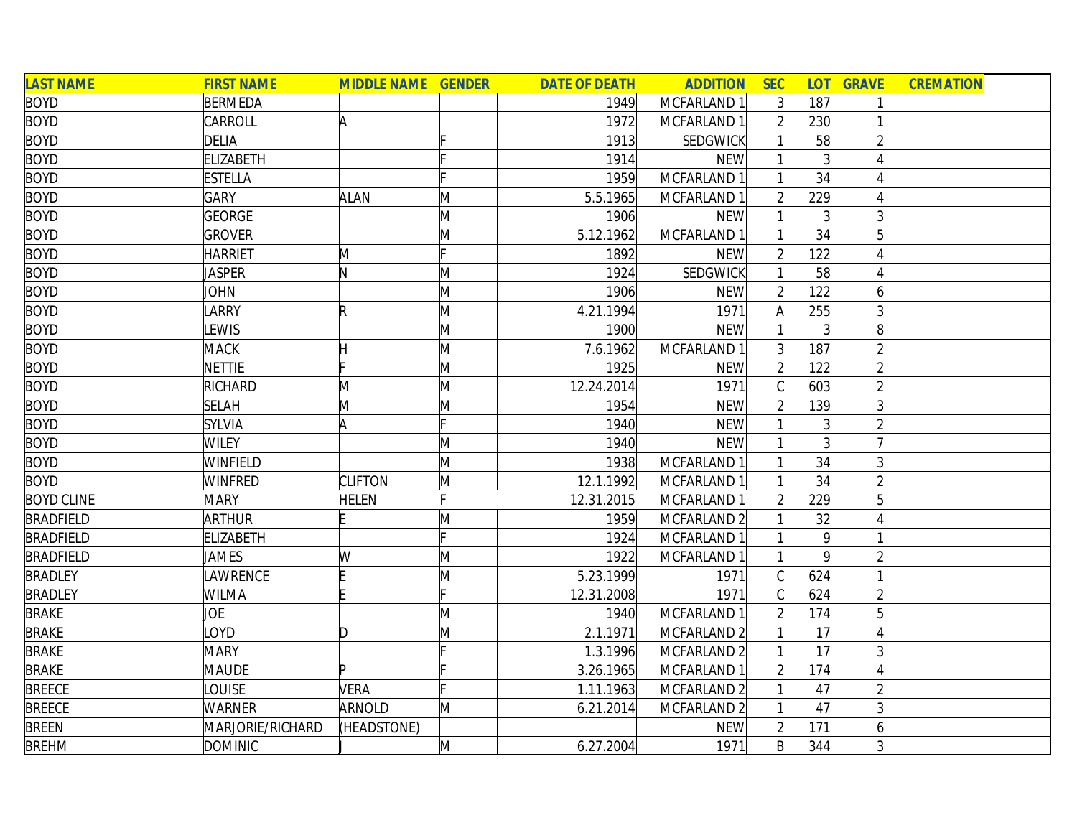| <b>LAST NAME</b>  | <b>FIRST NAME</b> | <b>MIDDLE NAME GENDER</b> |   | <b>DATE OF DEATH</b> | <b>ADDITION</b> | <b>SEC</b>     | <b>LOT</b>      | <b>GRAVE</b>   | <b>CREMATION</b> |  |
|-------------------|-------------------|---------------------------|---|----------------------|-----------------|----------------|-----------------|----------------|------------------|--|
| <b>BOYD</b>       | <b>BERMEDA</b>    |                           |   | 1949                 | MCFARLAND 1     | 3              | 187             |                |                  |  |
| <b>BOYD</b>       | CARROLL           | A                         |   | 1972                 | MCFARLAND 1     |                | 230             |                |                  |  |
| <b>BOYD</b>       | <b>DELIA</b>      |                           |   | 1913                 | <b>SEDGWICK</b> |                | 58              |                |                  |  |
| <b>BOYD</b>       | <b>ELIZABETH</b>  |                           |   | 1914                 | <b>NEW</b>      |                | 3               |                |                  |  |
| <b>BOYD</b>       | <b>ESTELLA</b>    |                           |   | 1959                 | MCFARLAND 1     |                | 34              |                |                  |  |
| <b>BOYD</b>       | <b>GARY</b>       | <b>ALAN</b>               | Μ | 5.5.1965             | MCFARLAND 1     |                | 229             |                |                  |  |
| <b>BOYD</b>       | <b>GEORGE</b>     |                           | M | 1906                 | <b>NEW</b>      |                | $\overline{3}$  |                |                  |  |
| <b>BOYD</b>       | <b>GROVER</b>     |                           | M | 5.12.1962            | MCFARLAND 1     |                | 34              | 5              |                  |  |
| <b>BOYD</b>       | <b>HARRIET</b>    | M                         |   | 1892                 | <b>NEW</b>      | $\overline{2}$ | 122             |                |                  |  |
| <b>BOYD</b>       | Jasper            | N                         | M | 1924                 | SEDGWICK        |                | 58              |                |                  |  |
| <b>BOYD</b>       | <b>JOHN</b>       |                           | M | 1906                 | <b>NEW</b>      |                | 122             | 6              |                  |  |
| <b>BOYD</b>       | LARRY             | $\mathsf R$               | M | 4.21.1994            | 1971            | А              | 255             |                |                  |  |
| <b>BOYD</b>       | LEWIS             |                           | M | 1900                 | <b>NEW</b>      |                |                 |                |                  |  |
| <b>BOYD</b>       | <b>MACK</b>       |                           | M | 7.6.1962             | MCFARLAND 1     |                | 187             |                |                  |  |
| <b>BOYD</b>       | <b>NETTIE</b>     |                           | M | 1925                 | <b>NEW</b>      |                | 122             |                |                  |  |
| <b>BOYD</b>       | RICHARD           | M                         | M | 12.24.2014           | 1971            |                | 603             |                |                  |  |
| <b>BOYD</b>       | <b>SELAH</b>      | M                         | M | 1954                 | <b>NEW</b>      |                | 139             |                |                  |  |
| <b>BOYD</b>       | <b>SYLVIA</b>     | A                         |   | 1940                 | <b>NEW</b>      |                | 3               |                |                  |  |
| <b>BOYD</b>       | <b>WILEY</b>      |                           | M | 1940                 | <b>NEW</b>      |                | 3               |                |                  |  |
| <b>BOYD</b>       | <b>WINFIELD</b>   |                           | M | 1938                 | MCFARLAND 1     |                | 34              | $\overline{3}$ |                  |  |
| <b>BOYD</b>       | <b>WINFRED</b>    | <b>CLIFTON</b>            | M | 12.1.1992            | MCFARLAND 1     |                | 34              |                |                  |  |
| <b>BOYD CLINE</b> | <b>MARY</b>       | <b>HELEN</b>              | F | 12.31.2015           | MCFARLAND 1     | 2              | 229             | 5              |                  |  |
| <b>BRADFIELD</b>  | <b>ARTHUR</b>     | E                         | M | 1959                 | MCFARLAND 2     |                | 32              |                |                  |  |
| <b>BRADFIELD</b>  | <b>ELIZABETH</b>  |                           |   | 1924                 | MCFARLAND 1     |                | $\vert 9 \vert$ |                |                  |  |
| <b>BRADFIELD</b>  | JAMES             | W                         | M | 1922                 | MCFARLAND 1     |                | $\mathsf{q}$    |                |                  |  |
| <b>BRADLEY</b>    | LAWRENCE          |                           | M | 5.23.1999            | 1971            | $\mathcal{C}$  | 624             |                |                  |  |
| <b>BRADLEY</b>    | WILMA             |                           |   | 12.31.2008           | 1971            |                | 624             |                |                  |  |
| <b>BRAKE</b>      | JOE               |                           | M | 1940                 | MCFARLAND 1     |                | 174             |                |                  |  |
| <b>BRAKE</b>      | LOYD              | D                         | M | 2.1.1971             | MCFARLAND 2     |                | 17              |                |                  |  |
| <b>BRAKE</b>      | <b>MARY</b>       |                           |   | 1.3.1996             | MCFARLAND 2     |                | 17              |                |                  |  |
| <b>BRAKE</b>      | <b>MAUDE</b>      | b.                        |   | 3.26.1965            | MCFARLAND 1     |                | 174             |                |                  |  |
| <b>BREECE</b>     | LOUISE            | VERA                      |   | 1.11.1963            | MCFARLAND 2     |                | 47              |                |                  |  |
| <b>BREECE</b>     | WARNER            | ARNOLD                    | M | 6.21.2014            | MCFARLAND 2     |                | 47              | 3              |                  |  |
| <b>BREEN</b>      | MARJORIE/RICHARD  | (HEADSTONE)               |   |                      | <b>NEW</b>      | $\overline{2}$ | 171             | 6              |                  |  |
| <b>BREHM</b>      | <b>DOMINIC</b>    |                           | M | 6.27.2004            | 1971            | $\mathsf{B}$   | 344             |                |                  |  |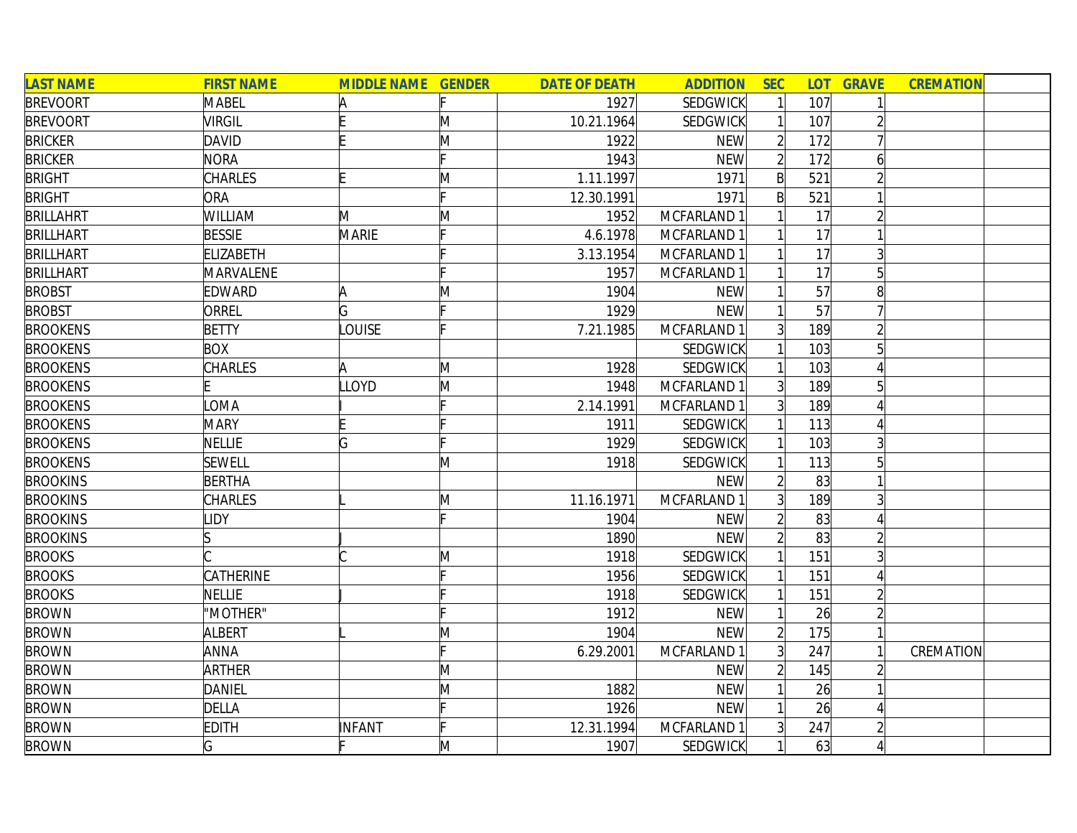| <b>LAST NAME</b> | <b>FIRST NAME</b> | <b>MIDDLE NAME GENDER</b> |   | <b>DATE OF DEATH</b> | <b>ADDITION</b> | <b>SEC</b>     | <b>LOT</b> | <b>GRAVE</b>   | <b>CREMATION</b> |  |
|------------------|-------------------|---------------------------|---|----------------------|-----------------|----------------|------------|----------------|------------------|--|
| <b>BREVOORT</b>  | MABEL             | A                         |   | 1927                 | <b>SEDGWICK</b> |                | 107        |                |                  |  |
| <b>BREVOORT</b>  | <b>VIRGIL</b>     |                           | M | 10.21.1964           | SEDGWICK        |                | 107        |                |                  |  |
| <b>BRICKER</b>   | <b>DAVID</b>      |                           | M | 1922                 | <b>NEW</b>      |                | 172        |                |                  |  |
| <b>BRICKER</b>   | <b>NORA</b>       |                           |   | 1943                 | <b>NEW</b>      | $\overline{2}$ | 172        | 6              |                  |  |
| <b>BRIGHT</b>    | <b>CHARLES</b>    |                           | Μ | 1.11.1997            | 1971            | $\mathsf{B}$   | 521        |                |                  |  |
| <b>BRIGHT</b>    | <b>ORA</b>        |                           |   | 12.30.1991           | 1971            | $\mathsf{B}$   | 521        |                |                  |  |
| <b>BRILLAHRT</b> | WILLIAM           | M                         | M | 1952                 | MCFARLAND 1     |                | 17         | $\overline{2}$ |                  |  |
| <b>BRILLHART</b> | <b>BESSIE</b>     | MARIE                     |   | 4.6.1978             | MCFARLAND 1     |                | 17         |                |                  |  |
| <b>BRILLHART</b> | <b>ELIZABETH</b>  |                           |   | 3.13.1954            | MCFARLAND 1     |                | 17         |                |                  |  |
| <b>BRILLHART</b> | MARVALENE         |                           |   | 1957                 | MCFARLAND 1     |                | 17         |                |                  |  |
| <b>BROBST</b>    | <b>EDWARD</b>     | A                         | M | 1904                 | <b>NEW</b>      |                | 57         |                |                  |  |
| <b>BROBST</b>    | ORREL             | G                         |   | 1929                 | <b>NEW</b>      |                | 57         |                |                  |  |
| <b>BROOKENS</b>  | <b>BETTY</b>      | <b>LOUISE</b>             |   | 7.21.1985            | MCFARLAND 1     | $\overline{3}$ | 189        |                |                  |  |
| <b>BROOKENS</b>  | <b>BOX</b>        |                           |   |                      | SEDGWICK        |                | 103        | 51             |                  |  |
| <b>BROOKENS</b>  | <b>CHARLES</b>    | A                         | M | 1928                 | SEDGWICK        |                | 103        |                |                  |  |
| <b>BROOKENS</b>  |                   | <b>LLOYD</b>              | M | 1948                 | MCFARLAND 1     |                | 189        |                |                  |  |
| <b>BROOKENS</b>  | OMA               |                           |   | 2.14.1991            | MCFARLAND 1     | $\overline{3}$ | 189        |                |                  |  |
| <b>BROOKENS</b>  | <b>MARY</b>       |                           |   | 1911                 | SEDGWICK        |                | 113        |                |                  |  |
| <b>BROOKENS</b>  | <b>NELLIE</b>     | G                         |   | 1929                 | <b>SEDGWICK</b> |                | 103        |                |                  |  |
| <b>BROOKENS</b>  | <b>SEWELL</b>     |                           | M | 1918                 | <b>SEDGWICK</b> |                | 113        | 5              |                  |  |
| <b>BROOKINS</b>  | <b>BERTHA</b>     |                           |   |                      | <b>NEW</b>      | $\overline{2}$ | 83         |                |                  |  |
| <b>BROOKINS</b>  | <b>CHARLES</b>    |                           | M | 11.16.1971           | MCFARLAND 1     | 3 <sup>1</sup> | 189        |                |                  |  |
| <b>BROOKINS</b>  | <b>LIDY</b>       |                           |   | 1904                 | <b>NEW</b>      |                | 83         |                |                  |  |
| <b>BROOKINS</b>  | IS                |                           |   | 1890                 | <b>NEW</b>      |                | 83         |                |                  |  |
| <b>BROOKS</b>    |                   |                           | M | 1918                 | SEDGWICK        |                | 151        |                |                  |  |
| <b>BROOKS</b>    | CATHERINE         |                           |   | 1956                 | SEDGWICK        |                | 151        |                |                  |  |
| <b>BROOKS</b>    | NELLIE            |                           |   | 1918                 | SEDGWICK        |                | 151        |                |                  |  |
| <b>BROWN</b>     | "MOTHER"          |                           |   | 1912                 | <b>NEW</b>      |                | 26         |                |                  |  |
| <b>BROWN</b>     | <b>ALBERT</b>     |                           | M | 1904                 | <b>NEW</b>      |                | 175        |                |                  |  |
| <b>BROWN</b>     | <b>ANNA</b>       |                           |   | 6.29.2001            | MCFARLAND 1     |                | 247        |                | CREMATION        |  |
| <b>BROWN</b>     | <b>ARTHER</b>     |                           | M |                      | <b>NEW</b>      | $\overline{2}$ | 145        |                |                  |  |
| <b>BROWN</b>     | <b>DANIEL</b>     |                           | M | 1882                 | <b>NEW</b>      |                | 26         |                |                  |  |
| <b>BROWN</b>     | <b>DELLA</b>      |                           |   | 1926                 | <b>NEW</b>      |                | 26         |                |                  |  |
| <b>BROWN</b>     | <b>EDITH</b>      | INFANT                    |   | 12.31.1994           | MCFARLAND 1     |                | 247        |                |                  |  |
| <b>BROWN</b>     | G                 |                           | M | 1907                 | SEDGWICK        |                | 63         |                |                  |  |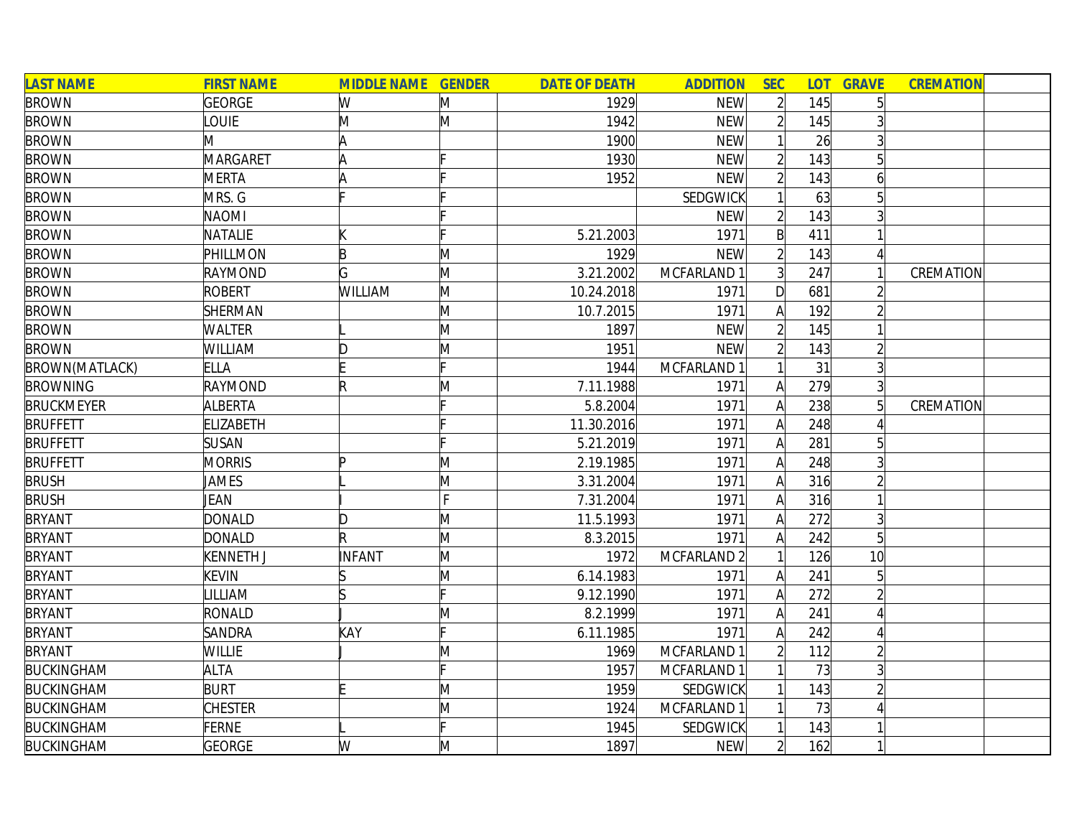| <b>LAST NAME</b>      | <b>FIRST NAME</b> | <b>MIDDLE NAME GENDER</b> |              | <b>DATE OF DEATH</b> | <b>ADDITION</b> | <b>SEC</b>     | <b>LOT</b> | <b>GRAVE</b>    | <b>CREMATION</b> |  |
|-----------------------|-------------------|---------------------------|--------------|----------------------|-----------------|----------------|------------|-----------------|------------------|--|
| <b>BROWN</b>          | <b>GEORGE</b>     | W                         | M            | 1929                 | <b>NEW</b>      | $\overline{2}$ | 145        | 5 <sup>1</sup>  |                  |  |
| <b>BROWN</b>          | <b>OUIE</b>       | M                         | M            | 1942                 | <b>NEW</b>      | $\overline{2}$ | 145        |                 |                  |  |
| <b>BROWN</b>          | M                 | A                         |              | 1900                 | <b>NEW</b>      |                | 26         |                 |                  |  |
| <b>BROWN</b>          | <b>MARGARET</b>   | ΙA                        |              | 1930                 | <b>NEW</b>      | $\overline{2}$ | 143        | 5 <sup>1</sup>  |                  |  |
| <b>BROWN</b>          | <b>MERTA</b>      |                           |              | 1952                 | <b>NEW</b>      | $\overline{2}$ | 143        | $\overline{6}$  |                  |  |
| <b>BROWN</b>          | MRS. G            |                           |              |                      | SEDGWICK        |                | 63         | $5\vert$        |                  |  |
| <b>BROWN</b>          | <b>NAOMI</b>      |                           |              |                      | <b>NEW</b>      | $\overline{2}$ | 143        | $\overline{3}$  |                  |  |
| <b>BROWN</b>          | NATALIE           |                           |              | 5.21.2003            | 1971            | $\mathsf{B}$   | 411        |                 |                  |  |
| <b>BROWN</b>          | PHILLMON          | B                         | M            | 1929                 | <b>NEW</b>      | $\overline{2}$ | 143        |                 |                  |  |
| <b>BROWN</b>          | <b>RAYMOND</b>    | G                         | M            | 3.21.2002            | MCFARLAND 1     | $\overline{3}$ | 247        |                 | CREMATION        |  |
| <b>BROWN</b>          | <b>ROBERT</b>     | <b>WILLIAM</b>            | $\mathsf{M}$ | 10.24.2018           | 1971            | D              | 681        |                 |                  |  |
| <b>BROWN</b>          | SHERMAN           |                           | M            | 10.7.2015            | 1971            | A              | 192        |                 |                  |  |
| <b>BROWN</b>          | <b>WALTER</b>     |                           | M            | 1897                 | <b>NEW</b>      | $\overline{2}$ | 145        |                 |                  |  |
| <b>BROWN</b>          | WILLIAM           |                           | M            | 1951                 | <b>NEW</b>      | $\overline{2}$ | 143        | $\overline{2}$  |                  |  |
| <b>BROWN(MATLACK)</b> | <b>ELLA</b>       |                           |              | 1944                 | MCFARLAND 1     |                | 31         | $\overline{3}$  |                  |  |
| <b>BROWNING</b>       | RAYMOND           | $\mathsf R$               | M            | 7.11.1988            | 1971            | A              | 279        | $\overline{3}$  |                  |  |
| <b>BRUCKMEYER</b>     | ALBERTA           |                           |              | 5.8.2004             | 1971            | A              | 238        | $5\vert$        | CREMATION        |  |
| <b>BRUFFETT</b>       | <b>ELIZABETH</b>  |                           |              | 11.30.2016           | 1971            | A              | 248        |                 |                  |  |
| <b>BRUFFETT</b>       | <b>SUSAN</b>      |                           |              | 5.21.2019            | 1971            | A              | 281        | 5 <sup>1</sup>  |                  |  |
| <b>BRUFFETT</b>       | <b>MORRIS</b>     | ID                        | M            | 2.19.1985            | 1971            | A              | 248        | 3               |                  |  |
| <b>BRUSH</b>          | JAMES             |                           | M            | 3.31.2004            | 1971            | $\mathsf{A}$   | 316        | $\overline{2}$  |                  |  |
| <b>BRUSH</b>          | JEAN              |                           | F            | 7.31.2004            | 1971            | A              | 316        |                 |                  |  |
| <b>BRYANT</b>         | <b>DONALD</b>     | D                         | M            | 11.5.1993            | 1971            | A              | 272        | $\overline{3}$  |                  |  |
| <b>BRYANT</b>         | <b>DONALD</b>     | R                         | M            | 8.3.2015             | 1971            | A              | 242        | $5\vert$        |                  |  |
| <b>BRYANT</b>         | KENNETH J         | INFANT                    | M            | 1972                 | MCFARLAND 2     |                | 126        | 10 <sup>1</sup> |                  |  |
| <b>BRYANT</b>         | <b>KEVIN</b>      |                           | M            | 6.14.1983            | 1971            | A              | 241        | $\overline{5}$  |                  |  |
| <b>BRYANT</b>         | <b>ILLIAM</b>     |                           |              | 9.12.1990            | 1971            | A              | 272        |                 |                  |  |
| <b>BRYANT</b>         | <b>RONALD</b>     |                           | M            | 8.2.1999             | 1971            | A              | 241        | Δ               |                  |  |
| <b>BRYANT</b>         | <b>SANDRA</b>     | KAY                       |              | 6.11.1985            | 1971            | A              | 242        |                 |                  |  |
| <b>BRYANT</b>         | <b>WILLIE</b>     |                           | M            | 1969                 | MCFARLAND 1     | $\overline{2}$ | 112        | $\overline{2}$  |                  |  |
| <b>BUCKINGHAM</b>     | <b>ALTA</b>       |                           |              | 1957                 | MCFARLAND 1     |                | 73         | 3               |                  |  |
| <b>BUCKINGHAM</b>     | <b>BURT</b>       |                           | M            | 1959                 | SEDGWICK        | 1              | 143        |                 |                  |  |
| <b>BUCKINGHAM</b>     | <b>CHESTER</b>    |                           | M            | 1924                 | MCFARLAND 1     | $\mathbf{1}$   | 73         |                 |                  |  |
| <b>BUCKINGHAM</b>     | <b>FERNE</b>      |                           |              | 1945                 | <b>SEDGWICK</b> |                | 143        |                 |                  |  |
| <b>BUCKINGHAM</b>     | <b>GEORGE</b>     | W                         | M            | 1897                 | <b>NEW</b>      | $\overline{2}$ | 162        |                 |                  |  |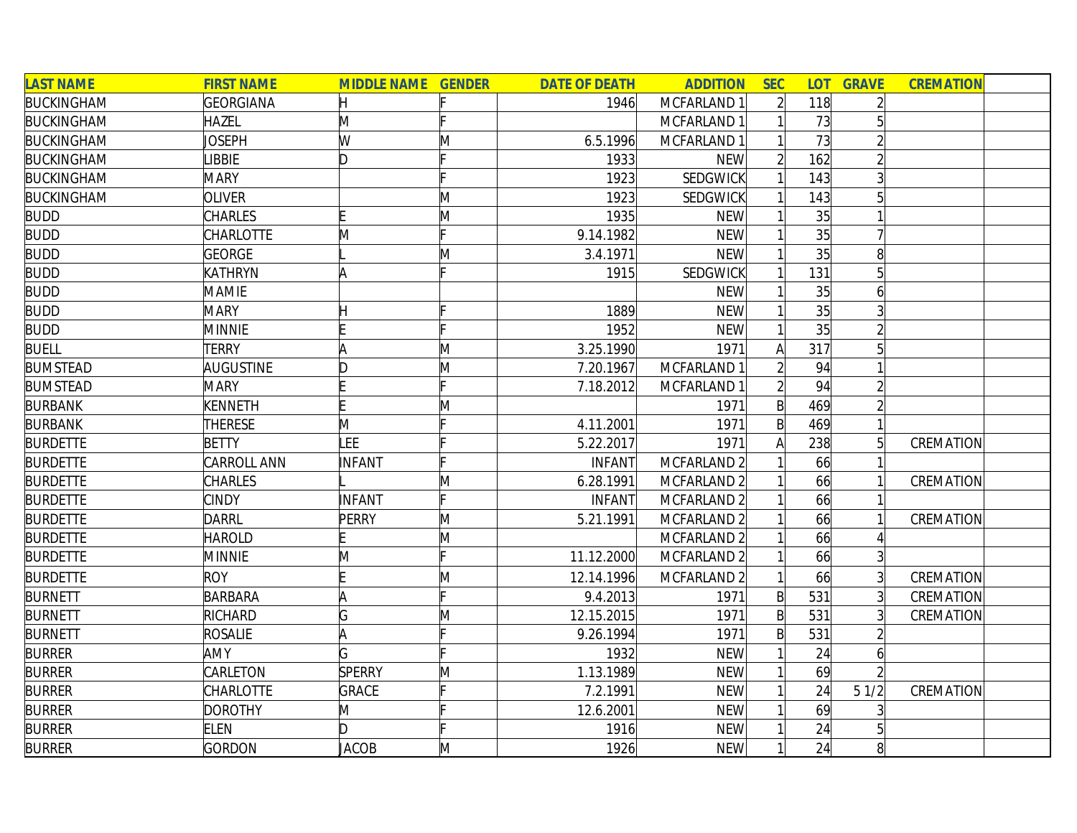| <b>LAST NAME</b>  | <b>FIRST NAME</b>  | <b>MIDDLE NAME GENDER</b> |    | <b>DATE OF DEATH</b> | <b>ADDITION</b> | <b>SEC</b>     | <b>LOT</b> | <b>GRAVE</b>    | <b>CREMATION</b> |
|-------------------|--------------------|---------------------------|----|----------------------|-----------------|----------------|------------|-----------------|------------------|
| <b>BUCKINGHAM</b> | <b>GEORGIANA</b>   |                           |    | 1946                 | MCFARLAND 1     | $\overline{2}$ | 118        | $\overline{2}$  |                  |
| <b>BUCKINGHAM</b> | <b>HAZEL</b>       | M                         |    |                      | MCFARLAND 1     |                | 73         | $5\overline{)}$ |                  |
| <b>BUCKINGHAM</b> | JOSEPH             | W                         | M  | 6.5.1996             | MCFARLAND 1     |                | 73         | $\overline{2}$  |                  |
| <b>BUCKINGHAM</b> | <b>LIBBIE</b>      | ID.                       |    | 1933                 | <b>NEW</b>      |                | 162        | $\overline{2}$  |                  |
| <b>BUCKINGHAM</b> | <b>MARY</b>        |                           |    | 1923                 | SEDGWICK        |                | 143        | 3               |                  |
| <b>BUCKINGHAM</b> | <b>OLIVER</b>      |                           | M  | 1923                 | <b>SEDGWICK</b> |                | 143        | 5 <sup>1</sup>  |                  |
| <b>BUDD</b>       | <b>CHARLES</b>     |                           | M  | 1935                 | <b>NEW</b>      |                | 35         |                 |                  |
| <b>BUDD</b>       | <b>CHARLOTTE</b>   | M                         |    | 9.14.1982            | <b>NEW</b>      |                | 35         |                 |                  |
| <b>BUDD</b>       | <b>GEORGE</b>      |                           | Μ  | 3.4.1971             | <b>NEW</b>      |                | 35         | 8 <sup>1</sup>  |                  |
| <b>BUDD</b>       | <b>KATHRYN</b>     |                           |    | 1915                 | SEDGWICK        |                | 131        |                 |                  |
| <b>BUDD</b>       | <b>MAMIE</b>       |                           |    |                      | <b>NEW</b>      |                | 35         | 6               |                  |
| <b>BUDD</b>       | <b>MARY</b>        |                           |    | 1889                 | <b>NEW</b>      |                | 35         |                 |                  |
| <b>BUDD</b>       | <b>MINNIE</b>      |                           |    | 1952                 | <b>NEW</b>      |                | 35         |                 |                  |
| <b>BUELL</b>      | <b>TERRY</b>       |                           | M  | 3.25.1990            | 1971            | A              | 317        |                 |                  |
| <b>BUMSTEAD</b>   | AUGUSTINE          |                           | M  | 7.20.1967            | MCFARLAND 1     | $\overline{2}$ | 94         |                 |                  |
| <b>BUMSTEAD</b>   | <b>MARY</b>        |                           |    | 7.18.2012            | MCFARLAND 1     |                | 94         |                 |                  |
| <b>BURBANK</b>    | KENNETH            |                           | M  |                      | 1971            | $\mathsf{B}$   | 469        |                 |                  |
| <b>BURBANK</b>    | <b>THERESE</b>     | M                         |    | 4.11.2001            | 1971            | $\mathsf{B}$   | 469        |                 |                  |
| <b>BURDETTE</b>   | <b>BETTY</b>       | LEE                       |    | 5.22.2017            | 1971            | A              | 238        | 5               | CREMATION        |
| <b>BURDETTE</b>   | <b>CARROLL ANN</b> | INFANT                    |    | <b>INFANT</b>        | MCFARLAND 2     |                | 66         |                 |                  |
| <b>BURDETTE</b>   | <b>CHARLES</b>     |                           | M  | 6.28.1991            | MCFARLAND 2     |                | 66         |                 | CREMATION        |
| <b>BURDETTE</b>   | <b>CINDY</b>       | INFANT                    | E. | INFANT               | MCFARLAND 2     |                | 66         |                 |                  |
| <b>BURDETTE</b>   | <b>DARRL</b>       | PERRY                     | M  | 5.21.1991            | MCFARLAND 2     |                | 66         |                 | CREMATION        |
| <b>BURDETTE</b>   | <b>HAROLD</b>      |                           | M  |                      | MCFARLAND 2     |                | 66         |                 |                  |
| <b>BURDETTE</b>   | <b>MINNIE</b>      | M                         |    | 11.12.2000           | MCFARLAND 2     |                | 66         | 3               |                  |
| <b>BURDETTE</b>   | <b>ROY</b>         |                           | M  | 12.14.1996           | MCFARLAND 2     |                | 66         |                 | CREMATION        |
| <b>BURNETT</b>    | <b>BARBARA</b>     |                           |    | 9.4.2013             | 1971            | $\mathsf{B}$   | 531        | 3               | CREMATION        |
| <b>BURNETT</b>    | RICHARD            | G                         | M  | 12.15.2015           | 1971            | $\mathsf{B}$   | 531        | $\overline{3}$  | CREMATION        |
| <b>BURNETT</b>    | <b>ROSALIE</b>     |                           |    | 9.26.1994            | 1971            | $\mathsf{B}$   | 531        | $\overline{2}$  |                  |
| <b>BURRER</b>     | <b>AMY</b>         |                           |    | 1932                 | <b>NEW</b>      | 1              | 24         | 6               |                  |
| <b>BURRER</b>     | CARLETON           | <b>SPERRY</b>             | M  | 1.13.1989            | <b>NEW</b>      | 1              | 69         |                 |                  |
| <b>BURRER</b>     | <b>CHARLOTTE</b>   | GRACE                     |    | 7.2.1991             | <b>NEW</b>      |                | 24         | 51/2            | CREMATION        |
| <b>BURRER</b>     | <b>DOROTHY</b>     | M                         |    | 12.6.2001            | <b>NEW</b>      |                | 69         |                 |                  |
| <b>BURRER</b>     | <b>ELEN</b>        | D                         |    | 1916                 | <b>NEW</b>      |                | 24         |                 |                  |
| <b>BURRER</b>     | <b>GORDON</b>      | JACOB                     | M  | 1926                 | <b>NEW</b>      | $\mathbf{1}$   | 24         | 8 <sup>1</sup>  |                  |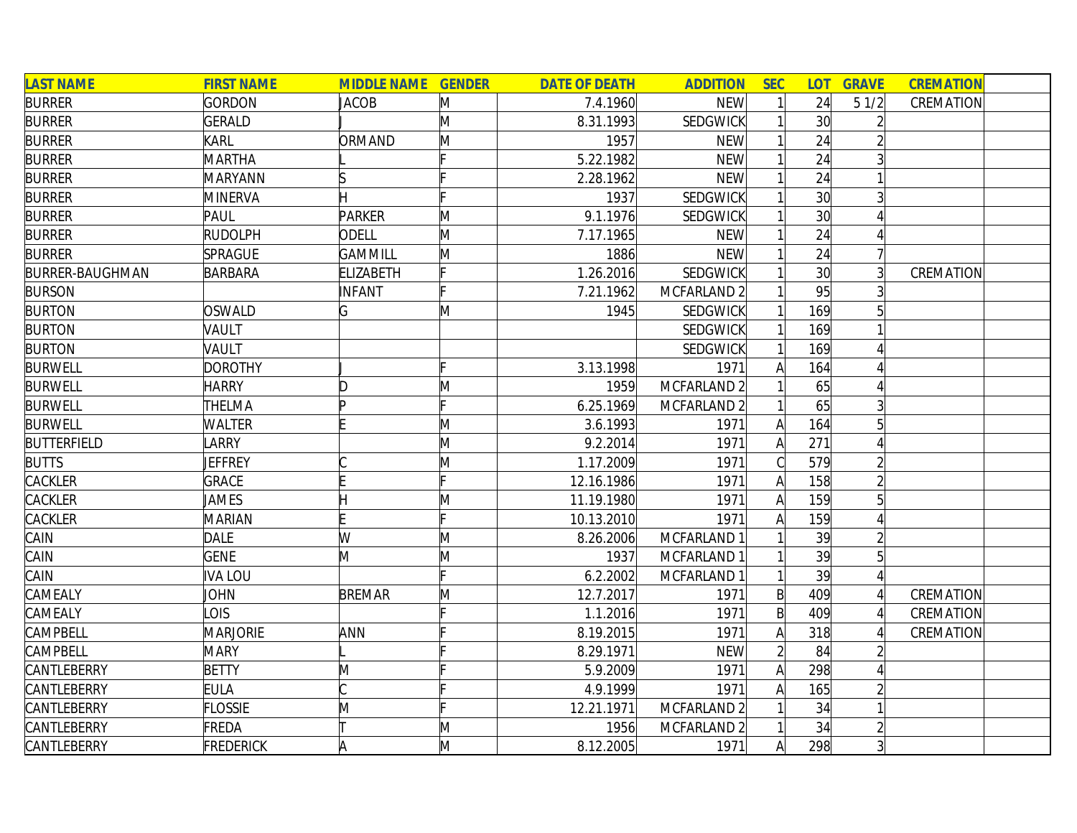| <b>LAST NAME</b>       | <b>FIRST NAME</b> | <b>MIDDLE NAME GENDER</b> |   | <b>DATE OF DEATH</b> | <b>ADDITION</b>        | <b>SEC</b>   | LOT <sub>1</sub> | <b>GRAVE</b>   | <b>CREMATION</b> |
|------------------------|-------------------|---------------------------|---|----------------------|------------------------|--------------|------------------|----------------|------------------|
| <b>BURRER</b>          | <b>GORDON</b>     | <b>JACOB</b>              | M | 7.4.1960             | <b>NEW</b>             |              | 24               | 51/2           | CREMATION        |
| <b>BURRER</b>          | <b>GERALD</b>     |                           | Μ | 8.31.1993            | SEDGWICK               |              | 30 <sup>l</sup>  |                |                  |
| <b>BURRER</b>          | <b>KARL</b>       | ORMAND                    | M | 1957                 | <b>NEW</b>             |              | 24               |                |                  |
| <b>BURRER</b>          | <b>MARTHA</b>     |                           |   | 5.22.1982            | <b>NEW</b>             |              | 24               |                |                  |
| <b>BURRER</b>          | MARYANN           |                           |   | 2.28.1962            | <b>NEW</b>             |              | 24               |                |                  |
| <b>BURRER</b>          | <b>MINERVA</b>    |                           |   | 1937                 | SEDGWICK               |              | 30               |                |                  |
| <b>BURRER</b>          | PAUL              | <b>PARKER</b>             | M | 9.1.1976             | <b>SEDGWICK</b>        |              | 30 <sup>1</sup>  |                |                  |
| <b>BURRER</b>          | <b>RUDOLPH</b>    | <b>ODELL</b>              | M | 7.17.1965            | <b>NEW</b>             |              | 24               |                |                  |
| <b>BURRER</b>          | <b>SPRAGUE</b>    | <b>GAMMILL</b>            | M | 1886                 | <b>NEW</b>             |              | 24               |                |                  |
| <b>BURRER-BAUGHMAN</b> | <b>BARBARA</b>    | <b>ELIZABETH</b>          |   | 1.26.2016            | SEDGWICK               |              | 30 <sup>2</sup>  | $\overline{3}$ | CREMATION        |
| <b>BURSON</b>          |                   | <b>INFANT</b>             |   | 7.21.1962            | MCFARLAND <sub>2</sub> |              | 95               |                |                  |
| <b>BURTON</b>          | OSWALD            | G                         | M | 1945                 | SEDGWICK               |              | 169              |                |                  |
| <b>BURTON</b>          | VAULT             |                           |   |                      | SEDGWICK               |              | 169              |                |                  |
| <b>BURTON</b>          | VAULT             |                           |   |                      | SEDGWICK               |              | 169              |                |                  |
| <b>BURWELL</b>         | <b>DOROTHY</b>    |                           |   | 3.13.1998            | 1971                   |              | 164              |                |                  |
| <b>BURWELL</b>         | <b>HARRY</b>      | D                         | M | 1959                 | MCFARLAND <sub>2</sub> |              | 65               |                |                  |
| <b>BURWELL</b>         | THELMA            |                           |   | 6.25.1969            | MCFARLAND 2            |              | 65               |                |                  |
| <b>BURWELL</b>         | <b>WALTER</b>     |                           | M | 3.6.1993             | 1971                   | A            | 164              | 5              |                  |
| <b>BUTTERFIELD</b>     | LARRY             |                           | M | 9.2.2014             | 1971                   | A            | 271              |                |                  |
| <b>BUTTS</b>           | <b>JEFFREY</b>    |                           | M | 1.17.2009            | 1971                   |              | 579              |                |                  |
| CACKLER                | <b>GRACE</b>      |                           |   | 12.16.1986           | 1971                   | $\mathsf{A}$ | 158              |                |                  |
| <b>CACKLER</b>         | <b>JAMES</b>      |                           | M | 11.19.1980           | 1971                   | A            | 159              |                |                  |
| CACKLER                | <b>MARIAN</b>     |                           |   | 10.13.2010           | 1971                   | A            | 159              |                |                  |
| CAIN                   | <b>DALE</b>       | W                         | M | 8.26.2006            | MCFARLAND 1            |              | 39               |                |                  |
| CAIN                   | <b>GENE</b>       | M                         | M | 1937                 | MCFARLAND 1            |              | 39               | 5              |                  |
| CAIN                   | <b>IVALOU</b>     |                           |   | 6.2.2002             | MCFARLAND 1            |              | 39               |                |                  |
| CAMEALY                | JOHN              | <b>BREMAR</b>             | M | 12.7.2017            | 1971                   | B            | 409              |                | CREMATION        |
| CAMEALY                | <b>OIS</b>        |                           |   | 1.1.2016             | 1971                   | B            | 409              |                | CREMATION        |
| CAMPBELL               | <b>MARJORIE</b>   | ANN                       |   | 8.19.2015            | 1971                   | А            | 318              |                | CREMATION        |
| CAMPBELL               | <b>MARY</b>       |                           |   | 8.29.1971            | <b>NEW</b>             |              | 84               |                |                  |
| CANTLEBERRY            | <b>BETTY</b>      | M                         |   | 5.9.2009             | 1971                   | A            | 298              |                |                  |
| CANTLEBERRY            | <b>EULA</b>       |                           |   | 4.9.1999             | 1971                   | Α            | 165              |                |                  |
| CANTLEBERRY            | <b>FLOSSIE</b>    | M                         |   | 12.21.1971           | MCFARLAND <sub>2</sub> |              | 34               |                |                  |
| CANTLEBERRY            | FREDA             |                           | M | 1956                 | MCFARLAND <sub>2</sub> |              | 34               |                |                  |
| CANTLEBERRY            | <b>FREDERICK</b>  |                           | M | 8.12.2005            | 1971                   | Al           | 298              | $\overline{3}$ |                  |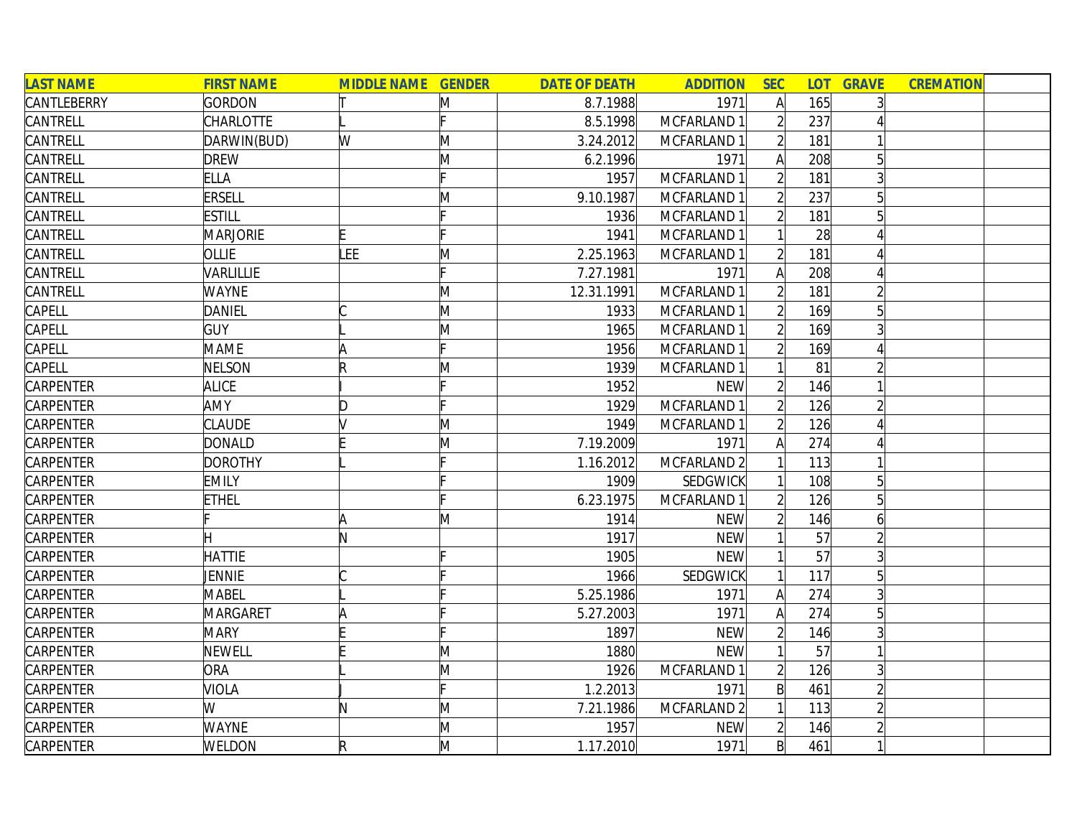| <b>LAST NAME</b> | <b>FIRST NAME</b> | <b>MIDDLE NAME GENDER</b> |              | <b>DATE OF DEATH</b> | <b>ADDITION</b> | <b>SEC</b>     | LOT <sub>1</sub> | <b>GRAVE</b>    | <b>CREMATION</b> |  |
|------------------|-------------------|---------------------------|--------------|----------------------|-----------------|----------------|------------------|-----------------|------------------|--|
| CANTLEBERRY      | GORDON            |                           | M            | 8.7.1988             | 1971            | $\mathsf{A}$   | 165              |                 |                  |  |
| CANTRELL         | <b>CHARLOTTE</b>  |                           |              | 8.5.1998             | MCFARLAND 1     |                | 237              |                 |                  |  |
| CANTRELL         | DARWIN(BUD)       | W                         | M            | 3.24.2012            | MCFARLAND 1     |                | 181              |                 |                  |  |
| CANTRELL         | <b>DREW</b>       |                           | M            | 6.2.1996             | 1971            | A              | 208              | 5               |                  |  |
| CANTRELL         | <b>ELLA</b>       |                           |              | 1957                 | MCFARLAND 1     | $\overline{2}$ | 181              |                 |                  |  |
| CANTRELL         | <b>ERSELL</b>     |                           | M            | 9.10.1987            | MCFARLAND 1     | $\overline{2}$ | 237              | $5\overline{)}$ |                  |  |
| CANTRELL         | <b>ESTILL</b>     |                           |              | 1936                 | MCFARLAND 1     | $\overline{2}$ | 181              | $5\overline{)}$ |                  |  |
| CANTRELL         | <b>MARJORIE</b>   |                           |              | 1941                 | MCFARLAND 1     |                | 28               |                 |                  |  |
| CANTRELL         | OLLIE             | LEE                       | M            | 2.25.1963            | MCFARLAND 1     |                | 181              |                 |                  |  |
| CANTRELL         | VARLILLIE         |                           |              | 7.27.1981            | 1971            | A              | 208              |                 |                  |  |
| CANTRELL         | <b>WAYNE</b>      |                           | M            | 12.31.1991           | MCFARLAND 1     |                | 181              |                 |                  |  |
| CAPELL           | <b>DANIEL</b>     |                           | M            | 1933                 | MCFARLAND 1     |                | 169              |                 |                  |  |
| CAPELL           | <b>GUY</b>        |                           | M            | 1965                 | MCFARLAND 1     |                | 169              |                 |                  |  |
| CAPELL           | <b>MAME</b>       |                           |              | 1956                 | MCFARLAND 1     |                | 169              |                 |                  |  |
| CAPELL           | NELSON            |                           | M            | 1939                 | MCFARLAND 1     |                | 81               |                 |                  |  |
| <b>CARPENTER</b> | <b>ALICE</b>      |                           |              | 1952                 | <b>NEW</b>      |                | 146              |                 |                  |  |
| CARPENTER        | AMY               | D                         |              | 1929                 | MCFARLAND 1     |                | 126              |                 |                  |  |
| CARPENTER        | <b>CLAUDE</b>     |                           | M            | 1949                 | MCFARLAND 1     |                | 126              |                 |                  |  |
| <b>CARPENTER</b> | DONALD            |                           | M            | 7.19.2009            | 1971            | A              | 274              |                 |                  |  |
| CARPENTER        | <b>DOROTHY</b>    |                           |              | 1.16.2012            | MCFARLAND 2     |                | 113              |                 |                  |  |
| CARPENTER        | <b>EMILY</b>      |                           |              | 1909                 | SEDGWICK        |                | 108              | 5               |                  |  |
| CARPENTER        | <b>ETHEL</b>      |                           |              | 6.23.1975            | MCFARLAND 1     |                | 126              |                 |                  |  |
| CARPENTER        |                   | A                         | M            | 1914                 | <b>NEW</b>      |                | 146              | 6               |                  |  |
| CARPENTER        |                   | N                         |              | 1917                 | <b>NEW</b>      |                | 57               |                 |                  |  |
| CARPENTER        | <b>HATTIE</b>     |                           |              | 1905                 | <b>NEW</b>      |                | 57               |                 |                  |  |
| CARPENTER        | JENNIE            |                           |              | 1966                 | <b>SEDGWICK</b> |                | 117              |                 |                  |  |
| CARPENTER        | MABEL             |                           |              | 5.25.1986            | 1971            | $\mathsf{A}$   | 274              |                 |                  |  |
| <b>CARPENTER</b> | MARGARET          |                           |              | 5.27.2003            | 1971            | A              | 274              | 5               |                  |  |
| <b>CARPENTER</b> | <b>MARY</b>       |                           |              | 1897                 | <b>NEW</b>      | $\overline{2}$ | 146              |                 |                  |  |
| CARPENTER        | <b>NEWELL</b>     |                           | M            | 1880                 | <b>NEW</b>      |                | 57               |                 |                  |  |
| CARPENTER        | ORA               |                           | M            | 1926                 | MCFARLAND 1     | $\overline{2}$ | 126              | $\overline{3}$  |                  |  |
| CARPENTER        | <b>VIOLA</b>      |                           |              | 1.2.2013             | 1971            | $\mathsf{B}$   | 461              |                 |                  |  |
| CARPENTER        | W                 | N                         | M            | 7.21.1986            | MCFARLAND 2     |                | 113              |                 |                  |  |
| <b>CARPENTER</b> | <b>WAYNE</b>      |                           | M            | 1957                 | <b>NEW</b>      | $\overline{2}$ | 146              |                 |                  |  |
| CARPENTER        | WELDON            | R                         | $\mathsf{M}$ | 1.17.2010            | 1971            | B              | 461              |                 |                  |  |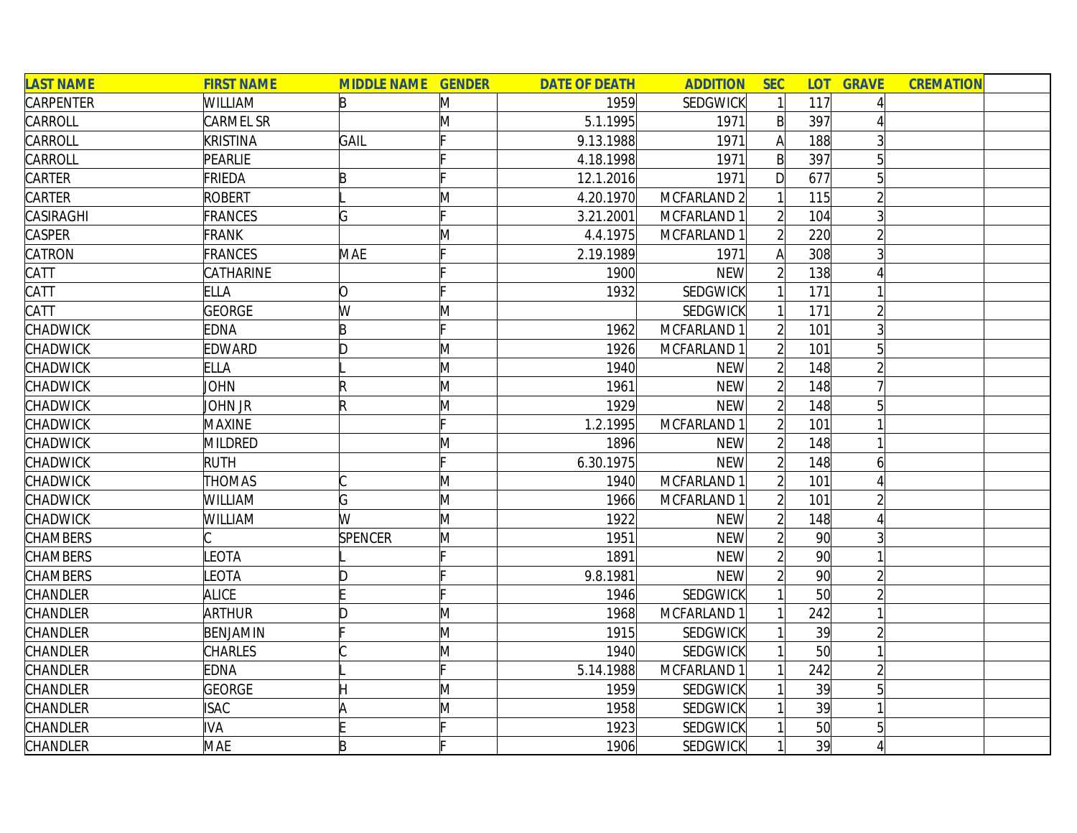| <b>LAST NAME</b> | <b>FIRST NAME</b> | <b>MIDDLE NAME GENDER</b> |   | <b>DATE OF DEATH</b> | <b>ADDITION</b>        | <b>SEC</b>     |                 | <b>LOT GRAVE</b> | <b>CREMATION</b> |
|------------------|-------------------|---------------------------|---|----------------------|------------------------|----------------|-----------------|------------------|------------------|
| <b>CARPENTER</b> | <b>WILLIAM</b>    | B                         | M | 1959                 | <b>SEDGWICK</b>        |                | 117             |                  |                  |
| CARROLL          | CARMEL SR         |                           | Μ | 5.1.1995             | 1971                   | $\mathsf{B}$   | 397             |                  |                  |
| CARROLL          | <b>KRISTINA</b>   | GAIL                      |   | 9.13.1988            | 1971                   | $\mathsf{A}$   | 188             | 3                |                  |
| CARROLL          | PEARLIE           |                           |   | 4.18.1998            | 1971                   | $\mathsf{B}$   | 397             |                  |                  |
| CARTER           | FRIEDA            | B                         |   | 12.1.2016            | 1971                   | D              | 677             |                  |                  |
| <b>CARTER</b>    | <b>ROBERT</b>     |                           | M | 4.20.1970            | MCFARLAND <sub>2</sub> |                | 115             |                  |                  |
| CASIRAGHI        | <b>FRANCES</b>    | G                         |   | 3.21.2001            | MCFARLAND 1            | $\overline{2}$ | 104             |                  |                  |
| <b>CASPER</b>    | <b>FRANK</b>      |                           | Μ | 4.4.1975             | MCFARLAND 1            | $\overline{2}$ | 220             |                  |                  |
| CATRON           | <b>FRANCES</b>    | <b>MAE</b>                |   | 2.19.1989            | 1971                   | A              | 308             |                  |                  |
| CATT             | CATHARINE         |                           |   | 1900                 | <b>NEW</b>             | $\overline{2}$ | 138             |                  |                  |
| CATT             | <b>ELLA</b>       | O                         |   | 1932                 | SEDGWICK               |                | 171             |                  |                  |
| CATT             | <b>GEORGE</b>     | W                         | M |                      | SEDGWICK               |                | 171             |                  |                  |
| CHADWICK         | <b>EDNA</b>       | B                         |   | 1962                 | MCFARLAND 1            |                | 101             |                  |                  |
| CHADWICK         | <b>EDWARD</b>     | D                         | M | 1926                 | MCFARLAND 1            |                | 101             |                  |                  |
| CHADWICK         | <b>ELLA</b>       |                           | M | 1940                 | <b>NEW</b>             |                | 148             |                  |                  |
| CHADWICK         | <b>JOHN</b>       |                           | M | 1961                 | <b>NEW</b>             |                | 148             |                  |                  |
| CHADWICK         | John Jr           | R                         | M | 1929                 | <b>NEW</b>             |                | 148             |                  |                  |
| <b>CHADWICK</b>  | <b>MAXINE</b>     |                           |   | 1.2.1995             | MCFARLAND 1            |                | 101             |                  |                  |
| CHADWICK         | MILDRED           |                           | Μ | 1896                 | <b>NEW</b>             | $\overline{2}$ | 148             |                  |                  |
| <b>CHADWICK</b>  | <b>RUTH</b>       |                           |   | 6.30.1975            | <b>NEW</b>             | $\overline{2}$ | 148             | 6                |                  |
| CHADWICK         | <b>THOMAS</b>     |                           | M | 1940                 | MCFARLAND 1            | $\overline{2}$ | 101             |                  |                  |
| CHADWICK         | WILLIAM           | G                         | M | 1966                 | MCFARLAND 1            |                | 101             |                  |                  |
| CHADWICK         | WILLIAM           | W                         | M | 1922                 | <b>NEW</b>             |                | 148             |                  |                  |
| <b>CHAMBERS</b>  |                   | <b>SPENCER</b>            | M | 1951                 | <b>NEW</b>             |                | 90 <sup>°</sup> |                  |                  |
| <b>CHAMBERS</b>  | LEOTA             |                           |   | 1891                 | <b>NEW</b>             |                | 90 <sup>°</sup> |                  |                  |
| <b>CHAMBERS</b>  | LEOTA             | D                         |   | 9.8.1981             | <b>NEW</b>             | $\overline{2}$ | 90 <sup>°</sup> |                  |                  |
| CHANDLER         | <b>ALICE</b>      |                           |   | 1946                 | SEDGWICK               |                | 50              |                  |                  |
| CHANDLER         | <b>ARTHUR</b>     | D                         | M | 1968                 | MCFARLAND 1            |                | 242             |                  |                  |
| CHANDLER         | BENJAMIN          |                           | M | 1915                 | SEDGWICK               |                | 39              |                  |                  |
| CHANDLER         | <b>CHARLES</b>    |                           | M | 1940                 | <b>SEDGWICK</b>        |                | 50              |                  |                  |
| CHANDLER         | <b>EDNA</b>       |                           |   | 5.14.1988            | MCFARLAND 1            |                | 242             |                  |                  |
| CHANDLER         | GEORGE            |                           | M | 1959                 | <b>SEDGWICK</b>        |                | 39              | 5 <sup>1</sup>   |                  |
| CHANDLER         | <b>ISAC</b>       | ۱A                        | M | 1958                 | <b>SEDGWICK</b>        |                | 39              |                  |                  |
| CHANDLER         | <b>IVA</b>        |                           |   | 1923                 | SEDGWICK               |                | 50              | 5                |                  |
| CHANDLER         | <b>MAE</b>        | B                         |   | 1906                 | SEDGWICK               |                | 39              |                  |                  |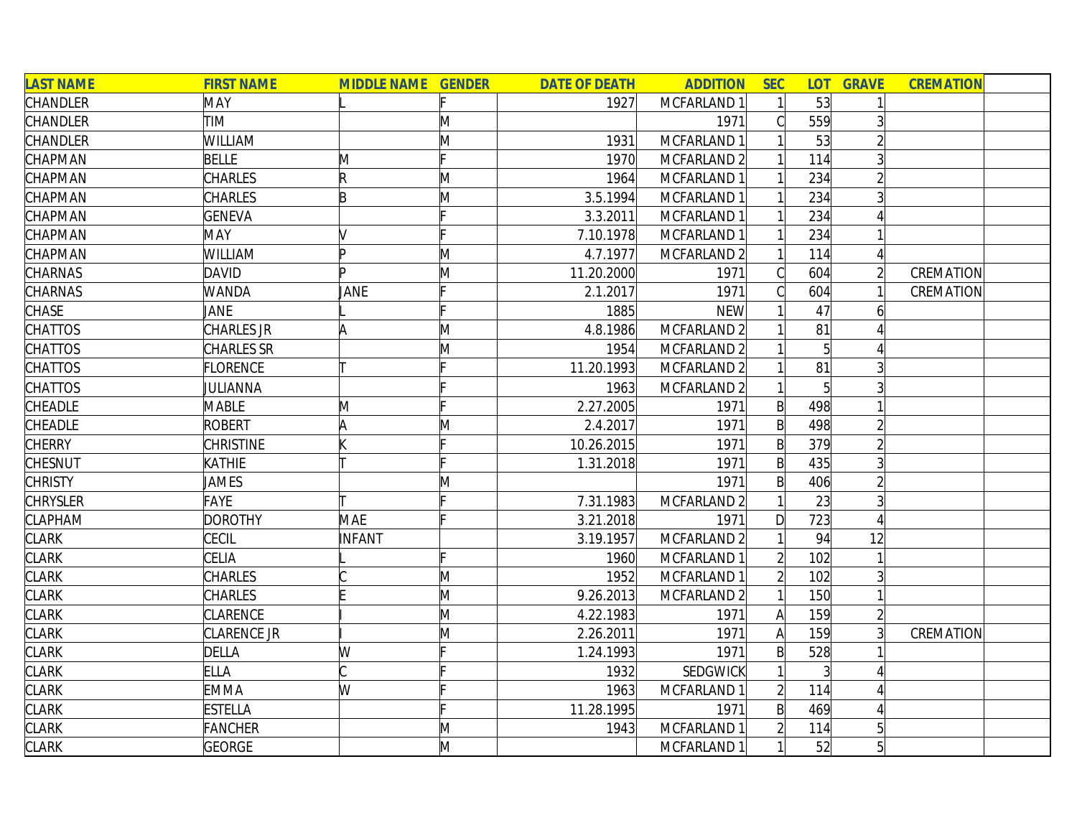| <b>LAST NAME</b> | <b>FIRST NAME</b> | <b>MIDDLE NAME GENDER</b> |   | <b>DATE OF DEATH</b> | <b>ADDITION</b> | <b>SEC</b>   | <b>LOT</b> | <b>GRAVE</b>   | <b>CREMATION</b> |  |
|------------------|-------------------|---------------------------|---|----------------------|-----------------|--------------|------------|----------------|------------------|--|
| CHANDLER         | MAY               |                           |   | 1927                 | MCFARLAND 1     |              | 53         |                |                  |  |
| CHANDLER         | TIM               |                           | M |                      | 1971            |              | 559        | $\overline{3}$ |                  |  |
| CHANDLER         | WILLIAM           |                           | M | 1931                 | MCFARLAND 1     |              | 53         |                |                  |  |
| CHAPMAN          | <b>BELLE</b>      | M                         |   | 1970                 | MCFARLAND 2     |              | 114        | 3              |                  |  |
| CHAPMAN          | CHARLES           | R                         | M | 1964                 | MCFARLAND 1     |              | 234        | $\overline{2}$ |                  |  |
| CHAPMAN          | CHARLES           | B                         | M | 3.5.1994             | MCFARLAND 1     |              | 234        | $\overline{3}$ |                  |  |
| CHAPMAN          | <b>GENEVA</b>     |                           |   | 3.3.2011             | MCFARLAND 1     |              | 234        |                |                  |  |
| CHAPMAN          | MAY               |                           |   | 7.10.1978            | MCFARLAND 1     |              | 234        |                |                  |  |
| CHAPMAN          | WILLIAM           | b                         | Μ | 4.7.1977             | MCFARLAND 2     |              | 114        |                |                  |  |
| CHARNAS          | <b>DAVID</b>      | In                        | M | 11.20.2000           | 1971            |              | 604        | $\overline{2}$ | CREMATION        |  |
| CHARNAS          | <b>WANDA</b>      | JANE                      |   | 2.1.2017             | 1971            |              | 604        |                | CREMATION        |  |
| CHASE            | JANE              |                           |   | 1885                 | <b>NEW</b>      |              | 47         | b              |                  |  |
| <b>CHATTOS</b>   | CHARLES JR        | A                         | M | 4.8.1986             | MCFARLAND 2     |              | 81         |                |                  |  |
| <b>CHATTOS</b>   | CHARLES SR        |                           | M | 1954                 | MCFARLAND 2     |              |            |                |                  |  |
| <b>CHATTOS</b>   | <b>FLORENCE</b>   |                           |   | 11.20.1993           | MCFARLAND 2     |              | 81         |                |                  |  |
| <b>CHATTOS</b>   | JULIANNA          |                           |   | 1963                 | MCFARLAND 2     |              |            |                |                  |  |
| CHEADLE          | <b>MABLE</b>      | M                         |   | 2.27.2005            | 1971            | $\mathsf{B}$ | 498        |                |                  |  |
| CHEADLE          | <b>ROBERT</b>     | lΑ                        | M | 2.4.2017             | 1971            | $\mathsf{B}$ | 498        | $\overline{2}$ |                  |  |
| <b>CHERRY</b>    | <b>CHRISTINE</b>  |                           |   | 10.26.2015           | 1971            | $\mathsf{B}$ | 379        | $\overline{2}$ |                  |  |
| <b>CHESNUT</b>   | <b>KATHIE</b>     |                           |   | 1.31.2018            | 1971            | $\mathsf{B}$ | 435        |                |                  |  |
| <b>CHRISTY</b>   | JAMES             |                           | Μ |                      | 1971            | $\mathsf{B}$ | 406        |                |                  |  |
| <b>CHRYSLER</b>  | FAYE              |                           |   | 7.31.1983            | MCFARLAND 2     |              | 23         |                |                  |  |
| <b>CLAPHAM</b>   | <b>DOROTHY</b>    | MAE                       |   | 3.21.2018            | 1971            | $\mathsf{D}$ | 723        |                |                  |  |
| <b>CLARK</b>     | CECIL             | INFANT                    |   | 3.19.1957            | MCFARLAND 2     |              | 94         | 12             |                  |  |
| <b>CLARK</b>     | CELIA             |                           |   | 1960                 | MCFARLAND 1     |              | 102        |                |                  |  |
| <b>CLARK</b>     | <b>CHARLES</b>    |                           | M | 1952                 | MCFARLAND 1     |              | 102        | $\mathbf{3}$   |                  |  |
| <b>CLARK</b>     | CHARLES           |                           | M | 9.26.2013            | MCFARLAND 2     |              | 150        |                |                  |  |
| <b>CLARK</b>     | CLARENCE          |                           | M | 4.22.1983            | 1971            | A            | 159        | $\overline{2}$ |                  |  |
| <b>CLARK</b>     | CLARENCE JR       |                           | M | 2.26.2011            | 1971            | A            | 159        |                | CREMATION        |  |
| <b>CLARK</b>     | <b>DELLA</b>      | W                         |   | 1.24.1993            | 1971            | $\mathsf{B}$ | 528        |                |                  |  |
| <b>CLARK</b>     | <b>ELLA</b>       | C                         |   | 1932                 | <b>SEDGWICK</b> |              |            |                |                  |  |
| <b>CLARK</b>     | <b>EMMA</b>       | W                         |   | 1963                 | MCFARLAND 1     |              | 114        |                |                  |  |
| <b>CLARK</b>     | <b>ESTELLA</b>    |                           |   | 11.28.1995           | 1971            | $\mathsf{B}$ | 469        |                |                  |  |
| <b>CLARK</b>     | <b>FANCHER</b>    |                           | M | 1943                 | MCFARLAND 1     |              | 114        |                |                  |  |
| <b>CLARK</b>     | <b>GEORGE</b>     |                           | M |                      | MCFARLAND 1     |              | 52         | 5 <sup>1</sup> |                  |  |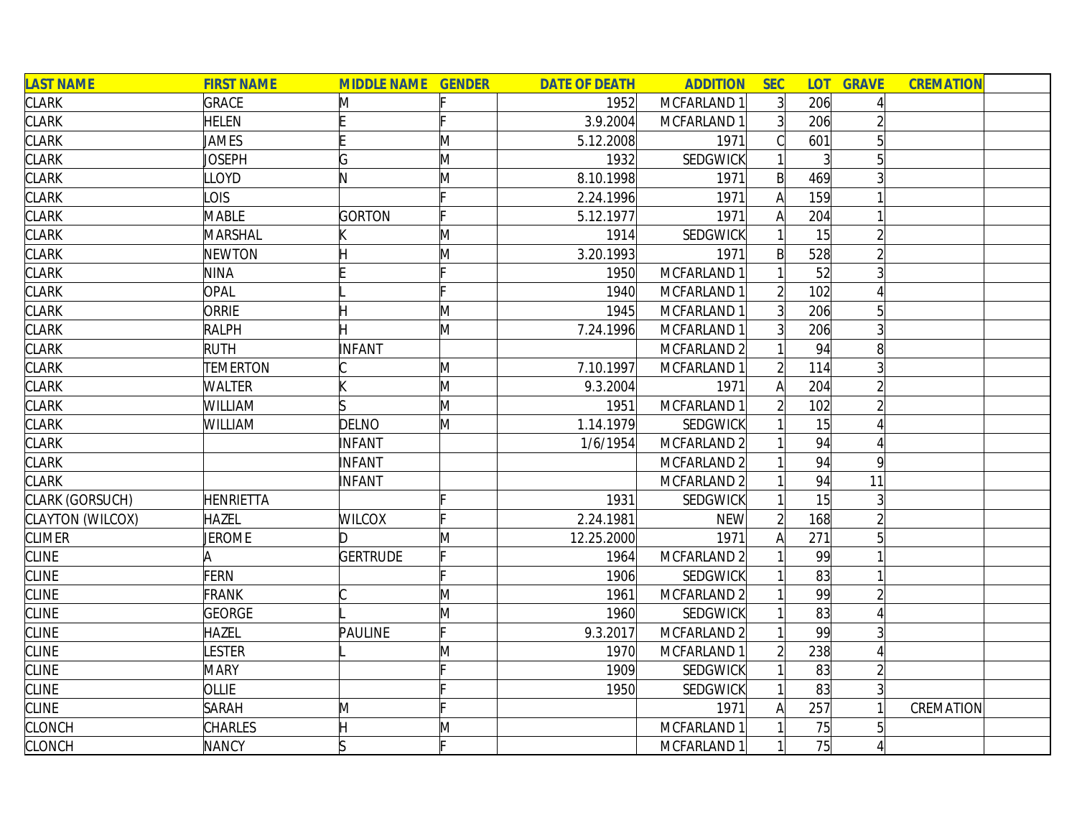| <b>LAST NAME</b> | <b>FIRST NAME</b> | <b>MIDDLE NAME GENDER</b> |   | <b>DATE OF DEATH</b> | <b>ADDITION</b>        | <b>SEC</b>     | <b>LOT</b>     | <b>GRAVE</b> | <b>CREMATION</b> |
|------------------|-------------------|---------------------------|---|----------------------|------------------------|----------------|----------------|--------------|------------------|
| <b>CLARK</b>     | <b>GRACE</b>      | M                         |   | 1952                 | MCFARLAND 1            | 3 <sup>1</sup> | 206            |              |                  |
| <b>CLARK</b>     | <b>HELEN</b>      |                           |   | 3.9.2004             | MCFARLAND 1            | 3              | 206            |              |                  |
| <b>CLARK</b>     | JAMES             |                           | M | 5.12.2008            | 1971                   |                | 601            | 5            |                  |
| <b>CLARK</b>     | Joseph            | G                         | M | 1932                 | SEDGWICK               |                | $\overline{3}$ |              |                  |
| <b>CLARK</b>     | LLOYD             | N                         | M | 8.10.1998            | 1971                   | $\mathsf{B}$   | 469            |              |                  |
| <b>CLARK</b>     | LOIS              |                           |   | 2.24.1996            | 1971                   | $\mathsf{A}$   | 159            |              |                  |
| <b>CLARK</b>     | <b>MABLE</b>      | <b>GORTON</b>             |   | 5.12.1977            | 1971                   | A              | 204            |              |                  |
| <b>CLARK</b>     | MARSHAL           |                           | M | 1914                 | SEDGWICK               |                | 15             |              |                  |
| <b>CLARK</b>     | <b>NEWTON</b>     |                           | M | 3.20.1993            | 1971                   | B              | 528            |              |                  |
| <b>CLARK</b>     | <b>NINA</b>       |                           |   | 1950                 | MCFARLAND 1            |                | 52             |              |                  |
| <b>CLARK</b>     | <b>OPAL</b>       |                           |   | 1940                 | MCFARLAND 1            |                | 102            |              |                  |
| <b>CLARK</b>     | ORRIE             | Н                         | M | 1945                 | MCFARLAND 1            | $\overline{3}$ | 206            |              |                  |
| <b>CLARK</b>     | <b>RALPH</b>      |                           | M | 7.24.1996            | MCFARLAND 1            | 3 <sup>1</sup> | 206            |              |                  |
| <b>CLARK</b>     | <b>RUTH</b>       | INFANT                    |   |                      | MCFARLAND 2            |                | 94             | 8            |                  |
| <b>CLARK</b>     | <b>TEMERTON</b>   |                           | M | 7.10.1997            | MCFARLAND 1            |                | 114            |              |                  |
| <b>CLARK</b>     | <b>WALTER</b>     |                           | M | 9.3.2004             | 1971                   | A              | 204            |              |                  |
| <b>CLARK</b>     | <b>WILLIAM</b>    |                           | M | 1951                 | MCFARLAND 1            |                | 102            |              |                  |
| <b>CLARK</b>     | <b>WILLIAM</b>    | DELNO                     | M | 1.14.1979            | SEDGWICK               |                | 15             |              |                  |
| <b>CLARK</b>     |                   | <b>INFANT</b>             |   | 1/6/1954             | MCFARLAND <sub>2</sub> |                | 94             | 4            |                  |
| <b>CLARK</b>     |                   | INFANT                    |   |                      | MCFARLAND <sub>2</sub> |                | 94             | 9            |                  |
| <b>CLARK</b>     |                   | INFANT                    |   |                      | MCFARLAND 2            |                | 94             | 11           |                  |
| CLARK (GORSUCH)  | <b>HENRIETTA</b>  |                           |   | 1931                 | SEDGWICK               |                | 15             |              |                  |
| CLAYTON (WILCOX) | <b>HAZEL</b>      | <b>WILCOX</b>             |   | 2.24.1981            | <b>NEW</b>             |                | 168            |              |                  |
| <b>CLIMER</b>    | <b>JEROME</b>     | ID.                       | M | 12.25.2000           | 1971                   | Α              | 271            |              |                  |
| <b>CLINE</b>     | Α                 | <b>GERTRUDE</b>           |   | 1964                 | MCFARLAND 2            |                | 99             |              |                  |
| <b>CLINE</b>     | <b>FERN</b>       |                           |   | 1906                 | SEDGWICK               |                | 83             |              |                  |
| <b>CLINE</b>     | <b>FRANK</b>      |                           | M | 1961                 | MCFARLAND <sub>2</sub> |                | 99             |              |                  |
| <b>CLINE</b>     | <b>GEORGE</b>     |                           | M | 1960                 | SEDGWICK               |                | 83             |              |                  |
| <b>CLINE</b>     | <b>HAZEL</b>      | <b>PAULINE</b>            |   | 9.3.2017             | MCFARLAND 2            |                | 99             |              |                  |
| <b>CLINE</b>     | LESTER            |                           | Μ | 1970                 | MCFARLAND 1            | $\overline{2}$ | 238            | 4            |                  |
| <b>CLINE</b>     | <b>MARY</b>       |                           |   | 1909                 | SEDGWICK               |                | 83             |              |                  |
| <b>CLINE</b>     | OLLIE             |                           |   | 1950                 | SEDGWICK               |                | 83             |              |                  |
| <b>CLINE</b>     | <b>SARAH</b>      | M                         |   |                      | 1971                   |                | 257            |              | CREMATION        |
| <b>CLONCH</b>    | <b>CHARLES</b>    |                           | Μ |                      | MCFARLAND 1            |                | 75             |              |                  |
| <b>CLONCH</b>    | <b>NANCY</b>      | ls                        |   |                      | MCFARLAND 1            |                | 75             |              |                  |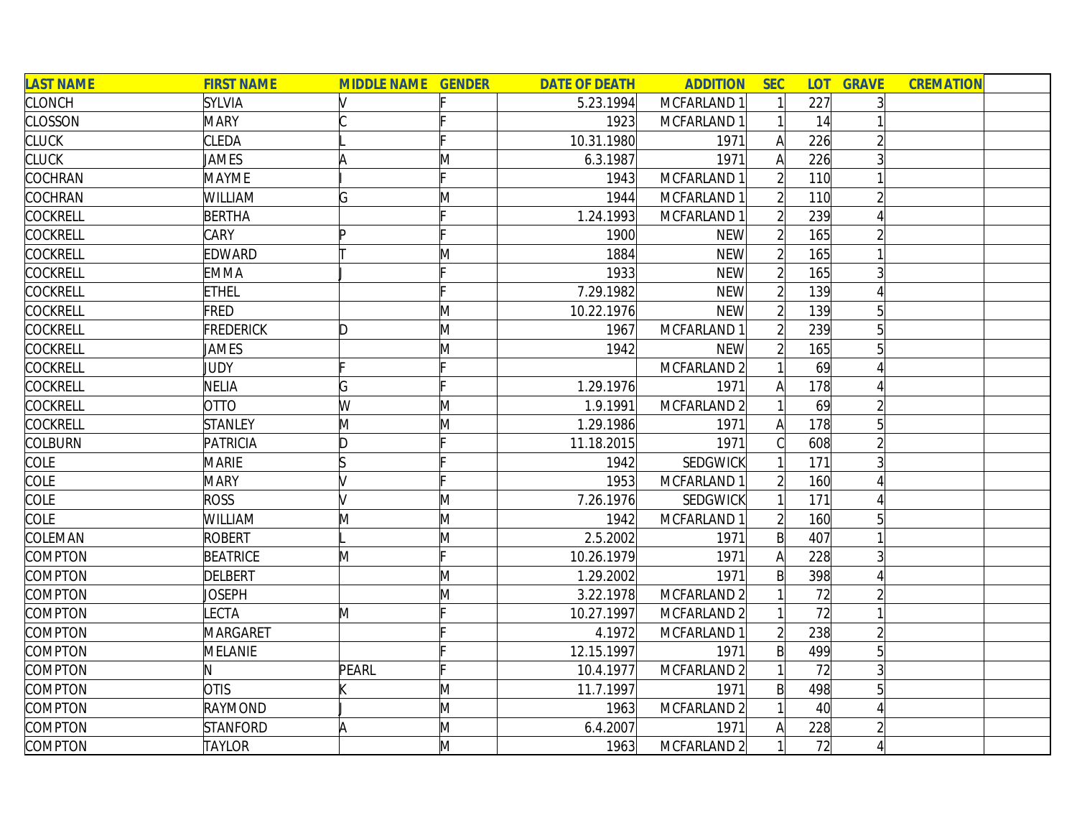| <b>LAST NAME</b> | <b>FIRST NAME</b> | <b>MIDDLE NAME GENDER</b> |   | <b>DATE OF DEATH</b> | <b>ADDITION</b>        | <b>SEC</b>     |     | <b>LOT GRAVE</b> | <b>CREMATION</b> |
|------------------|-------------------|---------------------------|---|----------------------|------------------------|----------------|-----|------------------|------------------|
| <b>CLONCH</b>    | <b>SYLVIA</b>     |                           |   | 5.23.1994            | MCFARLAND 1            |                | 227 |                  |                  |
| <b>CLOSSON</b>   | <b>MARY</b>       |                           |   | 1923                 | MCFARLAND 1            |                | 14  |                  |                  |
| <b>CLUCK</b>     | <b>CLEDA</b>      |                           |   | 10.31.1980           | 1971                   | $\mathsf{A}$   | 226 |                  |                  |
| <b>CLUCK</b>     | JAMES             | ۱A                        | M | 6.3.1987             | 1971                   | A              | 226 |                  |                  |
| COCHRAN          | <b>MAYME</b>      |                           |   | 1943                 | MCFARLAND 1            |                | 110 |                  |                  |
| COCHRAN          | <b>WILLIAM</b>    | G                         | M | 1944                 | MCFARLAND 1            |                | 110 |                  |                  |
| <b>COCKRELL</b>  | <b>BERTHA</b>     |                           |   | 1.24.1993            | MCFARLAND 1            | $\overline{2}$ | 239 |                  |                  |
| <b>COCKRELL</b>  | CARY              | Þ                         |   | 1900                 | <b>NEW</b>             | $\overline{2}$ | 165 |                  |                  |
| COCKRELL         | EDWARD            |                           | M | 1884                 | <b>NEW</b>             |                | 165 |                  |                  |
| <b>COCKRELL</b>  | <b>EMMA</b>       |                           |   | 1933                 | <b>NEW</b>             |                | 165 |                  |                  |
| COCKRELL         | <b>ETHEL</b>      |                           |   | 7.29.1982            | <b>NEW</b>             |                | 139 |                  |                  |
| <b>COCKRELL</b>  | FRED              |                           | M | 10.22.1976           | <b>NEW</b>             |                | 139 |                  |                  |
| <b>COCKRELL</b>  | <b>FREDERICK</b>  | D                         | M | 1967                 | MCFARLAND 1            |                | 239 |                  |                  |
| COCKRELL         | JAMES             |                           | M | 1942                 | <b>NEW</b>             |                | 165 |                  |                  |
| COCKRELL         | JUDY              |                           |   |                      | MCFARLAND <sub>2</sub> |                | 69  |                  |                  |
| <b>COCKRELL</b>  | <b>NELIA</b>      | G                         |   | 1.29.1976            | 1971                   | A              | 178 |                  |                  |
| COCKRELL         | <b>OTTO</b>       | W                         | M | 1.9.1991             | MCFARLAND <sub>2</sub> |                | 69  |                  |                  |
| <b>COCKRELL</b>  | <b>STANLEY</b>    | M                         | M | 1.29.1986            | 1971                   | A              | 178 | 5                |                  |
| <b>COLBURN</b>   | PATRICIA          | D                         |   | 11.18.2015           | 1971                   |                | 608 |                  |                  |
| COLE             | <b>MARIE</b>      | ls                        |   | 1942                 | SEDGWICK               |                | 171 | 3                |                  |
| <b>COLE</b>      | <b>MARY</b>       |                           |   | 1953                 | MCFARLAND 1            |                | 160 |                  |                  |
| <b>COLE</b>      | <b>ROSS</b>       |                           | M | 7.26.1976            | SEDGWICK               |                | 171 |                  |                  |
| <b>COLE</b>      | WILLIAM           | M                         | M | 1942                 | MCFARLAND 1            |                | 160 |                  |                  |
| COLEMAN          | <b>ROBERT</b>     |                           | M | 2.5.2002             | 1971                   | B              | 407 |                  |                  |
| COMPTON          | <b>BEATRICE</b>   | M                         |   | 10.26.1979           | 1971                   | Α              | 228 |                  |                  |
| COMPTON          | <b>DELBERT</b>    |                           | M | 1.29.2002            | 1971                   | B              | 398 |                  |                  |
| COMPTON          | JOSEPH            |                           | M | 3.22.1978            | MCFARLAND 2            |                | 72  |                  |                  |
| COMPTON          | LECTA             | M                         |   | 10.27.1997           | MCFARLAND <sub>2</sub> |                | 72  |                  |                  |
| COMPTON          | <b>MARGARET</b>   |                           |   | 4.1972               | MCFARLAND 1            |                | 238 |                  |                  |
| COMPTON          | MELANIE           |                           |   | 12.15.1997           | 1971                   | $\mathsf{B}$   | 499 | 5 <sup>1</sup>   |                  |
| COMPTON          | N.                | PEARL                     |   | 10.4.1977            | MCFARLAND <sub>2</sub> |                | 72  | $\overline{3}$   |                  |
| COMPTON          | <b>OTIS</b>       |                           | M | 11.7.1997            | 1971                   | B              | 498 | 5                |                  |
| COMPTON          | RAYMOND           |                           | M | 1963                 | MCFARLAND <sub>2</sub> |                | 40  |                  |                  |
| COMPTON          | <b>STANFORD</b>   | A                         | M | 6.4.2007             | 1971                   |                | 228 |                  |                  |
| COMPTON          | <b>TAYLOR</b>     |                           | M | 1963                 | MCFARLAND <sub>2</sub> |                | 72  |                  |                  |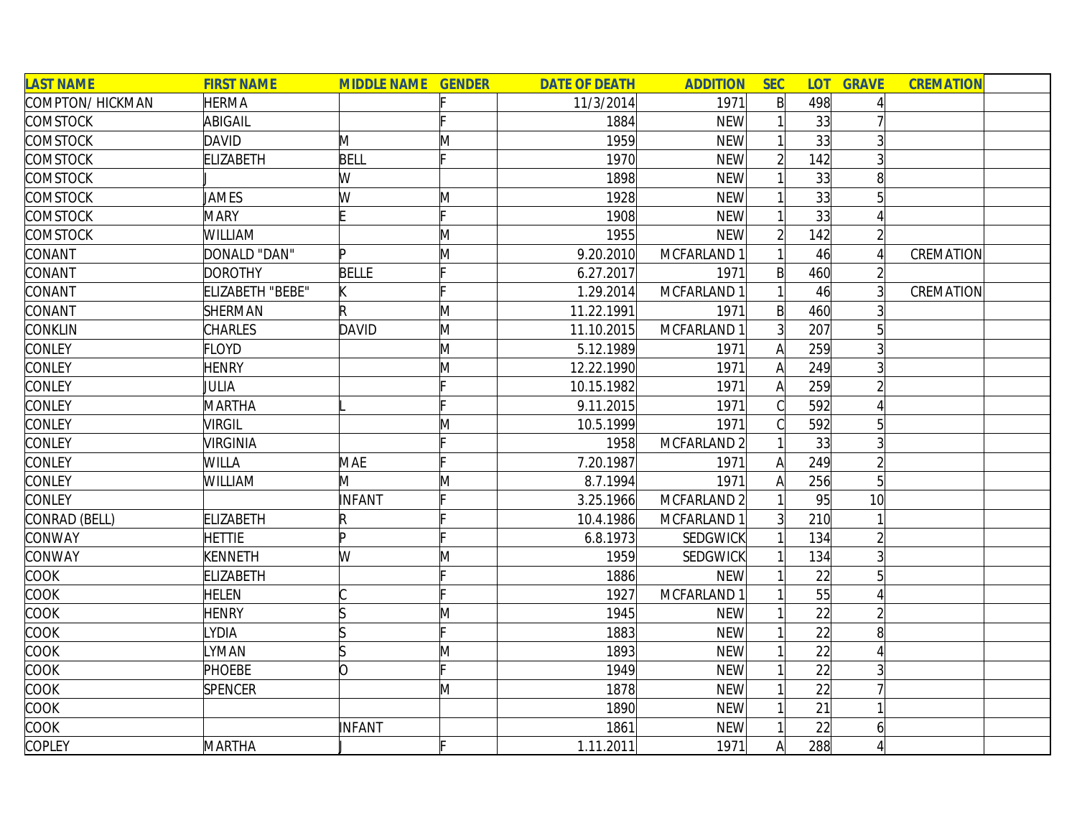| <b>LAST NAME</b> | <b>FIRST NAME</b> | <b>MIDDLE NAME GENDER</b> |   | <b>DATE OF DEATH</b> | <b>ADDITION</b>        | <b>SEC</b>     | <b>LOT</b> | <b>GRAVE</b>    | <b>CREMATION</b> |  |
|------------------|-------------------|---------------------------|---|----------------------|------------------------|----------------|------------|-----------------|------------------|--|
| COMPTON/HICKMAN  | <b>HERMA</b>      |                           |   | 11/3/2014            | 1971                   | $\mathsf{B}$   | 498        |                 |                  |  |
| <b>COMSTOCK</b>  | ABIGAIL           |                           |   | 1884                 | <b>NEW</b>             |                | 33         |                 |                  |  |
| <b>COMSTOCK</b>  | <b>DAVID</b>      | M                         | M | 1959                 | <b>NEW</b>             |                | 33         | $\overline{3}$  |                  |  |
| <b>COMSTOCK</b>  | <b>ELIZABETH</b>  | <b>BELL</b>               |   | 1970                 | <b>NEW</b>             |                | 142        | 3               |                  |  |
| <b>COMSTOCK</b>  |                   | W                         |   | 1898                 | <b>NEW</b>             |                | 33         | 8 <sup>1</sup>  |                  |  |
| <b>COMSTOCK</b>  | JAMES             | W                         | M | 1928                 | <b>NEW</b>             |                | 33         | $\overline{5}$  |                  |  |
| <b>COMSTOCK</b>  | <b>MARY</b>       |                           |   | 1908                 | <b>NEW</b>             |                | 33         | 4               |                  |  |
| <b>COMSTOCK</b>  | <b>WILLIAM</b>    |                           | M | 1955                 | <b>NEW</b>             |                | 142        | $\overline{2}$  |                  |  |
| CONANT           | DONALD "DAN"      | b.                        | M | 9.20.2010            | MCFARLAND 1            |                | 46         | $\vert$         | CREMATION        |  |
| CONANT           | <b>DOROTHY</b>    | <b>BELLE</b>              |   | 6.27.2017            | 1971                   | $\mathsf{B}$   | 460        |                 |                  |  |
| CONANT           | ELIZABETH "BEBE"  |                           |   | 1.29.2014            | MCFARLAND 1            |                | 46         | $\overline{3}$  | CREMATION        |  |
| CONANT           | <b>SHERMAN</b>    |                           | M | 11.22.1991           | 1971                   | $\mathsf{B}$   | 460        |                 |                  |  |
| <b>CONKLIN</b>   | <b>CHARLES</b>    | DAVID                     | M | 11.10.2015           | MCFARLAND 1            |                | 207        | $5\overline{)}$ |                  |  |
| CONLEY           | <b>FLOYD</b>      |                           | M | 5.12.1989            | 1971                   | A              | 259        |                 |                  |  |
| <b>CONLEY</b>    | <b>HENRY</b>      |                           | M | 12.22.1990           | 1971                   |                | 249        |                 |                  |  |
| <b>CONLEY</b>    | JULIA             |                           |   | 10.15.1982           | 1971                   |                | 259        |                 |                  |  |
| <b>CONLEY</b>    | <b>MARTHA</b>     |                           |   | 9.11.2015            | 1971                   |                | 592        | Δ               |                  |  |
| CONLEY           | <b>VIRGIL</b>     |                           | M | 10.5.1999            | 1971                   |                | 592        | $5\overline{a}$ |                  |  |
| CONLEY           | <b>VIRGINIA</b>   |                           |   | 1958                 | MCFARLAND <sub>2</sub> |                | 33         | 3               |                  |  |
| CONLEY           | <b>WILLA</b>      | <b>MAE</b>                |   | 7.20.1987            | 1971                   | A              | 249        | $\overline{2}$  |                  |  |
| CONLEY           | WILLIAM           | M                         | Μ | 8.7.1994             | 1971                   | A              | 256        | $\overline{5}$  |                  |  |
| CONLEY           |                   | INFANT                    |   | 3.25.1966            | MCFARLAND 2            |                | 95         | 10              |                  |  |
| CONRAD (BELL)    | <b>ELIZABETH</b>  | R                         |   | 10.4.1986            | MCFARLAND 1            | $\overline{3}$ | 210        |                 |                  |  |
| CONWAY           | <b>HETTIE</b>     | Þ                         |   | 6.8.1973             | SEDGWICK               |                | 134        | $\overline{2}$  |                  |  |
| CONWAY           | <b>KENNETH</b>    | W                         | M | 1959                 | <b>SEDGWICK</b>        |                | 134        | 3 <sup>l</sup>  |                  |  |
| COOK             | <b>ELIZABETH</b>  |                           |   | 1886                 | <b>NEW</b>             |                | 22         | $5\overline{)}$ |                  |  |
| COOK             | <b>HELEN</b>      |                           |   | 1927                 | MCFARLAND 1            |                | 55         |                 |                  |  |
| COOK             | <b>HENRY</b>      |                           | M | 1945                 | <b>NEW</b>             |                | 22         | $\overline{2}$  |                  |  |
| <b>COOK</b>      | <b>YDIA</b>       |                           |   | 1883                 | <b>NEW</b>             |                | 22         | 8 <sup>1</sup>  |                  |  |
| <b>COOK</b>      | <b>YMAN</b>       | S                         | M | 1893                 | <b>NEW</b>             |                | 22         | 4               |                  |  |
| COOK             | <b>PHOEBE</b>     | O                         |   | 1949                 | <b>NEW</b>             |                | 22         | 3               |                  |  |
| COOK             | <b>SPENCER</b>    |                           | M | 1878                 | <b>NEW</b>             |                | 22         |                 |                  |  |
| <b>COOK</b>      |                   |                           |   | 1890                 | <b>NEW</b>             |                | 21         | 1               |                  |  |
| COOK             |                   | <b>INFANT</b>             |   | 1861                 | <b>NEW</b>             |                | 22         | $\overline{6}$  |                  |  |
| <b>COPLEY</b>    | <b>MARTHA</b>     |                           |   | 1.11.2011            | 1971                   | A              | 288        | 4               |                  |  |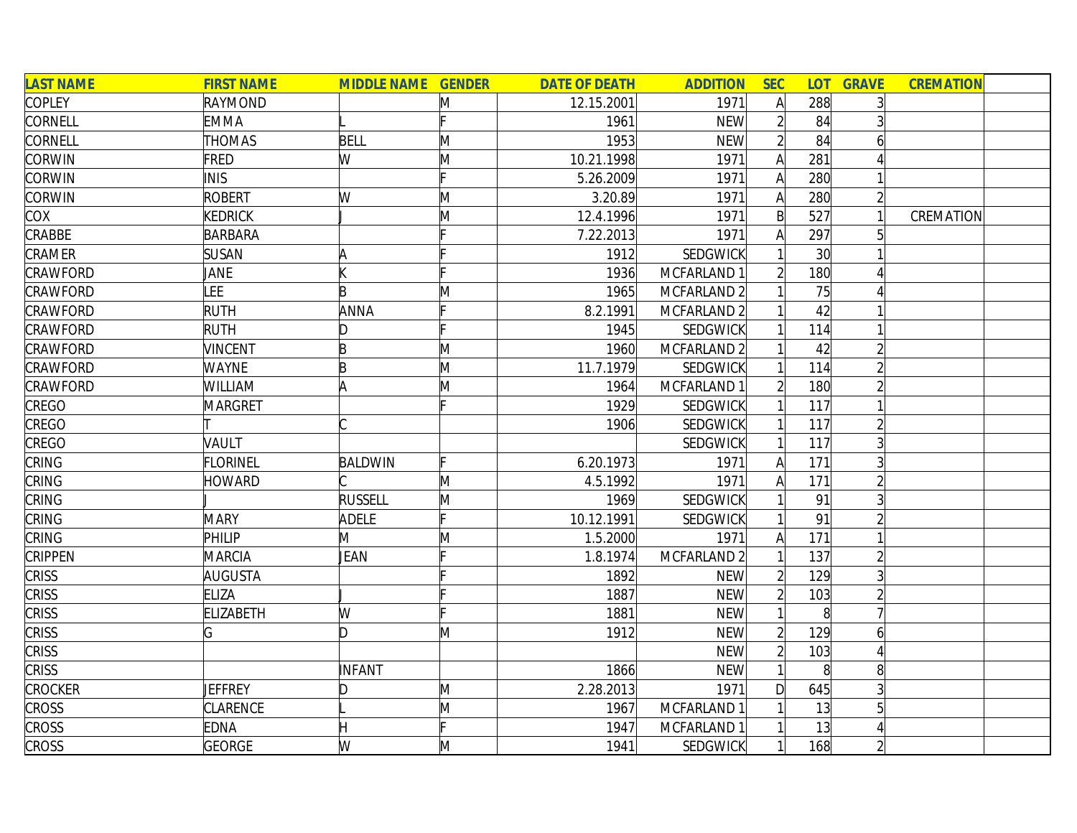| <b>LAST NAME</b> | <b>FIRST NAME</b> | <b>MIDDLE NAME GENDER</b> |     | <b>DATE OF DEATH</b> | <b>ADDITION</b>        | <b>SEC</b>     | <b>LOT</b> | <b>GRAVE</b>   | <b>CREMATION</b> |
|------------------|-------------------|---------------------------|-----|----------------------|------------------------|----------------|------------|----------------|------------------|
| COPLEY           | <b>RAYMOND</b>    |                           | M   | 12.15.2001           | 1971                   | A              | 288        | 3 <sup>1</sup> |                  |
| CORNELL          | <b>EMMA</b>       |                           |     | 1961                 | <b>NEW</b>             | $\overline{2}$ | 84         |                |                  |
| CORNELL          | <b>THOMAS</b>     | <b>BELL</b>               | M   | 1953                 | <b>NEW</b>             | $\overline{2}$ | 84         | 6              |                  |
| <b>CORWIN</b>    | <b>FRED</b>       | W                         | M   | 10.21.1998           | 1971                   | A              | 281        |                |                  |
| <b>CORWIN</b>    | <b>INIS</b>       |                           |     | 5.26.2009            | 1971                   | A              | 280        |                |                  |
| <b>CORWIN</b>    | <b>ROBERT</b>     | W                         | M   | 3.20.89              | 1971                   | A              | 280        | $\overline{2}$ |                  |
| COX              | <b>KEDRICK</b>    |                           | M   | 12.4.1996            | 1971                   | $\mathsf{B}$   | 527        | $\vert$        | <b>CREMATION</b> |
| CRABBE           | BARBARA           |                           |     | 7.22.2013            | 1971                   | Α              | 297        | 5 <sup>1</sup> |                  |
| CRAMER           | <b>SUSAN</b>      |                           |     | 1912                 | SEDGWICK               |                | 30         |                |                  |
| <b>CRAWFORD</b>  | JANE              |                           |     | 1936                 | MCFARLAND 1            | $\overline{2}$ | 180        |                |                  |
| CRAWFORD         | <b>LEE</b>        | B                         | M   | 1965                 | MCFARLAND <sub>2</sub> |                | 75         |                |                  |
| CRAWFORD         | <b>RUTH</b>       | ANNA                      |     | 8.2.1991             | MCFARLAND 2            |                | 42         |                |                  |
| CRAWFORD         | <b>RUTH</b>       | D                         |     | 1945                 | SEDGWICK               |                | 114        |                |                  |
| CRAWFORD         | <b>VINCENT</b>    | B                         | M   | 1960                 | MCFARLAND 2            |                | 42         | $\overline{2}$ |                  |
| CRAWFORD         | <b>WAYNE</b>      | B                         | M   | 11.7.1979            | <b>SEDGWICK</b>        |                | 114        |                |                  |
| <b>CRAWFORD</b>  | WILLIAM           | ΙA                        | M   | 1964                 | MCFARLAND 1            | $\overline{2}$ | 180        | $\overline{2}$ |                  |
| CREGO            | MARGRET           |                           |     | 1929                 | <b>SEDGWICK</b>        |                | 117        | $\mathbf{1}$   |                  |
| CREGO            |                   |                           |     | 1906                 | <b>SEDGWICK</b>        |                | 117        | $\overline{2}$ |                  |
| CREGO            | VAULT             |                           |     |                      | <b>SEDGWICK</b>        | 1              | 117        | 3 <sup>1</sup> |                  |
| CRING            | <b>FLORINEL</b>   | <b>BALDWIN</b>            | IE. | 6.20.1973            | 1971                   | A              | 171        | $\overline{3}$ |                  |
| CRING            | <b>HOWARD</b>     |                           | M   | 4.5.1992             | 1971                   | $\mathsf{A}$   | 171        | $\overline{2}$ |                  |
| CRING            |                   | RUSSELL                   | M   | 1969                 | SEDGWICK               |                | 91         | 3              |                  |
| CRING            | <b>MARY</b>       | ADELE                     |     | 10.12.1991           | <b>SEDGWICK</b>        |                | 91         | $\overline{2}$ |                  |
| CRING            | PHILIP            | M                         | M   | 1.5.2000             | 1971                   | A              | 171        |                |                  |
| <b>CRIPPEN</b>   | <b>MARCIA</b>     | JEAN                      |     | 1.8.1974             | MCFARLAND 2            |                | 137        | $\overline{2}$ |                  |
| <b>CRISS</b>     | AUGUSTA           |                           |     | 1892                 | <b>NEW</b>             | $\overline{2}$ | 129        | 3              |                  |
| <b>CRISS</b>     | <b>ELIZA</b>      |                           |     | 1887                 | <b>NEW</b>             | $\overline{2}$ | 103        | $\overline{2}$ |                  |
| <b>CRISS</b>     | <b>ELIZABETH</b>  | W                         |     | 1881                 | <b>NEW</b>             |                | 8          | 7              |                  |
| <b>CRISS</b>     | G                 | D                         | M   | 1912                 | <b>NEW</b>             | $\overline{2}$ | 129        | $\overline{6}$ |                  |
| <b>CRISS</b>     |                   |                           |     |                      | <b>NEW</b>             | $\overline{2}$ | 103        | 4              |                  |
| <b>CRISS</b>     |                   | INFANT                    |     | 1866                 | <b>NEW</b>             | 1              | 8          | 8 <sup>1</sup> |                  |
| <b>CROCKER</b>   | JEFFREY           | ID.                       | M   | 2.28.2013            | 1971                   | D              | 645        | $\overline{3}$ |                  |
| <b>CROSS</b>     | <b>CLARENCE</b>   |                           | M   | 1967                 | MCFARLAND 1            |                | 13         | 5 <sup>1</sup> |                  |
| <b>CROSS</b>     | <b>EDNA</b>       |                           |     | 1947                 | MCFARLAND 1            |                | 13         |                |                  |
| <b>CROSS</b>     | <b>GEORGE</b>     | W                         | M   | 1941                 | <b>SEDGWICK</b>        | $\mathbf{1}$   | 168        | $\overline{2}$ |                  |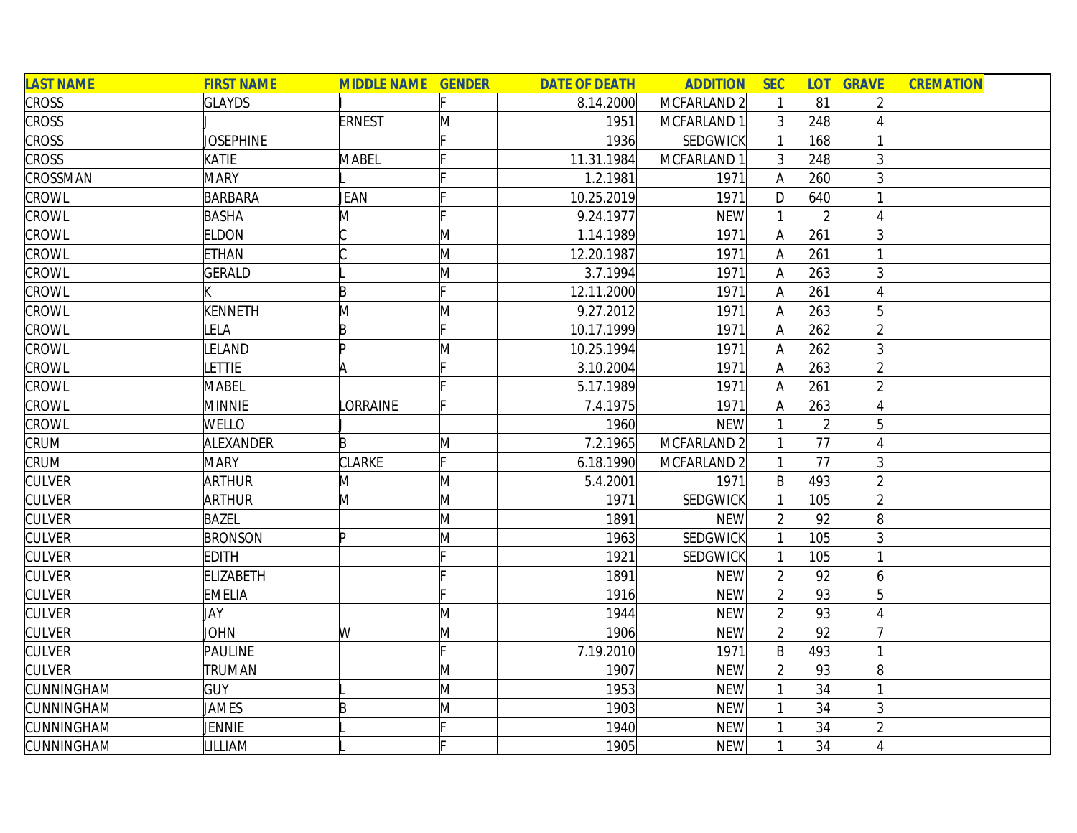| <b>LAST NAME</b>  | <b>FIRST NAME</b> | <b>MIDDLE NAME GENDER</b> |              | <b>DATE OF DEATH</b> | <b>ADDITION</b> | <b>SEC</b>     | <b>LOT</b>     | <b>GRAVE</b> | <b>CREMATION</b> |  |
|-------------------|-------------------|---------------------------|--------------|----------------------|-----------------|----------------|----------------|--------------|------------------|--|
| <b>CROSS</b>      | <b>GLAYDS</b>     |                           |              | 8.14.2000            | MCFARLAND 2     |                | 81             |              |                  |  |
| <b>CROSS</b>      |                   | <b>ERNEST</b>             | M            | 1951                 | MCFARLAND 1     | 3 <sup>1</sup> | 248            |              |                  |  |
| <b>CROSS</b>      | <b>JOSEPHINE</b>  |                           |              | 1936                 | SEDGWICK        |                | 168            |              |                  |  |
| <b>CROSS</b>      | KATIE             | MABEL                     |              | 11.31.1984           | MCFARLAND 1     | 3 <sup>1</sup> | 248            |              |                  |  |
| CROSSMAN          | <b>MARY</b>       |                           |              | 1.2.1981             | 1971            | $\mathsf{A}$   | 260            |              |                  |  |
| <b>CROWL</b>      | <b>BARBARA</b>    | JEAN                      |              | 10.25.2019           | 1971            | D              | 640            |              |                  |  |
| CROWL             | <b>BASHA</b>      | M                         |              | 9.24.1977            | <b>NEW</b>      |                | $\overline{2}$ |              |                  |  |
| CROWL             | <b>ELDON</b>      |                           | M            | 1.14.1989            | 1971            | A              | 261            |              |                  |  |
| CROWL             | <b>ETHAN</b>      |                           | M            | 12.20.1987           | 1971            | $\mathsf{A}$   | 261            |              |                  |  |
| CROWL             | <b>GERALD</b>     |                           | M            | 3.7.1994             | 1971            | $\mathsf{A}$   | 263            |              |                  |  |
| CROWL             |                   | B                         | Iг.          | 12.11.2000           | 1971            | A              | 261            |              |                  |  |
| CROWL             | KENNETH           | M                         | M            | 9.27.2012            | 1971            | A              | 263            |              |                  |  |
| <b>CROWL</b>      | <b>LELA</b>       | B                         |              | 10.17.1999           | 1971            | A              | 262            |              |                  |  |
| CROWL             | LELAND            | lD.                       | $\mathsf{M}$ | 10.25.1994           | 1971            | A              | 262            |              |                  |  |
| CROWL             | <b>ETTIE</b>      | lΑ                        |              | 3.10.2004            | 1971            | A              | 263            |              |                  |  |
| CROWL             | MABEL             |                           |              | 5.17.1989            | 1971            |                | 261            |              |                  |  |
| CROWL             | <b>MINNIE</b>     | <b>ORRAINE</b>            |              | 7.4.1975             | 1971            |                | 263            |              |                  |  |
| <b>CROWL</b>      | <b>WELLO</b>      |                           |              | 1960                 | <b>NEW</b>      |                |                | 5            |                  |  |
| CRUM              | ALEXANDER         | B                         | M            | 7.2.1965             | MCFARLAND 2     |                | 77             |              |                  |  |
| CRUM              | <b>MARY</b>       | <b>CLARKE</b>             | IF.          | 6.18.1990            | MCFARLAND 2     |                | 77             | 3            |                  |  |
| <b>CULVER</b>     | ARTHUR            | M                         | $\mathsf{M}$ | 5.4.2001             | 1971            | $\mathsf{B}$   | 493            |              |                  |  |
| <b>CULVER</b>     | <b>ARTHUR</b>     | M                         | M            | 1971                 | SEDGWICK        |                | 105            |              |                  |  |
| <b>CULVER</b>     | <b>BAZEL</b>      |                           | M            | 1891                 | <b>NEW</b>      | $\overline{2}$ | 92             | 8            |                  |  |
| <b>CULVER</b>     | <b>BRONSON</b>    | Þ                         | M            | 1963                 | SEDGWICK        |                | 105            |              |                  |  |
| <b>CULVER</b>     | <b>EDITH</b>      |                           |              | 1921                 | SEDGWICK        |                | 105            |              |                  |  |
| <b>CULVER</b>     | <b>ELIZABETH</b>  |                           |              | 1891                 | <b>NEW</b>      | $\overline{2}$ | 92             | 6            |                  |  |
| <b>CULVER</b>     | <b>EMELIA</b>     |                           |              | 1916                 | <b>NEW</b>      |                | 93             |              |                  |  |
| <b>CULVER</b>     | JAY               |                           | M            | 1944                 | <b>NEW</b>      | $\overline{2}$ | 93             |              |                  |  |
| <b>CULVER</b>     | <b>JOHN</b>       | W                         | $\mathsf{M}$ | 1906                 | <b>NEW</b>      | $\overline{2}$ | 92             |              |                  |  |
| <b>CULVER</b>     | <b>PAULINE</b>    |                           |              | 7.19.2010            | 1971            | $\mathsf{B}$   | 493            |              |                  |  |
| <b>CULVER</b>     | TRUMAN            |                           | M            | 1907                 | <b>NEW</b>      | $\overline{2}$ | 93             | 8            |                  |  |
| <b>CUNNINGHAM</b> | <b>GUY</b>        |                           | M            | 1953                 | <b>NEW</b>      |                | 34             |              |                  |  |
| <b>CUNNINGHAM</b> | JAMES             | B                         | M            | 1903                 | <b>NEW</b>      |                | 34             |              |                  |  |
| <b>CUNNINGHAM</b> | JENNIE            |                           |              | 1940                 | <b>NEW</b>      |                | 34             |              |                  |  |
| CUNNINGHAM        | <b>ILLIAM</b>     |                           |              | 1905                 | <b>NEW</b>      |                | 34             |              |                  |  |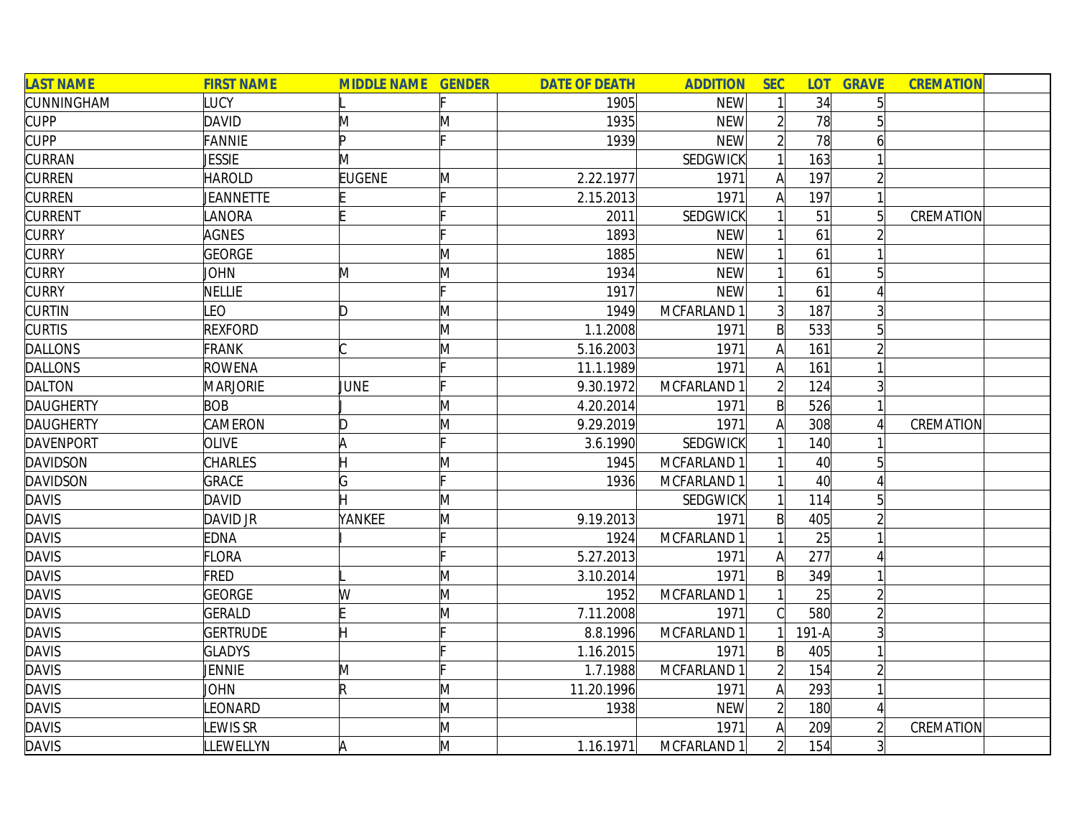| <b>LAST NAME</b> | <b>FIRST NAME</b> | <b>MIDDLE NAME GENDER</b> |   | <b>DATE OF DEATH</b> | <b>ADDITION</b> | <b>SEC</b>     |                 | <b>LOT GRAVE</b> | <b>CREMATION</b> |  |
|------------------|-------------------|---------------------------|---|----------------------|-----------------|----------------|-----------------|------------------|------------------|--|
| CUNNINGHAM       | LUCY              |                           |   | 1905                 | <b>NEW</b>      |                | 34              | 5 <sup>1</sup>   |                  |  |
| <b>CUPP</b>      | <b>DAVID</b>      | M                         | M | 1935                 | <b>NEW</b>      | $\overline{2}$ | 78              |                  |                  |  |
| <b>CUPP</b>      | <b>FANNIE</b>     | Þ                         |   | 1939                 | <b>NEW</b>      |                | 78              | 6                |                  |  |
| <b>CURRAN</b>    | <b>JESSIE</b>     | M                         |   |                      | <b>SEDGWICK</b> |                | 163             |                  |                  |  |
| <b>CURREN</b>    | <b>HAROLD</b>     | <b>EUGENE</b>             | M | 2.22.1977            | 1971            | A              | 197             | $\overline{2}$   |                  |  |
| <b>CURREN</b>    | <b>JEANNETTE</b>  |                           |   | 2.15.2013            | 1971            | A              | 197             |                  |                  |  |
| <b>CURRENT</b>   | LANORA            |                           |   | 2011                 | <b>SEDGWICK</b> |                | 51              | $\overline{5}$   | CREMATION        |  |
| <b>CURRY</b>     | <b>AGNES</b>      |                           |   | 1893                 | <b>NEW</b>      |                | 61              |                  |                  |  |
| <b>CURRY</b>     | <b>GEORGE</b>     |                           | M | 1885                 | <b>NEW</b>      |                | 61              |                  |                  |  |
| <b>CURRY</b>     | JOHN              | M                         | M | 1934                 | <b>NEW</b>      |                | 61              | 5                |                  |  |
| <b>CURRY</b>     | <b>NELLIE</b>     |                           |   | 1917                 | <b>NEW</b>      |                | 61              |                  |                  |  |
| <b>CURTIN</b>    | LEO               | D                         | M | 1949                 | MCFARLAND 1     | 3              | 187             |                  |                  |  |
| <b>CURTIS</b>    | <b>REXFORD</b>    |                           | M | 1.1.2008             | 1971            | $\mathsf{B}$   | 533             | $5\overline{a}$  |                  |  |
| <b>DALLONS</b>   | <b>FRANK</b>      |                           | M | 5.16.2003            | 1971            | Al             | 161             |                  |                  |  |
| <b>DALLONS</b>   | <b>ROWENA</b>     |                           |   | 11.1.1989            | 1971            |                | 161             |                  |                  |  |
| <b>DALTON</b>    | <b>MARJORIE</b>   | JUNE                      |   | 9.30.1972            | MCFARLAND 1     |                | 124             |                  |                  |  |
| <b>DAUGHERTY</b> | <b>BOB</b>        |                           | M | 4.20.2014            | 1971            | $\mathsf{B}$   | 526             |                  |                  |  |
| <b>DAUGHERTY</b> | CAMERON           | D                         | M | 9.29.2019            | 1971            | Al             | 308             |                  | CREMATION        |  |
| <b>DAVENPORT</b> | <b>OLIVE</b>      | A                         | Þ | 3.6.1990             | <b>SEDGWICK</b> |                | 140             |                  |                  |  |
| <b>DAVIDSON</b>  | <b>CHARLES</b>    |                           | M | 1945                 | MCFARLAND 1     |                | 40 <sup>°</sup> | 5 <sup>1</sup>   |                  |  |
| <b>DAVIDSON</b>  | <b>GRACE</b>      | G                         |   | 1936                 | MCFARLAND 1     |                | 40 <sup>°</sup> |                  |                  |  |
| <b>DAVIS</b>     | <b>DAVID</b>      |                           | M |                      | <b>SEDGWICK</b> |                | 114             | 5                |                  |  |
| <b>DAVIS</b>     | DAVID JR          | YANKEE                    | M | 9.19.2013            | 1971            | $\mathsf{B}$   | 405             | $\overline{2}$   |                  |  |
| <b>DAVIS</b>     | <b>EDNA</b>       |                           |   | 1924                 | MCFARLAND 1     |                | 25              |                  |                  |  |
| <b>DAVIS</b>     | <b>FLORA</b>      |                           |   | 5.27.2013            | 1971            | $\mathsf{A}$   | 277             |                  |                  |  |
| <b>DAVIS</b>     | <b>FRED</b>       |                           | M | 3.10.2014            | 1971            | $\mathsf{B}$   | 349             |                  |                  |  |
| <b>DAVIS</b>     | <b>GEORGE</b>     | W                         | M | 1952                 | MCFARLAND 1     |                | 25              | $\overline{2}$   |                  |  |
| <b>DAVIS</b>     | <b>GERALD</b>     |                           | M | 7.11.2008            | 1971            |                | 580             | $\overline{2}$   |                  |  |
| <b>DAVIS</b>     | <b>GERTRUDE</b>   |                           |   | 8.8.1996             | MCFARLAND 1     |                | $191-A$         | $\overline{3}$   |                  |  |
| <b>DAVIS</b>     | <b>GLADYS</b>     |                           |   | 1.16.2015            | 1971            | $\mathsf{B}$   | 405             |                  |                  |  |
| <b>DAVIS</b>     | JENNIE            | M                         |   | 1.7.1988             | MCFARLAND 1     | $\overline{2}$ | 154             | $\overline{2}$   |                  |  |
| <b>DAVIS</b>     | JOHN              | R.                        | M | 11.20.1996           | 1971            | $\mathsf{A}$   | 293             |                  |                  |  |
| <b>DAVIS</b>     | <b>EONARD</b>     |                           | M | 1938                 | <b>NEW</b>      | $\overline{2}$ | 180             | 4                |                  |  |
| <b>DAVIS</b>     | EWIS SR           |                           | M |                      | 1971            | A              | 209             | $\overline{2}$   | CREMATION        |  |
| <b>DAVIS</b>     | LLEWELLYN         | A                         | M | 1.16.1971            | MCFARLAND 1     | $\overline{2}$ | 154             | 3                |                  |  |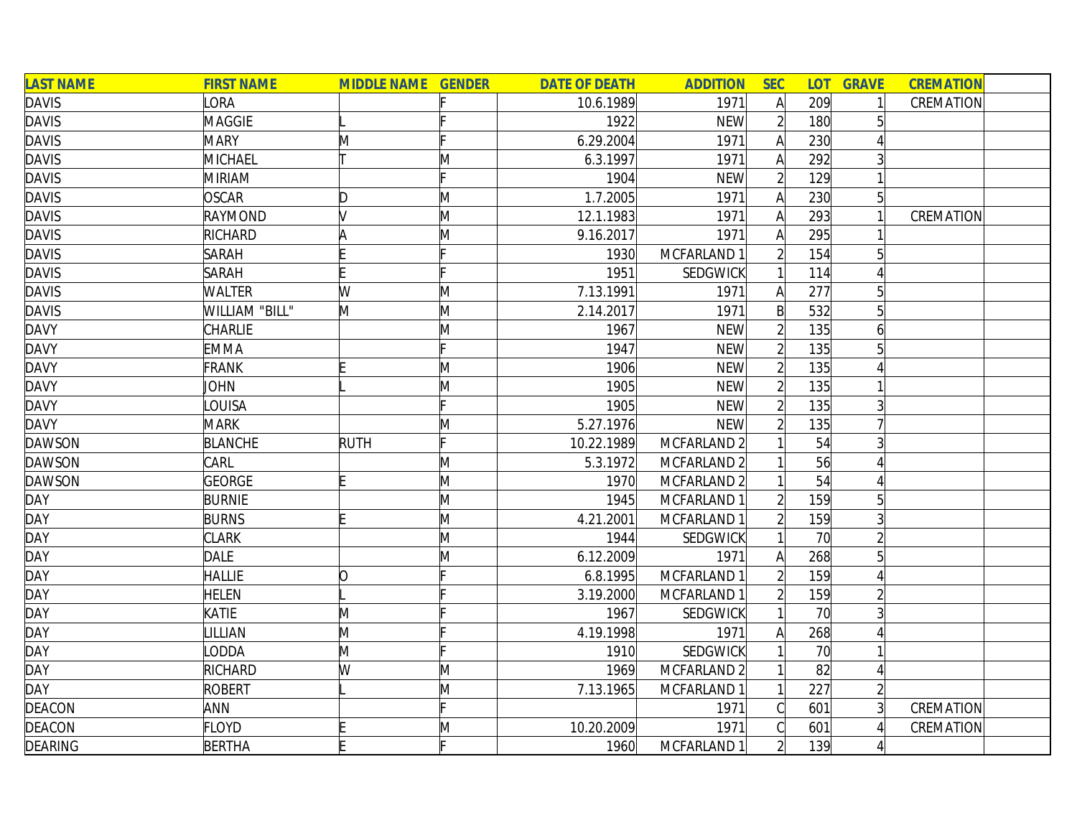| <b>LAST NAME</b> | <b>FIRST NAME</b> | <b>MIDDLE NAME GENDER</b> |   | <b>DATE OF DEATH</b> | <b>ADDITION</b> | <b>SEC</b>     | <b>LOT</b>      | <b>GRAVE</b>   | <b>CREMATION</b> |
|------------------|-------------------|---------------------------|---|----------------------|-----------------|----------------|-----------------|----------------|------------------|
| <b>DAVIS</b>     | LORA              |                           |   | 10.6.1989            | 1971            | $\mathsf{A}$   | 209             | 1              | <b>CREMATION</b> |
| <b>DAVIS</b>     | <b>MAGGIE</b>     |                           |   | 1922                 | <b>NEW</b>      | $\overline{2}$ | 180             | 5              |                  |
| <b>DAVIS</b>     | <b>MARY</b>       | M                         |   | 6.29.2004            | 1971            | $\mathsf{A}$   | 230             |                |                  |
| <b>DAVIS</b>     | MICHAEL           |                           | M | 6.3.1997             | 1971            | A              | 292             | $\overline{3}$ |                  |
| <b>DAVIS</b>     | <b>MIRIAM</b>     |                           |   | 1904                 | <b>NEW</b>      | $\overline{2}$ | 129             |                |                  |
| <b>DAVIS</b>     | <b>OSCAR</b>      | D                         | M | 1.7.2005             | 1971            | A              | 230             | 5 <sup>2</sup> |                  |
| <b>DAVIS</b>     | RAYMOND           |                           | M | 12.1.1983            | 1971            | A              | 293             | $\vert$        | <b>CREMATION</b> |
| <b>DAVIS</b>     | RICHARD           |                           | M | 9.16.2017            | 1971            | A              | 295             |                |                  |
| <b>DAVIS</b>     | <b>SARAH</b>      |                           |   | 1930                 | MCFARLAND 1     | $\overline{2}$ | 154             | 5 <sup>1</sup> |                  |
| <b>DAVIS</b>     | <b>SARAH</b>      |                           |   | 1951                 | SEDGWICK        | 1              | 114             |                |                  |
| <b>DAVIS</b>     | <b>WALTER</b>     | W                         | M | 7.13.1991            | 1971            | A              | 277             | 5              |                  |
| <b>DAVIS</b>     | WILLIAM "BILL"    | M                         | M | 2.14.2017            | 1971            | $\mathsf{B}$   | 532             | 5              |                  |
| <b>DAVY</b>      | CHARLIE           |                           | M | 1967                 | <b>NEW</b>      | $\overline{2}$ | 135             | 61             |                  |
| <b>DAVY</b>      | <b>EMMA</b>       |                           |   | 1947                 | <b>NEW</b>      | $\overline{2}$ | 135             | 5              |                  |
| <b>DAVY</b>      | <b>FRANK</b>      |                           | M | 1906                 | <b>NEW</b>      |                | 135             |                |                  |
| <b>DAVY</b>      | <b>JOHN</b>       |                           | M | 1905                 | <b>NEW</b>      |                | 135             |                |                  |
| <b>DAVY</b>      | <b>OUISA</b>      |                           |   | 1905                 | <b>NEW</b>      | $\overline{2}$ | 135             | $\overline{3}$ |                  |
| <b>DAVY</b>      | <b>MARK</b>       |                           | M | 5.27.1976            | <b>NEW</b>      | 2              | 135             |                |                  |
| <b>DAWSON</b>    | <b>BLANCHE</b>    | <b>RUTH</b>               | c | 10.22.1989           | MCFARLAND 2     |                | 54              | 3 <sup>1</sup> |                  |
| <b>DAWSON</b>    | CARL              |                           | M | 5.3.1972             | MCFARLAND 2     |                | 56              | 4              |                  |
| <b>DAWSON</b>    | GEORGE            |                           | M | 1970                 | MCFARLAND 2     |                | 54              | 4              |                  |
| <b>DAY</b>       | <b>BURNIE</b>     |                           | M | 1945                 | MCFARLAND 1     | $\overline{2}$ | 159             | $5\vert$       |                  |
| <b>DAY</b>       | <b>BURNS</b>      |                           | M | 4.21.2001            | MCFARLAND 1     | $\overline{2}$ | 159             | $\mathsf{3}$   |                  |
| <b>DAY</b>       | <b>CLARK</b>      |                           | M | 1944                 | <b>SEDGWICK</b> |                | 70              | $\overline{2}$ |                  |
| <b>DAY</b>       | <b>DALE</b>       |                           | M | 6.12.2009            | 1971            | $\mathsf{A}$   | 268             | $5\vert$       |                  |
| <b>DAY</b>       | <b>HALLIE</b>     | O                         |   | 6.8.1995             | MCFARLAND 1     | $\overline{2}$ | 159             | 4              |                  |
| <b>DAY</b>       | <b>HELEN</b>      |                           |   | 3.19.2000            | MCFARLAND 1     | $\overline{2}$ | 159             | $\overline{2}$ |                  |
| <b>DAY</b>       | KATIE             | M                         |   | 1967                 | SEDGWICK        |                | 70 <sup>l</sup> | $\overline{3}$ |                  |
| <b>DAY</b>       | LILLIAN           | M                         |   | 4.19.1998            | 1971            | A              | 268             | 4              |                  |
| <b>DAY</b>       | ODDA              | M                         |   | 1910                 | SEDGWICK        |                | 70              | $\mathbf{1}$   |                  |
| <b>DAY</b>       | RICHARD           | W                         | M | 1969                 | MCFARLAND 2     |                | 82              | 4              |                  |
| <b>DAY</b>       | <b>ROBERT</b>     |                           | M | 7.13.1965            | MCFARLAND 1     | 1              | 227             | $\overline{2}$ |                  |
| <b>DEACON</b>    | ANN               |                           |   |                      | 1971            | $\mathcal{C}$  | 601             | $\overline{3}$ | <b>CREMATION</b> |
| <b>DEACON</b>    | <b>FLOYD</b>      |                           | M | 10.20.2009           | 1971            | C              | 601             |                | <b>CREMATION</b> |
| <b>DEARING</b>   | <b>BERTHA</b>     |                           |   | 1960                 | MCFARLAND 1     | $\overline{2}$ | 139             | 41             |                  |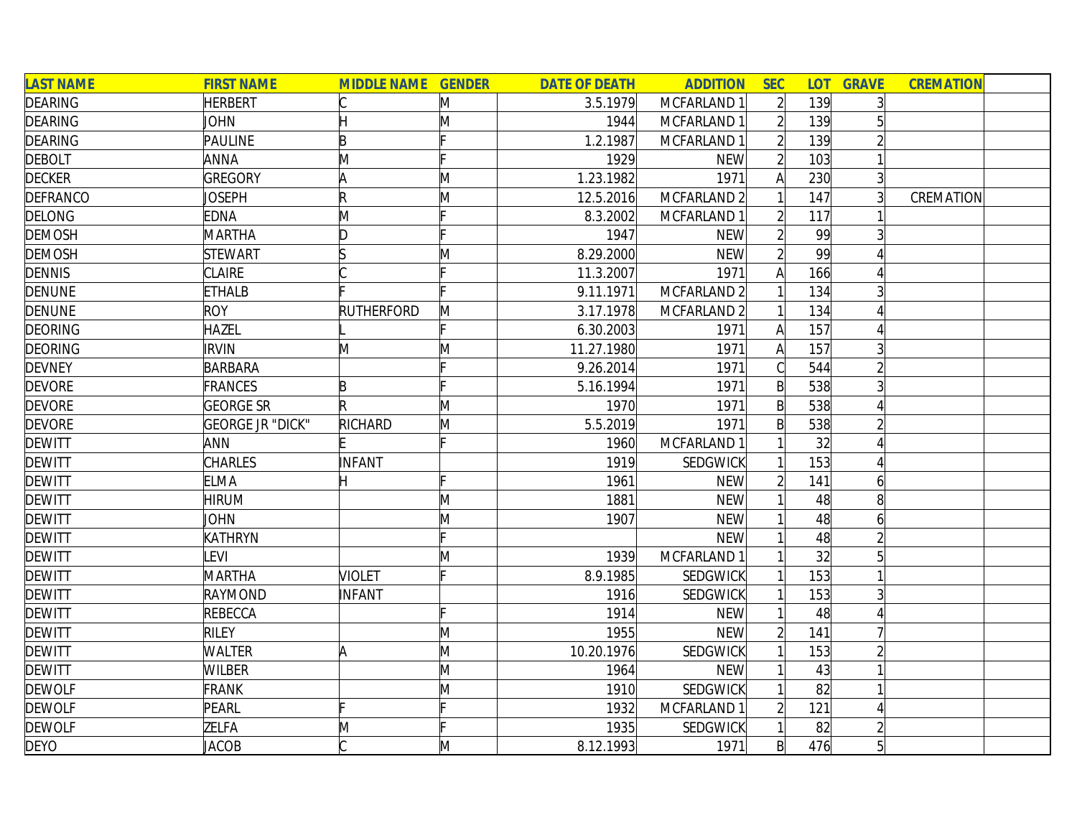| <b>LAST NAME</b> | <b>FIRST NAME</b>       | <b>MIDDLE NAME GENDER</b> |              | <b>DATE OF DEATH</b> | <b>ADDITION</b> | <b>SEC</b>     | LOT <sub>1</sub> | <b>GRAVE</b>   | <b>CREMATION</b> |  |
|------------------|-------------------------|---------------------------|--------------|----------------------|-----------------|----------------|------------------|----------------|------------------|--|
| <b>DEARING</b>   | <b>HERBERT</b>          |                           | M            | 3.5.1979             | MCFARLAND 1     | $\overline{2}$ | 139              |                |                  |  |
| <b>DEARING</b>   | JOHN                    |                           | M            | 1944                 | MCFARLAND 1     |                | 139              |                |                  |  |
| <b>DEARING</b>   | PAULINE                 | B                         |              | 1.2.1987             | MCFARLAND 1     |                | 139              |                |                  |  |
| <b>DEBOLT</b>    | ANNA                    | M                         |              | 1929                 | <b>NEW</b>      | $\overline{2}$ | 103              |                |                  |  |
| <b>DECKER</b>    | <b>GREGORY</b>          | ΙA                        | M            | 1.23.1982            | 1971            | A              | 230              | $\overline{3}$ |                  |  |
| <b>DEFRANCO</b>  | <b>JOSEPH</b>           | $\mathsf R$               | M            | 12.5.2016            | MCFARLAND 2     |                | 147              |                | CREMATION        |  |
| <b>DELONG</b>    | <b>EDNA</b>             | M                         |              | 8.3.2002             | MCFARLAND 1     | $\overline{2}$ | 117              |                |                  |  |
| <b>DEMOSH</b>    | <b>MARTHA</b>           | D                         |              | 1947                 | <b>NEW</b>      | $\overline{2}$ | 99               |                |                  |  |
| <b>DEMOSH</b>    | <b>STEWART</b>          |                           | M            | 8.29.2000            | <b>NEW</b>      | $\overline{2}$ | 99               |                |                  |  |
| <b>DENNIS</b>    | <b>CLAIRE</b>           |                           |              | 11.3.2007            | 1971            | Α              | 166              |                |                  |  |
| <b>DENUNE</b>    | <b>ETHALB</b>           |                           |              | 9.11.1971            | MCFARLAND 2     |                | 134              |                |                  |  |
| <b>DENUNE</b>    | <b>ROY</b>              | <b>RUTHERFORD</b>         | M            | 3.17.1978            | MCFARLAND 2     |                | 134              |                |                  |  |
| <b>DEORING</b>   | HAZEL                   |                           |              | 6.30.2003            | 1971            |                | 157              |                |                  |  |
| <b>DEORING</b>   | <b>IRVIN</b>            | M                         | $\mathsf{M}$ | 11.27.1980           | 1971            | A              | 157              |                |                  |  |
| <b>DEVNEY</b>    | <b>BARBARA</b>          |                           |              | 9.26.2014            | 1971            |                | 544              |                |                  |  |
| <b>DEVORE</b>    | FRANCES                 | B                         |              | 5.16.1994            | 1971            | $\mathsf{B}$   | 538              |                |                  |  |
| <b>DEVORE</b>    | <b>GEORGE SR</b>        |                           | M            | 1970                 | 1971            | $\mathsf{B}$   | 538              |                |                  |  |
| <b>DEVORE</b>    | <b>GEORGE JR "DICK"</b> | <b>RICHARD</b>            | M            | 5.5.2019             | 1971            | $\mathsf{B}$   | 538              |                |                  |  |
| <b>DEWITT</b>    | ANN                     |                           |              | 1960                 | MCFARLAND 1     |                | 32               |                |                  |  |
| <b>DEWITT</b>    | <b>CHARLES</b>          | INFANT                    |              | 1919                 | <b>SEDGWICK</b> |                | 153              | $\Delta$       |                  |  |
| <b>DEWITT</b>    | <b>ELMA</b>             | H                         |              | 1961                 | <b>NEW</b>      | $\overline{2}$ | 141              | 6              |                  |  |
| <b>DEWITT</b>    | <b>HIRUM</b>            |                           | $\mathsf{M}$ | 1881                 | <b>NEW</b>      |                | 48               | 8              |                  |  |
| <b>DEWITT</b>    | <b>JOHN</b>             |                           | M            | 1907                 | <b>NEW</b>      |                | 48               | 6              |                  |  |
| <b>DEWITT</b>    | KATHRYN                 |                           |              |                      | <b>NEW</b>      |                | 48               |                |                  |  |
| <b>DEWITT</b>    | <b>LEVI</b>             |                           | M            | 1939                 | MCFARLAND 1     |                | 32               |                |                  |  |
| <b>DEWITT</b>    | <b>MARTHA</b>           | <b>VIOLET</b>             |              | 8.9.1985             | SEDGWICK        |                | 153              |                |                  |  |
| <b>DEWITT</b>    | RAYMOND                 | INFANT                    |              | 1916                 | SEDGWICK        |                | 153              |                |                  |  |
| <b>DEWITT</b>    | REBECCA                 |                           |              | 1914                 | <b>NEW</b>      |                | 48               |                |                  |  |
| <b>DEWITT</b>    | <b>RILEY</b>            |                           | M            | 1955                 | <b>NEW</b>      |                | 141              |                |                  |  |
| <b>DEWITT</b>    | <b>WALTER</b>           | A                         | M            | 10.20.1976           | <b>SEDGWICK</b> |                | 153              |                |                  |  |
| <b>DEWITT</b>    | <b>WILBER</b>           |                           | M            | 1964                 | <b>NEW</b>      |                | 43               |                |                  |  |
| <b>DEWOLF</b>    | <b>FRANK</b>            |                           | M            | 1910                 | SEDGWICK        |                | 82               |                |                  |  |
| <b>DEWOLF</b>    | PEARL                   |                           |              | 1932                 | MCFARLAND 1     | $\overline{2}$ | 121              |                |                  |  |
| <b>DEWOLF</b>    | ZELFA                   | M                         |              | 1935                 | SEDGWICK        |                | 82               |                |                  |  |
| <b>DEYO</b>      | <b>JACOB</b>            |                           | $\mathsf{M}$ | 8.12.1993            | 1971            | $\mathsf{B}$   | 476              | $\overline{5}$ |                  |  |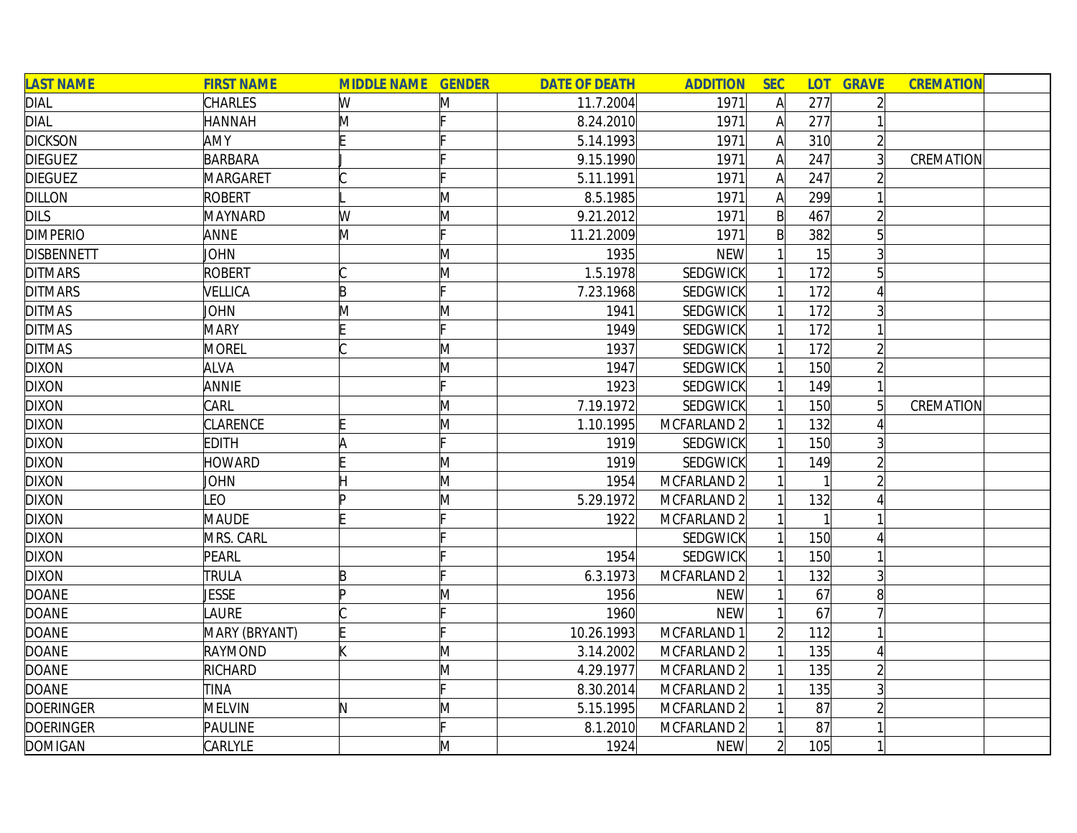| <b>LAST NAME</b>  | <b>FIRST NAME</b> | <b>MIDDLE NAME GENDER</b> |   | <b>DATE OF DEATH</b> | <b>ADDITION</b> | <b>SEC</b>     |     | <b>LOT GRAVE</b> | <b>CREMATION</b> |  |
|-------------------|-------------------|---------------------------|---|----------------------|-----------------|----------------|-----|------------------|------------------|--|
| <b>DIAL</b>       | <b>CHARLES</b>    | W                         | M | 11.7.2004            | 1971            | $\mathsf{A}$   | 277 | $\overline{2}$   |                  |  |
| <b>DIAL</b>       | <b>HANNAH</b>     | M                         |   | 8.24.2010            | 1971            | $\mathsf{A}$   | 277 |                  |                  |  |
| <b>DICKSON</b>    | AMY               |                           |   | 5.14.1993            | 1971            | $\mathsf{A}$   | 310 | $\overline{2}$   |                  |  |
| <b>DIEGUEZ</b>    | <b>BARBARA</b>    |                           |   | 9.15.1990            | 1971            | A              | 247 |                  | CREMATION        |  |
| <b>DIEGUEZ</b>    | MARGARET          |                           |   | 5.11.1991            | 1971            | A              | 247 |                  |                  |  |
| <b>DILLON</b>     | <b>ROBERT</b>     |                           | M | 8.5.1985             | 1971            | A              | 299 |                  |                  |  |
| <b>DILS</b>       | <b>MAYNARD</b>    | W                         | M | 9.21.2012            | 1971            | $\mathsf{B}$   | 467 | $\overline{2}$   |                  |  |
| <b>DIMPERIO</b>   | ANNE              | M                         |   | 11.21.2009           | 1971            | $\mathsf{B}$   | 382 | $5\overline{)}$  |                  |  |
| <b>DISBENNETT</b> | JOHN              |                           | M | 1935                 | <b>NEW</b>      |                | 15  |                  |                  |  |
| <b>DITMARS</b>    | <b>ROBERT</b>     |                           | M | 1.5.1978             | <b>SEDGWICK</b> |                | 172 | 5                |                  |  |
| <b>DITMARS</b>    | VELLICA           | B                         |   | 7.23.1968            | <b>SEDGWICK</b> |                | 172 |                  |                  |  |
| <b>DITMAS</b>     | <b>JOHN</b>       | M                         | M | 1941                 | <b>SEDGWICK</b> |                | 172 |                  |                  |  |
| <b>DITMAS</b>     | <b>MARY</b>       |                           |   | 1949                 | SEDGWICK        |                | 172 |                  |                  |  |
| <b>DITMAS</b>     | <b>MOREL</b>      |                           | M | 1937                 | <b>SEDGWICK</b> |                | 172 |                  |                  |  |
| <b>DIXON</b>      | <b>ALVA</b>       |                           | M | 1947                 | <b>SEDGWICK</b> |                | 150 |                  |                  |  |
| <b>DIXON</b>      | ANNIE             |                           |   | 1923                 | SEDGWICK        |                | 149 |                  |                  |  |
| <b>DIXON</b>      | CARL              |                           | M | 7.19.1972            | <b>SEDGWICK</b> |                | 150 | 5                | CREMATION        |  |
| <b>DIXON</b>      | <b>CLARENCE</b>   |                           | M | 1.10.1995            | MCFARLAND 2     |                | 132 |                  |                  |  |
| <b>DIXON</b>      | <b>EDITH</b>      | ΙA                        | c | 1919                 | <b>SEDGWICK</b> |                | 150 |                  |                  |  |
| <b>DIXON</b>      | <b>HOWARD</b>     |                           | M | 1919                 | <b>SEDGWICK</b> |                | 149 |                  |                  |  |
| <b>DIXON</b>      | <b>JOHN</b>       |                           | M | 1954                 | MCFARLAND 2     |                |     |                  |                  |  |
| <b>DIXON</b>      | <b>EO</b>         |                           | M | 5.29.1972            | MCFARLAND 2     |                | 132 |                  |                  |  |
| <b>DIXON</b>      | <b>MAUDE</b>      |                           |   | 1922                 | MCFARLAND 2     |                |     |                  |                  |  |
| <b>DIXON</b>      | MRS. CARL         |                           |   |                      | <b>SEDGWICK</b> |                | 150 |                  |                  |  |
| <b>DIXON</b>      | PEARL             |                           |   | 1954                 | <b>SEDGWICK</b> |                | 150 |                  |                  |  |
| <b>DIXON</b>      | <b>TRULA</b>      | B                         |   | 6.3.1973             | MCFARLAND 2     |                | 132 | $\overline{3}$   |                  |  |
| <b>DOANE</b>      | <b>JESSE</b>      |                           | M | 1956                 | <b>NEW</b>      |                | 67  | 8                |                  |  |
| <b>DOANE</b>      | <b>AURE</b>       |                           |   | 1960                 | <b>NEW</b>      |                | 67  |                  |                  |  |
| <b>DOANE</b>      | MARY (BRYANT)     |                           |   | 10.26.1993           | MCFARLAND 1     |                | 112 |                  |                  |  |
| <b>DOANE</b>      | RAYMOND           |                           | M | 3.14.2002            | MCFARLAND 2     |                | 135 | 4                |                  |  |
| <b>DOANE</b>      | RICHARD           |                           | M | 4.29.1977            | MCFARLAND 2     |                | 135 | $\overline{2}$   |                  |  |
| <b>DOANE</b>      | TINA              |                           |   | 8.30.2014            | MCFARLAND 2     |                | 135 | $\overline{3}$   |                  |  |
| <b>DOERINGER</b>  | <b>MELVIN</b>     | N                         | M | 5.15.1995            | MCFARLAND 2     |                | 87  | $\overline{2}$   |                  |  |
| <b>DOERINGER</b>  | PAULINE           |                           |   | 8.1.2010             | MCFARLAND 2     |                | 87  |                  |                  |  |
| <b>DOMIGAN</b>    | CARLYLE           |                           | M | 1924                 | <b>NEW</b>      | $\overline{2}$ | 105 |                  |                  |  |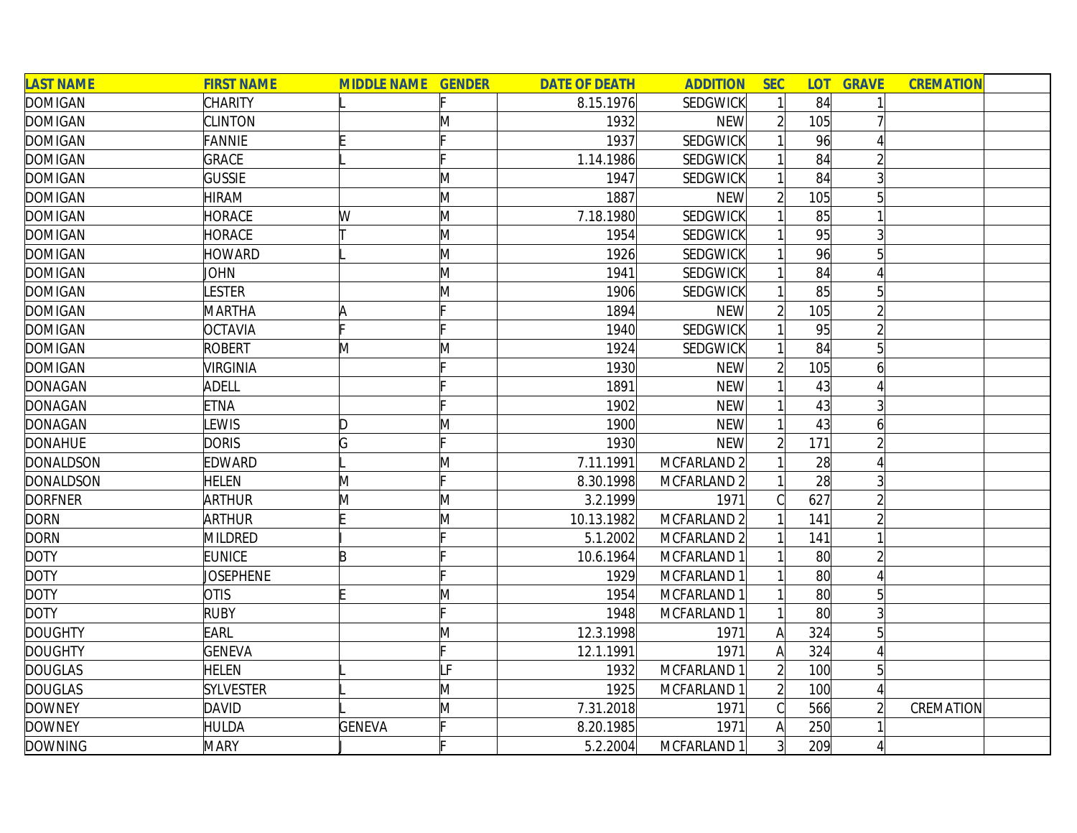| <b>LAST NAME</b> | <b>FIRST NAME</b> | <b>MIDDLE NAME GENDER</b> |                | <b>DATE OF DEATH</b> | <b>ADDITION</b> | <b>SEC</b>     | <b>LOT</b>      | <b>GRAVE</b>   | <b>CREMATION</b> |
|------------------|-------------------|---------------------------|----------------|----------------------|-----------------|----------------|-----------------|----------------|------------------|
| <b>DOMIGAN</b>   | <b>CHARITY</b>    |                           |                | 8.15.1976            | <b>SEDGWICK</b> |                | 84              | 1              |                  |
| <b>DOMIGAN</b>   | <b>CLINTON</b>    |                           | Μ              | 1932                 | <b>NEW</b>      | $\overline{2}$ | 105             |                |                  |
| <b>DOMIGAN</b>   | <b>FANNIE</b>     |                           |                | 1937                 | <b>SEDGWICK</b> |                | 96              |                |                  |
| <b>DOMIGAN</b>   | <b>GRACE</b>      |                           |                | 1.14.1986            | <b>SEDGWICK</b> |                | 84              | $\overline{2}$ |                  |
| <b>DOMIGAN</b>   | <b>GUSSIE</b>     |                           | M              | 1947                 | <b>SEDGWICK</b> |                | 84              | $\frac{3}{2}$  |                  |
| <b>DOMIGAN</b>   | <b>HIRAM</b>      |                           | M              | 1887                 | <b>NEW</b>      | $\overline{2}$ | 105             | $5\vert$       |                  |
| <b>DOMIGAN</b>   | HORACE            | W                         | M              | 7.18.1980            | SEDGWICK        |                | 85              | $\mathbf{1}$   |                  |
| <b>DOMIGAN</b>   | HORACE            |                           | M              | 1954                 | <b>SEDGWICK</b> |                | 95              | 3 <sup>1</sup> |                  |
| <b>DOMIGAN</b>   | <b>HOWARD</b>     |                           | M              | 1926                 | SEDGWICK        |                | 96              | $5\vert$       |                  |
| <b>DOMIGAN</b>   | <b>JOHN</b>       |                           | M              | 1941                 | SEDGWICK        |                | 84              |                |                  |
| <b>DOMIGAN</b>   | <b>ESTER</b>      |                           | M              | 1906                 | <b>SEDGWICK</b> |                | 85              | 5 <sup>1</sup> |                  |
| <b>DOMIGAN</b>   | <b>MARTHA</b>     |                           |                | 1894                 | <b>NEW</b>      | $\overline{2}$ | 105             | $\overline{2}$ |                  |
| <b>DOMIGAN</b>   | <b>OCTAVIA</b>    |                           |                | 1940                 | <b>SEDGWICK</b> |                | 95              | $\overline{2}$ |                  |
| <b>DOMIGAN</b>   | <b>ROBERT</b>     | M                         | M              | 1924                 | SEDGWICK        |                | 84              | 5 <sup>1</sup> |                  |
| <b>DOMIGAN</b>   | VIRGINIA          |                           |                | 1930                 | <b>NEW</b>      |                | 105             | 6              |                  |
| <b>DONAGAN</b>   | <b>ADELL</b>      |                           |                | 1891                 | <b>NEW</b>      |                | 43              |                |                  |
| <b>DONAGAN</b>   | <b>ETNA</b>       |                           |                | 1902                 | <b>NEW</b>      |                | 43              | 3 <sup>1</sup> |                  |
| <b>DONAGAN</b>   | <b>EWIS</b>       | D                         | Μ              | 1900                 | <b>NEW</b>      |                | 43              | 6              |                  |
| <b>DONAHUE</b>   | <b>DORIS</b>      | G                         |                | 1930                 | <b>NEW</b>      | $\overline{2}$ | 171             | $\overline{2}$ |                  |
| <b>DONALDSON</b> | EDWARD            |                           | Μ              | 7.11.1991            | MCFARLAND 2     |                | 28              | 4              |                  |
| <b>DONALDSON</b> | <b>HELEN</b>      | M                         |                | 8.30.1998            | MCFARLAND 2     |                | 28              | 3              |                  |
| <b>DORFNER</b>   | <b>ARTHUR</b>     | M                         | M              | 3.2.1999             | 1971            | C              | 627             | $\overline{2}$ |                  |
| <b>DORN</b>      | <b>ARTHUR</b>     |                           | M              | 10.13.1982           | MCFARLAND 2     |                | 141             | $\overline{2}$ |                  |
| <b>DORN</b>      | <b>MILDRED</b>    |                           |                | 5.1.2002             | MCFARLAND 2     |                | 141             |                |                  |
| <b>DOTY</b>      | <b>EUNICE</b>     | R                         |                | 10.6.1964            | MCFARLAND 1     |                | 80              | $\overline{2}$ |                  |
| <b>DOTY</b>      | <b>JOSEPHENE</b>  |                           |                | 1929                 | MCFARLAND 1     |                | 80 <sup>°</sup> | 4              |                  |
| <b>DOTY</b>      | <b>OTIS</b>       |                           | M              | 1954                 | MCFARLAND 1     |                | 80 <sup>°</sup> | 5              |                  |
| <b>DOTY</b>      | <b>RUBY</b>       |                           |                | 1948                 | MCFARLAND 1     |                | 80 <sup>°</sup> | $\frac{3}{2}$  |                  |
| <b>DOUGHTY</b>   | EARL              |                           | Μ              | 12.3.1998            | 1971            | A              | 324             | 5 <sup>1</sup> |                  |
| <b>DOUGHTY</b>   | <b>GENEVA</b>     |                           |                | 12.1.1991            | 1971            | A              | 324             | 4              |                  |
| <b>DOUGLAS</b>   | <b>HELEN</b>      |                           | $\overline{F}$ | 1932                 | MCFARLAND 1     | $\overline{2}$ | 100             | 5 <sup>1</sup> |                  |
| <b>DOUGLAS</b>   | <b>SYLVESTER</b>  |                           | M              | 1925                 | MCFARLAND 1     | $\overline{2}$ | 100             | $\vert$        |                  |
| <b>DOWNEY</b>    | <b>DAVID</b>      |                           | M              | 7.31.2018            | 1971            | C              | 566             | $\overline{2}$ | <b>CREMATION</b> |
| <b>DOWNEY</b>    | <b>HULDA</b>      | <b>GENEVA</b>             |                | 8.20.1985            | 1971            | Α              | 250             |                |                  |
| <b>DOWNING</b>   | <b>MARY</b>       |                           |                | 5.2.2004             | MCFARLAND 1     | $\overline{3}$ | 209             | 4              |                  |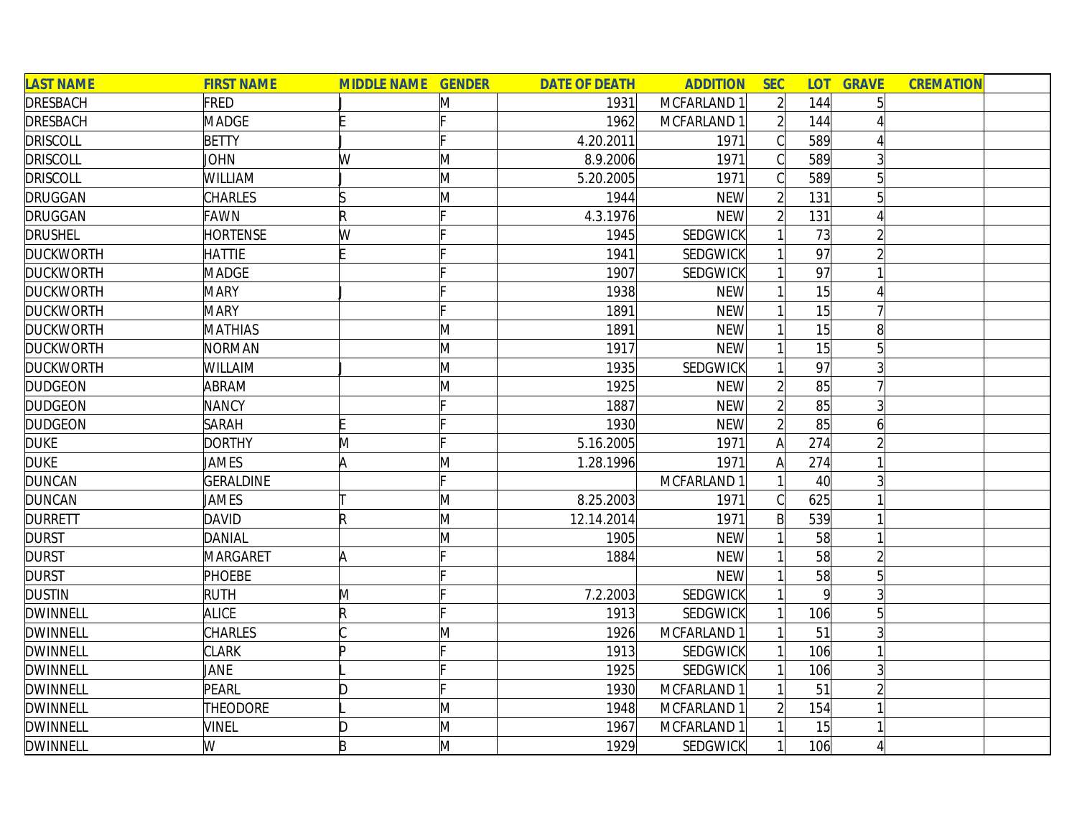| <b>LAST NAME</b> | <b>FIRST NAME</b> | <b>MIDDLE NAME GENDER</b> |   | <b>DATE OF DEATH</b> | <b>ADDITION</b> | <b>SEC</b>     | <b>LOT</b>      | <b>GRAVE</b> | <b>CREMATION</b> |  |
|------------------|-------------------|---------------------------|---|----------------------|-----------------|----------------|-----------------|--------------|------------------|--|
| <b>DRESBACH</b>  | FRED              |                           | M | 1931                 | MCFARLAND 1     | $\overline{2}$ | 144             |              |                  |  |
| <b>DRESBACH</b>  | <b>MADGE</b>      |                           |   | 1962                 | MCFARLAND 1     |                | 144             |              |                  |  |
| <b>DRISCOLL</b>  | <b>BETTY</b>      |                           |   | 4.20.2011            | 1971            | С              | 589             |              |                  |  |
| <b>DRISCOLL</b>  | JOHN              | W                         | M | 8.9.2006             | 1971            | Cl             | 589             |              |                  |  |
| <b>DRISCOLL</b>  | WILLIAM           |                           | M | 5.20.2005            | 1971            | С              | 589             | 5            |                  |  |
| <b>DRUGGAN</b>   | <b>CHARLES</b>    |                           | M | 1944                 | <b>NEW</b>      | $\overline{2}$ | 131             | 5            |                  |  |
| <b>DRUGGAN</b>   | <b>FAWN</b>       | $\mathsf R$               |   | 4.3.1976             | <b>NEW</b>      | $\overline{2}$ | 131             |              |                  |  |
| <b>DRUSHEL</b>   | <b>HORTENSE</b>   | W                         |   | 1945                 | SEDGWICK        |                | 73              |              |                  |  |
| <b>DUCKWORTH</b> | <b>HATTIE</b>     |                           |   | 1941                 | SEDGWICK        |                | 97              |              |                  |  |
| <b>DUCKWORTH</b> | <b>MADGE</b>      |                           |   | 1907                 | <b>SEDGWICK</b> |                | 97              |              |                  |  |
| <b>DUCKWORTH</b> | <b>MARY</b>       |                           |   | 1938                 | <b>NEW</b>      |                | 15              |              |                  |  |
| <b>DUCKWORTH</b> | <b>MARY</b>       |                           |   | 1891                 | <b>NEW</b>      |                | 15              |              |                  |  |
| <b>DUCKWORTH</b> | <b>MATHIAS</b>    |                           | M | 1891                 | <b>NEW</b>      |                | 15              |              |                  |  |
| <b>DUCKWORTH</b> | <b>NORMAN</b>     |                           | M | 1917                 | <b>NEW</b>      |                | 15              |              |                  |  |
| <b>DUCKWORTH</b> | WILLAIM           |                           | M | 1935                 | SEDGWICK        |                | 97              |              |                  |  |
| <b>DUDGEON</b>   | ABRAM             |                           | M | 1925                 | <b>NEW</b>      |                | 85              |              |                  |  |
| <b>DUDGEON</b>   | <b>NANCY</b>      |                           |   | 1887                 | <b>NEW</b>      |                | 85              |              |                  |  |
| <b>DUDGEON</b>   | <b>SARAH</b>      | E                         |   | 1930                 | <b>NEW</b>      |                | 85              | 6            |                  |  |
| <b>DUKE</b>      | <b>DORTHY</b>     | M                         |   | 5.16.2005            | 1971            | A              | 274             |              |                  |  |
| <b>DUKE</b>      | JAMES             | A                         | M | 1.28.1996            | 1971            | $\mathsf{A}$   | 274             |              |                  |  |
| <b>DUNCAN</b>    | <b>GERALDINE</b>  |                           |   |                      | MCFARLAND 1     |                | 40 <sup>°</sup> |              |                  |  |
| <b>DUNCAN</b>    | JAMES             |                           | M | 8.25.2003            | 1971            |                | 625             |              |                  |  |
| <b>DURRETT</b>   | <b>DAVID</b>      | $\mathsf R$               | M | 12.14.2014           | 1971            | $\mathsf{B}$   | 539             |              |                  |  |
| <b>DURST</b>     | DANIAL            |                           | M | 1905                 | <b>NEW</b>      |                | 58              |              |                  |  |
| <b>DURST</b>     | MARGARET          | A                         |   | 1884                 | <b>NEW</b>      |                | 58              |              |                  |  |
| <b>DURST</b>     | <b>PHOEBE</b>     |                           |   |                      | <b>NEW</b>      |                | 58              |              |                  |  |
| <b>DUSTIN</b>    | <b>RUTH</b>       | M                         |   | 7.2.2003             | <b>SEDGWICK</b> |                | $\vert 9 \vert$ |              |                  |  |
| <b>DWINNELL</b>  | <b>ALICE</b>      | R                         |   | 1913                 | SEDGWICK        |                | 106             | 5            |                  |  |
| <b>DWINNELL</b>  | <b>CHARLES</b>    |                           | Μ | 1926                 | MCFARLAND 1     |                | 51              |              |                  |  |
| <b>DWINNELL</b>  | <b>CLARK</b>      | Þ                         |   | 1913                 | SEDGWICK        |                | 106             |              |                  |  |
| <b>DWINNELL</b>  | JANE              |                           |   | 1925                 | SEDGWICK        |                | 106             | 3            |                  |  |
| <b>DWINNELL</b>  | PEARL             | D                         |   | 1930                 | MCFARLAND 1     |                | 51              |              |                  |  |
| <b>DWINNELL</b>  | <b>THEODORE</b>   |                           | M | 1948                 | MCFARLAND 1     |                | 154             |              |                  |  |
| <b>DWINNELL</b>  | <b>VINEL</b>      | D                         | M | 1967                 | MCFARLAND 1     |                | 15              |              |                  |  |
| <b>DWINNELL</b>  | W                 | B                         | M | 1929                 | SEDGWICK        |                | 106             |              |                  |  |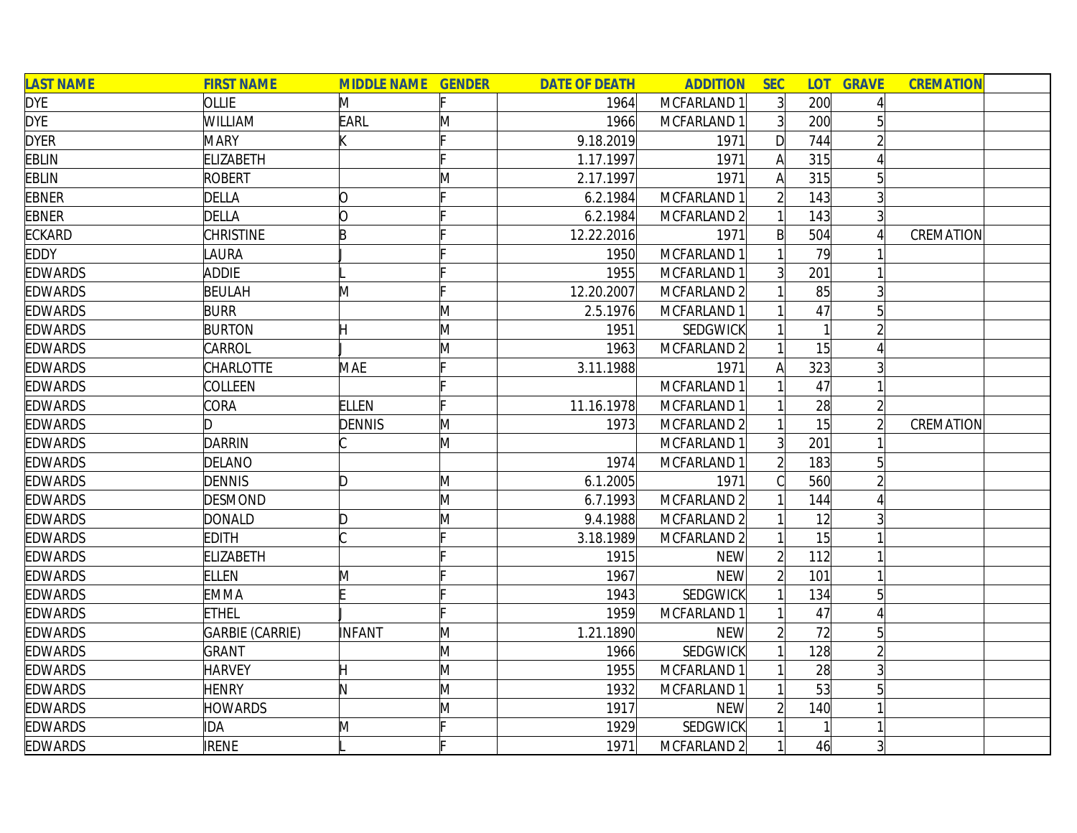| <b>LAST NAME</b> | <b>FIRST NAME</b> | <b>MIDDLE NAME GENDER</b> |   | <b>DATE OF DEATH</b> | <b>ADDITION</b>        | <b>SEC</b>     | <b>LOT</b> | <b>GRAVE</b>   | <b>CREMATION</b> |
|------------------|-------------------|---------------------------|---|----------------------|------------------------|----------------|------------|----------------|------------------|
| <b>DYE</b>       | OLLIE             | M                         |   | 1964                 | MCFARLAND 1            | 3 <sup>1</sup> | 200        |                |                  |
| <b>DYE</b>       | WILLIAM           | <b>EARL</b>               | M | 1966                 | MCFARLAND 1            | 3 <sup>1</sup> | 200        |                |                  |
| <b>DYER</b>      | <b>MARY</b>       |                           |   | 9.18.2019            | 1971                   | $\mathsf{D}$   | 744        |                |                  |
| <b>EBLIN</b>     | <b>ELIZABETH</b>  |                           |   | 1.17.1997            | 1971                   | Α              | 315        |                |                  |
| <b>EBLIN</b>     | <b>ROBERT</b>     |                           | M | 2.17.1997            | 1971                   | A              | 315        | 5 <sup>1</sup> |                  |
| <b>EBNER</b>     | <b>DELLA</b>      | O                         |   | 6.2.1984             | MCFARLAND 1            |                | 143        | $\overline{3}$ |                  |
| <b>EBNER</b>     | <b>DELLA</b>      | O                         |   | 6.2.1984             | MCFARLAND 2            |                | 143        | $\overline{3}$ |                  |
| <b>ECKARD</b>    | <b>CHRISTINE</b>  | B                         |   | 12.22.2016           | 1971                   | B              | 504        |                | CREMATION        |
| <b>EDDY</b>      | LAURA             |                           |   | 1950                 | MCFARLAND 1            |                | 79         |                |                  |
| <b>EDWARDS</b>   | <b>ADDIE</b>      |                           |   | 1955                 | MCFARLAND 1            | $\overline{3}$ | 201        |                |                  |
| <b>EDWARDS</b>   | <b>BEULAH</b>     | M                         |   | 12.20.2007           | MCFARLAND <sub>2</sub> |                | 85         |                |                  |
| <b>EDWARDS</b>   | <b>BURR</b>       |                           | M | 2.5.1976             | MCFARLAND 1            |                | 47         |                |                  |
| <b>EDWARDS</b>   | <b>BURTON</b>     |                           | M | 1951                 | SEDGWICK               |                |            |                |                  |
| <b>EDWARDS</b>   | CARROL            |                           | M | 1963                 | MCFARLAND 2            |                | 15         |                |                  |
| <b>EDWARDS</b>   | <b>CHARLOTTE</b>  | <b>MAE</b>                |   | 3.11.1988            | 1971                   | A              | 323        |                |                  |
| <b>EDWARDS</b>   | COLLEEN           |                           |   |                      | MCFARLAND 1            |                | 47         |                |                  |
| <b>EDWARDS</b>   | CORA              | <b>ELLEN</b>              |   | 11.16.1978           | MCFARLAND 1            |                | 28         |                |                  |
| <b>EDWARDS</b>   | ID.               | <b>DENNIS</b>             | M | 1973                 | MCFARLAND <sub>2</sub> |                | 15         |                | CREMATION        |
| <b>EDWARDS</b>   | <b>DARRIN</b>     |                           | M |                      | MCFARLAND 1            | 3 <sup>1</sup> | 201        |                |                  |
| <b>EDWARDS</b>   | DELANO            |                           |   | 1974                 | MCFARLAND 1            | $\overline{2}$ | 183        |                |                  |
| <b>EDWARDS</b>   | <b>DENNIS</b>     | ID.                       | M | 6.1.2005             | 1971                   |                | 560        |                |                  |
| <b>EDWARDS</b>   | <b>DESMOND</b>    |                           | M | 6.7.1993             | MCFARLAND <sub>2</sub> |                | 144        |                |                  |
| <b>EDWARDS</b>   | <b>DONALD</b>     | D                         | M | 9.4.1988             | MCFARLAND <sub>2</sub> |                | 12         |                |                  |
| <b>EDWARDS</b>   | <b>EDITH</b>      |                           |   | 3.18.1989            | MCFARLAND <sub>2</sub> |                | 15         |                |                  |
| <b>EDWARDS</b>   | <b>ELIZABETH</b>  |                           |   | 1915                 | <b>NEW</b>             |                | 112        |                |                  |
| <b>EDWARDS</b>   | <b>ELLEN</b>      | M                         |   | 1967                 | <b>NEW</b>             |                | 101        |                |                  |
| <b>EDWARDS</b>   | <b>EMMA</b>       |                           |   | 1943                 | SEDGWICK               |                | 134        | 5 <sup>1</sup> |                  |
| <b>EDWARDS</b>   | <b>ETHEL</b>      |                           |   | 1959                 | MCFARLAND 1            |                | 47         |                |                  |
| <b>EDWARDS</b>   | GARBIE (CARRIE)   | INFANT                    | M | 1.21.1890            | <b>NEW</b>             |                | 72         | 5 <sup>1</sup> |                  |
| <b>EDWARDS</b>   | <b>GRANT</b>      |                           | M | 1966                 | SEDGWICK               |                | 128        |                |                  |
| <b>EDWARDS</b>   | <b>HARVEY</b>     | H                         | M | 1955                 | MCFARLAND 1            |                | 28         | 3              |                  |
| <b>EDWARDS</b>   | <b>HENRY</b>      | N                         | M | 1932                 | MCFARLAND 1            |                | 53         |                |                  |
| <b>EDWARDS</b>   | <b>HOWARDS</b>    |                           | M | 1917                 | <b>NEW</b>             |                | 140        |                |                  |
| <b>EDWARDS</b>   | <b>IDA</b>        | M                         |   | 1929                 | SEDGWICK               |                |            |                |                  |
| <b>EDWARDS</b>   | <b>IRENE</b>      |                           |   | 1971                 | MCFARLAND <sub>2</sub> |                | 46         | $\overline{3}$ |                  |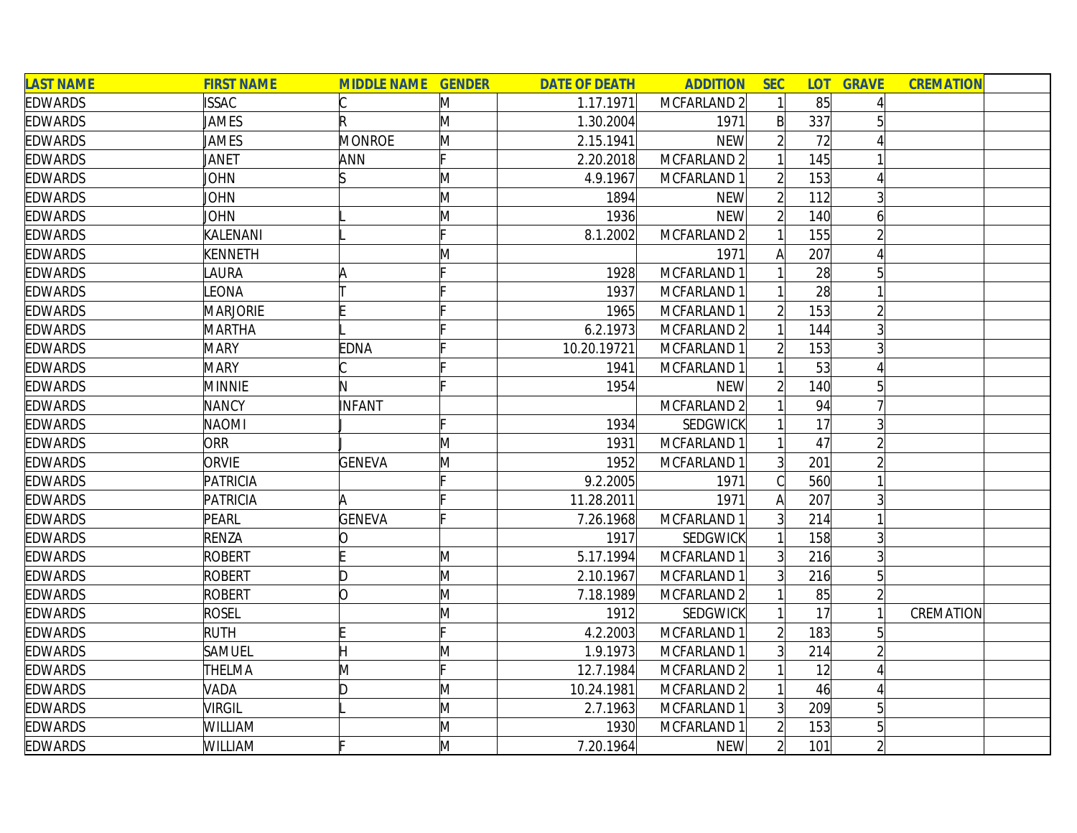| <b>LAST NAME</b> | <b>FIRST NAME</b> | <b>MIDDLE NAME</b> | <b>GENDER</b> | <b>DATE OF DEATH</b> | <b>ADDITION</b>        | <b>SEC</b>     | <b>LOT</b> | <b>GRAVE</b>   | <b>CREMATION</b> |
|------------------|-------------------|--------------------|---------------|----------------------|------------------------|----------------|------------|----------------|------------------|
| <b>EDWARDS</b>   | <b>ISSAC</b>      |                    | M             | 1.17.1971            | MCFARLAND 2            |                | 85         |                |                  |
| <b>EDWARDS</b>   | <b>JAMES</b>      | R                  | M             | 1.30.2004            | 1971                   | $\mathsf{B}$   | 337        |                |                  |
| <b>EDWARDS</b>   | JAMES             | MONROE             | M             | 2.15.1941            | <b>NEW</b>             |                | 72         |                |                  |
| <b>EDWARDS</b>   | JANET             | ANN                |               | 2.20.2018            | MCFARLAND 2            |                | 145        |                |                  |
| <b>EDWARDS</b>   | <b>JOHN</b>       | ß                  | M             | 4.9.1967             | MCFARLAND 1            |                | 153        |                |                  |
| <b>EDWARDS</b>   | <b>JOHN</b>       |                    | M             | 1894                 | <b>NEW</b>             | $\overline{2}$ | 112        | $\overline{3}$ |                  |
| <b>EDWARDS</b>   | JOHN              |                    | M             | 1936                 | <b>NEW</b>             | $\overline{2}$ | 140        | 6              |                  |
| <b>EDWARDS</b>   | KALENANI          |                    |               | 8.1.2002             | MCFARLAND <sub>2</sub> |                | 155        |                |                  |
| <b>EDWARDS</b>   | <b>KENNETH</b>    |                    | M             |                      | 1971                   |                | 207        |                |                  |
| <b>EDWARDS</b>   | <b>AURA</b>       |                    |               | 1928                 | MCFARLAND 1            |                | 28         |                |                  |
| <b>EDWARDS</b>   | LEONA             |                    |               | 1937                 | MCFARLAND 1            |                | 28         |                |                  |
| <b>EDWARDS</b>   | <b>MARJORIE</b>   |                    |               | 1965                 | MCFARLAND 1            |                | 153        |                |                  |
| <b>EDWARDS</b>   | <b>MARTHA</b>     |                    |               | 6.2.1973             | MCFARLAND <sub>2</sub> |                | 144        |                |                  |
| <b>EDWARDS</b>   | <b>MARY</b>       | <b>EDNA</b>        |               | 10.20.19721          | MCFARLAND 1            |                | 153        | 3              |                  |
| <b>EDWARDS</b>   | <b>MARY</b>       |                    |               | 1941                 | MCFARLAND 1            |                | 53         |                |                  |
| <b>EDWARDS</b>   | <b>MINNIE</b>     | N                  |               | 1954                 | <b>NEW</b>             |                | 140        | 51             |                  |
| <b>EDWARDS</b>   | <b>NANCY</b>      | <b>INFANT</b>      |               |                      | MCFARLAND <sub>2</sub> |                | 94         |                |                  |
| <b>EDWARDS</b>   | <b>NAOMI</b>      |                    |               | 1934                 | SEDGWICK               |                | 17         | $\overline{3}$ |                  |
| <b>EDWARDS</b>   | ORR               |                    | Μ             | 1931                 | MCFARLAND 1            |                | 47         |                |                  |
| <b>EDWARDS</b>   | ORVIE             | <b>GENEVA</b>      | M             | 1952                 | MCFARLAND 1            | 3 <sup>1</sup> | 201        |                |                  |
| <b>EDWARDS</b>   | PATRICIA          |                    |               | 9.2.2005             | 1971                   |                | 560        |                |                  |
| <b>EDWARDS</b>   | PATRICIA          | A                  |               | 11.28.2011           | 1971                   | Α              | 207        |                |                  |
| <b>EDWARDS</b>   | PEARL             | <b>GENEVA</b>      |               | 7.26.1968            | MCFARLAND 1            | 3 <sup>1</sup> | 214        |                |                  |
| <b>EDWARDS</b>   | <b>RENZA</b>      | 10                 |               | 1917                 | SEDGWICK               |                | 158        |                |                  |
| <b>EDWARDS</b>   | ROBERT            |                    | M             | 5.17.1994            | MCFARLAND 1            | $\overline{3}$ | 216        | $\overline{3}$ |                  |
| <b>EDWARDS</b>   | <b>ROBERT</b>     | D                  | M             | 2.10.1967            | MCFARLAND 1            | $\overline{3}$ | 216        | $\overline{5}$ |                  |
| <b>EDWARDS</b>   | <b>ROBERT</b>     | lO.                | M             | 7.18.1989            | MCFARLAND <sub>2</sub> |                | 85         |                |                  |
| <b>EDWARDS</b>   | <b>ROSEL</b>      |                    | M             | 1912                 | SEDGWICK               |                | 17         |                | CREMATION        |
| <b>EDWARDS</b>   | <b>RUTH</b>       |                    |               | 4.2.2003             | MCFARLAND 1            |                | 183        | 5              |                  |
| <b>EDWARDS</b>   | <b>SAMUEL</b>     | Η                  | Μ             | 1.9.1973             | MCFARLAND 1            | $\overline{3}$ | 214        |                |                  |
| <b>EDWARDS</b>   | <b>THELMA</b>     | M                  |               | 12.7.1984            | MCFARLAND 2            |                | 12         |                |                  |
| <b>EDWARDS</b>   | VADA              | ID.                | M             | 10.24.1981           | MCFARLAND 2            |                | 46         |                |                  |
| <b>EDWARDS</b>   | <b>VIRGIL</b>     |                    | M             | 2.7.1963             | MCFARLAND 1            | 3 <sup>1</sup> | 209        | 5              |                  |
| <b>EDWARDS</b>   | <b>WILLIAM</b>    |                    | Μ             | 1930                 | MCFARLAND 1            |                | 153        |                |                  |
| <b>EDWARDS</b>   | <b>WILLIAM</b>    |                    | M             | 7.20.1964            | <b>NEW</b>             | $\overline{2}$ | 101        |                |                  |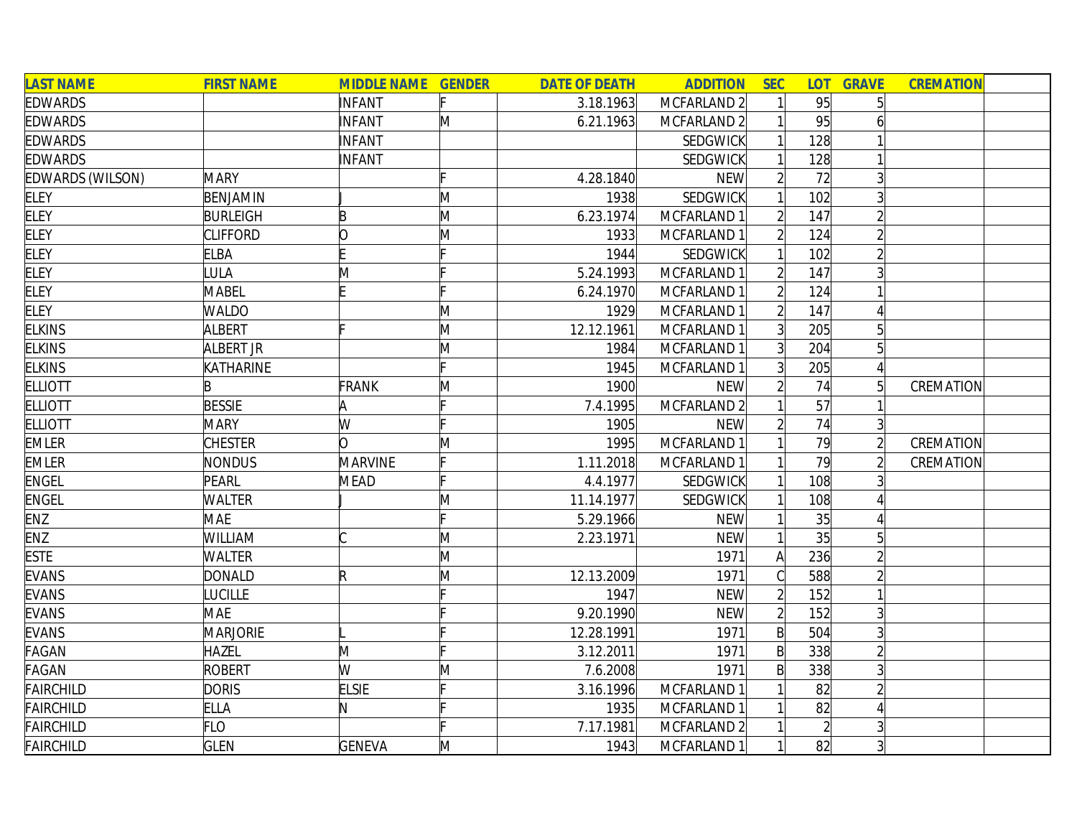| <b>LAST NAME</b>        | <b>FIRST NAME</b> | <b>MIDDLE NAME GENDER</b> |   | <b>DATE OF DEATH</b> | <b>ADDITION</b> | <b>SEC</b>     | <b>LOT</b> | <b>GRAVE</b>   | <b>CREMATION</b> |  |
|-------------------------|-------------------|---------------------------|---|----------------------|-----------------|----------------|------------|----------------|------------------|--|
| <b>EDWARDS</b>          |                   | INFANT                    |   | 3.18.1963            | MCFARLAND 2     |                | 95         | 5 <sup>1</sup> |                  |  |
| <b>EDWARDS</b>          |                   | INFANT                    | M | 6.21.1963            | MCFARLAND 2     |                | 95         |                |                  |  |
| <b>EDWARDS</b>          |                   | INFANT                    |   |                      | <b>SEDGWICK</b> |                | 128        |                |                  |  |
| <b>EDWARDS</b>          |                   | INFANT                    |   |                      | <b>SEDGWICK</b> |                | 128        |                |                  |  |
| <b>EDWARDS (WILSON)</b> | <b>MARY</b>       |                           |   | 4.28.1840            | <b>NEW</b>      |                | 72         | $\overline{3}$ |                  |  |
| <b>ELEY</b>             | BENJAMIN          |                           | M | 1938                 | <b>SEDGWICK</b> |                | 102        | $\overline{3}$ |                  |  |
| <b>ELEY</b>             | <b>BURLEIGH</b>   | B                         | M | 6.23.1974            | MCFARLAND 1     | $\mathfrak{D}$ | 147        | $\overline{2}$ |                  |  |
| <b>ELEY</b>             | <b>CLIFFORD</b>   | lO                        | M | 1933                 | MCFARLAND 1     |                | 124        |                |                  |  |
| <b>ELEY</b>             | <b>ELBA</b>       |                           |   | 1944                 | <b>SEDGWICK</b> |                | 102        |                |                  |  |
| <b>ELEY</b>             | <b>ULA</b>        | M                         |   | 5.24.1993            | MCFARLAND 1     |                | 147        |                |                  |  |
| <b>ELEY</b>             | <b>MABEL</b>      |                           |   | 6.24.1970            | MCFARLAND 1     |                | 124        |                |                  |  |
| <b>ELEY</b>             | <b>WALDO</b>      |                           | M | 1929                 | MCFARLAND 1     |                | 147        |                |                  |  |
| <b>ELKINS</b>           | <b>ALBERT</b>     |                           | M | 12.12.1961           | MCFARLAND 1     |                | 205        |                |                  |  |
| <b>ELKINS</b>           | ALBERT JR         |                           | M | 1984                 | MCFARLAND 1     | 3              | 204        | 5              |                  |  |
| <b>ELKINS</b>           | KATHARINE         |                           |   | 1945                 | MCFARLAND 1     |                | 205        |                |                  |  |
| <b>ELLIOTT</b>          |                   | FRANK                     | M | 1900                 | <b>NEW</b>      |                | 74         | 5 <sup>1</sup> | CREMATION        |  |
| <b>ELLIOTT</b>          | <b>BESSIE</b>     | IA                        |   | 7.4.1995             | MCFARLAND 2     |                | 57         |                |                  |  |
| <b>ELLIOTT</b>          | <b>MARY</b>       | W                         |   | 1905                 | <b>NEW</b>      |                | 74         | 3 <sup>1</sup> |                  |  |
| <b>EMLER</b>            | <b>CHESTER</b>    | n                         | M | 1995                 | MCFARLAND 1     |                | 79         | $\overline{2}$ | CREMATION        |  |
| <b>EMLER</b>            | <b>NONDUS</b>     | <b>MARVINE</b>            |   | 1.11.2018            | MCFARLAND 1     |                | 79         |                | CREMATION        |  |
| <b>ENGEL</b>            | PEARL             | <b>MEAD</b>               |   | 4.4.1977             | <b>SEDGWICK</b> |                | 108        |                |                  |  |
| <b>ENGEL</b>            | WALTER            |                           | M | 11.14.1977           | <b>SEDGWICK</b> |                | 108        |                |                  |  |
| ENZ                     | <b>MAE</b>        |                           |   | 5.29.1966            | <b>NEW</b>      |                | 35         |                |                  |  |
| ENZ                     | WILLIAM           |                           | M | 2.23.1971            | <b>NEW</b>      |                | 35         | $\overline{5}$ |                  |  |
| <b>ESTE</b>             | <b>WALTER</b>     |                           | M |                      | 1971            | A              | 236        | $\overline{2}$ |                  |  |
| <b>EVANS</b>            | <b>DONALD</b>     | R                         | M | 12.13.2009           | 1971            |                | 588        | $\overline{2}$ |                  |  |
| <b>EVANS</b>            | <b>UCILLE</b>     |                           |   | 1947                 | <b>NEW</b>      |                | 152        |                |                  |  |
| <b>EVANS</b>            | <b>MAE</b>        |                           |   | 9.20.1990            | <b>NEW</b>      |                | 152        | 3              |                  |  |
| <b>EVANS</b>            | <b>MARJORIE</b>   |                           |   | 12.28.1991           | 1971            | $\mathsf{B}$   | 504        | 3              |                  |  |
| FAGAN                   | <b>HAZEL</b>      | M                         |   | 3.12.2011            | 1971            | $\mathsf{B}$   | 338        | $\overline{2}$ |                  |  |
| <b>FAGAN</b>            | ROBERT            | W                         | M | 7.6.2008             | 1971            | $\mathsf{B}$   | 338        | $\overline{3}$ |                  |  |
| <b>FAIRCHILD</b>        | <b>DORIS</b>      | <b>ELSIE</b>              |   | 3.16.1996            | MCFARLAND 1     |                | 82         |                |                  |  |
| <b>FAIRCHILD</b>        | <b>ELLA</b>       | N.                        |   | 1935                 | MCFARLAND 1     |                | 82         |                |                  |  |
| <b>FAIRCHILD</b>        | FLO               |                           |   | 7.17.1981            | MCFARLAND 2     |                |            | 3              |                  |  |
| <b>FAIRCHILD</b>        | <b>GLEN</b>       | <b>GENEVA</b>             | M | 1943                 | MCFARLAND 1     |                | 82         | 3 <sup>1</sup> |                  |  |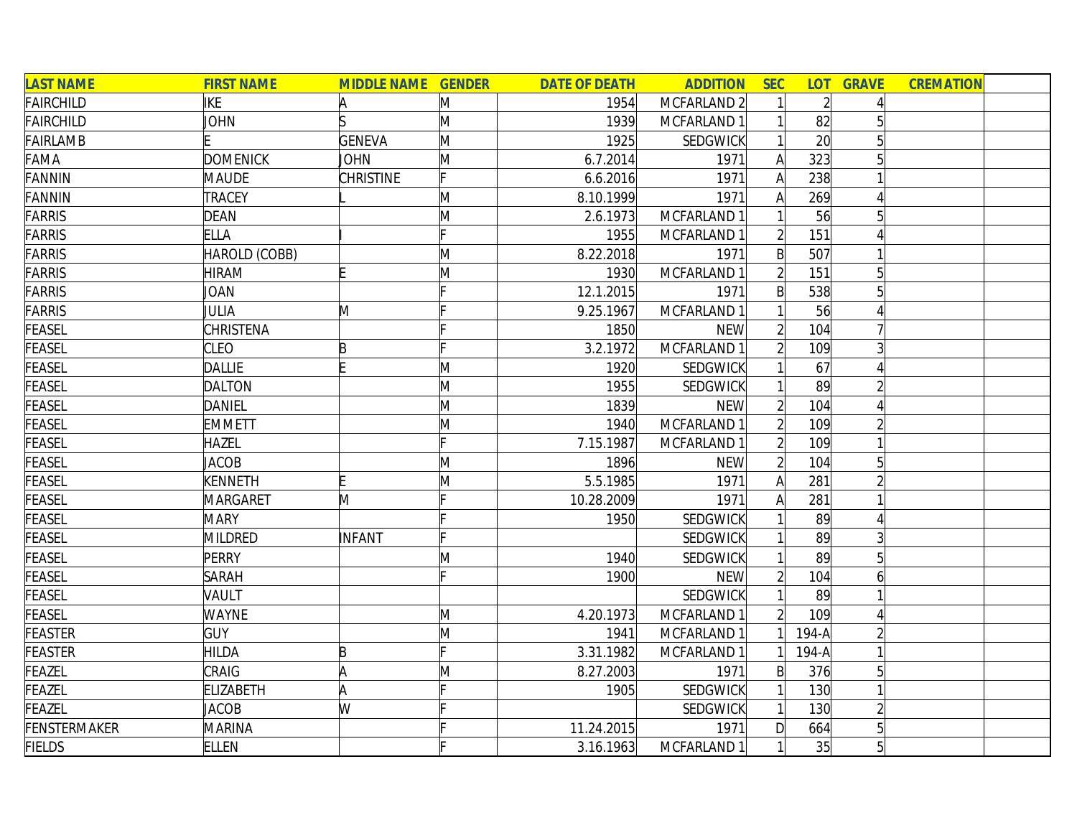| <b>LAST NAME</b> | <b>FIRST NAME</b> | <b>MIDDLE NAME GENDER</b> |    | <b>DATE OF DEATH</b> | <b>ADDITION</b> | <b>SEC</b>     | <b>LOT</b>     | <b>GRAVE</b>    | <b>CREMATION</b> |  |
|------------------|-------------------|---------------------------|----|----------------------|-----------------|----------------|----------------|-----------------|------------------|--|
| <b>FAIRCHILD</b> | IKE               | A                         | M  | 1954                 | MCFARLAND 2     |                | $\overline{2}$ |                 |                  |  |
| <b>FAIRCHILD</b> | JOHN              |                           | M  | 1939                 | MCFARLAND 1     |                | 82             |                 |                  |  |
| FAIRLAMB         |                   | <b>GENEVA</b>             | M  | 1925                 | SEDGWICK        |                | 20             |                 |                  |  |
| FAMA             | <b>DOMENICK</b>   | <b>JOHN</b>               | M  | 6.7.2014             | 1971            | $\mathsf{A}$   | 323            |                 |                  |  |
| <b>FANNIN</b>    | MAUDE             | CHRISTINE                 | Ŀ. | 6.6.2016             | 1971            | $\mathsf{A}$   | 238            |                 |                  |  |
| <b>FANNIN</b>    | <b>TRACEY</b>     |                           | M  | 8.10.1999            | 1971            | A              | 269            |                 |                  |  |
| <b>FARRIS</b>    | <b>DEAN</b>       |                           | M  | 2.6.1973             | MCFARLAND 1     |                | 56             | 5               |                  |  |
| <b>FARRIS</b>    | <b>ELLA</b>       |                           |    | 1955                 | MCFARLAND 1     | $\overline{2}$ | 151            |                 |                  |  |
| <b>FARRIS</b>    | HAROLD (COBB)     |                           | M  | 8.22.2018            | 1971            | $\mathsf{B}$   | 507            |                 |                  |  |
| <b>FARRIS</b>    | <b>HIRAM</b>      |                           | M  | 1930                 | MCFARLAND 1     | $\overline{2}$ | 151            |                 |                  |  |
| <b>FARRIS</b>    | JOAN              |                           |    | 12.1.2015            | 1971            | B              | 538            |                 |                  |  |
| <b>FARRIS</b>    | JULIA             | M                         |    | 9.25.1967            | MCFARLAND 1     |                | 56             |                 |                  |  |
| FEASEL           | CHRISTENA         |                           |    | 1850                 | <b>NEW</b>      |                | 104            |                 |                  |  |
| <b>FEASEL</b>    | <b>CLEO</b>       | $\mathsf B$               |    | 3.2.1972             | MCFARLAND 1     |                | 109            |                 |                  |  |
| FEASEL           | <b>DALLIE</b>     |                           | M  | 1920                 | SEDGWICK        |                | 67             |                 |                  |  |
| FEASEL           | <b>DALTON</b>     |                           | M  | 1955                 | SEDGWICK        |                | 89             |                 |                  |  |
| <b>FEASEL</b>    | <b>DANIEL</b>     |                           | M  | 1839                 | <b>NEW</b>      |                | 104            |                 |                  |  |
| <b>FEASEL</b>    | <b>EMMETT</b>     |                           | M  | 1940                 | MCFARLAND 1     |                | 109            |                 |                  |  |
| <b>FEASEL</b>    | <b>HAZEL</b>      |                           | Ŀ. | 7.15.1987            | MCFARLAND 1     | $\overline{2}$ | 109            |                 |                  |  |
| <b>FEASEL</b>    | <b>JACOB</b>      |                           | M  | 1896                 | <b>NEW</b>      | $\overline{2}$ | 104            | 5               |                  |  |
| <b>FEASEL</b>    | <b>KENNETH</b>    |                           | M  | 5.5.1985             | 1971            | A              | 281            |                 |                  |  |
| FEASEL           | <b>MARGARET</b>   | M                         |    | 10.28.2009           | 1971            | $\mathsf{A}$   | 281            |                 |                  |  |
| FEASEL           | <b>MARY</b>       |                           |    | 1950                 | SEDGWICK        |                | 89             |                 |                  |  |
| FEASEL           | <b>MILDRED</b>    | INFANT                    | c  |                      | SEDGWICK        |                | 89             |                 |                  |  |
| FEASEL           | PERRY             |                           | M  | 1940                 | <b>SEDGWICK</b> |                | 89             |                 |                  |  |
| <b>FEASEL</b>    | SARAH             |                           |    | 1900                 | <b>NEW</b>      | $\overline{2}$ | 104            |                 |                  |  |
| FEASEL           | VAULT             |                           |    |                      | SEDGWICK        |                | 89             |                 |                  |  |
| <b>FEASEL</b>    | <b>WAYNE</b>      |                           | M  | 4.20.1973            | MCFARLAND 1     | $\overline{2}$ | 109            |                 |                  |  |
| <b>FEASTER</b>   | <b>GUY</b>        |                           | M  | 1941                 | MCFARLAND 1     |                | $194-A$        |                 |                  |  |
| <b>FEASTER</b>   | <b>HILDA</b>      | B                         |    | 3.31.1982            | MCFARLAND 1     |                | $194-A$        |                 |                  |  |
| FEAZEL           | CRAIG             | A                         | M  | 8.27.2003            | 1971            | $\mathsf{B}$   | 376            | $5\overline{)}$ |                  |  |
| <b>FEAZEL</b>    | <b>ELIZABETH</b>  | A                         |    | 1905                 | <b>SEDGWICK</b> |                | 130            |                 |                  |  |
| <b>FEAZEL</b>    | <b>JACOB</b>      | W                         |    |                      | SEDGWICK        |                | 130            |                 |                  |  |
| FENSTERMAKER     | <b>MARINA</b>     |                           |    | 11.24.2015           | 1971            | D              | 664            | 5               |                  |  |
| <b>FIELDS</b>    | <b>ELLEN</b>      |                           |    | 3.16.1963            | MCFARLAND 1     |                | 35             | $5\overline{)}$ |                  |  |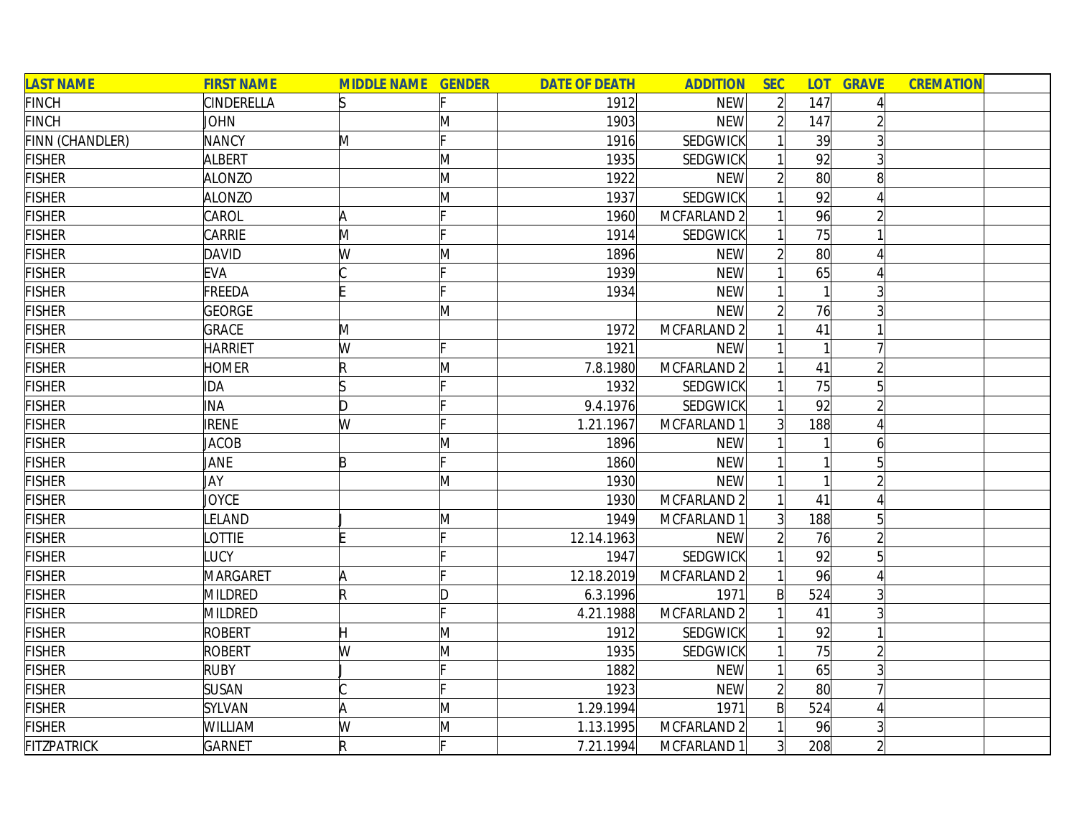| <b>LAST NAME</b>   | <b>FIRST NAME</b> | <b>MIDDLE NAME GENDER</b> |   | <b>DATE OF DEATH</b> | <b>ADDITION</b> | <b>SEC</b>     |     | <b>LOT GRAVE</b> | <b>CREMATION</b> |  |
|--------------------|-------------------|---------------------------|---|----------------------|-----------------|----------------|-----|------------------|------------------|--|
| <b>FINCH</b>       | <b>CINDERELLA</b> | ls                        |   | 1912                 | <b>NEW</b>      | $\overline{2}$ | 147 |                  |                  |  |
| <b>FINCH</b>       | <b>JOHN</b>       |                           | M | 1903                 | <b>NEW</b>      | $\overline{2}$ | 147 |                  |                  |  |
| FINN (CHANDLER)    | <b>NANCY</b>      | M                         |   | 1916                 | <b>SEDGWICK</b> |                | 39  |                  |                  |  |
| <b>FISHER</b>      | <b>ALBERT</b>     |                           | M | 1935                 | <b>SEDGWICK</b> |                | 92  |                  |                  |  |
| <b>FISHER</b>      | <b>ALONZO</b>     |                           | M | 1922                 | <b>NEW</b>      |                | 80  | 8                |                  |  |
| <b>FISHER</b>      | <b>ALONZO</b>     |                           | M | 1937                 | <b>SEDGWICK</b> |                | 92  |                  |                  |  |
| <b>FISHER</b>      | CAROL             | A                         |   | 1960                 | MCFARLAND 2     |                | 96  |                  |                  |  |
| <b>FISHER</b>      | CARRIE            | M                         |   | 1914                 | <b>SEDGWICK</b> |                | 75  |                  |                  |  |
| <b>FISHER</b>      | <b>DAVID</b>      | W                         | Μ | 1896                 | <b>NEW</b>      | $\overline{2}$ | 80  |                  |                  |  |
| <b>FISHER</b>      | <b>EVA</b>        |                           |   | 1939                 | <b>NEW</b>      |                | 65  |                  |                  |  |
| <b>FISHER</b>      | FREEDA            |                           |   | 1934                 | <b>NEW</b>      |                |     |                  |                  |  |
| <b>FISHER</b>      | <b>GEORGE</b>     |                           | Μ |                      | <b>NEW</b>      |                | 76  |                  |                  |  |
| <b>FISHER</b>      | <b>GRACE</b>      | M                         |   | 1972                 | MCFARLAND 2     |                | 41  |                  |                  |  |
| <b>FISHER</b>      | <b>HARRIET</b>    | W                         |   | 1921                 | <b>NEW</b>      |                |     |                  |                  |  |
| <b>FISHER</b>      | <b>HOMER</b>      | R                         | M | 7.8.1980             | MCFARLAND 2     |                | 41  |                  |                  |  |
| <b>FISHER</b>      | <b>IDA</b>        |                           |   | 1932                 | <b>SEDGWICK</b> |                | 75  |                  |                  |  |
| <b>FISHER</b>      | <b>INA</b>        | D                         |   | 9.4.1976             | <b>SEDGWICK</b> |                | 92  |                  |                  |  |
| <b>FISHER</b>      | <b>IRENE</b>      | W                         |   | 1.21.1967            | MCFARLAND 1     |                | 188 |                  |                  |  |
| <b>FISHER</b>      | <b>JACOB</b>      |                           | M | 1896                 | <b>NEW</b>      |                |     | 6                |                  |  |
| <b>FISHER</b>      | JANE              | B                         |   | 1860                 | <b>NEW</b>      |                |     | 5                |                  |  |
| <b>FISHER</b>      | JAY               |                           | M | 1930                 | <b>NEW</b>      |                |     |                  |                  |  |
| <b>FISHER</b>      | <b>JOYCE</b>      |                           |   | 1930                 | MCFARLAND 2     |                | 41  |                  |                  |  |
| <b>FISHER</b>      | LELAND            |                           | M | 1949                 | MCFARLAND 1     | $\overline{3}$ | 188 | 5                |                  |  |
| <b>FISHER</b>      | <b>LOTTIE</b>     |                           |   | 12.14.1963           | <b>NEW</b>      |                | 76  |                  |                  |  |
| <b>FISHER</b>      | LUCY              |                           |   | 1947                 | <b>SEDGWICK</b> |                | 92  |                  |                  |  |
| <b>FISHER</b>      | <b>MARGARET</b>   | A                         |   | 12.18.2019           | MCFARLAND 2     |                | 96  |                  |                  |  |
| <b>FISHER</b>      | MILDRED           | R                         | D | 6.3.1996             | 1971            | B              | 524 |                  |                  |  |
| <b>FISHER</b>      | MILDRED           |                           |   | 4.21.1988            | MCFARLAND 2     |                | 41  |                  |                  |  |
| <b>FISHER</b>      | <b>ROBERT</b>     | н                         | M | 1912                 | SEDGWICK        |                | 92  |                  |                  |  |
| <b>FISHER</b>      | <b>ROBERT</b>     | W                         | M | 1935                 | SEDGWICK        |                | 75  |                  |                  |  |
| <b>FISHER</b>      | <b>RUBY</b>       |                           |   | 1882                 | <b>NEW</b>      |                | 65  |                  |                  |  |
| <b>FISHER</b>      | <b>SUSAN</b>      |                           |   | 1923                 | <b>NEW</b>      | $\overline{2}$ | 80  |                  |                  |  |
| <b>FISHER</b>      | SYLVAN            | A                         | M | 1.29.1994            | 1971            | $\mathsf{B}$   | 524 |                  |                  |  |
| <b>FISHER</b>      | WILLIAM           | W                         | M | 1.13.1995            | MCFARLAND 2     |                | 96  |                  |                  |  |
| <b>FITZPATRICK</b> | <b>GARNET</b>     | $\mathsf R$               |   | 7.21.1994            | MCFARLAND 1     | 3              | 208 |                  |                  |  |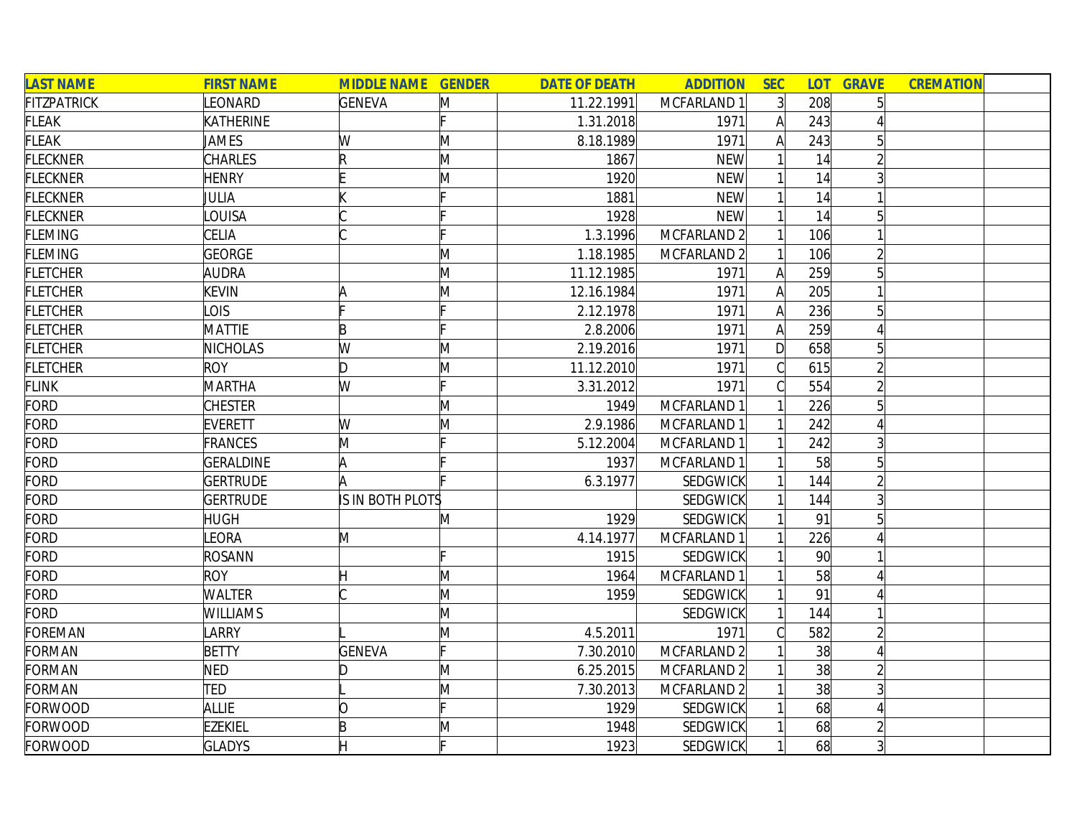| <b>LAST NAME</b>   | <b>FIRST NAME</b> | <b>MIDDLE NAME GENDER</b> |   | <b>DATE OF DEATH</b> | <b>ADDITION</b> | <b>SEC</b>     | LOT <sub>1</sub> | <b>GRAVE</b>    | <b>CREMATION</b> |  |
|--------------------|-------------------|---------------------------|---|----------------------|-----------------|----------------|------------------|-----------------|------------------|--|
| <b>FITZPATRICK</b> | LEONARD           | <b>GENEVA</b>             | M | 11.22.1991           | MCFARLAND 1     | 3 <sup>1</sup> | 208              |                 |                  |  |
| <b>FLEAK</b>       | KATHERINE         |                           |   | 1.31.2018            | 1971            | A              | 243              |                 |                  |  |
| <b>FLEAK</b>       | JAMES             | W                         | M | 8.18.1989            | 1971            | A              | 243              | 5               |                  |  |
| <b>FLECKNER</b>    | <b>CHARLES</b>    | R                         | M | 1867                 | <b>NEW</b>      |                | 14               |                 |                  |  |
| <b>FLECKNER</b>    | <b>HENRY</b>      |                           | Μ | 1920                 | <b>NEW</b>      |                | 14               |                 |                  |  |
| <b>FLECKNER</b>    | JULIA             |                           |   | 1881                 | <b>NEW</b>      |                | 14               |                 |                  |  |
| <b>FLECKNER</b>    | LOUISA            |                           |   | 1928                 | <b>NEW</b>      |                | 14               | $5\overline{)}$ |                  |  |
| <b>FLEMING</b>     | CELIA             |                           |   | 1.3.1996             | MCFARLAND 2     |                | 106              |                 |                  |  |
| <b>FLEMING</b>     | <b>GEORGE</b>     |                           | M | 1.18.1985            | MCFARLAND 2     |                | 106              |                 |                  |  |
| <b>FLETCHER</b>    | AUDRA             |                           | M | 11.12.1985           | 1971            | Α              | 259              |                 |                  |  |
| <b>FLETCHER</b>    | <b>KEVIN</b>      |                           | M | 12.16.1984           | 1971            | A              | 205              |                 |                  |  |
| <b>FLETCHER</b>    | LOIS              |                           |   | 2.12.1978            | 1971            |                | 236              |                 |                  |  |
| <b>FLETCHER</b>    | <b>MATTIE</b>     | B                         |   | 2.8.2006             | 1971            |                | 259              |                 |                  |  |
| <b>FLETCHER</b>    | <b>NICHOLAS</b>   | W                         | M | 2.19.2016            | 1971            | D              | 658              |                 |                  |  |
| <b>FLETCHER</b>    | <b>ROY</b>        | ID.                       | M | 11.12.2010           | 1971            |                | 615              |                 |                  |  |
| <b>FLINK</b>       | <b>MARTHA</b>     | W                         |   | 3.31.2012            | 1971            |                | 554              |                 |                  |  |
| FORD               | <b>CHESTER</b>    |                           | M | 1949                 | MCFARLAND 1     |                | 226              |                 |                  |  |
| FORD               | <b>EVERETT</b>    | W                         | M | 2.9.1986             | MCFARLAND 1     |                | 242              |                 |                  |  |
| FORD               | <b>FRANCES</b>    | M                         |   | 5.12.2004            | MCFARLAND 1     |                | 242              |                 |                  |  |
| <b>FORD</b>        | <b>GERALDINE</b>  | A                         |   | 1937                 | MCFARLAND 1     |                | 58               | 5               |                  |  |
| <b>FORD</b>        | <b>GERTRUDE</b>   | A                         |   | 6.3.1977             | SEDGWICK        |                | 144              |                 |                  |  |
| <b>FORD</b>        | <b>GERTRUDE</b>   | IS IN BOTH PLOTS          |   |                      | SEDGWICK        |                | 144              |                 |                  |  |
| <b>FORD</b>        | <b>HUGH</b>       |                           | M | 1929                 | <b>SEDGWICK</b> |                | 91               |                 |                  |  |
| <b>FORD</b>        | LEORA             | M                         |   | 4.14.1977            | MCFARLAND 1     |                | 226              |                 |                  |  |
| FORD               | ROSANN            |                           |   | 1915                 | <b>SEDGWICK</b> |                | 90 <sub>l</sub>  |                 |                  |  |
| FORD               | <b>ROY</b>        |                           | M | 1964                 | MCFARLAND 1     |                | 58               |                 |                  |  |
| FORD               | <b>WALTER</b>     |                           | M | 1959                 | <b>SEDGWICK</b> |                | 91               |                 |                  |  |
| FORD               | <b>WILLIAMS</b>   |                           | M |                      | SEDGWICK        |                | 144              |                 |                  |  |
| <b>FOREMAN</b>     | LARRY             |                           | M | 4.5.2011             | 1971            |                | 582              |                 |                  |  |
| <b>FORMAN</b>      | <b>BETTY</b>      | <b>GENEVA</b>             |   | 7.30.2010            | MCFARLAND 2     |                | 38               |                 |                  |  |
| <b>FORMAN</b>      | <b>NED</b>        | ID.                       | M | 6.25.2015            | MCFARLAND 2     |                | 38               |                 |                  |  |
| <b>FORMAN</b>      | TED               |                           | M | 7.30.2013            | MCFARLAND 2     |                | 38               |                 |                  |  |
| <b>FORWOOD</b>     | <b>ALLIE</b>      | Ŋ                         |   | 1929                 | SEDGWICK        |                | 68               |                 |                  |  |
| <b>FORWOOD</b>     | <b>EZEKIEL</b>    | B                         | Μ | 1948                 | SEDGWICK        |                | 68               |                 |                  |  |
| FORWOOD            | <b>GLADYS</b>     |                           |   | 1923                 | <b>SEDGWICK</b> |                | 68               | $\overline{3}$  |                  |  |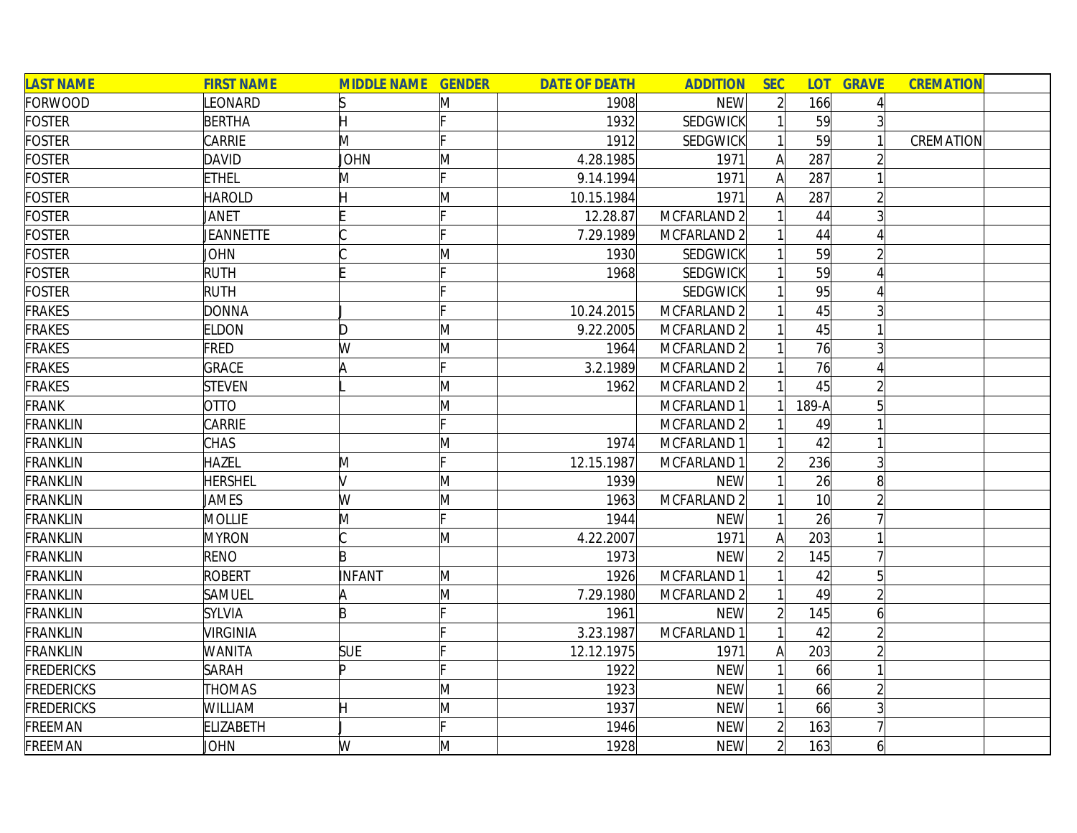| <b>LAST NAME</b>  | <b>FIRST NAME</b> | <b>MIDDLE NAME GENDER</b> |    | <b>DATE OF DEATH</b> | <b>ADDITION</b> | <b>SEC</b>     |                 | <b>LOT GRAVE</b> | <b>CREMATION</b> |  |
|-------------------|-------------------|---------------------------|----|----------------------|-----------------|----------------|-----------------|------------------|------------------|--|
| FORWOOD           | LEONARD           |                           | M  | 1908                 | <b>NEW</b>      | $\overline{2}$ | 166             | 4                |                  |  |
| <b>FOSTER</b>     | <b>BERTHA</b>     | H                         |    | 1932                 | <b>SEDGWICK</b> |                | 59              | $\overline{3}$   |                  |  |
| <b>FOSTER</b>     | CARRIE            | M                         |    | 1912                 | <b>SEDGWICK</b> |                | 59              | $\mathbf{1}$     | CREMATION        |  |
| <b>FOSTER</b>     | <b>DAVID</b>      | <b>JOHN</b>               | M  | 4.28.1985            | 1971            | $\mathsf{A}$   | 287             |                  |                  |  |
| <b>FOSTER</b>     | <b>ETHEL</b>      | M                         |    | 9.14.1994            | 1971            | A              | 287             |                  |                  |  |
| <b>FOSTER</b>     | <b>HAROLD</b>     | Η                         | M  | 10.15.1984           | 1971            | A              | 287             | $\overline{2}$   |                  |  |
| <b>FOSTER</b>     | JANET             |                           |    | 12.28.87             | MCFARLAND 2     |                | 44              | 3                |                  |  |
| <b>FOSTER</b>     | JEANNETTE         |                           |    | 7.29.1989            | MCFARLAND 2     |                | 44              | Δ                |                  |  |
| <b>FOSTER</b>     | JOHN              |                           | M  | 1930                 | <b>SEDGWICK</b> |                | 59              | $\overline{2}$   |                  |  |
| <b>FOSTER</b>     | <b>RUTH</b>       |                           |    | 1968                 | <b>SEDGWICK</b> |                | 59              |                  |                  |  |
| <b>FOSTER</b>     | <b>RUTH</b>       |                           |    |                      | <b>SEDGWICK</b> |                | 95              |                  |                  |  |
| <b>FRAKES</b>     | <b>DONNA</b>      |                           |    | 10.24.2015           | MCFARLAND 2     |                | 45              |                  |                  |  |
| <b>FRAKES</b>     | <b>ELDON</b>      | D                         | M  | 9.22.2005            | MCFARLAND 2     |                | 45              |                  |                  |  |
| <b>FRAKES</b>     | <b>FRED</b>       | W                         | M  | 1964                 | MCFARLAND 2     |                | 76              | 3 <sup>l</sup>   |                  |  |
| <b>FRAKES</b>     | <b>GRACE</b>      |                           |    | 3.2.1989             | MCFARLAND 2     |                | 76              |                  |                  |  |
| <b>FRAKES</b>     | <b>STEVEN</b>     |                           | M  | 1962                 | MCFARLAND 2     |                | 45              |                  |                  |  |
| <b>FRANK</b>      | <b>OTTO</b>       |                           | M  |                      | MCFARLAND 1     |                | $189-A$         | $5\overline{)}$  |                  |  |
| <b>FRANKLIN</b>   | CARRIE            |                           |    |                      | MCFARLAND 2     |                | 49              |                  |                  |  |
| <b>FRANKLIN</b>   | <b>CHAS</b>       |                           | M  | 1974                 | MCFARLAND 1     |                | 42              |                  |                  |  |
| <b>FRANKLIN</b>   | <b>HAZEL</b>      | M                         | E. | 12.15.1987           | MCFARLAND 1     |                | 236             | $\overline{3}$   |                  |  |
| <b>FRANKLIN</b>   | <b>HERSHEL</b>    | $\sqrt{}$                 | M  | 1939                 | <b>NEW</b>      |                | 26              | 8                |                  |  |
| <b>FRANKLIN</b>   | JAMES             | W                         | M  | 1963                 | MCFARLAND 2     |                | 10 <sup>1</sup> |                  |                  |  |
| <b>FRANKLIN</b>   | <b>MOLLIE</b>     | M                         | L. | 1944                 | <b>NEW</b>      |                | 26              |                  |                  |  |
| <b>FRANKLIN</b>   | <b>MYRON</b>      |                           | M  | 4.22.2007            | 1971            | A              | 203             |                  |                  |  |
| <b>FRANKLIN</b>   | RENO              | B                         |    | 1973                 | <b>NEW</b>      | $\overline{2}$ | 145             |                  |                  |  |
| <b>FRANKLIN</b>   | <b>ROBERT</b>     | INFANT                    | M  | 1926                 | MCFARLAND 1     |                | 42              | 5 <sup>1</sup>   |                  |  |
| <b>FRANKLIN</b>   | SAMUEL            | A                         | M  | 7.29.1980            | MCFARLAND 2     |                | 49              | $\overline{2}$   |                  |  |
| <b>FRANKLIN</b>   | <b>SYLVIA</b>     | B                         |    | 1961                 | <b>NEW</b>      |                | 145             | $\overline{6}$   |                  |  |
| <b>FRANKLIN</b>   | <b>VIRGINIA</b>   |                           |    | 3.23.1987            | MCFARLAND 1     |                | 42              | $\overline{2}$   |                  |  |
| <b>FRANKLIN</b>   | <b>WANITA</b>     | <b>SUE</b>                |    | 12.12.1975           | 1971            | A              | 203             | $\overline{2}$   |                  |  |
| <b>FREDERICKS</b> | <b>SARAH</b>      | ID                        |    | 1922                 | <b>NEW</b>      |                | 66              | $\overline{1}$   |                  |  |
| <b>FREDERICKS</b> | <b>THOMAS</b>     |                           | M  | 1923                 | <b>NEW</b>      |                | 66              | $\overline{2}$   |                  |  |
| <b>FREDERICKS</b> | WILLIAM           |                           | M  | 1937                 | <b>NEW</b>      |                | 66              |                  |                  |  |
| FREEMAN           | <b>ELIZABETH</b>  |                           |    | 1946                 | <b>NEW</b>      | $\overline{2}$ | 163             |                  |                  |  |
| FREEMAN           | JOHN              | W                         | M  | 1928                 | <b>NEW</b>      | $\overline{2}$ | 163             | $\overline{6}$   |                  |  |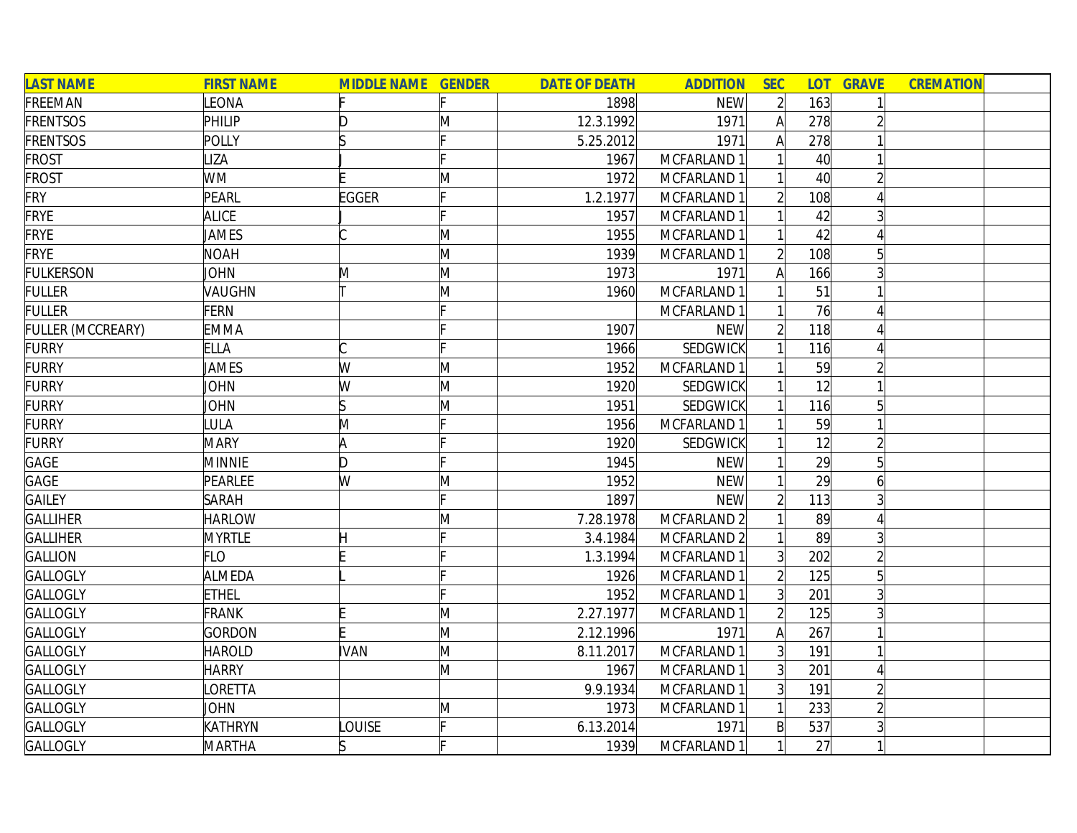| <b>LAST NAME</b>  | <b>FIRST NAME</b> | <b>MIDDLE NAME GENDER</b> |              | <b>DATE OF DEATH</b> | <b>ADDITION</b>        | <b>SEC</b>     |                 | <b>LOT GRAVE</b> | <b>CREMATION</b> |
|-------------------|-------------------|---------------------------|--------------|----------------------|------------------------|----------------|-----------------|------------------|------------------|
| FREEMAN           | LEONA             |                           |              | 1898                 | <b>NEW</b>             | $\overline{2}$ | 163             |                  |                  |
| <b>FRENTSOS</b>   | PHILIP            | D                         | M            | 12.3.1992            | 1971                   | $\mathsf{A}$   | 278             |                  |                  |
| <b>FRENTSOS</b>   | POLLY             |                           |              | 5.25.2012            | 1971                   | $\mathsf{A}$   | 278             |                  |                  |
| <b>FROST</b>      | <b>IZA</b>        |                           |              | 1967                 | MCFARLAND 1            |                | 40 <sup>°</sup> |                  |                  |
| <b>FROST</b>      | <b>WM</b>         |                           | M            | 1972                 | MCFARLAND 1            |                | 40 <sup>°</sup> |                  |                  |
| <b>FRY</b>        | PEARL             | EGGER                     |              | 1.2.1977             | MCFARLAND 1            |                | 108             |                  |                  |
| <b>FRYE</b>       | <b>ALICE</b>      |                           |              | 1957                 | MCFARLAND 1            |                | 42              |                  |                  |
| <b>FRYE</b>       | JAMES             |                           | M            | 1955                 | MCFARLAND 1            |                | 42              |                  |                  |
| <b>FRYE</b>       | <b>NOAH</b>       |                           | M            | 1939                 | MCFARLAND 1            | $\overline{2}$ | 108             | 5                |                  |
| <b>FULKERSON</b>  | JOHN              | M                         | M            | 1973                 | 1971                   | $\mathsf{A}$   | 166             |                  |                  |
| <b>FULLER</b>     | VAUGHN            |                           | M            | 1960                 | MCFARLAND 1            |                | 51              |                  |                  |
| <b>FULLER</b>     | <b>FERN</b>       |                           |              |                      | MCFARLAND 1            |                | 76              |                  |                  |
| FULLER (MCCREARY) | <b>EMMA</b>       |                           |              | 1907                 | <b>NEW</b>             | $\overline{2}$ | 118             |                  |                  |
| <b>FURRY</b>      | <b>ELLA</b>       |                           |              | 1966                 | SEDGWICK               |                | 116             |                  |                  |
| <b>FURRY</b>      | JAMES             | W                         | M            | 1952                 | MCFARLAND 1            |                | 59              |                  |                  |
| <b>FURRY</b>      | <b>JOHN</b>       | W                         | M            | 1920                 | SEDGWICK               |                | 12              |                  |                  |
| <b>FURRY</b>      | <b>JOHN</b>       |                           | $\mathsf{M}$ | 1951                 | SEDGWICK               |                | 116             |                  |                  |
| <b>FURRY</b>      | <b>ULA</b>        | M                         |              | 1956                 | MCFARLAND 1            |                | 59              |                  |                  |
| <b>FURRY</b>      | <b>MARY</b>       | A                         |              | 1920                 | <b>SEDGWICK</b>        |                | 12              |                  |                  |
| GAGE              | <b>MINNIE</b>     | D                         |              | 1945                 | <b>NEW</b>             |                | 29              | 5                |                  |
| GAGE              | PEARLEE           | W                         | M            | 1952                 | <b>NEW</b>             |                | 29              |                  |                  |
| <b>GAILEY</b>     | <b>SARAH</b>      |                           |              | 1897                 | <b>NEW</b>             | $\overline{2}$ | 113             |                  |                  |
| <b>GALLIHER</b>   | <b>HARLOW</b>     |                           | M            | 7.28.1978            | MCFARLAND <sub>2</sub> |                | 89              |                  |                  |
| <b>GALLIHER</b>   | <b>MYRTLE</b>     |                           |              | 3.4.1984             | MCFARLAND <sub>2</sub> |                | 89              |                  |                  |
| <b>GALLION</b>    | <b>FLO</b>        |                           |              | 1.3.1994             | MCFARLAND 1            | 3 <sup>1</sup> | 202             |                  |                  |
| <b>GALLOGLY</b>   | ALMEDA            |                           |              | 1926                 | MCFARLAND 1            | $\overline{2}$ | 125             | 5                |                  |
| <b>GALLOGLY</b>   | <b>ETHEL</b>      |                           |              | 1952                 | MCFARLAND 1            | $\overline{3}$ | 201             |                  |                  |
| <b>GALLOGLY</b>   | <b>FRANK</b>      |                           | $\mathsf{M}$ | 2.27.1977            | MCFARLAND 1            |                | 125             |                  |                  |
| <b>GALLOGLY</b>   | <b>GORDON</b>     |                           | M            | 2.12.1996            | 1971                   | A              | 267             |                  |                  |
| <b>GALLOGLY</b>   | <b>HAROLD</b>     | <b>IVAN</b>               | M            | 8.11.2017            | MCFARLAND 1            | 3 <sup>1</sup> | 191             |                  |                  |
| <b>GALLOGLY</b>   | <b>HARRY</b>      |                           | M            | 1967                 | MCFARLAND 1            | 3 <sup>1</sup> | 201             |                  |                  |
| <b>GALLOGLY</b>   | <b>ORETTA</b>     |                           |              | 9.9.1934             | MCFARLAND 1            | $\overline{3}$ | 191             |                  |                  |
| <b>GALLOGLY</b>   | JOHN              |                           | M            | 1973                 | MCFARLAND 1            |                | 233             |                  |                  |
| GALLOGLY          | KATHRYN           | <b>OUISE</b>              | ⊩            | 6.13.2014            | 1971                   | $\mathsf{B}$   | 537             |                  |                  |
| <b>GALLOGLY</b>   | <b>MARTHA</b>     |                           |              | 1939                 | MCFARLAND 1            |                | 27              |                  |                  |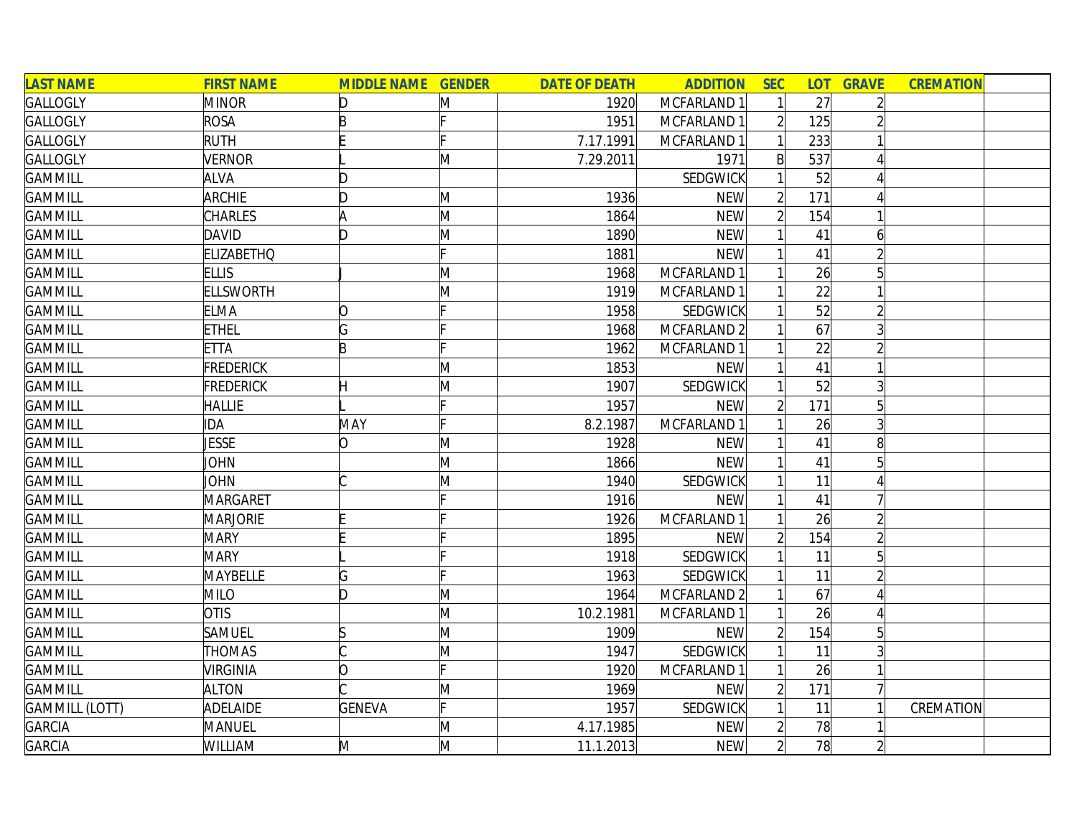| <b>LAST NAME</b>      | <b>FIRST NAME</b> | <b>MIDDLE NAME GENDER</b> |   | <b>DATE OF DEATH</b> | <b>ADDITION</b>        | <b>SEC</b>     |     | <b>LOT GRAVE</b> | <b>CREMATION</b> |
|-----------------------|-------------------|---------------------------|---|----------------------|------------------------|----------------|-----|------------------|------------------|
| <b>GALLOGLY</b>       | <b>MINOR</b>      | D                         | Μ | 1920                 | MCFARLAND 1            |                | 27  |                  |                  |
| GALLOGLY              | <b>ROSA</b>       | B                         |   | 1951                 | MCFARLAND 1            | $\overline{2}$ | 125 |                  |                  |
| <b>GALLOGLY</b>       | <b>RUTH</b>       |                           |   | 7.17.1991            | MCFARLAND 1            |                | 233 |                  |                  |
| <b>GALLOGLY</b>       | <b>VERNOR</b>     |                           | M | 7.29.2011            | 1971                   | $\mathsf{B}$   | 537 |                  |                  |
| <b>GAMMILL</b>        | <b>ALVA</b>       | D                         |   |                      | SEDGWICK               |                | 52  |                  |                  |
| <b>GAMMILL</b>        | <b>ARCHIE</b>     | D                         | M | 1936                 | <b>NEW</b>             | $\overline{2}$ | 171 |                  |                  |
| <b>GAMMILL</b>        | <b>CHARLES</b>    | A                         | M | 1864                 | <b>NEW</b>             | $\overline{2}$ | 154 |                  |                  |
| <b>GAMMILL</b>        | DAVID             | ID.                       | M | 1890                 | <b>NEW</b>             |                | 41  | 61               |                  |
| <b>GAMMILL</b>        | <b>ELIZABETHO</b> |                           |   | 1881                 | <b>NEW</b>             |                | 41  |                  |                  |
| <b>GAMMILL</b>        | <b>ELLIS</b>      |                           | M | 1968                 | MCFARLAND 1            |                | 26  |                  |                  |
| <b>GAMMILL</b>        | <b>ELLSWORTH</b>  |                           | Μ | 1919                 | MCFARLAND 1            |                | 22  |                  |                  |
| <b>GAMMILL</b>        | <b>ELMA</b>       | 0                         |   | 1958                 | SEDGWICK               |                | 52  |                  |                  |
| <b>GAMMILL</b>        | <b>ETHEL</b>      | G                         |   | 1968                 | MCFARLAND <sub>2</sub> |                | 67  |                  |                  |
| <b>GAMMILL</b>        | <b>ETTA</b>       | B                         |   | 1962                 | MCFARLAND 1            |                | 22  |                  |                  |
| <b>GAMMILL</b>        | <b>FREDERICK</b>  |                           | M | 1853                 | <b>NEW</b>             |                | 41  |                  |                  |
| <b>GAMMILL</b>        | <b>FREDERICK</b>  | H                         | M | 1907                 | SEDGWICK               |                | 52  | 3                |                  |
| <b>GAMMILL</b>        | <b>HALLIE</b>     |                           |   | 1957                 | <b>NEW</b>             |                | 171 | 5                |                  |
| <b>GAMMILL</b>        | <b>IDA</b>        | MAY                       |   | 8.2.1987             | MCFARLAND 1            |                | 26  | $\overline{3}$   |                  |
| <b>GAMMILL</b>        | <b>JESSE</b>      | lO.                       | M | 1928                 | <b>NEW</b>             |                | 41  | 8 <sup>1</sup>   |                  |
| <b>GAMMILL</b>        | JOHN              |                           | M | 1866                 | <b>NEW</b>             |                | 41  | 5                |                  |
| <b>GAMMILL</b>        | JOHN              |                           | M | 1940                 | SEDGWICK               |                | 11  |                  |                  |
| <b>GAMMILL</b>        | MARGARET          |                           |   | 1916                 | <b>NEW</b>             |                | 41  |                  |                  |
| <b>GAMMILL</b>        | <b>MARJORIE</b>   |                           |   | 1926                 | MCFARLAND 1            |                | 26  |                  |                  |
| <b>GAMMILL</b>        | <b>MARY</b>       |                           |   | 1895                 | <b>NEW</b>             |                | 154 |                  |                  |
| <b>GAMMILL</b>        | <b>MARY</b>       |                           |   | 1918                 | SEDGWICK               |                | 11  |                  |                  |
| <b>GAMMILL</b>        | MAYBELLE          | G                         |   | 1963                 | SEDGWICK               |                | 11  |                  |                  |
| <b>GAMMILL</b>        | <b>MILO</b>       | D                         | M | 1964                 | MCFARLAND <sub>2</sub> |                | 67  |                  |                  |
| <b>GAMMILL</b>        | <b>OTIS</b>       |                           | M | 10.2.1981            | MCFARLAND 1            |                | 26  |                  |                  |
| <b>GAMMILL</b>        | <b>SAMUEL</b>     | ß                         | M | 1909                 | <b>NEW</b>             |                | 154 |                  |                  |
| <b>GAMMILL</b>        | THOMAS            |                           | M | 1947                 | <b>SEDGWICK</b>        |                | 11  |                  |                  |
| <b>GAMMILL</b>        | <b>VIRGINIA</b>   | O                         |   | 1920                 | MCFARLAND 1            |                | 26  |                  |                  |
| <b>GAMMILL</b>        | <b>ALTON</b>      |                           | M | 1969                 | <b>NEW</b>             |                | 171 |                  |                  |
| <b>GAMMILL (LOTT)</b> | ADELAIDE          | <b>GENEVA</b>             |   | 1957                 | SEDGWICK               |                | 11  |                  | CREMATION        |
| <b>GARCIA</b>         | MANUEL            |                           | M | 4.17.1985            | <b>NEW</b>             |                | 78  |                  |                  |
| <b>GARCIA</b>         | WILLIAM           | M                         | M | 11.1.2013            | <b>NEW</b>             | $\overline{2}$ | 78  |                  |                  |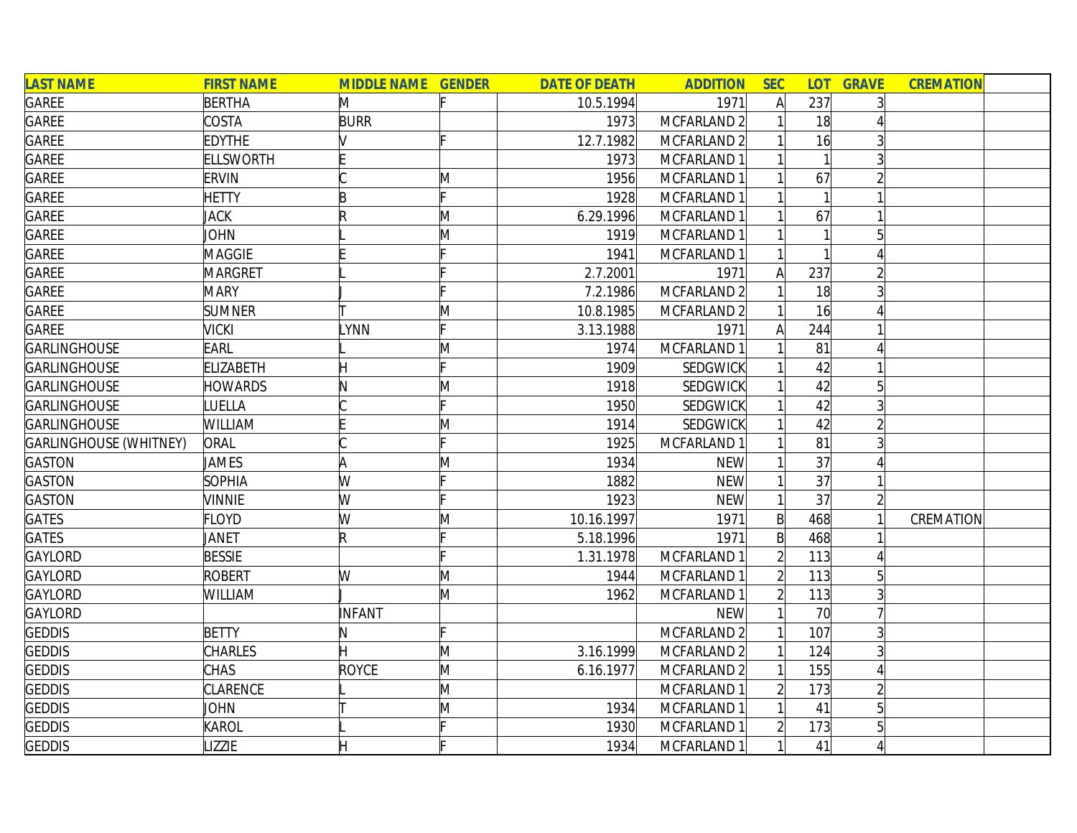| <b>LAST NAME</b>              | <b>FIRST NAME</b> | <b>MIDDLE NAME GENDER</b> |              | <b>DATE OF DEATH</b> | <b>ADDITION</b>        | <b>SEC</b>   | <b>LOT</b> | <b>GRAVE</b>   | <b>CREMATION</b> |
|-------------------------------|-------------------|---------------------------|--------------|----------------------|------------------------|--------------|------------|----------------|------------------|
| GAREE                         | <b>BERTHA</b>     | M                         |              | 10.5.1994            | 1971                   | $\mathsf{A}$ | 237        |                |                  |
| <b>GAREE</b>                  | COSTA             | <b>BURR</b>               |              | 1973                 | MCFARLAND 2            |              | 18         |                |                  |
| <b>GAREE</b>                  | <b>EDYTHE</b>     |                           |              | 12.7.1982            | MCFARLAND 2            |              | 16         |                |                  |
| <b>GAREE</b>                  | <b>ELLSWORTH</b>  |                           |              | 1973                 | MCFARLAND 1            |              |            |                |                  |
| <b>GAREE</b>                  | <b>ERVIN</b>      |                           | M            | 1956                 | MCFARLAND 1            |              | 67         |                |                  |
| <b>GAREE</b>                  | <b>HETTY</b>      | B                         |              | 1928                 | MCFARLAND 1            |              |            |                |                  |
| GAREE                         | <b>JACK</b>       | R                         | M            | 6.29.1996            | MCFARLAND 1            |              | 67         |                |                  |
| <b>GAREE</b>                  | JOHN              |                           | M            | 1919                 | MCFARLAND 1            |              |            |                |                  |
| GAREE                         | <b>MAGGIE</b>     |                           |              | 1941                 | MCFARLAND 1            |              |            |                |                  |
| <b>GAREE</b>                  | <b>MARGRET</b>    |                           |              | 2.7.2001             | 1971                   | Α            | 237        |                |                  |
| GAREE                         | <b>MARY</b>       |                           |              | 7.2.1986             | MCFARLAND <sub>2</sub> |              | 18         |                |                  |
| <b>GAREE</b>                  | <b>SUMNER</b>     |                           | M            | 10.8.1985            | MCFARLAND 2            |              | 16         |                |                  |
| <b>GAREE</b>                  | VICKI             | LYNN                      |              | 3.13.1988            | 1971                   | Al           | 244        |                |                  |
| <b>GARLINGHOUSE</b>           | EARL              |                           | $\mathsf{M}$ | 1974                 | MCFARLAND 1            |              | 81         |                |                  |
| <b>GARLINGHOUSE</b>           | <b>ELIZABETH</b>  |                           |              | 1909                 | SEDGWICK               |              | 42         |                |                  |
| <b>GARLINGHOUSE</b>           | <b>HOWARDS</b>    |                           | $\mathsf{M}$ | 1918                 | SEDGWICK               |              | 42         |                |                  |
| <b>GARLINGHOUSE</b>           | <b>UELLA</b>      |                           |              | 1950                 | SEDGWICK               |              | 42         |                |                  |
| <b>GARLINGHOUSE</b>           | <b>WILLIAM</b>    |                           | M            | 1914                 | SEDGWICK               |              | 42         |                |                  |
| <b>GARLINGHOUSE (WHITNEY)</b> | ORAL              |                           |              | 1925                 | MCFARLAND 1            |              | 81         |                |                  |
| <b>GASTON</b>                 | JAMES             |                           | M            | 1934                 | <b>NEW</b>             |              | 37         |                |                  |
| <b>GASTON</b>                 | <b>SOPHIA</b>     | W                         |              | 1882                 | <b>NEW</b>             |              | 37         |                |                  |
| GASTON                        | <b>VINNIE</b>     | W                         |              | 1923                 | <b>NEW</b>             |              | 37         |                |                  |
| <b>GATES</b>                  | <b>FLOYD</b>      | W                         | M            | 10.16.1997           | 1971                   | B            | 468        |                | CREMATION        |
| <b>GATES</b>                  | JANET             | R                         |              | 5.18.1996            | 1971                   | $\mathsf{B}$ | 468        |                |                  |
| <b>GAYLORD</b>                | <b>BESSIE</b>     |                           |              | 1.31.1978            | MCFARLAND 1            |              | 113        |                |                  |
| <b>GAYLORD</b>                | <b>ROBERT</b>     | W                         | M            | 1944                 | MCFARLAND 1            |              | 113        |                |                  |
| <b>GAYLORD</b>                | WILLIAM           |                           | M            | 1962                 | MCFARLAND 1            |              | 113        |                |                  |
| <b>GAYLORD</b>                |                   | <b>INFANT</b>             |              |                      | <b>NEW</b>             |              | 70         |                |                  |
| <b>GEDDIS</b>                 | <b>BETTY</b>      | IN.                       |              |                      | MCFARLAND 2            |              | 107        | $\overline{3}$ |                  |
| <b>GEDDIS</b>                 | <b>CHARLES</b>    |                           | M            | 3.16.1999            | MCFARLAND 2            |              | 124        |                |                  |
| <b>GEDDIS</b>                 | <b>CHAS</b>       | ROYCE                     | M            | 6.16.1977            | MCFARLAND <sub>2</sub> |              | 155        |                |                  |
| <b>GEDDIS</b>                 | CLARENCE          |                           | M            |                      | MCFARLAND 1            |              | 173        |                |                  |
| <b>GEDDIS</b>                 | JOHN              |                           | M            | 1934                 | MCFARLAND 1            |              | 41         |                |                  |
| <b>GEDDIS</b>                 | KAROL             |                           |              | 1930                 | MCFARLAND 1            |              | 173        |                |                  |
| <b>GEDDIS</b>                 | <b>IZZIE</b>      |                           |              | 1934                 | MCFARLAND 1            |              | 41         |                |                  |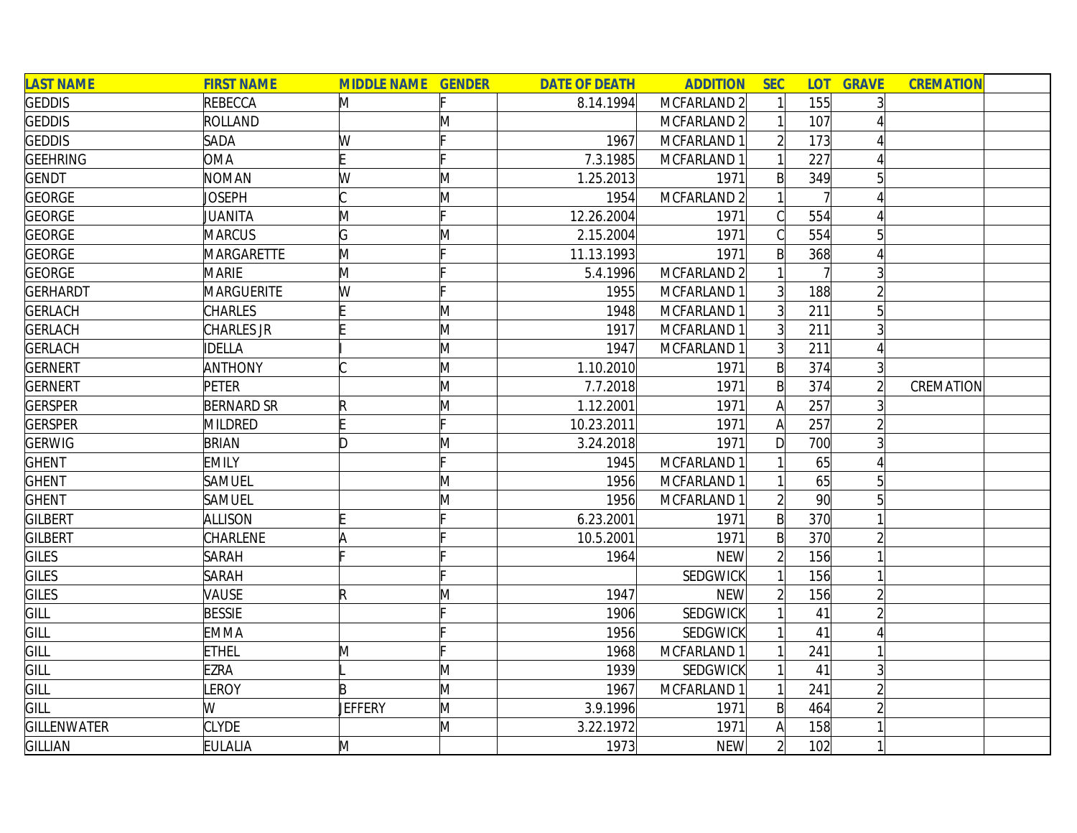| <b>LAST NAME</b>   | <b>FIRST NAME</b> | <b>MIDDLE NAME GENDER</b> |   | <b>DATE OF DEATH</b> | <b>ADDITION</b>        | <b>SEC</b>     |                 | <b>LOT GRAVE</b> | <b>CREMATION</b> |
|--------------------|-------------------|---------------------------|---|----------------------|------------------------|----------------|-----------------|------------------|------------------|
| <b>GEDDIS</b>      | <b>REBECCA</b>    | M                         |   | 8.14.1994            | MCFARLAND 2            |                | 155             |                  |                  |
| <b>GEDDIS</b>      | <b>ROLLAND</b>    |                           | Μ |                      | MCFARLAND <sub>2</sub> |                | 107             |                  |                  |
| <b>GEDDIS</b>      | SADA              | W                         |   | 1967                 | MCFARLAND 1            |                | 173             |                  |                  |
| <b>GEEHRING</b>    | <b>OMA</b>        | F                         |   | 7.3.1985             | MCFARLAND 1            |                | 227             |                  |                  |
| <b>GENDT</b>       | <b>NOMAN</b>      | W                         | M | 1.25.2013            | 1971                   | $\mathsf{B}$   | 349             | 51               |                  |
| <b>GEORGE</b>      | Joseph            |                           | M | 1954                 | MCFARLAND <sub>2</sub> |                |                 |                  |                  |
| <b>GEORGE</b>      | JUANITA           | M                         |   | 12.26.2004           | 1971                   | C              | 554             |                  |                  |
| <b>GEORGE</b>      | <b>MARCUS</b>     | G                         | M | 2.15.2004            | 1971                   |                | 554             | 5                |                  |
| <b>GEORGE</b>      | MARGARETTE        | M                         |   | 11.13.1993           | 1971                   | B              | 368             |                  |                  |
| <b>GEORGE</b>      | <b>MARIE</b>      | M                         |   | 5.4.1996             | MCFARLAND <sub>2</sub> |                |                 |                  |                  |
| GERHARDT           | MARGUERITE        | W                         |   | 1955                 | MCFARLAND 1            | 3 <sup>1</sup> | 188             |                  |                  |
| <b>GERLACH</b>     | <b>CHARLES</b>    |                           | M | 1948                 | MCFARLAND 1            |                | 211             |                  |                  |
| <b>GERLACH</b>     | CHARLES JR        |                           | M | 1917                 | MCFARLAND 1            | $\overline{3}$ | 211             |                  |                  |
| <b>GERLACH</b>     | <b>IDELLA</b>     |                           | M | 1947                 | MCFARLAND 1            | $\overline{3}$ | 211             |                  |                  |
| <b>GERNERT</b>     | <b>ANTHONY</b>    |                           | M | 1.10.2010            | 1971                   | $\mathsf{B}$   | 374             | $\vert 3 \vert$  |                  |
| <b>GERNERT</b>     | <b>PETER</b>      |                           | M | 7.7.2018             | 1971                   | $\mathsf{B}$   | 374             |                  | CREMATION        |
| <b>GERSPER</b>     | <b>BERNARD SR</b> | R                         | M | 1.12.2001            | 1971                   | A              | 257             |                  |                  |
| <b>GERSPER</b>     | MILDRED           |                           |   | 10.23.2011           | 1971                   | A              | 257             |                  |                  |
| <b>GERWIG</b>      | <b>BRIAN</b>      | ID.                       | Μ | 3.24.2018            | 1971                   | $\mathsf{D}$   | 700             |                  |                  |
| <b>GHENT</b>       | <b>EMILY</b>      |                           |   | 1945                 | MCFARLAND 1            |                | 65              | $\Lambda$        |                  |
| <b>GHENT</b>       | <b>SAMUEL</b>     |                           | M | 1956                 | MCFARLAND 1            |                | 65              | 5                |                  |
| <b>GHENT</b>       | <b>SAMUEL</b>     |                           | M | 1956                 | MCFARLAND 1            | $\overline{2}$ | 90 <sup>°</sup> |                  |                  |
| <b>GILBERT</b>     | <b>ALLISON</b>    |                           |   | 6.23.2001            | 1971                   | $\mathsf{B}$   | 370             |                  |                  |
| <b>GILBERT</b>     | <b>CHARLENE</b>   | ۱A                        |   | 10.5.2001            | 1971                   | B              | 370             |                  |                  |
| GILES              | <b>SARAH</b>      |                           |   | 1964                 | <b>NEW</b>             |                | 156             |                  |                  |
| <b>GILES</b>       | <b>SARAH</b>      |                           |   |                      | SEDGWICK               |                | 156             |                  |                  |
| GILES              | <b>VAUSE</b>      | R                         | M | 1947                 | <b>NEW</b>             |                | 156             |                  |                  |
| GILL               | <b>BESSIE</b>     |                           |   | 1906                 | SEDGWICK               |                | 41              |                  |                  |
| GILL               | <b>EMMA</b>       |                           |   | 1956                 | SEDGWICK               |                | 41              |                  |                  |
| GILL               | <b>ETHEL</b>      | M                         |   | 1968                 | MCFARLAND 1            |                | 241             |                  |                  |
| GILL               | <b>EZRA</b>       |                           | M | 1939                 | SEDGWICK               |                | 41              | $\overline{3}$   |                  |
| GILL               | <b>LEROY</b>      | B                         | M | 1967                 | MCFARLAND 1            |                | 241             |                  |                  |
| GILL               | W                 | <b>JEFFERY</b>            | M | 3.9.1996             | 1971                   | $\mathsf{B}$   | 464             |                  |                  |
| <b>GILLENWATER</b> | <b>CLYDE</b>      |                           | M | 3.22.1972            | 1971                   |                | 158             |                  |                  |
| <b>GILLIAN</b>     | <b>EULALIA</b>    | M                         |   | 1973                 | <b>NEW</b>             | $\overline{2}$ | 102             |                  |                  |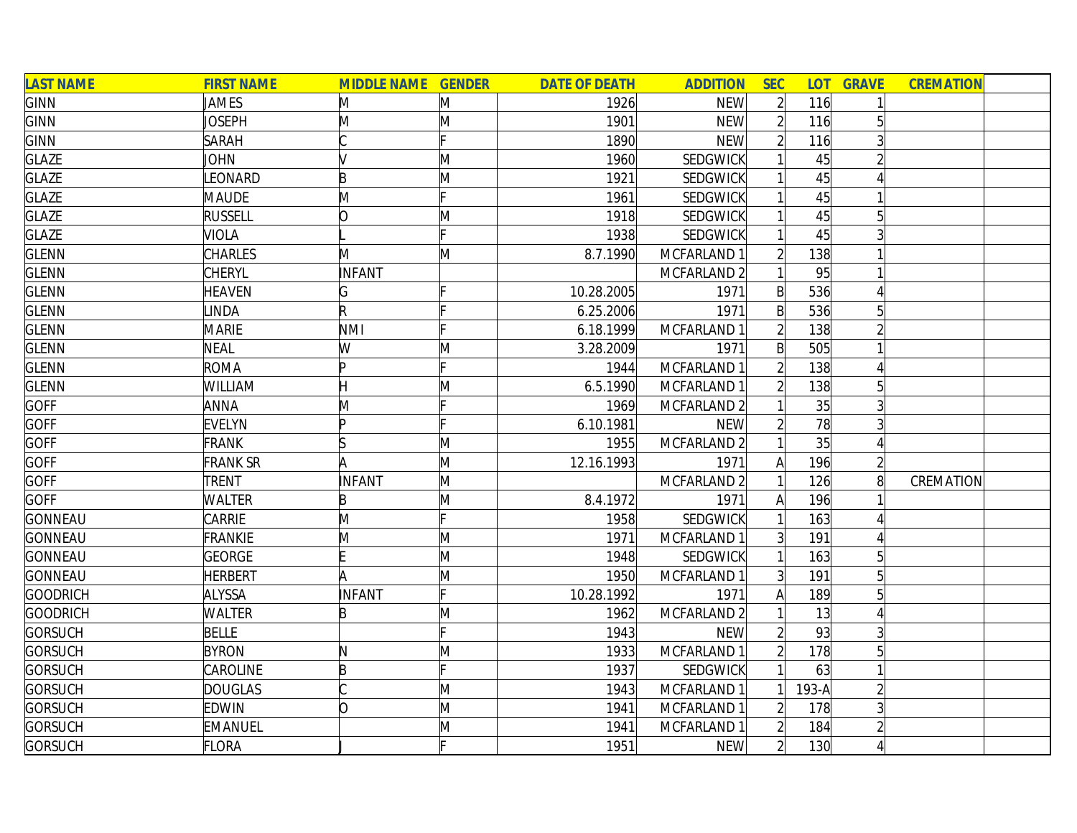| <b>LAST NAME</b> | <b>FIRST NAME</b> | <b>MIDDLE NAME GENDER</b> |   | <b>DATE OF DEATH</b> | <b>ADDITION</b>        | <b>SEC</b>     |         | <b>LOT GRAVE</b> | <b>CREMATION</b> |
|------------------|-------------------|---------------------------|---|----------------------|------------------------|----------------|---------|------------------|------------------|
| <b>GINN</b>      | JAMES             | M                         | M | 1926                 | <b>NEW</b>             | $\overline{2}$ | 116     |                  |                  |
| <b>GINN</b>      | Joseph            | M                         | M | 1901                 | <b>NEW</b>             |                | 116     | 5                |                  |
| <b>GINN</b>      | <b>SARAH</b>      |                           |   | 1890                 | <b>NEW</b>             |                | 116     |                  |                  |
| <b>GLAZE</b>     | JOHN              |                           | M | 1960                 | SEDGWICK               |                | 45      |                  |                  |
| <b>GLAZE</b>     | LEONARD           | B                         | M | 1921                 | SEDGWICK               |                | 45      |                  |                  |
| <b>GLAZE</b>     | <b>MAUDE</b>      | M                         |   | 1961                 | SEDGWICK               |                | 45      |                  |                  |
| <b>GLAZE</b>     | <b>RUSSELL</b>    | lO.                       | M | 1918                 | SEDGWICK               |                | 45      | 5 <sup>1</sup>   |                  |
| <b>GLAZE</b>     | <b>VIOLA</b>      |                           |   | 1938                 | SEDGWICK               |                | 45      |                  |                  |
| <b>GLENN</b>     | <b>CHARLES</b>    | M                         | M | 8.7.1990             | MCFARLAND 1            |                | 138     |                  |                  |
| <b>GLENN</b>     | <b>CHERYL</b>     | <b>INFANT</b>             |   |                      | MCFARLAND <sub>2</sub> |                | 95      |                  |                  |
| <b>GLENN</b>     | <b>HEAVEN</b>     | G                         |   | 10.28.2005           | 1971                   | B              | 536     |                  |                  |
| <b>GLENN</b>     | <b>LINDA</b>      | R                         |   | 6.25.2006            | 1971                   | B              | 536     |                  |                  |
| <b>GLENN</b>     | <b>MARIE</b>      | <b>NMI</b>                |   | 6.18.1999            | MCFARLAND 1            |                | 138     |                  |                  |
| <b>GLENN</b>     | <b>NEAL</b>       | W                         | M | 3.28.2009            | 1971                   | B              | 505     |                  |                  |
| <b>GLENN</b>     | <b>ROMA</b>       | Þ                         |   | 1944                 | MCFARLAND 1            |                | 138     |                  |                  |
| <b>GLENN</b>     | WILLIAM           |                           | M | 6.5.1990             | MCFARLAND 1            |                | 138     | 5                |                  |
| <b>GOFF</b>      | <b>ANNA</b>       | M                         |   | 1969                 | MCFARLAND <sub>2</sub> |                | 35      |                  |                  |
| <b>GOFF</b>      | <b>EVELYN</b>     | Þ                         |   | 6.10.1981            | <b>NEW</b>             |                | 78      |                  |                  |
| <b>GOFF</b>      | <b>FRANK</b>      |                           | Μ | 1955                 | MCFARLAND 2            |                | 35      |                  |                  |
| <b>GOFF</b>      | <b>FRANK SR</b>   | A                         | M | 12.16.1993           | 1971                   | A              | 196     |                  |                  |
| <b>GOFF</b>      | TRENT             | INFANT                    | M |                      | MCFARLAND 2            |                | 126     | 8 <sup>1</sup>   | CREMATION        |
| <b>GOFF</b>      | <b>WALTER</b>     | B                         | M | 8.4.1972             | 1971                   | Α              | 196     |                  |                  |
| <b>GONNEAU</b>   | CARRIE            | M                         |   | 1958                 | SEDGWICK               |                | 163     |                  |                  |
| <b>GONNEAU</b>   | FRANKIE           | M                         | M | 1971                 | MCFARLAND 1            |                | 191     |                  |                  |
| <b>GONNEAU</b>   | GEORGE            |                           | M | 1948                 | SEDGWICK               |                | 163     | 5                |                  |
| <b>GONNEAU</b>   | <b>HERBERT</b>    | A                         | M | 1950                 | MCFARLAND 1            | 3 <sup>l</sup> | 191     | 5                |                  |
| <b>GOODRICH</b>  | <b>ALYSSA</b>     | INFANT                    |   | 10.28.1992           | 1971                   | A              | 189     |                  |                  |
| <b>GOODRICH</b>  | <b>WALTER</b>     | B                         | Μ | 1962                 | MCFARLAND <sub>2</sub> |                | 13      |                  |                  |
| <b>GORSUCH</b>   | <b>BELLE</b>      |                           |   | 1943                 | <b>NEW</b>             |                | 93      |                  |                  |
| <b>GORSUCH</b>   | <b>BYRON</b>      | N                         | M | 1933                 | MCFARLAND 1            | $\overline{2}$ | 178     | 5 <sup>1</sup>   |                  |
| <b>GORSUCH</b>   | CAROLINE          | B                         |   | 1937                 | SEDGWICK               |                | 63      |                  |                  |
| <b>GORSUCH</b>   | <b>DOUGLAS</b>    |                           | M | 1943                 | MCFARLAND 1            |                | $193-A$ |                  |                  |
| <b>GORSUCH</b>   | <b>EDWIN</b>      | O                         | M | 1941                 | MCFARLAND 1            |                | 178     |                  |                  |
| <b>GORSUCH</b>   | <b>EMANUEL</b>    |                           | Μ | 1941                 | MCFARLAND 1            |                | 184     |                  |                  |
| <b>GORSUCH</b>   | FLORA             |                           |   | 1951                 | <b>NEW</b>             | $\overline{2}$ | 130     |                  |                  |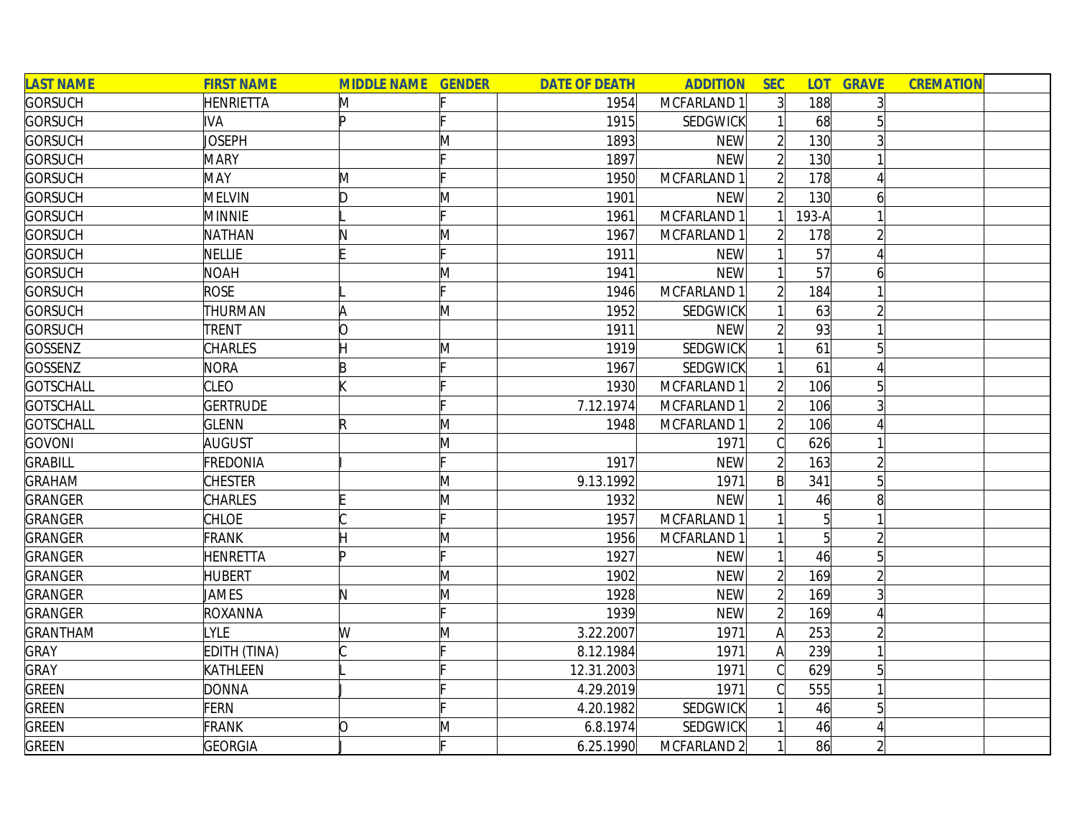| <b>LAST NAME</b> | <b>FIRST NAME</b> | <b>MIDDLE NAME GENDER</b> |   | <b>DATE OF DEATH</b> | <b>ADDITION</b> | <b>SEC</b>     | <b>LOT</b>     | <b>GRAVE</b>   | <b>CREMATION</b> |
|------------------|-------------------|---------------------------|---|----------------------|-----------------|----------------|----------------|----------------|------------------|
| <b>GORSUCH</b>   | <b>HENRIETTA</b>  | M                         |   | 1954                 | MCFARLAND 1     | 3 <sup>1</sup> | 188            |                |                  |
| <b>GORSUCH</b>   | <b>IVA</b>        | Þ                         |   | 1915                 | SEDGWICK        |                | 68             |                |                  |
| <b>GORSUCH</b>   | JOSEPH            |                           | M | 1893                 | <b>NEW</b>      |                | 130            |                |                  |
| <b>GORSUCH</b>   | <b>MARY</b>       |                           |   | 1897                 | <b>NEW</b>      | $\overline{2}$ | 130            |                |                  |
| <b>GORSUCH</b>   | <b>MAY</b>        | M                         |   | 1950                 | MCFARLAND 1     | $\overline{2}$ | 178            |                |                  |
| <b>GORSUCH</b>   | <b>MELVIN</b>     | ID.                       | M | 1901                 | <b>NEW</b>      | $\overline{2}$ | 130            | 6              |                  |
| <b>GORSUCH</b>   | <b>MINNIE</b>     |                           |   | 1961                 | MCFARLAND 1     |                | 193-A          |                |                  |
| <b>GORSUCH</b>   | <b>NATHAN</b>     |                           | M | 1967                 | MCFARLAND 1     |                | 178            |                |                  |
| <b>GORSUCH</b>   | <b>NELLIE</b>     |                           |   | 1911                 | <b>NEW</b>      |                | 57             |                |                  |
| <b>GORSUCH</b>   | <b>NOAH</b>       |                           | Μ | 1941                 | <b>NEW</b>      |                | 57             | 6              |                  |
| <b>GORSUCH</b>   | <b>ROSE</b>       |                           |   | 1946                 | MCFARLAND 1     |                | 184            |                |                  |
| <b>GORSUCH</b>   | <b>THURMAN</b>    | A                         | M | 1952                 | SEDGWICK        |                | 63             |                |                  |
| <b>GORSUCH</b>   | TRENT             | 0                         |   | 1911                 | <b>NEW</b>      |                | 93             |                |                  |
| <b>GOSSENZ</b>   | <b>CHARLES</b>    |                           | M | 1919                 | SEDGWICK        |                | 61             | $\overline{5}$ |                  |
| <b>GOSSENZ</b>   | <b>NORA</b>       | B                         |   | 1967                 | SEDGWICK        |                | 61             |                |                  |
| <b>GOTSCHALL</b> | <b>CLEO</b>       |                           |   | 1930                 | MCFARLAND 1     |                | 106            | 51             |                  |
| <b>GOTSCHALL</b> | <b>GERTRUDE</b>   |                           |   | 7.12.1974            | MCFARLAND 1     |                | 106            |                |                  |
| <b>GOTSCHALL</b> | <b>GLENN</b>      | R                         | M | 1948                 | MCFARLAND 1     | $\overline{2}$ | 106            |                |                  |
| <b>GOVONI</b>    | AUGUST            |                           | Μ |                      | 1971            |                | 626            |                |                  |
| <b>GRABILL</b>   | FREDONIA          |                           |   | 1917                 | <b>NEW</b>      |                | 163            |                |                  |
| <b>GRAHAM</b>    | <b>CHESTER</b>    |                           | M | 9.13.1992            | 1971            | B              | 341            | 5              |                  |
| <b>GRANGER</b>   | <b>CHARLES</b>    |                           | Μ | 1932                 | <b>NEW</b>      |                | 46             | 8              |                  |
| <b>GRANGER</b>   | <b>CHLOE</b>      |                           |   | 1957                 | MCFARLAND 1     |                | 5              |                |                  |
| <b>GRANGER</b>   | <b>FRANK</b>      | Η                         | M | 1956                 | MCFARLAND 1     |                | $\overline{5}$ |                |                  |
| <b>GRANGER</b>   | <b>HENRETTA</b>   | In                        |   | 1927                 | <b>NEW</b>      |                | 46             | 5 <sup>1</sup> |                  |
| <b>GRANGER</b>   | <b>HUBERT</b>     |                           | M | 1902                 | <b>NEW</b>      |                | 169            |                |                  |
| <b>GRANGER</b>   | JAMES             | N                         | M | 1928                 | <b>NEW</b>      |                | 169            | 3              |                  |
| <b>GRANGER</b>   | ROXANNA           |                           |   | 1939                 | <b>NEW</b>      | $\overline{2}$ | 169            |                |                  |
| <b>GRANTHAM</b>  | LYLE              | W                         | M | 3.22.2007            | 1971            | A              | 253            |                |                  |
| <b>GRAY</b>      | EDITH (TINA)      |                           |   | 8.12.1984            | 1971            | A              | 239            |                |                  |
| <b>GRAY</b>      | <b>KATHLEEN</b>   |                           |   | 12.31.2003           | 1971            |                | 629            | 5              |                  |
| <b>GREEN</b>     | <b>DONNA</b>      |                           |   | 4.29.2019            | 1971            |                | 555            |                |                  |
| <b>GREEN</b>     | FERN              |                           |   | 4.20.1982            | SEDGWICK        |                | 46             | 5              |                  |
| <b>GREEN</b>     | <b>FRANK</b>      | 0                         | M | 6.8.1974             | SEDGWICK        |                | 46             |                |                  |
| <b>GREEN</b>     | GEORGIA           |                           |   | 6.25.1990            | MCFARLAND 2     |                | 86             |                |                  |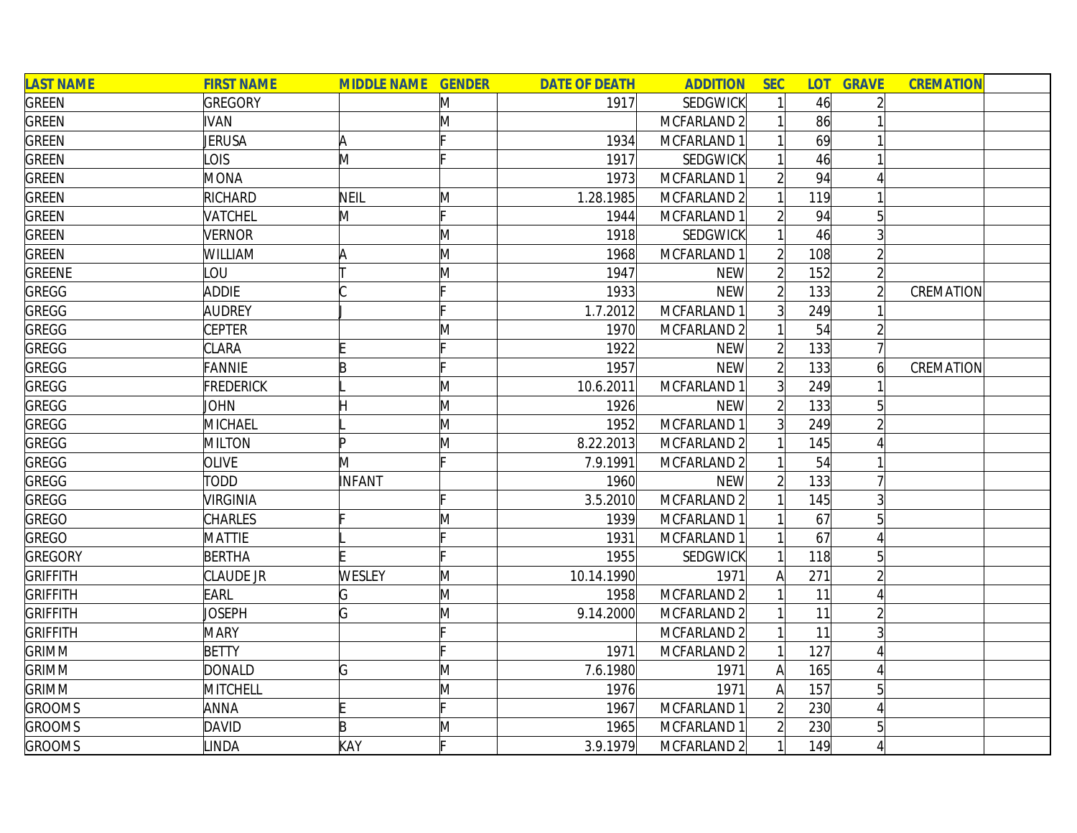| <b>LAST NAME</b> | <b>FIRST NAME</b> | <b>MIDDLE NAME GENDER</b> |   | <b>DATE OF DEATH</b> | <b>ADDITION</b>        | <b>SEC</b>     | <b>LOT</b> | <b>GRAVE</b>   | <b>CREMATION</b> |
|------------------|-------------------|---------------------------|---|----------------------|------------------------|----------------|------------|----------------|------------------|
| <b>GREEN</b>     | <b>GREGORY</b>    |                           | M | 1917                 | SEDGWICK               |                | 46         |                |                  |
| <b>GREEN</b>     | <b>IVAN</b>       |                           | M |                      | MCFARLAND 2            |                | 86         |                |                  |
| <b>GREEN</b>     | <b>JERUSA</b>     | A                         |   | 1934                 | MCFARLAND 1            |                | 69         |                |                  |
| <b>GREEN</b>     | <b>LOIS</b>       | M                         |   | 1917                 | SEDGWICK               |                | 46         |                |                  |
| <b>GREEN</b>     | <b>MONA</b>       |                           |   | 1973                 | MCFARLAND 1            |                | 94         |                |                  |
| <b>GREEN</b>     | RICHARD           | NEIL                      | M | 1.28.1985            | MCFARLAND 2            |                | 119        |                |                  |
| <b>GREEN</b>     | VATCHEL           | M                         |   | 1944                 | MCFARLAND 1            | $\overline{2}$ | 94         | 5 <sup>1</sup> |                  |
| <b>GREEN</b>     | <b>VERNOR</b>     |                           | M | 1918                 | SEDGWICK               |                | 46         |                |                  |
| <b>GREEN</b>     | <b>WILLIAM</b>    | ΙA                        | M | 1968                 | MCFARLAND 1            |                | 108        |                |                  |
| GREENE           | LOU               |                           | Μ | 1947                 | <b>NEW</b>             |                | 152        |                |                  |
| GREGG            | <b>ADDIE</b>      |                           |   | 1933                 | <b>NEW</b>             |                | 133        |                | CREMATION        |
| GREGG            | <b>AUDREY</b>     |                           |   | 1.7.2012             | MCFARLAND 1            |                | 249        |                |                  |
| GREGG            | <b>CEPTER</b>     |                           | M | 1970                 | MCFARLAND <sub>2</sub> |                | 54         |                |                  |
| <b>GREGG</b>     | <b>CLARA</b>      |                           |   | 1922                 | <b>NEW</b>             |                | 133        |                |                  |
| <b>GREGG</b>     | <b>FANNIE</b>     | B                         |   | 1957                 | <b>NEW</b>             |                | 133        |                | CREMATION        |
| <b>GREGG</b>     | <b>FREDERICK</b>  |                           | M | 10.6.2011            | MCFARLAND 1            | $\overline{3}$ | 249        |                |                  |
| <b>GREGG</b>     | JOHN              |                           | M | 1926                 | <b>NEW</b>             |                | 133        | 5              |                  |
| GREGG            | MICHAEL           |                           | M | 1952                 | MCFARLAND 1            | 3 <sup>1</sup> | 249        |                |                  |
| <b>GREGG</b>     | <b>MILTON</b>     | Þ                         | Μ | 8.22.2013            | MCFARLAND 2            |                | 145        |                |                  |
| <b>GREGG</b>     | <b>OLIVE</b>      | M                         |   | 7.9.1991             | MCFARLAND 2            |                | 54         |                |                  |
| <b>GREGG</b>     | <b>TODD</b>       | INFANT                    |   | 1960                 | <b>NEW</b>             |                | 133        |                |                  |
| GREGG            | <b>VIRGINIA</b>   |                           |   | 3.5.2010             | MCFARLAND 2            |                | 145        |                |                  |
| <b>GREGO</b>     | <b>CHARLES</b>    |                           | M | 1939                 | MCFARLAND 1            |                | 67         |                |                  |
| <b>GREGO</b>     | <b>MATTIE</b>     |                           |   | 1931                 | MCFARLAND 1            |                | 67         |                |                  |
| <b>GREGORY</b>   | <b>BERTHA</b>     |                           |   | 1955                 | SEDGWICK               |                | 118        | 5              |                  |
| <b>GRIFFITH</b>  | CLAUDE JR         | <b>WESLEY</b>             | M | 10.14.1990           | 1971                   | А              | 271        |                |                  |
| <b>GRIFFITH</b>  | EARL              | G                         | M | 1958                 | MCFARLAND <sub>2</sub> |                | 11         |                |                  |
| <b>GRIFFITH</b>  | JOSEPH            | G                         | Μ | 9.14.2000            | MCFARLAND 2            |                | 11         |                |                  |
| <b>GRIFFITH</b>  | <b>MARY</b>       |                           |   |                      | MCFARLAND <sub>2</sub> |                | 11         |                |                  |
| <b>GRIMM</b>     | <b>BETTY</b>      |                           |   | 1971                 | MCFARLAND <sub>2</sub> |                | 127        |                |                  |
| <b>GRIMM</b>     | DONALD            | G                         | M | 7.6.1980             | 1971                   | A              | 165        |                |                  |
| <b>GRIMM</b>     | MITCHELL          |                           | M | 1976                 | 1971                   | A              | 157        | 5              |                  |
| <b>GROOMS</b>    | <b>ANNA</b>       |                           |   | 1967                 | MCFARLAND 1            | $\overline{2}$ | 230        |                |                  |
| <b>GROOMS</b>    | <b>DAVID</b>      | B                         | M | 1965                 | MCFARLAND 1            |                | 230        | 5              |                  |
| <b>GROOMS</b>    | <b>LINDA</b>      | KAY                       |   | 3.9.1979             | MCFARLAND <sub>2</sub> |                | 149        |                |                  |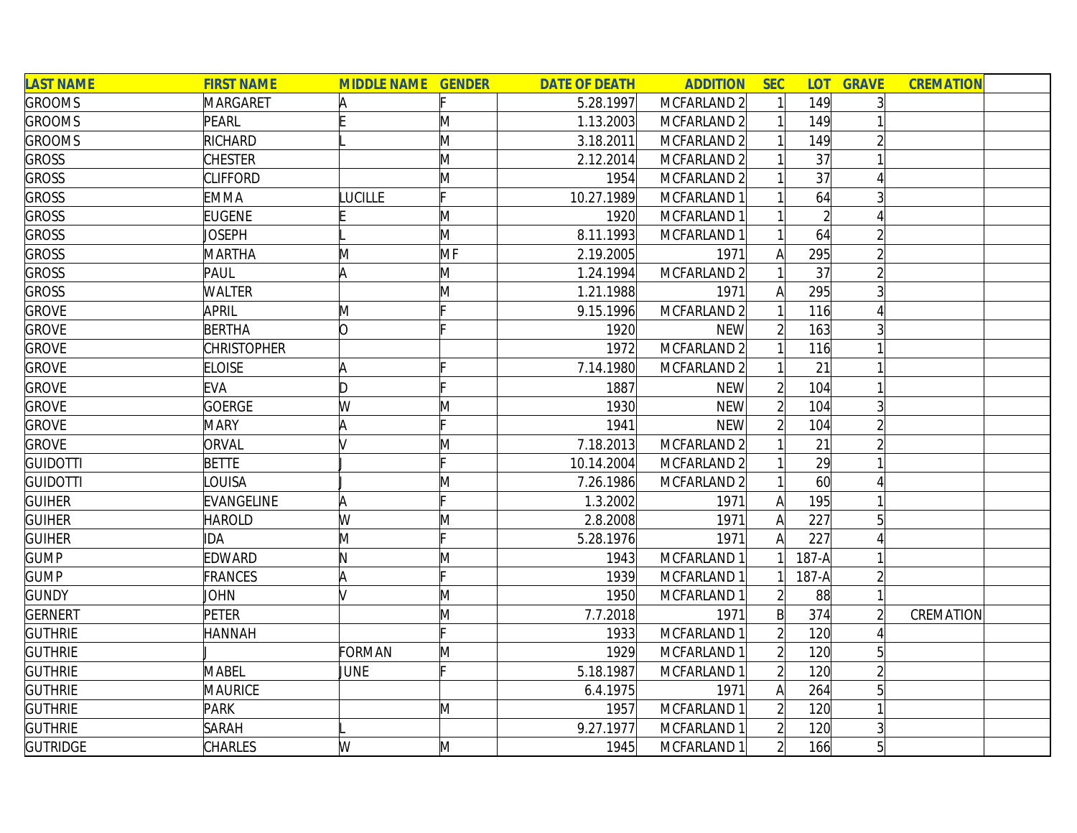| <b>LAST NAME</b> | <b>FIRST NAME</b>  | <b>MIDDLE NAME GENDER</b> |     | <b>DATE OF DEATH</b> | <b>ADDITION</b>        | <b>SEC</b>     | LOT <sub>1</sub> | <b>GRAVE</b>    | <b>CREMATION</b> |  |
|------------------|--------------------|---------------------------|-----|----------------------|------------------------|----------------|------------------|-----------------|------------------|--|
| <b>GROOMS</b>    | MARGARET           | A                         |     | 5.28.1997            | MCFARLAND 2            |                | 149              |                 |                  |  |
| <b>GROOMS</b>    | PEARL              |                           | M   | 1.13.2003            | MCFARLAND 2            |                | 149              |                 |                  |  |
| <b>GROOMS</b>    | RICHARD            |                           | M   | 3.18.2011            | MCFARLAND 2            |                | 149              |                 |                  |  |
| <b>GROSS</b>     | <b>CHESTER</b>     |                           | M   | 2.12.2014            | MCFARLAND <sub>2</sub> |                | 37               |                 |                  |  |
| <b>GROSS</b>     | <b>CLIFFORD</b>    |                           | M   | 1954                 | MCFARLAND 2            |                | 37               |                 |                  |  |
| <b>GROSS</b>     | <b>EMMA</b>        | LUCILLE                   |     | 10.27.1989           | MCFARLAND 1            |                | 64               |                 |                  |  |
| <b>GROSS</b>     | <b>EUGENE</b>      |                           | M   | 1920                 | MCFARLAND 1            |                | $\overline{2}$   |                 |                  |  |
| <b>GROSS</b>     | JOSEPH             |                           | M   | 8.11.1993            | MCFARLAND 1            |                | 64               |                 |                  |  |
| <b>GROSS</b>     | <b>MARTHA</b>      | M                         | MF  | 2.19.2005            | 1971                   | $\mathsf{A}$   | 295              |                 |                  |  |
| <b>GROSS</b>     | PAUL               | A                         | M   | 1.24.1994            | MCFARLAND 2            |                | 37               |                 |                  |  |
| <b>GROSS</b>     | WALTER             |                           | M   | 1.21.1988            | 1971                   | Α              | 295              |                 |                  |  |
| <b>GROVE</b>     | <b>APRIL</b>       | M                         |     | 9.15.1996            | MCFARLAND <sub>2</sub> |                | 116              |                 |                  |  |
| <b>GROVE</b>     | <b>BERTHA</b>      | O                         |     | 1920                 | <b>NEW</b>             |                | 163              |                 |                  |  |
| <b>GROVE</b>     | <b>CHRISTOPHER</b> |                           |     | 1972                 | MCFARLAND 2            |                | 116              |                 |                  |  |
| <b>GROVE</b>     | <b>ELOISE</b>      | A                         |     | 7.14.1980            | MCFARLAND 2            |                | 21               |                 |                  |  |
| <b>GROVE</b>     | <b>EVA</b>         | D                         |     | 1887                 | <b>NEW</b>             |                | 104              |                 |                  |  |
| <b>GROVE</b>     | <b>GOERGE</b>      | W                         | M   | 1930                 | <b>NEW</b>             |                | 104              |                 |                  |  |
| <b>GROVE</b>     | <b>MARY</b>        | A                         |     | 1941                 | <b>NEW</b>             | $\overline{2}$ | 104              |                 |                  |  |
| <b>GROVE</b>     | ORVAL              |                           | M   | 7.18.2013            | MCFARLAND 2            |                | 21               |                 |                  |  |
| <b>GUIDOTTI</b>  | <b>BETTE</b>       |                           |     | 10.14.2004           | MCFARLAND 2            |                | 29               |                 |                  |  |
| <b>GUIDOTTI</b>  | <b>OUISA</b>       |                           | M   | 7.26.1986            | MCFARLAND 2            |                | 60               |                 |                  |  |
| <b>GUIHER</b>    | EVANGELINE         | A                         |     | 1.3.2002             | 1971                   | $\mathsf{A}$   | 195              |                 |                  |  |
| <b>GUIHER</b>    | <b>HAROLD</b>      | W                         | M   | 2.8.2008             | 1971                   | A              | 227              |                 |                  |  |
| <b>GUIHER</b>    | DA                 | M                         |     | 5.28.1976            | 1971                   | A              | 227              |                 |                  |  |
| <b>GUMP</b>      | <b>EDWARD</b>      | N                         | M   | 1943                 | MCFARLAND 1            |                | $187-A$          |                 |                  |  |
| <b>GUMP</b>      | FRANCES            | A                         | lc. | 1939                 | MCFARLAND 1            |                | $187-A$          |                 |                  |  |
| <b>GUNDY</b>     | <b>JOHN</b>        |                           | M   | 1950                 | MCFARLAND 1            |                | 88               |                 |                  |  |
| <b>GERNERT</b>   | PETER              |                           | M   | 7.7.2018             | 1971                   | $\mathsf{B}$   | 374              |                 | CREMATION        |  |
| <b>GUTHRIE</b>   | HANNAH             |                           |     | 1933                 | MCFARLAND 1            | $\overline{2}$ | 120              |                 |                  |  |
| <b>GUTHRIE</b>   |                    | FORMAN                    | M   | 1929                 | MCFARLAND 1            | $\overline{2}$ | 120              | 5               |                  |  |
| <b>GUTHRIE</b>   | <b>MABEL</b>       | JUNE                      | IE. | 5.18.1987            | MCFARLAND 1            | $\overline{2}$ | 120              |                 |                  |  |
| <b>GUTHRIE</b>   | <b>MAURICE</b>     |                           |     | 6.4.1975             | 1971                   | A              | 264              | 5               |                  |  |
| <b>GUTHRIE</b>   | <b>PARK</b>        |                           | M   | 1957                 | MCFARLAND 1            | $\overline{2}$ | 120              |                 |                  |  |
| <b>GUTHRIE</b>   | <b>SARAH</b>       |                           |     | 9.27.1977            | MCFARLAND 1            | $\overline{2}$ | 120              |                 |                  |  |
| <b>GUTRIDGE</b>  | <b>CHARLES</b>     | W                         | M   | 1945                 | MCFARLAND 1            | $\overline{2}$ | 166              | $5\overline{)}$ |                  |  |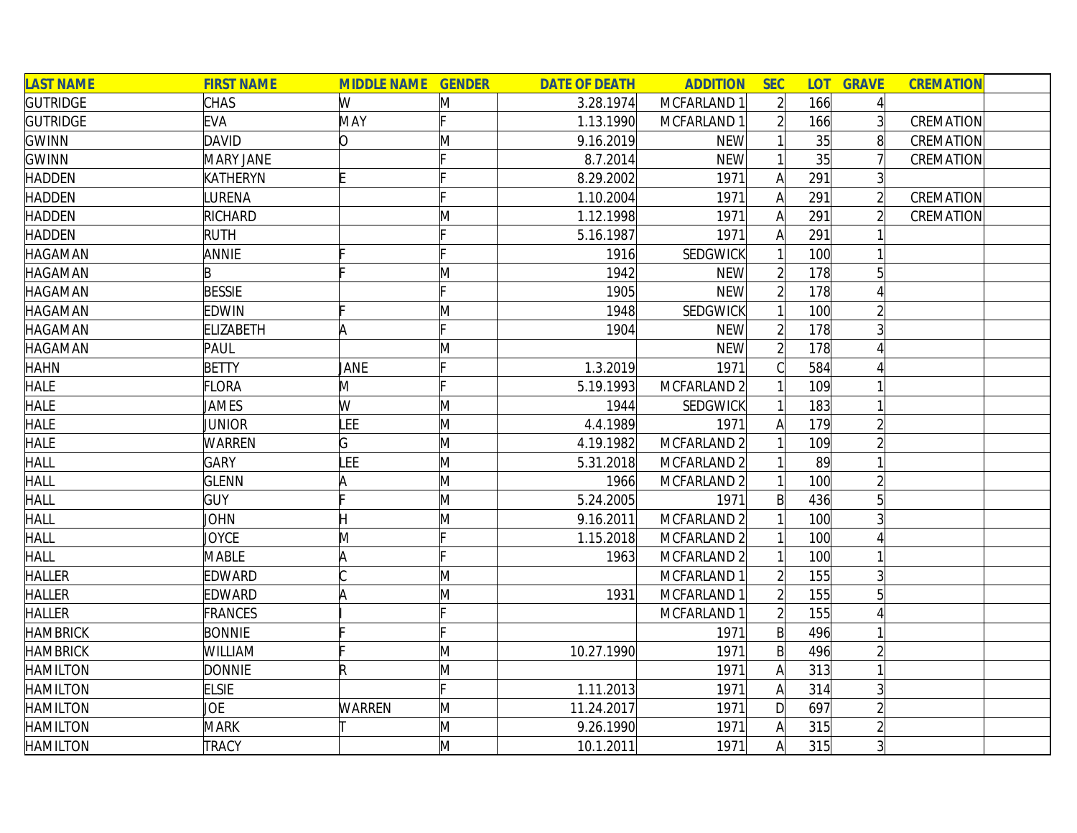| <b>LAST NAME</b> | <b>FIRST NAME</b> | <b>MIDDLE NAME GENDER</b> |   | <b>DATE OF DEATH</b> | <b>ADDITION</b>        | <b>SEC</b>     | <b>LOT</b> | <b>GRAVE</b>    | <b>CREMATION</b> |
|------------------|-------------------|---------------------------|---|----------------------|------------------------|----------------|------------|-----------------|------------------|
| <b>GUTRIDGE</b>  | <b>CHAS</b>       | W                         | M | 3.28.1974            | MCFARLAND 1            | $\overline{2}$ | 166        | $\vert$         |                  |
| <b>GUTRIDGE</b>  | <b>EVA</b>        | MAY                       |   | 1.13.1990            | MCFARLAND 1            |                | 166        | $\vert 3 \vert$ | CREMATION        |
| <b>GWINN</b>     | <b>DAVID</b>      | lO.                       | M | 9.16.2019            | <b>NEW</b>             |                | 35         | 8               | CREMATION        |
| <b>GWINN</b>     | MARY JANE         |                           |   | 8.7.2014             | <b>NEW</b>             |                | 35         |                 | CREMATION        |
| <b>HADDEN</b>    | <b>KATHERYN</b>   |                           |   | 8.29.2002            | 1971                   | A              | 291        | $\overline{3}$  |                  |
| <b>HADDEN</b>    | LURENA            |                           |   | 1.10.2004            | 1971                   | A              | 291        | $\overline{2}$  | CREMATION        |
| <b>HADDEN</b>    | <b>RICHARD</b>    |                           | Μ | 1.12.1998            | 1971                   | A              | 291        | $\overline{2}$  | CREMATION        |
| <b>HADDEN</b>    | <b>RUTH</b>       |                           |   | 5.16.1987            | 1971                   | А              | 291        |                 |                  |
| <b>HAGAMAN</b>   | <b>ANNIE</b>      |                           |   | 1916                 | SEDGWICK               |                | 100        |                 |                  |
| HAGAMAN          | B                 |                           | M | 1942                 | <b>NEW</b>             |                | 178        |                 |                  |
| <b>HAGAMAN</b>   | <b>BESSIE</b>     |                           |   | 1905                 | <b>NEW</b>             |                | 178        |                 |                  |
| <b>HAGAMAN</b>   | <b>EDWIN</b>      |                           | M | 1948                 | SEDGWICK               |                | 100        |                 |                  |
| <b>HAGAMAN</b>   | <b>ELIZABETH</b>  | A                         |   | 1904                 | <b>NEW</b>             |                | 178        |                 |                  |
| <b>HAGAMAN</b>   | PAUL              |                           | Μ |                      | <b>NEW</b>             |                | 178        |                 |                  |
| <b>HAHN</b>      | <b>BETTY</b>      | JANE                      |   | 1.3.2019             | 1971                   |                | 584        |                 |                  |
| <b>HALE</b>      | <b>FLORA</b>      | M                         |   | 5.19.1993            | MCFARLAND <sub>2</sub> |                | 109        |                 |                  |
| <b>HALE</b>      | JAMES             | W                         | M | 1944                 | SEDGWICK               |                | 183        |                 |                  |
| <b>HALE</b>      | Junior            | LEE                       | M | 4.4.1989             | 1971                   | A              | 179        |                 |                  |
| <b>HALE</b>      | <b>WARREN</b>     | G                         | M | 4.19.1982            | MCFARLAND <sub>2</sub> |                | 109        |                 |                  |
| <b>HALL</b>      | <b>GARY</b>       | LEE                       | M | 5.31.2018            | MCFARLAND 2            |                | 89         |                 |                  |
| <b>HALL</b>      | <b>GLENN</b>      | A                         | M | 1966                 | MCFARLAND <sub>2</sub> |                | 100        |                 |                  |
| <b>HALL</b>      | <b>GUY</b>        |                           | M | 5.24.2005            | 1971                   | $\mathsf{B}$   | 436        | 5               |                  |
| <b>HALL</b>      | <b>JOHN</b>       |                           | M | 9.16.2011            | MCFARLAND 2            |                | 100        |                 |                  |
| <b>HALL</b>      | JOYCE             | M                         |   | 1.15.2018            | MCFARLAND 2            |                | 100        |                 |                  |
| <b>HALL</b>      | <b>MABLE</b>      | A                         |   | 1963                 | MCFARLAND 2            |                | 100        |                 |                  |
| <b>HALLER</b>    | <b>EDWARD</b>     |                           | M |                      | MCFARLAND 1            |                | 155        | 3               |                  |
| <b>HALLER</b>    | <b>EDWARD</b>     | A                         | M | 1931                 | MCFARLAND 1            |                | 155        | 5 <sup>1</sup>  |                  |
| <b>HALLER</b>    | FRANCES           |                           |   |                      | MCFARLAND 1            |                | 155        |                 |                  |
| <b>HAMBRICK</b>  | <b>BONNIE</b>     |                           |   |                      | 1971                   | $\mathsf{B}$   | 496        |                 |                  |
| <b>HAMBRICK</b>  | <b>WILLIAM</b>    |                           | M | 10.27.1990           | 1971                   | $\mathsf{B}$   | 496        |                 |                  |
| <b>HAMILTON</b>  | <b>DONNIE</b>     | R                         | M |                      | 1971                   | A              | 313        |                 |                  |
| <b>HAMILTON</b>  | <b>ELSIE</b>      |                           |   | 1.11.2013            | 1971                   | A              | 314        | $\overline{3}$  |                  |
| <b>HAMILTON</b>  | JOE               | <b>WARREN</b>             | M | 11.24.2017           | 1971                   | $\mathsf{D}$   | 697        |                 |                  |
| <b>HAMILTON</b>  | <b>MARK</b>       |                           | M | 9.26.1990            | 1971                   | Α              | 315        |                 |                  |
| <b>HAMILTON</b>  | <b>TRACY</b>      |                           | M | 10.1.2011            | 1971                   | A              | 315        | $\overline{3}$  |                  |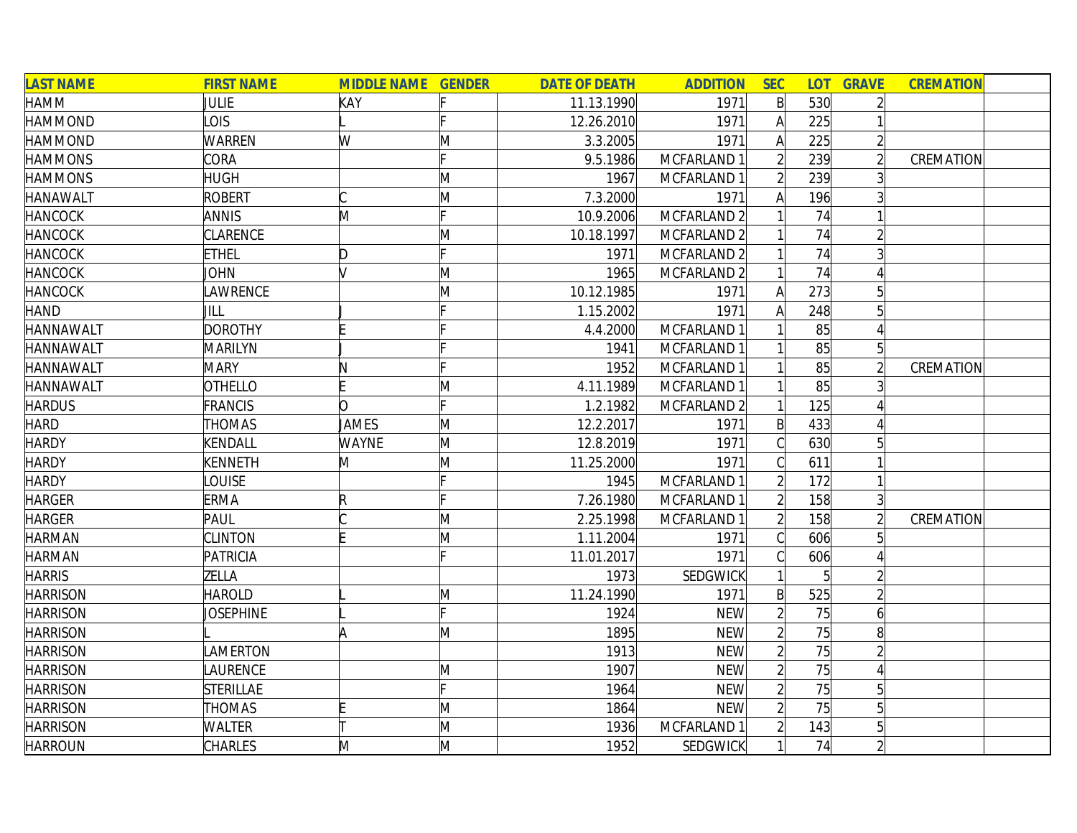| <b>LAST NAME</b> | <b>FIRST NAME</b> | <b>MIDDLE NAME GENDER</b> |   | <b>DATE OF DEATH</b> | <b>ADDITION</b> | <b>SEC</b>   | <b>LOT</b>      | <b>GRAVE</b>   | <b>CREMATION</b> |  |
|------------------|-------------------|---------------------------|---|----------------------|-----------------|--------------|-----------------|----------------|------------------|--|
| HAMM             | <b>JULIE</b>      | KAY                       |   | 11.13.1990           | 1971            | $\mathsf{B}$ | 530             | $\overline{2}$ |                  |  |
| <b>HAMMOND</b>   | LOIS              |                           |   | 12.26.2010           | 1971            | A            | 225             |                |                  |  |
| <b>HAMMOND</b>   | <b>WARREN</b>     | W                         | M | 3.3.2005             | 1971            | Α            | 225             | $\overline{2}$ |                  |  |
| <b>HAMMONS</b>   | CORA              |                           |   | 9.5.1986             | MCFARLAND 1     |              | 239             | $\overline{2}$ | CREMATION        |  |
| <b>HAMMONS</b>   | <b>HUGH</b>       |                           | M | 1967                 | MCFARLAND 1     |              | 239             |                |                  |  |
| <b>HANAWALT</b>  | <b>ROBERT</b>     |                           | M | 7.3.2000             | 1971            | Α            | 196             |                |                  |  |
| <b>HANCOCK</b>   | <b>ANNIS</b>      | M                         |   | 10.9.2006            | MCFARLAND 2     |              | 74              |                |                  |  |
| <b>HANCOCK</b>   | <b>CLARENCE</b>   |                           | M | 10.18.1997           | MCFARLAND 2     |              | 74              |                |                  |  |
| <b>HANCOCK</b>   | <b>ETHEL</b>      | D                         |   | 1971                 | MCFARLAND 2     |              | 74              |                |                  |  |
| <b>HANCOCK</b>   | JOHN              |                           | M | 1965                 | MCFARLAND 2     |              | 74              |                |                  |  |
| <b>HANCOCK</b>   | <b>AWRENCE</b>    |                           | M | 10.12.1985           | 1971            |              | 273             |                |                  |  |
| <b>HAND</b>      | JILL              |                           |   | 1.15.2002            | 1971            |              | 248             |                |                  |  |
| <b>HANNAWALT</b> | <b>DOROTHY</b>    |                           |   | 4.4.2000             | MCFARLAND 1     |              | 85              |                |                  |  |
| <b>HANNAWALT</b> | MARILYN           |                           |   | 1941                 | MCFARLAND 1     |              | 85              | $\overline{5}$ |                  |  |
| <b>HANNAWALT</b> | <b>MARY</b>       |                           |   | 1952                 | MCFARLAND 1     |              | 85              |                | CREMATION        |  |
| <b>HANNAWALT</b> | <b>OTHELLO</b>    |                           | M | 4.11.1989            | MCFARLAND 1     |              | 85              |                |                  |  |
| <b>HARDUS</b>    | <b>FRANCIS</b>    | n                         |   | 1.2.1982             | MCFARLAND 2     |              | 125             |                |                  |  |
| <b>HARD</b>      | <b>THOMAS</b>     | JAMES                     | M | 12.2.2017            | 1971            | $\mathsf{B}$ | 433             |                |                  |  |
| <b>HARDY</b>     | KENDALL           | <b>WAYNE</b>              | M | 12.8.2019            | 1971            |              | 630             | 5 <sup>1</sup> |                  |  |
| <b>HARDY</b>     | <b>KENNETH</b>    | M                         | M | 11.25.2000           | 1971            |              | 611             |                |                  |  |
| <b>HARDY</b>     | <b>OUISE</b>      |                           |   | 1945                 | MCFARLAND 1     |              | 172             |                |                  |  |
| <b>HARGER</b>    | <b>ERMA</b>       | $\mathsf R$               |   | 7.26.1980            | MCFARLAND 1     |              | 158             | $\overline{3}$ |                  |  |
| <b>HARGER</b>    | PAUL              |                           | M | 2.25.1998            | MCFARLAND 1     |              | 158             | $\overline{2}$ | CREMATION        |  |
| <b>HARMAN</b>    | <b>CLINTON</b>    |                           | M | 1.11.2004            | 1971            |              | 606             |                |                  |  |
| <b>HARMAN</b>    | PATRICIA          |                           |   | 11.01.2017           | 1971            |              | 606             |                |                  |  |
| <b>HARRIS</b>    | ZELLA             |                           |   | 1973                 | <b>SEDGWICK</b> |              | $\overline{5}$  | $\overline{2}$ |                  |  |
| <b>HARRISON</b>  | <b>HAROLD</b>     |                           | M | 11.24.1990           | 1971            | $\mathsf{B}$ | 525             |                |                  |  |
| <b>HARRISON</b>  | <b>JOSEPHINE</b>  |                           |   | 1924                 | <b>NEW</b>      |              | 75              | $\overline{6}$ |                  |  |
| <b>HARRISON</b>  |                   |                           | Μ | 1895                 | <b>NEW</b>      |              | 75              | 8              |                  |  |
| <b>HARRISON</b>  | <b>AMERTON</b>    |                           |   | 1913                 | <b>NEW</b>      |              | 75              | $\overline{2}$ |                  |  |
| <b>HARRISON</b>  | LAURENCE          |                           | M | 1907                 | <b>NEW</b>      |              | 75              |                |                  |  |
| <b>HARRISON</b>  | <b>STERILLAE</b>  |                           |   | 1964                 | <b>NEW</b>      |              | $\overline{75}$ | 5 <sup>1</sup> |                  |  |
| <b>HARRISON</b>  | <b>THOMAS</b>     |                           | M | 1864                 | <b>NEW</b>      |              | 75              |                |                  |  |
| <b>HARRISON</b>  | WALTER            |                           | M | 1936                 | MCFARLAND 1     |              | 143             |                |                  |  |
| <b>HARROUN</b>   | <b>CHARLES</b>    | M                         | M | 1952                 | <b>SEDGWICK</b> |              | 74              | $\overline{2}$ |                  |  |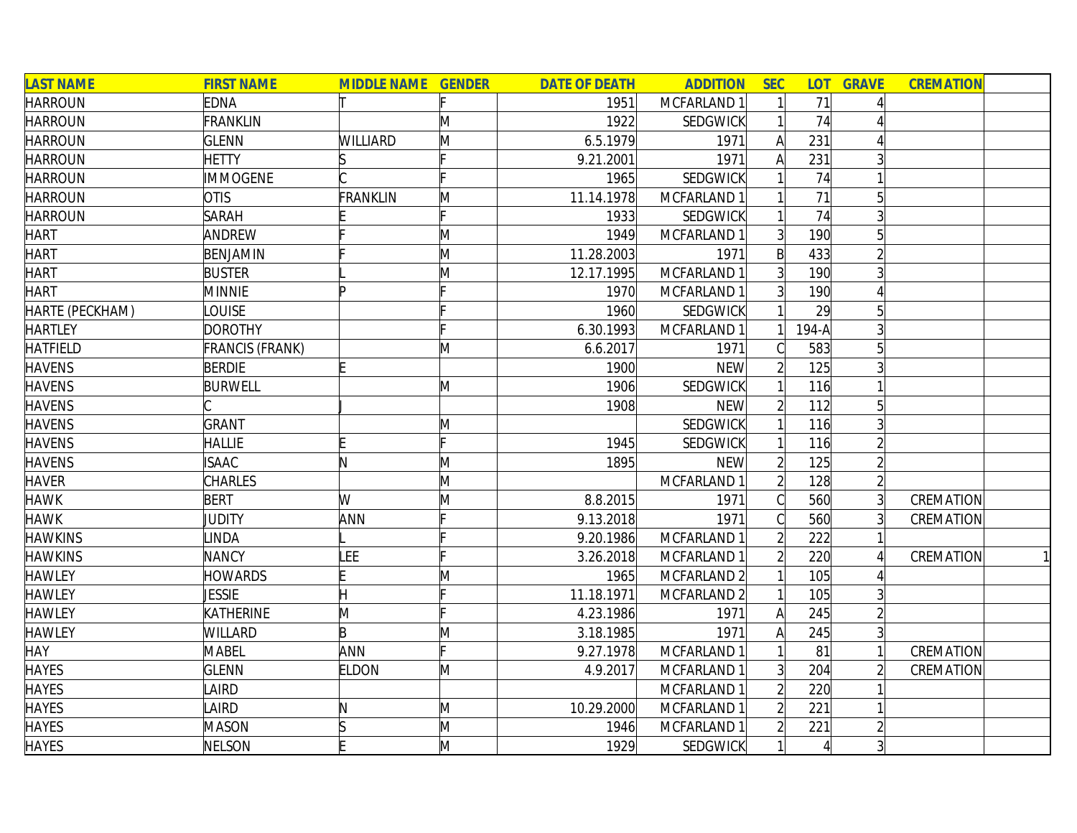| <b>LAST NAME</b> | <b>FIRST NAME</b>      | <b>MIDDLE NAME GENDER</b> |   | <b>DATE OF DEATH</b> | <b>ADDITION</b>        | <b>SEC</b>     | <b>LOT</b> | <b>GRAVE</b>    | <b>CREMATION</b> |
|------------------|------------------------|---------------------------|---|----------------------|------------------------|----------------|------------|-----------------|------------------|
| <b>HARROUN</b>   | <b>EDNA</b>            |                           |   | 1951                 | MCFARLAND 1            |                | 71         |                 |                  |
| <b>HARROUN</b>   | FRANKLIN               |                           | M | 1922                 | SEDGWICK               |                | 74         |                 |                  |
| <b>HARROUN</b>   | <b>GLENN</b>           | WILLIARD                  | M | 6.5.1979             | 1971                   | A              | 231        |                 |                  |
| <b>HARROUN</b>   | <b>HETTY</b>           |                           |   | 9.21.2001            | 1971                   | A              | 231        |                 |                  |
| <b>HARROUN</b>   | <b>IMMOGENE</b>        |                           |   | 1965                 | SEDGWICK               |                | 74         |                 |                  |
| <b>HARROUN</b>   | <b>OTIS</b>            | FRANKLIN                  | M | 11.14.1978           | MCFARLAND 1            |                | 71         | $\overline{5}$  |                  |
| <b>HARROUN</b>   | <b>SARAH</b>           |                           |   | 1933                 | SEDGWICK               |                | 74         | $\overline{3}$  |                  |
| <b>HART</b>      | ANDREW                 |                           | M | 1949                 | MCFARLAND 1            | $\overline{3}$ | 190        | 5               |                  |
| <b>HART</b>      | BENJAMIN               |                           | M | 11.28.2003           | 1971                   | B              | 433        |                 |                  |
| <b>HART</b>      | <b>BUSTER</b>          |                           | Μ | 12.17.1995           | MCFARLAND 1            | $\overline{3}$ | 190        |                 |                  |
| <b>HART</b>      | <b>MINNIE</b>          |                           |   | 1970                 | MCFARLAND 1            | 3 <sup>1</sup> | 190        |                 |                  |
| HARTE (PECKHAM)  | <b>LOUISE</b>          |                           |   | 1960                 | SEDGWICK               |                | 29         |                 |                  |
| <b>HARTLEY</b>   | <b>DOROTHY</b>         |                           |   | 6.30.1993            | MCFARLAND 1            |                | 194-A      |                 |                  |
| <b>HATFIELD</b>  | <b>FRANCIS (FRANK)</b> |                           | M | 6.6.2017             | 1971                   |                | 583        | 5               |                  |
| <b>HAVENS</b>    | <b>BERDIE</b>          |                           |   | 1900                 | <b>NEW</b>             |                | 125        |                 |                  |
| <b>HAVENS</b>    | <b>BURWELL</b>         |                           | M | 1906                 | SEDGWICK               |                | 116        |                 |                  |
| <b>HAVENS</b>    |                        |                           |   | 1908                 | <b>NEW</b>             |                | 112        | 5 <sup>1</sup>  |                  |
| <b>HAVENS</b>    | <b>GRANT</b>           |                           | M |                      | SEDGWICK               |                | 116        |                 |                  |
| <b>HAVENS</b>    | <b>HALLIE</b>          |                           |   | 1945                 | SEDGWICK               |                | 116        |                 |                  |
| <b>HAVENS</b>    | <b>ISAAC</b>           |                           | M | 1895                 | <b>NEW</b>             |                | 125        |                 |                  |
| <b>HAVER</b>     | <b>CHARLES</b>         |                           | M |                      | MCFARLAND 1            |                | 128        |                 |                  |
| <b>HAWK</b>      | <b>BERT</b>            | W                         | M | 8.8.2015             | 1971                   |                | 560        | $\overline{3}$  | CREMATION        |
| <b>HAWK</b>      | JUDITY                 | ANN                       |   | 9.13.2018            | 1971                   |                | 560        |                 | CREMATION        |
| <b>HAWKINS</b>   | LINDA                  |                           |   | 9.20.1986            | MCFARLAND 1            |                | 222        |                 |                  |
| <b>HAWKINS</b>   | <b>NANCY</b>           | LEE                       |   | 3.26.2018            | MCFARLAND 1            |                | 220        |                 | CREMATION        |
| <b>HAWLEY</b>    | <b>HOWARDS</b>         |                           | Μ | 1965                 | MCFARLAND 2            |                | 105        |                 |                  |
| <b>HAWLEY</b>    | <b>JESSIE</b>          | Η                         |   | 11.18.1971           | MCFARLAND <sub>2</sub> |                | 105        |                 |                  |
| <b>HAWLEY</b>    | KATHERINE              | M                         |   | 4.23.1986            | 1971                   | A              | 245        |                 |                  |
| <b>HAWLEY</b>    | <b>WILLARD</b>         | B                         | M | 3.18.1985            | 1971                   | A              | 245        |                 |                  |
| <b>HAY</b>       | <b>MABEL</b>           | ANN                       |   | 9.27.1978            | MCFARLAND 1            |                | 81         |                 | CREMATION        |
| <b>HAYES</b>     | <b>GLENN</b>           | <b>ELDON</b>              | Μ | 4.9.2017             | MCFARLAND 1            | $\overline{3}$ | 204        |                 | CREMATION        |
| <b>HAYES</b>     | LAIRD                  |                           |   |                      | MCFARLAND 1            |                | 220        |                 |                  |
| <b>HAYES</b>     | LAIRD                  | N                         | M | 10.29.2000           | MCFARLAND 1            |                | 221        |                 |                  |
| <b>HAYES</b>     | <b>MASON</b>           |                           | M | 1946                 | MCFARLAND 1            |                | 221        |                 |                  |
| <b>HAYES</b>     | NELSON                 |                           | M | 1929                 | <b>SEDGWICK</b>        |                | $\vert$    | $\vert 3 \vert$ |                  |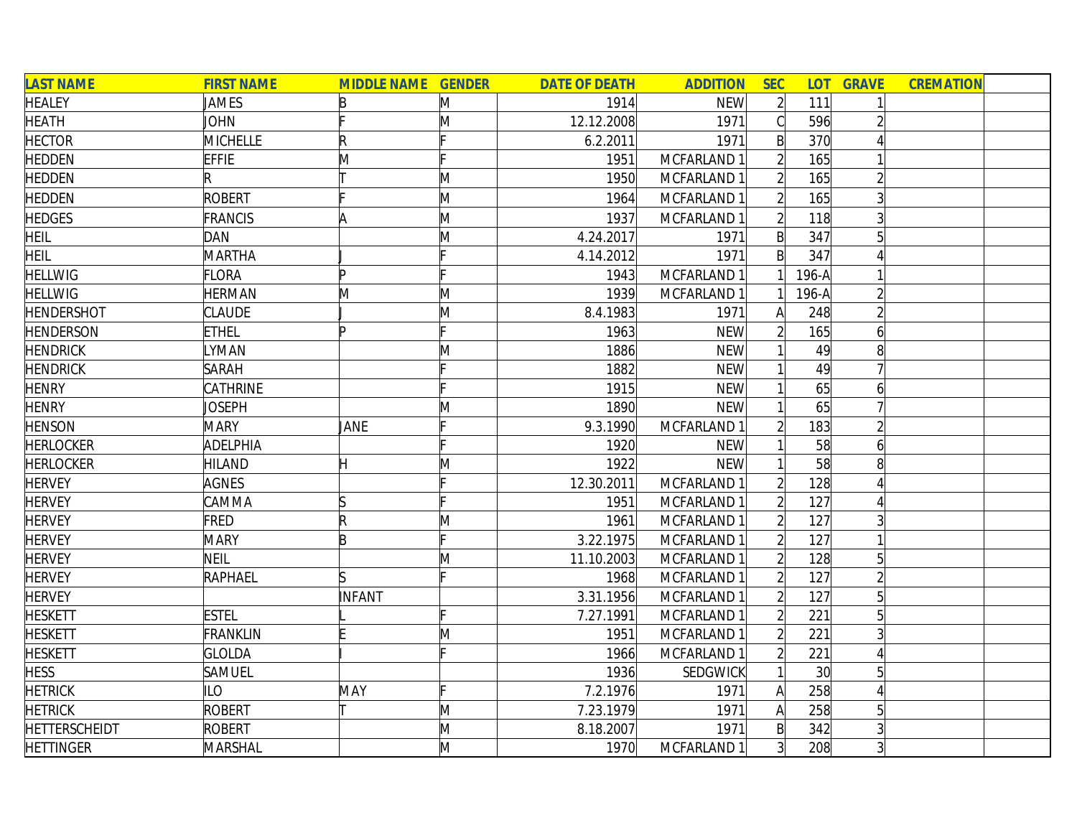| <b>LAST NAME</b>     | <b>FIRST NAME</b> | <b>MIDDLE NAME GENDER</b> |   | <b>DATE OF DEATH</b> | <b>ADDITION</b> | <b>SEC</b>     |                 | <b>LOT GRAVE</b> | <b>CREMATION</b> |
|----------------------|-------------------|---------------------------|---|----------------------|-----------------|----------------|-----------------|------------------|------------------|
| <b>HEALEY</b>        | JAMES             | B                         | M | 1914                 | <b>NEW</b>      | $\overline{2}$ | 111             |                  |                  |
| <b>HEATH</b>         | <b>JOHN</b>       |                           | M | 12.12.2008           | 1971            | $\mathsf{C}$   | 596             |                  |                  |
| <b>HECTOR</b>        | <b>MICHELLE</b>   | R                         |   | 6.2.2011             | 1971            | $\mathsf{B}$   | 370             |                  |                  |
| <b>HEDDEN</b>        | <b>EFFIE</b>      | M                         |   | 1951                 | MCFARLAND 1     |                | 165             |                  |                  |
| <b>HEDDEN</b>        | R                 |                           | M | 1950                 | MCFARLAND 1     |                | 165             |                  |                  |
| <b>HEDDEN</b>        | ROBERT            |                           | M | 1964                 | MCFARLAND 1     | $\overline{2}$ | 165             | $\overline{3}$   |                  |
| <b>HEDGES</b>        | FRANCIS           | ۱A                        | M | 1937                 | MCFARLAND 1     |                | 118             |                  |                  |
| HEIL                 | DAN               |                           | M | 4.24.2017            | 1971            | $\mathsf{B}$   | 347             |                  |                  |
| <b>HEIL</b>          | MARTHA            |                           |   | 4.14.2012            | 1971            | B              | 347             |                  |                  |
| <b>HELLWIG</b>       | <b>FLORA</b>      | Þ                         |   | 1943                 | MCFARLAND 1     |                | 196-A           |                  |                  |
| <b>HELLWIG</b>       | <b>HERMAN</b>     | M                         | M | 1939                 | MCFARLAND 1     |                | 196-A           |                  |                  |
| <b>HENDERSHOT</b>    | <b>CLAUDE</b>     |                           | M | 8.4.1983             | 1971            | А              | 248             |                  |                  |
| <b>HENDERSON</b>     | <b>ETHEL</b>      | ID                        |   | 1963                 | <b>NEW</b>      |                | 165             | 6                |                  |
| <b>HENDRICK</b>      | <b>YMAN</b>       |                           | M | 1886                 | <b>NEW</b>      |                | 49              | 8                |                  |
| <b>HENDRICK</b>      | <b>SARAH</b>      |                           |   | 1882                 | <b>NEW</b>      |                | 49              |                  |                  |
| <b>HENRY</b>         | CATHRINE          |                           |   | 1915                 | <b>NEW</b>      |                | 65              | 6                |                  |
| <b>HENRY</b>         | Joseph            |                           | Μ | 1890                 | <b>NEW</b>      |                | 65              |                  |                  |
| <b>HENSON</b>        | <b>MARY</b>       | JANE                      |   | 9.3.1990             | MCFARLAND 1     |                | 183             |                  |                  |
| <b>HERLOCKER</b>     | ADELPHIA          |                           |   | 1920                 | <b>NEW</b>      |                | 58              | $\overline{6}$   |                  |
| <b>HERLOCKER</b>     | <b>HILAND</b>     |                           | M | 1922                 | <b>NEW</b>      |                | 58              | 8                |                  |
| <b>HERVEY</b>        | <b>AGNES</b>      |                           |   | 12.30.2011           | MCFARLAND 1     |                | 128             |                  |                  |
| <b>HERVEY</b>        | CAMMA             | ß                         |   | 1951                 | MCFARLAND 1     |                | 127             |                  |                  |
| <b>HERVEY</b>        | FRED              | R                         | M | 1961                 | MCFARLAND 1     | $\overline{2}$ | 127             |                  |                  |
| <b>HERVEY</b>        | <b>MARY</b>       | B                         |   | 3.22.1975            | MCFARLAND 1     |                | 127             |                  |                  |
| <b>HERVEY</b>        | <b>NEIL</b>       |                           | M | 11.10.2003           | MCFARLAND 1     |                | 128             | 5 <sup>1</sup>   |                  |
| <b>HERVEY</b>        | RAPHAEL           | ls                        |   | 1968                 | MCFARLAND 1     |                | 127             |                  |                  |
| <b>HERVEY</b>        |                   | INFANT                    |   | 3.31.1956            | MCFARLAND 1     |                | 127             | 5                |                  |
| <b>HESKETT</b>       | <b>ESTEL</b>      |                           |   | 7.27.1991            | MCFARLAND 1     |                | 221             | 5 <sup>1</sup>   |                  |
| <b>HESKETT</b>       | <b>FRANKLIN</b>   |                           | Μ | 1951                 | MCFARLAND 1     |                | 221             | $\overline{3}$   |                  |
| <b>HESKETT</b>       | <b>GLOLDA</b>     |                           |   | 1966                 | MCFARLAND 1     | $\overline{2}$ | 221             | Δ                |                  |
| <b>HESS</b>          | SAMUEL            |                           |   | 1936                 | SEDGWICK        |                | 30 <sup>l</sup> | 5                |                  |
| <b>HETRICK</b>       | <b>ILO</b>        | MAY                       |   | 7.2.1976             | 1971            | A              | 258             |                  |                  |
| <b>HETRICK</b>       | ROBERT            |                           | M | 7.23.1979            | 1971            | A              | 258             |                  |                  |
| <b>HETTERSCHEIDT</b> | <b>ROBERT</b>     |                           | M | 8.18.2007            | 1971            | $\mathsf{B}$   | 342             |                  |                  |
| <b>HETTINGER</b>     | MARSHAL           |                           | M | 1970                 | MCFARLAND 1     | $\overline{3}$ | 208             | $\overline{3}$   |                  |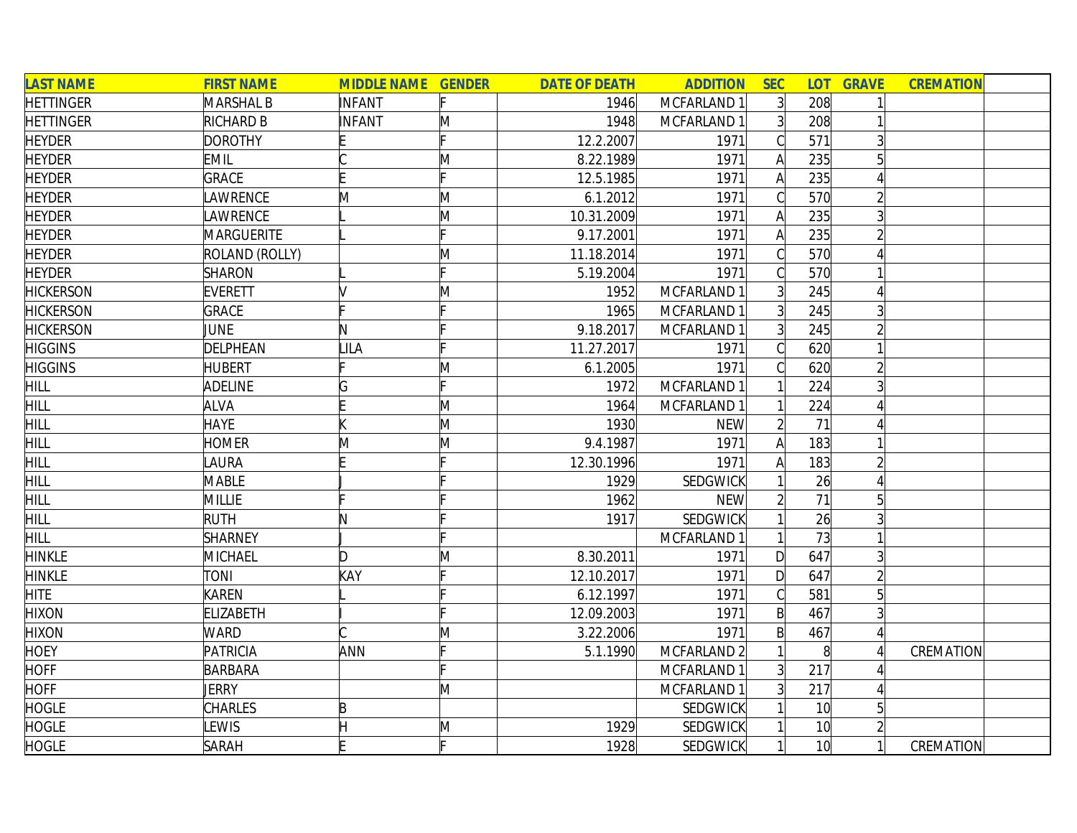| <b>LAST NAME</b> | <b>FIRST NAME</b> | <b>MIDDLE NAME GENDER</b> |              | <b>DATE OF DEATH</b> | <b>ADDITION</b> | <b>SEC</b>     | <b>LOT</b>      | <b>GRAVE</b>   | <b>CREMATION</b> |  |
|------------------|-------------------|---------------------------|--------------|----------------------|-----------------|----------------|-----------------|----------------|------------------|--|
| <b>HETTINGER</b> | <b>MARSHAL B</b>  | INFANT                    |              | 1946                 | MCFARLAND 1     | $\overline{3}$ | 208             |                |                  |  |
| <b>HETTINGER</b> | RICHARD B         | INFANT                    | M            | 1948                 | MCFARLAND 1     | 3              | 208             |                |                  |  |
| <b>HEYDER</b>    | <b>DOROTHY</b>    |                           |              | 12.2.2007            | 1971            | C              | 571             | 3              |                  |  |
| <b>HEYDER</b>    | <b>EMIL</b>       |                           | M            | 8.22.1989            | 1971            | $\mathsf{A}$   | 235             |                |                  |  |
| <b>HEYDER</b>    | <b>GRACE</b>      |                           |              | 12.5.1985            | 1971            | $\mathsf{A}$   | 235             |                |                  |  |
| <b>HEYDER</b>    | <b>AWRENCE</b>    | M                         | M            | 6.1.2012             | 1971            | C              | 570             |                |                  |  |
| <b>HEYDER</b>    | <b>AWRENCE</b>    |                           | M            | 10.31.2009           | 1971            | $\mathsf{A}$   | 235             | $\overline{3}$ |                  |  |
| <b>HEYDER</b>    | MARGUERITE        |                           |              | 9.17.2001            | 1971            | A              | 235             |                |                  |  |
| <b>HEYDER</b>    | ROLAND (ROLLY)    |                           | M            | 11.18.2014           | 1971            | $\mathcal{C}$  | 570             |                |                  |  |
| <b>HEYDER</b>    | <b>SHARON</b>     |                           |              | 5.19.2004            | 1971            |                | 570             |                |                  |  |
| <b>HICKERSON</b> | <b>EVERETT</b>    |                           | $\mathsf{M}$ | 1952                 | MCFARLAND 1     | 3 <sup>1</sup> | 245             |                |                  |  |
| <b>HICKERSON</b> | <b>GRACE</b>      |                           |              | 1965                 | MCFARLAND 1     | $\overline{3}$ | 245             |                |                  |  |
| <b>HICKERSON</b> | <b>JUNE</b>       | N                         |              | 9.18.2017            | MCFARLAND 1     | $\overline{3}$ | 245             |                |                  |  |
| <b>HIGGINS</b>   | DELPHEAN          | LILA                      |              | 11.27.2017           | 1971            |                | 620             |                |                  |  |
| <b>HIGGINS</b>   | <b>HUBERT</b>     |                           | M            | 6.1.2005             | 1971            |                | 620             |                |                  |  |
| <b>HILL</b>      | <b>ADELINE</b>    |                           |              | 1972                 | MCFARLAND 1     |                | 224             |                |                  |  |
| <b>HILL</b>      | <b>ALVA</b>       |                           | M            | 1964                 | MCFARLAND 1     |                | 224             |                |                  |  |
| <b>HILL</b>      | <b>HAYE</b>       |                           | M            | 1930                 | <b>NEW</b>      | $\overline{2}$ | 71              |                |                  |  |
| <b>HILL</b>      | <b>HOMER</b>      | M                         | M            | 9.4.1987             | 1971            | A              | 183             |                |                  |  |
| <b>HILL</b>      | <b>AURA</b>       |                           |              | 12.30.1996           | 1971            | A              | 183             |                |                  |  |
| <b>HILL</b>      | <b>MABLE</b>      |                           |              | 1929                 | SEDGWICK        |                | 26              |                |                  |  |
| HILL             | <b>MILLIE</b>     |                           |              | 1962                 | <b>NEW</b>      | $\overline{2}$ | 71              | 5              |                  |  |
| <b>HILL</b>      | <b>RUTH</b>       |                           |              | 1917                 | SEDGWICK        |                | 26              |                |                  |  |
| <b>HILL</b>      | <b>SHARNEY</b>    |                           |              |                      | MCFARLAND 1     |                | 73              |                |                  |  |
| <b>HINKLE</b>    | MICHAEL           | D                         | M            | 8.30.2011            | 1971            | $\mathsf{D}$   | 647             |                |                  |  |
| <b>HINKLE</b>    | <b>TONI</b>       | KAY                       |              | 12.10.2017           | 1971            | $\mathsf{D}$   | 647             |                |                  |  |
| <b>HITE</b>      | KAREN             |                           |              | 6.12.1997            | 1971            | $\mathsf C$    | 581             |                |                  |  |
| <b>HIXON</b>     | <b>ELIZABETH</b>  |                           |              | 12.09.2003           | 1971            | $\mathsf{B}$   | 467             |                |                  |  |
| <b>HIXON</b>     | <b>WARD</b>       |                           | $\mathsf{M}$ | 3.22.2006            | 1971            | $\mathsf{B}$   | 467             |                |                  |  |
| <b>HOEY</b>      | <b>PATRICIA</b>   | ANN                       |              | 5.1.1990             | MCFARLAND 2     |                | 8 <sup>1</sup>  |                | CREMATION        |  |
| <b>HOFF</b>      | <b>BARBARA</b>    |                           |              |                      | MCFARLAND 1     | $\overline{3}$ | 217             |                |                  |  |
| <b>HOFF</b>      | JERRY             |                           | M            |                      | MCFARLAND 1     | 3 <sup>1</sup> | 217             |                |                  |  |
| <b>HOGLE</b>     | <b>CHARLES</b>    | B                         |              |                      | <b>SEDGWICK</b> |                | 10 <sup>l</sup> | 5              |                  |  |
| <b>HOGLE</b>     | <b>EWIS</b>       |                           | M            | 1929                 | SEDGWICK        |                | 10 <sup>1</sup> |                |                  |  |
| <b>HOGLE</b>     | <b>SARAH</b>      |                           | F            | 1928                 | SEDGWICK        |                | 10 <sup>l</sup> |                | CREMATION        |  |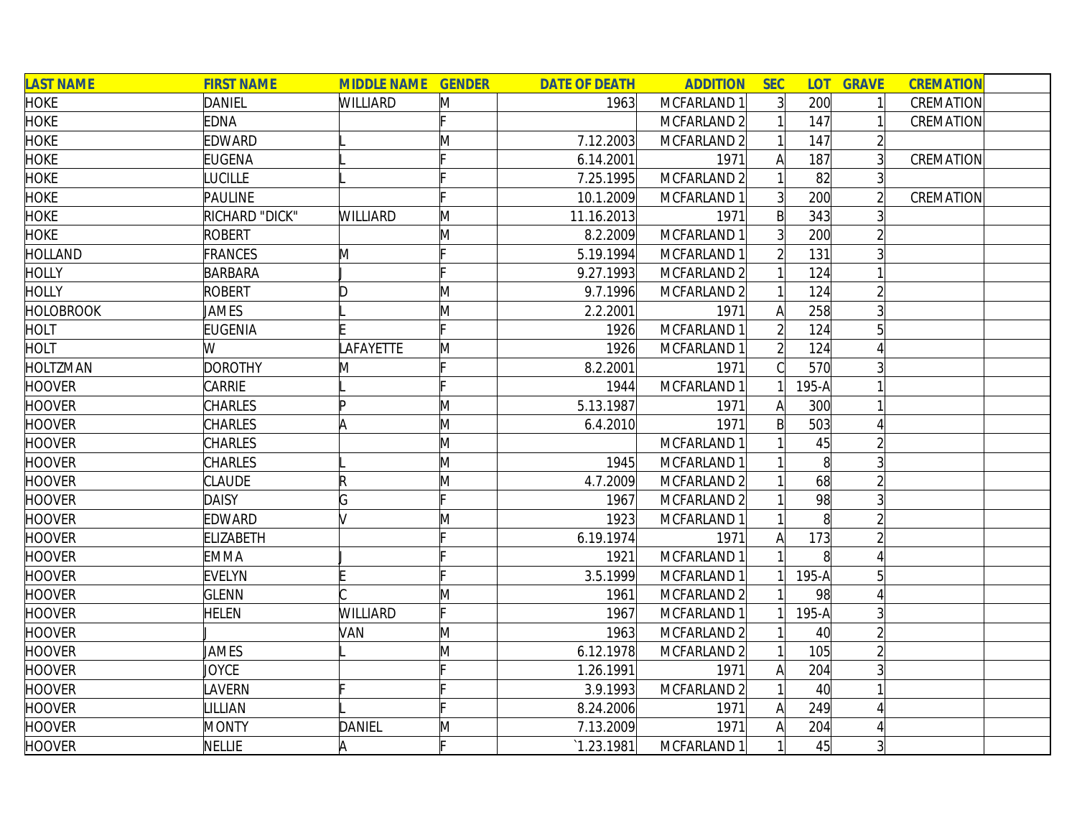| <b>LAST NAME</b> | <b>FIRST NAME</b> | <b>MIDDLE NAME GENDER</b> |   | <b>DATE OF DEATH</b> | <b>ADDITION</b>        | <b>SEC</b>     |                   | <b>LOT GRAVE</b> | <b>CREMATION</b> |
|------------------|-------------------|---------------------------|---|----------------------|------------------------|----------------|-------------------|------------------|------------------|
| <b>HOKE</b>      | DANIEL            | <b>WILLIARD</b>           | M | 1963                 | MCFARLAND 1            | $\overline{3}$ | 200               |                  | CREMATION        |
| <b>HOKE</b>      | <b>EDNA</b>       |                           |   |                      | MCFARLAND 2            |                | 147               |                  | CREMATION        |
| <b>HOKE</b>      | EDWARD            |                           | M | 7.12.2003            | MCFARLAND <sub>2</sub> |                | 147               |                  |                  |
| <b>HOKE</b>      | <b>EUGENA</b>     |                           |   | 6.14.2001            | 1971                   | A              | 187               |                  | CREMATION        |
| <b>HOKE</b>      | <b>LUCILLE</b>    |                           |   | 7.25.1995            | MCFARLAND 2            |                | 82                |                  |                  |
| <b>HOKE</b>      | PAULINE           |                           |   | 10.1.2009            | MCFARLAND 1            |                | 200               |                  | CREMATION        |
| <b>HOKE</b>      | RICHARD "DICK"    | <b>WILLIARD</b>           | M | 11.16.2013           | 1971                   | B              | 343               |                  |                  |
| <b>HOKE</b>      | ROBERT            |                           | Μ | 8.2.2009             | MCFARLAND 1            | $\overline{3}$ | 200               |                  |                  |
| <b>HOLLAND</b>   | FRANCES           | M                         |   | 5.19.1994            | MCFARLAND 1            |                | 131               |                  |                  |
| <b>HOLLY</b>     | BARBARA           |                           |   | 9.27.1993            | MCFARLAND 2            |                | 124               |                  |                  |
| <b>HOLLY</b>     | <b>ROBERT</b>     | D                         | M | 9.7.1996             | MCFARLAND <sub>2</sub> |                | 124               |                  |                  |
| <b>HOLOBROOK</b> | <b>JAMES</b>      |                           | Μ | 2.2.2001             | 1971                   | A              | 258               |                  |                  |
| HOLT             | <b>EUGENIA</b>    |                           |   | 1926                 | MCFARLAND 1            |                | 124               |                  |                  |
| <b>HOLT</b>      | W                 | LAFAYETTE                 | M | 1926                 | MCFARLAND 1            |                | 124               |                  |                  |
| <b>HOLTZMAN</b>  | <b>DOROTHY</b>    | M                         |   | 8.2.2001             | 1971                   |                | 570               |                  |                  |
| <b>HOOVER</b>    | CARRIE            |                           |   | 1944                 | MCFARLAND 1            |                | 195-A             |                  |                  |
| <b>HOOVER</b>    | <b>CHARLES</b>    | ID                        | M | 5.13.1987            | 1971                   | A              | 300               |                  |                  |
| <b>HOOVER</b>    | <b>CHARLES</b>    | A                         | M | 6.4.2010             | 1971                   | B              | 503               |                  |                  |
| <b>HOOVER</b>    | <b>CHARLES</b>    |                           | M |                      | MCFARLAND 1            |                | 45                |                  |                  |
| <b>HOOVER</b>    | <b>CHARLES</b>    |                           | M | 1945                 | MCFARLAND 1            |                | 8 <sup>1</sup>    |                  |                  |
| <b>HOOVER</b>    | <b>CLAUDE</b>     | R                         | M | 4.7.2009             | MCFARLAND 2            |                | 68                |                  |                  |
| <b>HOOVER</b>    | <b>DAISY</b>      | G                         |   | 1967                 | MCFARLAND <sub>2</sub> |                | 98                |                  |                  |
| <b>HOOVER</b>    | <b>EDWARD</b>     |                           | Μ | 1923                 | MCFARLAND 1            |                | 8                 |                  |                  |
| <b>HOOVER</b>    | <b>ELIZABETH</b>  |                           |   | 6.19.1974            | 1971                   | A              | 173               |                  |                  |
| <b>HOOVER</b>    | <b>EMMA</b>       |                           |   | 1921                 | MCFARLAND 1            |                | $\lvert 8 \rvert$ |                  |                  |
| <b>HOOVER</b>    | <b>EVELYN</b>     |                           |   | 3.5.1999             | MCFARLAND 1            |                | $195-A$           | 5                |                  |
| <b>HOOVER</b>    | <b>GLENN</b>      |                           | M | 1961                 | MCFARLAND <sub>2</sub> |                | 98                |                  |                  |
| <b>HOOVER</b>    | HELEN             | WILLIARD                  |   | 1967                 | MCFARLAND 1            |                | $195-A$           |                  |                  |
| <b>HOOVER</b>    |                   | VAN                       | M | 1963                 | MCFARLAND <sub>2</sub> |                | 40                |                  |                  |
| <b>HOOVER</b>    | <b>JAMES</b>      |                           | M | 6.12.1978            | MCFARLAND <sub>2</sub> |                | 105               |                  |                  |
| <b>HOOVER</b>    | JOYCE             |                           |   | 1.26.1991            | 1971                   | A              | 204               |                  |                  |
| <b>HOOVER</b>    | LAVERN            |                           |   | 3.9.1993             | MCFARLAND <sub>2</sub> |                | 40                |                  |                  |
| <b>HOOVER</b>    | LILLIAN           |                           |   | 8.24.2006            | 1971                   | $\mathsf{A}$   | 249               |                  |                  |
| <b>HOOVER</b>    | <b>MONTY</b>      | DANIEL                    | M | 7.13.2009            | 1971                   |                | 204               |                  |                  |
| <b>HOOVER</b>    | <b>NELLIE</b>     | A                         |   | 1.23.1981            | MCFARLAND 1            |                | 45                | $\overline{3}$   |                  |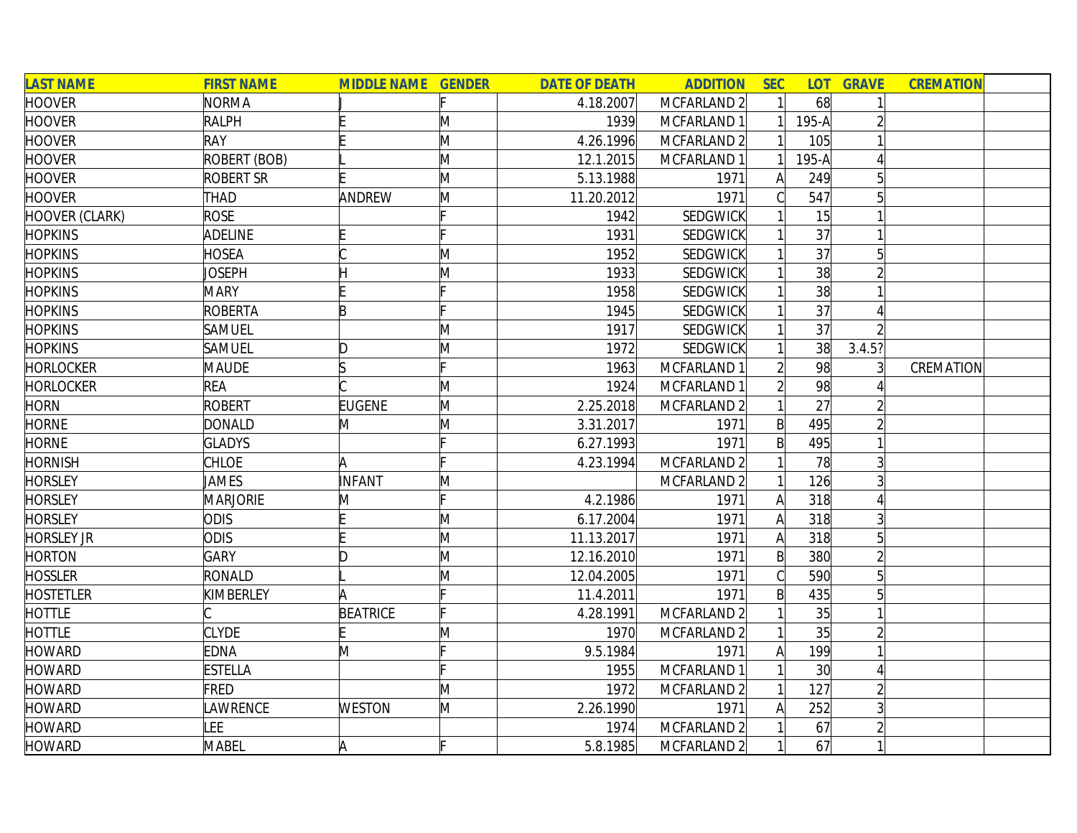| <b>LAST NAME</b>      | <b>FIRST NAME</b> | <b>MIDDLE NAME GENDER</b> |              | <b>DATE OF DEATH</b> | <b>ADDITION</b>        | <b>SEC</b>   | LOT <sub>1</sub> | <b>GRAVE</b> | <b>CREMATION</b> |
|-----------------------|-------------------|---------------------------|--------------|----------------------|------------------------|--------------|------------------|--------------|------------------|
| <b>HOOVER</b>         | <b>NORMA</b>      |                           |              | 4.18.2007            | MCFARLAND 2            |              | 68               |              |                  |
| <b>HOOVER</b>         | <b>RALPH</b>      |                           | M            | 1939                 | MCFARLAND 1            |              | $195-A$          |              |                  |
| <b>HOOVER</b>         | <b>RAY</b>        |                           | M            | 4.26.1996            | MCFARLAND 2            |              | 105              |              |                  |
| <b>HOOVER</b>         | ROBERT (BOB)      |                           | M            | 12.1.2015            | MCFARLAND 1            |              | $195-A$          |              |                  |
| <b>HOOVER</b>         | <b>ROBERT SR</b>  |                           | M            | 5.13.1988            | 1971                   | $\mathsf{A}$ | 249              | 5            |                  |
| <b>HOOVER</b>         | THAD              | ANDREW                    | M            | 11.20.2012           | 1971                   | C            | 547              | 5            |                  |
| <b>HOOVER (CLARK)</b> | <b>ROSE</b>       |                           |              | 1942                 | <b>SEDGWICK</b>        |              | 15               |              |                  |
| <b>HOPKINS</b>        | ADELINE           |                           |              | 1931                 | SEDGWICK               |              | 37               |              |                  |
| <b>HOPKINS</b>        | <b>HOSEA</b>      |                           | M            | 1952                 | SEDGWICK               |              | 37               |              |                  |
| <b>HOPKINS</b>        | <b>JOSEPH</b>     |                           | M            | 1933                 | SEDGWICK               |              | 38               |              |                  |
| <b>HOPKINS</b>        | <b>MARY</b>       |                           |              | 1958                 | <b>SEDGWICK</b>        |              | 38               |              |                  |
| <b>HOPKINS</b>        | ROBERTA           | E                         |              | 1945                 | SEDGWICK               |              | 37               |              |                  |
| <b>HOPKINS</b>        | <b>SAMUEL</b>     |                           | M            | 1917                 | SEDGWICK               |              | 37               |              |                  |
| <b>HOPKINS</b>        | SAMUEL            | D                         | M            | 1972                 | SEDGWICK               |              | 38               | 3.4.5?       |                  |
| <b>HORLOCKER</b>      | <b>MAUDE</b>      |                           |              | 1963                 | MCFARLAND 1            |              | 98               |              | CREMATION        |
| <b>HORLOCKER</b>      | <b>REA</b>        |                           | M            | 1924                 | MCFARLAND 1            |              | 98               |              |                  |
| <b>HORN</b>           | <b>ROBERT</b>     | <b>EUGENE</b>             | M            | 2.25.2018            | MCFARLAND 2            |              | 27               |              |                  |
| <b>HORNE</b>          | <b>DONALD</b>     | M                         | M            | 3.31.2017            | 1971                   | Bl           | 495              |              |                  |
| <b>HORNE</b>          | <b>GLADYS</b>     |                           |              | 6.27.1993            | 1971                   | $\mathsf{B}$ | 495              |              |                  |
| <b>HORNISH</b>        | <b>CHLOE</b>      | A                         |              | 4.23.1994            | MCFARLAND 2            |              | 78               |              |                  |
| <b>HORSLEY</b>        | JAMES             | INFANT                    | M            |                      | MCFARLAND 2            |              | 126              |              |                  |
| <b>HORSLEY</b>        | <b>MARJORIE</b>   | M                         | Ŀ.           | 4.2.1986             | 1971                   | A            | 318              |              |                  |
| <b>HORSLEY</b>        | <b>ODIS</b>       |                           | $\mathsf{M}$ | 6.17.2004            | 1971                   | A            | 318              |              |                  |
| <b>HORSLEY JR</b>     | <b>ODIS</b>       |                           | M            | 11.13.2017           | 1971                   | A            | 318              |              |                  |
| <b>HORTON</b>         | <b>GARY</b>       | D                         | M            | 12.16.2010           | 1971                   | $\mathsf{B}$ | 380              |              |                  |
| <b>HOSSLER</b>        | RONALD            |                           | M            | 12.04.2005           | 1971                   |              | 590              |              |                  |
| <b>HOSTETLER</b>      | KIMBERLEY         |                           |              | 11.4.2011            | 1971                   | B            | 435              |              |                  |
| <b>HOTTLE</b>         |                   | <b>BEATRICE</b>           |              | 4.28.1991            | MCFARLAND 2            |              | 35               |              |                  |
| <b>HOTTLE</b>         | <b>CLYDE</b>      |                           | M            | 1970                 | MCFARLAND <sub>2</sub> |              | 35               |              |                  |
| <b>HOWARD</b>         | <b>EDNA</b>       | M                         |              | 9.5.1984             | 1971                   | A            | 199              |              |                  |
| <b>HOWARD</b>         | <b>ESTELLA</b>    |                           |              | 1955                 | MCFARLAND 1            |              | 30 <sup>l</sup>  |              |                  |
| <b>HOWARD</b>         | <b>FRED</b>       |                           | M            | 1972                 | MCFARLAND 2            |              | 127              |              |                  |
| <b>HOWARD</b>         | <b>AWRENCE</b>    | <b>WESTON</b>             | M            | 2.26.1990            | 1971                   | A            | 252              |              |                  |
| <b>HOWARD</b>         | <b>EE</b>         |                           |              | 1974                 | MCFARLAND 2            |              | 67               |              |                  |
| <b>HOWARD</b>         | <b>MABEL</b>      | A                         |              | 5.8.1985             | MCFARLAND 2            |              | 67               |              |                  |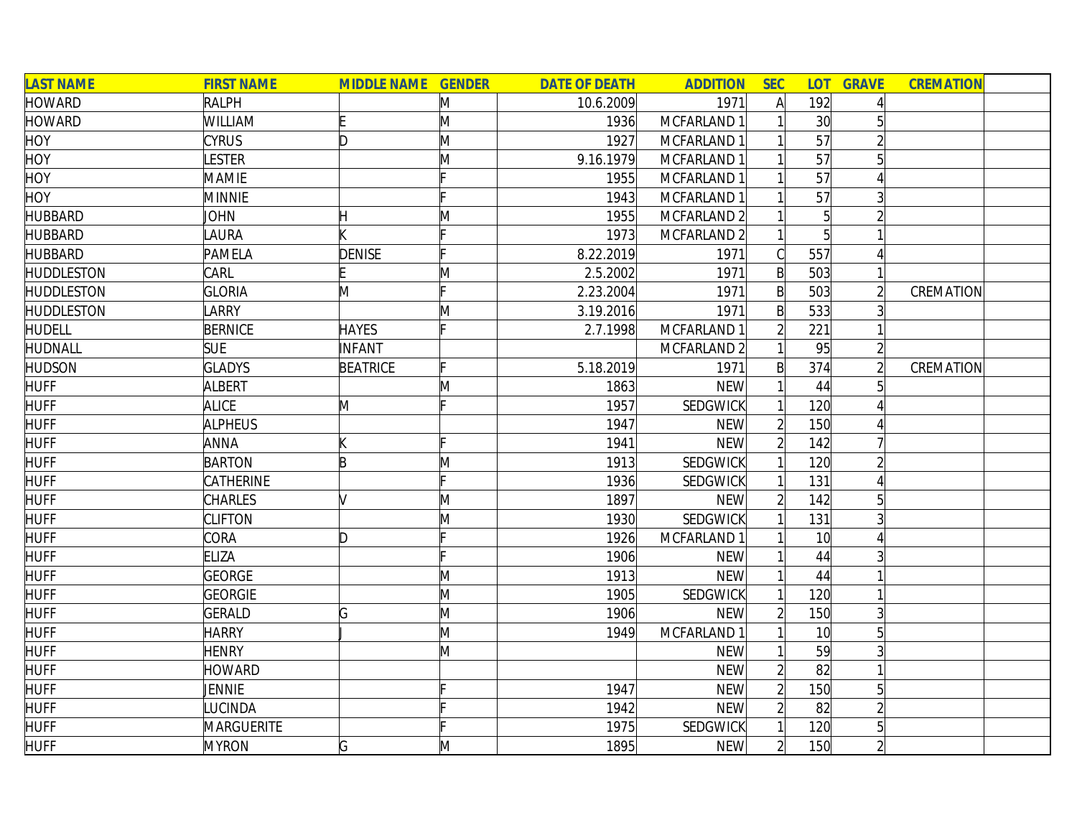| <b>LAST NAME</b>  | <b>FIRST NAME</b> | <b>MIDDLE NAME GENDER</b> |              | <b>DATE OF DEATH</b> | <b>ADDITION</b> | <b>SEC</b>     | <b>LOT</b>      | <b>GRAVE</b>    | <b>CREMATION</b> |
|-------------------|-------------------|---------------------------|--------------|----------------------|-----------------|----------------|-----------------|-----------------|------------------|
| <b>HOWARD</b>     | <b>RALPH</b>      |                           | M            | 10.6.2009            | 1971            | $\mathsf{A}$   | 192             |                 |                  |
| <b>HOWARD</b>     | WILLIAM           |                           | M            | 1936                 | MCFARLAND 1     |                | 30 <sup>1</sup> |                 |                  |
| <b>HOY</b>        | <b>CYRUS</b>      | D                         | M            | 1927                 | MCFARLAND 1     |                | 57              |                 |                  |
| <b>HOY</b>        | <b>ESTER</b>      |                           | M            | 9.16.1979            | MCFARLAND 1     |                | 57              |                 |                  |
| <b>HOY</b>        | <b>MAMIE</b>      |                           |              | 1955                 | MCFARLAND 1     |                | 57              |                 |                  |
| <b>HOY</b>        | <b>MINNIE</b>     |                           |              | 1943                 | MCFARLAND 1     |                | 57              |                 |                  |
| <b>HUBBARD</b>    | JOHN              |                           | M            | 1955                 | MCFARLAND 2     |                | $\overline{5}$  |                 |                  |
| <b>HUBBARD</b>    | LAURA             |                           |              | 1973                 | MCFARLAND 2     |                | $\overline{5}$  |                 |                  |
| <b>HUBBARD</b>    | PAMELA            | <b>DENISE</b>             |              | 8.22.2019            | 1971            | C              | 557             |                 |                  |
| <b>HUDDLESTON</b> | CARL              |                           | M            | 2.5.2002             | 1971            | $\mathsf{B}$   | 503             |                 |                  |
| <b>HUDDLESTON</b> | <b>GLORIA</b>     | M                         | Iг.          | 2.23.2004            | 1971            | $\mathsf{B}$   | 503             |                 | CREMATION        |
| <b>HUDDLESTON</b> | <b>ARRY</b>       |                           | M            | 3.19.2016            | 1971            | B              | 533             |                 |                  |
| <b>HUDELL</b>     | <b>BERNICE</b>    | <b>HAYES</b>              |              | 2.7.1998             | MCFARLAND 1     | $\overline{2}$ | 221             |                 |                  |
| HUDNALL           | <b>SUE</b>        | INFANT                    |              |                      | MCFARLAND 2     |                | 95              |                 |                  |
| <b>HUDSON</b>     | <b>GLADYS</b>     | <b>BEATRICE</b>           |              | 5.18.2019            | 1971            | $\mathsf{B}$   | 374             |                 | CREMATION        |
| <b>HUFF</b>       | ALBERT            |                           | M            | 1863                 | <b>NEW</b>      |                | 44              |                 |                  |
| <b>HUFF</b>       | <b>ALICE</b>      | M                         |              | 1957                 | SEDGWICK        |                | 120             |                 |                  |
| <b>HUFF</b>       | <b>ALPHEUS</b>    |                           |              | 1947                 | <b>NEW</b>      | $\overline{2}$ | 150             |                 |                  |
| <b>HUFF</b>       | ANNA              |                           |              | 1941                 | <b>NEW</b>      | $\overline{2}$ | 142             |                 |                  |
| <b>HUFF</b>       | <b>BARTON</b>     | B                         | M            | 1913                 | <b>SEDGWICK</b> |                | 120             |                 |                  |
| <b>HUFF</b>       | CATHERINE         |                           |              | 1936                 | SEDGWICK        |                | 131             |                 |                  |
| <b>HUFF</b>       | CHARLES           |                           | $\mathsf{M}$ | 1897                 | <b>NEW</b>      | $\overline{2}$ | 142             |                 |                  |
| <b>HUFF</b>       | <b>CLIFTON</b>    |                           | M            | 1930                 | SEDGWICK        |                | 131             |                 |                  |
| <b>HUFF</b>       | CORA              | D                         |              | 1926                 | MCFARLAND 1     |                | 10 <sup>1</sup> |                 |                  |
| <b>HUFF</b>       | <b>ELIZA</b>      |                           |              | 1906                 | <b>NEW</b>      |                | 44              |                 |                  |
| <b>HUFF</b>       | <b>GEORGE</b>     |                           | M            | 1913                 | <b>NEW</b>      |                | 44              |                 |                  |
| <b>HUFF</b>       | <b>GEORGIE</b>    |                           | M            | 1905                 | SEDGWICK        |                | 120             |                 |                  |
| <b>HUFF</b>       | <b>GERALD</b>     | G                         | M            | 1906                 | <b>NEW</b>      |                | 150             | 3               |                  |
| <b>HUFF</b>       | <b>HARRY</b>      |                           | M            | 1949                 | MCFARLAND 1     |                | 10 <sup>1</sup> | 5               |                  |
| <b>HUFF</b>       | <b>HENRY</b>      |                           | M            |                      | <b>NEW</b>      |                | 59              |                 |                  |
| <b>HUFF</b>       | <b>HOWARD</b>     |                           |              |                      | <b>NEW</b>      | $\overline{2}$ | 82              |                 |                  |
| <b>HUFF</b>       | JENNIE            |                           |              | 1947                 | <b>NEW</b>      | $\overline{2}$ | 150             | 5               |                  |
| <b>HUFF</b>       | LUCINDA           |                           |              | 1942                 | <b>NEW</b>      | $\overline{2}$ | 82              |                 |                  |
| <b>HUFF</b>       | <b>MARGUERITE</b> |                           |              | 1975                 | SEDGWICK        |                | 120             | $5\overline{)}$ |                  |
| <b>HUFF</b>       | <b>MYRON</b>      | G                         | M            | 1895                 | <b>NEW</b>      | $\overline{2}$ | 150             |                 |                  |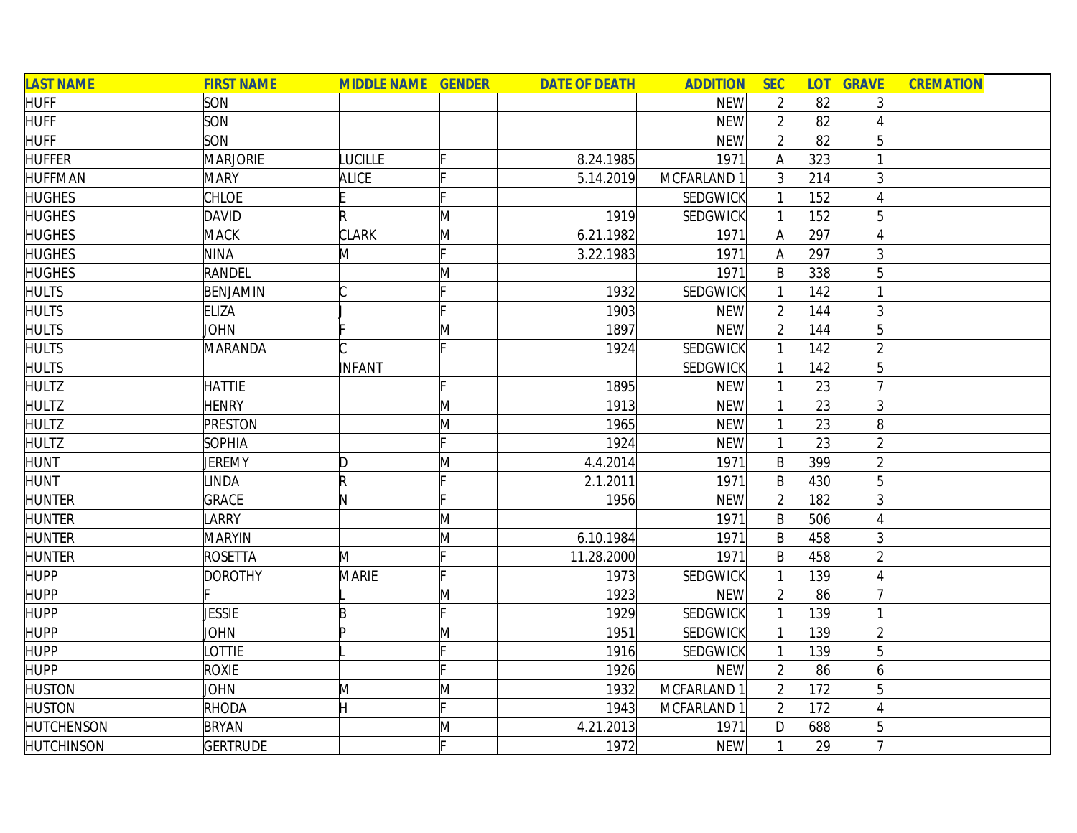| <b>LAST NAME</b>  | <b>FIRST NAME</b> | <b>MIDDLE NAME GENDER</b> |   | <b>DATE OF DEATH</b> | <b>ADDITION</b> | <b>SEC</b>     |     | <b>LOT GRAVE</b> | <b>CREMATION</b> |  |
|-------------------|-------------------|---------------------------|---|----------------------|-----------------|----------------|-----|------------------|------------------|--|
| <b>HUFF</b>       | SON               |                           |   |                      | <b>NEW</b>      | $\overline{2}$ | 82  | $\overline{3}$   |                  |  |
| <b>HUFF</b>       | SON               |                           |   |                      | <b>NEW</b>      | $\overline{2}$ | 82  |                  |                  |  |
| <b>HUFF</b>       | SON               |                           |   |                      | <b>NEW</b>      | $\overline{2}$ | 82  | 5                |                  |  |
| <b>HUFFER</b>     | <b>MARJORIE</b>   | <b>LUCILLE</b>            |   | 8.24.1985            | 1971            | $\mathsf{A}$   | 323 |                  |                  |  |
| <b>HUFFMAN</b>    | <b>MARY</b>       | <b>ALICE</b>              |   | 5.14.2019            | MCFARLAND 1     | 3 <sup>1</sup> | 214 | $\overline{3}$   |                  |  |
| <b>HUGHES</b>     | <b>CHLOE</b>      |                           |   |                      | <b>SEDGWICK</b> |                | 152 | 4                |                  |  |
| <b>HUGHES</b>     | DAVID             | R                         | M | 1919                 | SEDGWICK        | 1              | 152 | $5\overline{)}$  |                  |  |
| <b>HUGHES</b>     | <b>MACK</b>       | <b>CLARK</b>              | Μ | 6.21.1982            | 1971            | $\mathsf{A}$   | 297 | Δ                |                  |  |
| <b>HUGHES</b>     | <b>NINA</b>       | M                         |   | 3.22.1983            | 1971            | $\mathsf{A}$   | 297 | 3                |                  |  |
| <b>HUGHES</b>     | RANDEL            |                           | Μ |                      | 1971            | $\mathsf{B}$   | 338 | $5\overline{)}$  |                  |  |
| <b>HULTS</b>      | BENJAMIN          |                           |   | 1932                 | <b>SEDGWICK</b> |                | 142 |                  |                  |  |
| <b>HULTS</b>      | <b>ELIZA</b>      |                           |   | 1903                 | <b>NEW</b>      | $\overline{2}$ | 144 | $\overline{3}$   |                  |  |
| <b>HULTS</b>      | JOHN              |                           | M | 1897                 | <b>NEW</b>      | $\overline{2}$ | 144 | $5\overline{a}$  |                  |  |
| <b>HULTS</b>      | MARANDA           |                           |   | 1924                 | <b>SEDGWICK</b> |                | 142 | $\overline{2}$   |                  |  |
| <b>HULTS</b>      |                   | INFANT                    |   |                      | SEDGWICK        |                | 142 | $5\overline{)}$  |                  |  |
| <b>HULTZ</b>      | <b>HATTIE</b>     |                           |   | 1895                 | <b>NEW</b>      |                | 23  |                  |                  |  |
| <b>HULTZ</b>      | <b>HENRY</b>      |                           | M | 1913                 | <b>NEW</b>      |                | 23  | $\overline{3}$   |                  |  |
| <b>HULTZ</b>      | <b>PRESTON</b>    |                           | M | 1965                 | <b>NEW</b>      |                | 23  | 8 <sup>1</sup>   |                  |  |
| <b>HULTZ</b>      | <b>SOPHIA</b>     |                           |   | 1924                 | <b>NEW</b>      |                | 23  | $\overline{2}$   |                  |  |
| <b>HUNT</b>       | JEREMY            | D                         | Μ | 4.4.2014             | 1971            | $\mathsf{B}$   | 399 | $\overline{2}$   |                  |  |
| <b>HUNT</b>       | <b>LINDA</b>      | $\mathsf R$               |   | 2.1.2011             | 1971            | $\mathsf{B}$   | 430 | $\overline{5}$   |                  |  |
| <b>HUNTER</b>     | <b>GRACE</b>      | N                         |   | 1956                 | <b>NEW</b>      | $\overline{2}$ | 182 | $\overline{3}$   |                  |  |
| <b>HUNTER</b>     | LARRY             |                           | M |                      | 1971            | $\mathsf{B}$   | 506 |                  |                  |  |
| <b>HUNTER</b>     | <b>MARYIN</b>     |                           | M | 6.10.1984            | 1971            | $\mathsf{B}$   | 458 | 3                |                  |  |
| <b>HUNTER</b>     | <b>ROSETTA</b>    | M                         |   | 11.28.2000           | 1971            | $\mathsf{B}$   | 458 | $\overline{2}$   |                  |  |
| <b>HUPP</b>       | <b>DOROTHY</b>    | MARIE                     |   | 1973                 | SEDGWICK        |                | 139 |                  |                  |  |
| <b>HUPP</b>       |                   |                           | M | 1923                 | <b>NEW</b>      | $\overline{2}$ | 86  |                  |                  |  |
| <b>HUPP</b>       | <b>JESSIE</b>     | B                         |   | 1929                 | SEDGWICK        |                | 139 |                  |                  |  |
| <b>HUPP</b>       | JOHN              | In                        | M | 1951                 | <b>SEDGWICK</b> |                | 139 | $\overline{2}$   |                  |  |
| <b>HUPP</b>       | OTTIE             |                           |   | 1916                 | <b>SEDGWICK</b> |                | 139 | $\overline{5}$   |                  |  |
| <b>HUPP</b>       | <b>ROXIE</b>      |                           |   | 1926                 | <b>NEW</b>      | $\overline{2}$ | 86  | $\overline{6}$   |                  |  |
| <b>HUSTON</b>     | JOHN              | M                         | Μ | 1932                 | MCFARLAND 1     | $\overline{2}$ | 172 | 5 <sup>1</sup>   |                  |  |
| <b>HUSTON</b>     | RHODA             | H                         |   | 1943                 | MCFARLAND 1     | $\overline{2}$ | 172 | $\overline{A}$   |                  |  |
| <b>HUTCHENSON</b> | <b>BRYAN</b>      |                           | M | 4.21.2013            | 1971            | $\mathsf{D}$   | 688 | $5\overline{)}$  |                  |  |
| <b>HUTCHINSON</b> | <b>GERTRUDE</b>   |                           |   | 1972                 | <b>NEW</b>      | 1              | 29  |                  |                  |  |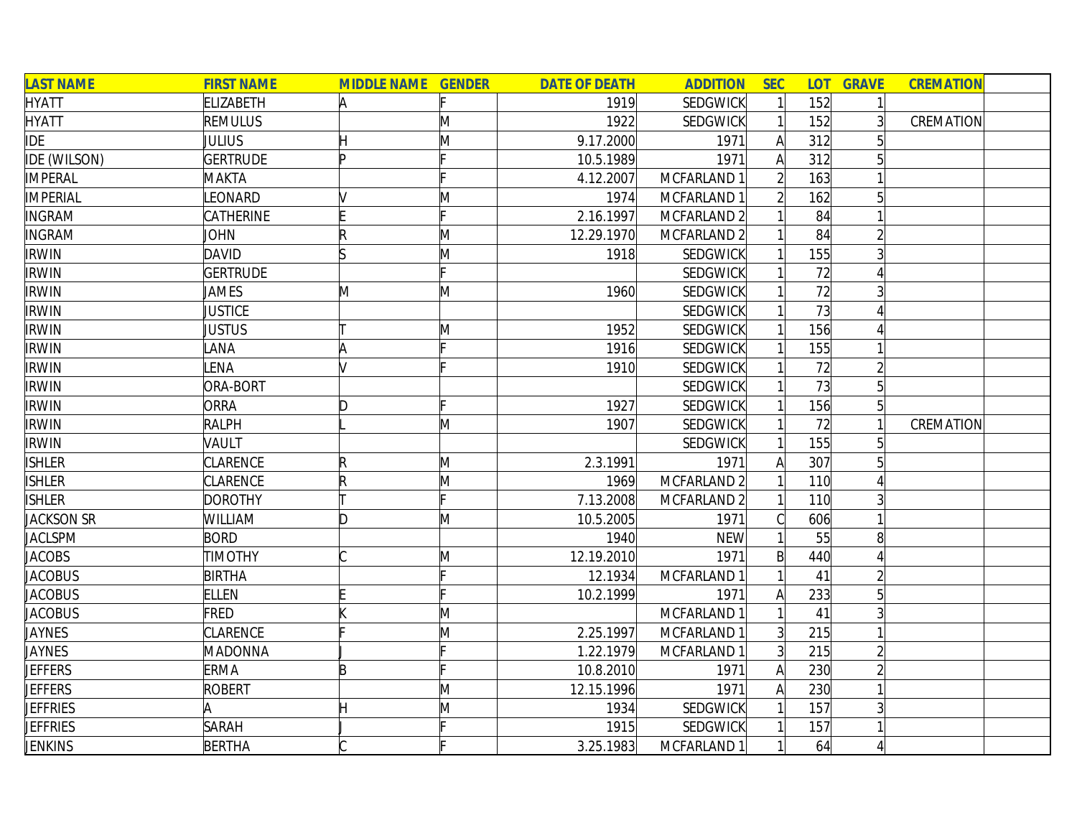| <b>LAST NAME</b>    | <b>FIRST NAME</b> | <b>MIDDLE NAME GENDER</b> |   | <b>DATE OF DEATH</b> | <b>ADDITION</b>        | <b>SEC</b>     |     | <b>LOT GRAVE</b> | <b>CREMATION</b> |
|---------------------|-------------------|---------------------------|---|----------------------|------------------------|----------------|-----|------------------|------------------|
| <b>HYATT</b>        | <b>ELIZABETH</b>  | A                         |   | 1919                 | <b>SEDGWICK</b>        |                | 152 |                  |                  |
| <b>HYATT</b>        | <b>REMULUS</b>    |                           | M | 1922                 | SEDGWICK               |                | 152 | $\overline{3}$   | CREMATION        |
| <b>IDE</b>          | JULIUS            | Η                         | M | 9.17.2000            | 1971                   | $\mathsf{A}$   | 312 |                  |                  |
| <b>IDE (WILSON)</b> | <b>GERTRUDE</b>   | Þ                         |   | 10.5.1989            | 1971                   | A              | 312 |                  |                  |
| <b>IMPERAL</b>      | MAKTA             |                           |   | 4.12.2007            | MCFARLAND 1            |                | 163 |                  |                  |
| <b>IMPERIAL</b>     | LEONARD           |                           | M | 1974                 | MCFARLAND 1            | $\overline{2}$ | 162 | $\overline{5}$   |                  |
| <b>INGRAM</b>       | CATHERINE         |                           |   | 2.16.1997            | MCFARLAND 2            |                | 84  |                  |                  |
| <b>INGRAM</b>       | <b>JOHN</b>       |                           | M | 12.29.1970           | MCFARLAND 2            |                | 84  |                  |                  |
| <b>IRWIN</b>        | <b>DAVID</b>      |                           | M | 1918                 | SEDGWICK               |                | 155 |                  |                  |
| <b>IRWIN</b>        | <b>GERTRUDE</b>   |                           |   |                      | SEDGWICK               |                | 72  |                  |                  |
| <b>IRWIN</b>        | JAMES             | M                         | M | 1960                 | SEDGWICK               |                | 72  |                  |                  |
| <b>IRWIN</b>        | <b>JUSTICE</b>    |                           |   |                      | SEDGWICK               |                | 73  |                  |                  |
| <b>IRWIN</b>        | JUSTUS            |                           | Μ | 1952                 | SEDGWICK               |                | 156 |                  |                  |
| <b>IRWIN</b>        | LANA              | A                         |   | 1916                 | SEDGWICK               |                | 155 |                  |                  |
| <b>IRWIN</b>        | LENA              | M                         |   | 1910                 | SEDGWICK               |                | 72  |                  |                  |
| <b>IRWIN</b>        | ORA-BORT          |                           |   |                      | SEDGWICK               |                | 73  | 5 <sup>1</sup>   |                  |
| <b>IRWIN</b>        | <b>ORRA</b>       | D                         |   | 1927                 | SEDGWICK               |                | 156 | 5 <sup>1</sup>   |                  |
| <b>IRWIN</b>        | <b>RALPH</b>      |                           | M | 1907                 | <b>SEDGWICK</b>        |                | 72  |                  | CREMATION        |
| <b>IRWIN</b>        | VAULT             |                           |   |                      | SEDGWICK               |                | 155 | 51               |                  |
| <b>ISHLER</b>       | <b>CLARENCE</b>   | R                         | M | 2.3.1991             | 1971                   | A              | 307 |                  |                  |
| <b>ISHLER</b>       | <b>CLARENCE</b>   | R                         | M | 1969                 | MCFARLAND <sub>2</sub> |                | 110 |                  |                  |
| <b>ISHLER</b>       | <b>DOROTHY</b>    |                           |   | 7.13.2008            | MCFARLAND <sub>2</sub> |                | 110 |                  |                  |
| <b>JACKSON SR</b>   | WILLIAM           | ID.                       | M | 10.5.2005            | 1971                   |                | 606 |                  |                  |
| <b>JACLSPM</b>      | <b>BORD</b>       |                           |   | 1940                 | <b>NEW</b>             |                | 55  | 8                |                  |
| <b>JACOBS</b>       | <b>TIMOTHY</b>    |                           | M | 12.19.2010           | 1971                   | $\mathsf{B}$   | 440 |                  |                  |
| <b>JACOBUS</b>      | <b>BIRTHA</b>     |                           |   | 12.1934              | MCFARLAND 1            |                | 41  |                  |                  |
| <b>JACOBUS</b>      | <b>ELLEN</b>      |                           |   | 10.2.1999            | 1971                   | A              | 233 | 5                |                  |
| <b>JACOBUS</b>      | <b>FRED</b>       |                           | Μ |                      | MCFARLAND 1            |                | 41  |                  |                  |
| <b>JAYNES</b>       | <b>CLARENCE</b>   |                           | M | 2.25.1997            | MCFARLAND 1            | $\overline{3}$ | 215 |                  |                  |
| <b>JAYNES</b>       | <b>MADONNA</b>    |                           |   | 1.22.1979            | MCFARLAND 1            | $\overline{3}$ | 215 |                  |                  |
| <b>JEFFERS</b>      | <b>ERMA</b>       | B                         |   | 10.8.2010            | 1971                   | A              | 230 |                  |                  |
| <b>JEFFERS</b>      | <b>ROBERT</b>     |                           | M | 12.15.1996           | 1971                   | A              | 230 |                  |                  |
| <b>JEFFRIES</b>     | A                 |                           | M | 1934                 | SEDGWICK               |                | 157 |                  |                  |
| <b>JEFFRIES</b>     | <b>SARAH</b>      |                           |   | 1915                 | SEDGWICK               |                | 157 |                  |                  |
| <b>JENKINS</b>      | <b>BERTHA</b>     |                           |   | 3.25.1983            | MCFARLAND 1            |                | 64  |                  |                  |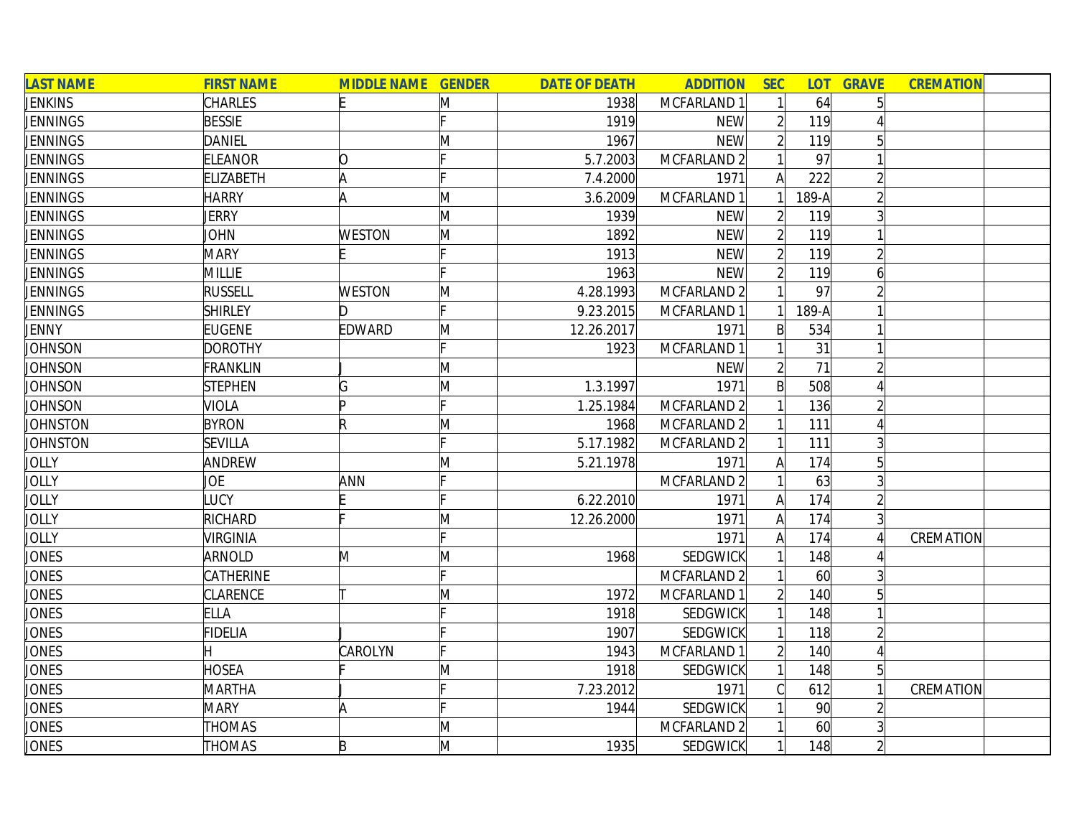| <b>LAST NAME</b> | <b>FIRST NAME</b> | <b>MIDDLE NAME GENDER</b> |   | <b>DATE OF DEATH</b> | <b>ADDITION</b>        | <b>SEC</b>     | <b>LOT</b>      | <b>GRAVE</b>    | <b>CREMATION</b> |
|------------------|-------------------|---------------------------|---|----------------------|------------------------|----------------|-----------------|-----------------|------------------|
| <b>JENKINS</b>   | <b>CHARLES</b>    | IE.                       | M | 1938                 | MCFARLAND 1            |                | 64              |                 |                  |
| <b>JENNINGS</b>  | <b>BESSIE</b>     |                           |   | 1919                 | <b>NEW</b>             |                | 119             |                 |                  |
| JENNINGS         | <b>DANIEL</b>     |                           | M | 1967                 | <b>NEW</b>             |                | 119             |                 |                  |
| <b>JENNINGS</b>  | <b>ELEANOR</b>    | 10                        |   | 5.7.2003             | MCFARLAND <sub>2</sub> |                | 97              |                 |                  |
| <b>JENNINGS</b>  | <b>ELIZABETH</b>  | A                         |   | 7.4.2000             | 1971                   | A              | 222             |                 |                  |
| JENNINGS         | <b>HARRY</b>      | A                         | M | 3.6.2009             | MCFARLAND 1            |                | 189-A           |                 |                  |
| <b>JENNINGS</b>  | <b>JERRY</b>      |                           | M | 1939                 | <b>NEW</b>             | $\overline{2}$ | 119             |                 |                  |
| <b>JENNINGS</b>  | <b>JOHN</b>       | <b>WESTON</b>             | M | 1892                 | <b>NEW</b>             | $\overline{2}$ | 119             |                 |                  |
| <b>JENNINGS</b>  | <b>MARY</b>       |                           |   | 1913                 | <b>NEW</b>             | $\overline{2}$ | 119             |                 |                  |
| <b>JENNINGS</b>  | <b>MILLIE</b>     |                           |   | 1963                 | <b>NEW</b>             | $\overline{2}$ | 119             | 6               |                  |
| <b>JENNINGS</b>  | <b>RUSSELL</b>    | <b>WESTON</b>             | M | 4.28.1993            | MCFARLAND <sub>2</sub> |                | 97              |                 |                  |
| <b>JENNINGS</b>  | <b>SHIRLEY</b>    | ID.                       |   | 9.23.2015            | MCFARLAND 1            |                | 189-A           |                 |                  |
| JENNY            | <b>EUGENE</b>     | <b>EDWARD</b>             | M | 12.26.2017           | 1971                   | $\mathsf{B}$   | 534             |                 |                  |
| JOHNSON          | <b>DOROTHY</b>    |                           |   | 1923                 | MCFARLAND 1            |                | 31              |                 |                  |
| JOHNSON          | <b>FRANKLIN</b>   |                           | M |                      | <b>NEW</b>             |                | 71              |                 |                  |
| JOHNSON          | <b>STEPHEN</b>    | G                         | M | 1.3.1997             | 1971                   | B              | 508             |                 |                  |
| <b>JOHNSON</b>   | <b>VIOLA</b>      | Þ                         |   | 1.25.1984            | MCFARLAND <sub>2</sub> |                | 136             |                 |                  |
| <b>JOHNSTON</b>  | <b>BYRON</b>      | R                         | M | 1968                 | MCFARLAND 2            |                | 111             |                 |                  |
| <b>JOHNSTON</b>  | <b>SEVILLA</b>    |                           |   | 5.17.1982            | MCFARLAND <sub>2</sub> |                | 111             |                 |                  |
| <b>JOLLY</b>     | ANDREW            |                           | Μ | 5.21.1978            | 1971                   | A              | 174             | 5 <sup>1</sup>  |                  |
| <b>JOLLY</b>     | JOE               | ANN                       |   |                      | MCFARLAND 2            |                | 63              |                 |                  |
| <b>JOLLY</b>     | LUCY              |                           |   | 6.22.2010            | 1971                   | Α              | 174             |                 |                  |
| JOLLY            | RICHARD           |                           | M | 12.26.2000           | 1971                   | A              | 174             |                 |                  |
| <b>JOLLY</b>     | VIRGINIA          |                           |   |                      | 1971                   | A              | 174             |                 | CREMATION        |
| <b>JONES</b>     | ARNOLD            | M                         | M | 1968                 | <b>SEDGWICK</b>        |                | 148             |                 |                  |
| <b>JONES</b>     | CATHERINE         |                           |   |                      | MCFARLAND <sub>2</sub> |                | 60              | $\vert 3 \vert$ |                  |
| JONES            | <b>CLARENCE</b>   |                           | M | 1972                 | MCFARLAND 1            |                | 140             |                 |                  |
| JONES            | <b>ELLA</b>       |                           |   | 1918                 | SEDGWICK               |                | 148             |                 |                  |
| JONES            | <b>FIDELIA</b>    |                           |   | 1907                 | <b>SEDGWICK</b>        |                | 118             |                 |                  |
| <b>JONES</b>     |                   | CAROLYN                   |   | 1943                 | MCFARLAND 1            |                | 140             |                 |                  |
| <b>JONES</b>     | <b>HOSEA</b>      |                           | Μ | 1918                 | SEDGWICK               |                | 148             |                 |                  |
| <b>JONES</b>     | <b>MARTHA</b>     |                           |   | 7.23.2012            | 1971                   |                | 612             |                 | CREMATION        |
| <b>JONES</b>     | <b>MARY</b>       | A                         |   | 1944                 | SEDGWICK               |                | 90 <sup>°</sup> |                 |                  |
| <b>JONES</b>     | <b>THOMAS</b>     |                           | Μ |                      | MCFARLAND 2            |                | 60              |                 |                  |
| <b>JONES</b>     | <b>THOMAS</b>     | $\mathsf B$               | M | 1935                 | <b>SEDGWICK</b>        |                | 148             |                 |                  |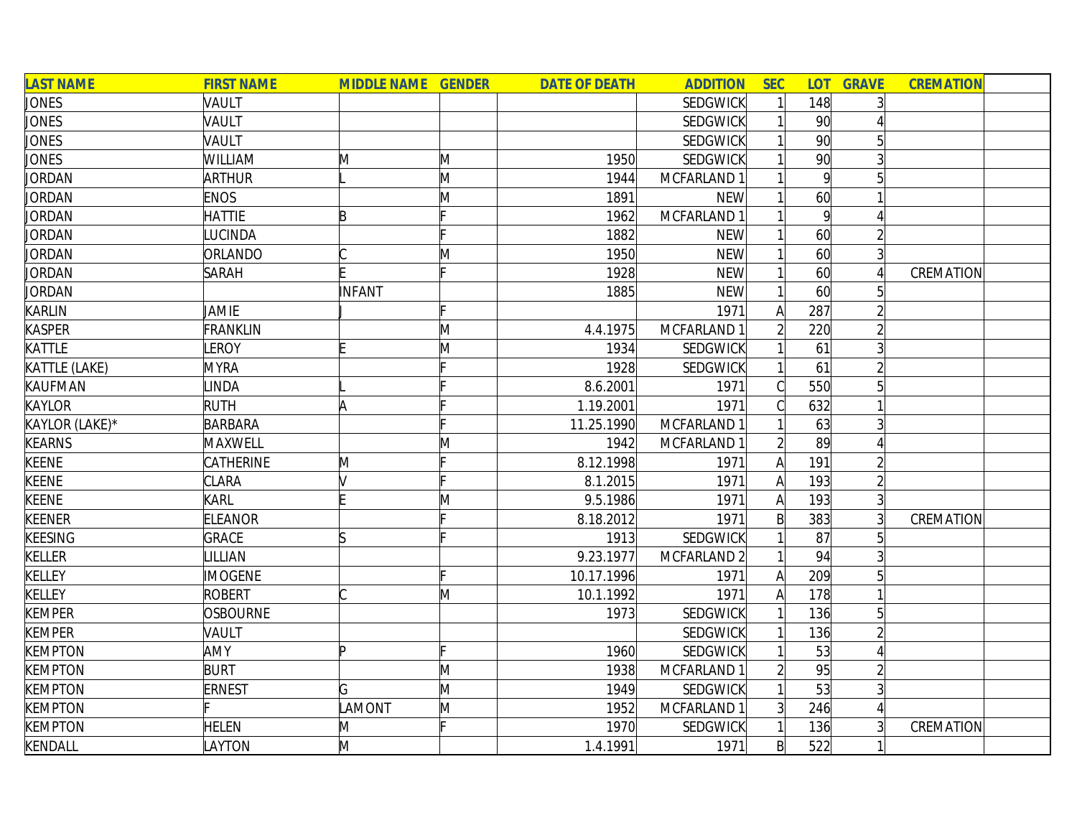| <b>LAST NAME</b> | <b>FIRST NAME</b> | <b>MIDDLE NAME GENDER</b> |   | <b>DATE OF DEATH</b> | <b>ADDITION</b> | <b>SEC</b>     | <b>LOT</b>      | <b>GRAVE</b>   | <b>CREMATION</b> |  |
|------------------|-------------------|---------------------------|---|----------------------|-----------------|----------------|-----------------|----------------|------------------|--|
| <b>JONES</b>     | VAULT             |                           |   |                      | <b>SEDGWICK</b> | 1              | 148             | 3              |                  |  |
| <b>JONES</b>     | VAULT             |                           |   |                      | <b>SEDGWICK</b> |                | 90 <sub>l</sub> |                |                  |  |
| <b>JONES</b>     | VAULT             |                           |   |                      | SEDGWICK        |                | 90              | 5 <sup>1</sup> |                  |  |
| <b>JONES</b>     | WILLIAM           | M                         | M | 1950                 | SEDGWICK        |                | 90 <sup>1</sup> | 3              |                  |  |
| <b>JORDAN</b>    | <b>ARTHUR</b>     |                           | M | 1944                 | MCFARLAND 1     |                | 9               | 5 <sup>1</sup> |                  |  |
| JORDAN           | <b>ENOS</b>       |                           | M | 1891                 | <b>NEW</b>      |                | 60              |                |                  |  |
| <b>JORDAN</b>    | <b>HATTIE</b>     | B                         |   | 1962                 | MCFARLAND 1     | 1              | $\vert 9 \vert$ | Δ              |                  |  |
| <b>JORDAN</b>    | <b>UCINDA</b>     |                           |   | 1882                 | <b>NEW</b>      | $\mathbf{1}$   | 60              | $\overline{2}$ |                  |  |
| <b>JORDAN</b>    | ORLANDO           |                           | M | 1950                 | <b>NEW</b>      | $\mathbf{1}$   | 60              | $\overline{3}$ |                  |  |
| <b>JORDAN</b>    | <b>SARAH</b>      |                           |   | 1928                 | <b>NEW</b>      | $\mathbf{1}$   | 60              |                | CREMATION        |  |
| <b>JORDAN</b>    |                   | <b>INFANT</b>             |   | 1885                 | <b>NEW</b>      | $\mathbf{1}$   | 60              |                |                  |  |
| KARLIN           | JAMIE             |                           |   |                      | 1971            | $\mathsf{A}$   | 287             |                |                  |  |
| <b>KASPER</b>    | <b>FRANKLIN</b>   |                           | M | 4.4.1975             | MCFARLAND 1     | $\overline{2}$ | 220             |                |                  |  |
| KATTLE           | <b>EROY</b>       |                           | M | 1934                 | <b>SEDGWICK</b> |                | 61              | $\overline{3}$ |                  |  |
| KATTLE (LAKE)    | <b>MYRA</b>       |                           |   | 1928                 | SEDGWICK        |                | 61              |                |                  |  |
| KAUFMAN          | <b>INDA</b>       |                           |   | 8.6.2001             | 1971            | C              | 550             |                |                  |  |
| <b>KAYLOR</b>    | <b>RUTH</b>       | A                         |   | 1.19.2001            | 1971            | Cl             | 632             |                |                  |  |
| KAYLOR (LAKE)*   | <b>BARBARA</b>    |                           |   | 11.25.1990           | MCFARLAND 1     |                | 63              | $\overline{3}$ |                  |  |
| <b>KEARNS</b>    | MAXWELL           |                           | M | 1942                 | MCFARLAND 1     | $\overline{2}$ | 89              | Δ              |                  |  |
| <b>KEENE</b>     | CATHERINE         | M                         |   | 8.12.1998            | 1971            | A              | 191             | $\overline{2}$ |                  |  |
| <b>KEENE</b>     | CLARA             |                           |   | 8.1.2015             | 1971            | $\mathsf{A}$   | 193             | $\overline{2}$ |                  |  |
| <b>KEENE</b>     | KARL              |                           | M | 9.5.1986             | 1971            | $\mathsf{A}$   | 193             | $\overline{3}$ |                  |  |
| <b>KEENER</b>    | <b>ELEANOR</b>    |                           |   | 8.18.2012            | 1971            | $\mathsf{B}$   | 383             | $\overline{3}$ | CREMATION        |  |
| <b>KEESING</b>   | <b>GRACE</b>      |                           |   | 1913                 | SEDGWICK        |                | 87              | 5 <sup>1</sup> |                  |  |
| <b>KELLER</b>    | <b>ILLIAN</b>     |                           |   | 9.23.1977            | MCFARLAND 2     | $\mathbf{1}$   | 94              | $\overline{3}$ |                  |  |
| <b>KELLEY</b>    | <b>IMOGENE</b>    |                           |   | 10.17.1996           | 1971            | $\mathsf{A}$   | 209             | $\overline{5}$ |                  |  |
| <b>KELLEY</b>    | <b>ROBERT</b>     |                           | M | 10.1.1992            | 1971            | A              | 178             |                |                  |  |
| <b>KEMPER</b>    | <b>OSBOURNE</b>   |                           |   | 1973                 | SEDGWICK        |                | 136             | $5\vert$       |                  |  |
| <b>KEMPER</b>    | VAULT             |                           |   |                      | <b>SEDGWICK</b> | $1\vert$       | 136             | $\overline{2}$ |                  |  |
| <b>KEMPTON</b>   | AMY               | b                         |   | 1960                 | SEDGWICK        |                | 53              | 4              |                  |  |
| <b>KEMPTON</b>   | <b>BURT</b>       |                           | M | 1938                 | MCFARLAND 1     | $\mathsf{2}$   | 95              | $\overline{2}$ |                  |  |
| <b>KEMPTON</b>   | <b>ERNEST</b>     | G                         | M | 1949                 | <b>SEDGWICK</b> | $\mathbf{1}$   | 53              | $\overline{3}$ |                  |  |
| <b>KEMPTON</b>   |                   | LAMONT                    | M | 1952                 | MCFARLAND 1     | 3 <sup>1</sup> | 246             | $\overline{4}$ |                  |  |
| <b>KEMPTON</b>   | <b>HELEN</b>      | M                         |   | 1970                 | <b>SEDGWICK</b> | 1              | 136             | 3              | CREMATION        |  |
| KENDALL          | <b>AYTON</b>      | M                         |   | 1.4.1991             | 1971            | $\mathsf{B}$   | 522             |                |                  |  |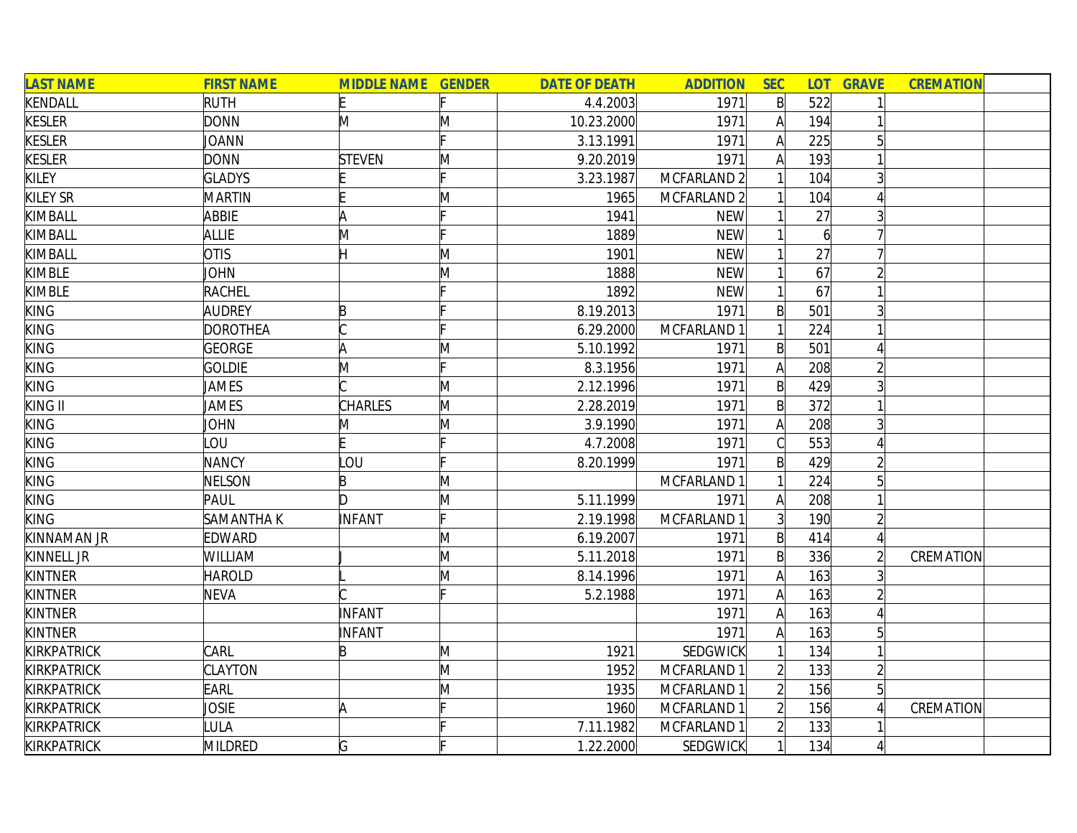| <b>LAST NAME</b>   | <b>FIRST NAME</b> | <b>MIDDLE NAME GENDER</b> |   | <b>DATE OF DEATH</b> | <b>ADDITION</b>        | <b>SEC</b>     |                | <b>LOT GRAVE</b> | <b>CREMATION</b> |
|--------------------|-------------------|---------------------------|---|----------------------|------------------------|----------------|----------------|------------------|------------------|
| KENDALL            | <b>RUTH</b>       |                           |   | 4.4.2003             | 1971                   | $\mathsf{B}$   | 522            |                  |                  |
| <b>KESLER</b>      | <b>DONN</b>       | M                         | M | 10.23.2000           | 1971                   | A              | 194            |                  |                  |
| <b>KESLER</b>      | JOANN             |                           |   | 3.13.1991            | 1971                   | A              | 225            | 5                |                  |
| <b>KESLER</b>      | <b>DONN</b>       | <b>STEVEN</b>             | M | 9.20.2019            | 1971                   |                | 193            |                  |                  |
| <b>KILEY</b>       | <b>GLADYS</b>     |                           |   | 3.23.1987            | MCFARLAND <sub>2</sub> |                | 104            |                  |                  |
| <b>KILEY SR</b>    | <b>MARTIN</b>     |                           | M | 1965                 | MCFARLAND <sub>2</sub> |                | 104            |                  |                  |
| KIMBALL            | <b>ABBIE</b>      | A                         |   | 1941                 | <b>NEW</b>             |                | 27             |                  |                  |
| <b>KIMBALL</b>     | <b>ALLIE</b>      | M                         |   | 1889                 | <b>NEW</b>             |                | $\overline{6}$ |                  |                  |
| <b>KIMBALL</b>     | <b>OTIS</b>       |                           | Μ | 1901                 | <b>NEW</b>             |                | 27             |                  |                  |
| <b>KIMBLE</b>      | <b>JOHN</b>       |                           | M | 1888                 | <b>NEW</b>             |                | 67             |                  |                  |
| <b>KIMBLE</b>      | <b>RACHEL</b>     |                           |   | 1892                 | <b>NEW</b>             |                | 67             |                  |                  |
| <b>KING</b>        | <b>AUDREY</b>     | B                         |   | 8.19.2013            | 1971                   | B              | 501            |                  |                  |
| <b>KING</b>        | DOROTHEA          |                           |   | 6.29.2000            | MCFARLAND 1            |                | 224            |                  |                  |
| <b>KING</b>        | GEORGE            | A                         | M | 5.10.1992            | 1971                   | B              | 501            |                  |                  |
| <b>KING</b>        | <b>GOLDIE</b>     | M                         |   | 8.3.1956             | 1971                   | A              | 208            |                  |                  |
| <b>KING</b>        | JAMES             |                           | M | 2.12.1996            | 1971                   | B              | 429            |                  |                  |
| KING II            | JAMES             | <b>CHARLES</b>            | M | 2.28.2019            | 1971                   | $\mathsf{B}$   | 372            |                  |                  |
| <b>KING</b>        | JOHN              | M                         | M | 3.9.1990             | 1971                   | A              | 208            |                  |                  |
| <b>KING</b>        | LOU               |                           |   | 4.7.2008             | 1971                   |                | 553            |                  |                  |
| <b>KING</b>        | <b>NANCY</b>      | LOU                       |   | 8.20.1999            | 1971                   | $\mathsf{B}$   | 429            |                  |                  |
| <b>KING</b>        | <b>NELSON</b>     | B                         | M |                      | MCFARLAND 1            |                | 224            | 5                |                  |
| <b>KING</b>        | PAUL              | ID.                       | M | 5.11.1999            | 1971                   | A              | 208            |                  |                  |
| <b>KING</b>        | <b>SAMANTHAK</b>  | <b>INFANT</b>             | F | 2.19.1998            | MCFARLAND 1            | $\overline{3}$ | 190            |                  |                  |
| KINNAMAN JR        | <b>EDWARD</b>     |                           | M | 6.19.2007            | 1971                   | $\mathsf{B}$   | 414            |                  |                  |
| KINNELL JR         | WILLIAM           |                           | M | 5.11.2018            | 1971                   | $\mathsf{B}$   | 336            | $\overline{2}$   | CREMATION        |
| <b>KINTNER</b>     | <b>HAROLD</b>     |                           | M | 8.14.1996            | 1971                   | A              | 163            | 3                |                  |
| <b>KINTNER</b>     | <b>NEVA</b>       |                           |   | 5.2.1988             | 1971                   | A              | 163            |                  |                  |
| <b>KINTNER</b>     |                   | INFANT                    |   |                      | 1971                   | A              | 163            |                  |                  |
| <b>KINTNER</b>     |                   | INFANT                    |   |                      | 1971                   | A              | 163            | 5 <sup>1</sup>   |                  |
| <b>KIRKPATRICK</b> | CARL              | B                         | M | 1921                 | SEDGWICK               |                | 134            |                  |                  |
| <b>KIRKPATRICK</b> | <b>CLAYTON</b>    |                           | M | 1952                 | MCFARLAND 1            | $\overline{2}$ | 133            |                  |                  |
| <b>KIRKPATRICK</b> | <b>EARL</b>       |                           | M | 1935                 | MCFARLAND 1            |                | 156            | 5 <sup>1</sup>   |                  |
| KIRKPATRICK        | JOSIE             | A                         |   | 1960                 | MCFARLAND 1            |                | 156            |                  | CREMATION        |
| KIRKPATRICK        | LULA              |                           |   | 7.11.1982            | MCFARLAND 1            |                | 133            |                  |                  |
| <b>KIRKPATRICK</b> | MILDRED           | G                         |   | 1.22.2000            | <b>SEDGWICK</b>        |                | 134            |                  |                  |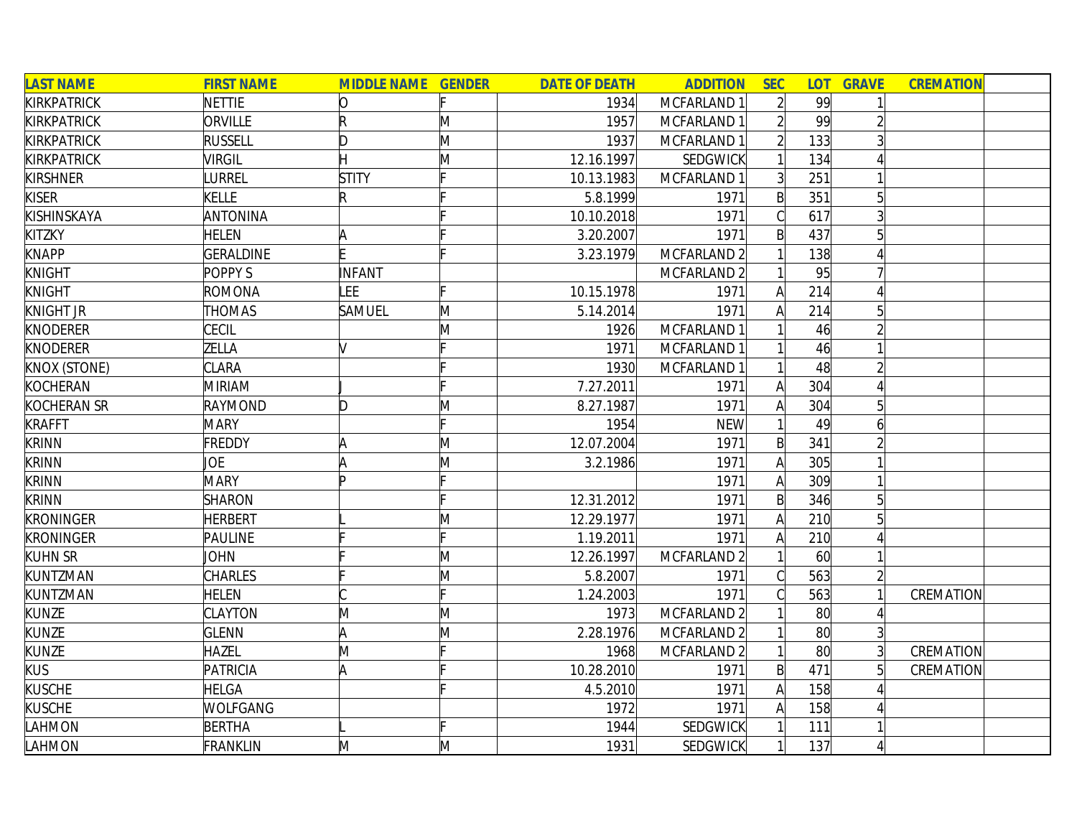| <b>LAST NAME</b>    | <b>FIRST NAME</b> | <b>MIDDLE NAME GENDER</b> |   | <b>DATE OF DEATH</b> | <b>ADDITION</b> | <b>SEC</b>     | <b>LOT</b> | <b>GRAVE</b>    | <b>CREMATION</b> |  |
|---------------------|-------------------|---------------------------|---|----------------------|-----------------|----------------|------------|-----------------|------------------|--|
| <b>KIRKPATRICK</b>  | <b>NETTIE</b>     | 10                        |   | 1934                 | MCFARLAND 1     | $\overline{2}$ | 99         |                 |                  |  |
| <b>KIRKPATRICK</b>  | ORVILLE           | R                         | M | 1957                 | MCFARLAND 1     | $\overline{2}$ | 99         |                 |                  |  |
| <b>KIRKPATRICK</b>  | <b>RUSSELL</b>    | D                         | M | 1937                 | MCFARLAND 1     |                | 133        |                 |                  |  |
| <b>KIRKPATRICK</b>  | <b>VIRGIL</b>     |                           | M | 12.16.1997           | SEDGWICK        |                | 134        |                 |                  |  |
| <b>KIRSHNER</b>     | <b>URREL</b>      | <b>STITY</b>              |   | 10.13.1983           | MCFARLAND 1     | 3 <sup>l</sup> | 251        |                 |                  |  |
| <b>KISER</b>        | <b>KELLE</b>      | R                         |   | 5.8.1999             | 1971            | $\mathsf{B}$   | 351        | 5               |                  |  |
| KISHINSKAYA         | ANTONINA          |                           |   | 10.10.2018           | 1971            | $\mathcal{C}$  | 617        | 3               |                  |  |
| KITZKY              | <b>HELEN</b>      |                           |   | 3.20.2007            | 1971            | $\mathsf{B}$   | 437        |                 |                  |  |
| <b>KNAPP</b>        | <b>GERALDINE</b>  |                           |   | 3.23.1979            | MCFARLAND 2     |                | 138        |                 |                  |  |
| <b>KNIGHT</b>       | POPPY S           | INFANT                    |   |                      | MCFARLAND 2     |                | 95         |                 |                  |  |
| <b>KNIGHT</b>       | ROMONA            | LEE                       |   | 10.15.1978           | 1971            | A              | 214        |                 |                  |  |
| <b>KNIGHT JR</b>    | <b>THOMAS</b>     | <b>SAMUEL</b>             | M | 5.14.2014            | 1971            | A              | 214        |                 |                  |  |
| <b>KNODERER</b>     | CECIL             |                           | M | 1926                 | MCFARLAND 1     |                | 46         |                 |                  |  |
| <b>KNODERER</b>     | ZELLA             | V                         |   | 1971                 | MCFARLAND 1     |                | 46         |                 |                  |  |
| <b>KNOX (STONE)</b> | CLARA             |                           |   | 1930                 | MCFARLAND 1     |                | 48         |                 |                  |  |
| <b>KOCHERAN</b>     | <b>MIRIAM</b>     |                           |   | 7.27.2011            | 1971            | A              | 304        |                 |                  |  |
| <b>KOCHERAN SR</b>  | <b>RAYMOND</b>    | D                         | M | 8.27.1987            | 1971            | A              | 304        | $5\overline{)}$ |                  |  |
| <b>KRAFFT</b>       | <b>MARY</b>       |                           |   | 1954                 | <b>NEW</b>      | 1              | 49         | 6               |                  |  |
| <b>KRINN</b>        | <b>FREDDY</b>     | A                         | M | 12.07.2004           | 1971            | $\mathsf{B}$   | 341        |                 |                  |  |
| <b>KRINN</b>        | JOE               |                           | M | 3.2.1986             | 1971            | $\mathsf{A}$   | 305        |                 |                  |  |
| <b>KRINN</b>        | <b>MARY</b>       | Þ                         |   |                      | 1971            | A              | 309        |                 |                  |  |
| <b>KRINN</b>        | <b>SHARON</b>     |                           |   | 12.31.2012           | 1971            | $\mathsf{B}$   | 346        |                 |                  |  |
| <b>KRONINGER</b>    | <b>HERBERT</b>    |                           | M | 12.29.1977           | 1971            | Α              | 210        |                 |                  |  |
| <b>KRONINGER</b>    | PAULINE           |                           |   | 1.19.2011            | 1971            | A              | 210        |                 |                  |  |
| <b>KUHN SR</b>      | <b>JOHN</b>       |                           | M | 12.26.1997           | MCFARLAND 2     |                | 60         |                 |                  |  |
| KUNTZMAN            | CHARLES           |                           | M | 5.8.2007             | 1971            | $\mathcal{C}$  | 563        | $\overline{2}$  |                  |  |
| KUNTZMAN            | <b>HELEN</b>      |                           |   | 1.24.2003            | 1971            | C              | 563        |                 | CREMATION        |  |
| <b>KUNZE</b>        | CLAYTON           | M                         | M | 1973                 | MCFARLAND 2     |                | 80         |                 |                  |  |
| <b>KUNZE</b>        | <b>GLENN</b>      | ΙA                        | M | 2.28.1976            | MCFARLAND 2     |                | 80         |                 |                  |  |
| <b>KUNZE</b>        | <b>HAZEL</b>      | M                         |   | 1968                 | MCFARLAND 2     | 1              | 80         | $\overline{3}$  | CREMATION        |  |
| <b>KUS</b>          | PATRICIA          | A                         |   | 10.28.2010           | 1971            | $\mathsf{B}$   | 471        |                 | CREMATION        |  |
| <b>KUSCHE</b>       | <b>HELGA</b>      |                           |   | 4.5.2010             | 1971            | $\mathsf{A}$   | 158        |                 |                  |  |
| <b>KUSCHE</b>       | WOLFGANG          |                           |   | 1972                 | 1971            | A              | 158        |                 |                  |  |
| LAHMON              | <b>BERTHA</b>     |                           |   | 1944                 | SEDGWICK        |                | 111        |                 |                  |  |
| LAHMON              | <b>FRANKLIN</b>   | M                         | M | 1931                 | <b>SEDGWICK</b> | $\mathbf{1}$   | 137        |                 |                  |  |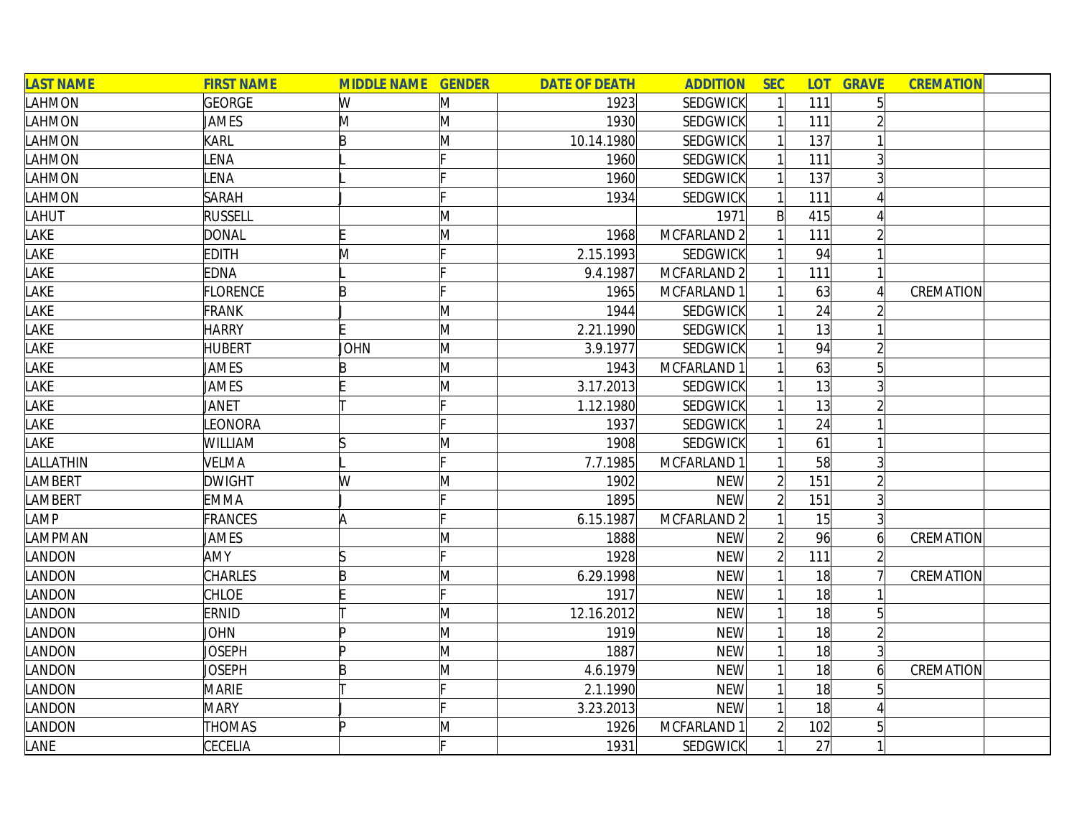| <b>LAST NAME</b> | <b>FIRST NAME</b> | <b>MIDDLE NAME GENDER</b> |   | <b>DATE OF DEATH</b> | <b>ADDITION</b> | <b>SEC</b>     |     | <b>LOT GRAVE</b> | <b>CREMATION</b> |
|------------------|-------------------|---------------------------|---|----------------------|-----------------|----------------|-----|------------------|------------------|
| LAHMON           | GEORGE            | W                         | M | 1923                 | <b>SEDGWICK</b> |                | 111 | 5 <sup>1</sup>   |                  |
| LAHMON           | <b>JAMES</b>      | M                         | M | 1930                 | SEDGWICK        |                | 111 |                  |                  |
| LAHMON           | KARL              | B                         | M | 10.14.1980           | SEDGWICK        |                | 137 |                  |                  |
| LAHMON           | LENA              |                           |   | 1960                 | SEDGWICK        |                | 111 | $\overline{3}$   |                  |
| LAHMON           | LENA              |                           |   | 1960                 | <b>SEDGWICK</b> |                | 137 | 3                |                  |
| LAHMON           | <b>SARAH</b>      |                           |   | 1934                 | <b>SEDGWICK</b> |                | 111 |                  |                  |
| LAHUT            | <b>RUSSELL</b>    |                           | M |                      | 1971            | $\mathsf{B}$   | 415 |                  |                  |
| LAKE             | <b>DONAL</b>      |                           | M | 1968                 | MCFARLAND 2     |                | 111 |                  |                  |
| LAKE             | <b>EDITH</b>      | M                         |   | 2.15.1993            | SEDGWICK        |                | 94  |                  |                  |
| LAKE             | <b>EDNA</b>       |                           |   | 9.4.1987             | MCFARLAND 2     |                | 111 |                  |                  |
| LAKE             | <b>FLORENCE</b>   | B                         |   | 1965                 | MCFARLAND 1     |                | 63  |                  | CREMATION        |
| LAKE             | <b>FRANK</b>      |                           | M | 1944                 | SEDGWICK        |                | 24  |                  |                  |
| LAKE             | <b>HARRY</b>      |                           | M | 2.21.1990            | SEDGWICK        |                | 13  |                  |                  |
| LAKE             | <b>HUBERT</b>     | JOHN                      | M | 3.9.1977             | SEDGWICK        |                | 94  |                  |                  |
| LAKE             | JAMES             | B                         | M | 1943                 | MCFARLAND 1     |                | 63  |                  |                  |
| LAKE             | JAMES             |                           | M | 3.17.2013            | SEDGWICK        |                | 13  |                  |                  |
| LAKE             | <b>JANET</b>      |                           |   | 1.12.1980            | SEDGWICK        |                | 13  |                  |                  |
| LAKE             | LEONORA           |                           |   | 1937                 | <b>SEDGWICK</b> |                | 24  |                  |                  |
| LAKE             | WILLIAM           | ß                         | Μ | 1908                 | <b>SEDGWICK</b> |                | 61  |                  |                  |
| LALLATHIN        | <b>VELMA</b>      |                           |   | 7.7.1985             | MCFARLAND 1     |                | 58  | 3                |                  |
| <b>LAMBERT</b>   | <b>DWIGHT</b>     | W                         | M | 1902                 | <b>NEW</b>      |                | 151 |                  |                  |
| LAMBERT          | <b>EMMA</b>       |                           |   | 1895                 | <b>NEW</b>      |                | 151 |                  |                  |
| LAMP             | FRANCES           | A                         |   | 6.15.1987            | MCFARLAND 2     |                | 15  | $\overline{3}$   |                  |
| LAMPMAN          | <b>JAMES</b>      |                           | M | 1888                 | <b>NEW</b>      |                | 96  | $\overline{6}$   | CREMATION        |
| LANDON           | <b>AMY</b>        | lS                        |   | 1928                 | <b>NEW</b>      | $\overline{2}$ | 111 |                  |                  |
| LANDON           | <b>CHARLES</b>    | B                         | M | 6.29.1998            | <b>NEW</b>      |                | 18  |                  | CREMATION        |
| LANDON           | <b>CHLOE</b>      |                           |   | 1917                 | <b>NEW</b>      |                | 18  |                  |                  |
| LANDON           | ERNID             |                           | M | 12.16.2012           | <b>NEW</b>      |                | 18  | 5                |                  |
| LANDON           | <b>JOHN</b>       | ID                        | M | 1919                 | <b>NEW</b>      |                | 18  |                  |                  |
| LANDON           | JOSEPH            | Þ                         | M | 1887                 | <b>NEW</b>      |                | 18  | $\frac{3}{3}$    |                  |
| LANDON           | Joseph            | B                         | Μ | 4.6.1979             | <b>NEW</b>      |                | 18  |                  | CREMATION        |
| LANDON           | <b>MARIE</b>      |                           |   | 2.1.1990             | <b>NEW</b>      |                | 18  |                  |                  |
| LANDON           | <b>MARY</b>       |                           |   | 3.23.2013            | <b>NEW</b>      |                | 18  |                  |                  |
| LANDON           | THOMAS            | Þ                         | M | 1926                 | MCFARLAND 1     |                | 102 |                  |                  |
| LANE             | <b>CECELIA</b>    |                           |   | 1931                 | <b>SEDGWICK</b> |                | 27  |                  |                  |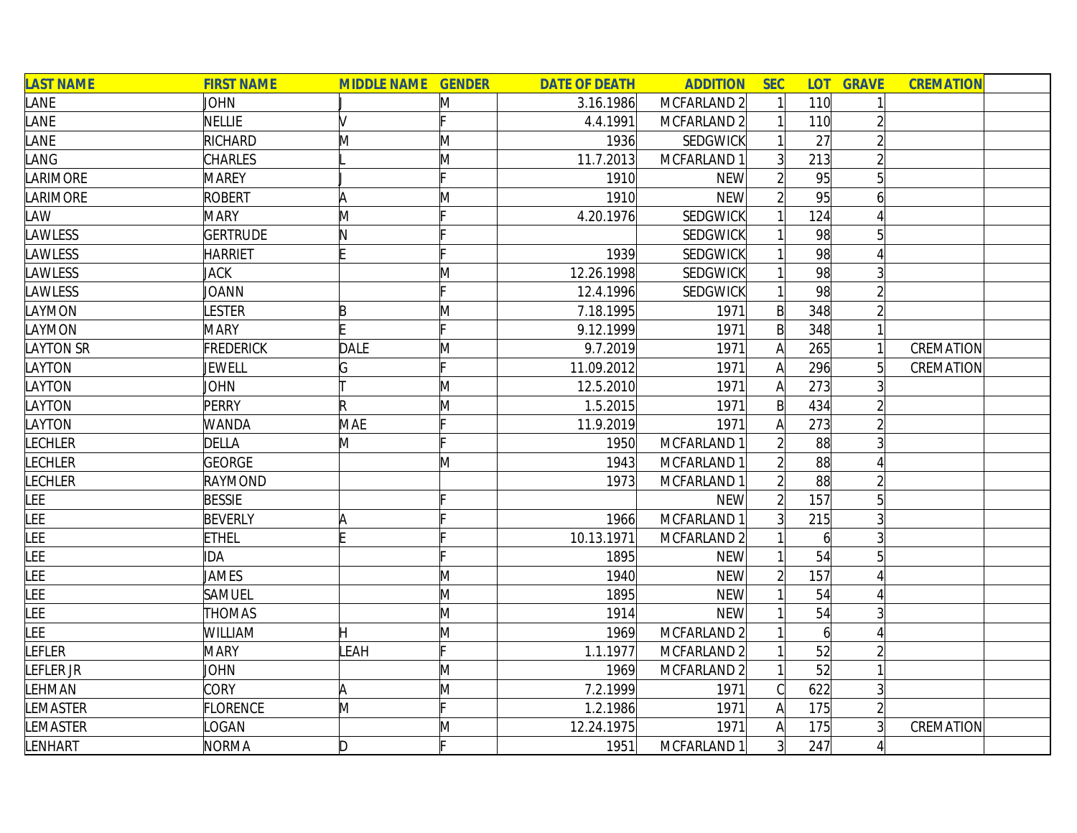| <b>LAST NAME</b> | <b>FIRST NAME</b> | <b>MIDDLE NAME GENDER</b> |    | <b>DATE OF DEATH</b> | <b>ADDITION</b>        | <b>SEC</b>     |                 | <b>LOT GRAVE</b> | <b>CREMATION</b> |
|------------------|-------------------|---------------------------|----|----------------------|------------------------|----------------|-----------------|------------------|------------------|
| LANE             | <b>JOHN</b>       |                           | Μ  | 3.16.1986            | MCFARLAND 2            |                | 110             |                  |                  |
| LANE             | NELLIE            | M                         |    | 4.4.1991             | MCFARLAND 2            |                | 110             |                  |                  |
| LANE             | RICHARD           | M                         | M  | 1936                 | SEDGWICK               |                | 27              |                  |                  |
| LANG             | CHARLES           |                           | M  | 11.7.2013            | MCFARLAND 1            | $\overline{3}$ | 213             |                  |                  |
| LARIMORE         | <b>MAREY</b>      |                           |    | 1910                 | <b>NEW</b>             |                | 95              | 5 <sup>1</sup>   |                  |
| LARIMORE         | ROBERT            | A                         | M  | 1910                 | <b>NEW</b>             | $\overline{2}$ | 95              | $\vert 6 \vert$  |                  |
| LAW              | <b>MARY</b>       | M                         |    | 4.20.1976            | <b>SEDGWICK</b>        |                | 124             |                  |                  |
| LAWLESS          | <b>GERTRUDE</b>   | N                         |    |                      | SEDGWICK               |                | 98              | 5                |                  |
| <b>LAWLESS</b>   | <b>HARRIET</b>    |                           |    | 1939                 | SEDGWICK               |                | 98              |                  |                  |
| LAWLESS          | <b>JACK</b>       |                           | Μ  | 12.26.1998           | SEDGWICK               |                | 98              |                  |                  |
| LAWLESS          | JOANN             |                           |    | 12.4.1996            | SEDGWICK               |                | 98              |                  |                  |
| LAYMON           | LESTER            | B                         | M  | 7.18.1995            | 1971                   | B              | 348             |                  |                  |
| LAYMON           | <b>MARY</b>       |                           |    | 9.12.1999            | 1971                   | $\mathsf{B}$   | 348             |                  |                  |
| <b>LAYTON SR</b> | <b>FREDERICK</b>  | DALE                      | M  | 9.7.2019             | 1971                   | А              | 265             |                  | CREMATION        |
| LAYTON           | JEWELL            | G                         |    | 11.09.2012           | 1971                   | A              | 296             |                  | CREMATION        |
| LAYTON           | <b>JOHN</b>       |                           | M  | 12.5.2010            | 1971                   |                | 273             |                  |                  |
| LAYTON           | <b>PERRY</b>      | R                         | M  | 1.5.2015             | 1971                   | $\mathsf{B}$   | 434             |                  |                  |
| LAYTON           | <b>WANDA</b>      | <b>MAE</b>                |    | 11.9.2019            | 1971                   | А              | 273             |                  |                  |
| <b>LECHLER</b>   | <b>DELLA</b>      | M                         |    | 1950                 | MCFARLAND 1            |                | 88              |                  |                  |
| <b>LECHLER</b>   | GEORGE            |                           | M  | 1943                 | MCFARLAND 1            |                | 88              |                  |                  |
| <b>LECHLER</b>   | RAYMOND           |                           |    | 1973                 | MCFARLAND 1            |                | 88              |                  |                  |
| <b>LEE</b>       | <b>BESSIE</b>     |                           |    |                      | <b>NEW</b>             |                | 157             | 5                |                  |
| <b>LEE</b>       | <b>BEVERLY</b>    | A                         |    | 1966                 | MCFARLAND 1            |                | 215             |                  |                  |
| <b>LEE</b>       | <b>ETHEL</b>      |                           |    | 10.13.1971           | MCFARLAND 2            |                | $\overline{6}$  |                  |                  |
| LEE              | IDA               |                           |    | 1895                 | <b>NEW</b>             |                | 54              | 5                |                  |
| <b>LEE</b>       | <b>JAMES</b>      |                           | M  | 1940                 | <b>NEW</b>             |                | 157             |                  |                  |
| <b>LEE</b>       | SAMUEL            |                           | M  | 1895                 | <b>NEW</b>             |                | 54              |                  |                  |
| LEE              | <b>THOMAS</b>     |                           | M  | 1914                 | <b>NEW</b>             |                | 54              |                  |                  |
| LEE              | <b>WILLIAM</b>    | Η                         | M  | 1969                 | MCFARLAND 2            |                | $\vert 6 \vert$ |                  |                  |
| LEFLER           | <b>MARY</b>       | <b>LEAH</b>               | Ŀ. | 1.1.1977             | MCFARLAND <sub>2</sub> |                | 52              |                  |                  |
| LEFLER JR        | <b>JOHN</b>       |                           | Μ  | 1969                 | MCFARLAND 2            |                | 52              |                  |                  |
| LEHMAN           | <b>CORY</b>       | A                         | M  | 7.2.1999             | 1971                   |                | 622             | 3                |                  |
| <b>LEMASTER</b>  | <b>FLORENCE</b>   | M                         |    | 1.2.1986             | 1971                   | A              | 175             |                  |                  |
| LEMASTER         | LOGAN             |                           | M  | 12.24.1975           | 1971                   | Α              | 175             |                  | CREMATION        |
| LENHART          | <b>NORMA</b>      | D.                        |    | 1951                 | MCFARLAND 1            | 3 <sup>1</sup> | 247             |                  |                  |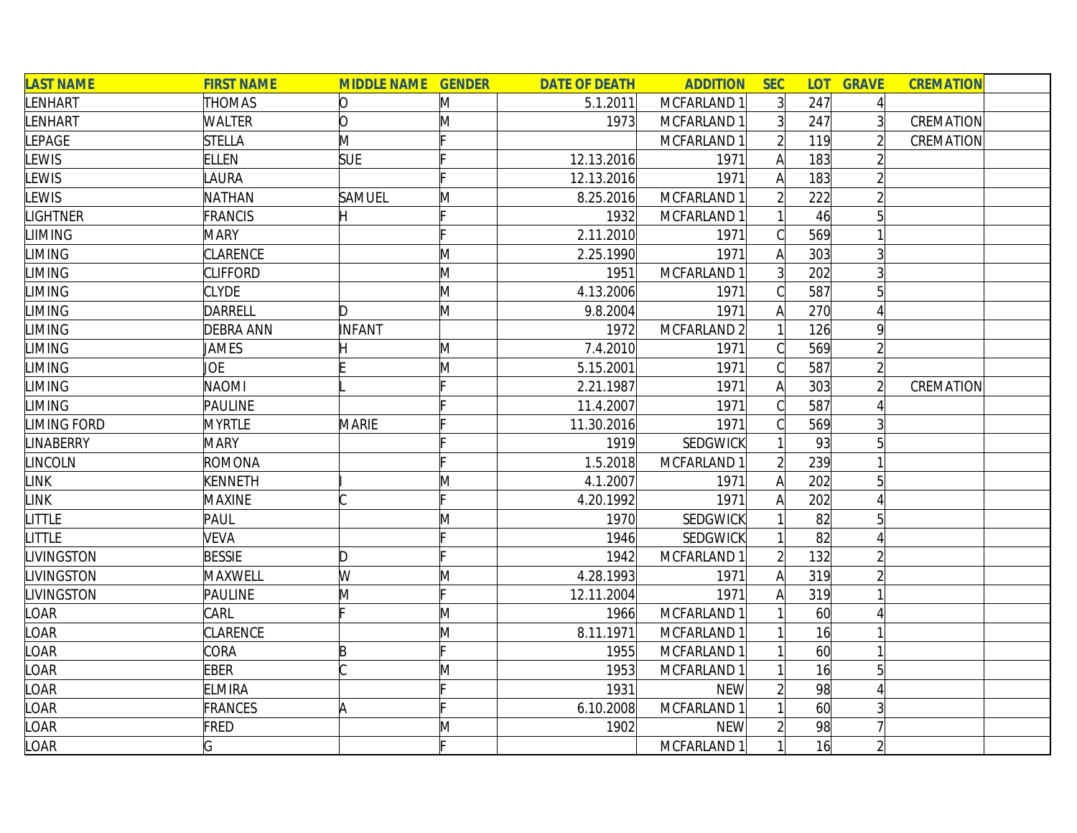| <b>LAST NAME</b>   | <b>FIRST NAME</b> | <b>MIDDLE NAME GENDER</b> |   | <b>DATE OF DEATH</b> | <b>ADDITION</b> | <b>SEC</b>     | <b>LOT</b> | <b>GRAVE</b>   | <b>CREMATION</b> |  |
|--------------------|-------------------|---------------------------|---|----------------------|-----------------|----------------|------------|----------------|------------------|--|
| LENHART            | <b>THOMAS</b>     | O                         | M | 5.1.2011             | MCFARLAND 1     | $\overline{3}$ | 247        | $\vert$        |                  |  |
| LENHART            | <b>WALTER</b>     | O                         | M | 1973                 | MCFARLAND 1     | $\overline{3}$ | 247        | 3              | CREMATION        |  |
| <b>LEPAGE</b>      | <b>STELLA</b>     | M                         |   |                      | MCFARLAND 1     |                | 119        |                | CREMATION        |  |
| LEWIS              | <b>ELLEN</b>      | <b>SUE</b>                |   | 12.13.2016           | 1971            | A              | 183        |                |                  |  |
| <b>LEWIS</b>       | <b>AURA</b>       |                           |   | 12.13.2016           | 1971            | A              | 183        |                |                  |  |
| <b>LEWIS</b>       | NATHAN            | SAMUEL                    | M | 8.25.2016            | MCFARLAND 1     | $\overline{2}$ | 222        | $\overline{2}$ |                  |  |
| <b>LIGHTNER</b>    | <b>FRANCIS</b>    | H                         |   | 1932                 | MCFARLAND 1     |                | 46         | 5 <sup>1</sup> |                  |  |
| <b>LIIMING</b>     | <b>MARY</b>       |                           |   | 2.11.2010            | 1971            |                | 569        |                |                  |  |
| <b>LIMING</b>      | CLARENCE          |                           | M | 2.25.1990            | 1971            |                | 303        |                |                  |  |
| <b>LIMING</b>      | <b>CLIFFORD</b>   |                           | M | 1951                 | MCFARLAND 1     | $\overline{3}$ | 202        |                |                  |  |
| <b>LIMING</b>      | <b>CLYDE</b>      |                           | M | 4.13.2006            | 1971            |                | 587        |                |                  |  |
| <b>LIMING</b>      | DARRELL           | D                         | M | 9.8.2004             | 1971            |                | 270        |                |                  |  |
| <b>LIMING</b>      | <b>DEBRA ANN</b>  | INFANT                    |   | 1972                 | MCFARLAND 2     |                | 126        | 9              |                  |  |
| <b>LIMING</b>      | JAMES             |                           | M | 7.4.2010             | 1971            |                | 569        | $\overline{2}$ |                  |  |
| <b>LIMING</b>      | JOE               |                           | M | 5.15.2001            | 1971            |                | 587        | $\overline{2}$ |                  |  |
| <b>LIMING</b>      | <b>NAOMI</b>      |                           |   | 2.21.1987            | 1971            | Al             | 303        | $\overline{2}$ | CREMATION        |  |
| <b>LIMING</b>      | <b>PAULINE</b>    |                           |   | 11.4.2007            | 1971            |                | 587        |                |                  |  |
| <b>LIMING FORD</b> | <b>MYRTLE</b>     | <b>MARIE</b>              |   | 11.30.2016           | 1971            |                | 569        |                |                  |  |
| <b>LINABERRY</b>   | <b>MARY</b>       |                           |   | 1919                 | <b>SEDGWICK</b> |                | 93         | $\overline{5}$ |                  |  |
| <b>LINCOLN</b>     | ROMONA            |                           |   | 1.5.2018             | MCFARLAND 1     |                | 239        |                |                  |  |
| <b>LINK</b>        | <b>KENNETH</b>    |                           | Μ | 4.1.2007             | 1971            | Α              | 202        |                |                  |  |
| <b>LINK</b>        | <b>MAXINE</b>     |                           |   | 4.20.1992            | 1971            | Α              | 202        |                |                  |  |
| <b>LITTLE</b>      | PAUL              |                           | M | 1970                 | <b>SEDGWICK</b> |                | 82         |                |                  |  |
| <b>LITTLE</b>      | <b>VEVA</b>       |                           |   | 1946                 | <b>SEDGWICK</b> |                | 82         |                |                  |  |
| <b>LIVINGSTON</b>  | <b>BESSIE</b>     | D                         |   | 1942                 | MCFARLAND 1     |                | 132        | $\overline{2}$ |                  |  |
| <b>LIVINGSTON</b>  | MAXWELL           | W                         | M | 4.28.1993            | 1971            | А              | 319        |                |                  |  |
| <b>LIVINGSTON</b>  | PAULINE           | M                         |   | 12.11.2004           | 1971            | A              | 319        |                |                  |  |
| LOAR               | CARL              |                           | M | 1966                 | MCFARLAND 1     |                | 60         |                |                  |  |
| LOAR               | CLARENCE          |                           | M | 8.11.1971            | MCFARLAND 1     |                | 16         |                |                  |  |
| LOAR               | CORA              | B                         |   | 1955                 | MCFARLAND 1     |                | 60         |                |                  |  |
| LOAR               | <b>EBER</b>       |                           | M | 1953                 | MCFARLAND 1     |                | 16         | $\overline{5}$ |                  |  |
| LOAR               | <b>ELMIRA</b>     |                           |   | 1931                 | <b>NEW</b>      |                | 98         |                |                  |  |
| LOAR               | <b>FRANCES</b>    | A                         |   | 6.10.2008            | MCFARLAND 1     |                | 60         |                |                  |  |
| LOAR               | FRED              |                           | M | 1902                 | <b>NEW</b>      |                | 98         |                |                  |  |
| LOAR               | G                 |                           |   |                      | MCFARLAND 1     |                | 16         | $\overline{2}$ |                  |  |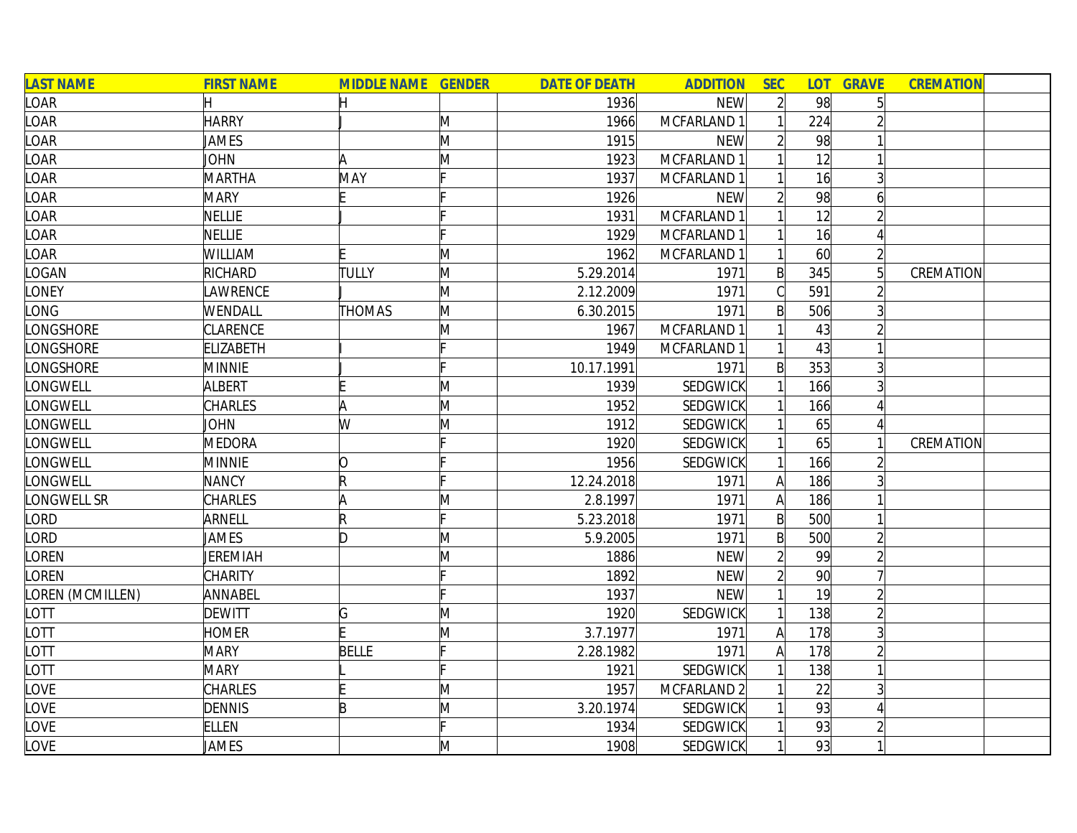| <b>LAST NAME</b> | <b>FIRST NAME</b> | <b>MIDDLE NAME GENDER</b> |              | <b>DATE OF DEATH</b> | <b>ADDITION</b> | <b>SEC</b>     | <b>LOT</b>      | <b>GRAVE</b>    | <b>CREMATION</b> |
|------------------|-------------------|---------------------------|--------------|----------------------|-----------------|----------------|-----------------|-----------------|------------------|
| LOAR             |                   |                           |              | 1936                 | <b>NEW</b>      | $\overline{2}$ | 98              |                 |                  |
| LOAR             | <b>HARRY</b>      |                           | M            | 1966                 | MCFARLAND 1     |                | 224             |                 |                  |
| LOAR             | JAMES             |                           | M            | 1915                 | <b>NEW</b>      |                | 98              |                 |                  |
| LOAR             | <b>JOHN</b>       | A                         | M            | 1923                 | MCFARLAND 1     |                | 12              |                 |                  |
| LOAR             | <b>MARTHA</b>     | MAY                       |              | 1937                 | MCFARLAND 1     |                | 16              | 3               |                  |
| LOAR             | <b>MARY</b>       |                           |              | 1926                 | <b>NEW</b>      |                | 98              | 6               |                  |
| LOAR             | <b>NELLIE</b>     |                           |              | 1931                 | MCFARLAND 1     |                | 12              |                 |                  |
| LOAR             | <b>NELLIE</b>     |                           |              | 1929                 | MCFARLAND 1     |                | 16              |                 |                  |
| LOAR             | WILLIAM           |                           | M            | 1962                 | MCFARLAND 1     |                | 60              |                 |                  |
| <b>LOGAN</b>     | RICHARD           | TULLY                     | M            | 5.29.2014            | 1971            | $\mathsf{B}$   | 345             | $5\overline{)}$ | CREMATION        |
| LONEY            | <b>AWRENCE</b>    |                           | M            | 2.12.2009            | 1971            |                | 591             |                 |                  |
| LONG             | WENDALL           | <b>THOMAS</b>             | M            | 6.30.2015            | 1971            | B              | 506             |                 |                  |
| <b>LONGSHORE</b> | <b>CLARENCE</b>   |                           | M            | 1967                 | MCFARLAND 1     |                | 43              |                 |                  |
| LONGSHORE        | <b>ELIZABETH</b>  |                           |              | 1949                 | MCFARLAND 1     |                | 43              |                 |                  |
| LONGSHORE        | <b>MINNIE</b>     |                           |              | 10.17.1991           | 1971            | B              | 353             |                 |                  |
| LONGWELL         | <b>ALBERT</b>     |                           | M            | 1939                 | SEDGWICK        |                | 166             |                 |                  |
| LONGWELL         | CHARLES           | A                         | M            | 1952                 | <b>SEDGWICK</b> |                | 166             |                 |                  |
| LONGWELL         | JOHN              | W                         | M            | 1912                 | <b>SEDGWICK</b> |                | 65              |                 |                  |
| LONGWELL         | <b>MEDORA</b>     |                           |              | 1920                 | <b>SEDGWICK</b> |                | 65              |                 | CREMATION        |
| LONGWELL         | <b>MINNIE</b>     | O                         |              | 1956                 | SEDGWICK        |                | 166             |                 |                  |
| LONGWELL         | <b>NANCY</b>      | R                         |              | 12.24.2018           | 1971            | $\mathsf{A}$   | 186             |                 |                  |
| LONGWELL SR      | CHARLES           |                           | M            | 2.8.1997             | 1971            | $\mathsf{A}$   | 186             |                 |                  |
| <b>LORD</b>      | ARNELL            | R                         | In.          | 5.23.2018            | 1971            | $\mathsf{B}$   | 500             |                 |                  |
| <b>LORD</b>      | JAMES             | ID.                       | M            | 5.9.2005             | 1971            | $\mathsf{B}$   | 500             |                 |                  |
| <b>LOREN</b>     | JEREMIAH          |                           | M            | 1886                 | <b>NEW</b>      | $\overline{2}$ | 99              |                 |                  |
| <b>LOREN</b>     | <b>CHARITY</b>    |                           |              | 1892                 | <b>NEW</b>      | $\overline{2}$ | 90 <sup>°</sup> |                 |                  |
| LOREN (MCMILLEN) | ANNABEL           |                           |              | 1937                 | <b>NEW</b>      |                | 19              |                 |                  |
| LOTT             | <b>DEWITT</b>     | G                         | $\mathsf{M}$ | 1920                 | SEDGWICK        |                | 138             |                 |                  |
| LOTT             | <b>HOMER</b>      |                           | $\mathsf{M}$ | 3.7.1977             | 1971            | A              | 178             |                 |                  |
| LOTT             | <b>MARY</b>       | <b>BELLE</b>              | Þ            | 2.28.1982            | 1971            | A              | 178             |                 |                  |
| LOTT             | <b>MARY</b>       |                           |              | 1921                 | SEDGWICK        |                | 138             |                 |                  |
| LOVE             | <b>CHARLES</b>    |                           | M            | 1957                 | MCFARLAND 2     |                | 22              |                 |                  |
| LOVE             | <b>DENNIS</b>     | B                         | M            | 3.20.1974            | <b>SEDGWICK</b> |                | 93              |                 |                  |
| LOVE             | <b>ELLEN</b>      |                           |              | 1934                 | SEDGWICK        |                | 93              |                 |                  |
| LOVE             | JAMES             |                           | M            | 1908                 | <b>SEDGWICK</b> |                | 93              |                 |                  |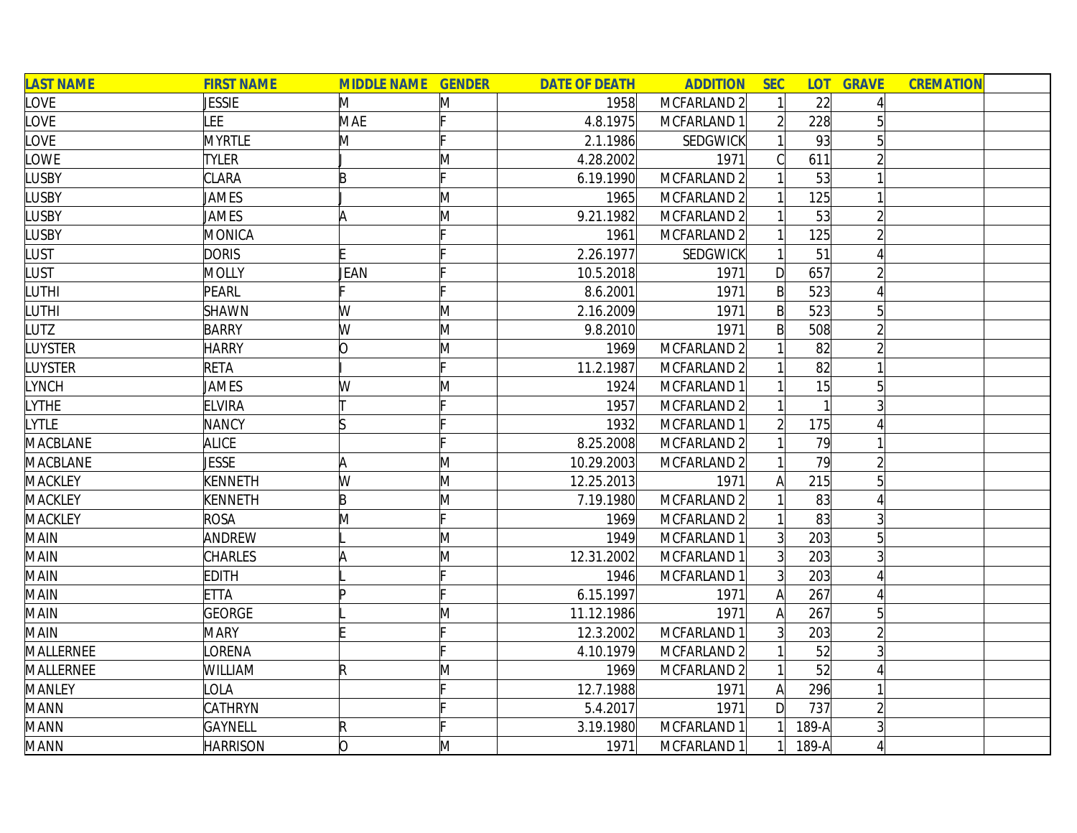| <b>LAST NAME</b> | <b>FIRST NAME</b> | <b>MIDDLE NAME GENDER</b> |   | <b>DATE OF DEATH</b> | <b>ADDITION</b> | <b>SEC</b>      | <b>LOT</b> | <b>GRAVE</b>   | <b>CREMATION</b> |  |
|------------------|-------------------|---------------------------|---|----------------------|-----------------|-----------------|------------|----------------|------------------|--|
| LOVE             | <b>JESSIE</b>     | M                         | M | 1958                 | MCFARLAND 2     |                 | 22         |                |                  |  |
| LOVE             | <b>LEE</b>        | MAE                       |   | 4.8.1975             | MCFARLAND 1     |                 | 228        |                |                  |  |
| LOVE             | <b>MYRTLE</b>     | M                         |   | 2.1.1986             | <b>SEDGWICK</b> |                 | 93         | 5              |                  |  |
| LOWE             | <b>TYLER</b>      |                           | M | 4.28.2002            | 1971            |                 | 611        |                |                  |  |
| <b>LUSBY</b>     | CLARA             | B                         |   | 6.19.1990            | MCFARLAND 2     |                 | 53         |                |                  |  |
| <b>LUSBY</b>     | JAMES             |                           | M | 1965                 | MCFARLAND 2     |                 | 125        |                |                  |  |
| <b>LUSBY</b>     | JAMES             | A                         | M | 9.21.1982            | MCFARLAND 2     |                 | 53         | $\overline{2}$ |                  |  |
| <b>LUSBY</b>     | MONICA            |                           |   | 1961                 | MCFARLAND 2     |                 | 125        |                |                  |  |
| LUST             | <b>DORIS</b>      |                           |   | 2.26.1977            | <b>SEDGWICK</b> |                 | 51         |                |                  |  |
| <b>LUST</b>      | <b>MOLLY</b>      | JEAN                      |   | 10.5.2018            | 1971            | D               | 657        |                |                  |  |
| LUTHI            | PEARL             |                           |   | 8.6.2001             | 1971            | $\mathsf{B}$    | 523        |                |                  |  |
| <b>LUTHI</b>     | <b>SHAWN</b>      | W                         | M | 2.16.2009            | 1971            | $\mathsf{B}$    | 523        |                |                  |  |
| LUTZ             | <b>BARRY</b>      | W                         | M | 9.8.2010             | 1971            | $\mathsf{B}$    | 508        |                |                  |  |
| <b>LUYSTER</b>   | <b>HARRY</b>      | 0                         | M | 1969                 | MCFARLAND 2     |                 | 82         |                |                  |  |
| LUYSTER          | <b>RETA</b>       |                           |   | 11.2.1987            | MCFARLAND 2     |                 | 82         |                |                  |  |
| LYNCH            | <b>JAMES</b>      | W                         | M | 1924                 | MCFARLAND 1     |                 | 15         | 5 <sup>1</sup> |                  |  |
| <b>LYTHE</b>     | <b>ELVIRA</b>     |                           |   | 1957                 | MCFARLAND 2     |                 |            |                |                  |  |
| LYTLE            | <b>NANCY</b>      |                           |   | 1932                 | MCFARLAND 1     |                 | 175        |                |                  |  |
| <b>MACBLANE</b>  | <b>ALICE</b>      |                           |   | 8.25.2008            | MCFARLAND 2     |                 | 79         |                |                  |  |
| <b>MACBLANE</b>  | <b>JESSE</b>      | A                         | M | 10.29.2003           | MCFARLAND 2     |                 | 79         |                |                  |  |
| <b>MACKLEY</b>   | KENNETH           | W                         | M | 12.25.2013           | 1971            | Α               | 215        |                |                  |  |
| <b>MACKLEY</b>   | KENNETH           | B                         | M | 7.19.1980            | MCFARLAND 2     |                 | 83         |                |                  |  |
| <b>MACKLEY</b>   | <b>ROSA</b>       | M                         |   | 1969                 | MCFARLAND 2     |                 | 83         |                |                  |  |
| <b>MAIN</b>      | ANDREW            |                           | M | 1949                 | MCFARLAND 1     | $\overline{3}$  | 203        |                |                  |  |
| <b>MAIN</b>      | CHARLES           |                           | M | 12.31.2002           | MCFARLAND 1     | $\overline{3}$  | 203        | 3              |                  |  |
| <b>MAIN</b>      | <b>EDITH</b>      |                           |   | 1946                 | MCFARLAND 1     | $\vert 3 \vert$ | 203        |                |                  |  |
| <b>MAIN</b>      | <b>ETTA</b>       |                           |   | 6.15.1997            | 1971            | A               | 267        |                |                  |  |
| <b>MAIN</b>      | <b>GEORGE</b>     |                           | Μ | 11.12.1986           | 1971            | A               | 267        |                |                  |  |
| <b>MAIN</b>      | <b>MARY</b>       |                           |   | 12.3.2002            | MCFARLAND 1     | 3               | 203        |                |                  |  |
| MALLERNEE        | <b>ORENA</b>      |                           |   | 4.10.1979            | MCFARLAND 2     |                 | 52         | $\mathsf{3}$   |                  |  |
| MALLERNEE        | WILLIAM           | R                         | M | 1969                 | MCFARLAND 2     |                 | 52         |                |                  |  |
| <b>MANLEY</b>    | OLA               |                           |   | 12.7.1988            | 1971            | $\mathsf{A}$    | 296        |                |                  |  |
| <b>MANN</b>      | <b>CATHRYN</b>    |                           |   | 5.4.2017             | 1971            | $\mathsf{D}$    | 737        |                |                  |  |
| <b>MANN</b>      | <b>GAYNELL</b>    | $\mathsf R$               |   | 3.19.1980            | MCFARLAND 1     |                 | 189-A      |                |                  |  |
| <b>MANN</b>      | <b>HARRISON</b>   | lo                        | M | 1971                 | MCFARLAND 1     |                 | 189-A      |                |                  |  |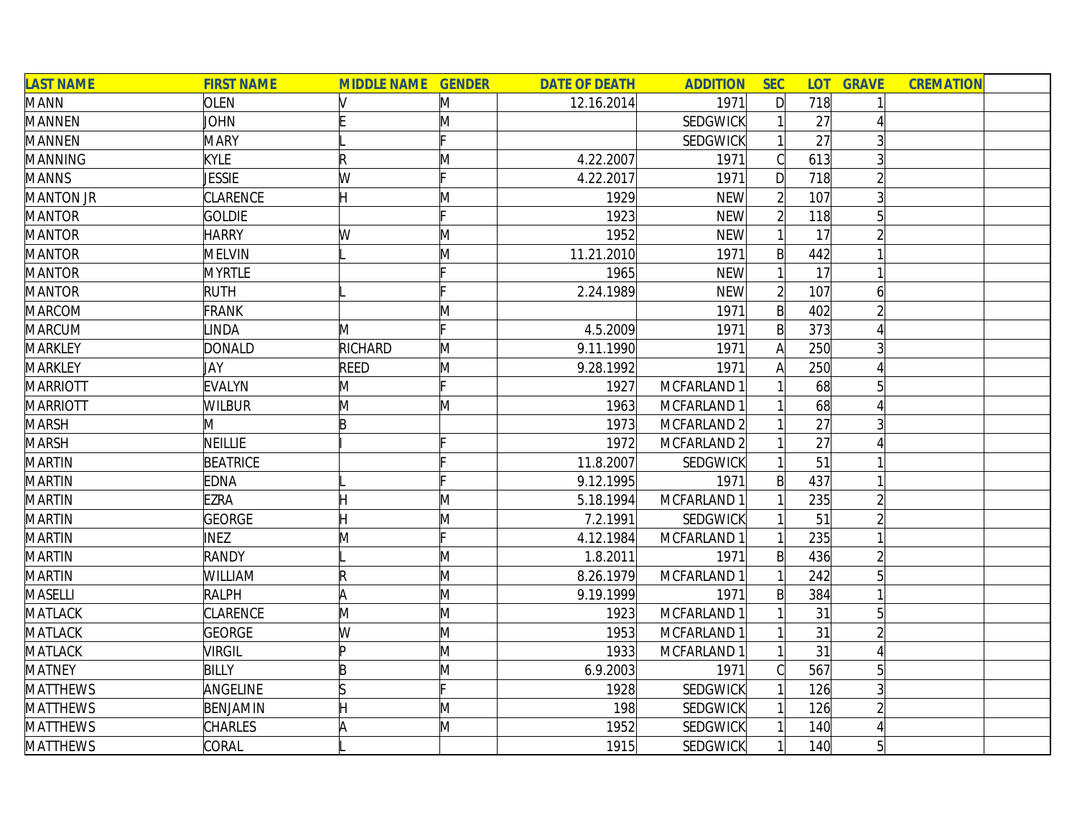| <b>LAST NAME</b> | <b>FIRST NAME</b> | <b>MIDDLE NAME GENDER</b> |              | <b>DATE OF DEATH</b> | <b>ADDITION</b> | <b>SEC</b>     |     | <b>LOT GRAVE</b> | <b>CREMATION</b> |  |
|------------------|-------------------|---------------------------|--------------|----------------------|-----------------|----------------|-----|------------------|------------------|--|
| <b>MANN</b>      | <b>OLEN</b>       |                           | M            | 12.16.2014           | 1971            | $\mathsf{D}$   | 718 |                  |                  |  |
| <b>MANNEN</b>    | <b>JOHN</b>       |                           | M            |                      | SEDGWICK        |                | 27  |                  |                  |  |
| <b>MANNEN</b>    | <b>MARY</b>       |                           |              |                      | <b>SEDGWICK</b> |                | 27  |                  |                  |  |
| <b>MANNING</b>   | <b>KYLE</b>       | R                         | M            | 4.22.2007            | 1971            |                | 613 |                  |                  |  |
| <b>MANNS</b>     | <b>JESSIE</b>     | W                         | Ic           | 4.22.2017            | 1971            | D              | 718 |                  |                  |  |
| <b>MANTON JR</b> | CLARENCE          | H                         | $\mathsf{M}$ | 1929                 | <b>NEW</b>      |                | 107 |                  |                  |  |
| <b>MANTOR</b>    | <b>GOLDIE</b>     |                           |              | 1923                 | <b>NEW</b>      | $\overline{2}$ | 118 | 5                |                  |  |
| <b>MANTOR</b>    | <b>HARRY</b>      | W                         | M            | 1952                 | <b>NEW</b>      |                | 17  |                  |                  |  |
| <b>MANTOR</b>    | <b>MELVIN</b>     |                           | $\mathsf{M}$ | 11.21.2010           | 1971            | $\mathsf{B}$   | 442 |                  |                  |  |
| <b>MANTOR</b>    | <b>MYRTLE</b>     |                           |              | 1965                 | <b>NEW</b>      |                | 17  |                  |                  |  |
| <b>MANTOR</b>    | <b>RUTH</b>       |                           |              | 2.24.1989            | <b>NEW</b>      | $\overline{2}$ | 107 | 6                |                  |  |
| <b>MARCOM</b>    | <b>FRANK</b>      |                           | M            |                      | 1971            | $\mathsf{B}$   | 402 |                  |                  |  |
| <b>MARCUM</b>    | <b>LINDA</b>      | M                         |              | 4.5.2009             | 1971            | $\mathsf{B}$   | 373 |                  |                  |  |
| <b>MARKLEY</b>   | <b>DONALD</b>     | <b>RICHARD</b>            | M            | 9.11.1990            | 1971            |                | 250 |                  |                  |  |
| <b>MARKLEY</b>   | JAY               | <b>REED</b>               | M            | 9.28.1992            | 1971            |                | 250 |                  |                  |  |
| <b>MARRIOTT</b>  | <b>EVALYN</b>     | M                         |              | 1927                 | MCFARLAND 1     |                | 68  |                  |                  |  |
| <b>MARRIOTT</b>  | <b>WILBUR</b>     | M                         | M            | 1963                 | MCFARLAND 1     |                | 68  |                  |                  |  |
| <b>MARSH</b>     | Μ                 | B                         |              | 1973                 | MCFARLAND 2     |                | 27  |                  |                  |  |
| <b>MARSH</b>     | <b>NEILLIE</b>    |                           |              | 1972                 | MCFARLAND 2     |                | 27  |                  |                  |  |
| <b>MARTIN</b>    | <b>BEATRICE</b>   |                           |              | 11.8.2007            | <b>SEDGWICK</b> |                | 51  |                  |                  |  |
| <b>MARTIN</b>    | <b>EDNA</b>       |                           |              | 9.12.1995            | 1971            | $\mathsf{B}$   | 437 |                  |                  |  |
| <b>MARTIN</b>    | <b>EZRA</b>       |                           | M            | 5.18.1994            | MCFARLAND 1     |                | 235 |                  |                  |  |
| <b>MARTIN</b>    | <b>GEORGE</b>     |                           | M            | 7.2.1991             | <b>SEDGWICK</b> |                | 51  |                  |                  |  |
| <b>MARTIN</b>    | <b>INEZ</b>       | M                         | Ŀ.           | 4.12.1984            | MCFARLAND 1     |                | 235 |                  |                  |  |
| <b>MARTIN</b>    | <b>RANDY</b>      |                           | M            | 1.8.2011             | 1971            | $\mathsf{B}$   | 436 |                  |                  |  |
| <b>MARTIN</b>    | WILLIAM           | R                         | M            | 8.26.1979            | MCFARLAND 1     |                | 242 | $5\overline{)}$  |                  |  |
| <b>MASELLI</b>   | <b>RALPH</b>      | A                         | M            | 9.19.1999            | 1971            | $\mathsf{B}$   | 384 |                  |                  |  |
| <b>MATLACK</b>   | CLARENCE          | M                         | M            | 1923                 | MCFARLAND 1     |                | 31  | 5                |                  |  |
| <b>MATLACK</b>   | <b>GEORGE</b>     | W                         | M            | 1953                 | MCFARLAND 1     |                | 31  |                  |                  |  |
| <b>MATLACK</b>   | <b>VIRGIL</b>     | ID                        | M            | 1933                 | MCFARLAND 1     |                | 31  |                  |                  |  |
| <b>MATNEY</b>    | <b>BILLY</b>      | B                         | M            | 6.9.2003             | 1971            |                | 567 | 5                |                  |  |
| <b>MATTHEWS</b>  | ANGELINE          |                           |              | 1928                 | <b>SEDGWICK</b> |                | 126 |                  |                  |  |
| <b>MATTHEWS</b>  | BENJAMIN          |                           | M            | 198                  | <b>SEDGWICK</b> |                | 126 |                  |                  |  |
| <b>MATTHEWS</b>  | <b>CHARLES</b>    |                           | M            | 1952                 | SEDGWICK        |                | 140 |                  |                  |  |
| <b>MATTHEWS</b>  | CORAL             |                           |              | 1915                 | SEDGWICK        |                | 140 | 5                |                  |  |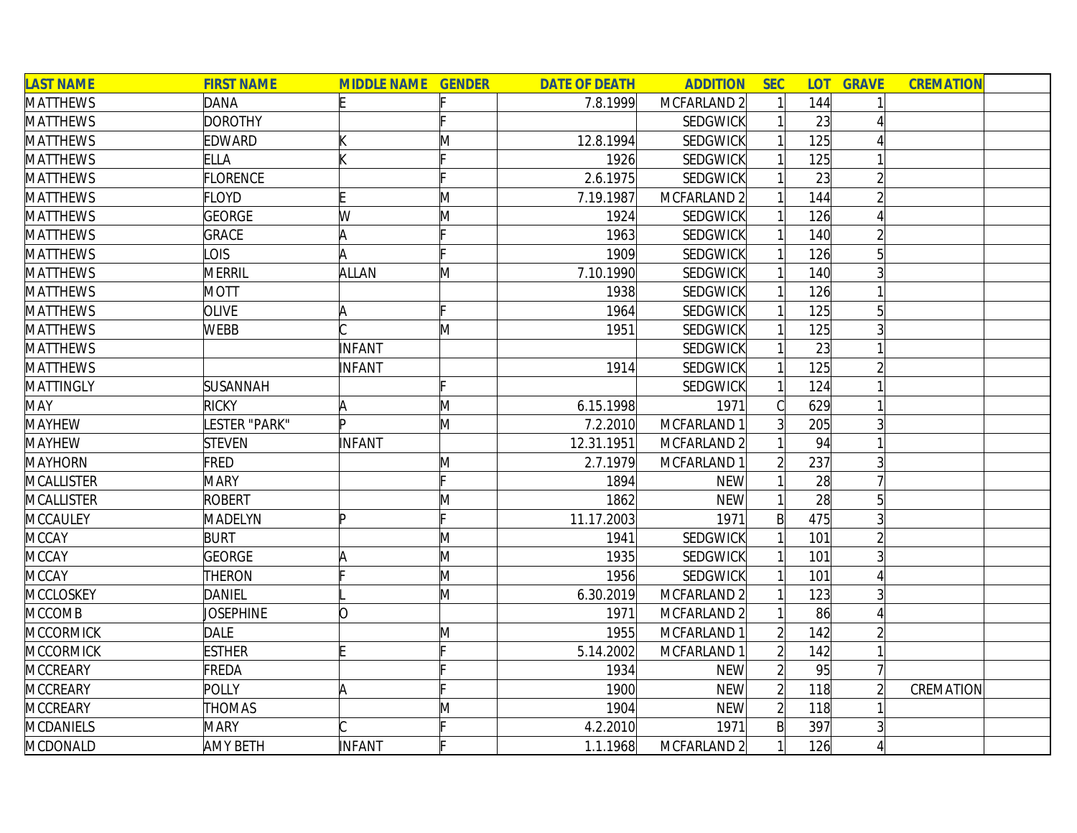| <b>LAST NAME</b>  | <b>FIRST NAME</b> | <b>MIDDLE NAME GENDER</b> |   | <b>DATE OF DEATH</b> | <b>ADDITION</b> | <b>SEC</b>     | <b>LOT</b> | <b>GRAVE</b> | <b>CREMATION</b> |  |
|-------------------|-------------------|---------------------------|---|----------------------|-----------------|----------------|------------|--------------|------------------|--|
| <b>MATTHEWS</b>   | <b>DANA</b>       | E                         |   | 7.8.1999             | MCFARLAND 2     |                | 144        |              |                  |  |
| <b>MATTHEWS</b>   | <b>DOROTHY</b>    |                           |   |                      | SEDGWICK        |                | 23         |              |                  |  |
| <b>MATTHEWS</b>   | <b>EDWARD</b>     |                           | M | 12.8.1994            | <b>SEDGWICK</b> |                | 125        |              |                  |  |
| <b>MATTHEWS</b>   | <b>ELLA</b>       |                           |   | 1926                 | <b>SEDGWICK</b> |                | 125        |              |                  |  |
| <b>MATTHEWS</b>   | <b>FLORENCE</b>   |                           |   | 2.6.1975             | SEDGWICK        |                | 23         |              |                  |  |
| <b>MATTHEWS</b>   | <b>FLOYD</b>      |                           | M | 7.19.1987            | MCFARLAND 2     |                | 144        |              |                  |  |
| <b>MATTHEWS</b>   | <b>GEORGE</b>     | W                         | M | 1924                 | <b>SEDGWICK</b> |                | 126        |              |                  |  |
| <b>MATTHEWS</b>   | <b>GRACE</b>      | A                         |   | 1963                 | SEDGWICK        |                | 140        |              |                  |  |
| <b>MATTHEWS</b>   | <b>LOIS</b>       |                           |   | 1909                 | <b>SEDGWICK</b> |                | 126        | 5            |                  |  |
| <b>MATTHEWS</b>   | MERRIL            | ALLAN                     | M | 7.10.1990            | SEDGWICK        |                | 140        |              |                  |  |
| <b>MATTHEWS</b>   | <b>MOTT</b>       |                           |   | 1938                 | SEDGWICK        |                | 126        |              |                  |  |
| <b>MATTHEWS</b>   | <b>OLIVE</b>      |                           |   | 1964                 | <b>SEDGWICK</b> |                | 125        |              |                  |  |
| <b>MATTHEWS</b>   | <b>WEBB</b>       |                           | M | 1951                 | <b>SEDGWICK</b> |                | 125        |              |                  |  |
| <b>MATTHEWS</b>   |                   | INFANT                    |   |                      | SEDGWICK        |                | 23         |              |                  |  |
| <b>MATTHEWS</b>   |                   | INFANT                    |   | 1914                 | <b>SEDGWICK</b> |                | 125        |              |                  |  |
| <b>MATTINGLY</b>  | SUSANNAH          |                           |   |                      | <b>SEDGWICK</b> |                | 124        |              |                  |  |
| <b>MAY</b>        | <b>RICKY</b>      |                           | M | 6.15.1998            | 1971            |                | 629        |              |                  |  |
| <b>MAYHEW</b>     | LESTER "PARK"     | Þ                         | M | 7.2.2010             | MCFARLAND 1     | 3              | 205        |              |                  |  |
| <b>MAYHEW</b>     | <b>STEVEN</b>     | <b>INFANT</b>             |   | 12.31.1951           | MCFARLAND 2     |                | 94         |              |                  |  |
| <b>MAYHORN</b>    | FRED              |                           | M | 2.7.1979             | MCFARLAND 1     |                | 237        | 3            |                  |  |
| <b>MCALLISTER</b> | <b>MARY</b>       |                           |   | 1894                 | <b>NEW</b>      |                | 28         |              |                  |  |
| <b>MCALLISTER</b> | <b>ROBERT</b>     |                           | M | 1862                 | <b>NEW</b>      |                | 28         |              |                  |  |
| MCCAULEY          | MADELYN           | Þ                         |   | 11.17.2003           | 1971            | $\mathsf{B}$   | 475        |              |                  |  |
| <b>MCCAY</b>      | <b>BURT</b>       |                           | Μ | 1941                 | <b>SEDGWICK</b> |                | 101        |              |                  |  |
| <b>MCCAY</b>      | GEORGE            | ۱A                        | M | 1935                 | <b>SEDGWICK</b> |                | 101        |              |                  |  |
| <b>MCCAY</b>      | THERON            |                           | M | 1956                 | <b>SEDGWICK</b> |                | 101        |              |                  |  |
| <b>MCCLOSKEY</b>  | <b>DANIEL</b>     |                           | M | 6.30.2019            | MCFARLAND 2     |                | 123        |              |                  |  |
| <b>MCCOMB</b>     | JOSEPHINE         | Ŋ                         |   | 1971                 | MCFARLAND 2     |                | 86         |              |                  |  |
| <b>MCCORMICK</b>  | <b>DALE</b>       |                           | Μ | 1955                 | MCFARLAND 1     |                | 142        |              |                  |  |
| <b>MCCORMICK</b>  | <b>ESTHER</b>     |                           |   | 5.14.2002            | MCFARLAND 1     | $\mathfrak{D}$ | 142        |              |                  |  |
| <b>MCCREARY</b>   | FREDA             |                           |   | 1934                 | <b>NEW</b>      | $\overline{2}$ | 95         |              |                  |  |
| <b>MCCREARY</b>   | POLLY             | A                         |   | 1900                 | <b>NEW</b>      | $\overline{2}$ | 118        |              | CREMATION        |  |
| <b>MCCREARY</b>   | <b>THOMAS</b>     |                           | Μ | 1904                 | <b>NEW</b>      | $\overline{2}$ | 118        |              |                  |  |
| <b>MCDANIELS</b>  | <b>MARY</b>       |                           |   | 4.2.2010             | 1971            | $\mathsf{B}$   | 397        |              |                  |  |
| <b>MCDONALD</b>   | <b>AMY BETH</b>   | INFANT                    |   | 1.1.1968             | MCFARLAND 2     |                | 126        |              |                  |  |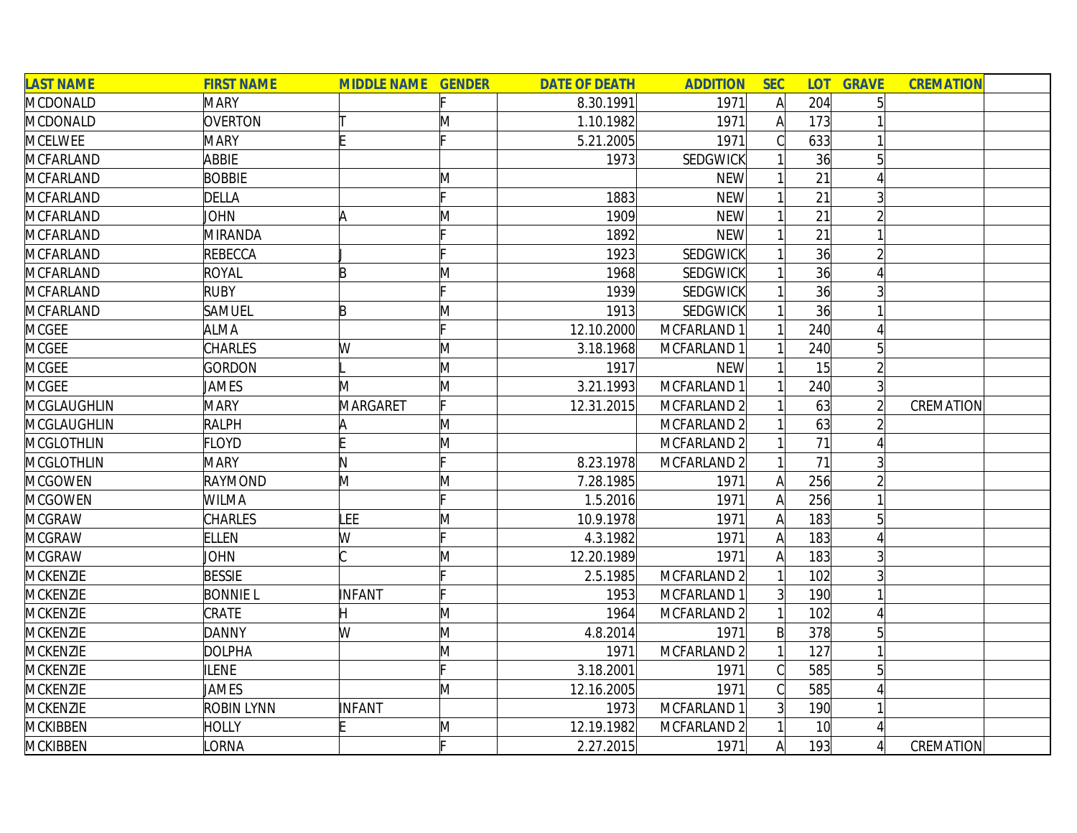| <b>LAST NAME</b>   | <b>FIRST NAME</b> | <b>MIDDLE NAME GENDER</b> |   | <b>DATE OF DEATH</b> | <b>ADDITION</b> | <b>SEC</b>   |                 | <b>LOT GRAVE</b> | <b>CREMATION</b> |  |
|--------------------|-------------------|---------------------------|---|----------------------|-----------------|--------------|-----------------|------------------|------------------|--|
| MCDONALD           | <b>MARY</b>       |                           |   | 8.30.1991            | 1971            |              | 204             | 5                |                  |  |
| <b>MCDONALD</b>    | OVERTON           |                           | M | 1.10.1982            | 1971            | $\mathsf{A}$ | 173             |                  |                  |  |
| <b>MCELWEE</b>     | <b>MARY</b>       |                           |   | 5.21.2005            | 1971            |              | 633             |                  |                  |  |
| <b>MCFARLAND</b>   | ABBIE             |                           |   | 1973                 | <b>SEDGWICK</b> |              | 36              | 5                |                  |  |
| <b>MCFARLAND</b>   | <b>BOBBIE</b>     |                           | M |                      | <b>NEW</b>      |              | 21              |                  |                  |  |
| <b>MCFARLAND</b>   | <b>DELLA</b>      |                           |   | 1883                 | <b>NEW</b>      |              | 21              | 3                |                  |  |
| <b>MCFARLAND</b>   | <b>JOHN</b>       | ΙA                        | M | 1909                 | <b>NEW</b>      |              | 21              | $\overline{2}$   |                  |  |
| <b>MCFARLAND</b>   | MIRANDA           |                           |   | 1892                 | <b>NEW</b>      |              | 21              |                  |                  |  |
| <b>MCFARLAND</b>   | REBECCA           |                           |   | 1923                 | <b>SEDGWICK</b> |              | 36              | $\overline{2}$   |                  |  |
| <b>MCFARLAND</b>   | <b>ROYAL</b>      | B                         | M | 1968                 | <b>SEDGWICK</b> |              | 36              |                  |                  |  |
| <b>MCFARLAND</b>   | <b>RUBY</b>       |                           |   | 1939                 | <b>SEDGWICK</b> |              | 36              |                  |                  |  |
| MCFARLAND          | <b>SAMUEL</b>     | B                         | M | 1913                 | <b>SEDGWICK</b> |              | 36              |                  |                  |  |
| <b>MCGEE</b>       | <b>ALMA</b>       |                           |   | 12.10.2000           | MCFARLAND 1     |              | 240             |                  |                  |  |
| <b>MCGEE</b>       | <b>CHARLES</b>    | W                         | M | 3.18.1968            | MCFARLAND 1     |              | 240             | 5                |                  |  |
| <b>MCGEE</b>       | GORDON            |                           | M | 1917                 | <b>NEW</b>      |              | 15              | $\overline{2}$   |                  |  |
| <b>MCGEE</b>       | <b>JAMES</b>      | M                         | M | 3.21.1993            | MCFARLAND 1     |              | 240             | $\overline{3}$   |                  |  |
| MCGLAUGHLIN        | <b>MARY</b>       | MARGARET                  |   | 12.31.2015           | MCFARLAND 2     |              | 63              |                  | CREMATION        |  |
| <b>MCGLAUGHLIN</b> | <b>RALPH</b>      |                           | M |                      | MCFARLAND 2     |              | 63              |                  |                  |  |
| <b>MCGLOTHLIN</b>  | <b>FLOYD</b>      |                           | M |                      | MCFARLAND 2     |              | 71              |                  |                  |  |
| <b>MCGLOTHLIN</b>  | <b>MARY</b>       | N                         | c | 8.23.1978            | MCFARLAND 2     |              | 71              |                  |                  |  |
| <b>MCGOWEN</b>     | RAYMOND           | M                         | M | 7.28.1985            | 1971            | A            | 256             |                  |                  |  |
| <b>MCGOWEN</b>     | <b>WILMA</b>      |                           |   | 1.5.2016             | 1971            | A            | 256             |                  |                  |  |
| <b>MCGRAW</b>      | CHARLES           | LEE                       | M | 10.9.1978            | 1971            | A            | 183             | $5\overline{)}$  |                  |  |
| <b>MCGRAW</b>      | <b>ELLEN</b>      | W                         | F | 4.3.1982             | 1971            | A            | 183             |                  |                  |  |
| <b>MCGRAW</b>      | <b>JOHN</b>       |                           | M | 12.20.1989           | 1971            |              | 183             |                  |                  |  |
| <b>MCKENZIE</b>    | <b>BESSIE</b>     |                           | c | 2.5.1985             | MCFARLAND 2     |              | 102             |                  |                  |  |
| <b>MCKENZIE</b>    | <b>BONNIE L</b>   | INFANT                    |   | 1953                 | MCFARLAND 1     | 3            | 190             |                  |                  |  |
| <b>MCKENZIE</b>    | CRATE             | Η                         | M | 1964                 | MCFARLAND 2     |              | 102             |                  |                  |  |
| MCKENZIE           | <b>DANNY</b>      | W                         | M | 4.8.2014             | 1971            | $\mathsf{B}$ | 378             | $5\overline{)}$  |                  |  |
| <b>MCKENZIE</b>    | <b>DOLPHA</b>     |                           | M | 1971                 | MCFARLAND 2     |              | 127             |                  |                  |  |
| <b>MCKENZIE</b>    | <b>ILENE</b>      |                           |   | 3.18.2001            | 1971            | C            | 585             | $5\overline{)}$  |                  |  |
| <b>MCKENZIE</b>    | JAMES             |                           | M | 12.16.2005           | 1971            | C            | 585             |                  |                  |  |
| <b>MCKENZIE</b>    | <b>ROBIN LYNN</b> | INFANT                    |   | 1973                 | MCFARLAND 1     | 3            | 190             |                  |                  |  |
| <b>MCKIBBEN</b>    | <b>HOLLY</b>      |                           | M | 12.19.1982           | MCFARLAND 2     |              | 10 <sup>1</sup> | $\vert 4 \vert$  |                  |  |
| <b>MCKIBBEN</b>    | <b>ORNA</b>       |                           |   | 2.27.2015            | 1971            | A            | 193             | $\left 4\right $ | CREMATION        |  |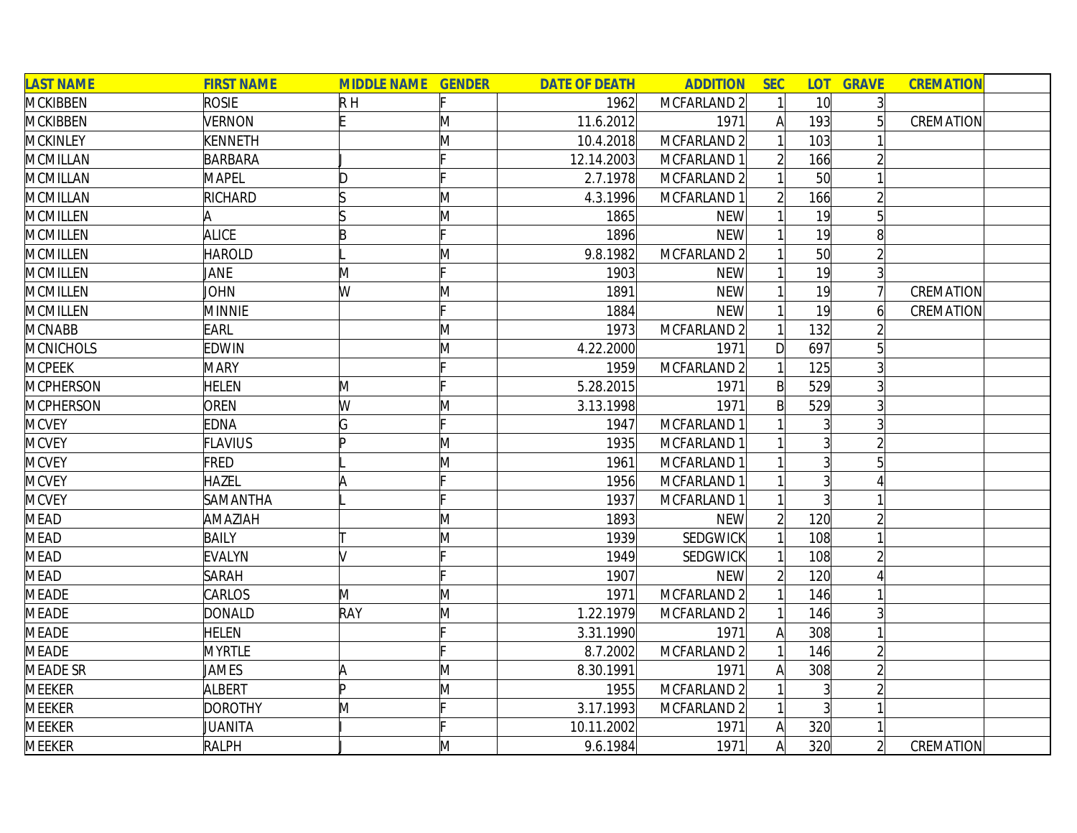| <b>LAST NAME</b> | <b>FIRST NAME</b> | <b>MIDDLE NAME GENDER</b> |   | <b>DATE OF DEATH</b> | <b>ADDITION</b> | <b>SEC</b>     | <b>LOT</b>      | <b>GRAVE</b>    | <b>CREMATION</b> |
|------------------|-------------------|---------------------------|---|----------------------|-----------------|----------------|-----------------|-----------------|------------------|
| <b>MCKIBBEN</b>  | <b>ROSIE</b>      | $R$ H                     |   | 1962                 | MCFARLAND 2     |                | 10 <sup>l</sup> | $\overline{3}$  |                  |
| <b>MCKIBBEN</b>  | <b>VERNON</b>     | F                         | M | 11.6.2012            | 1971            | A              | 193             |                 | CREMATION        |
| <b>MCKINLEY</b>  | <b>KENNETH</b>    |                           | M | 10.4.2018            | MCFARLAND 2     |                | 103             |                 |                  |
| <b>MCMILLAN</b>  | <b>BARBARA</b>    |                           |   | 12.14.2003           | MCFARLAND 1     |                | 166             |                 |                  |
| <b>MCMILLAN</b>  | <b>MAPEL</b>      | D                         |   | 2.7.1978             | MCFARLAND 2     |                | 50              |                 |                  |
| <b>MCMILLAN</b>  | RICHARD           |                           | M | 4.3.1996             | MCFARLAND 1     | $\overline{2}$ | 166             |                 |                  |
| <b>MCMILLEN</b>  | A                 |                           | M | 1865                 | <b>NEW</b>      |                | 19              | $5\overline{a}$ |                  |
| <b>MCMILLEN</b>  | <b>ALICE</b>      | B                         |   | 1896                 | <b>NEW</b>      |                | 19              | 8               |                  |
| <b>MCMILLEN</b>  | <b>HAROLD</b>     |                           | Μ | 9.8.1982             | MCFARLAND 2     |                | 50              |                 |                  |
| <b>MCMILLEN</b>  | JANE              | M                         |   | 1903                 | <b>NEW</b>      |                | 19              |                 |                  |
| <b>MCMILLEN</b>  | <b>JOHN</b>       | W                         | M | 1891                 | <b>NEW</b>      |                | 19              |                 | CREMATION        |
| <b>MCMILLEN</b>  | <b>MINNIE</b>     |                           |   | 1884                 | <b>NEW</b>      |                | 19              | 6               | CREMATION        |
| <b>MCNABB</b>    | <b>EARL</b>       |                           | M | 1973                 | MCFARLAND 2     |                | 132             |                 |                  |
| <b>MCNICHOLS</b> | <b>EDWIN</b>      |                           | M | 4.22.2000            | 1971            | D              | 697             |                 |                  |
| <b>MCPEEK</b>    | <b>MARY</b>       |                           |   | 1959                 | MCFARLAND 2     |                | 125             |                 |                  |
| <b>MCPHERSON</b> | <b>HELEN</b>      | M                         |   | 5.28.2015            | 1971            | $\mathsf{B}$   | 529             |                 |                  |
| <b>MCPHERSON</b> | OREN              | W                         | M | 3.13.1998            | 1971            | $\mathsf{B}$   | 529             |                 |                  |
| <b>MCVEY</b>     | <b>EDNA</b>       | G                         |   | 1947                 | MCFARLAND 1     |                | 3               |                 |                  |
| <b>MCVEY</b>     | <b>FLAVIUS</b>    | Þ                         | M | 1935                 | MCFARLAND 1     |                | $\overline{3}$  |                 |                  |
| <b>MCVEY</b>     | FRED              |                           | M | 1961                 | MCFARLAND 1     |                | $\overline{3}$  | 5               |                  |
| <b>MCVEY</b>     | <b>HAZEL</b>      |                           |   | 1956                 | MCFARLAND 1     |                | 3               |                 |                  |
| <b>MCVEY</b>     | SAMANTHA          |                           |   | 1937                 | MCFARLAND 1     |                | 3 <sup>1</sup>  |                 |                  |
| <b>MEAD</b>      | AMAZIAH           |                           | M | 1893                 | <b>NEW</b>      |                | 120             |                 |                  |
| <b>MEAD</b>      | <b>BAILY</b>      |                           | M | 1939                 | <b>SEDGWICK</b> |                | 108             |                 |                  |
| <b>MEAD</b>      | <b>EVALYN</b>     |                           |   | 1949                 | SEDGWICK        |                | 108             |                 |                  |
| <b>MEAD</b>      | <b>SARAH</b>      |                           |   | 1907                 | <b>NEW</b>      |                | 120             |                 |                  |
| <b>MEADE</b>     | CARLOS            | M                         | M | 1971                 | MCFARLAND 2     |                | 146             |                 |                  |
| <b>MEADE</b>     | <b>DONALD</b>     | RAY                       | M | 1.22.1979            | MCFARLAND 2     |                | 146             |                 |                  |
| <b>MEADE</b>     | <b>HELEN</b>      |                           |   | 3.31.1990            | 1971            | A              | 308             |                 |                  |
| <b>MEADE</b>     | <b>MYRTLE</b>     |                           |   | 8.7.2002             | MCFARLAND 2     |                | 146             |                 |                  |
| <b>MEADE SR</b>  | JAMES             | ΙA                        | M | 8.30.1991            | 1971            | A              | 308             |                 |                  |
| <b>MEEKER</b>    | <b>ALBERT</b>     | b                         | M | 1955                 | MCFARLAND 2     |                | $\overline{3}$  |                 |                  |
| <b>MEEKER</b>    | <b>DOROTHY</b>    | M                         |   | 3.17.1993            | MCFARLAND 2     |                | 3               |                 |                  |
| <b>MEEKER</b>    | JUANITA           |                           |   | 10.11.2002           | 1971            | A              | 320             |                 |                  |
| <b>MEEKER</b>    | <b>RALPH</b>      |                           | M | 9.6.1984             | 1971            | $\mathsf{A}$   | 320             | $\overline{2}$  | CREMATION        |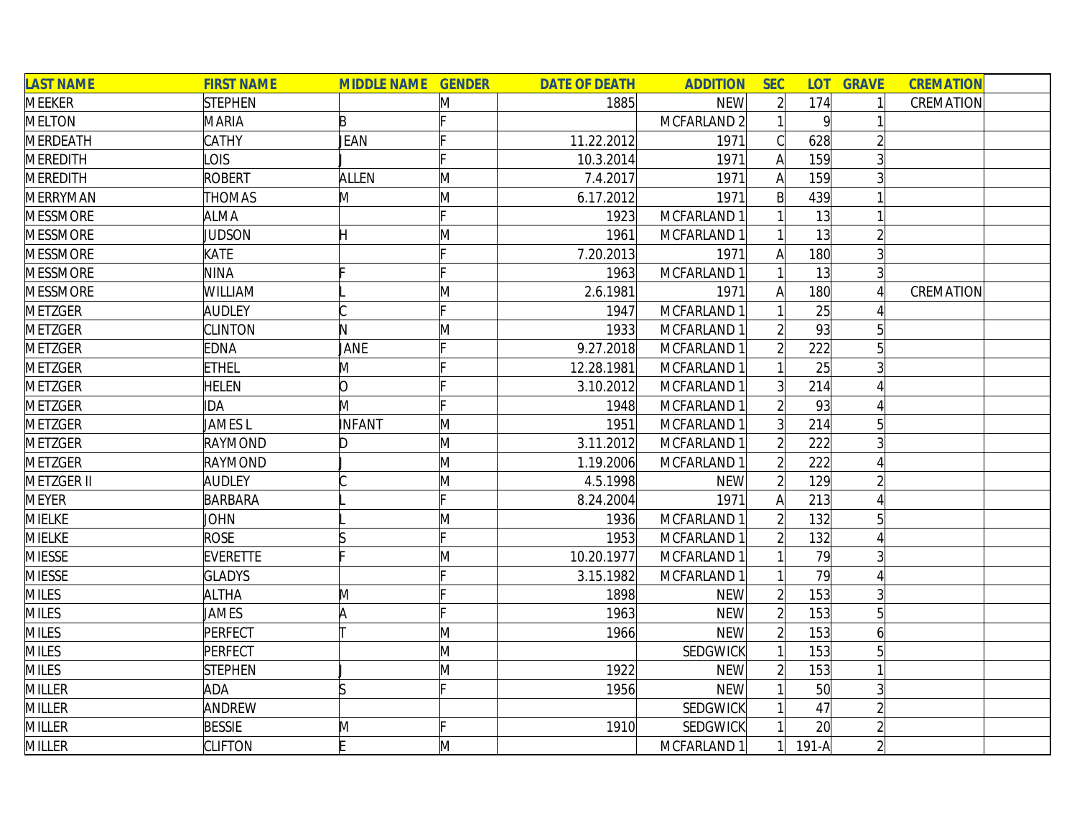| <b>LAST NAME</b> | <b>FIRST NAME</b>  | <b>MIDDLE NAME GENDER</b> |    | <b>DATE OF DEATH</b> | <b>ADDITION</b> | <b>SEC</b>     |                | <b>LOT GRAVE</b> | <b>CREMATION</b> |
|------------------|--------------------|---------------------------|----|----------------------|-----------------|----------------|----------------|------------------|------------------|
| <b>MEEKER</b>    | <b>STEPHEN</b>     |                           | M  | 1885                 | <b>NEW</b>      |                | 174            |                  | CREMATION        |
| <b>MELTON</b>    | <b>MARIA</b>       | B                         |    |                      | MCFARLAND 2     |                | $\overline{9}$ |                  |                  |
| <b>MERDEATH</b>  | CATHY              | JEAN                      |    | 11.22.2012           | 1971            |                | 628            |                  |                  |
| <b>MEREDITH</b>  | OIS                |                           |    | 10.3.2014            | 1971            | $\mathsf{A}$   | 159            |                  |                  |
| <b>MEREDITH</b>  | <b>ROBERT</b>      | <b>ALLEN</b>              | M  | 7.4.2017             | 1971            | A              | 159            |                  |                  |
| <b>MERRYMAN</b>  | <b>THOMAS</b>      | M                         | M  | 6.17.2012            | 1971            | $\mathsf{B}$   | 439            |                  |                  |
| <b>MESSMORE</b>  | <b>ALMA</b>        |                           |    | 1923                 | MCFARLAND 1     |                | 13             |                  |                  |
| <b>MESSMORE</b>  | JUDSON             | H                         | M  | 1961                 | MCFARLAND 1     |                | 13             |                  |                  |
| <b>MESSMORE</b>  | KATE               |                           |    | 7.20.2013            | 1971            | A              | 180            |                  |                  |
| <b>MESSMORE</b>  | <b>NINA</b>        |                           |    | 1963                 | MCFARLAND 1     |                | 13             |                  |                  |
| <b>MESSMORE</b>  | WILLIAM            |                           | M  | 2.6.1981             | 1971            | A              | 180            |                  | CREMATION        |
| <b>METZGER</b>   | <b>AUDLEY</b>      |                           |    | 1947                 | MCFARLAND 1     |                | 25             |                  |                  |
| <b>METZGER</b>   | <b>CLINTON</b>     | N                         | M  | 1933                 | MCFARLAND 1     |                | 93             |                  |                  |
| <b>METZGER</b>   | <b>EDNA</b>        | JANE                      |    | 9.27.2018            | MCFARLAND 1     |                | 222            |                  |                  |
| <b>METZGER</b>   | <b>ETHEL</b>       | M                         |    | 12.28.1981           | MCFARLAND 1     |                | 25             |                  |                  |
| <b>METZGER</b>   | <b>HELEN</b>       | lO.                       |    | 3.10.2012            | MCFARLAND 1     |                | 214            |                  |                  |
| <b>METZGER</b>   | IDA                | M                         |    | 1948                 | MCFARLAND 1     |                | 93             |                  |                  |
| <b>METZGER</b>   | JAMES <sub>L</sub> | INFANT                    | M  | 1951                 | MCFARLAND 1     |                | 214            |                  |                  |
| <b>METZGER</b>   | RAYMOND            | D                         | M  | 3.11.2012            | MCFARLAND 1     | $\overline{2}$ | 222            |                  |                  |
| <b>METZGER</b>   | RAYMOND            |                           | M  | 1.19.2006            | MCFARLAND 1     | $\overline{2}$ | 222            |                  |                  |
| METZGER II       | <b>AUDLEY</b>      |                           | M  | 4.5.1998             | <b>NEW</b>      | $\overline{2}$ | 129            |                  |                  |
| <b>MEYER</b>     | <b>BARBARA</b>     |                           | Ŀ. | 8.24.2004            | 1971            | $\mathsf{A}$   | 213            |                  |                  |
| <b>MIELKE</b>    | JOHN               |                           | M  | 1936                 | MCFARLAND 1     |                | 132            | 5                |                  |
| <b>MIELKE</b>    | <b>ROSE</b>        |                           |    | 1953                 | MCFARLAND 1     |                | 132            |                  |                  |
| <b>MIESSE</b>    | <b>EVERETTE</b>    |                           | M  | 10.20.1977           | MCFARLAND 1     |                | 79             |                  |                  |
| <b>MIESSE</b>    | <b>GLADYS</b>      |                           |    | 3.15.1982            | MCFARLAND 1     |                | 79             |                  |                  |
| <b>MILES</b>     | <b>ALTHA</b>       | M                         |    | 1898                 | <b>NEW</b>      |                | 153            |                  |                  |
| <b>MILES</b>     | JAMES              | ΙA                        |    | 1963                 | <b>NEW</b>      | $\overline{2}$ | 153            | 5                |                  |
| <b>MILES</b>     | PERFECT            |                           | M  | 1966                 | <b>NEW</b>      |                | 153            | 6                |                  |
| <b>MILES</b>     | PERFECT            |                           | M  |                      | <b>SEDGWICK</b> |                | 153            | 5                |                  |
| <b>MILES</b>     | <b>STEPHEN</b>     |                           | M  | 1922                 | <b>NEW</b>      | $\overline{2}$ | 153            |                  |                  |
| <b>MILLER</b>    | ADA                |                           |    | 1956                 | <b>NEW</b>      |                | 50             | 3                |                  |
| <b>MILLER</b>    | ANDREW             |                           |    |                      | <b>SEDGWICK</b> |                | 47             |                  |                  |
| <b>MILLER</b>    | <b>BESSIE</b>      | M                         |    | 1910                 | SEDGWICK        |                | 20             |                  |                  |
| <b>MILLER</b>    | <b>CLIFTON</b>     |                           | M  |                      | MCFARLAND 1     |                | $191-A$        |                  |                  |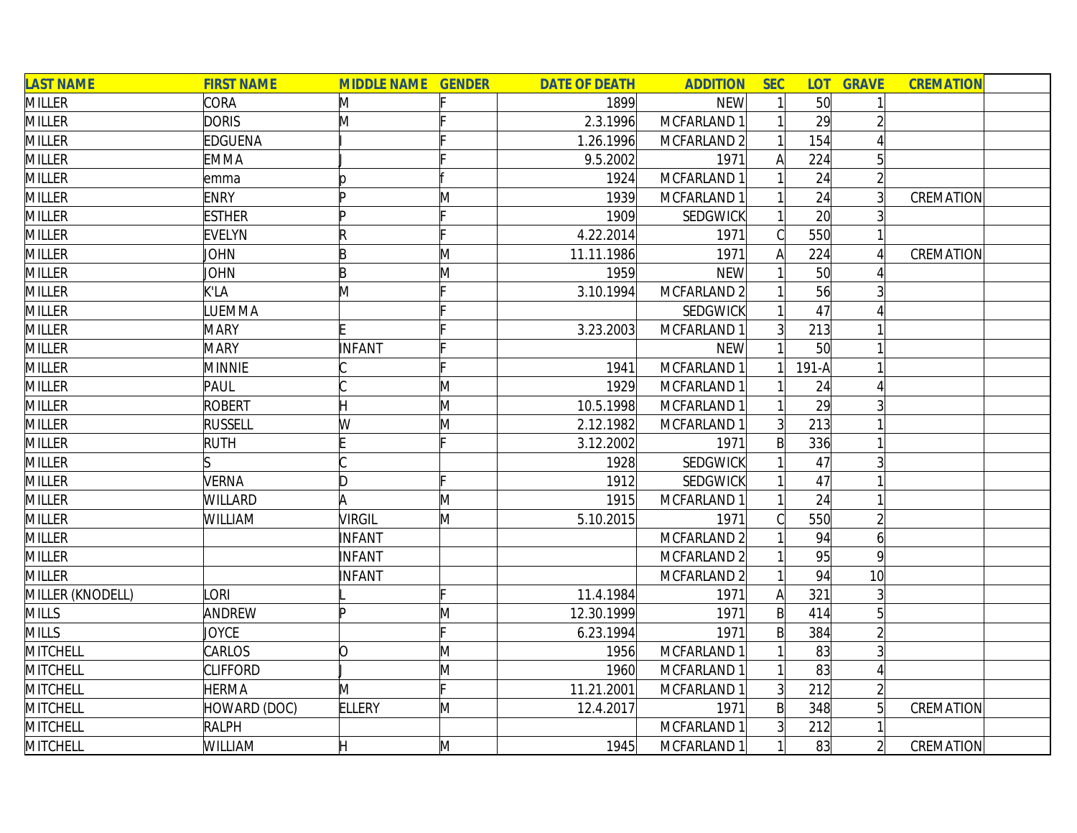| <b>LAST NAME</b> | <b>FIRST NAME</b> | <b>MIDDLE NAME GENDER</b> |   | <b>DATE OF DEATH</b> | <b>ADDITION</b> | <b>SEC</b>     | <b>LOT</b>      | <b>GRAVE</b>    | <b>CREMATION</b> |  |
|------------------|-------------------|---------------------------|---|----------------------|-----------------|----------------|-----------------|-----------------|------------------|--|
| <b>MILLER</b>    | <b>CORA</b>       | M                         |   | 1899                 | <b>NEW</b>      |                | 50 <sup>1</sup> |                 |                  |  |
| <b>MILLER</b>    | <b>DORIS</b>      | M                         |   | 2.3.1996             | MCFARLAND 1     |                | 29              |                 |                  |  |
| <b>MILLER</b>    | EDGUENA           |                           |   | 1.26.1996            | MCFARLAND 2     |                | 154             |                 |                  |  |
| <b>MILLER</b>    | <b>EMMA</b>       |                           |   | 9.5.2002             | 1971            | A              | 224             | $5\overline{)}$ |                  |  |
| <b>MILLER</b>    | emma              |                           |   | 1924                 | MCFARLAND 1     |                | 24              | $\overline{2}$  |                  |  |
| <b>MILLER</b>    | <b>ENRY</b>       | D                         | M | 1939                 | MCFARLAND 1     |                | 24              | $\overline{3}$  | CREMATION        |  |
| <b>MILLER</b>    | <b>ESTHER</b>     | ID                        |   | 1909                 | <b>SEDGWICK</b> |                | 20              |                 |                  |  |
| <b>MILLER</b>    | <b>EVELYN</b>     | R                         |   | 4.22.2014            | 1971            | $\mathcal{C}$  | 550             |                 |                  |  |
| <b>MILLER</b>    | JOHN              | B                         | M | 11.11.1986           | 1971            | A              | 224             |                 | CREMATION        |  |
| <b>MILLER</b>    | JOHN              | B                         | M | 1959                 | <b>NEW</b>      |                | 50              |                 |                  |  |
| <b>MILLER</b>    | K'LA              | M                         |   | 3.10.1994            | MCFARLAND 2     |                | 56              |                 |                  |  |
| <b>MILLER</b>    | LUEMMA            |                           |   |                      | <b>SEDGWICK</b> |                | 47              |                 |                  |  |
| <b>MILLER</b>    | <b>MARY</b>       |                           |   | 3.23.2003            | MCFARLAND 1     | 3              | 213             |                 |                  |  |
| <b>MILLER</b>    | <b>MARY</b>       | INFANT                    |   |                      | <b>NEW</b>      |                | 50              |                 |                  |  |
| <b>MILLER</b>    | <b>MINNIE</b>     |                           |   | 1941                 | MCFARLAND 1     |                | $191-A$         |                 |                  |  |
| <b>MILLER</b>    | PAUL              |                           | M | 1929                 | MCFARLAND 1     |                | 24              |                 |                  |  |
| <b>MILLER</b>    | <b>ROBERT</b>     | H                         | M | 10.5.1998            | MCFARLAND 1     |                | 29              | 3               |                  |  |
| <b>MILLER</b>    | <b>RUSSELL</b>    | W                         | M | 2.12.1982            | MCFARLAND 1     |                | 213             |                 |                  |  |
| <b>MILLER</b>    | <b>RUTH</b>       |                           |   | 3.12.2002            | 1971            | $\mathsf{B}$   | 336             |                 |                  |  |
| <b>MILLER</b>    |                   |                           |   | 1928                 | SEDGWICK        |                | 47              |                 |                  |  |
| <b>MILLER</b>    | <b>VERNA</b>      | D                         |   | 1912                 | SEDGWICK        |                | 47              |                 |                  |  |
| <b>MILLER</b>    | WILLARD           | A                         | M | 1915                 | MCFARLAND 1     |                | 24              |                 |                  |  |
| <b>MILLER</b>    | WILLIAM           | VIRGIL                    | M | 5.10.2015            | 1971            | Cl             | 550             | $\overline{2}$  |                  |  |
| <b>MILLER</b>    |                   | INFANT                    |   |                      | MCFARLAND 2     |                | 94              | $\overline{6}$  |                  |  |
| <b>MILLER</b>    |                   | INFANT                    |   |                      | MCFARLAND 2     |                | 95              | $\overline{9}$  |                  |  |
| <b>MILLER</b>    |                   | INFANT                    |   |                      | MCFARLAND 2     |                | 94              | 10              |                  |  |
| MILLER (KNODELL) | <b>ORI</b>        |                           |   | 11.4.1984            | 1971            | $\mathsf{A}$   | 321             | $\overline{3}$  |                  |  |
| <b>MILLS</b>     | ANDREW            | n                         | M | 12.30.1999           | 1971            | $\mathsf{B}$   | 414             | $5\overline{)}$ |                  |  |
| <b>MILLS</b>     | <b>JOYCE</b>      |                           |   | 6.23.1994            | 1971            | $\mathsf{B}$   | 384             | $\overline{2}$  |                  |  |
| <b>MITCHELL</b>  | CARLOS            | O                         | M | 1956                 | MCFARLAND 1     |                | 83              | $\overline{3}$  |                  |  |
| MITCHELL         | <b>CLIFFORD</b>   |                           | M | 1960                 | MCFARLAND 1     |                | 83              | $\Delta$        |                  |  |
| MITCHELL         | <b>HERMA</b>      | M                         |   | 11.21.2001           | MCFARLAND 1     | 3 <sup>1</sup> | 212             | $\overline{2}$  |                  |  |
| <b>MITCHELL</b>  | HOWARD (DOC)      | <b>ELLERY</b>             | M | 12.4.2017            | 1971            | $\mathsf{B}$   | 348             | $\overline{5}$  | CREMATION        |  |
| MITCHELL         | <b>RALPH</b>      |                           |   |                      | MCFARLAND 1     | $\overline{3}$ | 212             |                 |                  |  |
| <b>MITCHELL</b>  | WILLIAM           | Н                         | M | 1945                 | MCFARLAND 1     | 1              | 83              | $\overline{2}$  | CREMATION        |  |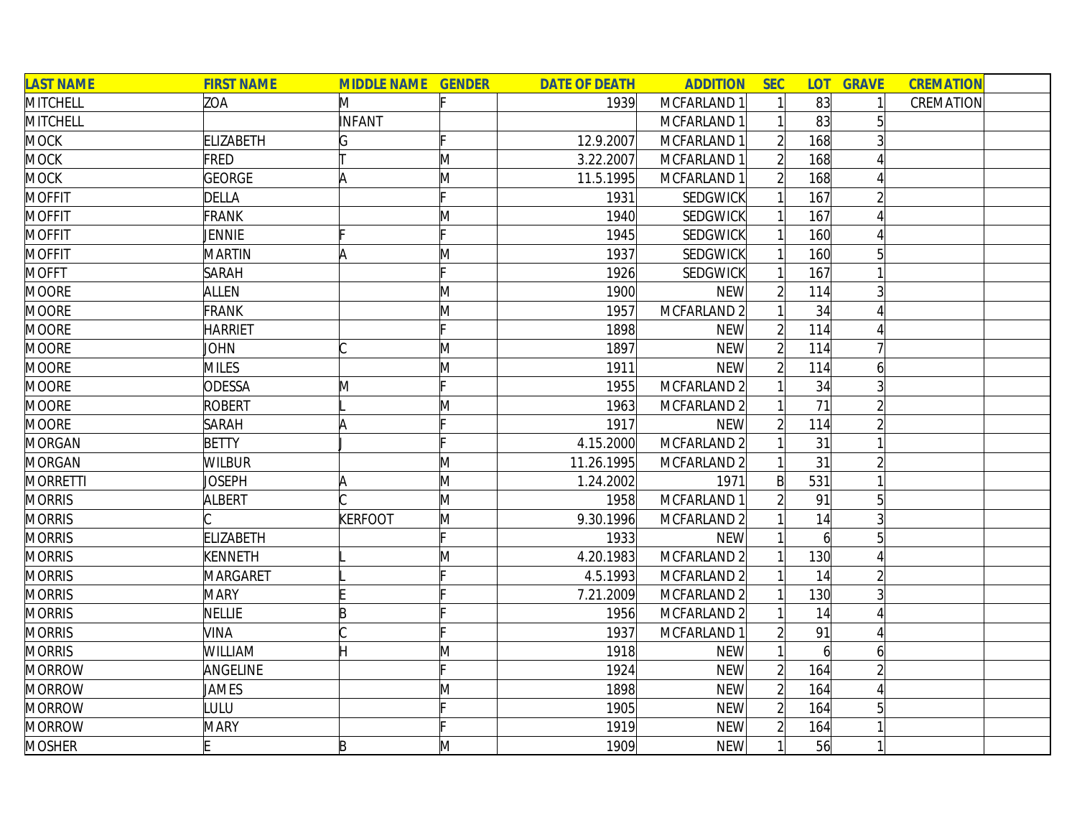| <b>LAST NAME</b> | <b>FIRST NAME</b> | <b>MIDDLE NAME GENDER</b> |   | <b>DATE OF DEATH</b> | <b>ADDITION</b> | <b>SEC</b>               | <b>LOT</b>     | <b>GRAVE</b>   | <b>CREMATION</b> |
|------------------|-------------------|---------------------------|---|----------------------|-----------------|--------------------------|----------------|----------------|------------------|
| MITCHELL         | ZOA               | M                         |   | 1939                 | MCFARLAND 1     |                          | 83             |                | CREMATION        |
| <b>MITCHELL</b>  |                   | <b>INFANT</b>             |   |                      | MCFARLAND 1     |                          | 83             | 5              |                  |
| <b>MOCK</b>      | <b>ELIZABETH</b>  | G                         |   | 12.9.2007            | MCFARLAND 1     |                          | 168            |                |                  |
| <b>MOCK</b>      | FRED              |                           | M | 3.22.2007            | MCFARLAND 1     |                          | 168            |                |                  |
| <b>MOCK</b>      | <b>GEORGE</b>     | A                         | M | 11.5.1995            | MCFARLAND 1     | $\overline{2}$           | 168            |                |                  |
| <b>MOFFIT</b>    | <b>DELLA</b>      |                           |   | 1931                 | SEDGWICK        |                          | 167            | $\overline{2}$ |                  |
| <b>MOFFIT</b>    | FRANK             |                           | M | 1940                 | SEDGWICK        |                          | 167            |                |                  |
| <b>MOFFIT</b>    | <b>JENNIE</b>     |                           |   | 1945                 | SEDGWICK        |                          | 160            |                |                  |
| <b>MOFFIT</b>    | <b>MARTIN</b>     | A                         | M | 1937                 | SEDGWICK        |                          | 160            |                |                  |
| <b>MOFFT</b>     | <b>SARAH</b>      |                           |   | 1926                 | <b>SEDGWICK</b> |                          | 167            |                |                  |
| <b>MOORE</b>     | <b>ALLEN</b>      |                           | M | 1900                 | <b>NEW</b>      |                          | 114            |                |                  |
| <b>MOORE</b>     | <b>FRANK</b>      |                           | M | 1957                 | MCFARLAND 2     |                          | 34             |                |                  |
| <b>MOORE</b>     | <b>HARRIET</b>    |                           |   | 1898                 | <b>NEW</b>      |                          | 114            |                |                  |
| <b>MOORE</b>     | <b>JOHN</b>       |                           | M | 1897                 | <b>NEW</b>      |                          | 114            |                |                  |
| <b>MOORE</b>     | <b>MILES</b>      |                           | M | 1911                 | <b>NEW</b>      |                          | 114            | 6              |                  |
| <b>MOORE</b>     | <b>ODESSA</b>     | M                         |   | 1955                 | MCFARLAND 2     |                          | 34             | 3              |                  |
| <b>MOORE</b>     | <b>ROBERT</b>     |                           | M | 1963                 | MCFARLAND 2     |                          | 71             |                |                  |
| <b>MOORE</b>     | <b>SARAH</b>      | A                         |   | 1917                 | <b>NEW</b>      |                          | 114            |                |                  |
| <b>MORGAN</b>    | <b>BETTY</b>      |                           |   | 4.15.2000            | MCFARLAND 2     |                          | 31             |                |                  |
| <b>MORGAN</b>    | <b>WILBUR</b>     |                           | M | 11.26.1995           | MCFARLAND 2     |                          | 31             |                |                  |
| <b>MORRETTI</b>  | Joseph            | A                         | M | 1.24.2002            | 1971            | B                        | 531            |                |                  |
| <b>MORRIS</b>    | <b>ALBERT</b>     |                           | M | 1958                 | MCFARLAND 1     |                          | 91             | 5              |                  |
| <b>MORRIS</b>    |                   | <b>KERFOOT</b>            | M | 9.30.1996            | MCFARLAND 2     |                          | 14             |                |                  |
| <b>MORRIS</b>    | <b>ELIZABETH</b>  |                           |   | 1933                 | <b>NEW</b>      |                          | $\overline{6}$ |                |                  |
| <b>MORRIS</b>    | <b>KENNETH</b>    |                           | M | 4.20.1983            | MCFARLAND 2     |                          | 130            |                |                  |
| <b>MORRIS</b>    | MARGARET          |                           |   | 4.5.1993             | MCFARLAND 2     |                          | 14             |                |                  |
| <b>MORRIS</b>    | <b>MARY</b>       |                           |   | 7.21.2009            | MCFARLAND 2     |                          | 130            | 3              |                  |
| <b>MORRIS</b>    | <b>NELLIE</b>     | R                         |   | 1956                 | MCFARLAND 2     |                          | 14             |                |                  |
| <b>MORRIS</b>    | <b>VINA</b>       |                           |   | 1937                 | MCFARLAND 1     |                          | 91             |                |                  |
| <b>MORRIS</b>    | <b>WILLIAM</b>    | Η                         | Μ | 1918                 | <b>NEW</b>      |                          | $\overline{6}$ | 6              |                  |
| <b>MORROW</b>    | ANGELINE          |                           |   | 1924                 | <b>NEW</b>      | $\overline{\mathcal{L}}$ | 164            |                |                  |
| <b>MORROW</b>    | <b>JAMES</b>      |                           | M | 1898                 | <b>NEW</b>      |                          | 164            |                |                  |
| <b>MORROW</b>    | LULU              |                           |   | 1905                 | <b>NEW</b>      | $\overline{2}$           | 164            | 5              |                  |
| <b>MORROW</b>    | <b>MARY</b>       |                           |   | 1919                 | <b>NEW</b>      |                          | 164            |                |                  |
| <b>MOSHER</b>    |                   | B                         | M | 1909                 | <b>NEW</b>      |                          | 56             |                |                  |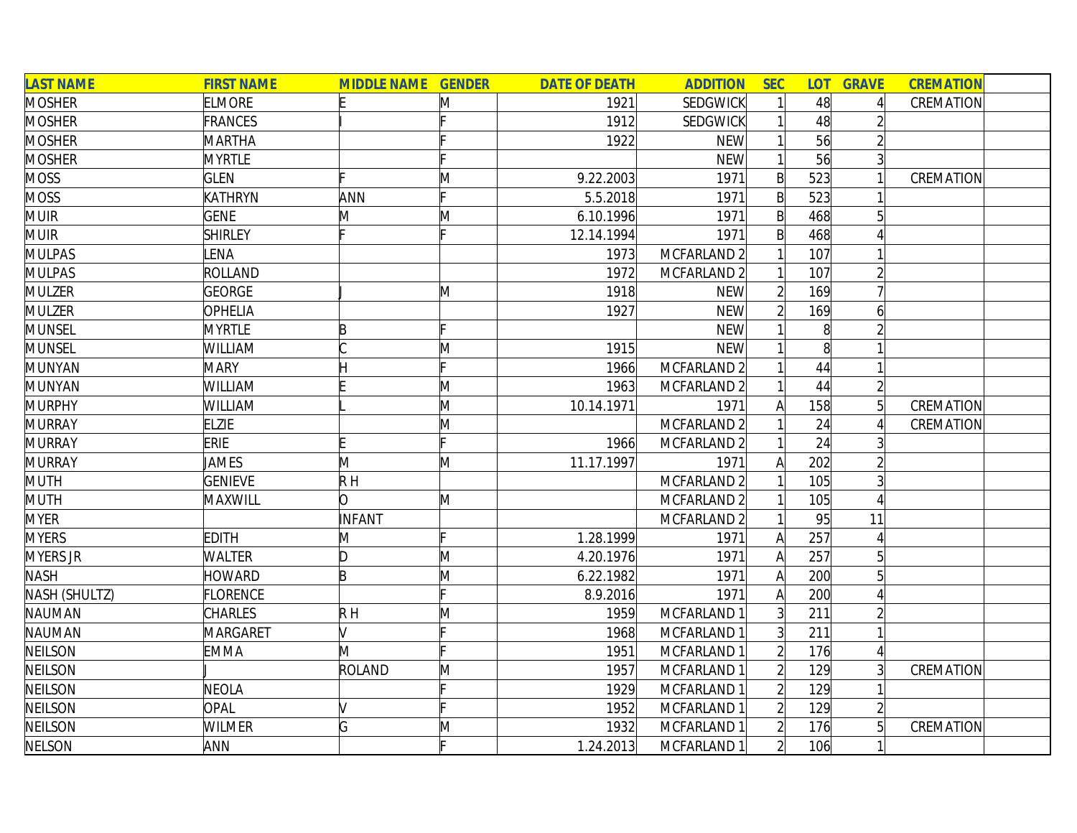| <b>LAST NAME</b> | <b>FIRST NAME</b> | <b>MIDDLE NAME GENDER</b> |              | <b>DATE OF DEATH</b> | <b>ADDITION</b>        | <b>SEC</b>     | <b>LOT</b>        | <b>GRAVE</b>    | <b>CREMATION</b> |
|------------------|-------------------|---------------------------|--------------|----------------------|------------------------|----------------|-------------------|-----------------|------------------|
| <b>MOSHER</b>    | <b>ELMORE</b>     |                           | M            | 1921                 | <b>SEDGWICK</b>        |                | 48                |                 | CREMATION        |
| <b>MOSHER</b>    | <b>FRANCES</b>    |                           |              | 1912                 | <b>SEDGWICK</b>        |                | 48                |                 |                  |
| <b>MOSHER</b>    | <b>MARTHA</b>     |                           |              | 1922                 | <b>NEW</b>             |                | 56                |                 |                  |
| <b>MOSHER</b>    | <b>MYRTLE</b>     |                           |              |                      | <b>NEW</b>             |                | 56                | $\overline{3}$  |                  |
| <b>MOSS</b>      | <b>GLEN</b>       |                           | $\mathsf{M}$ | 9.22.2003            | 1971                   | $\mathsf{B}$   | 523               |                 | CREMATION        |
| <b>MOSS</b>      | KATHRYN           | ANN                       |              | 5.5.2018             | 1971                   | $\mathsf{B}$   | 523               |                 |                  |
| <b>MUIR</b>      | <b>GENE</b>       | M                         | M            | 6.10.1996            | 1971                   | $\mathsf{B}$   | 468               | $5\overline{)}$ |                  |
| <b>MUIR</b>      | <b>SHIRLEY</b>    |                           |              | 12.14.1994           | 1971                   | $\mathsf{B}$   | 468               |                 |                  |
| <b>MULPAS</b>    | LENA              |                           |              | 1973                 | MCFARLAND 2            |                | 107               |                 |                  |
| <b>MULPAS</b>    | ROLLAND           |                           |              | 1972                 | MCFARLAND 2            |                | 107               |                 |                  |
| <b>MULZER</b>    | <b>GEORGE</b>     |                           | M            | 1918                 | <b>NEW</b>             | $\overline{2}$ | 169               |                 |                  |
| <b>MULZER</b>    | OPHELIA           |                           |              | 1927                 | <b>NEW</b>             |                | 169               | 6               |                  |
| <b>MUNSEL</b>    | <b>MYRTLE</b>     | P                         |              |                      | <b>NEW</b>             |                | $\lvert 8 \rvert$ |                 |                  |
| <b>MUNSEL</b>    | WILLIAM           |                           | M            | 1915                 | <b>NEW</b>             |                | $\vert 8 \vert$   |                 |                  |
| <b>MUNYAN</b>    | <b>MARY</b>       |                           |              | 1966                 | MCFARLAND <sub>2</sub> |                | 44                |                 |                  |
| <b>MUNYAN</b>    | WILLIAM           |                           | M            | 1963                 | MCFARLAND 2            |                | 44                |                 |                  |
| <b>MURPHY</b>    | WILLIAM           |                           | M            | 10.14.1971           | 1971                   | A              | 158               |                 | CREMATION        |
| <b>MURRAY</b>    | <b>ELZIE</b>      |                           | M            |                      | MCFARLAND <sub>2</sub> |                | 24                |                 | CREMATION        |
| <b>MURRAY</b>    | <b>ERIE</b>       |                           | IF.          | 1966                 | MCFARLAND 2            |                | 24                |                 |                  |
| <b>MURRAY</b>    | JAMES             | M                         | M            | 11.17.1997           | 1971                   | A              | 202               |                 |                  |
| <b>MUTH</b>      | <b>GENIEVE</b>    | $R$ H                     |              |                      | MCFARLAND 2            |                | 105               |                 |                  |
| <b>MUTH</b>      | MAXWILL           | lO.                       | M            |                      | MCFARLAND 2            |                | 105               |                 |                  |
| <b>MYER</b>      |                   | INFANT                    |              |                      | MCFARLAND 2            |                | 95                | 11              |                  |
| <b>MYERS</b>     | <b>EDITH</b>      | M                         |              | 1.28.1999            | 1971                   | A              | 257               |                 |                  |
| <b>MYERS JR</b>  | <b>WALTER</b>     | D                         | M            | 4.20.1976            | 1971                   | $\mathsf{A}$   | 257               |                 |                  |
| <b>NASH</b>      | <b>HOWARD</b>     | B                         | M            | 6.22.1982            | 1971                   | A              | 200               |                 |                  |
| NASH (SHULTZ)    | <b>FLORENCE</b>   |                           |              | 8.9.2016             | 1971                   | A              | 200               |                 |                  |
| <b>NAUMAN</b>    | CHARLES           | $R$ H                     | $\mathsf{M}$ | 1959                 | MCFARLAND 1            | 3 <sup>1</sup> | 211               |                 |                  |
| NAUMAN           | MARGARET          | V                         |              | 1968                 | MCFARLAND 1            | 3 <sup>1</sup> | 211               |                 |                  |
| <b>NEILSON</b>   | <b>EMMA</b>       | M                         |              | 1951                 | MCFARLAND 1            | $\overline{2}$ | 176               |                 |                  |
| <b>NEILSON</b>   |                   | ROLAND                    | M            | 1957                 | MCFARLAND 1            | $\overline{2}$ | 129               |                 | CREMATION        |
| <b>NEILSON</b>   | <b>NEOLA</b>      |                           |              | 1929                 | MCFARLAND 1            | $\overline{2}$ | 129               |                 |                  |
| <b>NEILSON</b>   | <b>OPAL</b>       |                           |              | 1952                 | MCFARLAND 1            | $\overline{2}$ | 129               |                 |                  |
| <b>NEILSON</b>   | WILMER            | G                         | M            | 1932                 | MCFARLAND 1            | $\overline{2}$ | 176               | $5\overline{)}$ | CREMATION        |
| <b>NELSON</b>    | ANN               |                           | Ŀ.           | 1.24.2013            | MCFARLAND 1            | $\overline{2}$ | 106               |                 |                  |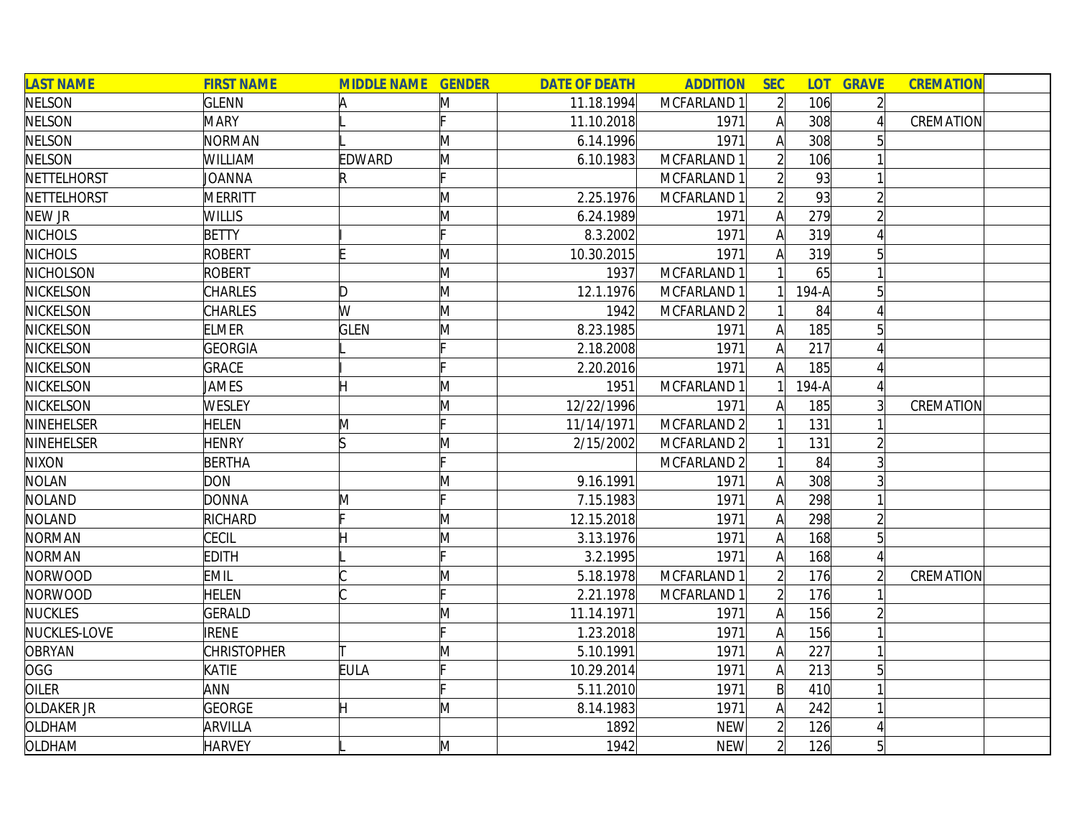| <b>LAST NAME</b>  | <b>FIRST NAME</b>  | <b>MIDDLE NAME GENDER</b> |              | <b>DATE OF DEATH</b> | <b>ADDITION</b>        | <b>SEC</b>     | <b>LOT</b> | <b>GRAVE</b>   | <b>CREMATION</b> |
|-------------------|--------------------|---------------------------|--------------|----------------------|------------------------|----------------|------------|----------------|------------------|
| <b>NELSON</b>     | <b>GLENN</b>       | A                         | M            | 11.18.1994           | MCFARLAND 1            | $\overline{2}$ | 106        | $\overline{2}$ |                  |
| <b>NELSON</b>     | <b>MARY</b>        |                           |              | 11.10.2018           | 1971                   | A              | 308        |                | CREMATION        |
| <b>NELSON</b>     | <b>NORMAN</b>      |                           | M            | 6.14.1996            | 1971                   | $\mathsf{A}$   | 308        |                |                  |
| <b>NELSON</b>     | WILLIAM            | EDWARD                    | M            | 6.10.1983            | MCFARLAND 1            |                | 106        |                |                  |
| NETTELHORST       | <b>JOANNA</b>      | R                         |              |                      | MCFARLAND 1            |                | 93         |                |                  |
| NETTELHORST       | <b>MERRITT</b>     |                           | M            | 2.25.1976            | MCFARLAND 1            |                | 93         |                |                  |
| NEW JR            | <b>WILLIS</b>      |                           | M            | 6.24.1989            | 1971                   | A              | 279        |                |                  |
| <b>NICHOLS</b>    | <b>BETTY</b>       |                           |              | 8.3.2002             | 1971                   | $\mathsf{A}$   | 319        | $\Delta$       |                  |
| <b>NICHOLS</b>    | <b>ROBERT</b>      |                           | M            | 10.30.2015           | 1971                   | $\mathsf{A}$   | 319        | 5              |                  |
| NICHOLSON         | <b>ROBERT</b>      |                           | M            | 1937                 | MCFARLAND 1            |                | 65         |                |                  |
| <b>NICKELSON</b>  | CHARLES            | D                         | M            | 12.1.1976            | MCFARLAND 1            |                | 194-A      |                |                  |
| <b>NICKELSON</b>  | CHARLES            | W                         | M            | 1942                 | MCFARLAND 2            |                | 84         |                |                  |
| <b>NICKELSON</b>  | <b>ELMER</b>       | <b>GLEN</b>               | M            | 8.23.1985            | 1971                   |                | 185        |                |                  |
| <b>NICKELSON</b>  | <b>GEORGIA</b>     |                           |              | 2.18.2008            | 1971                   | A              | 217        |                |                  |
| <b>NICKELSON</b>  | GRACE              |                           |              | 2.20.2016            | 1971                   |                | 185        |                |                  |
| <b>NICKELSON</b>  | JAMES              |                           | M            | 1951                 | MCFARLAND 1            |                | $194-A$    |                |                  |
| <b>NICKELSON</b>  | WESLEY             |                           | M            | 12/22/1996           | 1971                   | A              | 185        |                | CREMATION        |
| <b>NINEHELSER</b> | <b>HELEN</b>       | M                         |              | 11/14/1971           | MCFARLAND <sub>2</sub> |                | 131        |                |                  |
| NINEHELSER        | <b>HENRY</b>       |                           | M            | 2/15/2002            | MCFARLAND 2            |                | 131        |                |                  |
| <b>NIXON</b>      | <b>BERTHA</b>      |                           |              |                      | MCFARLAND 2            |                | 84         |                |                  |
| <b>NOLAN</b>      | <b>DON</b>         |                           | M            | 9.16.1991            | 1971                   | A              | 308        |                |                  |
| <b>NOLAND</b>     | <b>DONNA</b>       | M                         | Ŀ.           | 7.15.1983            | 1971                   | $\mathsf{A}$   | 298        |                |                  |
| <b>NOLAND</b>     | RICHARD            |                           | $\mathsf{M}$ | 12.15.2018           | 1971                   | $\mathsf{A}$   | 298        |                |                  |
| <b>NORMAN</b>     | CECIL              |                           | M            | 3.13.1976            | 1971                   | A              | 168        |                |                  |
| <b>NORMAN</b>     | EDITH              |                           |              | 3.2.1995             | 1971                   | A              | 168        |                |                  |
| <b>NORWOOD</b>    | <b>EMIL</b>        |                           | M            | 5.18.1978            | MCFARLAND 1            | $\overline{2}$ | 176        |                | CREMATION        |
| <b>NORWOOD</b>    | <b>HELEN</b>       |                           |              | 2.21.1978            | MCFARLAND 1            |                | 176        |                |                  |
| <b>NUCKLES</b>    | <b>GERALD</b>      |                           | $\mathsf{M}$ | 11.14.1971           | 1971                   | A              | 156        |                |                  |
| NUCKLES-LOVE      | RENE               |                           |              | 1.23.2018            | 1971                   | $\mathsf{A}$   | 156        |                |                  |
| <b>OBRYAN</b>     | <b>CHRISTOPHER</b> |                           | $\mathsf{M}$ | 5.10.1991            | 1971                   | A              | 227        |                |                  |
| <b>OGG</b>        | <b>KATIE</b>       | <b>EULA</b>               | c            | 10.29.2014           | 1971                   | $\mathsf{A}$   | 213        | 5              |                  |
| <b>OILER</b>      | ANN                |                           |              | 5.11.2010            | 1971                   | $\mathsf{B}$   | 410        |                |                  |
| <b>OLDAKER JR</b> | GEORGE             | Η                         | M            | 8.14.1983            | 1971                   | A              | 242        |                |                  |
| OLDHAM            | ARVILLA            |                           |              | 1892                 | <b>NEW</b>             | $\overline{2}$ | 126        |                |                  |
| OLDHAM            | <b>HARVEY</b>      |                           | M            | 1942                 | <b>NEW</b>             | $\overline{2}$ | 126        |                |                  |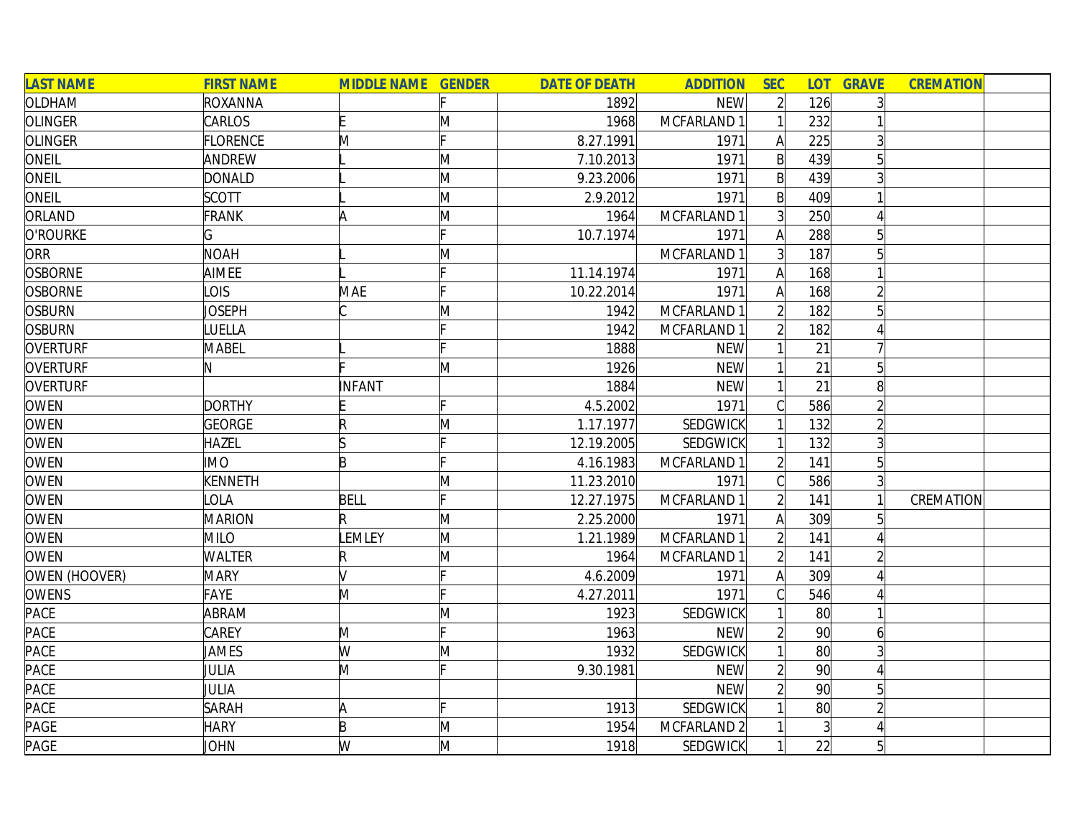| <b>LAST NAME</b> | <b>FIRST NAME</b> | <b>MIDDLE NAME GENDER</b> |              | <b>DATE OF DEATH</b> | <b>ADDITION</b> | <b>SEC</b>     | <b>LOT</b>      | <b>GRAVE</b>   | <b>CREMATION</b> |
|------------------|-------------------|---------------------------|--------------|----------------------|-----------------|----------------|-----------------|----------------|------------------|
| OLDHAM           | ROXANNA           |                           |              | 1892                 | <b>NEW</b>      | $\overline{2}$ | 126             |                |                  |
| <b>OLINGER</b>   | CARLOS            |                           | M            | 1968                 | MCFARLAND 1     |                | 232             |                |                  |
| <b>OLINGER</b>   | <b>FLORENCE</b>   | M                         |              | 8.27.1991            | 1971            | $\mathsf{A}$   | 225             | 3              |                  |
| ONEIL            | ANDREW            |                           | M            | 7.10.2013            | 1971            | $\mathsf{B}$   | 439             |                |                  |
| ONEIL            | <b>DONALD</b>     |                           | M            | 9.23.2006            | 1971            | $\mathsf{B}$   | 439             |                |                  |
| ONEIL            | <b>SCOTT</b>      |                           | M            | 2.9.2012             | 1971            | $\mathsf{B}$   | 409             |                |                  |
| ORLAND           | <b>FRANK</b>      | ΙA                        | M            | 1964                 | MCFARLAND 1     | $\overline{3}$ | 250             |                |                  |
| O'ROURKE         | Ġ                 |                           |              | 10.7.1974            | 1971            | $\mathsf{A}$   | 288             | 5              |                  |
| ORR              | <b>NOAH</b>       |                           | M            |                      | MCFARLAND 1     | $\overline{3}$ | 187             |                |                  |
| <b>OSBORNE</b>   | AIMEE             |                           |              | 11.14.1974           | 1971            | A              | 168             |                |                  |
| <b>OSBORNE</b>   | OIS               | MAE                       |              | 10.22.2014           | 1971            | Α              | 168             |                |                  |
| <b>OSBURN</b>    | <b>JOSEPH</b>     |                           | $\mathsf{M}$ | 1942                 | MCFARLAND 1     |                | 182             |                |                  |
| <b>OSBURN</b>    | <b>UELLA</b>      |                           |              | 1942                 | MCFARLAND 1     |                | 182             |                |                  |
| <b>OVERTURF</b>  | <b>MABEL</b>      |                           |              | 1888                 | <b>NEW</b>      |                | 21              |                |                  |
| <b>OVERTURF</b>  |                   |                           | M            | 1926                 | <b>NEW</b>      |                | 21              |                |                  |
| <b>OVERTURF</b>  |                   | <b>INFANT</b>             |              | 1884                 | <b>NEW</b>      |                | 21              |                |                  |
| OWEN             | <b>DORTHY</b>     |                           |              | 4.5.2002             | 1971            |                | 586             |                |                  |
| <b>OWEN</b>      | <b>GEORGE</b>     | R                         | M            | 1.17.1977            | <b>SEDGWICK</b> |                | 132             |                |                  |
| <b>OWEN</b>      | <b>HAZEL</b>      |                           |              | 12.19.2005           | SEDGWICK        |                | 132             |                |                  |
| <b>OWEN</b>      | <b>IMO</b>        | B                         |              | 4.16.1983            | MCFARLAND 1     | $\overline{2}$ | 141             | 5              |                  |
| <b>OWEN</b>      | <b>KENNETH</b>    |                           | M            | 11.23.2010           | 1971            | C              | 586             |                |                  |
| <b>OWEN</b>      | OLA               | <b>BELL</b>               | Ŀ.           | 12.27.1975           | MCFARLAND 1     | $\overline{2}$ | 141             |                | CREMATION        |
| <b>OWEN</b>      | <b>MARION</b>     | R                         | M            | 2.25.2000            | 1971            | А              | 309             |                |                  |
| <b>OWEN</b>      | <b>MILO</b>       | LEMLEY                    | M            | 1.21.1989            | MCFARLAND 1     |                | 141             |                |                  |
| <b>OWEN</b>      | <b>WALTER</b>     | R                         | M            | 1964                 | MCFARLAND 1     | $\overline{2}$ | 141             |                |                  |
| OWEN (HOOVER)    | <b>MARY</b>       |                           |              | 4.6.2009             | 1971            | A              | 309             |                |                  |
| <b>OWENS</b>     | FAYE              | M                         |              | 4.27.2011            | 1971            | C              | 546             |                |                  |
| PACE             | ABRAM             |                           | M            | 1923                 | SEDGWICK        |                | 80              |                |                  |
| PACE             | CAREY             | M                         |              | 1963                 | <b>NEW</b>      |                | 90 <sup>°</sup> | 61             |                  |
| <b>PACE</b>      | JAMES             | W                         | M            | 1932                 | <b>SEDGWICK</b> |                | 80              |                |                  |
| <b>PACE</b>      | JULIA             | M                         |              | 9.30.1981            | <b>NEW</b>      | $\overline{2}$ | 90 <sup>°</sup> |                |                  |
| PACE             | JULIA             |                           |              |                      | <b>NEW</b>      | $\overline{2}$ | 90 <sup>°</sup> | 5              |                  |
| PACE             | <b>SARAH</b>      | A                         |              | 1913                 | SEDGWICK        |                | $80^{\circ}$    |                |                  |
| PAGE             | <b>HARY</b>       | B                         | $\mathsf{M}$ | 1954                 | MCFARLAND 2     |                |                 |                |                  |
| PAGE             | JOHN              | W                         | M            | 1918                 | SEDGWICK        |                | 22              | 5 <sup>1</sup> |                  |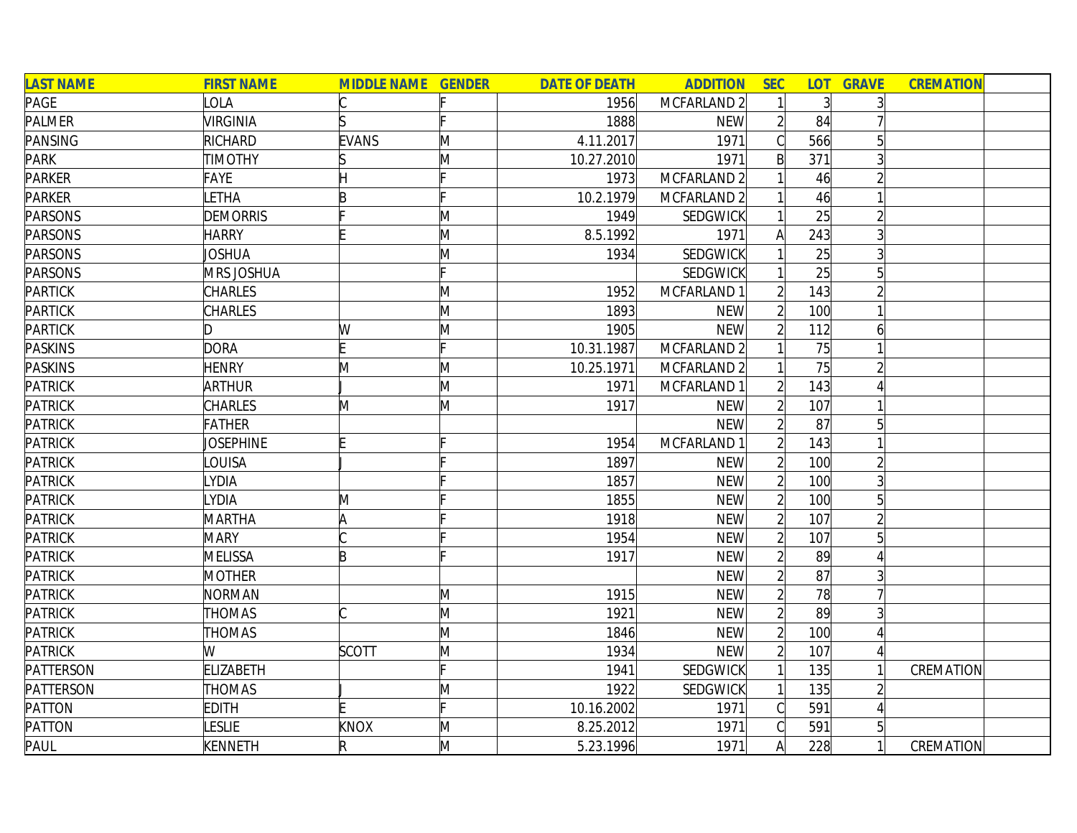| <b>LAST NAME</b> | <b>FIRST NAME</b> | <b>MIDDLE NAME GENDER</b> |   | <b>DATE OF DEATH</b> | <b>ADDITION</b>        | <b>SEC</b>     |                | <b>LOT GRAVE</b> | <b>CREMATION</b> |
|------------------|-------------------|---------------------------|---|----------------------|------------------------|----------------|----------------|------------------|------------------|
| PAGE             | LOLA              |                           |   | 1956                 | MCFARLAND 2            |                | $\overline{3}$ |                  |                  |
| <b>PALMER</b>    | VIRGINIA          |                           |   | 1888                 | <b>NEW</b>             |                | 84             |                  |                  |
| <b>PANSING</b>   | RICHARD           | <b>EVANS</b>              | M | 4.11.2017            | 1971                   |                | 566            | 5                |                  |
| <b>PARK</b>      | <b>TIMOTHY</b>    |                           | M | 10.27.2010           | 1971                   | B              | 371            |                  |                  |
| <b>PARKER</b>    | FAYE              |                           |   | 1973                 | MCFARLAND <sub>2</sub> |                | 46             |                  |                  |
| <b>PARKER</b>    | LETHA             | R                         |   | 10.2.1979            | MCFARLAND <sub>2</sub> |                | 46             |                  |                  |
| <b>PARSONS</b>   | <b>DEMORRIS</b>   |                           | M | 1949                 | SEDGWICK               |                | 25             |                  |                  |
| <b>PARSONS</b>   | <b>HARRY</b>      |                           | M | 8.5.1992             | 1971                   | Α              | 243            |                  |                  |
| <b>PARSONS</b>   | JOSHUA            |                           | M | 1934                 | SEDGWICK               |                | 25             | $\overline{3}$   |                  |
| <b>PARSONS</b>   | MRS JOSHUA        |                           |   |                      | SEDGWICK               |                | 25             | 5                |                  |
| <b>PARTICK</b>   | <b>CHARLES</b>    |                           | M | 1952                 | MCFARLAND 1            | $\overline{2}$ | 143            |                  |                  |
| <b>PARTICK</b>   | <b>CHARLES</b>    |                           | M | 1893                 | <b>NEW</b>             |                | 100            |                  |                  |
| <b>PARTICK</b>   | D.                | W                         | M | 1905                 | <b>NEW</b>             |                | 112            | 6                |                  |
| <b>PASKINS</b>   | <b>DORA</b>       |                           |   | 10.31.1987           | MCFARLAND 2            |                | 75             |                  |                  |
| <b>PASKINS</b>   | <b>HENRY</b>      | M                         | M | 10.25.1971           | MCFARLAND 2            |                | 75             |                  |                  |
| <b>PATRICK</b>   | <b>ARTHUR</b>     |                           | M | 1971                 | MCFARLAND 1            |                | 143            |                  |                  |
| <b>PATRICK</b>   | <b>CHARLES</b>    | M                         | M | 1917                 | <b>NEW</b>             |                | 107            |                  |                  |
| <b>PATRICK</b>   | <b>FATHER</b>     |                           |   |                      | <b>NEW</b>             |                | 87             | 5                |                  |
| <b>PATRICK</b>   | <b>JOSEPHINE</b>  |                           |   | 1954                 | MCFARLAND 1            |                | 143            |                  |                  |
| <b>PATRICK</b>   | LOUISA            |                           |   | 1897                 | <b>NEW</b>             | $\overline{2}$ | 100            | $\overline{2}$   |                  |
| <b>PATRICK</b>   | LYDIA             |                           |   | 1857                 | <b>NEW</b>             | $\overline{2}$ | 100            | $\overline{3}$   |                  |
| <b>PATRICK</b>   | LYDIA             | M                         |   | 1855                 | <b>NEW</b>             | $\overline{2}$ | 100            | $5\vert$         |                  |
| <b>PATRICK</b>   | MARTHA            | A                         |   | 1918                 | <b>NEW</b>             | $\overline{2}$ | 107            |                  |                  |
| <b>PATRICK</b>   | <b>MARY</b>       |                           |   | 1954                 | <b>NEW</b>             | $\overline{2}$ | 107            |                  |                  |
| <b>PATRICK</b>   | MELISSA           | B                         |   | 1917                 | <b>NEW</b>             | $\overline{2}$ | 89             |                  |                  |
| <b>PATRICK</b>   | <b>MOTHER</b>     |                           |   |                      | <b>NEW</b>             | $\overline{2}$ | 87             |                  |                  |
| <b>PATRICK</b>   | NORMAN            |                           | M | 1915                 | <b>NEW</b>             | $\overline{2}$ | 78             |                  |                  |
| <b>PATRICK</b>   | THOMAS            |                           | M | 1921                 | <b>NEW</b>             |                | 89             |                  |                  |
| <b>PATRICK</b>   | <b>THOMAS</b>     |                           | M | 1846                 | <b>NEW</b>             | $\overline{2}$ | 100            |                  |                  |
| <b>PATRICK</b>   | W                 | SCOTT                     | M | 1934                 | <b>NEW</b>             |                | 107            |                  |                  |
| <b>PATTERSON</b> | <b>ELIZABETH</b>  |                           |   | 1941                 | SEDGWICK               |                | 135            |                  | CREMATION        |
| <b>PATTERSON</b> | <b>THOMAS</b>     |                           | M | 1922                 | <b>SEDGWICK</b>        |                | 135            |                  |                  |
| <b>PATTON</b>    | <b>EDITH</b>      |                           |   | 10.16.2002           | 1971                   | C              | 591            | $\Delta$         |                  |
| <b>PATTON</b>    | <b>LESLIE</b>     | KNOX                      | M | 8.25.2012            | 1971                   |                | 591            | 5 <sup>1</sup>   |                  |
| PAUL             | <b>KENNETH</b>    | R                         | M | 5.23.1996            | 1971                   | A              | 228            | 1                | CREMATION        |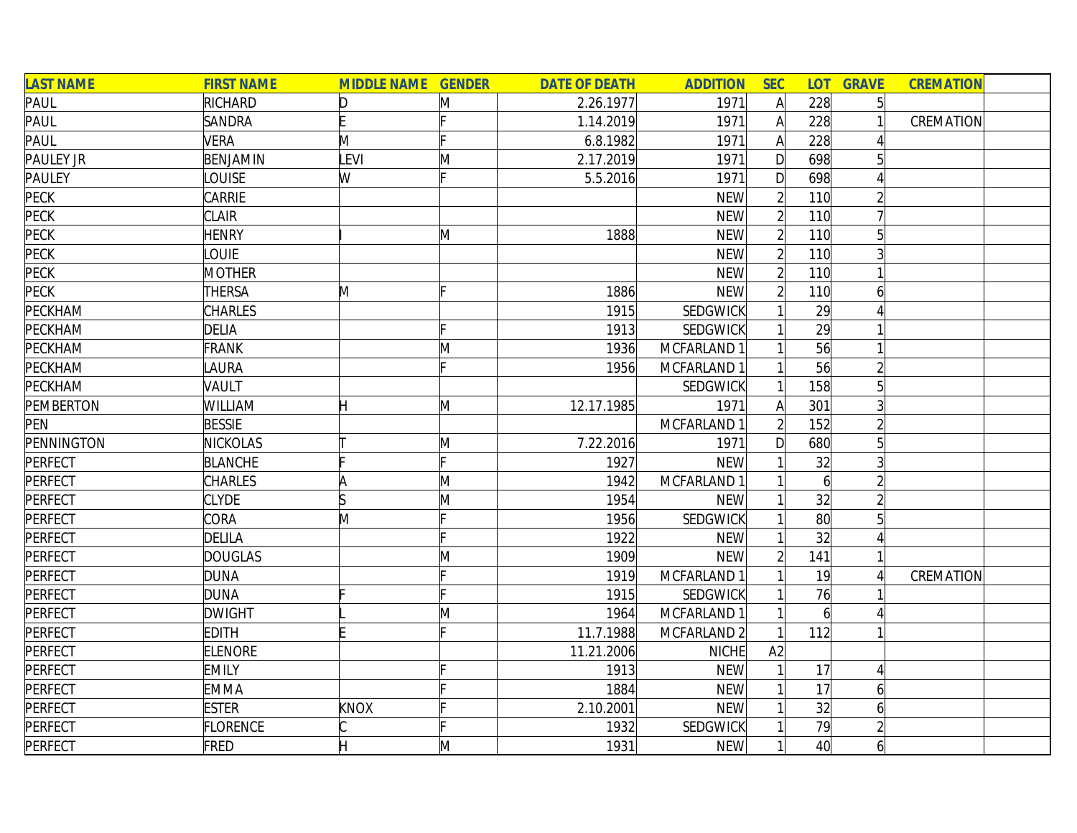| <b>LAST NAME</b> | <b>FIRST NAME</b> | <b>MIDDLE NAME GENDER</b> |              | <b>DATE OF DEATH</b> | <b>ADDITION</b> | <b>SEC</b>     |                 | <b>LOT GRAVE</b> | <b>CREMATION</b> |
|------------------|-------------------|---------------------------|--------------|----------------------|-----------------|----------------|-----------------|------------------|------------------|
| <b>PAUL</b>      | RICHARD           |                           | M            | 2.26.1977            | 1971            | A              | 228             | $\overline{5}$   |                  |
| <b>PAUL</b>      | <b>SANDRA</b>     |                           |              | 1.14.2019            | 1971            | $\mathsf{A}$   | 228             |                  | CREMATION        |
| PAUL             | <b>VERA</b>       | M                         | Ŀ.           | 6.8.1982             | 1971            | $\mathsf{A}$   | 228             |                  |                  |
| PAULEY JR        | BENJAMIN          | LEVI                      | $\mathsf{M}$ | 2.17.2019            | 1971            | $\mathsf{D}$   | 698             |                  |                  |
| <b>PAULEY</b>    | <b>OUISE</b>      | W                         |              | 5.5.2016             | 1971            | D              | 698             |                  |                  |
| <b>PECK</b>      | CARRIE            |                           |              |                      | <b>NEW</b>      | $\overline{2}$ | 110             |                  |                  |
| <b>PECK</b>      | <b>CLAIR</b>      |                           |              |                      | <b>NEW</b>      | $\overline{2}$ | 110             |                  |                  |
| PECK             | <b>HENRY</b>      |                           | M            | 1888                 | <b>NEW</b>      | $\overline{2}$ | 110             | 5                |                  |
| PECK             | <b>OUIE</b>       |                           |              |                      | <b>NEW</b>      | $\overline{2}$ | 110             |                  |                  |
| PECK             | <b>MOTHER</b>     |                           |              |                      | <b>NEW</b>      | $\overline{2}$ | 110             |                  |                  |
| PECK             | <b>THERSA</b>     | M                         |              | 1886                 | <b>NEW</b>      | $\overline{2}$ | 110             | 6                |                  |
| PECKHAM          | <b>CHARLES</b>    |                           |              | 1915                 | SEDGWICK        |                | 29              |                  |                  |
| PECKHAM          | <b>DELIA</b>      |                           |              | 1913                 | SEDGWICK        |                | 29              |                  |                  |
| PECKHAM          | <b>FRANK</b>      |                           | M            | 1936                 | MCFARLAND 1     |                | 56              |                  |                  |
| PECKHAM          | <b>AURA</b>       |                           |              | 1956                 | MCFARLAND 1     |                | 56              |                  |                  |
| PECKHAM          | VAULT             |                           |              |                      | <b>SEDGWICK</b> |                | 158             |                  |                  |
| <b>PEMBERTON</b> | WILLIAM           | H                         | M            | 12.17.1985           | 1971            | A              | 301             |                  |                  |
| PEN              | <b>BESSIE</b>     |                           |              |                      | MCFARLAND 1     |                | 152             |                  |                  |
| PENNINGTON       | <b>NICKOLAS</b>   |                           | M            | 7.22.2016            | 1971            | D              | 680             | $5\overline{a}$  |                  |
| PERFECT          | <b>BLANCHE</b>    |                           | IE.          | 1927                 | <b>NEW</b>      |                | 32              | 3                |                  |
| PERFECT          | <b>CHARLES</b>    | ΙA                        | $\mathsf{M}$ | 1942                 | MCFARLAND 1     |                | $\vert 6 \vert$ |                  |                  |
| PERFECT          | <b>CLYDE</b>      |                           | M            | 1954                 | <b>NEW</b>      |                | 32              |                  |                  |
| PERFECT          | CORA              | M                         | c            | 1956                 | SEDGWICK        |                | $80^{\circ}$    | 5                |                  |
| PERFECT          | DELILA            |                           |              | 1922                 | <b>NEW</b>      |                | 32              |                  |                  |
| <b>PERFECT</b>   | <b>DOUGLAS</b>    |                           | M            | 1909                 | <b>NEW</b>      | $\overline{2}$ | 141             |                  |                  |
| <b>PERFECT</b>   | <b>DUNA</b>       |                           |              | 1919                 | MCFARLAND 1     |                | 19              |                  | CREMATION        |
| PERFECT          | <b>DUNA</b>       |                           |              | 1915                 | SEDGWICK        |                | 76              |                  |                  |
| <b>PERFECT</b>   | <b>DWIGHT</b>     |                           | M            | 1964                 | MCFARLAND 1     |                | $\vert 6 \vert$ |                  |                  |
| <b>PERFECT</b>   | <b>EDITH</b>      |                           |              | 11.7.1988            | MCFARLAND 2     |                | 112             |                  |                  |
| <b>PERFECT</b>   | <b>ELENORE</b>    |                           |              | 11.21.2006           | <b>NICHE</b>    | A2             |                 |                  |                  |
| <b>PERFECT</b>   | <b>EMILY</b>      |                           |              | 1913                 | <b>NEW</b>      |                | 17              | 4                |                  |
| PERFECT          | <b>EMMA</b>       |                           |              | 1884                 | <b>NEW</b>      |                | 17              | 6                |                  |
| PERFECT          | <b>ESTER</b>      | KNOX                      |              | 2.10.2001            | <b>NEW</b>      |                | 32              | 6                |                  |
| PERFECT          | FLORENCE          |                           |              | 1932                 | SEDGWICK        |                | 79              |                  |                  |
| PERFECT          | FRED              |                           | M            | 1931                 | <b>NEW</b>      |                | 40 <sup>l</sup> | 6                |                  |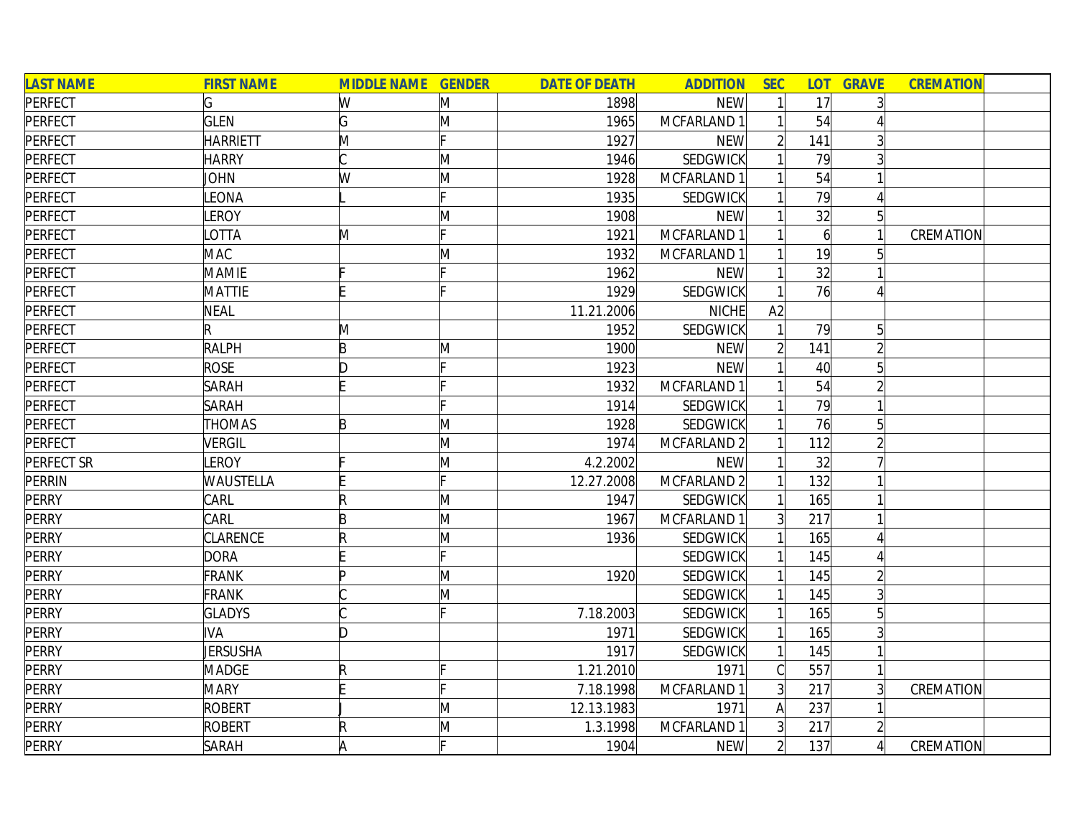| <b>LAST NAME</b>  | <b>FIRST NAME</b> | <b>MIDDLE NAME GENDER</b> |   | <b>DATE OF DEATH</b> | <b>ADDITION</b>        | <b>SEC</b>     |                 | <b>LOT GRAVE</b> | <b>CREMATION</b> |
|-------------------|-------------------|---------------------------|---|----------------------|------------------------|----------------|-----------------|------------------|------------------|
| PERFECT           | G                 | W                         | M | 1898                 | <b>NEW</b>             |                | 17              |                  |                  |
| PERFECT           | <b>GLEN</b>       | G                         | M | 1965                 | MCFARLAND 1            |                | 54              |                  |                  |
| PERFECT           | <b>HARRIETT</b>   | M                         |   | 1927                 | <b>NEW</b>             |                | 141             |                  |                  |
| PERFECT           | <b>HARRY</b>      |                           | M | 1946                 | SEDGWICK               |                | 79              |                  |                  |
| PERFECT           | <b>JOHN</b>       | W                         | M | 1928                 | MCFARLAND 1            |                | 54              |                  |                  |
| PERFECT           | LEONA             |                           |   | 1935                 | <b>SEDGWICK</b>        |                | 79              | 4                |                  |
| <b>PERFECT</b>    | LEROY             |                           | M | 1908                 | <b>NEW</b>             |                | $\overline{32}$ | $\overline{5}$   |                  |
| PERFECT           | LOTTA             | M                         |   | 1921                 | MCFARLAND 1            |                | $\overline{6}$  |                  | CREMATION        |
| PERFECT           | <b>MAC</b>        |                           | M | 1932                 | MCFARLAND 1            |                | 19              |                  |                  |
| PERFECT           | <b>MAMIE</b>      |                           |   | 1962                 | <b>NEW</b>             |                | 32              |                  |                  |
| PERFECT           | <b>MATTIE</b>     |                           |   | 1929                 | SEDGWICK               |                | 76              |                  |                  |
| PERFECT           | <b>NEAL</b>       |                           |   | 11.21.2006           | <b>NICHE</b>           | A2             |                 |                  |                  |
| <b>PERFECT</b>    | R                 | M                         |   | 1952                 | SEDGWICK               |                | 79              | 5 <sup>1</sup>   |                  |
| PERFECT           | <b>RALPH</b>      | B                         | M | 1900                 | <b>NEW</b>             |                | 141             |                  |                  |
| PERFECT           | <b>ROSE</b>       | D                         |   | 1923                 | <b>NEW</b>             |                | 40              |                  |                  |
| PERFECT           | <b>SARAH</b>      |                           |   | 1932                 | MCFARLAND 1            |                | 54              |                  |                  |
| PERFECT           | <b>SARAH</b>      |                           |   | 1914                 | SEDGWICK               |                | 79              |                  |                  |
| <b>PERFECT</b>    | <b>THOMAS</b>     | $\mathsf B$               | M | 1928                 | <b>SEDGWICK</b>        |                | 76              | 5 <sup>1</sup>   |                  |
| <b>PERFECT</b>    | <b>VERGIL</b>     |                           | M | 1974                 | MCFARLAND <sub>2</sub> |                | 112             |                  |                  |
| <b>PERFECT SR</b> | LEROY             |                           | M | 4.2.2002             | <b>NEW</b>             |                | 32              |                  |                  |
| <b>PERRIN</b>     | <b>WAUSTELLA</b>  |                           |   | 12.27.2008           | MCFARLAND 2            |                | 132             |                  |                  |
| <b>PERRY</b>      | CARL              | R                         | M | 1947                 | SEDGWICK               |                | 165             |                  |                  |
| <b>PERRY</b>      | CARL              | B                         | M | 1967                 | MCFARLAND 1            | $\overline{3}$ | 217             |                  |                  |
| <b>PERRY</b>      | <b>CLARENCE</b>   | R                         | M | 1936                 | <b>SEDGWICK</b>        |                | 165             |                  |                  |
| <b>PERRY</b>      | <b>DORA</b>       |                           |   |                      | SEDGWICK               |                | 145             |                  |                  |
| <b>PERRY</b>      | <b>FRANK</b>      | In                        | M | 1920                 | <b>SEDGWICK</b>        |                | 145             |                  |                  |
| <b>PERRY</b>      | <b>FRANK</b>      |                           | M |                      | SEDGWICK               |                | 145             |                  |                  |
| <b>PERRY</b>      | <b>GLADYS</b>     |                           |   | 7.18.2003            | SEDGWICK               |                | 165             |                  |                  |
| <b>PERRY</b>      | <b>IVA</b>        | D                         |   | 1971                 | SEDGWICK               |                | 165             |                  |                  |
| <b>PERRY</b>      | JERSUSHA          |                           |   | 1917                 | SEDGWICK               |                | 145             |                  |                  |
| <b>PERRY</b>      | <b>MADGE</b>      | R                         |   | 1.21.2010            | 1971                   | C              | 557             |                  |                  |
| <b>PERRY</b>      | <b>MARY</b>       |                           |   | 7.18.1998            | MCFARLAND 1            | $\overline{3}$ | 217             |                  | CREMATION        |
| <b>PERRY</b>      | ROBERT            |                           | M | 12.13.1983           | 1971                   | A              | 237             |                  |                  |
| <b>PERRY</b>      | ROBERT            | R                         | M | 1.3.1998             | MCFARLAND 1            | 3              | 217             |                  |                  |
| <b>PERRY</b>      | <b>SARAH</b>      | A                         |   | 1904                 | <b>NEW</b>             | $\overline{2}$ | 137             | $\left  \right $ | CREMATION        |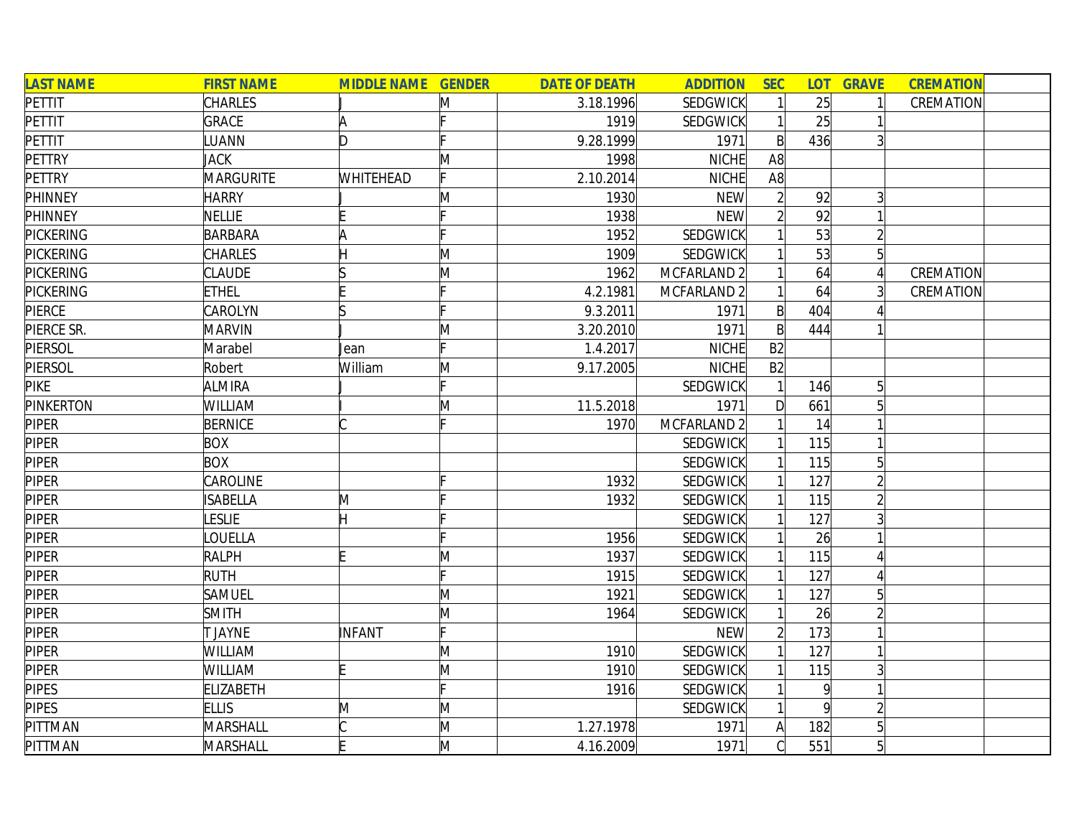| <b>LAST NAME</b> | <b>FIRST NAME</b> | <b>MIDDLE NAME GENDER</b> |   | <b>DATE OF DEATH</b> | <b>ADDITION</b> | <b>SEC</b>     | <b>LOT</b>     | <b>GRAVE</b>    | <b>CREMATION</b> |  |
|------------------|-------------------|---------------------------|---|----------------------|-----------------|----------------|----------------|-----------------|------------------|--|
| PETTIT           | <b>CHARLES</b>    |                           | M | 3.18.1996            | <b>SEDGWICK</b> |                | 25             |                 | CREMATION        |  |
| PETTIT           | GRACE             | A                         |   | 1919                 | SEDGWICK        | $\mathbf{1}$   | 25             |                 |                  |  |
| PETTIT           | LUANN             | D.                        |   | 9.28.1999            | 1971            | $\mathsf{B}$   | 436            | $\overline{3}$  |                  |  |
| <b>PETTRY</b>    | JACK              |                           | M | 1998                 | NICHE           | A8             |                |                 |                  |  |
| <b>PETTRY</b>    | <b>MARGURITE</b>  | <b>WHITEHEAD</b>          |   | 2.10.2014            | <b>NICHE</b>    | A8             |                |                 |                  |  |
| <b>PHINNEY</b>   | <b>HARRY</b>      |                           | M | 1930                 | <b>NEW</b>      | $\overline{2}$ | 92             | $\overline{3}$  |                  |  |
| <b>PHINNEY</b>   | <b>NELLIE</b>     |                           |   | 1938                 | <b>NEW</b>      | $\overline{2}$ | 92             |                 |                  |  |
| <b>PICKERING</b> | BARBARA           | A                         |   | 1952                 | SEDGWICK        |                | 53             | $\overline{2}$  |                  |  |
| <b>PICKERING</b> | <b>CHARLES</b>    |                           | M | 1909                 | <b>SEDGWICK</b> |                | 53             | $\overline{5}$  |                  |  |
| <b>PICKERING</b> | <b>CLAUDE</b>     |                           | M | 1962                 | MCFARLAND 2     |                | 64             | $\overline{4}$  | CREMATION        |  |
| <b>PICKERING</b> | <b>ETHEL</b>      |                           |   | 4.2.1981             | MCFARLAND 2     |                | 64             | $\overline{3}$  | CREMATION        |  |
| PIERCE           | CAROLYN           |                           |   | 9.3.2011             | 1971            | $\mathsf{B}$   | 404            |                 |                  |  |
| PIERCE SR.       | <b>MARVIN</b>     |                           | M | 3.20.2010            | 1971            | $\mathsf{B}$   | 444            |                 |                  |  |
| PIERSOL          | Marabel           | Jean                      |   | 1.4.2017             | NICHE           | B2             |                |                 |                  |  |
| PIERSOL          | Robert            | William                   | M | 9.17.2005            | NICHE           | B2             |                |                 |                  |  |
| <b>PIKE</b>      | <b>ALMIRA</b>     |                           |   |                      | SEDGWICK        |                | 146            | $5\overline{)}$ |                  |  |
| <b>PINKERTON</b> | WILLIAM           |                           | M | 11.5.2018            | 1971            | D              | 661            | $5\overline{)}$ |                  |  |
| <b>PIPER</b>     | <b>BERNICE</b>    |                           |   | 1970                 | MCFARLAND 2     |                | 14             |                 |                  |  |
| <b>PIPER</b>     | <b>BOX</b>        |                           |   |                      | <b>SEDGWICK</b> |                | 115            |                 |                  |  |
| <b>PIPER</b>     | <b>BOX</b>        |                           |   |                      | <b>SEDGWICK</b> |                | 115            | 5 <sup>1</sup>  |                  |  |
| <b>PIPER</b>     | CAROLINE          |                           |   | 1932                 | <b>SEDGWICK</b> |                | 127            | $\overline{2}$  |                  |  |
| <b>PIPER</b>     | <b>ISABELLA</b>   | M                         |   | 1932                 | SEDGWICK        |                | 115            | $\overline{2}$  |                  |  |
| <b>PIPER</b>     | LESLIE            |                           |   |                      | SEDGWICK        |                | 127            |                 |                  |  |
| <b>PIPER</b>     | LOUELLA           |                           |   | 1956                 | SEDGWICK        |                | 26             |                 |                  |  |
| <b>PIPER</b>     | <b>RALPH</b>      |                           | M | 1937                 | <b>SEDGWICK</b> |                | 115            |                 |                  |  |
| <b>PIPER</b>     | <b>RUTH</b>       |                           |   | 1915                 | <b>SEDGWICK</b> |                | 127            |                 |                  |  |
| <b>PIPER</b>     | SAMUEL            |                           | M | 1921                 | <b>SEDGWICK</b> |                | 127            | $5\overline{)}$ |                  |  |
| <b>PIPER</b>     | <b>SMITH</b>      |                           | M | 1964                 | SEDGWICK        |                | 26             |                 |                  |  |
| <b>PIPER</b>     | <b>JAYNE</b>      | INFANT                    |   |                      | <b>NEW</b>      | $\overline{2}$ | 173            |                 |                  |  |
| <b>PIPER</b>     | WILLIAM           |                           | M | 1910                 | <b>SEDGWICK</b> |                | 127            |                 |                  |  |
| <b>PIPER</b>     | <b>WILLIAM</b>    |                           | M | 1910                 | SEDGWICK        |                | 115            | $\overline{3}$  |                  |  |
| <b>PIPES</b>     | <b>ELIZABETH</b>  |                           |   | 1916                 | SEDGWICK        |                | $\overline{9}$ |                 |                  |  |
| <b>PIPES</b>     | <b>ELLIS</b>      | M                         | M |                      | <b>SEDGWICK</b> | $\mathbf{1}$   | 9              | $\overline{2}$  |                  |  |
| PITTMAN          | MARSHALL          |                           | M | 1.27.1978            | 1971            | $\mathsf{A}$   | 182            | $\overline{5}$  |                  |  |
| PITTMAN          | MARSHALL          |                           | M | 4.16.2009            | 1971            | Cl             | 551            | 5 <sup>1</sup>  |                  |  |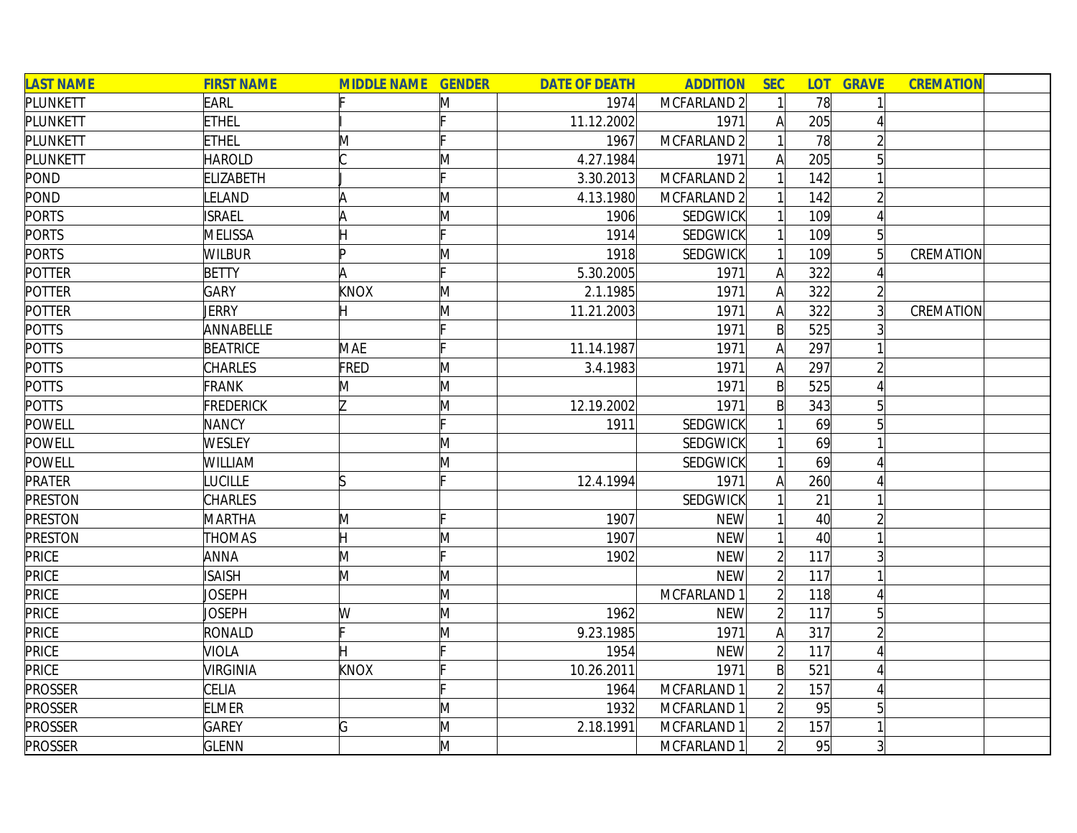| <b>LAST NAME</b> | <b>FIRST NAME</b> | <b>MIDDLE NAME GENDER</b> |   | <b>DATE OF DEATH</b> | <b>ADDITION</b>        | <b>SEC</b>     | <b>LOT</b> | <b>GRAVE</b>   | <b>CREMATION</b> |
|------------------|-------------------|---------------------------|---|----------------------|------------------------|----------------|------------|----------------|------------------|
| PLUNKETT         | <b>EARL</b>       |                           | Μ | 1974                 | MCFARLAND 2            |                | 78         |                |                  |
| PLUNKETT         | <b>ETHEL</b>      |                           |   | 11.12.2002           | 1971                   | A              | 205        |                |                  |
| PLUNKETT         | <b>ETHEL</b>      | M                         |   | 1967                 | MCFARLAND <sub>2</sub> |                | 78         |                |                  |
| PLUNKETT         | <b>HAROLD</b>     |                           | M | 4.27.1984            | 1971                   |                | 205        | 51             |                  |
| <b>POND</b>      | <b>ELIZABETH</b>  |                           |   | 3.30.2013            | MCFARLAND <sub>2</sub> |                | 142        |                |                  |
| POND             | LELAND            | ۱A                        | M | 4.13.1980            | MCFARLAND <sub>2</sub> |                | 142        | $\overline{2}$ |                  |
| <b>PORTS</b>     | <b>ISRAEL</b>     | A                         | M | 1906                 | SEDGWICK               |                | 109        | Δ              |                  |
| <b>PORTS</b>     | <b>MELISSA</b>    |                           |   | 1914                 | SEDGWICK               |                | 109        | $5\vert$       |                  |
| <b>PORTS</b>     | <b>WILBUR</b>     | In                        | M | 1918                 | SEDGWICK               |                | 109        |                | CREMATION        |
| <b>POTTER</b>    | <b>BETTY</b>      | A                         |   | 5.30.2005            | 1971                   | A              | 322        |                |                  |
| <b>POTTER</b>    | <b>GARY</b>       | KNOX                      | M | 2.1.1985             | 1971                   | A              | 322        |                |                  |
| <b>POTTER</b>    | <b>JERRY</b>      | Η                         | Μ | 11.21.2003           | 1971                   | A              | 322        |                | CREMATION        |
| <b>POTTS</b>     | ANNABELLE         |                           |   |                      | 1971                   | $\mathsf{B}$   | 525        |                |                  |
| <b>POTTS</b>     | <b>BEATRICE</b>   | MAE                       |   | 11.14.1987           | 1971                   | Α              | 297        |                |                  |
| POTTS            | <b>CHARLES</b>    | FRED                      | M | 3.4.1983             | 1971                   | A              | 297        |                |                  |
| <b>POTTS</b>     | <b>FRANK</b>      | M                         | M |                      | 1971                   | $\mathsf{B}$   | 525        |                |                  |
| <b>POTTS</b>     | <b>FREDERICK</b>  | 7                         | M | 12.19.2002           | 1971                   | $\mathsf{B}$   | 343        | 5              |                  |
| <b>POWELL</b>    | <b>NANCY</b>      |                           |   | 1911                 | SEDGWICK               |                | 69         |                |                  |
| <b>POWELL</b>    | <b>WESLEY</b>     |                           | M |                      | SEDGWICK               |                | 69         |                |                  |
| <b>POWELL</b>    | <b>WILLIAM</b>    |                           | M |                      | SEDGWICK               |                | 69         |                |                  |
| <b>PRATER</b>    | <b>LUCILLE</b>    | lS                        |   | 12.4.1994            | 1971                   | Α              | 260        |                |                  |
| <b>PRESTON</b>   | <b>CHARLES</b>    |                           |   |                      | SEDGWICK               |                | 21         |                |                  |
| <b>PRESTON</b>   | <b>MARTHA</b>     | M                         |   | 1907                 | <b>NEW</b>             |                | 40         |                |                  |
| <b>PRESTON</b>   | <b>THOMAS</b>     | Η                         | M | 1907                 | <b>NEW</b>             |                | 40         |                |                  |
| <b>PRICE</b>     | <b>ANNA</b>       | M                         |   | 1902                 | <b>NEW</b>             | $\overline{2}$ | 117        |                |                  |
| <b>PRICE</b>     | <b>ISAISH</b>     | M                         | M |                      | <b>NEW</b>             | $\overline{2}$ | 117        |                |                  |
| PRICE            | JOSEPH            |                           | M |                      | MCFARLAND 1            |                | 118        |                |                  |
| <b>PRICE</b>     | Joseph            | W                         | M | 1962                 | <b>NEW</b>             |                | 117        | 5 <sup>1</sup> |                  |
| <b>PRICE</b>     | RONALD            |                           | M | 9.23.1985            | 1971                   | A              | 317        |                |                  |
| <b>PRICE</b>     | VIOLA             |                           |   | 1954                 | <b>NEW</b>             | $\overline{2}$ | 117        |                |                  |
| <b>PRICE</b>     | <b>VIRGINIA</b>   | <b>KNOX</b>               |   | 10.26.2011           | 1971                   | $\mathsf{B}$   | 521        | Δ              |                  |
| <b>PROSSER</b>   | CELIA             |                           |   | 1964                 | MCFARLAND 1            | $\overline{2}$ | 157        | $\Delta$       |                  |
| <b>PROSSER</b>   | <b>ELMER</b>      |                           | M | 1932                 | MCFARLAND 1            |                | 95         | 5              |                  |
| <b>PROSSER</b>   | <b>GAREY</b>      | G                         | M | 2.18.1991            | MCFARLAND 1            | $\overline{2}$ | 157        |                |                  |
| <b>PROSSER</b>   | <b>GLENN</b>      |                           | M |                      | MCFARLAND 1            | $\overline{2}$ | 95         | 3              |                  |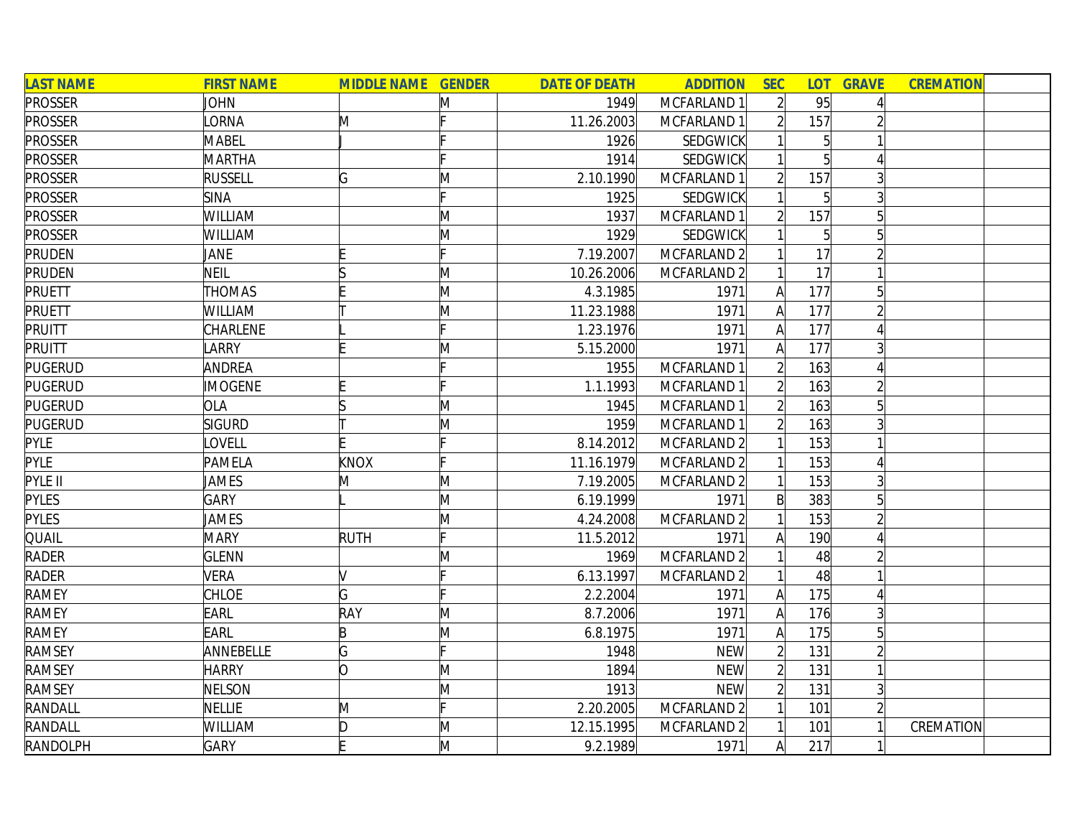| <b>LAST NAME</b> | <b>FIRST NAME</b> | <b>MIDDLE NAME GENDER</b> |              | <b>DATE OF DEATH</b> | <b>ADDITION</b> | <b>SEC</b>     | LOT <sub>1</sub> | <b>GRAVE</b>   | <b>CREMATION</b> |  |
|------------------|-------------------|---------------------------|--------------|----------------------|-----------------|----------------|------------------|----------------|------------------|--|
| <b>PROSSER</b>   | JOHN              |                           | M            | 1949                 | MCFARLAND 1     | $\overline{2}$ | 95               |                |                  |  |
| <b>PROSSER</b>   | <b>ORNA</b>       | M                         |              | 11.26.2003           | MCFARLAND 1     |                | 157              |                |                  |  |
| <b>PROSSER</b>   | MABEL             |                           |              | 1926                 | SEDGWICK        |                | $\overline{5}$   |                |                  |  |
| <b>PROSSER</b>   | <b>MARTHA</b>     |                           |              | 1914                 | SEDGWICK        |                | 5 <sup>1</sup>   |                |                  |  |
| <b>PROSSER</b>   | <b>RUSSELL</b>    | G                         | M            | 2.10.1990            | MCFARLAND 1     |                | 157              |                |                  |  |
| <b>PROSSER</b>   | <b>SINA</b>       |                           |              | 1925                 | <b>SEDGWICK</b> |                | 5 <sup>1</sup>   |                |                  |  |
| <b>PROSSER</b>   | WILLIAM           |                           | M            | 1937                 | MCFARLAND 1     | $\overline{2}$ | 157              | $\overline{5}$ |                  |  |
| <b>PROSSER</b>   | WILLIAM           |                           | M            | 1929                 | SEDGWICK        |                | $\overline{5}$   | 5              |                  |  |
| PRUDEN           | JANE              |                           |              | 7.19.2007            | MCFARLAND 2     |                | 17               |                |                  |  |
| <b>PRUDEN</b>    | <b>NEIL</b>       |                           | M            | 10.26.2006           | MCFARLAND 2     |                | 17               |                |                  |  |
| PRUETT           | <b>THOMAS</b>     |                           | $\mathsf{M}$ | 4.3.1985             | 1971            | A              | 177              |                |                  |  |
| PRUETT           | WILLIAM           |                           | M            | 11.23.1988           | 1971            | $\overline{A}$ | 177              |                |                  |  |
| PRUITT           | CHARLENE          |                           |              | 1.23.1976            | 1971            | A              | 177              |                |                  |  |
| PRUITT           | LARRY             |                           | $\mathsf{M}$ | 5.15.2000            | 1971            | A              | 177              |                |                  |  |
| <b>PUGERUD</b>   | ANDREA            |                           |              | 1955                 | MCFARLAND 1     |                | 163              |                |                  |  |
| <b>PUGERUD</b>   | <b>MOGENE</b>     |                           |              | 1.1.1993             | MCFARLAND 1     |                | 163              |                |                  |  |
| <b>PUGERUD</b>   | OLA               |                           | M            | 1945                 | MCFARLAND 1     |                | 163              |                |                  |  |
| <b>PUGERUD</b>   | <b>SIGURD</b>     |                           | $\mathsf{M}$ | 1959                 | MCFARLAND 1     |                | 163              |                |                  |  |
| <b>PYLE</b>      | <b>OVELL</b>      |                           | IE.          | 8.14.2012            | MCFARLAND 2     |                | 153              |                |                  |  |
| PYLE             | PAMELA            | KNOX                      | IF.          | 11.16.1979           | MCFARLAND 2     |                | 153              |                |                  |  |
| PYLE II          | JAMES             | M                         | M            | 7.19.2005            | MCFARLAND 2     |                | 153              | 3              |                  |  |
| <b>PYLES</b>     | <b>GARY</b>       |                           | M            | 6.19.1999            | 1971            | $\mathsf{B}$   | 383              | 5              |                  |  |
| <b>PYLES</b>     | JAMES             |                           | M            | 4.24.2008            | MCFARLAND 2     |                | 153              |                |                  |  |
| <b>QUAIL</b>     | <b>MARY</b>       | <b>RUTH</b>               | F            | 11.5.2012            | 1971            | А              | 190              |                |                  |  |
| <b>RADER</b>     | <b>GLENN</b>      |                           | M            | 1969                 | MCFARLAND 2     |                | 48               |                |                  |  |
| <b>RADER</b>     | <b>VERA</b>       |                           | Ŀ            | 6.13.1997            | MCFARLAND 2     |                | 48               |                |                  |  |
| <b>RAMEY</b>     | CHLOE             | G                         |              | 2.2.2004             | 1971            | A              | 175              |                |                  |  |
| <b>RAMEY</b>     | EARL              | RAY                       | $\mathsf{M}$ | 8.7.2006             | 1971            | A              | 176              |                |                  |  |
| <b>RAMEY</b>     | EARL              | B                         | M            | 6.8.1975             | 1971            | $\mathsf{A}$   | 175              | 5              |                  |  |
| <b>RAMSEY</b>    | ANNEBELLE         | G                         |              | 1948                 | <b>NEW</b>      |                | 131              |                |                  |  |
| <b>RAMSEY</b>    | <b>HARRY</b>      | lO                        | M            | 1894                 | <b>NEW</b>      | $\overline{2}$ | 131              |                |                  |  |
| <b>RAMSEY</b>    | <b>NELSON</b>     |                           | M            | 1913                 | <b>NEW</b>      | $\overline{2}$ | 131              |                |                  |  |
| RANDALL          | <b>NELLIE</b>     | M                         | IE.          | 2.20.2005            | MCFARLAND 2     |                | 101              |                |                  |  |
| RANDALL          | WILLIAM           | ID.                       | $\mathsf{M}$ | 12.15.1995           | MCFARLAND 2     |                | 101              |                | CREMATION        |  |
| RANDOLPH         | <b>GARY</b>       |                           | M            | 9.2.1989             | 1971            | $\mathsf{A}$   | 217              |                |                  |  |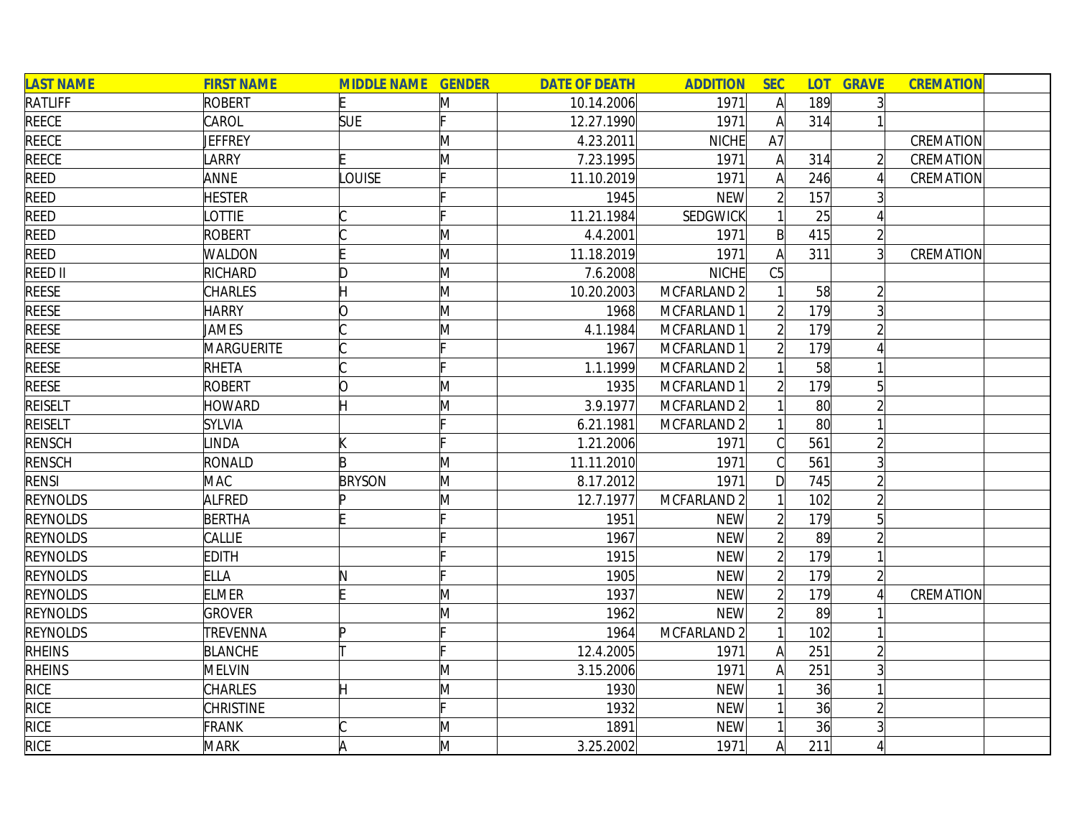| <b>LAST NAME</b> | <b>FIRST NAME</b> | <b>MIDDLE NAME GENDER</b> |              | <b>DATE OF DEATH</b> | <b>ADDITION</b>        | <b>SEC</b>     |                 | <b>LOT GRAVE</b> | <b>CREMATION</b> |
|------------------|-------------------|---------------------------|--------------|----------------------|------------------------|----------------|-----------------|------------------|------------------|
| RATLIFF          | <b>ROBERT</b>     |                           | M            | 10.14.2006           | 1971                   | $\mathsf{A}$   | 189             |                  |                  |
| <b>REECE</b>     | CAROL             | <b>SUE</b>                |              | 12.27.1990           | 1971                   | A              | 314             |                  |                  |
| <b>REECE</b>     | JEFFREY           |                           | M            | 4.23.2011            | NICHE                  | A7             |                 |                  | CREMATION        |
| <b>REECE</b>     | <b>ARRY</b>       |                           | M            | 7.23.1995            | 1971                   | $\mathsf{A}$   | 314             |                  | CREMATION        |
| <b>REED</b>      | ANNE              | <b>OUISE</b>              |              | 11.10.2019           | 1971                   | A              | 246             |                  | CREMATION        |
| <b>REED</b>      | <b>HESTER</b>     |                           |              | 1945                 | <b>NEW</b>             | $\overline{2}$ | 157             |                  |                  |
| <b>REED</b>      | <b>OTTIE</b>      |                           |              | 11.21.1984           | SEDGWICK               |                | 25              |                  |                  |
| <b>REED</b>      | <b>ROBERT</b>     |                           | M            | 4.4.2001             | 1971                   | $\mathsf{B}$   | 415             |                  |                  |
| REED             | WALDON            |                           | M            | 11.18.2019           | 1971                   | A              | 311             | $\overline{3}$   | CREMATION        |
| <b>REED II</b>   | RICHARD           | D                         | M            | 7.6.2008             | <b>NICHE</b>           | C5             |                 |                  |                  |
| <b>REESE</b>     | CHARLES           |                           | $\mathsf{M}$ | 10.20.2003           | MCFARLAND <sub>2</sub> |                | 58              |                  |                  |
| <b>REESE</b>     | <b>HARRY</b>      |                           | $\mathsf{M}$ | 1968                 | MCFARLAND 1            |                | 179             |                  |                  |
| <b>REESE</b>     | JAMES             |                           | M            | 4.1.1984             | MCFARLAND 1            |                | 179             |                  |                  |
| <b>REESE</b>     | <b>MARGUERITE</b> |                           |              | 1967                 | MCFARLAND 1            | $\overline{2}$ | 179             |                  |                  |
| <b>REESE</b>     | <b>RHETA</b>      |                           |              | 1.1.1999             | MCFARLAND 2            |                | 58              |                  |                  |
| <b>REESE</b>     | <b>ROBERT</b>     | ∩                         | M            | 1935                 | MCFARLAND 1            |                | 179             |                  |                  |
| <b>REISELT</b>   | HOWARD            |                           | M            | 3.9.1977             | MCFARLAND 2            |                | 80 <sup>°</sup> |                  |                  |
| <b>REISELT</b>   | <b>SYLVIA</b>     |                           |              | 6.21.1981            | MCFARLAND 2            |                | 80 <sup>°</sup> |                  |                  |
| <b>RENSCH</b>    | <b>INDA</b>       |                           | Þ            | 1.21.2006            | 1971                   | C.             | 561             |                  |                  |
| <b>RENSCH</b>    | RONALD            | B                         | M            | 11.11.2010           | 1971                   |                | 561             | 3                |                  |
| <b>RENSI</b>     | <b>MAC</b>        | <b>BRYSON</b>             | M            | 8.17.2012            | 1971                   | D              | 745             |                  |                  |
| <b>REYNOLDS</b>  | ALFRED            | In                        | M            | 12.7.1977            | MCFARLAND 2            |                | 102             |                  |                  |
| <b>REYNOLDS</b>  | <b>BERTHA</b>     |                           |              | 1951                 | <b>NEW</b>             |                | 179             | 5                |                  |
| <b>REYNOLDS</b>  | CALLIE            |                           |              | 1967                 | <b>NEW</b>             | $\overline{2}$ | 89              |                  |                  |
| <b>REYNOLDS</b>  | <b>EDITH</b>      |                           |              | 1915                 | <b>NEW</b>             | $\overline{2}$ | 179             |                  |                  |
| <b>REYNOLDS</b>  | <b>ELLA</b>       | N                         |              | 1905                 | <b>NEW</b>             | $\overline{2}$ | 179             |                  |                  |
| <b>REYNOLDS</b>  | <b>ELMER</b>      |                           | M            | 1937                 | <b>NEW</b>             | $\overline{2}$ | 179             |                  | CREMATION        |
| <b>REYNOLDS</b>  | <b>GROVER</b>     |                           | $\mathsf{M}$ | 1962                 | <b>NEW</b>             | $\overline{2}$ | 89              |                  |                  |
| <b>REYNOLDS</b>  | TREVENNA          | Þ                         |              | 1964                 | MCFARLAND 2            |                | 102             |                  |                  |
| <b>RHEINS</b>    | <b>BLANCHE</b>    |                           |              | 12.4.2005            | 1971                   | $\mathsf{A}$   | 251             |                  |                  |
| <b>RHEINS</b>    | <b>MELVIN</b>     |                           | M            | 3.15.2006            | 1971                   | $\mathsf{A}$   | 251             |                  |                  |
| <b>RICE</b>      | <b>CHARLES</b>    | Η                         | M            | 1930                 | <b>NEW</b>             |                | 36              |                  |                  |
| RICE             | <b>CHRISTINE</b>  |                           |              | 1932                 | <b>NEW</b>             |                | 36              |                  |                  |
| <b>RICE</b>      | <b>FRANK</b>      |                           | $\mathsf{M}$ | 1891                 | <b>NEW</b>             |                | 36              |                  |                  |
| <b>RICE</b>      | <b>MARK</b>       |                           | M            | 3.25.2002            | 1971                   | A              | 211             |                  |                  |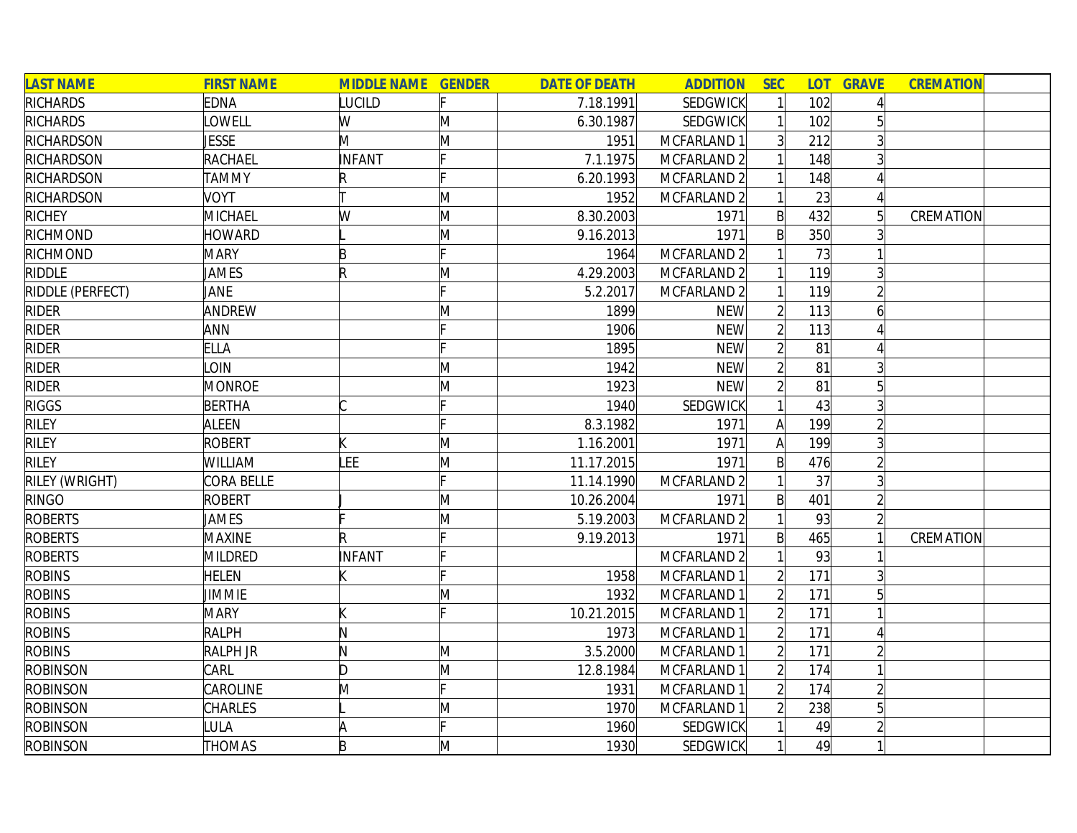| <b>LAST NAME</b> | <b>FIRST NAME</b> | <b>MIDDLE NAME GENDER</b> |              | <b>DATE OF DEATH</b> | <b>ADDITION</b>        | <b>SEC</b>     | <b>LOT</b> | <b>GRAVE</b>   | <b>CREMATION</b> |
|------------------|-------------------|---------------------------|--------------|----------------------|------------------------|----------------|------------|----------------|------------------|
| <b>RICHARDS</b>  | <b>EDNA</b>       | LUCILD                    |              | 7.18.1991            | <b>SEDGWICK</b>        |                | 102        |                |                  |
| <b>RICHARDS</b>  | <b>OWELL</b>      | W                         | M            | 6.30.1987            | SEDGWICK               |                | 102        |                |                  |
| RICHARDSON       | <b>JESSE</b>      | M                         | M            | 1951                 | MCFARLAND 1            | $\overline{3}$ | 212        |                |                  |
| RICHARDSON       | RACHAEL           | <b>INFANT</b>             |              | 7.1.1975             | MCFARLAND 2            |                | 148        |                |                  |
| RICHARDSON       | <b>TAMMY</b>      |                           |              | 6.20.1993            | MCFARLAND <sub>2</sub> |                | 148        |                |                  |
| RICHARDSON       | <b>VOYT</b>       |                           | M            | 1952                 | MCFARLAND <sub>2</sub> |                | 23         |                |                  |
| <b>RICHEY</b>    | <b>MICHAEL</b>    | W                         | M            | 8.30.2003            | 1971                   | $\mathsf{B}$   | 432        | 5 <sup>1</sup> | CREMATION        |
| RICHMOND         | <b>HOWARD</b>     |                           | M            | 9.16.2013            | 1971                   | $\mathsf{B}$   | 350        |                |                  |
| RICHMOND         | <b>MARY</b>       | B                         |              | 1964                 | MCFARLAND 2            |                | 73         |                |                  |
| <b>RIDDLE</b>    | JAMES             | IR                        | M            | 4.29.2003            | MCFARLAND 2            |                | 119        |                |                  |
| RIDDLE (PERFECT) | JANE              |                           |              | 5.2.2017             | MCFARLAND 2            |                | 119        |                |                  |
| <b>RIDER</b>     | ANDREW            |                           | M            | 1899                 | <b>NEW</b>             |                | 113        |                |                  |
| <b>RIDER</b>     | ANN               |                           |              | 1906                 | <b>NEW</b>             |                | 113        |                |                  |
| <b>RIDER</b>     | <b>ELLA</b>       |                           |              | 1895                 | <b>NEW</b>             |                | 81         |                |                  |
| <b>RIDER</b>     | <b>OIN</b>        |                           | M            | 1942                 | <b>NEW</b>             |                | 81         |                |                  |
| <b>RIDER</b>     | <b>MONROE</b>     |                           | M            | 1923                 | <b>NEW</b>             |                | 81         |                |                  |
| <b>RIGGS</b>     | <b>BERTHA</b>     |                           |              | 1940                 | SEDGWICK               |                | 43         |                |                  |
| <b>RILEY</b>     | <b>ALEEN</b>      |                           |              | 8.3.1982             | 1971                   | A              | 199        |                |                  |
| <b>RILEY</b>     | ROBERT            |                           | M            | 1.16.2001            | 1971                   | A              | 199        |                |                  |
| <b>RILEY</b>     | WILLIAM           | LEE                       | M            | 11.17.2015           | 1971                   | $\mathsf{B}$   | 476        |                |                  |
| RILEY (WRIGHT)   | CORA BELLE        |                           | Iг.          | 11.14.1990           | MCFARLAND 2            |                | 37         |                |                  |
| RINGO            | <b>ROBERT</b>     |                           | $\mathsf{M}$ | 10.26.2004           | 1971                   | $\mathsf{B}$   | 401        |                |                  |
| <b>ROBERTS</b>   | JAMES             |                           | M            | 5.19.2003            | MCFARLAND <sub>2</sub> |                | 93         |                |                  |
| <b>ROBERTS</b>   | <b>MAXINE</b>     |                           |              | 9.19.2013            | 1971                   | B              | 465        |                | CREMATION        |
| <b>ROBERTS</b>   | <b>MILDRED</b>    | INFANT                    |              |                      | MCFARLAND 2            |                | 93         |                |                  |
| <b>ROBINS</b>    | <b>HELEN</b>      |                           |              | 1958                 | MCFARLAND 1            |                | 171        | 3              |                  |
| <b>ROBINS</b>    | <b>JIMMIE</b>     |                           | $\mathsf{M}$ | 1932                 | MCFARLAND 1            |                | 171        |                |                  |
| <b>ROBINS</b>    | <b>MARY</b>       |                           |              | 10.21.2015           | MCFARLAND 1            |                | 171        |                |                  |
| <b>ROBINS</b>    | <b>RALPH</b>      | N                         |              | 1973                 | MCFARLAND 1            |                | 171        |                |                  |
| <b>ROBINS</b>    | <b>RALPH JR</b>   | N                         | M            | 3.5.2000             | MCFARLAND 1            | $\overline{2}$ | 171        |                |                  |
| <b>ROBINSON</b>  | CARL              | D                         | M            | 12.8.1984            | MCFARLAND 1            | $\overline{2}$ | 174        |                |                  |
| <b>ROBINSON</b>  | CAROLINE          | M                         |              | 1931                 | MCFARLAND 1            | $\overline{2}$ | 174        |                |                  |
| <b>ROBINSON</b>  | CHARLES           |                           | M            | 1970                 | MCFARLAND 1            |                | 238        | 5              |                  |
| <b>ROBINSON</b>  | <b>ULA</b>        |                           |              | 1960                 | <b>SEDGWICK</b>        |                | 49         |                |                  |
| <b>ROBINSON</b>  | <b>THOMAS</b>     | B                         | M            | 1930                 | <b>SEDGWICK</b>        |                | 49         |                |                  |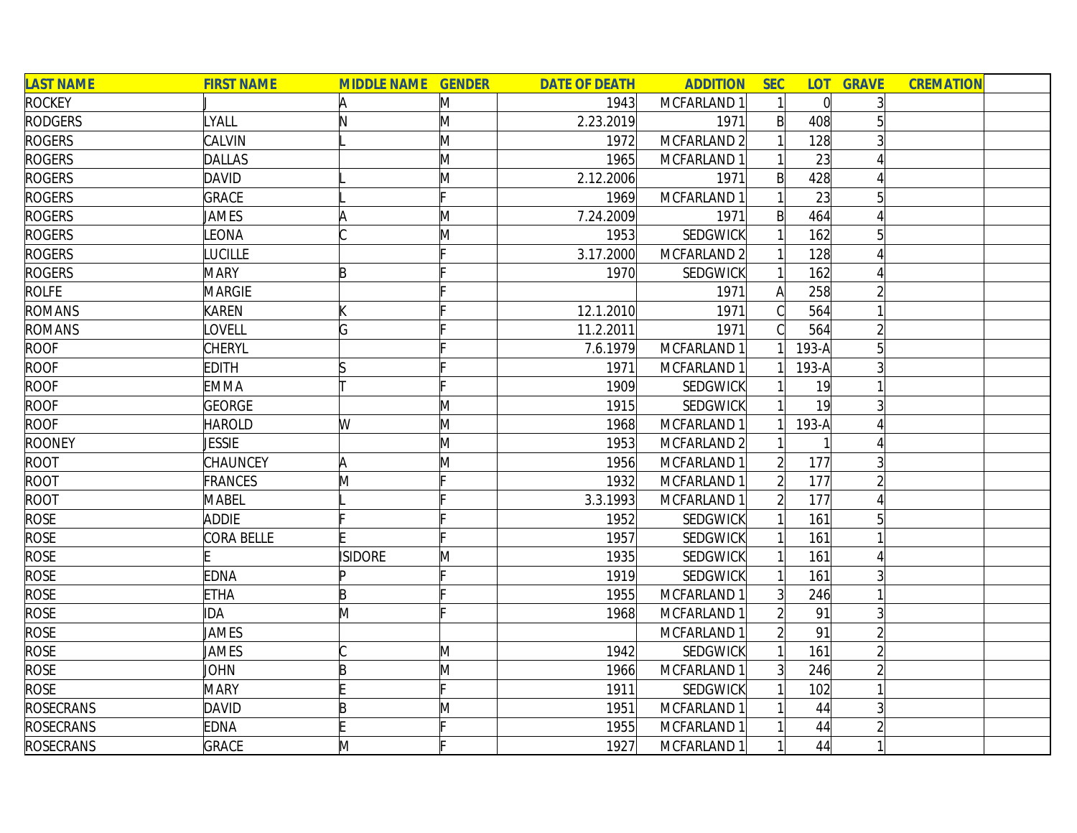| <b>LAST NAME</b> | <b>FIRST NAME</b> | <b>MIDDLE NAME GENDER</b> |   | <b>DATE OF DEATH</b> | <b>ADDITION</b> | <b>SEC</b>     | <b>LOT</b>     | <b>GRAVE</b>   | <b>CREMATION</b> |  |
|------------------|-------------------|---------------------------|---|----------------------|-----------------|----------------|----------------|----------------|------------------|--|
| <b>ROCKEY</b>    |                   | A                         | M | 1943                 | MCFARLAND 1     |                | $\overline{0}$ |                |                  |  |
| <b>RODGERS</b>   | LYALL             | N                         | M | 2.23.2019            | 1971            | $\mathsf{B}$   | 408            |                |                  |  |
| <b>ROGERS</b>    | CALVIN            |                           | M | 1972                 | MCFARLAND 2     |                | 128            |                |                  |  |
| <b>ROGERS</b>    | <b>DALLAS</b>     |                           | M | 1965                 | MCFARLAND 1     |                | 23             |                |                  |  |
| <b>ROGERS</b>    | <b>DAVID</b>      |                           | M | 2.12.2006            | 1971            | $\mathsf{B}$   | 428            |                |                  |  |
| <b>ROGERS</b>    | <b>GRACE</b>      |                           |   | 1969                 | MCFARLAND 1     |                | 23             | $\overline{5}$ |                  |  |
| <b>ROGERS</b>    | JAMES             |                           | M | 7.24.2009            | 1971            | $\mathsf{B}$   | 464            |                |                  |  |
| <b>ROGERS</b>    | <b>EONA</b>       |                           | M | 1953                 | <b>SEDGWICK</b> |                | 162            |                |                  |  |
| <b>ROGERS</b>    | <b>UCILLE</b>     |                           |   | 3.17.2000            | MCFARLAND 2     |                | 128            |                |                  |  |
| <b>ROGERS</b>    | <b>MARY</b>       | B                         |   | 1970                 | <b>SEDGWICK</b> |                | 162            |                |                  |  |
| <b>ROLFE</b>     | <b>MARGIE</b>     |                           |   |                      | 1971            |                | 258            |                |                  |  |
| <b>ROMANS</b>    | <b>KAREN</b>      |                           |   | 12.1.2010            | 1971            |                | 564            |                |                  |  |
| <b>ROMANS</b>    | <b>OVELL</b>      | G                         |   | 11.2.2011            | 1971            |                | 564            | $\overline{2}$ |                  |  |
| <b>ROOF</b>      | <b>CHERYL</b>     |                           |   | 7.6.1979             | MCFARLAND 1     |                | 193-A          | 5              |                  |  |
| <b>ROOF</b>      | EDITH             |                           |   | 1971                 | MCFARLAND 1     |                | 193-A          |                |                  |  |
| <b>ROOF</b>      | <b>EMMA</b>       |                           |   | 1909                 | <b>SEDGWICK</b> |                | 19             |                |                  |  |
| <b>ROOF</b>      | <b>GEORGE</b>     |                           | M | 1915                 | <b>SEDGWICK</b> |                | 19             | 3              |                  |  |
| <b>ROOF</b>      | <b>HAROLD</b>     | W                         | M | 1968                 | MCFARLAND 1     |                | 193-A          |                |                  |  |
| <b>ROONEY</b>    | <b>JESSIE</b>     |                           | M | 1953                 | MCFARLAND 2     |                |                |                |                  |  |
| ROOT             | CHAUNCEY          | A                         | M | 1956                 | MCFARLAND 1     |                | 177            |                |                  |  |
| ROOT             | <b>FRANCES</b>    | M                         |   | 1932                 | MCFARLAND 1     |                | 177            |                |                  |  |
| <b>ROOT</b>      | <b>MABEL</b>      |                           |   | 3.3.1993             | MCFARLAND 1     |                | 177            |                |                  |  |
| <b>ROSE</b>      | <b>ADDIE</b>      |                           |   | 1952                 | <b>SEDGWICK</b> |                | 161            |                |                  |  |
| <b>ROSE</b>      | CORA BELLE        |                           |   | 1957                 | <b>SEDGWICK</b> |                | 161            |                |                  |  |
| <b>ROSE</b>      |                   | <b>ISIDORE</b>            | M | 1935                 | <b>SEDGWICK</b> |                | 161            |                |                  |  |
| <b>ROSE</b>      | EDNA              | ID                        |   | 1919                 | <b>SEDGWICK</b> |                | 161            | $\overline{3}$ |                  |  |
| <b>ROSE</b>      | <b>ETHA</b>       | B                         |   | 1955                 | MCFARLAND 1     | $\overline{3}$ | 246            |                |                  |  |
| <b>ROSE</b>      | IDA               | M                         |   | 1968                 | MCFARLAND 1     |                | 91             | 3              |                  |  |
| <b>ROSE</b>      | JAMES             |                           |   |                      | MCFARLAND 1     |                | 91             |                |                  |  |
| <b>ROSE</b>      | JAMES             |                           | M | 1942                 | SEDGWICK        |                | 161            | $\overline{2}$ |                  |  |
| <b>ROSE</b>      | <b>JOHN</b>       | B                         | M | 1966                 | MCFARLAND 1     | $\overline{3}$ | 246            | $\overline{2}$ |                  |  |
| <b>ROSE</b>      | <b>MARY</b>       |                           |   | 1911                 | <b>SEDGWICK</b> |                | 102            |                |                  |  |
| <b>ROSECRANS</b> | <b>DAVID</b>      | B                         | M | 1951                 | MCFARLAND 1     |                | 44             |                |                  |  |
| <b>ROSECRANS</b> | <b>EDNA</b>       |                           |   | 1955                 | MCFARLAND 1     |                | 44             | $\overline{2}$ |                  |  |
| <b>ROSECRANS</b> | <b>GRACE</b>      | M                         |   | 1927                 | MCFARLAND 1     |                | 44             |                |                  |  |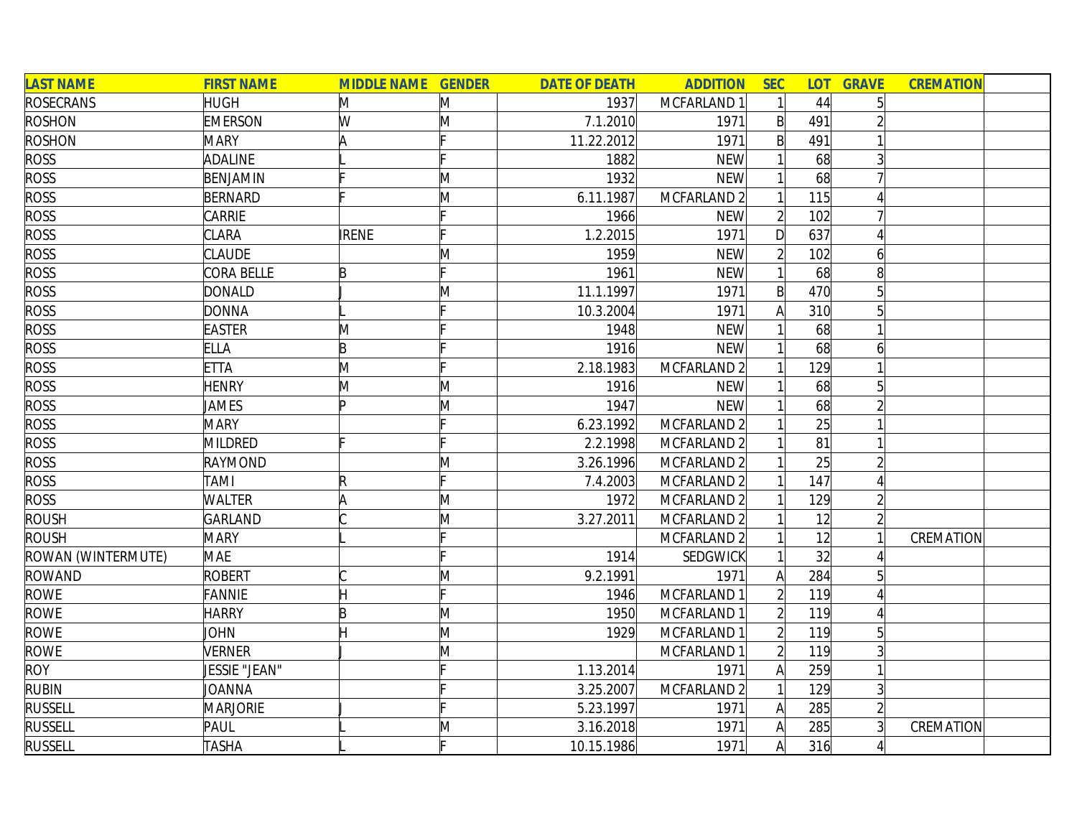| <b>LAST NAME</b>   | <b>FIRST NAME</b> | <b>MIDDLE NAME GENDER</b> |              | <b>DATE OF DEATH</b> | <b>ADDITION</b>        | <b>SEC</b>     | <b>LOT</b> | <b>GRAVE</b>   | <b>CREMATION</b> |  |
|--------------------|-------------------|---------------------------|--------------|----------------------|------------------------|----------------|------------|----------------|------------------|--|
| <b>ROSECRANS</b>   | <b>HUGH</b>       | M                         | M            | 1937                 | MCFARLAND 1            |                | 44         | 5              |                  |  |
| <b>ROSHON</b>      | <b>EMERSON</b>    | W                         | M            | 7.1.2010             | 1971                   | $\mathsf{B}$   | 491        |                |                  |  |
| <b>ROSHON</b>      | <b>MARY</b>       | A                         |              | 11.22.2012           | 1971                   | $\mathsf{B}$   | 491        |                |                  |  |
| <b>ROSS</b>        | <b>ADALINE</b>    |                           |              | 1882                 | <b>NEW</b>             |                | 68         |                |                  |  |
| <b>ROSS</b>        | BENJAMIN          |                           | M            | 1932                 | <b>NEW</b>             |                | 68         |                |                  |  |
| <b>ROSS</b>        | BERNARD           |                           | $\mathsf{M}$ | 6.11.1987            | MCFARLAND <sub>2</sub> |                | 115        |                |                  |  |
| <b>ROSS</b>        | CARRIE            |                           |              | 1966                 | <b>NEW</b>             | $\overline{2}$ | 102        |                |                  |  |
| <b>ROSS</b>        | <b>CLARA</b>      | <b>IRENE</b>              |              | 1.2.2015             | 1971                   | D              | 637        |                |                  |  |
| <b>ROSS</b>        | <b>CLAUDE</b>     |                           | M            | 1959                 | <b>NEW</b>             | $\overline{2}$ | 102        | 6              |                  |  |
| <b>ROSS</b>        | <b>CORA BELLE</b> | B                         |              | 1961                 | <b>NEW</b>             |                | 68         | 8              |                  |  |
| <b>ROSS</b>        | <b>DONALD</b>     |                           | M            | 11.1.1997            | 1971                   | $\mathsf{B}$   | 470        |                |                  |  |
| <b>ROSS</b>        | <b>DONNA</b>      |                           |              | 10.3.2004            | 1971                   | Α              | 310        |                |                  |  |
| <b>ROSS</b>        | <b>EASTER</b>     | M                         |              | 1948                 | <b>NEW</b>             |                | 68         |                |                  |  |
| <b>ROSS</b>        | <b>ELLA</b>       | B                         |              | 1916                 | <b>NEW</b>             |                | 68         | 6              |                  |  |
| <b>ROSS</b>        | <b>ETTA</b>       | M                         |              | 2.18.1983            | MCFARLAND 2            |                | 129        |                |                  |  |
| <b>ROSS</b>        | <b>HENRY</b>      | M                         | M            | 1916                 | <b>NEW</b>             |                | 68         |                |                  |  |
| <b>ROSS</b>        | <b>JAMES</b>      | Þ                         | M            | 1947                 | <b>NEW</b>             |                | 68         |                |                  |  |
| <b>ROSS</b>        | <b>MARY</b>       |                           |              | 6.23.1992            | MCFARLAND 2            |                | 25         |                |                  |  |
| <b>ROSS</b>        | <b>MILDRED</b>    |                           |              | 2.2.1998             | MCFARLAND 2            |                | 81         |                |                  |  |
| <b>ROSS</b>        | RAYMOND           |                           | M            | 3.26.1996            | MCFARLAND 2            |                | 25         |                |                  |  |
| <b>ROSS</b>        | <b>TAMI</b>       | IR                        | Iг.          | 7.4.2003             | MCFARLAND 2            |                | 147        |                |                  |  |
| <b>ROSS</b>        | <b>WALTER</b>     |                           | $\mathsf{M}$ | 1972                 | MCFARLAND 2            |                | 129        |                |                  |  |
| <b>ROUSH</b>       | <b>GARLAND</b>    |                           | M            | 3.27.2011            | MCFARLAND 2            |                | 12         |                |                  |  |
| ROUSH              | <b>MARY</b>       |                           |              |                      | MCFARLAND 2            |                | 12         |                | CREMATION        |  |
| ROWAN (WINTERMUTE) | <b>MAE</b>        |                           |              | 1914                 | <b>SEDGWICK</b>        |                | 32         |                |                  |  |
| <b>ROWAND</b>      | <b>ROBERT</b>     |                           | M            | 9.2.1991             | 1971                   | A              | 284        |                |                  |  |
| <b>ROWE</b>        | <b>FANNIE</b>     |                           |              | 1946                 | MCFARLAND 1            |                | 119        |                |                  |  |
| <b>ROWE</b>        | <b>HARRY</b>      | B                         | M            | 1950                 | MCFARLAND 1            |                | 119        |                |                  |  |
| <b>ROWE</b>        | <b>JOHN</b>       |                           | M            | 1929                 | MCFARLAND 1            | $\overline{2}$ | 119        |                |                  |  |
| <b>ROWE</b>        | <b>VERNER</b>     |                           | M            |                      | MCFARLAND 1            | $\overline{2}$ | 119        |                |                  |  |
| <b>ROY</b>         | JESSIE "JEAN"     |                           |              | 1.13.2014            | 1971                   | A              | 259        |                |                  |  |
| <b>RUBIN</b>       | JOANNA            |                           |              | 3.25.2007            | MCFARLAND 2            |                | 129        | $\overline{3}$ |                  |  |
| <b>RUSSELL</b>     | <b>MARJORIE</b>   |                           |              | 5.23.1997            | 1971                   | $\mathsf{A}$   | 285        |                |                  |  |
| <b>RUSSELL</b>     | PAUL              |                           | M            | 3.16.2018            | 1971                   | $\mathsf{A}$   | 285        |                | CREMATION        |  |
| <b>RUSSELL</b>     | <b>TASHA</b>      |                           |              | 10.15.1986           | 1971                   | $\mathsf{A}$   | 316        |                |                  |  |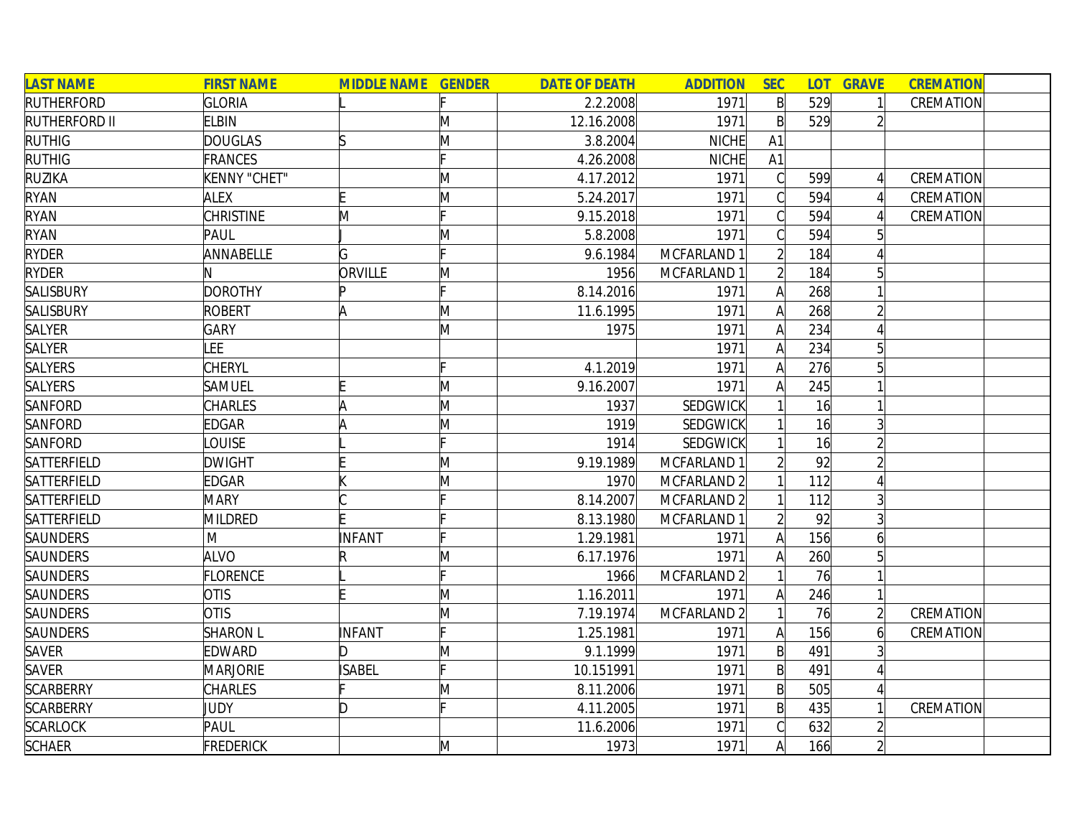| <b>LAST NAME</b>     | <b>FIRST NAME</b>                                                                                          | <b>MIDDLE NAME GENDER</b> |     | <b>DATE OF DEATH</b> | <b>ADDITION</b> | <b>SEC</b>     |     | <b>LOT GRAVE</b> | <b>CREMATION</b> |  |
|----------------------|------------------------------------------------------------------------------------------------------------|---------------------------|-----|----------------------|-----------------|----------------|-----|------------------|------------------|--|
| <b>RUTHERFORD</b>    | <b>GLORIA</b>                                                                                              |                           |     | 2.2.2008             | 1971            | $\mathsf{B}$   | 529 | $\mathbf{1}$     | CREMATION        |  |
| <b>RUTHERFORD II</b> | <b>ELBIN</b>                                                                                               |                           | M   | 12.16.2008           | 1971            | $\mathsf{B}$   | 529 | $\overline{2}$   |                  |  |
| <b>RUTHIG</b>        | <b>DOUGLAS</b>                                                                                             |                           | M   | 3.8.2004             | NICHE           | A1             |     |                  |                  |  |
| <b>RUTHIG</b>        | <b>FRANCES</b>                                                                                             |                           |     | 4.26.2008            | <b>NICHE</b>    | A1             |     |                  |                  |  |
| <b>RUZIKA</b>        | <b>KENNY "CHET"</b>                                                                                        |                           | M   | 4.17.2012            | 1971            | $\mathcal{C}$  | 599 | $\frac{1}{2}$    | CREMATION        |  |
| <b>RYAN</b>          | <b>ALEX</b>                                                                                                |                           | M   | 5.24.2017            | 1971            | $\mathcal{C}$  | 594 | $\vert$          | CREMATION        |  |
| <b>RYAN</b>          | <b>CHRISTINE</b>                                                                                           | M                         |     | 9.15.2018            | 1971            | $\bigcap$      | 594 | $\Delta$         | CREMATION        |  |
| <b>RYAN</b>          | PAUL                                                                                                       |                           | M   | 5.8.2008             | 1971            | $\bigcap$      | 594 | 5 <sup>1</sup>   |                  |  |
| <b>RYDER</b>         | ANNABELLE                                                                                                  | G                         |     | 9.6.1984             | MCFARLAND 1     | $\overline{2}$ | 184 |                  |                  |  |
| <b>RYDER</b>         |                                                                                                            | ORVILLE                   | M   | 1956                 | MCFARLAND 1     |                | 184 | 5                |                  |  |
| SALISBURY            | <b>DOROTHY</b>                                                                                             |                           |     | 8.14.2016            | 1971            | A              | 268 |                  |                  |  |
| <b>SALISBURY</b>     | <b>ROBERT</b>                                                                                              | A                         | M   | 11.6.1995            | 1971            |                | 268 |                  |                  |  |
| SALYER               | <b>GARY</b>                                                                                                |                           | M   | 1975                 | 1971            |                | 234 |                  |                  |  |
| SALYER               | LEE                                                                                                        |                           |     |                      | 1971            |                | 234 | $5\overline{5}$  |                  |  |
| <b>SALYERS</b>       | <b>CHERYL</b>                                                                                              |                           |     | 4.1.2019             | 1971            |                | 276 |                  |                  |  |
| SALYERS              | SAMUEL                                                                                                     |                           | M   | 9.16.2007            | 1971            |                | 245 |                  |                  |  |
| SANFORD              | CHARLES                                                                                                    | ΙA                        | M   | 1937                 | <b>SEDGWICK</b> |                | 16  |                  |                  |  |
| SANFORD              | <b>EDGAR</b>                                                                                               |                           | M   | 1919                 | <b>SEDGWICK</b> |                | 16  |                  |                  |  |
| SANFORD              | <b>OUISE</b>                                                                                               |                           |     | 1914                 | <b>SEDGWICK</b> |                | 16  |                  |                  |  |
| SATTERFIELD          | <b>DWIGHT</b>                                                                                              |                           | M   | 9.19.1989            | MCFARLAND 1     |                | 92  |                  |                  |  |
| SATTERFIELD          | <b>EDGAR</b>                                                                                               |                           | M   | 1970                 | MCFARLAND 2     |                | 112 |                  |                  |  |
| SATTERFIELD          | <b>MARY</b>                                                                                                |                           |     | 8.14.2007            | MCFARLAND 2     |                | 112 |                  |                  |  |
| SATTERFIELD          | <b>MILDRED</b>                                                                                             |                           |     | 8.13.1980            | MCFARLAND 1     |                | 92  | $\overline{3}$   |                  |  |
| SAUNDERS             | $\mathsf{M}% _{T}=\mathsf{M}_{T}\!\left( a,b\right) ,\ \mathsf{M}_{T}=\mathsf{M}_{T}\!\left( a,b\right) ,$ | INFANT                    |     | 1.29.1981            | 1971            | A              | 156 | 6                |                  |  |
| SAUNDERS             | <b>ALVO</b>                                                                                                |                           | M   | 6.17.1976            | 1971            |                | 260 | $5\overline{)}$  |                  |  |
| SAUNDERS             | <b>FLORENCE</b>                                                                                            |                           | E.  | 1966                 | MCFARLAND 2     |                | 76  |                  |                  |  |
| <b>SAUNDERS</b>      | <b>OTIS</b>                                                                                                |                           | M   | 1.16.2011            | 1971            | A              | 246 |                  |                  |  |
| SAUNDERS             | <b>OTIS</b>                                                                                                |                           | M   | 7.19.1974            | MCFARLAND 2     |                | 76  | $\overline{2}$   | CREMATION        |  |
| <b>SAUNDERS</b>      | <b>SHARON L</b>                                                                                            | INFANT                    | c   | 1.25.1981            | 1971            | A              | 156 | $\overline{6}$   | CREMATION        |  |
| <b>SAVER</b>         | <b>EDWARD</b>                                                                                              | ID.                       | M   | 9.1.1999             | 1971            | $\mathsf{B}$   | 491 |                  |                  |  |
| <b>SAVER</b>         | <b>MARJORIE</b>                                                                                            | <b>ISABEL</b>             | IE. | 10.151991            | 1971            | $\mathsf{B}$   | 491 | Δ                |                  |  |
| <b>SCARBERRY</b>     | <b>CHARLES</b>                                                                                             |                           | M   | 8.11.2006            | 1971            | $\mathsf{B}$   | 505 | $\overline{4}$   |                  |  |
| <b>SCARBERRY</b>     | JUDY                                                                                                       | ID.                       |     | 4.11.2005            | 1971            | $\mathsf{B}$   | 435 | $\mathbf{1}$     | CREMATION        |  |
| <b>SCARLOCK</b>      | PAUL                                                                                                       |                           |     | 11.6.2006            | 1971            |                | 632 |                  |                  |  |
| <b>SCHAER</b>        | <b>FREDERICK</b>                                                                                           |                           | M   | 1973                 | 1971            | A              | 166 | $\overline{2}$   |                  |  |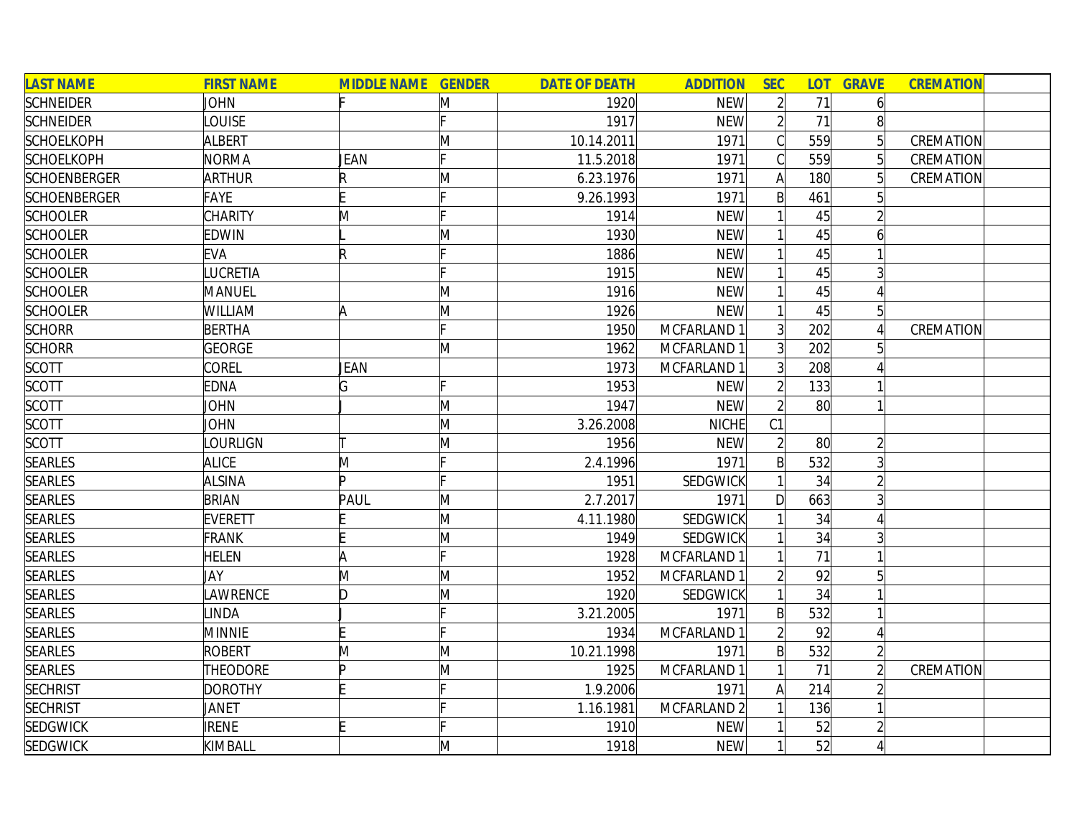| <b>LAST NAME</b>    | <b>FIRST NAME</b> | <b>MIDDLE NAME GENDER</b> |                         | <b>DATE OF DEATH</b> | <b>ADDITION</b> | <b>SEC</b>     |                 | <b>LOT GRAVE</b> | <b>CREMATION</b> |  |
|---------------------|-------------------|---------------------------|-------------------------|----------------------|-----------------|----------------|-----------------|------------------|------------------|--|
| <b>SCHNEIDER</b>    | JOHN              |                           | M                       | 1920                 | <b>NEW</b>      | $\overline{2}$ | 71              | 6                |                  |  |
| <b>SCHNEIDER</b>    | LOUISE            |                           |                         | 1917                 | <b>NEW</b>      | $\overline{2}$ | 71              |                  |                  |  |
| <b>SCHOELKOPH</b>   | ALBERT            |                           | M                       | 10.14.2011           | 1971            | Ć              | 559             |                  | CREMATION        |  |
| <b>SCHOELKOPH</b>   | <b>NORMA</b>      | JEAN                      |                         | 11.5.2018            | 1971            |                | 559             |                  | CREMATION        |  |
| <b>SCHOENBERGER</b> | <b>ARTHUR</b>     | R                         | M                       | 6.23.1976            | 1971            | A              | 180             |                  | CREMATION        |  |
| <b>SCHOENBERGER</b> | <b>FAYE</b>       |                           |                         | 9.26.1993            | 1971            | $\mathsf{B}$   | 461             |                  |                  |  |
| <b>SCHOOLER</b>     | <b>CHARITY</b>    | M                         |                         | 1914                 | <b>NEW</b>      |                | 45              |                  |                  |  |
| <b>SCHOOLER</b>     | <b>EDWIN</b>      |                           | Μ                       | 1930                 | <b>NEW</b>      |                | 45              |                  |                  |  |
| <b>SCHOOLER</b>     | <b>EVA</b>        | R                         |                         | 1886                 | <b>NEW</b>      |                | 45              |                  |                  |  |
| <b>SCHOOLER</b>     | LUCRETIA          |                           |                         | 1915                 | <b>NEW</b>      |                | 45              |                  |                  |  |
| <b>SCHOOLER</b>     | MANUEL            |                           | M                       | 1916                 | <b>NEW</b>      |                | 45              |                  |                  |  |
| <b>SCHOOLER</b>     | WILLIAM           |                           | M                       | 1926                 | <b>NEW</b>      |                | 45              |                  |                  |  |
| <b>SCHORR</b>       | <b>BERTHA</b>     |                           |                         | 1950                 | MCFARLAND 1     | $\overline{3}$ | 202             |                  | CREMATION        |  |
| <b>SCHORR</b>       | <b>GEORGE</b>     |                           | M                       | 1962                 | MCFARLAND 1     |                | 202             |                  |                  |  |
| <b>SCOTT</b>        | <b>COREL</b>      | JEAN                      |                         | 1973                 | MCFARLAND 1     | $\overline{3}$ | 208             |                  |                  |  |
| <b>SCOTT</b>        | <b>EDNA</b>       | G                         |                         | 1953                 | <b>NEW</b>      |                | 133             |                  |                  |  |
| <b>SCOTT</b>        | <b>JOHN</b>       |                           | M                       | 1947                 | <b>NEW</b>      |                | 80 <sup>°</sup> |                  |                  |  |
| <b>SCOTT</b>        | JOHN              |                           | M                       | 3.26.2008            | <b>NICHE</b>    | C <sub>1</sub> |                 |                  |                  |  |
| <b>SCOTT</b>        | LOURLIGN          |                           | $\overline{\mathsf{M}}$ | 1956                 | <b>NEW</b>      | $\overline{2}$ | 80              | $\overline{2}$   |                  |  |
| <b>SEARLES</b>      | <b>ALICE</b>      | M                         |                         | 2.4.1996             | 1971            | $\mathsf{B}$   | 532             | 3                |                  |  |
| <b>SEARLES</b>      | <b>ALSINA</b>     | b.                        |                         | 1951                 | SEDGWICK        |                | 34              |                  |                  |  |
| <b>SEARLES</b>      | <b>BRIAN</b>      | PAUL                      | M                       | 2.7.2017             | 1971            | D              | 663             |                  |                  |  |
| <b>SEARLES</b>      | <b>EVERETT</b>    |                           | M                       | 4.11.1980            | <b>SEDGWICK</b> |                | 34              |                  |                  |  |
| <b>SEARLES</b>      | <b>FRANK</b>      |                           | M                       | 1949                 | SEDGWICK        |                | 34              |                  |                  |  |
| <b>SEARLES</b>      | <b>HELEN</b>      | Ά                         |                         | 1928                 | MCFARLAND 1     |                | 71              |                  |                  |  |
| <b>SEARLES</b>      | JAY               | M                         | M                       | 1952                 | MCFARLAND 1     |                | 92              |                  |                  |  |
| <b>SEARLES</b>      | LAWRENCE          | ID.                       | M                       | 1920                 | SEDGWICK        |                | 34              |                  |                  |  |
| <b>SEARLES</b>      | <b>INDA</b>       |                           |                         | 3.21.2005            | 1971            | B              | 532             |                  |                  |  |
| <b>SEARLES</b>      | <b>MINNIE</b>     |                           |                         | 1934                 | MCFARLAND 1     |                | 92              |                  |                  |  |
| <b>SEARLES</b>      | <b>ROBERT</b>     | M                         | M                       | 10.21.1998           | 1971            | $\mathsf{B}$   | 532             |                  |                  |  |
| <b>SEARLES</b>      | THEODORE          | Þ                         | M                       | 1925                 | MCFARLAND 1     |                | 71              |                  | CREMATION        |  |
| <b>SECHRIST</b>     | <b>DOROTHY</b>    |                           |                         | 1.9.2006             | 1971            | A              | 214             |                  |                  |  |
| <b>SECHRIST</b>     | JANET             |                           |                         | 1.16.1981            | MCFARLAND 2     |                | 136             |                  |                  |  |
| <b>SEDGWICK</b>     | <b>IRENE</b>      | E                         |                         | 1910                 | <b>NEW</b>      |                | 52              |                  |                  |  |
| <b>SEDGWICK</b>     | KIMBALL           |                           | M                       | 1918                 | <b>NEW</b>      |                | 52              |                  |                  |  |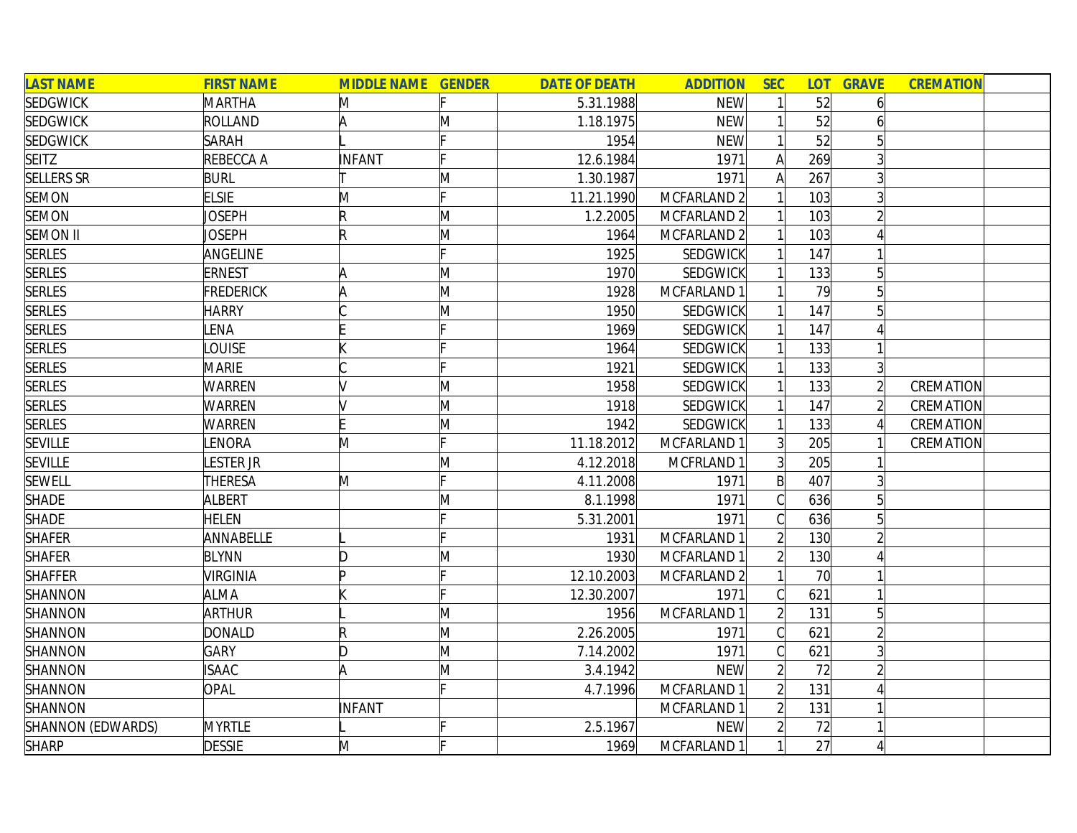| <b>LAST NAME</b>  | <b>FIRST NAME</b> | <b>MIDDLE NAME GENDER</b> |     | <b>DATE OF DEATH</b> | <b>ADDITION</b>        | <b>SEC</b>     | <b>LOT</b> | <b>GRAVE</b>   | <b>CREMATION</b> |  |
|-------------------|-------------------|---------------------------|-----|----------------------|------------------------|----------------|------------|----------------|------------------|--|
| <b>SEDGWICK</b>   | MARTHA            | M                         |     | 5.31.1988            | <b>NEW</b>             |                | 52         | 6              |                  |  |
| <b>SEDGWICK</b>   | ROLLAND           | A                         | M   | 1.18.1975            | <b>NEW</b>             |                | 52         |                |                  |  |
| <b>SEDGWICK</b>   | <b>SARAH</b>      |                           |     | 1954                 | <b>NEW</b>             |                | 52         |                |                  |  |
| <b>SEITZ</b>      | REBECCA A         | <b>INFANT</b>             |     | 12.6.1984            | 1971                   | $\mathsf{A}$   | 269        |                |                  |  |
| <b>SELLERS SR</b> | <b>BURL</b>       |                           | M   | 1.30.1987            | 1971                   | A              | 267        | 3              |                  |  |
| <b>SEMON</b>      | <b>ELSIE</b>      | M                         | c   | 11.21.1990           | MCFARLAND <sub>2</sub> |                | 103        | $\overline{3}$ |                  |  |
| <b>SEMON</b>      | <b>JOSEPH</b>     | R                         | M   | 1.2.2005             | MCFARLAND 2            |                | 103        | $\overline{2}$ |                  |  |
| <b>SEMON II</b>   | JOSEPH            | $\mathsf R$               | M   | 1964                 | MCFARLAND 2            |                | 103        |                |                  |  |
| <b>SERLES</b>     | ANGELINE          |                           |     | 1925                 | SEDGWICK               |                | 147        |                |                  |  |
| <b>SERLES</b>     | <b>ERNEST</b>     |                           | M   | 1970                 | <b>SEDGWICK</b>        |                | 133        |                |                  |  |
| <b>SERLES</b>     | <b>FREDERICK</b>  |                           | M   | 1928                 | MCFARLAND 1            |                | 79         |                |                  |  |
| <b>SERLES</b>     | <b>HARRY</b>      |                           | M   | 1950                 | SEDGWICK               |                | 147        |                |                  |  |
| <b>SERLES</b>     | <b>ENA</b>        |                           |     | 1969                 | SEDGWICK               |                | 147        |                |                  |  |
| <b>SERLES</b>     | <b>OUISE</b>      |                           |     | 1964                 | SEDGWICK               |                | 133        |                |                  |  |
| <b>SERLES</b>     | <b>MARIE</b>      |                           |     | 1921                 | SEDGWICK               |                | 133        | 3              |                  |  |
| <b>SERLES</b>     | <b>WARREN</b>     |                           | M   | 1958                 | SEDGWICK               |                | 133        |                | CREMATION        |  |
| <b>SERLES</b>     | <b>WARREN</b>     |                           | M   | 1918                 | SEDGWICK               |                | 147        |                | CREMATION        |  |
| <b>SERLES</b>     | <b>WARREN</b>     |                           | M   | 1942                 | <b>SEDGWICK</b>        |                | 133        |                | CREMATION        |  |
| <b>SEVILLE</b>    | LENORA            | M                         | Ŀ.  | 11.18.2012           | MCFARLAND 1            | 3 <sup>1</sup> | 205        |                | CREMATION        |  |
| <b>SEVILLE</b>    | LESTER JR         |                           | M   | 4.12.2018            | MCFRLAND 1             | 3 <sup>1</sup> | 205        |                |                  |  |
| <b>SEWELL</b>     | <b>THERESA</b>    | M                         | Iг. | 4.11.2008            | 1971                   | $\mathsf{B}$   | 407        |                |                  |  |
| <b>SHADE</b>      | ALBERT            |                           | M   | 8.1.1998             | 1971                   | $\overline{C}$ | 636        |                |                  |  |
| <b>SHADE</b>      | <b>HELEN</b>      |                           |     | 5.31.2001            | 1971                   |                | 636        |                |                  |  |
| <b>SHAFER</b>     | ANNABELLE         |                           |     | 1931                 | MCFARLAND 1            |                | 130        |                |                  |  |
| <b>SHAFER</b>     | <b>BLYNN</b>      | Ŋ                         | M   | 1930                 | MCFARLAND 1            | $\overline{2}$ | 130        |                |                  |  |
| <b>SHAFFER</b>    | <b>VIRGINIA</b>   |                           |     | 12.10.2003           | MCFARLAND 2            |                | 70         |                |                  |  |
| SHANNON           | <b>ALMA</b>       |                           |     | 12.30.2007           | 1971                   |                | 621        |                |                  |  |
| SHANNON           | ARTHUR            |                           | M   | 1956                 | MCFARLAND 1            |                | 131        | 5              |                  |  |
| SHANNON           | <b>DONALD</b>     | R                         | M   | 2.26.2005            | 1971                   | Cl             | 621        |                |                  |  |
| SHANNON           | <b>GARY</b>       | D                         | M   | 7.14.2002            | 1971                   | Ć              | 621        |                |                  |  |
| SHANNON           | <b>ISAAC</b>      | A                         | M   | 3.4.1942             | <b>NEW</b>             | $\overline{2}$ | 72         |                |                  |  |
| <b>SHANNON</b>    | <b>OPAL</b>       |                           |     | 4.7.1996             | MCFARLAND 1            | $\overline{2}$ | 131        |                |                  |  |
| SHANNON           |                   | INFANT                    |     |                      | MCFARLAND 1            | $\overline{2}$ | 131        |                |                  |  |
| SHANNON (EDWARDS) | <b>MYRTLE</b>     |                           |     | 2.5.1967             | <b>NEW</b>             |                | 72         |                |                  |  |
| <b>SHARP</b>      | <b>DESSIE</b>     | M                         |     | 1969                 | MCFARLAND 1            |                | 27         |                |                  |  |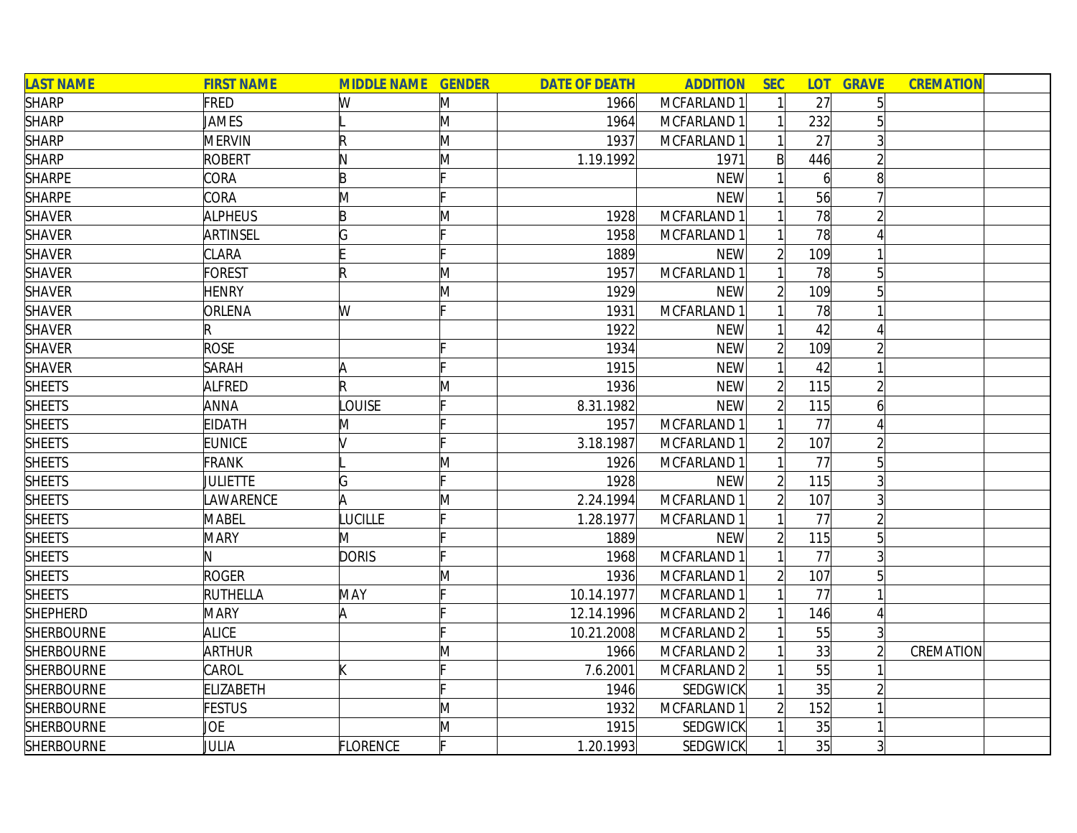| <b>LAST NAME</b>  | <b>FIRST NAME</b> | <b>MIDDLE NAME GENDER</b> |              | <b>DATE OF DEATH</b> | <b>ADDITION</b>        | <b>SEC</b>     | <b>LOT</b>     | <b>GRAVE</b>   | <b>CREMATION</b> |
|-------------------|-------------------|---------------------------|--------------|----------------------|------------------------|----------------|----------------|----------------|------------------|
| <b>SHARP</b>      | FRED              | W                         | M            | 1966                 | MCFARLAND 1            |                | 27             | 5              |                  |
| <b>SHARP</b>      | JAMES             |                           | M            | 1964                 | MCFARLAND 1            |                | 232            |                |                  |
| <b>SHARP</b>      | <b>MERVIN</b>     | R                         | M            | 1937                 | MCFARLAND 1            |                | 27             |                |                  |
| <b>SHARP</b>      | <b>ROBERT</b>     | IN.                       | M            | 1.19.1992            | 1971                   | $\mathsf{B}$   | 446            |                |                  |
| <b>SHARPE</b>     | CORA              | B                         |              |                      | <b>NEW</b>             |                | $\overline{6}$ | 8              |                  |
| <b>SHARPE</b>     | CORA              | M                         |              |                      | <b>NEW</b>             |                | 56             |                |                  |
| <b>SHAVER</b>     | <b>ALPHEUS</b>    | B                         | M            | 1928                 | MCFARLAND 1            |                | 78             |                |                  |
| <b>SHAVER</b>     | ARTINSEL          | G                         |              | 1958                 | MCFARLAND 1            |                | 78             |                |                  |
| <b>SHAVER</b>     | <b>CLARA</b>      |                           |              | 1889                 | <b>NEW</b>             | $\overline{2}$ | 109            |                |                  |
| <b>SHAVER</b>     | <b>FOREST</b>     |                           | M            | 1957                 | MCFARLAND 1            |                | 78             | 5              |                  |
| <b>SHAVER</b>     | <b>HENRY</b>      |                           | $\mathsf{M}$ | 1929                 | <b>NEW</b>             |                | 109            |                |                  |
| <b>SHAVER</b>     | ORLENA            | W                         |              | 1931                 | MCFARLAND 1            |                | 78             |                |                  |
| <b>SHAVER</b>     |                   |                           |              | 1922                 | <b>NEW</b>             |                | 42             |                |                  |
| <b>SHAVER</b>     | <b>ROSE</b>       |                           |              | 1934                 | <b>NEW</b>             |                | 109            |                |                  |
| <b>SHAVER</b>     | <b>SARAH</b>      |                           |              | 1915                 | <b>NEW</b>             |                | 42             |                |                  |
| <b>SHEETS</b>     | ALFRED            | R                         | $\mathsf{M}$ | 1936                 | <b>NEW</b>             |                | 115            |                |                  |
| <b>SHEETS</b>     | <b>ANNA</b>       | <b>OUISE</b>              |              | 8.31.1982            | <b>NEW</b>             |                | 115            | 6              |                  |
| <b>SHEETS</b>     | <b>EIDATH</b>     | M                         |              | 1957                 | MCFARLAND 1            |                | 77             |                |                  |
| <b>SHEETS</b>     | <b>EUNICE</b>     |                           |              | 3.18.1987            | MCFARLAND 1            | $\overline{2}$ | 107            |                |                  |
| <b>SHEETS</b>     | <b>FRANK</b>      |                           | M            | 1926                 | MCFARLAND 1            |                | 77             | 5              |                  |
| <b>SHEETS</b>     | JULIETTE          | G                         | Iг.          | 1928                 | <b>NEW</b>             | $\overline{2}$ | 115            |                |                  |
| <b>SHEETS</b>     | <b>AWARENCE</b>   | A                         | $\mathsf{M}$ | 2.24.1994            | MCFARLAND 1            | $\overline{2}$ | 107            |                |                  |
| <b>SHEETS</b>     | MABEL             | LUCILLE                   |              | 1.28.1977            | MCFARLAND 1            |                | 77             |                |                  |
| <b>SHEETS</b>     | <b>MARY</b>       | M                         |              | 1889                 | <b>NEW</b>             | $\overline{2}$ | 115            |                |                  |
| <b>SHEETS</b>     | N                 | <b>DORIS</b>              |              | 1968                 | MCFARLAND 1            |                | 77             |                |                  |
| <b>SHEETS</b>     | <b>ROGER</b>      |                           | $\mathsf{M}$ | 1936                 | MCFARLAND 1            |                | 107            |                |                  |
| <b>SHEETS</b>     | RUTHELLA          | MAY                       |              | 10.14.1977           | MCFARLAND 1            |                | 77             |                |                  |
| <b>SHEPHERD</b>   | <b>MARY</b>       | A                         |              | 12.14.1996           | MCFARLAND 2            |                | 146            |                |                  |
| <b>SHERBOURNE</b> | <b>ALICE</b>      |                           |              | 10.21.2008           | MCFARLAND <sub>2</sub> |                | 55             |                |                  |
| <b>SHERBOURNE</b> | <b>ARTHUR</b>     |                           | M            | 1966                 | MCFARLAND 2            |                | 33             |                | CREMATION        |
| SHERBOURNE        | CAROL             |                           |              | 7.6.2001             | MCFARLAND 2            |                | 55             |                |                  |
| SHERBOURNE        | <b>ELIZABETH</b>  |                           |              | 1946                 | SEDGWICK               |                | 35             |                |                  |
| <b>SHERBOURNE</b> | <b>FESTUS</b>     |                           | M            | 1932                 | MCFARLAND 1            |                | 152            |                |                  |
| <b>SHERBOURNE</b> | JOE               |                           | M            | 1915                 | <b>SEDGWICK</b>        |                | 35             |                |                  |
| <b>SHERBOURNE</b> | JULIA             | <b>FLORENCE</b>           | F            | 1.20.1993            | <b>SEDGWICK</b>        |                | 35             | $\overline{3}$ |                  |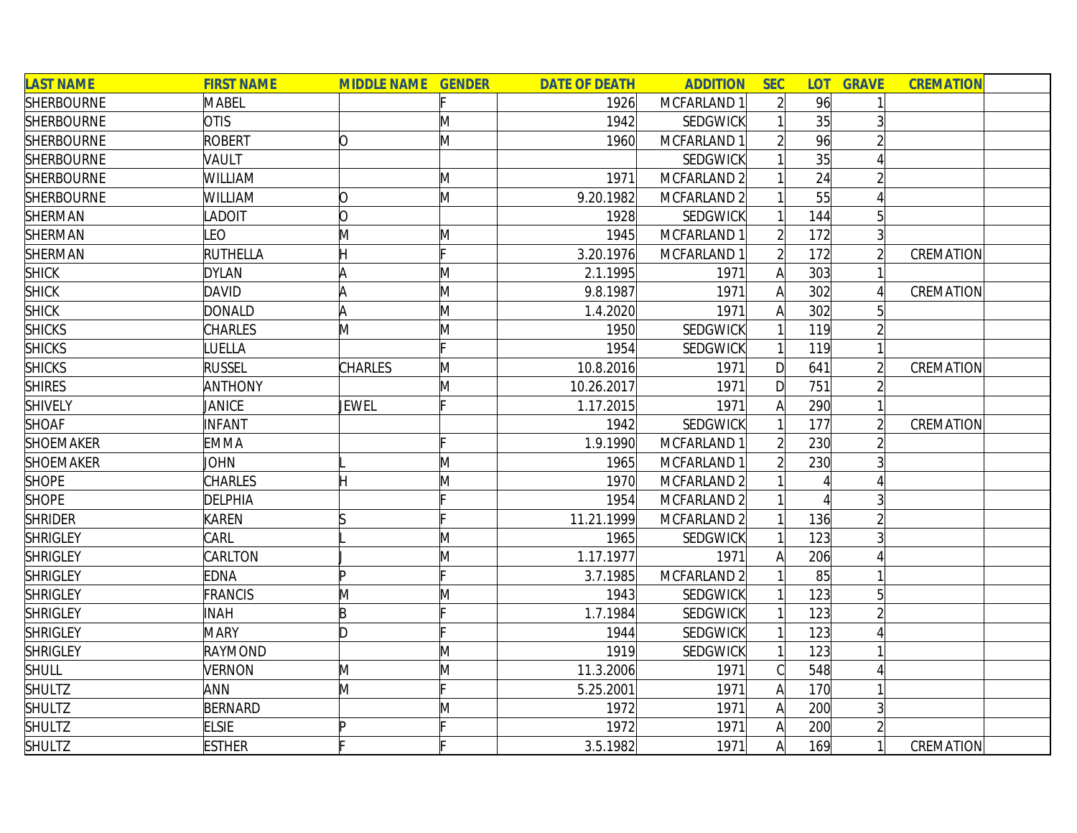| <b>LAST NAME</b>  | <b>FIRST NAME</b> | <b>MIDDLE NAME GENDER</b> |   | <b>DATE OF DEATH</b> | <b>ADDITION</b> | <b>SEC</b>     | <b>LOT</b> | <b>GRAVE</b>    | <b>CREMATION</b> |  |
|-------------------|-------------------|---------------------------|---|----------------------|-----------------|----------------|------------|-----------------|------------------|--|
| <b>SHERBOURNE</b> | <b>MABEL</b>      |                           |   | 1926                 | MCFARLAND 1     | $\overline{2}$ | 96         |                 |                  |  |
| <b>SHERBOURNE</b> | <b>OTIS</b>       |                           | M | 1942                 | <b>SEDGWICK</b> |                | 35         |                 |                  |  |
| <b>SHERBOURNE</b> | <b>ROBERT</b>     | Ŋ                         | M | 1960                 | MCFARLAND 1     |                | 96         |                 |                  |  |
| <b>SHERBOURNE</b> | VAULT             |                           |   |                      | <b>SEDGWICK</b> |                | 35         |                 |                  |  |
| <b>SHERBOURNE</b> | WILLIAM           |                           | M | 1971                 | MCFARLAND 2     |                | 24         |                 |                  |  |
| <b>SHERBOURNE</b> | WILLIAM           | Ŋ                         | M | 9.20.1982            | MCFARLAND 2     |                | 55         |                 |                  |  |
| SHERMAN           | <b>ADOIT</b>      | O                         |   | 1928                 | <b>SEDGWICK</b> |                | 144        | $5\overline{)}$ |                  |  |
| SHERMAN           | LEO               | M                         | M | 1945                 | MCFARLAND 1     |                | 172        |                 |                  |  |
| SHERMAN           | RUTHELLA          |                           |   | 3.20.1976            | MCFARLAND 1     |                | 172        |                 | CREMATION        |  |
| <b>SHICK</b>      | <b>DYLAN</b>      |                           | M | 2.1.1995             | 1971            | A              | 303        |                 |                  |  |
| <b>SHICK</b>      | DAVID             |                           | M | 9.8.1987             | 1971            | Α              | 302        |                 | CREMATION        |  |
| <b>SHICK</b>      | <b>DONALD</b>     |                           | M | 1.4.2020             | 1971            |                | 302        |                 |                  |  |
| <b>SHICKS</b>     | <b>CHARLES</b>    | M                         | M | 1950                 | <b>SEDGWICK</b> |                | 119        |                 |                  |  |
| <b>SHICKS</b>     | LUELLA            |                           |   | 1954                 | <b>SEDGWICK</b> |                | 119        |                 |                  |  |
| <b>SHICKS</b>     | <b>RUSSEL</b>     | <b>CHARLES</b>            | M | 10.8.2016            | 1971            | D              | 641        |                 | CREMATION        |  |
| <b>SHIRES</b>     | <b>ANTHONY</b>    |                           | M | 10.26.2017           | 1971            | $\mathsf{D}$   | 751        |                 |                  |  |
| <b>SHIVELY</b>    | <b>JANICE</b>     | JEWEL                     |   | 1.17.2015            | 1971            |                | 290        |                 |                  |  |
| <b>SHOAF</b>      | <b>INFANT</b>     |                           |   | 1942                 | <b>SEDGWICK</b> |                | 177        |                 | CREMATION        |  |
| <b>SHOEMAKER</b>  | <b>EMMA</b>       |                           |   | 1.9.1990             | MCFARLAND 1     |                | 230        |                 |                  |  |
| <b>SHOEMAKER</b>  | <b>JOHN</b>       |                           | M | 1965                 | MCFARLAND 1     |                | 230        |                 |                  |  |
| <b>SHOPE</b>      | <b>CHARLES</b>    | H                         | M | 1970                 | MCFARLAND 2     |                |            |                 |                  |  |
| <b>SHOPE</b>      | <b>DELPHIA</b>    |                           |   | 1954                 | MCFARLAND 2     |                |            |                 |                  |  |
| <b>SHRIDER</b>    | <b>KAREN</b>      |                           |   | 11.21.1999           | MCFARLAND 2     |                | 136        |                 |                  |  |
| <b>SHRIGLEY</b>   | CARL              |                           | M | 1965                 | <b>SEDGWICK</b> |                | 123        |                 |                  |  |
| <b>SHRIGLEY</b>   | CARLTON           |                           | M | 1.17.1977            | 1971            |                | 206        |                 |                  |  |
| <b>SHRIGLEY</b>   | <b>EDNA</b>       |                           |   | 3.7.1985             | MCFARLAND 2     |                | 85         |                 |                  |  |
| <b>SHRIGLEY</b>   | <b>FRANCIS</b>    | M                         | M | 1943                 | <b>SEDGWICK</b> |                | 123        | 5               |                  |  |
| <b>SHRIGLEY</b>   | <b>INAH</b>       | B                         |   | 1.7.1984             | <b>SEDGWICK</b> |                | 123        |                 |                  |  |
| <b>SHRIGLEY</b>   | <b>MARY</b>       | ID.                       |   | 1944                 | <b>SEDGWICK</b> |                | 123        |                 |                  |  |
| <b>SHRIGLEY</b>   | <b>RAYMOND</b>    |                           | M | 1919                 | <b>SEDGWICK</b> |                | 123        |                 |                  |  |
| <b>SHULL</b>      | <b>VERNON</b>     | M                         | M | 11.3.2006            | 1971            | C              | 548        |                 |                  |  |
| <b>SHULTZ</b>     | ANN               | M                         |   | 5.25.2001            | 1971            | $\mathsf{A}$   | 170        |                 |                  |  |
| <b>SHULTZ</b>     | <b>BERNARD</b>    |                           | M | 1972                 | 1971            | $\mathsf{A}$   | 200        | $\overline{3}$  |                  |  |
| <b>SHULTZ</b>     | <b>ELSIE</b>      |                           |   | 1972                 | 1971            | $\mathsf{A}$   | 200        |                 |                  |  |
| <b>SHULTZ</b>     | <b>ESTHER</b>     |                           |   | 3.5.1982             | 1971            | $\mathsf{A}$   | 169        | 1               | CREMATION        |  |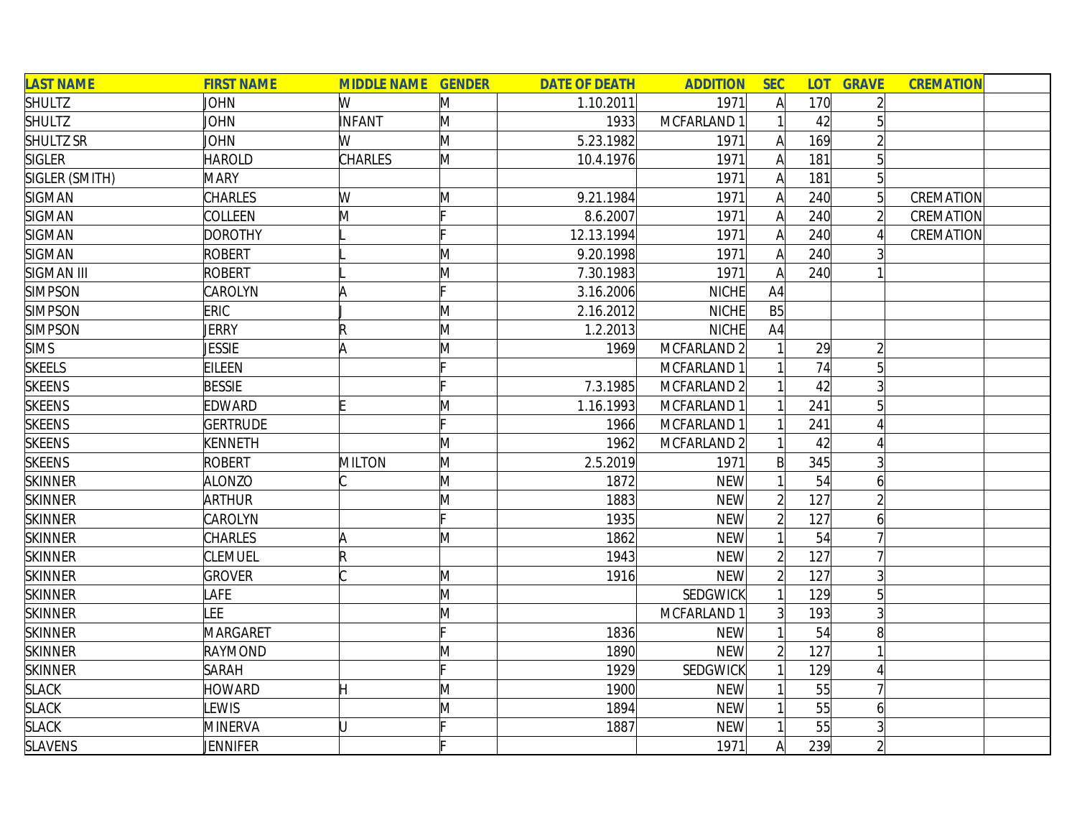| <b>LAST NAME</b> | <b>FIRST NAME</b> | <b>MIDDLE NAME GENDER</b> |              | <b>DATE OF DEATH</b> | <b>ADDITION</b>        | <b>SEC</b>     |     | <b>LOT GRAVE</b> | <b>CREMATION</b> |  |
|------------------|-------------------|---------------------------|--------------|----------------------|------------------------|----------------|-----|------------------|------------------|--|
| <b>SHULTZ</b>    | JOHN              | W                         | M            | 1.10.2011            | 1971                   | $\mathsf{A}$   | 170 |                  |                  |  |
| <b>SHULTZ</b>    | JOHN              | <b>INFANT</b>             | M            | 1933                 | MCFARLAND 1            |                | 42  |                  |                  |  |
| SHULTZ SR        | <b>JOHN</b>       | W                         | M            | 5.23.1982            | 1971                   | $\mathsf{A}$   | 169 |                  |                  |  |
| <b>SIGLER</b>    | <b>HAROLD</b>     | CHARLES                   | M            | 10.4.1976            | 1971                   | $\mathsf{A}$   | 181 | $5\overline{)}$  |                  |  |
| SIGLER (SMITH)   | <b>MARY</b>       |                           |              |                      | 1971                   | $\mathsf{A}$   | 181 | 5                |                  |  |
| <b>SIGMAN</b>    | CHARLES           | W                         | M            | 9.21.1984            | 1971                   | $\mathsf{A}$   | 240 | $\overline{5}$   | CREMATION        |  |
| <b>SIGMAN</b>    | COLLEEN           | M                         |              | 8.6.2007             | 1971                   | $\mathsf{A}$   | 240 | $\overline{2}$   | CREMATION        |  |
| <b>SIGMAN</b>    | <b>DOROTHY</b>    |                           |              | 12.13.1994           | 1971                   | $\mathsf{A}$   | 240 | $\Delta$         | CREMATION        |  |
| <b>SIGMAN</b>    | <b>ROBERT</b>     |                           | M            | 9.20.1998            | 1971                   | $\mathsf{A}$   | 240 |                  |                  |  |
| SIGMAN III       | ROBERT            |                           | M            | 7.30.1983            | 1971                   | A              | 240 |                  |                  |  |
| <b>SIMPSON</b>   | CAROLYN           |                           | Iг.          | 3.16.2006            | <b>NICHE</b>           | A4             |     |                  |                  |  |
| <b>SIMPSON</b>   | ERIC              |                           | M            | 2.16.2012            | <b>NICHE</b>           | B5             |     |                  |                  |  |
| <b>SIMPSON</b>   | JERRY             | R                         | M            | 1.2.2013             | <b>NICHE</b>           | A4             |     |                  |                  |  |
| <b>SIMS</b>      | <b>JESSIE</b>     | A                         | M            | 1969                 | MCFARLAND 2            |                | 29  |                  |                  |  |
| <b>SKEELS</b>    | EILEEN            |                           |              |                      | MCFARLAND 1            |                | 74  |                  |                  |  |
| <b>SKEENS</b>    | <b>BESSIE</b>     |                           |              | 7.3.1985             | MCFARLAND <sub>2</sub> |                | 42  |                  |                  |  |
| <b>SKEENS</b>    | EDWARD            |                           | $\mathsf{M}$ | 1.16.1993            | MCFARLAND 1            |                | 241 |                  |                  |  |
| SKEENS           | <b>GERTRUDE</b>   |                           |              | 1966                 | MCFARLAND 1            |                | 241 |                  |                  |  |
| <b>SKEENS</b>    | KENNETH           |                           | M            | 1962                 | MCFARLAND 2            |                | 42  |                  |                  |  |
| <b>SKEENS</b>    | <b>ROBERT</b>     | <b>MILTON</b>             | M            | 2.5.2019             | 1971                   | B              | 345 | 3                |                  |  |
| <b>SKINNER</b>   | <b>ALONZO</b>     |                           | M            | 1872                 | <b>NEW</b>             |                | 54  | 6                |                  |  |
| <b>SKINNER</b>   | <b>ARTHUR</b>     |                           | M            | 1883                 | <b>NEW</b>             | $\overline{2}$ | 127 |                  |                  |  |
| <b>SKINNER</b>   | CAROLYN           |                           | Ŀ.           | 1935                 | <b>NEW</b>             | $\overline{2}$ | 127 | 6                |                  |  |
| <b>SKINNER</b>   | CHARLES           |                           | M            | 1862                 | <b>NEW</b>             |                | 54  |                  |                  |  |
| <b>SKINNER</b>   | <b>CLEMUEL</b>    | $\mathsf R$               |              | 1943                 | <b>NEW</b>             | $\overline{2}$ | 127 |                  |                  |  |
| <b>SKINNER</b>   | <b>GROVER</b>     |                           | M            | 1916                 | <b>NEW</b>             | $\overline{2}$ | 127 | $\overline{3}$   |                  |  |
| <b>SKINNER</b>   | <b>AFE</b>        |                           | M            |                      | <b>SEDGWICK</b>        |                | 129 | 5                |                  |  |
| <b>SKINNER</b>   | <b>LEE</b>        |                           | M            |                      | MCFARLAND 1            | 3 <sup>1</sup> | 193 |                  |                  |  |
| <b>SKINNER</b>   | MARGARET          |                           |              | 1836                 | <b>NEW</b>             |                | 54  | 8                |                  |  |
| <b>SKINNER</b>   | <b>RAYMOND</b>    |                           | M            | 1890                 | <b>NEW</b>             |                | 127 |                  |                  |  |
| <b>SKINNER</b>   | <b>SARAH</b>      |                           | IE.          | 1929                 | <b>SEDGWICK</b>        |                | 129 |                  |                  |  |
| <b>SLACK</b>     | <b>HOWARD</b>     | Η                         | M            | 1900                 | <b>NEW</b>             |                | 55  |                  |                  |  |
| <b>SLACK</b>     | LEWIS             |                           | M            | 1894                 | <b>NEW</b>             |                | 55  | 6                |                  |  |
| <b>SLACK</b>     | <b>MINERVA</b>    | Ū                         |              | 1887                 | <b>NEW</b>             |                | 55  |                  |                  |  |
| <b>SLAVENS</b>   | JENNIFER          |                           |              |                      | 1971                   | A              | 239 |                  |                  |  |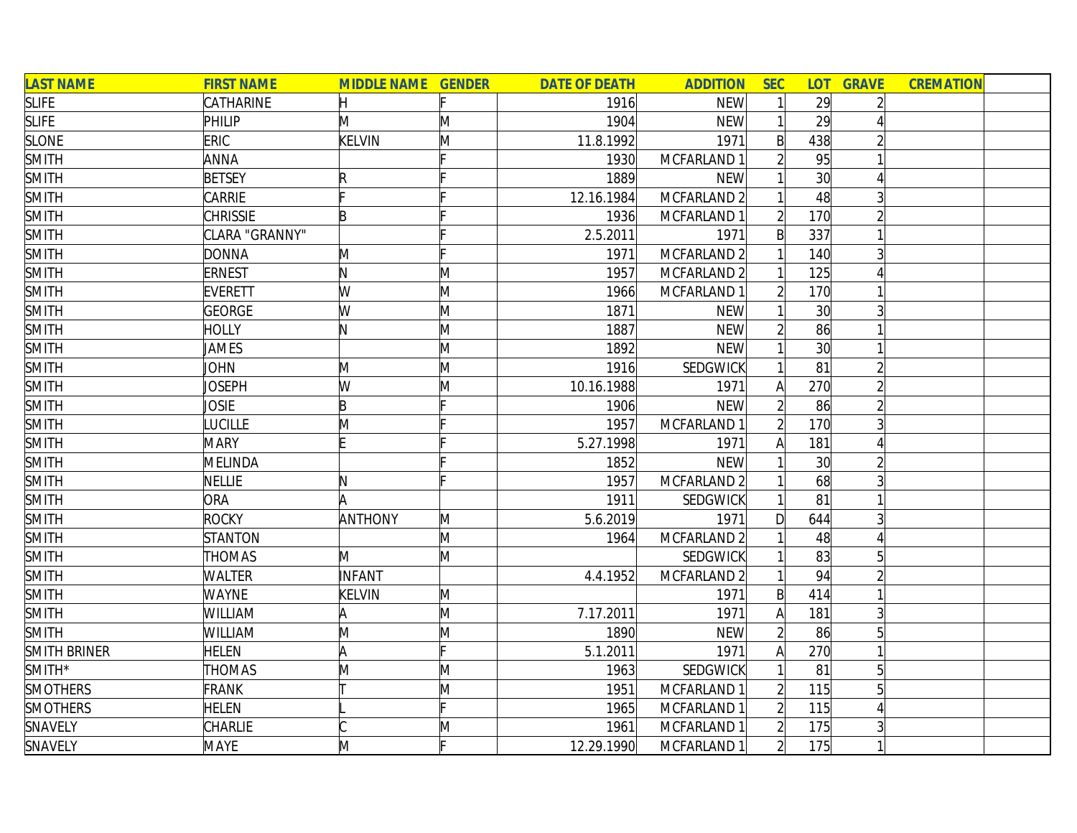| <b>LAST NAME</b> | <b>FIRST NAME</b> | <b>MIDDLE NAME GENDER</b> |   | <b>DATE OF DEATH</b> | <b>ADDITION</b>        | <b>SEC</b>     |                 | <b>LOT GRAVE</b> | <b>CREMATION</b> |  |
|------------------|-------------------|---------------------------|---|----------------------|------------------------|----------------|-----------------|------------------|------------------|--|
| <b>SLIFE</b>     | CATHARINE         | H                         |   | 1916                 | <b>NEW</b>             |                | 29              | $\overline{2}$   |                  |  |
| <b>SLIFE</b>     | PHILIP            | M                         | M | 1904                 | <b>NEW</b>             |                | 29              |                  |                  |  |
| <b>SLONE</b>     | ERIC              | <b>KELVIN</b>             | M | 11.8.1992            | 1971                   | B              | 438             |                  |                  |  |
| <b>SMITH</b>     | <b>ANNA</b>       |                           |   | 1930                 | MCFARLAND 1            |                | 95              |                  |                  |  |
| <b>SMITH</b>     | <b>BETSEY</b>     |                           |   | 1889                 | <b>NEW</b>             |                | 30 <sup>1</sup> |                  |                  |  |
| <b>SMITH</b>     | <b>CARRIE</b>     |                           |   | 12.16.1984           | MCFARLAND <sub>2</sub> |                | 48              |                  |                  |  |
| <b>SMITH</b>     | <b>CHRISSIE</b>   | B                         |   | 1936                 | MCFARLAND 1            | $\overline{2}$ | 170             |                  |                  |  |
| <b>SMITH</b>     | CLARA "GRANNY"    |                           |   | 2.5.2011             | 1971                   | $\mathsf{B}$   | 337             |                  |                  |  |
| <b>SMITH</b>     | <b>DONNA</b>      | M                         |   | 1971                 | MCFARLAND 2            |                | 140             |                  |                  |  |
| <b>SMITH</b>     | <b>ERNEST</b>     | N                         | M | 1957                 | MCFARLAND 2            |                | 125             |                  |                  |  |
| <b>SMITH</b>     | EVERETT           | W                         | M | 1966                 | MCFARLAND 1            |                | 170             |                  |                  |  |
| <b>SMITH</b>     | GEORGE            | W                         | M | 1871                 | <b>NEW</b>             |                | 30 <sup>l</sup> |                  |                  |  |
| <b>SMITH</b>     | <b>HOLLY</b>      | N                         | M | 1887                 | <b>NEW</b>             |                | 86              |                  |                  |  |
| <b>SMITH</b>     | <b>JAMES</b>      |                           | M | 1892                 | <b>NEW</b>             |                | 30 <sup>l</sup> |                  |                  |  |
| <b>SMITH</b>     | <b>JOHN</b>       | M                         | M | 1916                 | SEDGWICK               |                | 81              |                  |                  |  |
| <b>SMITH</b>     | Joseph            | W                         | M | 10.16.1988           | 1971                   |                | 270             |                  |                  |  |
| <b>SMITH</b>     | <b>JOSIE</b>      | B                         |   | 1906                 | <b>NEW</b>             |                | 86              |                  |                  |  |
| <b>SMITH</b>     | LUCILLE           | M                         |   | 1957                 | MCFARLAND 1            |                | 170             |                  |                  |  |
| <b>SMITH</b>     | <b>MARY</b>       |                           |   | 5.27.1998            | 1971                   | Al             | 181             |                  |                  |  |
| <b>SMITH</b>     | MELINDA           |                           |   | 1852                 | <b>NEW</b>             |                | 30 <sup>l</sup> |                  |                  |  |
| <b>SMITH</b>     | NELLIE            | N                         |   | 1957                 | MCFARLAND 2            |                | 68              |                  |                  |  |
| <b>SMITH</b>     | ORA               | A                         |   | 1911                 | SEDGWICK               |                | 81              |                  |                  |  |
| <b>SMITH</b>     | <b>ROCKY</b>      | <b>ANTHONY</b>            | M | 5.6.2019             | 1971                   | D              | 644             |                  |                  |  |
| <b>SMITH</b>     | <b>STANTON</b>    |                           | M | 1964                 | MCFARLAND 2            |                | 48              |                  |                  |  |
| <b>SMITH</b>     | <b>THOMAS</b>     | M                         | M |                      | SEDGWICK               |                | 83              | 51               |                  |  |
| <b>SMITH</b>     | <b>WALTER</b>     | <b>INFANT</b>             |   | 4.4.1952             | MCFARLAND 2            |                | 94              |                  |                  |  |
| <b>SMITH</b>     | <b>WAYNE</b>      | KELVIN                    | M |                      | 1971                   | B              | 414             |                  |                  |  |
| <b>SMITH</b>     | WILLIAM           |                           | M | 7.17.2011            | 1971                   | A              | 181             | 3                |                  |  |
| <b>SMITH</b>     | <b>WILLIAM</b>    | M                         | M | 1890                 | <b>NEW</b>             |                | 86              | 5 <sup>1</sup>   |                  |  |
| SMITH BRINER     | <b>HELEN</b>      | A                         |   | 5.1.2011             | 1971                   | Α              | 270             |                  |                  |  |
| $SMITH*$         | <b>THOMAS</b>     | M                         | Μ | 1963                 | SEDGWICK               |                | 81              | 5 <sup>1</sup>   |                  |  |
| <b>SMOTHERS</b>  | <b>FRANK</b>      |                           | M | 1951                 | MCFARLAND 1            |                | 115             |                  |                  |  |
| <b>SMOTHERS</b>  | <b>HELEN</b>      |                           |   | 1965                 | MCFARLAND 1            |                | 115             |                  |                  |  |
| SNAVELY          | <b>CHARLIE</b>    |                           | M | 1961                 | MCFARLAND 1            | $\overline{2}$ | 175             |                  |                  |  |
| SNAVELY          | <b>MAYE</b>       | M                         |   | 12.29.1990           | MCFARLAND 1            | $\overline{2}$ | 175             |                  |                  |  |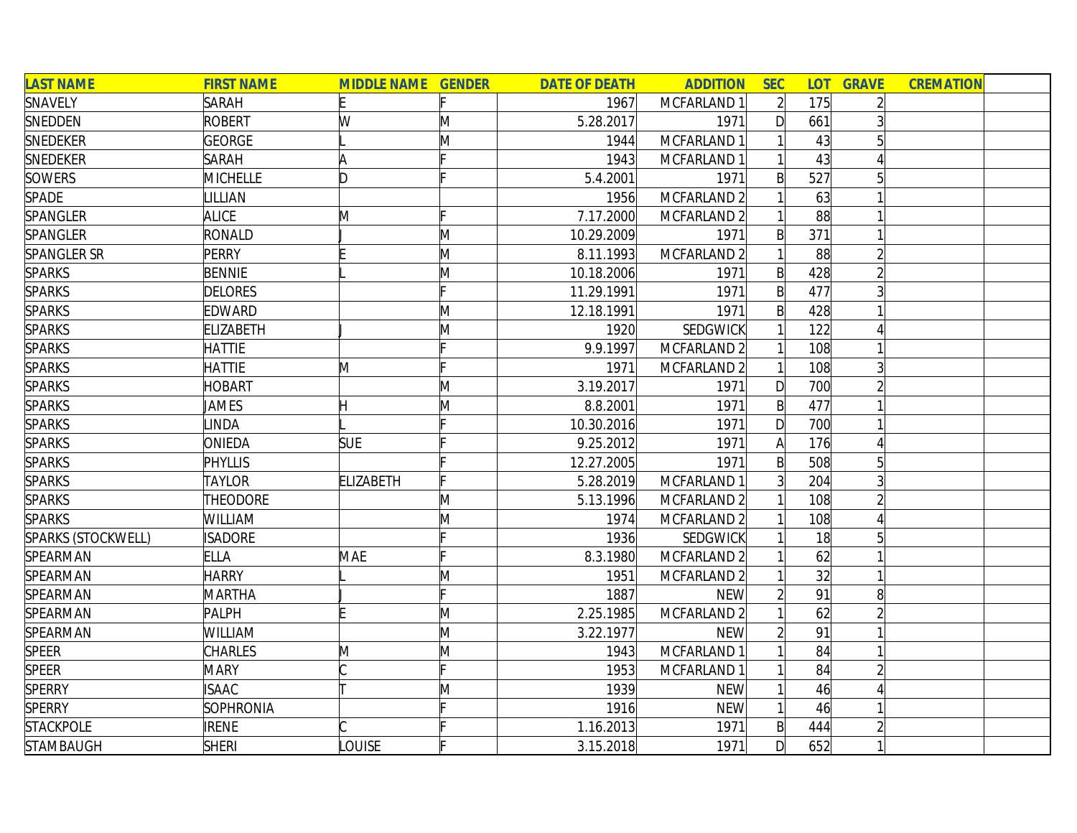| <b>LAST NAME</b>   | <b>FIRST NAME</b> | <b>MIDDLE NAME GENDER</b> |              | <b>DATE OF DEATH</b> | <b>ADDITION</b>        | <b>SEC</b>     |     | <b>LOT GRAVE</b> | <b>CREMATION</b> |  |
|--------------------|-------------------|---------------------------|--------------|----------------------|------------------------|----------------|-----|------------------|------------------|--|
| SNAVELY            | <b>SARAH</b>      |                           |              | 1967                 | MCFARLAND 1            | $\overline{2}$ | 175 |                  |                  |  |
| SNEDDEN            | <b>ROBERT</b>     | W                         | M            | 5.28.2017            | 1971                   | D              | 661 |                  |                  |  |
| SNEDEKER           | <b>GEORGE</b>     |                           | M            | 1944                 | MCFARLAND 1            |                | 43  |                  |                  |  |
| SNEDEKER           | <b>SARAH</b>      |                           |              | 1943                 | MCFARLAND 1            |                | 43  |                  |                  |  |
| <b>SOWERS</b>      | <b>MICHELLE</b>   | ID.                       |              | 5.4.2001             | 1971                   | $\mathsf{B}$   | 527 |                  |                  |  |
| SPADE              | <b>ILLIAN</b>     |                           |              | 1956                 | MCFARLAND <sub>2</sub> |                | 63  |                  |                  |  |
| SPANGLER           | <b>ALICE</b>      | M                         |              | 7.17.2000            | MCFARLAND 2            |                | 88  |                  |                  |  |
| SPANGLER           | RONALD            |                           | M            | 10.29.2009           | 1971                   | $\mathsf{B}$   | 371 |                  |                  |  |
| <b>SPANGLER SR</b> | PERRY             |                           | M            | 8.11.1993            | MCFARLAND 2            |                | 88  |                  |                  |  |
| <b>SPARKS</b>      | <b>BENNIE</b>     |                           | M            | 10.18.2006           | 1971                   | $\mathsf{B}$   | 428 |                  |                  |  |
| <b>SPARKS</b>      | <b>DELORES</b>    |                           |              | 11.29.1991           | 1971                   | $\mathsf{B}$   | 477 |                  |                  |  |
| <b>SPARKS</b>      | EDWARD            |                           | M            | 12.18.1991           | 1971                   | B              | 428 |                  |                  |  |
| <b>SPARKS</b>      | <b>ELIZABETH</b>  |                           | M            | 1920                 | SEDGWICK               |                | 122 |                  |                  |  |
| <b>SPARKS</b>      | <b>HATTIE</b>     |                           |              | 9.9.1997             | MCFARLAND 2            |                | 108 |                  |                  |  |
| <b>SPARKS</b>      | <b>HATTIE</b>     | M                         |              | 1971                 | MCFARLAND 2            |                | 108 |                  |                  |  |
| <b>SPARKS</b>      | <b>HOBART</b>     |                           | M            | 3.19.2017            | 1971                   | D              | 700 |                  |                  |  |
| <b>SPARKS</b>      | <b>JAMES</b>      | Н                         | M            | 8.8.2001             | 1971                   | $\mathsf{B}$   | 477 |                  |                  |  |
| <b>SPARKS</b>      | INDA              |                           |              | 10.30.2016           | 1971                   | $\mathsf{D}$   | 700 |                  |                  |  |
| <b>SPARKS</b>      | ONIEDA            | <b>SUE</b>                |              | 9.25.2012            | 1971                   | A              | 176 |                  |                  |  |
| <b>SPARKS</b>      | PHYLLIS           |                           |              | 12.27.2005           | 1971                   | $\mathsf{B}$   | 508 | 5                |                  |  |
| <b>SPARKS</b>      | <b>TAYLOR</b>     | <b>ELIZABETH</b>          |              | 5.28.2019            | MCFARLAND 1            | $\overline{3}$ | 204 |                  |                  |  |
| <b>SPARKS</b>      | THEODORE          |                           | $\mathsf{M}$ | 5.13.1996            | MCFARLAND 2            |                | 108 |                  |                  |  |
| <b>SPARKS</b>      | WILLIAM           |                           | M            | 1974                 | MCFARLAND 2            |                | 108 |                  |                  |  |
| SPARKS (STOCKWELL) | <b>ISADORE</b>    |                           |              | 1936                 | <b>SEDGWICK</b>        |                | 18  |                  |                  |  |
| SPEARMAN           | <b>ELLA</b>       | MAE                       |              | 8.3.1980             | MCFARLAND 2            |                | 62  |                  |                  |  |
| SPEARMAN           | <b>HARRY</b>      |                           | M            | 1951                 | MCFARLAND 2            |                | 32  |                  |                  |  |
| SPEARMAN           | <b>MARTHA</b>     |                           |              | 1887                 | <b>NEW</b>             |                | 91  | 8                |                  |  |
| SPEARMAN           | PALPH             |                           | $\mathsf{M}$ | 2.25.1985            | MCFARLAND <sub>2</sub> |                | 62  |                  |                  |  |
| SPEARMAN           | WILLIAM           |                           | M            | 3.22.1977            | <b>NEW</b>             |                | 91  |                  |                  |  |
| SPEER              | <b>CHARLES</b>    | M                         | M            | 1943                 | MCFARLAND 1            |                | 84  |                  |                  |  |
| <b>SPEER</b>       | <b>MARY</b>       |                           |              | 1953                 | MCFARLAND 1            |                | 84  |                  |                  |  |
| <b>SPERRY</b>      | <b>ISAAC</b>      |                           | M            | 1939                 | <b>NEW</b>             |                | 46  |                  |                  |  |
| <b>SPERRY</b>      | <b>SOPHRONIA</b>  |                           |              | 1916                 | <b>NEW</b>             |                | 46  |                  |                  |  |
| <b>STACKPOLE</b>   | <b>IRENE</b>      |                           |              | 1.16.2013            | 1971                   | $\mathsf{B}$   | 444 |                  |                  |  |
| <b>STAMBAUGH</b>   | <b>SHERI</b>      | LOUISE                    |              | 3.15.2018            | 1971                   | D              | 652 |                  |                  |  |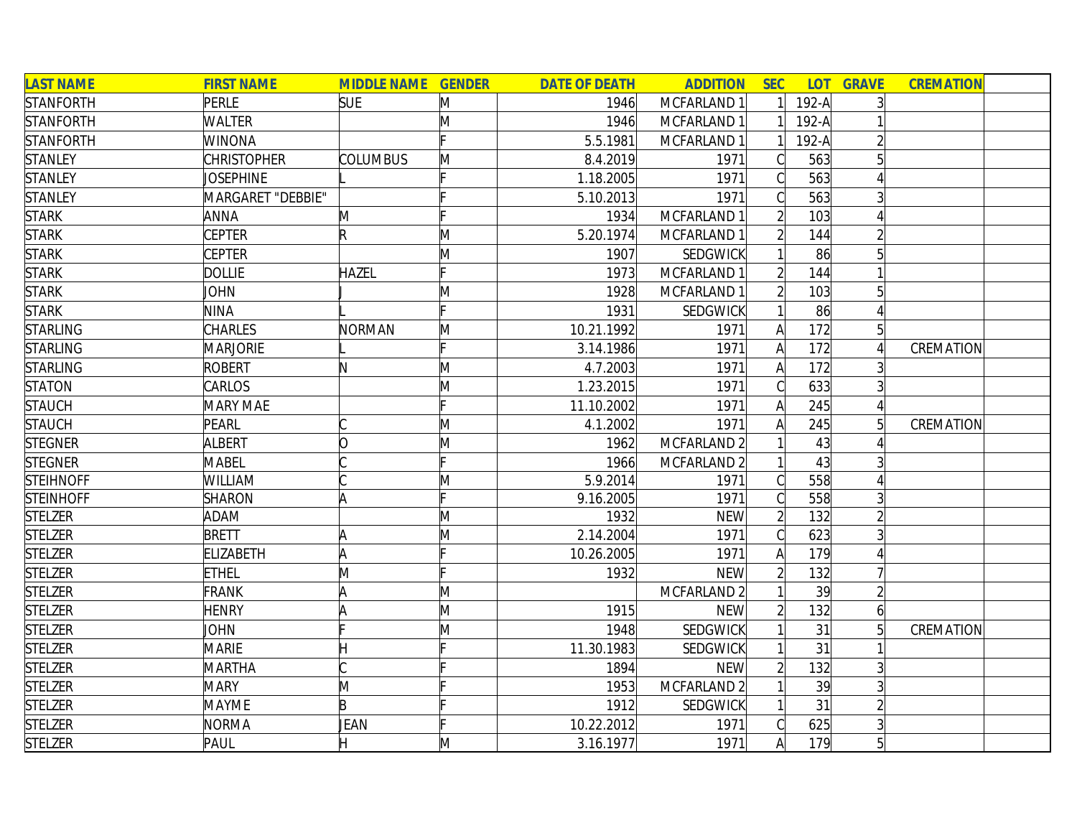| <b>LAST NAME</b> | <b>FIRST NAME</b>  | <b>MIDDLE NAME GENDER</b> |   | <b>DATE OF DEATH</b> | <b>ADDITION</b> | <b>SEC</b>     | <b>LOT</b> | <b>GRAVE</b>   | <b>CREMATION</b> |  |
|------------------|--------------------|---------------------------|---|----------------------|-----------------|----------------|------------|----------------|------------------|--|
| <b>STANFORTH</b> | PERLE              | <b>SUE</b>                | M | 1946                 | MCFARLAND 1     |                | $192-A$    | $\overline{3}$ |                  |  |
| <b>STANFORTH</b> | <b>WALTER</b>      |                           | M | 1946                 | MCFARLAND 1     |                | $192-A$    |                |                  |  |
| <b>STANFORTH</b> | WINONA             |                           |   | 5.5.1981             | MCFARLAND 1     |                | $192-A$    | $\overline{2}$ |                  |  |
| <b>STANLEY</b>   | <b>CHRISTOPHER</b> | <b>COLUMBUS</b>           | M | 8.4.2019             | 1971            | C              | 563        | $\overline{5}$ |                  |  |
| <b>STANLEY</b>   | <b>JOSEPHINE</b>   |                           |   | 1.18.2005            | 1971            | C              | 563        |                |                  |  |
| <b>STANLEY</b>   | MARGARET "DEBBIE"  |                           |   | 5.10.2013            | 1971            | $\bigcap$      | 563        | 3 <sup>1</sup> |                  |  |
| <b>STARK</b>     | <b>ANNA</b>        | M                         |   | 1934                 | MCFARLAND 1     | $\mathfrak{D}$ | 103        |                |                  |  |
| <b>STARK</b>     | <b>CEPTER</b>      | $\mathsf R$               | Μ | 5.20.1974            | MCFARLAND 1     |                | 144        | $\overline{2}$ |                  |  |
| <b>STARK</b>     | <b>CEPTER</b>      |                           | M | 1907                 | <b>SEDGWICK</b> |                | 86         |                |                  |  |
| <b>STARK</b>     | <b>DOLLIE</b>      | <b>HAZEL</b>              |   | 1973                 | MCFARLAND 1     |                | 144        |                |                  |  |
| <b>STARK</b>     | <b>JOHN</b>        |                           | Μ | 1928                 | MCFARLAND 1     |                | 103        |                |                  |  |
| <b>STARK</b>     | <b>NINA</b>        |                           |   | 1931                 | <b>SEDGWICK</b> |                | 86         |                |                  |  |
| <b>STARLING</b>  | <b>CHARLES</b>     | NORMAN                    | M | 10.21.1992           | 1971            | А              | 172        | 5 <sup>1</sup> |                  |  |
| <b>STARLING</b>  | <b>MARJORIE</b>    |                           |   | 3.14.1986            | 1971            |                | 172        |                | CREMATION        |  |
| <b>STARLING</b>  | <b>ROBERT</b>      | N                         | M | 4.7.2003             | 1971            | A              | 172        |                |                  |  |
| <b>STATON</b>    | CARLOS             |                           | M | 1.23.2015            | 1971            |                | 633        |                |                  |  |
| <b>STAUCH</b>    | <b>MARY MAE</b>    |                           |   | 11.10.2002           | 1971            | A              | 245        |                |                  |  |
| <b>STAUCH</b>    | PEARL              |                           | M | 4.1.2002             | 1971            | A              | 245        | 5 <sup>1</sup> | CREMATION        |  |
| <b>STEGNER</b>   | <b>ALBERT</b>      | O                         | M | 1962                 | MCFARLAND 2     |                | 43         |                |                  |  |
| <b>STEGNER</b>   | <b>MABEL</b>       |                           |   | 1966                 | MCFARLAND 2     |                | 43         |                |                  |  |
| <b>STEIHNOFF</b> | <b>WILLIAM</b>     |                           | M | 5.9.2014             | 1971            | $\bigcap$      | 558        |                |                  |  |
| <b>STEINHOFF</b> | <b>SHARON</b>      |                           |   | 9.16.2005            | 1971            |                | 558        | $\overline{3}$ |                  |  |
| <b>STELZER</b>   | <b>ADAM</b>        |                           | M | 1932                 | <b>NEW</b>      |                | 132        | $\overline{2}$ |                  |  |
| <b>STELZER</b>   | <b>BRETT</b>       |                           | M | 2.14.2004            | 1971            | $\bigcap$      | 623        |                |                  |  |
| <b>STELZER</b>   | <b>ELIZABETH</b>   | A                         |   | 10.26.2005           | 1971            |                | 179        |                |                  |  |
| <b>STELZER</b>   | <b>ETHEL</b>       | M                         |   | 1932                 | <b>NEW</b>      |                | 132        |                |                  |  |
| <b>STELZER</b>   | FRANK              |                           | M |                      | MCFARLAND 2     |                | 39         | $\overline{2}$ |                  |  |
| <b>STELZER</b>   | <b>HENRY</b>       |                           | M | 1915                 | <b>NEW</b>      |                | 132        | $\overline{6}$ |                  |  |
| <b>STELZER</b>   | JOHN               |                           | M | 1948                 | <b>SEDGWICK</b> |                | 31         | 5 <sup>1</sup> | CREMATION        |  |
| <b>STELZER</b>   | <b>MARIE</b>       |                           |   | 11.30.1983           | <b>SEDGWICK</b> |                | 31         |                |                  |  |
| <b>STELZER</b>   | <b>MARTHA</b>      |                           |   | 1894                 | <b>NEW</b>      |                | 132        | $\overline{3}$ |                  |  |
| <b>STELZER</b>   | <b>MARY</b>        | M                         |   | 1953                 | MCFARLAND 2     |                | 39         | $\overline{3}$ |                  |  |
| <b>STELZER</b>   | <b>MAYME</b>       | $\mathsf B$               |   | 1912                 | <b>SEDGWICK</b> |                | 31         | $\overline{2}$ |                  |  |
| <b>STELZER</b>   | <b>NORMA</b>       | JEAN                      |   | 10.22.2012           | 1971            |                | 625        | 3 <sup>1</sup> |                  |  |
| <b>STELZER</b>   | PAUL               |                           | M | 3.16.1977            | 1971            | $\mathsf{A}$   | 179        | 5 <sup>1</sup> |                  |  |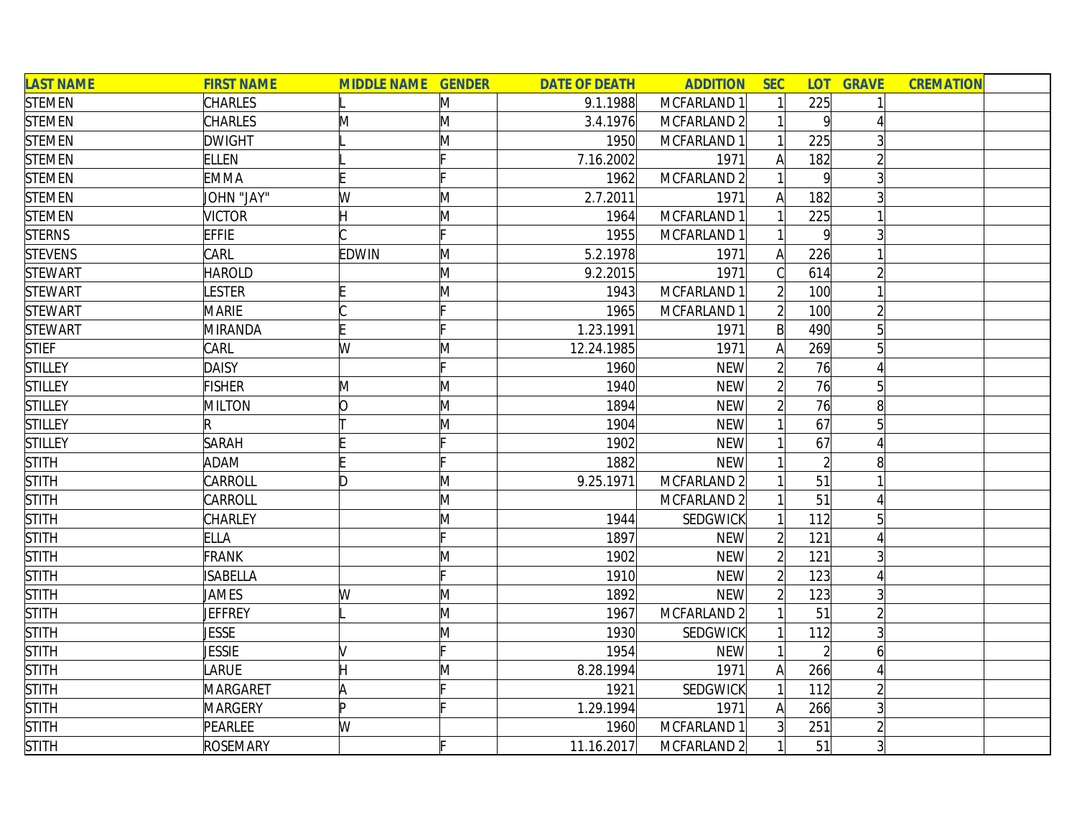| <b>LAST NAME</b> | <b>FIRST NAME</b> | <b>MIDDLE NAME GENDER</b> |              | <b>DATE OF DEATH</b> | <b>ADDITION</b> | <b>SEC</b>     |                | <b>LOT GRAVE</b> | <b>CREMATION</b> |
|------------------|-------------------|---------------------------|--------------|----------------------|-----------------|----------------|----------------|------------------|------------------|
| <b>STEMEN</b>    | <b>CHARLES</b>    |                           | M            | 9.1.1988             | MCFARLAND 1     |                | 225            |                  |                  |
| <b>STEMEN</b>    | <b>CHARLES</b>    | M                         | M            | 3.4.1976             | MCFARLAND 2     |                | 9              |                  |                  |
| <b>STEMEN</b>    | <b>DWIGHT</b>     |                           | M            | 1950                 | MCFARLAND 1     |                | 225            | 3                |                  |
| <b>STEMEN</b>    | <b>ELLEN</b>      |                           |              | 7.16.2002            | 1971            | $\mathsf{A}$   | 182            |                  |                  |
| <b>STEMEN</b>    | <b>EMMA</b>       |                           |              | 1962                 | MCFARLAND 2     |                | 9              |                  |                  |
| <b>STEMEN</b>    | JOHN "JAY"        | W                         | M            | 2.7.2011             | 1971            | A              | 182            |                  |                  |
| <b>STEMEN</b>    | <b>VICTOR</b>     |                           | M            | 1964                 | MCFARLAND 1     |                | 225            |                  |                  |
| <b>STERNS</b>    | <b>EFFIE</b>      |                           |              | 1955                 | MCFARLAND 1     |                | $\vert$        |                  |                  |
| <b>STEVENS</b>   | CARL              | <b>EDWIN</b>              | M            | 5.2.1978             | 1971            | $\mathsf{A}$   | 226            |                  |                  |
| <b>STEWART</b>   | <b>HAROLD</b>     |                           | M            | 9.2.2015             | 1971            | C              | 614            |                  |                  |
| <b>STEWART</b>   | <b>ESTER</b>      |                           | M            | 1943                 | MCFARLAND 1     | $\overline{2}$ | 100            |                  |                  |
| <b>STEWART</b>   | <b>MARIE</b>      |                           |              | 1965                 | MCFARLAND 1     |                | 100            |                  |                  |
| <b>STEWART</b>   | <b>MIRANDA</b>    |                           |              | 1.23.1991            | 1971            | $\mathsf{B}$   | 490            |                  |                  |
| <b>STIEF</b>     | <b>CARL</b>       | W                         | $\mathsf{M}$ | 12.24.1985           | 1971            | A              | 269            |                  |                  |
| <b>STILLEY</b>   | <b>DAISY</b>      |                           |              | 1960                 | <b>NEW</b>      |                | 76             |                  |                  |
| <b>STILLEY</b>   | <b>FISHER</b>     | M                         | M            | 1940                 | <b>NEW</b>      |                | 76             |                  |                  |
| <b>STILLEY</b>   | MILTON            | O                         | M            | 1894                 | <b>NEW</b>      |                | 76             | 8                |                  |
| <b>STILLEY</b>   | R                 |                           | M            | 1904                 | <b>NEW</b>      |                | 67             | 5                |                  |
| <b>STILLEY</b>   | <b>SARAH</b>      |                           | E            | 1902                 | <b>NEW</b>      |                | 67             |                  |                  |
| <b>STITH</b>     | <b>ADAM</b>       |                           |              | 1882                 | <b>NEW</b>      |                | $\overline{2}$ | 8                |                  |
| <b>STITH</b>     | CARROLL           | ID.                       | M            | 9.25.1971            | MCFARLAND 2     |                | 51             |                  |                  |
| <b>STITH</b>     | CARROLL           |                           | M            |                      | MCFARLAND 2     |                | 51             |                  |                  |
| <b>STITH</b>     | CHARLEY           |                           | M            | 1944                 | <b>SEDGWICK</b> |                | 112            |                  |                  |
| <b>STITH</b>     | ELLA              |                           |              | 1897                 | <b>NEW</b>      |                | 121            |                  |                  |
| <b>STITH</b>     | <b>FRANK</b>      |                           | M            | 1902                 | <b>NEW</b>      | $\overline{2}$ | 121            |                  |                  |
| <b>STITH</b>     | <b>ISABELLA</b>   |                           | Ŀ.           | 1910                 | <b>NEW</b>      | $\overline{2}$ | 123            |                  |                  |
| <b>STITH</b>     | JAMES             | W                         | M            | 1892                 | <b>NEW</b>      |                | 123            |                  |                  |
| <b>STITH</b>     | JEFFREY           |                           | M            | 1967                 | MCFARLAND 2     |                | 51             |                  |                  |
| <b>STITH</b>     | JESSE             |                           | M            | 1930                 | <b>SEDGWICK</b> |                | 112            |                  |                  |
| <b>STITH</b>     | <b>JESSIE</b>     |                           |              | 1954                 | <b>NEW</b>      |                | $\overline{2}$ | 6                |                  |
| <b>STITH</b>     | LARUE             |                           | M            | 8.28.1994            | 1971            | $\mathsf{A}$   | 266            | $\Delta$         |                  |
| <b>STITH</b>     | <b>MARGARET</b>   | A                         |              | 1921                 | <b>SEDGWICK</b> |                | 112            |                  |                  |
| <b>STITH</b>     | <b>MARGERY</b>    | ID.                       |              | 1.29.1994            | 1971            | $\mathsf{A}$   | 266            |                  |                  |
| <b>STITH</b>     | PEARLEE           | W                         |              | 1960                 | MCFARLAND 1     | 3              | 251            |                  |                  |
| <b>STITH</b>     | <b>ROSEMARY</b>   |                           |              | 11.16.2017           | MCFARLAND 2     |                | 51             | 3                |                  |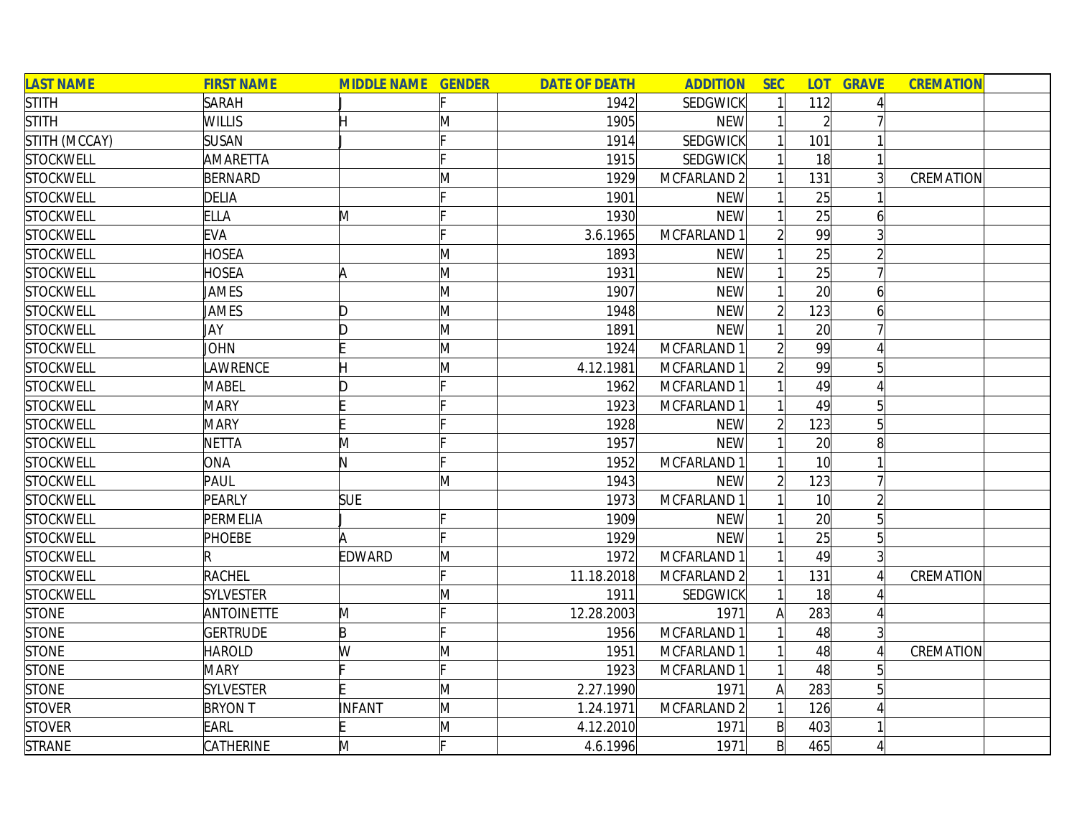| <b>LAST NAME</b> | <b>FIRST NAME</b> | <b>MIDDLE NAME GENDER</b> |              | <b>DATE OF DEATH</b> | <b>ADDITION</b> | <b>SEC</b>     |                 | <b>LOT GRAVE</b> | <b>CREMATION</b> |
|------------------|-------------------|---------------------------|--------------|----------------------|-----------------|----------------|-----------------|------------------|------------------|
| <b>STITH</b>     | <b>SARAH</b>      |                           |              | 1942                 | <b>SEDGWICK</b> |                | 112             |                  |                  |
| <b>STITH</b>     | <b>WILLIS</b>     |                           | M            | 1905                 | <b>NEW</b>      |                | $\overline{2}$  |                  |                  |
| STITH (MCCAY)    | <b>SUSAN</b>      |                           |              | 1914                 | <b>SEDGWICK</b> |                | 101             |                  |                  |
| <b>STOCKWELL</b> | AMARETTA          |                           |              | 1915                 | <b>SEDGWICK</b> |                | 18              |                  |                  |
| <b>STOCKWELL</b> | BERNARD           |                           | M            | 1929                 | MCFARLAND 2     |                | 131             |                  | CREMATION        |
| <b>STOCKWELL</b> | <b>DELIA</b>      |                           |              | 1901                 | <b>NEW</b>      |                | 25              |                  |                  |
| <b>STOCKWELL</b> | <b>ELLA</b>       | M                         |              | 1930                 | <b>NEW</b>      |                | $\overline{25}$ | 6                |                  |
| <b>STOCKWELL</b> | EVA               |                           |              | 3.6.1965             | MCFARLAND 1     |                | 99              |                  |                  |
| <b>STOCKWELL</b> | HOSEA             |                           | M            | 1893                 | <b>NEW</b>      |                | 25              |                  |                  |
| <b>STOCKWELL</b> | <b>HOSEA</b>      | A                         | M            | 1931                 | <b>NEW</b>      |                | 25              |                  |                  |
| <b>STOCKWELL</b> | JAMES             |                           | M            | 1907                 | <b>NEW</b>      |                | 20 <sup>1</sup> | 6                |                  |
| <b>STOCKWELL</b> | JAMES             | D                         | M            | 1948                 | <b>NEW</b>      | $\overline{2}$ | 123             |                  |                  |
| <b>STOCKWELL</b> | JAY               | D                         | M            | 1891                 | <b>NEW</b>      |                | 20 <sup>1</sup> |                  |                  |
| <b>STOCKWELL</b> | JOHN              |                           | M            | 1924                 | MCFARLAND 1     |                | 99              |                  |                  |
| <b>STOCKWELL</b> | <b>AWRENCE</b>    |                           | M            | 4.12.1981            | MCFARLAND 1     |                | 99              |                  |                  |
| <b>STOCKWELL</b> | <b>MABEL</b>      |                           |              | 1962                 | MCFARLAND 1     |                | 49              |                  |                  |
| <b>STOCKWELL</b> | <b>MARY</b>       |                           |              | 1923                 | MCFARLAND 1     |                | 49              |                  |                  |
| <b>STOCKWELL</b> | <b>MARY</b>       |                           |              | 1928                 | <b>NEW</b>      |                | 123             | 5                |                  |
| <b>STOCKWELL</b> | NETTA             | M                         |              | 1957                 | <b>NEW</b>      |                | 20 <sup>1</sup> | 8                |                  |
| <b>STOCKWELL</b> | ONA               | N.                        |              | 1952                 | MCFARLAND 1     |                | 10 <sup>l</sup> |                  |                  |
| <b>STOCKWELL</b> | PAUL              |                           | M            | 1943                 | <b>NEW</b>      | $\overline{2}$ | 123             |                  |                  |
| <b>STOCKWELL</b> | PEARLY            | <b>SUE</b>                |              | 1973                 | MCFARLAND 1     |                | 10 <sup>l</sup> |                  |                  |
| <b>STOCKWELL</b> | PERMELIA          |                           |              | 1909                 | <b>NEW</b>      |                | 20              |                  |                  |
| <b>STOCKWELL</b> | <b>PHOEBE</b>     |                           |              | 1929                 | <b>NEW</b>      |                | 25              |                  |                  |
| <b>STOCKWELL</b> |                   | <b>EDWARD</b>             | M            | 1972                 | MCFARLAND 1     |                | 49              |                  |                  |
| <b>STOCKWELL</b> | <b>RACHEL</b>     |                           |              | 11.18.2018           | MCFARLAND 2     |                | 131             |                  | CREMATION        |
| <b>STOCKWELL</b> | <b>SYLVESTER</b>  |                           | M            | 1911                 | <b>SEDGWICK</b> |                | 18              |                  |                  |
| <b>STONE</b>     | <b>ANTOINETTE</b> | M                         |              | 12.28.2003           | 1971            | A              | 283             |                  |                  |
| <b>STONE</b>     | <b>GERTRUDE</b>   | B                         |              | 1956                 | MCFARLAND 1     |                | 48              |                  |                  |
| <b>STONE</b>     | <b>HAROLD</b>     | W                         | M            | 1951                 | MCFARLAND 1     |                | 48              |                  | CREMATION        |
| <b>STONE</b>     | <b>MARY</b>       |                           |              | 1923                 | MCFARLAND 1     |                | 48              |                  |                  |
| <b>STONE</b>     | <b>SYLVESTER</b>  |                           | M            | 2.27.1990            | 1971            | $\mathsf{A}$   | 283             |                  |                  |
| <b>STOVER</b>    | <b>BRYON T</b>    | INFANT                    | M            | 1.24.1971            | MCFARLAND 2     |                | 126             |                  |                  |
| <b>STOVER</b>    | <b>EARL</b>       |                           | $\mathsf{M}$ | 4.12.2010            | 1971            | $\mathsf{B}$   | 403             |                  |                  |
| <b>STRANE</b>    | CATHERINE         | M                         | c            | 4.6.1996             | 1971            | $\mathsf{B}$   | 465             |                  |                  |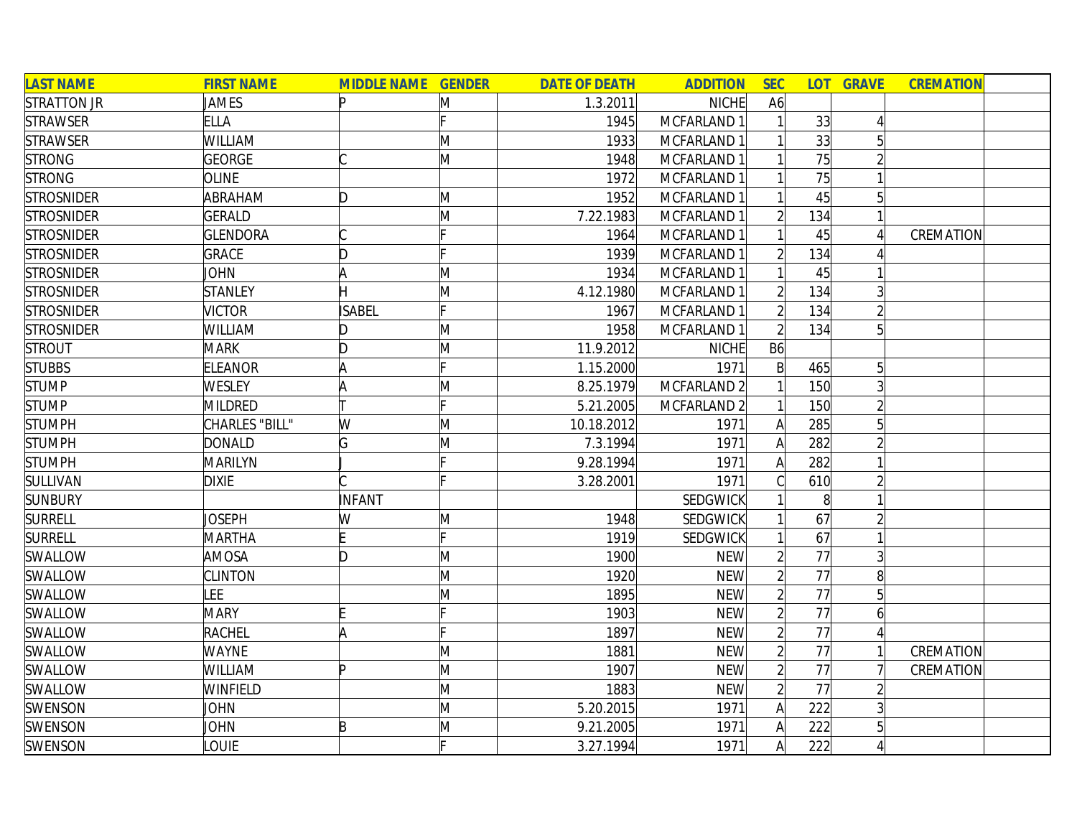| <b>LAST NAME</b>   | <b>FIRST NAME</b> | <b>MIDDLE NAME GENDER</b> |   | <b>DATE OF DEATH</b> | <b>ADDITION</b> | <b>SEC</b>     |                 | <b>LOT GRAVE</b> | <b>CREMATION</b> |  |
|--------------------|-------------------|---------------------------|---|----------------------|-----------------|----------------|-----------------|------------------|------------------|--|
| <b>STRATTON JR</b> | JAMES             | Þ                         | M | 1.3.2011             | <b>NICHE</b>    | A6             |                 |                  |                  |  |
| <b>STRAWSER</b>    | <b>ELLA</b>       |                           |   | 1945                 | MCFARLAND 1     |                | 33              |                  |                  |  |
| <b>STRAWSER</b>    | WILLIAM           |                           | M | 1933                 | MCFARLAND 1     |                | 33              |                  |                  |  |
| <b>STRONG</b>      | <b>GEORGE</b>     |                           | M | 1948                 | MCFARLAND 1     |                | $\overline{75}$ |                  |                  |  |
| <b>STRONG</b>      | <b>OLINE</b>      |                           |   | 1972                 | MCFARLAND 1     |                | 75              |                  |                  |  |
| <b>STROSNIDER</b>  | ABRAHAM           | D                         | M | 1952                 | MCFARLAND 1     |                | 45              | $5\overline{)}$  |                  |  |
| <b>STROSNIDER</b>  | <b>GERALD</b>     |                           | M | 7.22.1983            | MCFARLAND 1     | $\overline{2}$ | 134             |                  |                  |  |
| <b>STROSNIDER</b>  | <b>GLENDORA</b>   |                           |   | 1964                 | MCFARLAND 1     |                | 45              |                  | CREMATION        |  |
| <b>STROSNIDER</b>  | <b>GRACE</b>      | D                         |   | 1939                 | MCFARLAND 1     |                | 134             |                  |                  |  |
| <b>STROSNIDER</b>  | JOHN              |                           | M | 1934                 | MCFARLAND 1     |                | 45              |                  |                  |  |
| <b>STROSNIDER</b>  | <b>STANLEY</b>    |                           | M | 4.12.1980            | MCFARLAND 1     |                | 134             |                  |                  |  |
| <b>STROSNIDER</b>  | <b>VICTOR</b>     | <b>ISABEL</b>             |   | 1967                 | MCFARLAND 1     |                | 134             |                  |                  |  |
| <b>STROSNIDER</b>  | WILLIAM           | D                         | M | 1958                 | MCFARLAND 1     |                | 134             | 5                |                  |  |
| <b>STROUT</b>      | <b>MARK</b>       | D                         | M | 11.9.2012            | <b>NICHE</b>    | B6             |                 |                  |                  |  |
| <b>STUBBS</b>      | <b>ELEANOR</b>    |                           |   | 1.15.2000            | 1971            | $\mathsf{B}$   | 465             | 5                |                  |  |
| <b>STUMP</b>       | WESLEY            |                           | M | 8.25.1979            | MCFARLAND 2     |                | 150             |                  |                  |  |
| <b>STUMP</b>       | <b>MILDRED</b>    |                           |   | 5.21.2005            | MCFARLAND 2     |                | 150             |                  |                  |  |
| <b>STUMPH</b>      | CHARLES "BILL"    | W                         | M | 10.18.2012           | 1971            | A              | 285             | 5                |                  |  |
| <b>STUMPH</b>      | <b>DONALD</b>     | G                         | M | 7.3.1994             | 1971            | A              | 282             |                  |                  |  |
| <b>STUMPH</b>      | MARILYN           |                           |   | 9.28.1994            | 1971            | A              | 282             |                  |                  |  |
| SULLIVAN           | <b>DIXIE</b>      |                           |   | 3.28.2001            | 1971            |                | 610             |                  |                  |  |
| <b>SUNBURY</b>     |                   | INFANT                    |   |                      | SEDGWICK        |                | 8 <sup>1</sup>  |                  |                  |  |
| <b>SURRELL</b>     | Joseph            | W                         | M | 1948                 | <b>SEDGWICK</b> |                | 67              |                  |                  |  |
| <b>SURRELL</b>     | <b>MARTHA</b>     |                           |   | 1919                 | <b>SEDGWICK</b> |                | 67              |                  |                  |  |
| SWALLOW            | <b>AMOSA</b>      | ID.                       | M | 1900                 | <b>NEW</b>      |                | 77              |                  |                  |  |
| SWALLOW            | <b>CLINTON</b>    |                           | M | 1920                 | <b>NEW</b>      |                | 77              | 8                |                  |  |
| SWALLOW            | LEE               |                           | M | 1895                 | <b>NEW</b>      |                | $\overline{77}$ |                  |                  |  |
| SWALLOW            | <b>MARY</b>       |                           |   | 1903                 | <b>NEW</b>      |                | 77              | 6                |                  |  |
| SWALLOW            | RACHEL            | A                         |   | 1897                 | <b>NEW</b>      |                | 77              |                  |                  |  |
| SWALLOW            | <b>WAYNE</b>      |                           | M | 1881                 | <b>NEW</b>      |                | 77              |                  | CREMATION        |  |
| SWALLOW            | <b>WILLIAM</b>    | Þ                         | M | 1907                 | <b>NEW</b>      |                | 77              |                  | CREMATION        |  |
| SWALLOW            | <b>WINFIELD</b>   |                           | M | 1883                 | <b>NEW</b>      | $\overline{2}$ | 77              |                  |                  |  |
| SWENSON            | JOHN              |                           | M | 5.20.2015            | 1971            | A              | 222             |                  |                  |  |
| SWENSON            | JOHN              | B                         | M | 9.21.2005            | 1971            | Α              | 222             | 5                |                  |  |
| SWENSON            | LOUIE             |                           |   | 3.27.1994            | 1971            | $\mathsf{A}$   | 222             |                  |                  |  |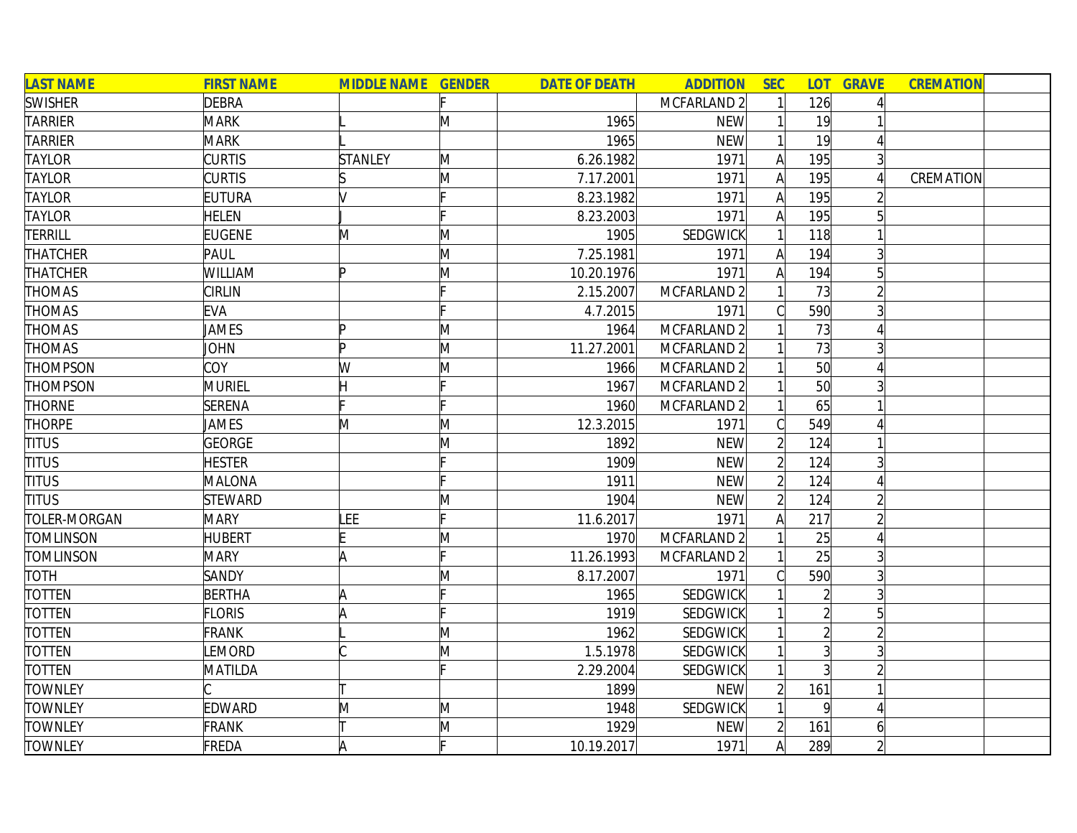| <b>LAST NAME</b> | <b>FIRST NAME</b> | <b>MIDDLE NAME GENDER</b> |   | <b>DATE OF DEATH</b> | <b>ADDITION</b>        | <b>SEC</b>     |                | <b>LOT GRAVE</b> | <b>CREMATION</b> |
|------------------|-------------------|---------------------------|---|----------------------|------------------------|----------------|----------------|------------------|------------------|
| <b>SWISHER</b>   | <b>DEBRA</b>      |                           |   |                      | MCFARLAND 2            |                | 126            |                  |                  |
| <b>TARRIER</b>   | <b>MARK</b>       |                           | M | 1965                 | <b>NEW</b>             |                | 19             |                  |                  |
| TARRIER          | <b>MARK</b>       |                           |   | 1965                 | <b>NEW</b>             |                | 19             |                  |                  |
| <b>TAYLOR</b>    | <b>CURTIS</b>     | <b>STANLEY</b>            | M | 6.26.1982            | 1971                   | Α              | 195            |                  |                  |
| TAYLOR           | <b>CURTIS</b>     |                           | M | 7.17.2001            | 1971                   | A              | 195            |                  | CREMATION        |
| <b>TAYLOR</b>    | <b>EUTURA</b>     |                           |   | 8.23.1982            | 1971                   | A              | 195            |                  |                  |
| <b>TAYLOR</b>    | <b>HELEN</b>      |                           |   | 8.23.2003            | 1971                   | $\mathsf{A}$   | 195            |                  |                  |
| TERRILL          | <b>EUGENE</b>     | M                         | M | 1905                 | <b>SEDGWICK</b>        |                | 118            |                  |                  |
| THATCHER         | PAUL              |                           | M | 7.25.1981            | 1971                   | A              | 194            |                  |                  |
| THATCHER         | WILLIAM           | Þ                         | M | 10.20.1976           | 1971                   | A              | 194            | 5                |                  |
| THOMAS           | <b>CIRLIN</b>     |                           |   | 2.15.2007            | MCFARLAND <sub>2</sub> |                | 73             |                  |                  |
| <b>THOMAS</b>    | <b>EVA</b>        |                           |   | 4.7.2015             | 1971                   |                | 590            |                  |                  |
| THOMAS           | <b>JAMES</b>      |                           | M | 1964                 | MCFARLAND 2            |                | 73             |                  |                  |
| THOMAS           | JOHN              | Þ                         | M | 11.27.2001           | MCFARLAND 2            |                | 73             | 3                |                  |
| THOMPSON         | COY               | W                         | M | 1966                 | MCFARLAND <sub>2</sub> |                | 50             |                  |                  |
| THOMPSON         | MURIEL            |                           |   | 1967                 | MCFARLAND 2            |                | 50             |                  |                  |
| <b>THORNE</b>    | <b>SERENA</b>     |                           |   | 1960                 | MCFARLAND <sub>2</sub> |                | 65             |                  |                  |
| <b>THORPE</b>    | JAMES             | M                         | M | 12.3.2015            | 1971                   |                | 549            |                  |                  |
| <b>TITUS</b>     | GEORGE            |                           | Μ | 1892                 | <b>NEW</b>             | $\overline{2}$ | 124            |                  |                  |
| <b>TITUS</b>     | <b>HESTER</b>     |                           |   | 1909                 | <b>NEW</b>             | $\overline{2}$ | 124            | 3                |                  |
| <b>TITUS</b>     | MALONA            |                           |   | 1911                 | <b>NEW</b>             | $\overline{2}$ | 124            |                  |                  |
| <b>TITUS</b>     | <b>STEWARD</b>    |                           | M | 1904                 | <b>NEW</b>             | $\overline{2}$ | 124            |                  |                  |
| TOLER-MORGAN     | <b>MARY</b>       | LEE                       |   | 11.6.2017            | 1971                   | А              | 217            |                  |                  |
| <b>TOMLINSON</b> | <b>HUBERT</b>     |                           | M | 1970                 | MCFARLAND 2            |                | 25             |                  |                  |
| <b>TOMLINSON</b> | <b>MARY</b>       | A                         |   | 11.26.1993           | MCFARLAND 2            |                | 25             | 3                |                  |
| <b>TOTH</b>      | SANDY             |                           | M | 8.17.2007            | 1971                   |                | 590            | 3                |                  |
| TOTTEN           | <b>BERTHA</b>     | A                         |   | 1965                 | SEDGWICK               |                | $\overline{2}$ |                  |                  |
| TOTTEN           | <b>FLORIS</b>     | IA                        |   | 1919                 | SEDGWICK               |                |                |                  |                  |
| <b>TOTTEN</b>    | <b>FRANK</b>      |                           | M | 1962                 | <b>SEDGWICK</b>        |                | $\overline{2}$ |                  |                  |
| <b>TOTTEN</b>    | LEMORD            |                           | M | 1.5.1978             | <b>SEDGWICK</b>        |                | $\overline{3}$ |                  |                  |
| <b>TOTTEN</b>    | MATILDA           |                           |   | 2.29.2004            | SEDGWICK               |                |                |                  |                  |
| <b>TOWNLEY</b>   |                   |                           |   | 1899                 | <b>NEW</b>             |                | 161            |                  |                  |
| <b>TOWNLEY</b>   | <b>EDWARD</b>     | M                         | M | 1948                 | SEDGWICK               |                | 9              |                  |                  |
| <b>TOWNLEY</b>   | <b>FRANK</b>      |                           | M | 1929                 | <b>NEW</b>             |                | 161            | $\vert 6 \vert$  |                  |
| <b>TOWNLEY</b>   | FREDA             |                           |   | 10.19.2017           | 1971                   | A              | 289            |                  |                  |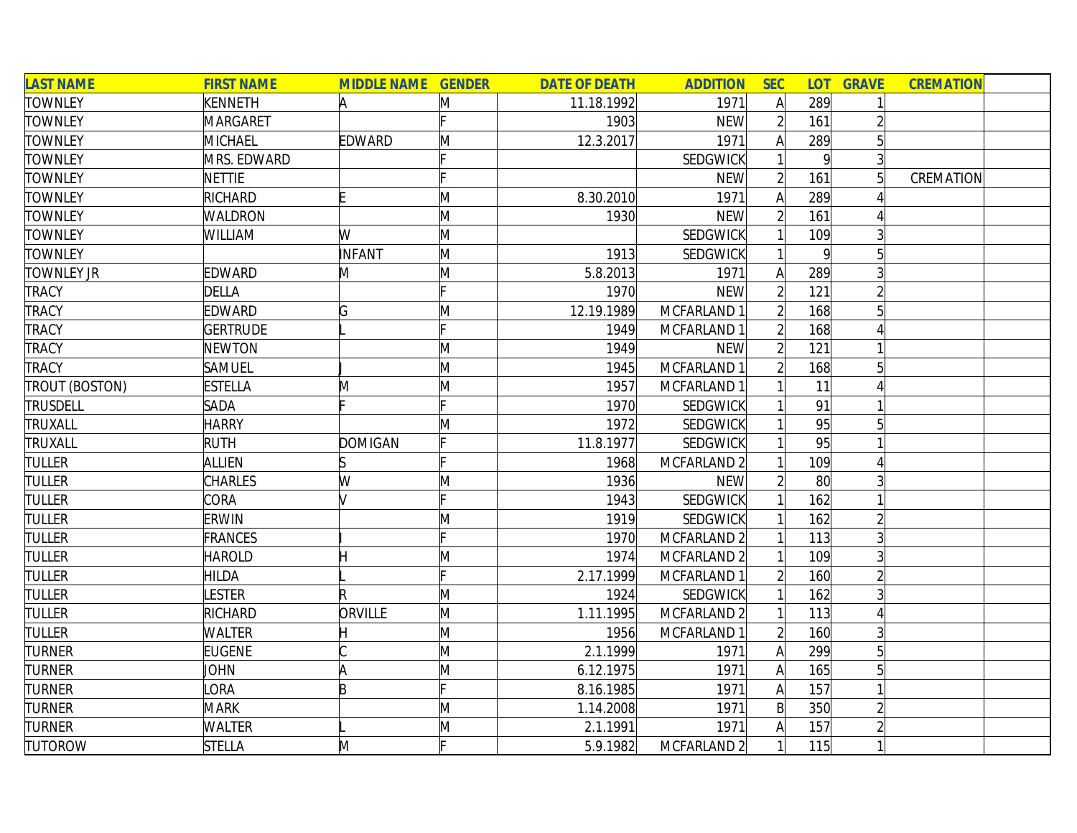| <b>LAST NAME</b>      | <b>FIRST NAME</b>  | <b>MIDDLE NAME GENDER</b> |    | <b>DATE OF DEATH</b> | <b>ADDITION</b> | <b>SEC</b>     | <b>LOT</b> | <b>GRAVE</b> | <b>CREMATION</b> |
|-----------------------|--------------------|---------------------------|----|----------------------|-----------------|----------------|------------|--------------|------------------|
| <b>TOWNLEY</b>        | <b>KENNETH</b>     |                           | M  | 11.18.1992           | 1971            | $\mathsf{A}$   | 289        |              |                  |
| <b>TOWNLEY</b>        | <b>MARGARET</b>    |                           |    | 1903                 | <b>NEW</b>      | $\overline{2}$ | 161        |              |                  |
| <b>TOWNLEY</b>        | <b>MICHAEL</b>     | <b>EDWARD</b>             | M  | 12.3.2017            | 1971            | A              | 289        |              |                  |
| <b>TOWNLEY</b>        | <b>MRS. EDWARD</b> |                           |    |                      | <b>SEDGWICK</b> |                | 9          | 3            |                  |
| <b>TOWNLEY</b>        | <b>NETTIE</b>      |                           |    |                      | <b>NEW</b>      | $\overline{2}$ | 161        |              | CREMATION        |
| <b>TOWNLEY</b>        | <b>RICHARD</b>     |                           | M  | 8.30.2010            | 1971            | A              | 289        |              |                  |
| <b>TOWNLEY</b>        | <b>WALDRON</b>     |                           | M  | 1930                 | <b>NEW</b>      | $\overline{2}$ | 161        |              |                  |
| <b>TOWNLEY</b>        | WILLIAM            | W                         | M  |                      | <b>SEDGWICK</b> |                | 109        |              |                  |
| <b>TOWNLEY</b>        |                    | INFANT                    | M  | 1913                 | <b>SEDGWICK</b> |                | $\vert$    |              |                  |
| <b>TOWNLEY JR</b>     | EDWARD             | M                         | M  | 5.8.2013             | 1971            | A              | 289        |              |                  |
| <b>TRACY</b>          | <b>DELLA</b>       |                           |    | 1970                 | <b>NEW</b>      | $\overline{2}$ | 121        |              |                  |
| <b>TRACY</b>          | <b>EDWARD</b>      | G                         | M  | 12.19.1989           | MCFARLAND 1     |                | 168        |              |                  |
| <b>TRACY</b>          | <b>GERTRUDE</b>    |                           |    | 1949                 | MCFARLAND 1     |                | 168        |              |                  |
| <b>TRACY</b>          | <b>NEWTON</b>      |                           | M  | 1949                 | <b>NEW</b>      |                | 121        |              |                  |
| <b>TRACY</b>          | SAMUEL             |                           | M  | 1945                 | MCFARLAND 1     |                | 168        |              |                  |
| <b>TROUT (BOSTON)</b> | <b>ESTELLA</b>     | M                         | M  | 1957                 | MCFARLAND 1     |                | 11         |              |                  |
| <b>TRUSDELL</b>       | SADA               |                           |    | 1970                 | <b>SEDGWICK</b> |                | 91         |              |                  |
| TRUXALL               | <b>HARRY</b>       |                           | M  | 1972                 | <b>SEDGWICK</b> |                | 95         |              |                  |
| TRUXALL               | <b>RUTH</b>        | <b>DOMIGAN</b>            | F  | 11.8.1977            | <b>SEDGWICK</b> |                | 95         |              |                  |
| <b>TULLER</b>         | <b>ALLIEN</b>      |                           |    | 1968                 | MCFARLAND 2     |                | 109        |              |                  |
| <b>TULLER</b>         | CHARLES            | W                         | M  | 1936                 | <b>NEW</b>      | $\overline{2}$ | 80         |              |                  |
| <b>TULLER</b>         | CORA               |                           | Ŀ. | 1943                 | SEDGWICK        |                | 162        |              |                  |
| <b>TULLER</b>         | <b>ERWIN</b>       |                           | M  | 1919                 | <b>SEDGWICK</b> |                | 162        |              |                  |
| <b>TULLER</b>         | FRANCES            |                           |    | 1970                 | MCFARLAND 2     |                | 113        |              |                  |
| <b>TULLER</b>         | <b>HAROLD</b>      |                           | M  | 1974                 | MCFARLAND 2     |                | 109        |              |                  |
| <b>TULLER</b>         | HILDA              |                           |    | 2.17.1999            | MCFARLAND 1     |                | 160        |              |                  |
| <b>TULLER</b>         | <b>ESTER</b>       | R                         | M  | 1924                 | <b>SEDGWICK</b> |                | 162        |              |                  |
| <b>TULLER</b>         | <b>RICHARD</b>     | ORVILLE                   | M  | 1.11.1995            | MCFARLAND 2     |                | 113        |              |                  |
| <b>TULLER</b>         | WALTER             |                           | M  | 1956                 | MCFARLAND 1     |                | 160        |              |                  |
| <b>TURNER</b>         | <b>EUGENE</b>      |                           | M  | 2.1.1999             | 1971            | A              | 299        | 5            |                  |
| <b>TURNER</b>         | <b>JOHN</b>        | A                         | M  | 6.12.1975            | 1971            | $\mathsf{A}$   | 165        | 5            |                  |
| <b>TURNER</b>         | <b>ORA</b>         | B                         |    | 8.16.1985            | 1971            | $\mathsf{A}$   | 157        |              |                  |
| <b>TURNER</b>         | <b>MARK</b>        |                           | M  | 1.14.2008            | 1971            | $\mathsf{B}$   | 350        |              |                  |
| <b>TURNER</b>         | WALTER             |                           | M  | 2.1.1991             | 1971            | Α              | 157        |              |                  |
| <b>TUTOROW</b>        | <b>STELLA</b>      | M                         | Ŀ. | 5.9.1982             | MCFARLAND 2     |                | 115        |              |                  |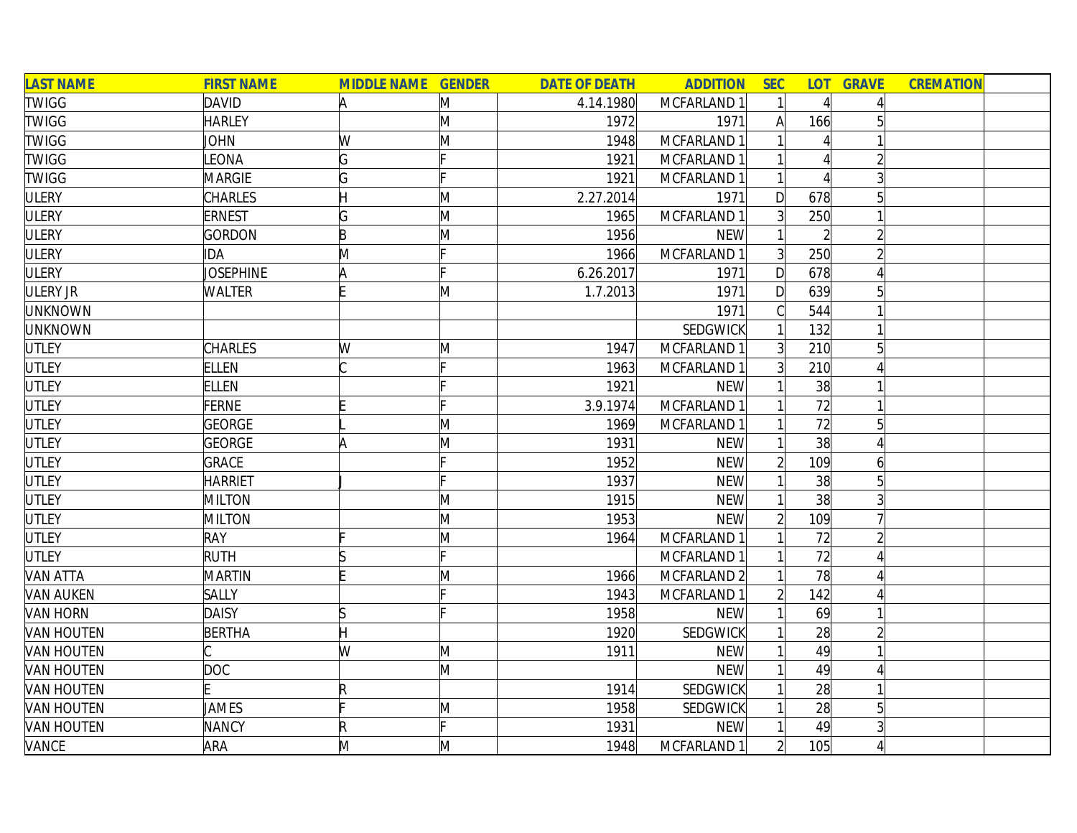| <b>LAST NAME</b>  | <b>FIRST NAME</b> | <b>MIDDLE NAME GENDER</b> |   | <b>DATE OF DEATH</b> | <b>ADDITION</b> | <b>SEC</b>     |     | <b>LOT GRAVE</b> | <b>CREMATION</b> |  |
|-------------------|-------------------|---------------------------|---|----------------------|-----------------|----------------|-----|------------------|------------------|--|
| <b>TWIGG</b>      | <b>DAVID</b>      | A                         | M | 4.14.1980            | MCFARLAND 1     |                |     |                  |                  |  |
| <b>TWIGG</b>      | <b>HARLEY</b>     |                           | M | 1972                 | 1971            | Al             | 166 |                  |                  |  |
| <b>TWIGG</b>      | <b>JOHN</b>       | W                         | M | 1948                 | MCFARLAND 1     |                |     |                  |                  |  |
| <b>TWIGG</b>      | LEONA             | G                         |   | 1921                 | MCFARLAND 1     |                |     |                  |                  |  |
| <b>TWIGG</b>      | <b>MARGIE</b>     | G                         |   | 1921                 | MCFARLAND 1     |                |     |                  |                  |  |
| <b>ULERY</b>      | <b>CHARLES</b>    |                           | Μ | 2.27.2014            | 1971            | D              | 678 | 5                |                  |  |
| <b>ULERY</b>      | <b>ERNEST</b>     | G                         | M | 1965                 | MCFARLAND 1     | $\overline{3}$ | 250 |                  |                  |  |
| <b>ULERY</b>      | GORDON            | B                         | M | 1956                 | <b>NEW</b>      |                |     |                  |                  |  |
| <b>ULERY</b>      | IDA               | M                         |   | 1966                 | MCFARLAND 1     | $\overline{3}$ | 250 |                  |                  |  |
| <b>ULERY</b>      | JOSEPHINE         |                           |   | 6.26.2017            | 1971            | $\mathsf{D}$   | 678 |                  |                  |  |
| ULERY JR          | <b>WALTER</b>     |                           | M | 1.7.2013             | 1971            | $\mathsf{D}$   | 639 |                  |                  |  |
| <b>UNKNOWN</b>    |                   |                           |   |                      | 1971            |                | 544 |                  |                  |  |
| <b>UNKNOWN</b>    |                   |                           |   |                      | <b>SEDGWICK</b> |                | 132 |                  |                  |  |
| <b>UTLEY</b>      | <b>CHARLES</b>    | W                         | M | 1947                 | MCFARLAND 1     | $\overline{3}$ | 210 |                  |                  |  |
| <b>UTLEY</b>      | <b>ELLEN</b>      |                           |   | 1963                 | MCFARLAND 1     |                | 210 |                  |                  |  |
| <b>UTLEY</b>      | <b>ELLEN</b>      |                           |   | 1921                 | <b>NEW</b>      |                | 38  |                  |                  |  |
| <b>UTLEY</b>      | <b>FERNE</b>      |                           |   | 3.9.1974             | MCFARLAND 1     |                | 72  |                  |                  |  |
| <b>UTLEY</b>      | <b>GEORGE</b>     |                           | M | 1969                 | MCFARLAND 1     |                | 72  | 5                |                  |  |
| UTLEY             | GEORGE            | A                         | M | 1931                 | <b>NEW</b>      |                | 38  |                  |                  |  |
| UTLEY             | <b>GRACE</b>      |                           |   | 1952                 | <b>NEW</b>      | $\overline{2}$ | 109 | 6                |                  |  |
| <b>UTLEY</b>      | <b>HARRIET</b>    |                           |   | 1937                 | <b>NEW</b>      |                | 38  | 5                |                  |  |
| <b>UTLEY</b>      | <b>MILTON</b>     |                           | M | 1915                 | <b>NEW</b>      |                | 38  |                  |                  |  |
| <b>UTLEY</b>      | <b>MILTON</b>     |                           | M | 1953                 | <b>NEW</b>      |                | 109 |                  |                  |  |
| <b>UTLEY</b>      | <b>RAY</b>        |                           | M | 1964                 | MCFARLAND 1     |                | 72  |                  |                  |  |
| <b>UTLEY</b>      | <b>RUTH</b>       | S                         |   |                      | MCFARLAND 1     |                | 72  |                  |                  |  |
| <b>VAN ATTA</b>   | <b>MARTIN</b>     |                           | M | 1966                 | MCFARLAND 2     |                | 78  |                  |                  |  |
| <b>VAN AUKEN</b>  | <b>SALLY</b>      |                           |   | 1943                 | MCFARLAND 1     |                | 142 |                  |                  |  |
| <b>VAN HORN</b>   | <b>DAISY</b>      | IS                        |   | 1958                 | <b>NEW</b>      |                | 69  |                  |                  |  |
| <b>VAN HOUTEN</b> | <b>BERTHA</b>     | Ή                         |   | 1920                 | SEDGWICK        |                | 28  |                  |                  |  |
| <b>VAN HOUTEN</b> |                   | W                         | M | 1911                 | <b>NEW</b>      |                | 49  |                  |                  |  |
| <b>VAN HOUTEN</b> | <b>DOC</b>        |                           | M |                      | <b>NEW</b>      |                | 49  |                  |                  |  |
| <b>VAN HOUTEN</b> |                   | $\mathsf R$               |   | 1914                 | <b>SEDGWICK</b> |                | 28  |                  |                  |  |
| <b>VAN HOUTEN</b> | JAMES             |                           | M | 1958                 | <b>SEDGWICK</b> |                | 28  | 5                |                  |  |
| <b>VAN HOUTEN</b> | <b>NANCY</b>      | R                         |   | 1931                 | <b>NEW</b>      |                | 49  |                  |                  |  |
| VANCE             | ARA               | M                         | M | 1948                 | MCFARLAND 1     | $\overline{2}$ | 105 |                  |                  |  |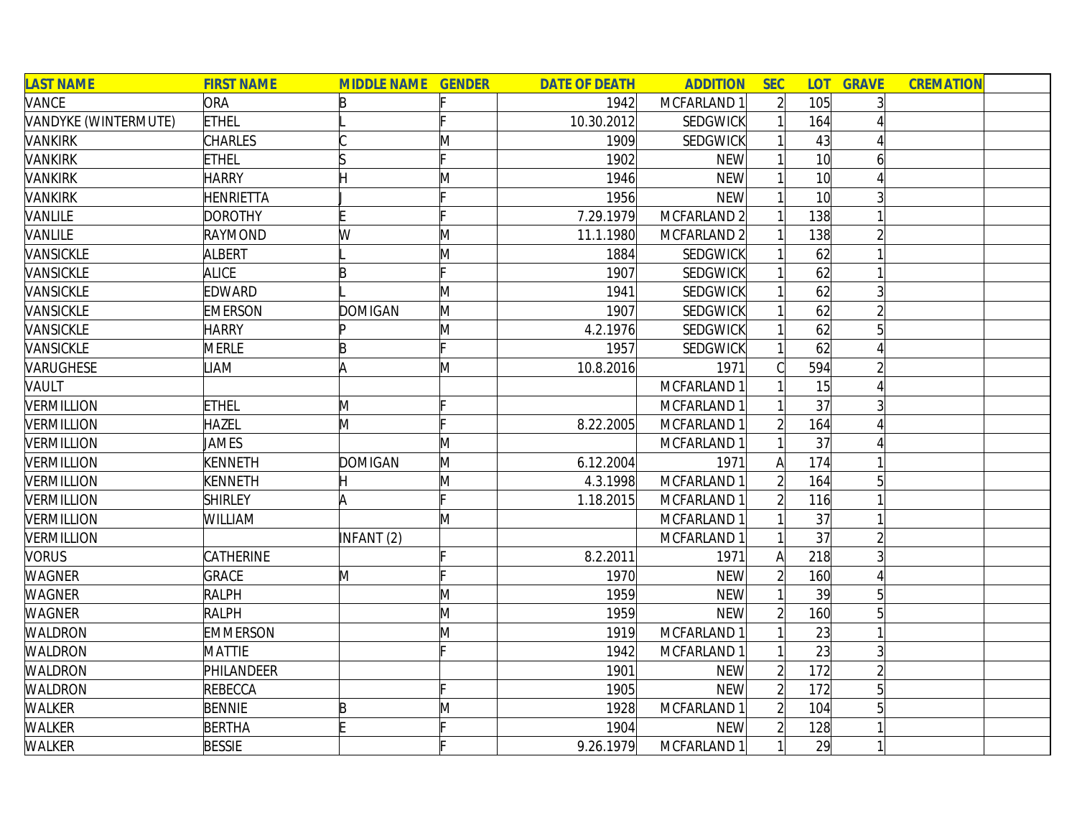| <b>LAST NAME</b>     | <b>FIRST NAME</b> | <b>MIDDLE NAME GENDER</b> |   | <b>DATE OF DEATH</b> | <b>ADDITION</b> | <b>SEC</b>     | <b>LOT</b>      | <b>GRAVE</b> | <b>CREMATION</b> |  |
|----------------------|-------------------|---------------------------|---|----------------------|-----------------|----------------|-----------------|--------------|------------------|--|
| VANCE                | ORA               | B                         |   | 1942                 | MCFARLAND 1     | $\overline{2}$ | 105             |              |                  |  |
| VANDYKE (WINTERMUTE) | <b>ETHEL</b>      |                           |   | 10.30.2012           | SEDGWICK        |                | 164             |              |                  |  |
| <b>VANKIRK</b>       | <b>CHARLES</b>    |                           | M | 1909                 | SEDGWICK        |                | 43              |              |                  |  |
| <b>VANKIRK</b>       | <b>ETHEL</b>      |                           |   | 1902                 | <b>NEW</b>      |                | 10 <sup>l</sup> | h            |                  |  |
| <b>VANKIRK</b>       | <b>HARRY</b>      |                           | Μ | 1946                 | <b>NEW</b>      |                | 10 <sup>l</sup> |              |                  |  |
| <b>VANKIRK</b>       | <b>HENRIETTA</b>  |                           |   | 1956                 | <b>NEW</b>      |                | 10 <sup>1</sup> |              |                  |  |
| VANLILE              | <b>DOROTHY</b>    |                           |   | 7.29.1979            | MCFARLAND 2     |                | 138             |              |                  |  |
| VANLILE              | <b>RAYMOND</b>    | W                         | M | 11.1.1980            | MCFARLAND 2     |                | 138             |              |                  |  |
| VANSICKLE            | ALBERT            |                           | M | 1884                 | <b>SEDGWICK</b> |                | 62              |              |                  |  |
| VANSICKLE            | <b>ALICE</b>      | B                         |   | 1907                 | <b>SEDGWICK</b> |                | 62              |              |                  |  |
| VANSICKLE            | EDWARD            |                           | M | 1941                 | <b>SEDGWICK</b> |                | 62              |              |                  |  |
| VANSICKLE            | <b>EMERSON</b>    | <b>DOMIGAN</b>            | M | 1907                 | SEDGWICK        |                | 62              |              |                  |  |
| VANSICKLE            | <b>HARRY</b>      |                           | M | 4.2.1976             | <b>SEDGWICK</b> |                | 62              |              |                  |  |
| VANSICKLE            | <b>MERLE</b>      | B                         |   | 1957                 | <b>SEDGWICK</b> |                | 62              |              |                  |  |
| VARUGHESE            | <b>IAM</b>        | A                         | M | 10.8.2016            | 1971            |                | 594             |              |                  |  |
| VAULT                |                   |                           |   |                      | MCFARLAND 1     |                | 15              |              |                  |  |
| <b>VERMILLION</b>    | <b>ETHEL</b>      | M                         |   |                      | MCFARLAND 1     |                | 37              |              |                  |  |
| <b>VERMILLION</b>    | <b>HAZEL</b>      | M                         |   | 8.22.2005            | MCFARLAND 1     |                | 164             |              |                  |  |
| <b>VERMILLION</b>    | JAMES             |                           | M |                      | MCFARLAND 1     |                | 37              |              |                  |  |
| <b>VERMILLION</b>    | <b>KENNETH</b>    | <b>DOMIGAN</b>            | M | 6.12.2004            | 1971            | $\mathsf{A}$   | 174             |              |                  |  |
| <b>VERMILLION</b>    | <b>KENNETH</b>    |                           | M | 4.3.1998             | MCFARLAND 1     | $\overline{2}$ | 164             | 5            |                  |  |
| <b>VERMILLION</b>    | <b>SHIRLEY</b>    |                           |   | 1.18.2015            | MCFARLAND 1     |                | 116             |              |                  |  |
| VERMILLION           | WILLIAM           |                           | M |                      | MCFARLAND 1     |                | 37              |              |                  |  |
| <b>VERMILLION</b>    |                   | INFANT (2)                |   |                      | MCFARLAND 1     |                | 37              |              |                  |  |
| <b>VORUS</b>         | CATHERINE         |                           |   | 8.2.2011             | 1971            | Α              | 218             |              |                  |  |
| <b>WAGNER</b>        | <b>GRACE</b>      | M                         |   | 1970                 | <b>NEW</b>      |                | 160             |              |                  |  |
| <b>WAGNER</b>        | <b>RALPH</b>      |                           | M | 1959                 | <b>NEW</b>      |                | 39              | 5            |                  |  |
| WAGNER               | <b>RALPH</b>      |                           | M | 1959                 | <b>NEW</b>      |                | 160             |              |                  |  |
| <b>WALDRON</b>       | <b>EMMERSON</b>   |                           | Μ | 1919                 | MCFARLAND 1     |                | 23              |              |                  |  |
| WALDRON              | <b>MATTIE</b>     |                           |   | 1942                 | MCFARLAND 1     |                | $\overline{23}$ |              |                  |  |
| WALDRON              | PHILANDEER        |                           |   | 1901                 | <b>NEW</b>      | $\overline{2}$ | 172             |              |                  |  |
| WALDRON              | REBECCA           |                           |   | 1905                 | <b>NEW</b>      | $\overline{2}$ | 172             | 5            |                  |  |
| WALKER               | <b>BENNIE</b>     | B                         | Μ | 1928                 | MCFARLAND 1     | $\overline{2}$ | 104             | 5            |                  |  |
| <b>WALKER</b>        | <b>BERTHA</b>     | E                         |   | 1904                 | <b>NEW</b>      |                | 128             |              |                  |  |
| WALKER               | <b>BESSIE</b>     |                           |   | 9.26.1979            | MCFARLAND 1     |                | 29              |              |                  |  |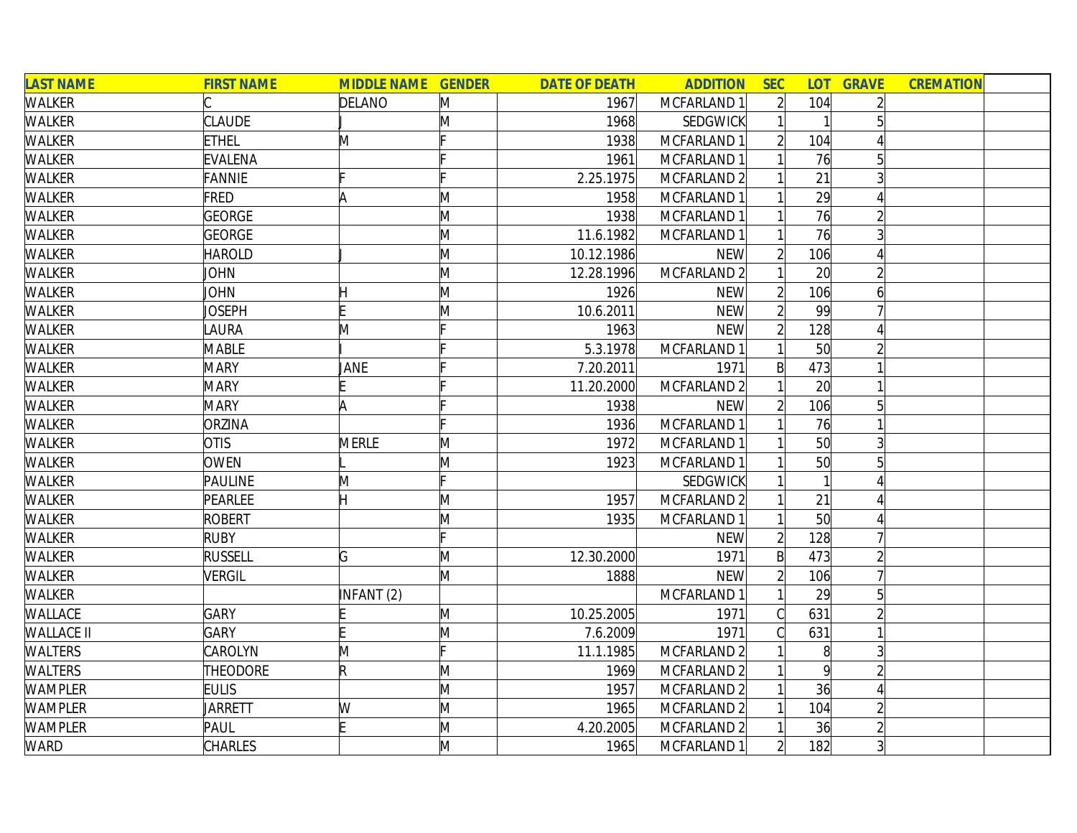| <b>LAST NAME</b>  | <b>FIRST NAME</b> | <b>MIDDLE NAME GENDER</b> |              | <b>DATE OF DEATH</b> | <b>ADDITION</b> | <b>SEC</b>     |                 | <b>LOT GRAVE</b> | <b>CREMATION</b> |  |
|-------------------|-------------------|---------------------------|--------------|----------------------|-----------------|----------------|-----------------|------------------|------------------|--|
| WALKER            |                   | DELANO                    | M            | 1967                 | MCFARLAND 1     | $\overline{2}$ | 104             |                  |                  |  |
| <b>WALKER</b>     | <b>CLAUDE</b>     |                           | M            | 1968                 | <b>SEDGWICK</b> |                |                 |                  |                  |  |
| WALKER            | <b>ETHEL</b>      | M                         |              | 1938                 | MCFARLAND 1     | $\overline{2}$ | 104             |                  |                  |  |
| <b>WALKER</b>     | <b>EVALENA</b>    |                           |              | 1961                 | MCFARLAND 1     |                | 76              | 5                |                  |  |
| <b>WALKER</b>     | <b>FANNIE</b>     |                           |              | 2.25.1975            | MCFARLAND 2     |                | 21              |                  |                  |  |
| <b>WALKER</b>     | FRED              | A                         | M            | 1958                 | MCFARLAND 1     |                | 29              |                  |                  |  |
| WALKER            | <b>GEORGE</b>     |                           | M            | 1938                 | MCFARLAND 1     |                | 76              |                  |                  |  |
| WALKER            | GEORGE            |                           | M            | 11.6.1982            | MCFARLAND 1     |                | 76              |                  |                  |  |
| WALKER            | <b>HAROLD</b>     |                           | M            | 10.12.1986           | <b>NEW</b>      | $\overline{2}$ | 106             |                  |                  |  |
| <b>WALKER</b>     | <b>JOHN</b>       |                           | M            | 12.28.1996           | MCFARLAND 2     |                | 20              |                  |                  |  |
| WALKER            | JOHN              |                           | M            | 1926                 | <b>NEW</b>      |                | 106             | 6                |                  |  |
| WALKER            | <b>JOSEPH</b>     |                           | M            | 10.6.2011            | <b>NEW</b>      |                | 99              |                  |                  |  |
| WALKER            | <b>AURA</b>       | M                         |              | 1963                 | <b>NEW</b>      |                | 128             |                  |                  |  |
| WALKER            | <b>MABLE</b>      |                           |              | 5.3.1978             | MCFARLAND 1     |                | 50              |                  |                  |  |
| WALKER            | <b>MARY</b>       | JANE                      |              | 7.20.2011            | 1971            | B              | 473             |                  |                  |  |
| WALKER            | <b>MARY</b>       |                           |              | 11.20.2000           | MCFARLAND 2     |                | 20 <sup>1</sup> |                  |                  |  |
| WALKER            | <b>MARY</b>       | A                         |              | 1938                 | <b>NEW</b>      |                | 106             |                  |                  |  |
| WALKER            | ORZINA            |                           |              | 1936                 | MCFARLAND 1     |                | 76              |                  |                  |  |
| <b>WALKER</b>     | <b>OTIS</b>       | <b>MERLE</b>              | M            | 1972                 | MCFARLAND 1     |                | 50              | $\overline{3}$   |                  |  |
| WALKER            | <b>OWEN</b>       |                           | M            | 1923                 | MCFARLAND 1     |                | 50 <sup>1</sup> | 5                |                  |  |
| <b>WALKER</b>     | PAULINE           | M                         | IE.          |                      | <b>SEDGWICK</b> |                |                 |                  |                  |  |
| WALKER            | PEARLEE           |                           | $\mathsf{M}$ | 1957                 | MCFARLAND 2     |                | 21              |                  |                  |  |
| WALKER            | <b>ROBERT</b>     |                           | M            | 1935                 | MCFARLAND 1     |                | 50              |                  |                  |  |
| WALKER            | <b>RUBY</b>       |                           | F            |                      | <b>NEW</b>      | $\overline{2}$ | 128             |                  |                  |  |
| <b>WALKER</b>     | <b>RUSSELL</b>    | G                         | M            | 12.30.2000           | 1971            | $\mathsf{B}$   | 473             |                  |                  |  |
| WALKER            | VERGIL            |                           | M            | 1888                 | <b>NEW</b>      |                | 106             |                  |                  |  |
| WALKER            |                   | INFANT (2)                |              |                      | MCFARLAND 1     |                | 29              | 5                |                  |  |
| WALLACE           | <b>GARY</b>       |                           | M            | 10.25.2005           | 1971            |                | 631             |                  |                  |  |
| <b>WALLACE II</b> | <b>GARY</b>       |                           | M            | 7.6.2009             | 1971            |                | 631             |                  |                  |  |
| <b>WALTERS</b>    | CAROLYN           | M                         | IF.          | 11.1.1985            | MCFARLAND 2     |                | 8 <sup>1</sup>  |                  |                  |  |
| <b>WALTERS</b>    | <b>THEODORE</b>   | R                         | M            | 1969                 | MCFARLAND 2     |                | $\mathsf{q}$    |                  |                  |  |
| <b>WAMPLER</b>    | <b>EULIS</b>      |                           | M            | 1957                 | MCFARLAND 2     |                | 36              |                  |                  |  |
| <b>WAMPLER</b>    | JARRETT           | W                         | M            | 1965                 | MCFARLAND 2     |                | 104             |                  |                  |  |
| <b>WAMPLER</b>    | PAUL              | F                         | $\mathsf{M}$ | 4.20.2005            | MCFARLAND 2     |                | 36              |                  |                  |  |
| <b>WARD</b>       | <b>CHARLES</b>    |                           | M            | 1965                 | MCFARLAND 1     | $\overline{2}$ | 182             | $\overline{3}$   |                  |  |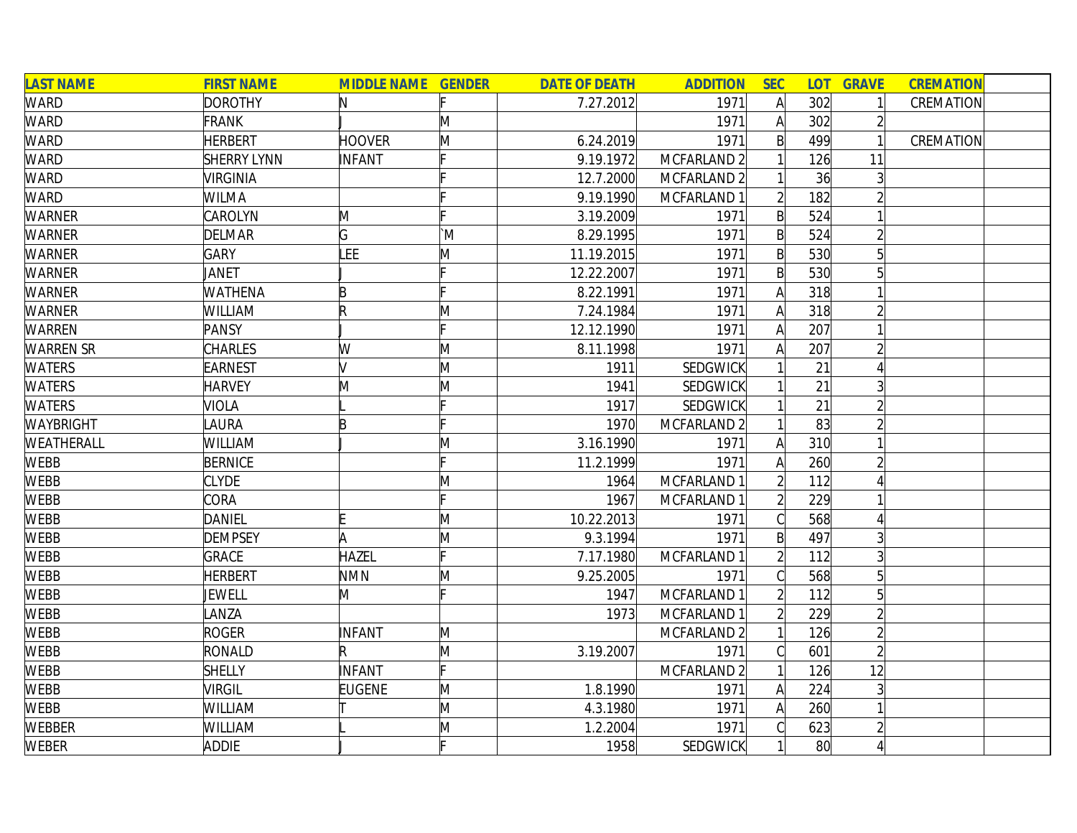| <b>LAST NAME</b> | <b>FIRST NAME</b>  | <b>MIDDLE NAME GENDER</b> |    | <b>DATE OF DEATH</b> | <b>ADDITION</b>        | <b>SEC</b>     |              | <b>LOT GRAVE</b> | <b>CREMATION</b> |
|------------------|--------------------|---------------------------|----|----------------------|------------------------|----------------|--------------|------------------|------------------|
| WARD             | <b>DOROTHY</b>     | N                         |    | 7.27.2012            | 1971                   | $\mathsf{A}$   | 302          |                  | CREMATION        |
| WARD             | <b>FRANK</b>       |                           | M  |                      | 1971                   | A              | 302          |                  |                  |
| <b>WARD</b>      | <b>HERBERT</b>     | <b>HOOVER</b>             | M  | 6.24.2019            | 1971                   | B              | 499          |                  | CREMATION        |
| <b>WARD</b>      | <b>SHERRY LYNN</b> | <b>INFANT</b>             |    | 9.19.1972            | MCFARLAND <sub>2</sub> |                | 126          | 11               |                  |
| <b>WARD</b>      | <b>VIRGINIA</b>    |                           |    | 12.7.2000            | MCFARLAND 2            |                | 36           |                  |                  |
| <b>WARD</b>      | <b>WILMA</b>       |                           |    | 9.19.1990            | MCFARLAND 1            |                | 182          |                  |                  |
| <b>WARNER</b>    | <b>CAROLYN</b>     | M                         |    | 3.19.2009            | 1971                   | $\mathsf{B}$   | 524          |                  |                  |
| <b>WARNER</b>    | <b>DELMAR</b>      | G                         | `M | 8.29.1995            | 1971                   | $\mathsf{B}$   | 524          |                  |                  |
| <b>WARNER</b>    | <b>GARY</b>        | LEE                       | M  | 11.19.2015           | 1971                   | $\mathsf{B}$   | 530          | 5                |                  |
| <b>WARNER</b>    | JANET              |                           |    | 12.22.2007           | 1971                   | $\mathsf{B}$   | 530          |                  |                  |
| WARNER           | <b>WATHENA</b>     | B                         |    | 8.22.1991            | 1971                   | A              | 318          |                  |                  |
| <b>WARNER</b>    | <b>WILLIAM</b>     | R                         | Μ  | 7.24.1984            | 1971                   |                | 318          |                  |                  |
| <b>WARREN</b>    | PANSY              |                           |    | 12.12.1990           | 1971                   |                | 207          |                  |                  |
| <b>WARREN SR</b> | <b>CHARLES</b>     | W                         | M  | 8.11.1998            | 1971                   | А              | 207          |                  |                  |
| <b>WATERS</b>    | EARNEST            | M                         | M  | 1911                 | SEDGWICK               |                | 21           |                  |                  |
| <b>WATERS</b>    | <b>HARVEY</b>      | M                         | M  | 1941                 | SEDGWICK               |                | 21           |                  |                  |
| <b>WATERS</b>    | VIOLA              |                           |    | 1917                 | <b>SEDGWICK</b>        |                | 21           |                  |                  |
| <b>WAYBRIGHT</b> | LAURA              | B                         |    | 1970                 | MCFARLAND <sub>2</sub> |                | 83           |                  |                  |
| WEATHERALL       | <b>WILLIAM</b>     |                           | Μ  | 3.16.1990            | 1971                   | A              | 310          |                  |                  |
| <b>WEBB</b>      | <b>BERNICE</b>     |                           |    | 11.2.1999            | 1971                   | A              | 260          |                  |                  |
| <b>WEBB</b>      | <b>CLYDE</b>       |                           | M  | 1964                 | MCFARLAND 1            |                | 112          |                  |                  |
| <b>WEBB</b>      | <b>CORA</b>        |                           |    | 1967                 | MCFARLAND 1            |                | 229          |                  |                  |
| <b>WEBB</b>      | <b>DANIEL</b>      |                           | M  | 10.22.2013           | 1971                   |                | 568          |                  |                  |
| <b>WEBB</b>      | <b>DEMPSEY</b>     | A                         | M  | 9.3.1994             | 1971                   | $\mathsf{B}$   | 497          |                  |                  |
| WEBB             | <b>GRACE</b>       | <b>HAZEL</b>              |    | 7.17.1980            | MCFARLAND 1            | $\overline{2}$ | 112          | 3 <sup>l</sup>   |                  |
| <b>WEBB</b>      | <b>HERBERT</b>     | <b>NMN</b>                | M  | 9.25.2005            | 1971                   |                | 568          | 5 <sup>1</sup>   |                  |
| <b>WEBB</b>      | JEWELL             | M                         |    | 1947                 | MCFARLAND 1            |                | 112          |                  |                  |
| <b>WEBB</b>      | LANZA              |                           |    | 1973                 | MCFARLAND 1            |                | 229          |                  |                  |
| <b>WEBB</b>      | <b>ROGER</b>       | INFANT                    | M  |                      | MCFARLAND <sub>2</sub> |                | 126          |                  |                  |
| <b>WEBB</b>      | RONALD             | R                         | M  | 3.19.2007            | 1971                   |                | 601          | $\overline{2}$   |                  |
| <b>WEBB</b>      | <b>SHELLY</b>      | INFANT                    |    |                      | MCFARLAND 2            |                | 126          | 12               |                  |
| <b>WEBB</b>      | <b>VIRGIL</b>      | <b>EUGENE</b>             | M  | 1.8.1990             | 1971                   | $\mathsf{A}$   | 224          | 3                |                  |
| <b>WEBB</b>      | <b>WILLIAM</b>     |                           | M  | 4.3.1980             | 1971                   | $\mathsf{A}$   | 260          |                  |                  |
| <b>WEBBER</b>    | WILLIAM            |                           | M  | 1.2.2004             | 1971                   |                | 623          |                  |                  |
| <b>WEBER</b>     | <b>ADDIE</b>       |                           |    | 1958                 | SEDGWICK               |                | $80^{\circ}$ |                  |                  |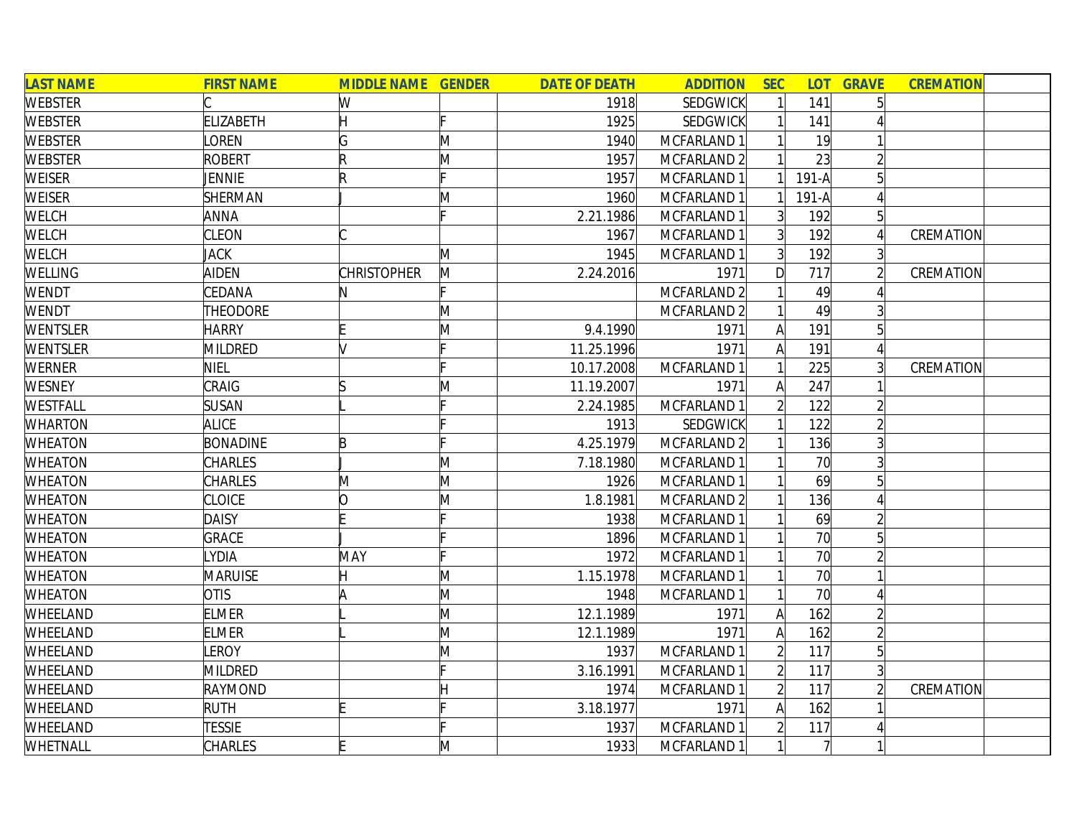| <b>LAST NAME</b> | <b>FIRST NAME</b> | <b>MIDDLE NAME GENDER</b> |   | <b>DATE OF DEATH</b> | <b>ADDITION</b>        | <b>SEC</b>     | <b>LOT</b> | <b>GRAVE</b>   | <b>CREMATION</b> |
|------------------|-------------------|---------------------------|---|----------------------|------------------------|----------------|------------|----------------|------------------|
| <b>WEBSTER</b>   |                   | W                         |   | 1918                 | <b>SEDGWICK</b>        |                | 141        |                |                  |
| <b>WEBSTER</b>   | <b>ELIZABETH</b>  | Η                         |   | 1925                 | SEDGWICK               |                | 141        |                |                  |
| WEBSTER          | LOREN             | G                         | M | 1940                 | MCFARLAND 1            |                | 19         |                |                  |
| WEBSTER          | <b>ROBERT</b>     | R                         | M | 1957                 | MCFARLAND 2            |                | 23         |                |                  |
| <b>WEISER</b>    | <b>JENNIE</b>     | R                         |   | 1957                 | MCFARLAND 1            |                | $191-A$    | 5 <sup>1</sup> |                  |
| <b>WEISER</b>    | <b>SHERMAN</b>    |                           | Μ | 1960                 | MCFARLAND 1            |                | $191-A$    |                |                  |
| WELCH            | <b>ANNA</b>       |                           |   | 2.21.1986            | MCFARLAND 1            | 3 <sup>1</sup> | 192        | 5 <sup>1</sup> |                  |
| WELCH            | <b>CLEON</b>      |                           |   | 1967                 | MCFARLAND 1            | 3 <sup>1</sup> | 192        |                | CREMATION        |
| WELCH            | <b>JACK</b>       |                           | M | 1945                 | MCFARLAND 1            | $\overline{3}$ | 192        |                |                  |
| WELLING          | <b>AIDEN</b>      | <b>CHRISTOPHER</b>        | M | 2.24.2016            | 1971                   | D              | 717        |                | CREMATION        |
| WENDT            | CEDANA            | N                         |   |                      | MCFARLAND 2            |                | 49         |                |                  |
| WENDT            | <b>THEODORE</b>   |                           | M |                      | MCFARLAND 2            |                | 49         |                |                  |
| WENTSLER         | <b>HARRY</b>      |                           | M | 9.4.1990             | 1971                   |                | 191        |                |                  |
| WENTSLER         | MILDRED           | lv                        |   | 11.25.1996           | 1971                   | А              | 191        |                |                  |
| WERNER           | <b>NIEL</b>       |                           |   | 10.17.2008           | MCFARLAND 1            |                | 225        |                | CREMATION        |
| WESNEY           | CRAIG             | ß                         | M | 11.19.2007           | 1971                   |                | 247        |                |                  |
| WESTFALL         | <b>SUSAN</b>      |                           |   | 2.24.1985            | MCFARLAND 1            |                | 122        |                |                  |
| WHARTON          | <b>ALICE</b>      |                           |   | 1913                 | <b>SEDGWICK</b>        |                | 122        |                |                  |
| <b>WHEATON</b>   | <b>BONADINE</b>   | B                         |   | 4.25.1979            | MCFARLAND 2            |                | 136        |                |                  |
| <b>WHEATON</b>   | <b>CHARLES</b>    |                           | M | 7.18.1980            | MCFARLAND 1            |                | 70         |                |                  |
| <b>WHEATON</b>   | <b>CHARLES</b>    | M                         | M | 1926                 | MCFARLAND 1            |                | 69         |                |                  |
| <b>WHEATON</b>   | <b>CLOICE</b>     | 0                         | Μ | 1.8.1981             | MCFARLAND <sub>2</sub> |                | 136        |                |                  |
| <b>WHEATON</b>   | <b>DAISY</b>      |                           |   | 1938                 | MCFARLAND 1            |                | 69         |                |                  |
| WHEATON          | <b>GRACE</b>      |                           |   | 1896                 | MCFARLAND 1            |                | 70         |                |                  |
| WHEATON          | <b>YDIA</b>       | MAY                       |   | 1972                 | MCFARLAND 1            |                | 70         |                |                  |
| WHEATON          | <b>MARUISE</b>    |                           | M | 1.15.1978            | MCFARLAND 1            |                | 70         |                |                  |
| <b>WHEATON</b>   | <b>OTIS</b>       | l۵                        | M | 1948                 | MCFARLAND 1            |                | 70         |                |                  |
| WHEELAND         | <b>ELMER</b>      |                           | M | 12.1.1989            | 1971                   | A              | 162        |                |                  |
| WHEELAND         | <b>ELMER</b>      |                           | M | 12.1.1989            | 1971                   | A              | 162        |                |                  |
| WHEELAND         | LEROY             |                           | M | 1937                 | MCFARLAND 1            | $\overline{2}$ | 117        | $\overline{5}$ |                  |
| WHEELAND         | MILDRED           |                           |   | 3.16.1991            | MCFARLAND 1            | $\overline{2}$ | 117        |                |                  |
| WHEELAND         | RAYMOND           |                           |   | 1974                 | MCFARLAND 1            | $\overline{2}$ | 117        |                | CREMATION        |
| WHEELAND         | <b>RUTH</b>       |                           |   | 3.18.1977            | 1971                   | A              | 162        |                |                  |
| WHEELAND         | <b>TESSIE</b>     |                           |   | 1937                 | MCFARLAND 1            |                | 117        |                |                  |
| WHETNALL         | <b>CHARLES</b>    |                           | M | 1933                 | MCFARLAND 1            |                |            |                |                  |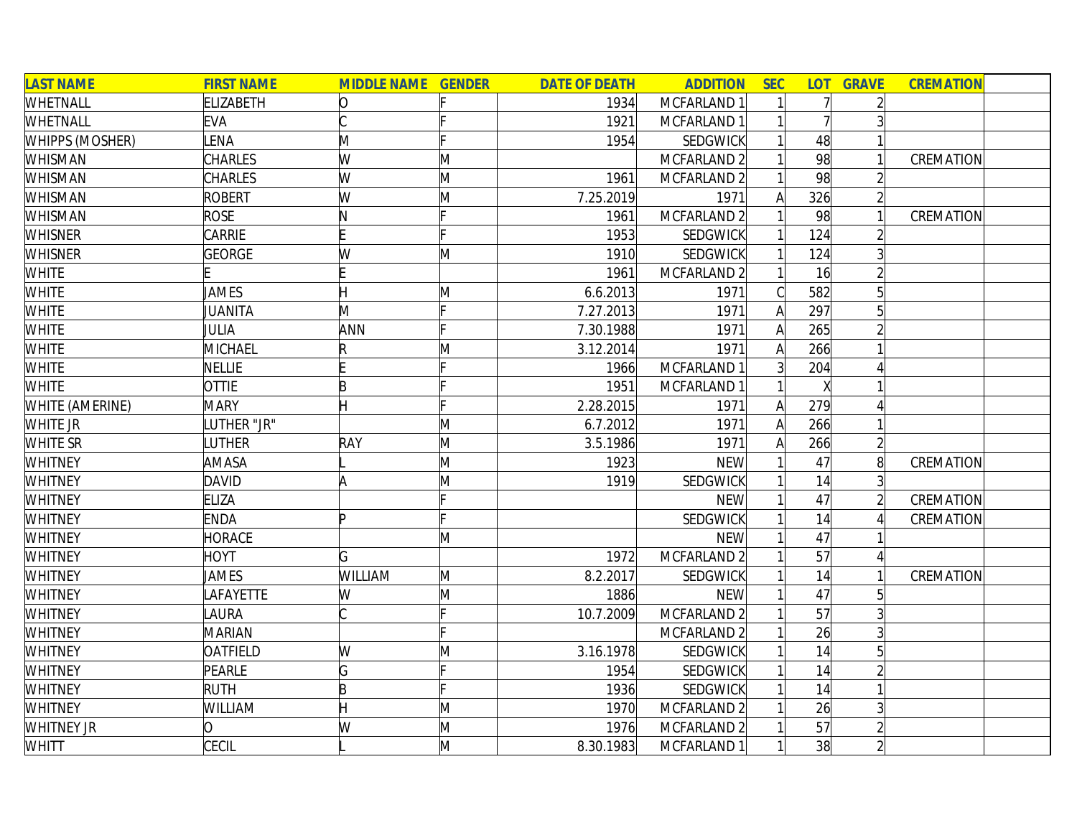| <b>LAST NAME</b>       | <b>FIRST NAME</b> | <b>MIDDLE NAME GENDER</b> |   | <b>DATE OF DEATH</b> | <b>ADDITION</b> | <b>SEC</b>     | <b>LOT</b> | <b>GRAVE</b>   | <b>CREMATION</b> |  |
|------------------------|-------------------|---------------------------|---|----------------------|-----------------|----------------|------------|----------------|------------------|--|
| WHETNALL               | <b>ELIZABETH</b>  | 10                        |   | 1934                 | MCFARLAND 1     | 1              | 7          |                |                  |  |
| WHETNALL               | <b>EVA</b>        |                           |   | 1921                 | MCFARLAND 1     |                |            |                |                  |  |
| <b>WHIPPS (MOSHER)</b> | <b>ENA</b>        | M                         |   | 1954                 | SEDGWICK        |                | 48         |                |                  |  |
| WHISMAN                | CHARLES           | W                         | M |                      | MCFARLAND 2     |                | 98         |                | CREMATION        |  |
| <b>WHISMAN</b>         | CHARLES           | W                         | M | 1961                 | MCFARLAND 2     |                | 98         | $\overline{2}$ |                  |  |
| <b>WHISMAN</b>         | <b>ROBERT</b>     | W                         | Μ | 7.25.2019            | 1971            | A              | 326        | $\overline{2}$ |                  |  |
| <b>WHISMAN</b>         | <b>ROSE</b>       | N                         |   | 1961                 | MCFARLAND 2     | $\mathbf{1}$   | 98         |                | CREMATION        |  |
| <b>WHISNER</b>         | CARRIE            |                           |   | 1953                 | SEDGWICK        |                | 124        |                |                  |  |
| <b>WHISNER</b>         | <b>GEORGE</b>     | W                         | M | 1910                 | <b>SEDGWICK</b> |                | 124        |                |                  |  |
| <b>WHITE</b>           |                   |                           |   | 1961                 | MCFARLAND 2     |                | 16         |                |                  |  |
| <b>WHITE</b>           | JAMES             |                           | M | 6.6.2013             | 1971            | $\mathcal{C}$  | 582        |                |                  |  |
| <b>WHITE</b>           | JUANITA           | M                         |   | 7.27.2013            | 1971            | $\mathsf{A}$   | 297        |                |                  |  |
| <b>WHITE</b>           | JULIA             | ANN                       |   | 7.30.1988            | 1971            | A              | 265        |                |                  |  |
| <b>WHITE</b>           | <b>MICHAEL</b>    | R                         | M | 3.12.2014            | 1971            | Α              | 266        |                |                  |  |
| <b>WHITE</b>           | <b>NELLIE</b>     |                           |   | 1966                 | MCFARLAND 1     | $\overline{3}$ | 204        |                |                  |  |
| <b>WHITE</b>           | <b>OTTIE</b>      | B                         |   | 1951                 | MCFARLAND 1     |                | X          |                |                  |  |
| <b>WHITE (AMERINE)</b> | <b>MARY</b>       | н                         |   | 2.28.2015            | 1971            | A              | 279        |                |                  |  |
| WHITE JR               | UTHER "JR"        |                           | M | 6.7.2012             | 1971            | A              | 266        |                |                  |  |
| <b>WHITE SR</b>        | LUTHER            | RAY                       | M | 3.5.1986             | 1971            | A              | 266        | $\overline{2}$ |                  |  |
| <b>WHITNEY</b>         | AMASA             |                           | M | 1923                 | <b>NEW</b>      |                | 47         | $\overline{8}$ | CREMATION        |  |
| <b>WHITNEY</b>         | <b>DAVID</b>      | A                         | M | 1919                 | <b>SEDGWICK</b> |                | 14         | 3              |                  |  |
| <b>WHITNEY</b>         | <b>ELIZA</b>      |                           |   |                      | <b>NEW</b>      |                | 47         | $\overline{2}$ | CREMATION        |  |
| <b>WHITNEY</b>         | <b>ENDA</b>       | Þ                         |   |                      | SEDGWICK        |                | 14         |                | CREMATION        |  |
| <b>WHITNEY</b>         | <b>HORACE</b>     |                           | M |                      | <b>NEW</b>      |                | 47         |                |                  |  |
| <b>WHITNEY</b>         | <b>HOYT</b>       | G                         |   | 1972                 | MCFARLAND 2     |                | 57         |                |                  |  |
| <b>WHITNEY</b>         | <b>JAMES</b>      | <b>WILLIAM</b>            | M | 8.2.2017             | <b>SEDGWICK</b> |                | 14         |                | CREMATION        |  |
| <b>WHITNEY</b>         | <b>AFAYETTE</b>   | W                         | M | 1886                 | <b>NEW</b>      |                | 47         |                |                  |  |
| <b>WHITNEY</b>         | <b>AURA</b>       |                           |   | 10.7.2009            | MCFARLAND 2     |                | 57         |                |                  |  |
| <b>WHITNEY</b>         | <b>MARIAN</b>     |                           |   |                      | MCFARLAND 2     |                | 26         |                |                  |  |
| <b>WHITNEY</b>         | <b>OATFIELD</b>   | W                         | Μ | 3.16.1978            | <b>SEDGWICK</b> |                | 14         | $\overline{5}$ |                  |  |
| <b>WHITNEY</b>         | PEARLE            | G                         |   | 1954                 | <b>SEDGWICK</b> |                | 14         |                |                  |  |
| <b>WHITNEY</b>         | <b>RUTH</b>       | B                         |   | 1936                 | SEDGWICK        |                | 14         |                |                  |  |
| <b>WHITNEY</b>         | WILLIAM           |                           | M | 1970                 | MCFARLAND 2     |                | 26         |                |                  |  |
| <b>WHITNEY JR</b>      | 0                 | W                         | M | 1976                 | MCFARLAND 2     |                | 57         |                |                  |  |
| WHITT                  | CECIL             |                           | M | 8.30.1983            | MCFARLAND 1     | $\mathbf{1}$   | 38         |                |                  |  |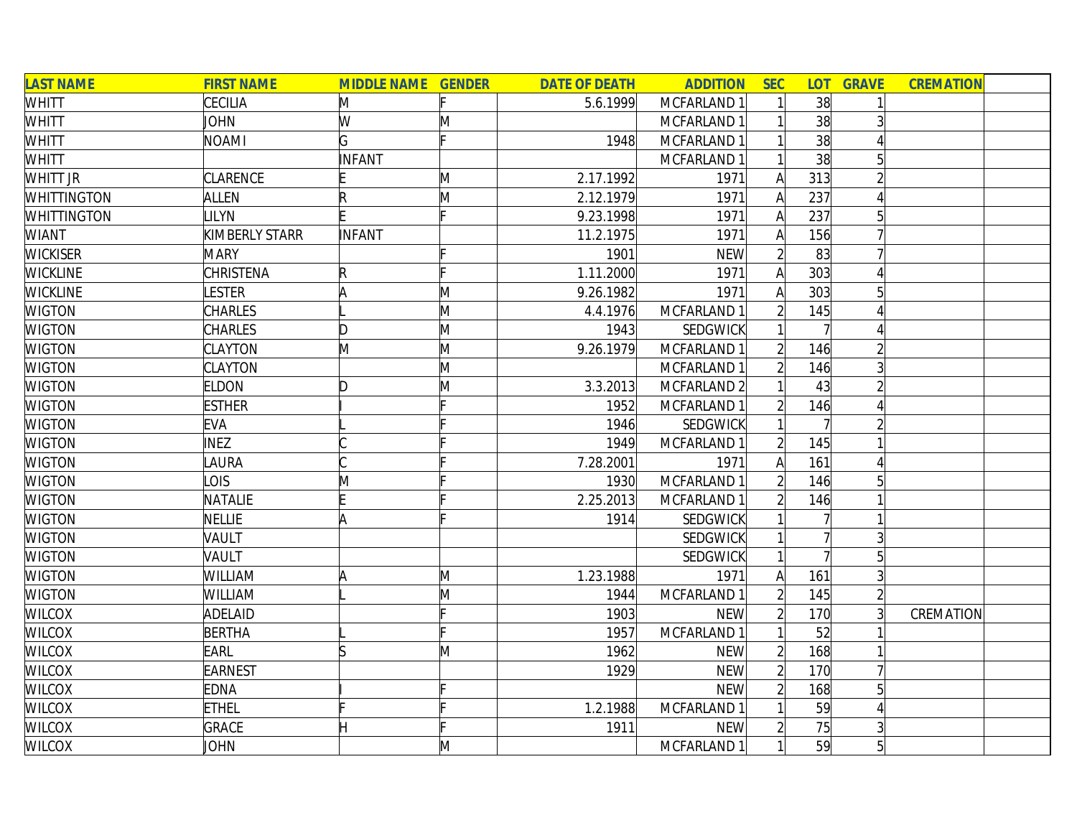| <b>LAST NAME</b>   | <b>FIRST NAME</b> | <b>MIDDLE NAME GENDER</b> |              | <b>DATE OF DEATH</b> | <b>ADDITION</b> | <b>SEC</b>     | <b>LOT</b> | <b>GRAVE</b>    | <b>CREMATION</b> |  |
|--------------------|-------------------|---------------------------|--------------|----------------------|-----------------|----------------|------------|-----------------|------------------|--|
| WHITT              | <b>CECILIA</b>    | M                         |              | 5.6.1999             | MCFARLAND 1     |                | 38         |                 |                  |  |
| WHITT              | JOHN              | W                         | M            |                      | MCFARLAND 1     |                | 38         |                 |                  |  |
| WHITT              | <b>NOAMI</b>      | G                         |              | 1948                 | MCFARLAND 1     |                | 38         |                 |                  |  |
| WHITT              |                   | <b>INFANT</b>             |              |                      | MCFARLAND 1     |                | 38         | 5               |                  |  |
| WHITT JR           | CLARENCE          |                           | M            | 2.17.1992            | 1971            | $\mathsf{A}$   | 313        |                 |                  |  |
| <b>WHITTINGTON</b> | <b>ALLEN</b>      |                           | M            | 2.12.1979            | 1971            | $\mathsf{A}$   | 237        |                 |                  |  |
| <b>WHITTINGTON</b> | <b>ILYN</b>       |                           |              | 9.23.1998            | 1971            | A              | 237        | $5\overline{)}$ |                  |  |
| <b>WIANT</b>       | KIMBERLY STARR    | <b>INFANT</b>             |              | 11.2.1975            | 1971            | $\mathsf{A}$   | 156        |                 |                  |  |
| <b>WICKISER</b>    | <b>MARY</b>       |                           |              | 1901                 | <b>NEW</b>      | $\overline{2}$ | 83         |                 |                  |  |
| <b>WICKLINE</b>    | CHRISTENA         |                           |              | 1.11.2000            | 1971            | A              | 303        |                 |                  |  |
| <b>WICKLINE</b>    | <b>ESTER</b>      | ΙA                        | $\mathsf{M}$ | 9.26.1982            | 1971            | Α              | 303        |                 |                  |  |
| <b>WIGTON</b>      | <b>CHARLES</b>    |                           | M            | 4.4.1976             | MCFARLAND 1     |                | 145        |                 |                  |  |
| <b>WIGTON</b>      | <b>CHARLES</b>    | D                         | M            | 1943                 | SEDGWICK        |                |            |                 |                  |  |
| <b>WIGTON</b>      | <b>CLAYTON</b>    | M                         | M            | 9.26.1979            | MCFARLAND 1     |                | 146        |                 |                  |  |
| <b>WIGTON</b>      | CLAYTON           |                           | M            |                      | MCFARLAND 1     |                | 146        |                 |                  |  |
| <b>WIGTON</b>      | <b>ELDON</b>      | D                         | M            | 3.3.2013             | MCFARLAND 2     |                | 43         |                 |                  |  |
| <b>WIGTON</b>      | <b>ESTHER</b>     |                           |              | 1952                 | MCFARLAND 1     |                | 146        |                 |                  |  |
| <b>WIGTON</b>      | <b>EVA</b>        |                           |              | 1946                 | <b>SEDGWICK</b> |                |            |                 |                  |  |
| <b>WIGTON</b>      | <b>INEZ</b>       |                           |              | 1949                 | MCFARLAND 1     |                | 145        |                 |                  |  |
| <b>WIGTON</b>      | <b>AURA</b>       |                           |              | 7.28.2001            | 1971            | A              | 161        |                 |                  |  |
| <b>WIGTON</b>      | <b>OIS</b>        | M                         |              | 1930                 | MCFARLAND 1     |                | 146        |                 |                  |  |
| <b>WIGTON</b>      | NATALIE           |                           |              | 2.25.2013            | MCFARLAND 1     |                | 146        |                 |                  |  |
| <b>WIGTON</b>      | <b>NELLIE</b>     | ΙA                        |              | 1914                 | <b>SEDGWICK</b> |                |            |                 |                  |  |
| <b>WIGTON</b>      | VAULT             |                           |              |                      | SEDGWICK        |                |            |                 |                  |  |
| <b>WIGTON</b>      | VAULT             |                           |              |                      | SEDGWICK        |                |            |                 |                  |  |
| <b>WIGTON</b>      | WILLIAM           | ΙA                        | M            | 1.23.1988            | 1971            | A              | 161        | $\overline{3}$  |                  |  |
| <b>WIGTON</b>      | WILLIAM           |                           | M            | 1944                 | MCFARLAND 1     |                | 145        |                 |                  |  |
| <b>WILCOX</b>      | ADELAID           |                           |              | 1903                 | <b>NEW</b>      | $\overline{2}$ | 170        |                 | CREMATION        |  |
| <b>WILCOX</b>      | <b>BERTHA</b>     |                           |              | 1957                 | MCFARLAND 1     |                | 52         |                 |                  |  |
| <b>WILCOX</b>      | EARL              |                           | M            | 1962                 | <b>NEW</b>      | $\overline{2}$ | 168        |                 |                  |  |
| <b>WILCOX</b>      | EARNEST           |                           |              | 1929                 | <b>NEW</b>      | $\overline{2}$ | 170        |                 |                  |  |
| <b>WILCOX</b>      | <b>EDNA</b>       |                           |              |                      | <b>NEW</b>      | $\overline{2}$ | 168        | 5               |                  |  |
| <b>WILCOX</b>      | <b>ETHEL</b>      |                           |              | 1.2.1988             | MCFARLAND 1     |                | 59         |                 |                  |  |
| <b>WILCOX</b>      | <b>GRACE</b>      |                           |              | 1911                 | <b>NEW</b>      |                | 75         |                 |                  |  |
| <b>WILCOX</b>      | JOHN              |                           | M            |                      | MCFARLAND 1     |                | 59         | 5 <sup>1</sup>  |                  |  |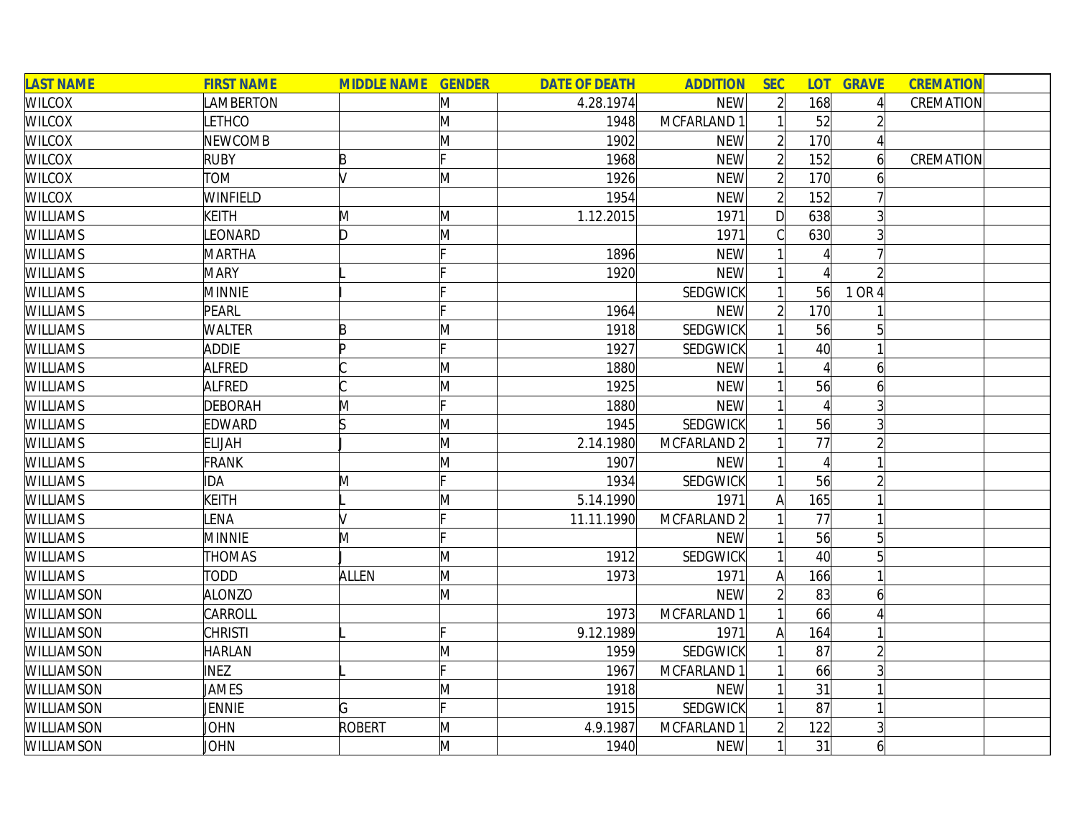| <b>LAST NAME</b>  | <b>FIRST NAME</b> | <b>MIDDLE NAME GENDER</b> |              | <b>DATE OF DEATH</b> | <b>ADDITION</b> | <b>SEC</b>     | <b>LOT</b>      | <b>GRAVE</b>   | <b>CREMATION</b> |  |
|-------------------|-------------------|---------------------------|--------------|----------------------|-----------------|----------------|-----------------|----------------|------------------|--|
| <b>WILCOX</b>     | LAMBERTON         |                           | M            | 4.28.1974            | <b>NEW</b>      | $\overline{2}$ | 168             |                | CREMATION        |  |
| <b>WILCOX</b>     | LETHCO            |                           | M            | 1948                 | MCFARLAND 1     |                | 52              |                |                  |  |
| <b>WILCOX</b>     | <b>NEWCOMB</b>    |                           | M            | 1902                 | <b>NEW</b>      |                | 170             |                |                  |  |
| <b>WILCOX</b>     | <b>RUBY</b>       | B                         | Ŀ.           | 1968                 | <b>NEW</b>      |                | 152             |                | CREMATION        |  |
| <b>WILCOX</b>     | <b>TOM</b>        |                           | M            | 1926                 | <b>NEW</b>      |                | 170             | b              |                  |  |
| <b>WILCOX</b>     | WINFIELD          |                           |              | 1954                 | <b>NEW</b>      | $\overline{2}$ | 152             |                |                  |  |
| <b>WILLIAMS</b>   | <b>KEITH</b>      | M                         | M            | 1.12.2015            | 1971            | $\mathsf{D}$   | 638             |                |                  |  |
| <b>WILLIAMS</b>   | <b>EONARD</b>     | ID.                       | M            |                      | 1971            |                | 630             |                |                  |  |
| <b>WILLIAMS</b>   | <b>MARTHA</b>     |                           |              | 1896                 | <b>NEW</b>      |                |                 |                |                  |  |
| <b>WILLIAMS</b>   | <b>MARY</b>       |                           |              | 1920                 | <b>NEW</b>      |                |                 |                |                  |  |
| <b>WILLIAMS</b>   | <b>MINNIE</b>     |                           |              |                      | SEDGWICK        |                | 56              | 1 OR 4         |                  |  |
| <b>WILLIAMS</b>   | PEARL             |                           |              | 1964                 | <b>NEW</b>      |                | 170             |                |                  |  |
| <b>WILLIAMS</b>   | <b>WALTER</b>     | P                         | M            | 1918                 | SEDGWICK        |                | 56              |                |                  |  |
| <b>WILLIAMS</b>   | <b>ADDIE</b>      | In                        |              | 1927                 | <b>SEDGWICK</b> |                | 40 <sup>°</sup> |                |                  |  |
| <b>WILLIAMS</b>   | <b>ALFRED</b>     |                           | M            | 1880                 | <b>NEW</b>      |                |                 | 6              |                  |  |
| <b>WILLIAMS</b>   | ALFRED            |                           | M            | 1925                 | <b>NEW</b>      |                | 56              | 6              |                  |  |
| <b>WILLIAMS</b>   | <b>DEBORAH</b>    | M                         |              | 1880                 | <b>NEW</b>      |                |                 |                |                  |  |
| <b>WILLIAMS</b>   | EDWARD            |                           | M            | 1945                 | <b>SEDGWICK</b> |                | 56              |                |                  |  |
| <b>WILLIAMS</b>   | <b>ELIJAH</b>     |                           | M            | 2.14.1980            | MCFARLAND 2     |                | 77              |                |                  |  |
| <b>WILLIAMS</b>   | <b>FRANK</b>      |                           | M            | 1907                 | <b>NEW</b>      |                |                 |                |                  |  |
| <b>WILLIAMS</b>   | IDA               | M                         | IE.          | 1934                 | SEDGWICK        |                | 56              |                |                  |  |
| <b>WILLIAMS</b>   | <b>KEITH</b>      |                           | M            | 5.14.1990            | 1971            | Α              | 165             |                |                  |  |
| <b>WILLIAMS</b>   | <b>ENA</b>        |                           | Ic           | 11.11.1990           | MCFARLAND 2     |                | 77              |                |                  |  |
| <b>WILLIAMS</b>   | <b>MINNIE</b>     | M                         | Ŀ.           |                      | <b>NEW</b>      |                | 56              | 5              |                  |  |
| <b>WILLIAMS</b>   | <b>THOMAS</b>     |                           | M            | 1912                 | <b>SEDGWICK</b> |                | 40              |                |                  |  |
| <b>WILLIAMS</b>   | TODD              | <b>ALLEN</b>              | M            | 1973                 | 1971            | A              | 166             |                |                  |  |
| WILLIAMSON        | <b>ALONZO</b>     |                           | M            |                      | <b>NEW</b>      |                | 83              | 6              |                  |  |
| WILLIAMSON        | CARROLL           |                           |              | 1973                 | MCFARLAND 1     |                | 66              |                |                  |  |
| WILLIAMSON        | <b>CHRISTI</b>    |                           |              | 9.12.1989            | 1971            | A              | 164             |                |                  |  |
| WILLIAMSON        | <b>HARLAN</b>     |                           | $\mathsf{M}$ | 1959                 | SEDGWICK        |                | 87              |                |                  |  |
| WILLIAMSON        | <b>INEZ</b>       |                           | Ŀ.           | 1967                 | MCFARLAND 1     |                | 66              |                |                  |  |
| <b>WILLIAMSON</b> | JAMES             |                           | M            | 1918                 | <b>NEW</b>      |                | 31              |                |                  |  |
| <b>WILLIAMSON</b> | JENNIE            | G                         |              | 1915                 | <b>SEDGWICK</b> |                | 87              |                |                  |  |
| <b>WILLIAMSON</b> | JOHN              | ROBERT                    | M            | 4.9.1987             | MCFARLAND 1     |                | 122             |                |                  |  |
| <b>WILLIAMSON</b> | JOHN              |                           | M            | 1940                 | <b>NEW</b>      |                | 31              | $\overline{6}$ |                  |  |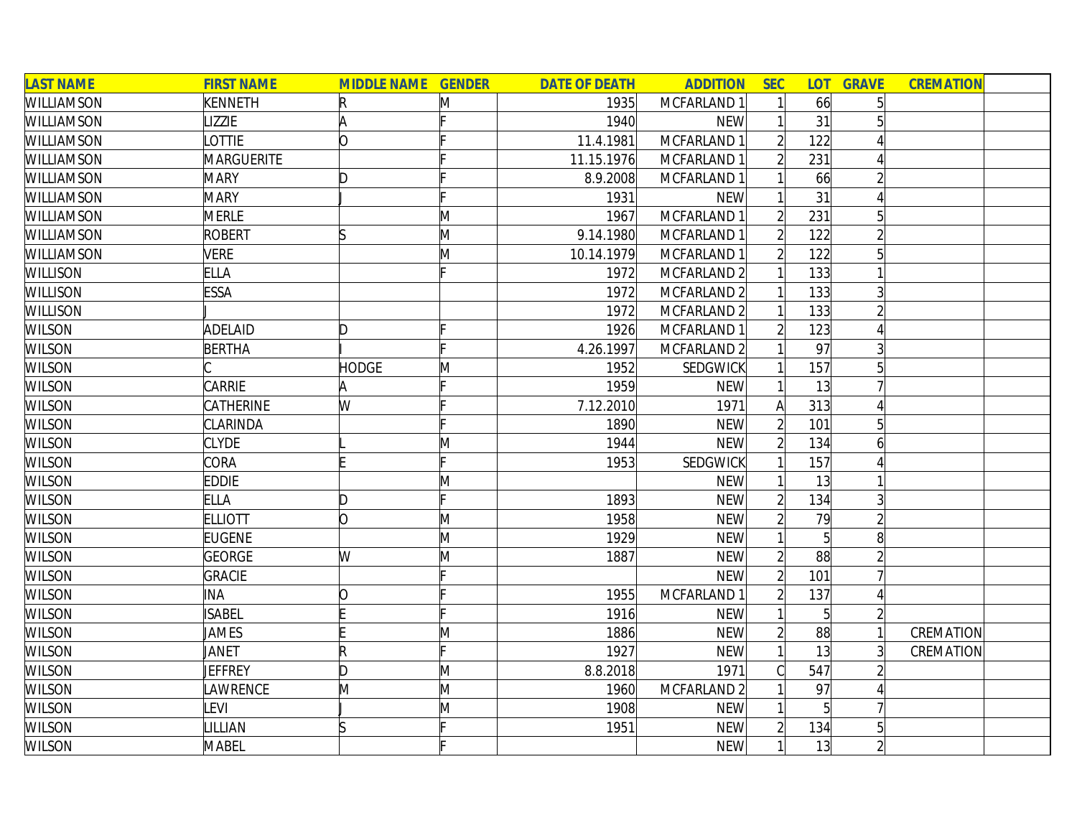| <b>LAST NAME</b>  | <b>FIRST NAME</b> | <b>MIDDLE NAME GENDER</b> |   | <b>DATE OF DEATH</b> | <b>ADDITION</b> | <b>SEC</b>     | <b>LOT</b>     | <b>GRAVE</b>    | <b>CREMATION</b> |  |
|-------------------|-------------------|---------------------------|---|----------------------|-----------------|----------------|----------------|-----------------|------------------|--|
| WILLIAMSON        | <b>KENNETH</b>    | R                         | Μ | 1935                 | MCFARLAND 1     |                | 66             |                 |                  |  |
| <b>WILLIAMSON</b> | <b>IZZIE</b>      | A                         |   | 1940                 | <b>NEW</b>      |                | 31             |                 |                  |  |
| <b>WILLIAMSON</b> | <b>LOTTIE</b>     | O                         |   | 11.4.1981            | MCFARLAND 1     |                | 122            |                 |                  |  |
| <b>WILLIAMSON</b> | MARGUERITE        |                           |   | 11.15.1976           | MCFARLAND 1     |                | 231            |                 |                  |  |
| <b>WILLIAMSON</b> | <b>MARY</b>       | D                         |   | 8.9.2008             | MCFARLAND 1     |                | 66             |                 |                  |  |
| <b>WILLIAMSON</b> | <b>MARY</b>       |                           |   | 1931                 | <b>NEW</b>      |                | 31             |                 |                  |  |
| WILLIAMSON        | <b>MERLE</b>      |                           | M | 1967                 | MCFARLAND 1     | $\overline{2}$ | 231            | $5\overline{)}$ |                  |  |
| WILLIAMSON        | <b>ROBERT</b>     | lS                        | M | 9.14.1980            | MCFARLAND 1     |                | 122            |                 |                  |  |
| WILLIAMSON        | <b>VERE</b>       |                           | M | 10.14.1979           | MCFARLAND 1     |                | 122            |                 |                  |  |
| <b>WILLISON</b>   | <b>ELLA</b>       |                           |   | 1972                 | MCFARLAND 2     |                | 133            |                 |                  |  |
| <b>WILLISON</b>   | <b>ESSA</b>       |                           |   | 1972                 | MCFARLAND 2     |                | 133            |                 |                  |  |
| <b>WILLISON</b>   |                   |                           |   | 1972                 | MCFARLAND 2     |                | 133            |                 |                  |  |
| <b>WILSON</b>     | <b>ADELAID</b>    | D                         |   | 1926                 | MCFARLAND 1     |                | 123            |                 |                  |  |
| <b>WILSON</b>     | <b>BERTHA</b>     |                           |   | 4.26.1997            | MCFARLAND 2     |                | 97             |                 |                  |  |
| <b>WILSON</b>     |                   | <b>HODGE</b>              | M | 1952                 | SEDGWICK        |                | 157            |                 |                  |  |
| <b>WILSON</b>     | <b>CARRIE</b>     |                           |   | 1959                 | <b>NEW</b>      |                | 13             |                 |                  |  |
| <b>WILSON</b>     | CATHERINE         | W                         |   | 7.12.2010            | 1971            | A              | 313            |                 |                  |  |
| <b>WILSON</b>     | <b>CLARINDA</b>   |                           |   | 1890                 | <b>NEW</b>      | $\overline{2}$ | 101            | 5               |                  |  |
| <b>WILSON</b>     | <b>CLYDE</b>      |                           | Μ | 1944                 | <b>NEW</b>      | $\overline{2}$ | 134            | 6               |                  |  |
| <b>WILSON</b>     | CORA              |                           |   | 1953                 | SEDGWICK        |                | 157            |                 |                  |  |
| <b>WILSON</b>     | <b>EDDIE</b>      |                           | M |                      | <b>NEW</b>      |                | 13             |                 |                  |  |
| <b>WILSON</b>     | <b>ELLA</b>       | D                         |   | 1893                 | <b>NEW</b>      |                | 134            |                 |                  |  |
| <b>WILSON</b>     | <b>ELLIOTT</b>    | lo.                       | M | 1958                 | <b>NEW</b>      |                | 79             |                 |                  |  |
| <b>WILSON</b>     | <b>EUGENE</b>     |                           | M | 1929                 | <b>NEW</b>      |                | $\overline{5}$ | 8               |                  |  |
| <b>WILSON</b>     | <b>GEORGE</b>     | W                         | M | 1887                 | <b>NEW</b>      | $\overline{2}$ | 88             |                 |                  |  |
| <b>WILSON</b>     | <b>GRACIE</b>     |                           |   |                      | <b>NEW</b>      |                | 101            |                 |                  |  |
| <b>WILSON</b>     | INA               | 10                        |   | 1955                 | MCFARLAND 1     |                | 137            |                 |                  |  |
| <b>WILSON</b>     | <b>ISABEL</b>     |                           |   | 1916                 | <b>NEW</b>      |                | $\overline{5}$ |                 |                  |  |
| <b>WILSON</b>     | JAMES             |                           | Μ | 1886                 | <b>NEW</b>      |                | 88             |                 | CREMATION        |  |
| <b>WILSON</b>     | JANET             | $\mathsf R$               |   | 1927                 | <b>NEW</b>      |                | 13             |                 | CREMATION        |  |
| <b>WILSON</b>     | JEFFREY           | D                         | Μ | 8.8.2018             | 1971            |                | 547            |                 |                  |  |
| <b>WILSON</b>     | LAWRENCE          | M                         | M | 1960                 | MCFARLAND 2     |                | 97             |                 |                  |  |
| <b>WILSON</b>     | LEVI              |                           | M | 1908                 | <b>NEW</b>      |                | $\overline{5}$ |                 |                  |  |
| <b>WILSON</b>     | LILLIAN           | ß                         |   | 1951                 | <b>NEW</b>      |                | 134            | 5               |                  |  |
| <b>WILSON</b>     | <b>MABEL</b>      |                           |   |                      | <b>NEW</b>      |                | 13             | $\overline{2}$  |                  |  |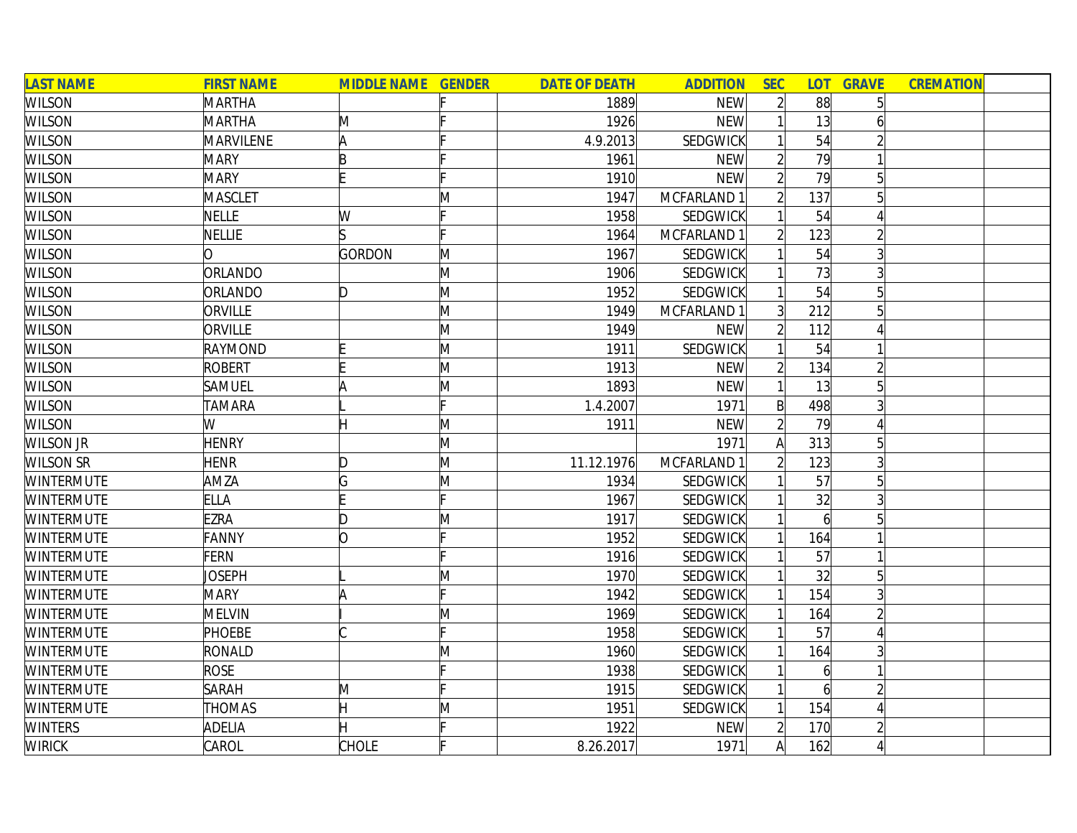| <b>LAST NAME</b>  | <b>FIRST NAME</b> | <b>MIDDLE NAME GENDER</b> |              | <b>DATE OF DEATH</b> | <b>ADDITION</b> | <b>SEC</b>     | <b>LOT</b>     | <b>GRAVE</b> | <b>CREMATION</b> |
|-------------------|-------------------|---------------------------|--------------|----------------------|-----------------|----------------|----------------|--------------|------------------|
| <b>WILSON</b>     | MARTHA            |                           |              | 1889                 | <b>NEW</b>      | $\overline{2}$ | 88             |              |                  |
| <b>WILSON</b>     | <b>MARTHA</b>     | M                         |              | 1926                 | <b>NEW</b>      |                | 13             |              |                  |
| <b>WILSON</b>     | MARVILENE         | A                         |              | 4.9.2013             | SEDGWICK        |                | 54             |              |                  |
| <b>WILSON</b>     | <b>MARY</b>       | B                         |              | 1961                 | <b>NEW</b>      |                | 79             |              |                  |
| <b>WILSON</b>     | <b>MARY</b>       |                           |              | 1910                 | <b>NEW</b>      |                | 79             |              |                  |
| <b>WILSON</b>     | <b>MASCLET</b>    |                           | M            | 1947                 | MCFARLAND 1     |                | 137            |              |                  |
| <b>WILSON</b>     | <b>NELLE</b>      | W                         |              | 1958                 | <b>SEDGWICK</b> |                | 54             |              |                  |
| <b>WILSON</b>     | <b>NELLIE</b>     |                           |              | 1964                 | MCFARLAND 1     | 2              | 123            |              |                  |
| <b>WILSON</b>     | ∩                 | GORDON                    | M            | 1967                 | SEDGWICK        |                | 54             |              |                  |
| <b>WILSON</b>     | ORLANDO           |                           | M            | 1906                 | SEDGWICK        |                | 73             |              |                  |
| <b>WILSON</b>     | ORLANDO           | D                         | M            | 1952                 | <b>SEDGWICK</b> |                | 54             |              |                  |
| <b>WILSON</b>     | ORVILLE           |                           | M            | 1949                 | MCFARLAND 1     | $\overline{3}$ | 212            |              |                  |
| <b>WILSON</b>     | ORVILLE           |                           | M            | 1949                 | <b>NEW</b>      | $\overline{2}$ | 112            |              |                  |
| <b>WILSON</b>     | RAYMOND           |                           | M            | 1911                 | SEDGWICK        |                | 54             |              |                  |
| <b>WILSON</b>     | <b>ROBERT</b>     |                           | M            | 1913                 | <b>NEW</b>      |                | 134            |              |                  |
| <b>WILSON</b>     | SAMUEL            |                           | M            | 1893                 | <b>NEW</b>      |                | 13             |              |                  |
| <b>WILSON</b>     | <b>TAMARA</b>     |                           | F            | 1.4.2007             | 1971            | $\mathsf{B}$   | 498            |              |                  |
| <b>WILSON</b>     | W                 | Η                         | M            | 1911                 | <b>NEW</b>      | $\overline{2}$ | 79             |              |                  |
| <b>WILSON JR</b>  | <b>HENRY</b>      |                           | M            |                      | 1971            | A              | 313            | 5            |                  |
| <b>WILSON SR</b>  | <b>HENR</b>       | D                         | M            | 11.12.1976           | MCFARLAND 1     | $\overline{2}$ | 123            |              |                  |
| <b>WINTERMUTE</b> | AMZA              | G                         | M            | 1934                 | SEDGWICK        |                | 57             | 5            |                  |
| <b>WINTERMUTE</b> | <b>ELLA</b>       |                           | IE.          | 1967                 | <b>SEDGWICK</b> |                | 32             |              |                  |
| <b>WINTERMUTE</b> | <b>EZRA</b>       | D                         | M            | 1917                 | <b>SEDGWICK</b> |                | $\overline{6}$ |              |                  |
| <b>WINTERMUTE</b> | FANNY             | O                         |              | 1952                 | <b>SEDGWICK</b> |                | 164            |              |                  |
| <b>WINTERMUTE</b> | <b>FERN</b>       |                           |              | 1916                 | <b>SEDGWICK</b> |                | 57             |              |                  |
| <b>WINTERMUTE</b> | <b>JOSEPH</b>     |                           | $\mathsf{M}$ | 1970                 | <b>SEDGWICK</b> |                | 32             |              |                  |
| <b>WINTERMUTE</b> | <b>MARY</b>       |                           |              | 1942                 | <b>SEDGWICK</b> |                | 154            |              |                  |
| <b>WINTERMUTE</b> | <b>MELVIN</b>     |                           | $\mathsf{M}$ | 1969                 | SEDGWICK        |                | 164            |              |                  |
| <b>WINTERMUTE</b> | <b>PHOEBE</b>     |                           |              | 1958                 | <b>SEDGWICK</b> |                | 57             |              |                  |
| <b>WINTERMUTE</b> | RONALD            |                           | M            | 1960                 | <b>SEDGWICK</b> |                | 164            |              |                  |
| <b>WINTERMUTE</b> | <b>ROSE</b>       |                           |              | 1938                 | <b>SEDGWICK</b> |                | 6              |              |                  |
| <b>WINTERMUTE</b> | <b>SARAH</b>      | M                         |              | 1915                 | SEDGWICK        |                |                |              |                  |
| <b>WINTERMUTE</b> | <b>THOMAS</b>     | H                         | M            | 1951                 | <b>SEDGWICK</b> |                | 154            |              |                  |
| <b>WINTERS</b>    | <b>ADELIA</b>     |                           |              | 1922                 | <b>NEW</b>      |                | 170            |              |                  |
| <b>WIRICK</b>     | CAROL             | <b>CHOLE</b>              |              | 8.26.2017            | 1971            | $\mathsf{A}$   | 162            |              |                  |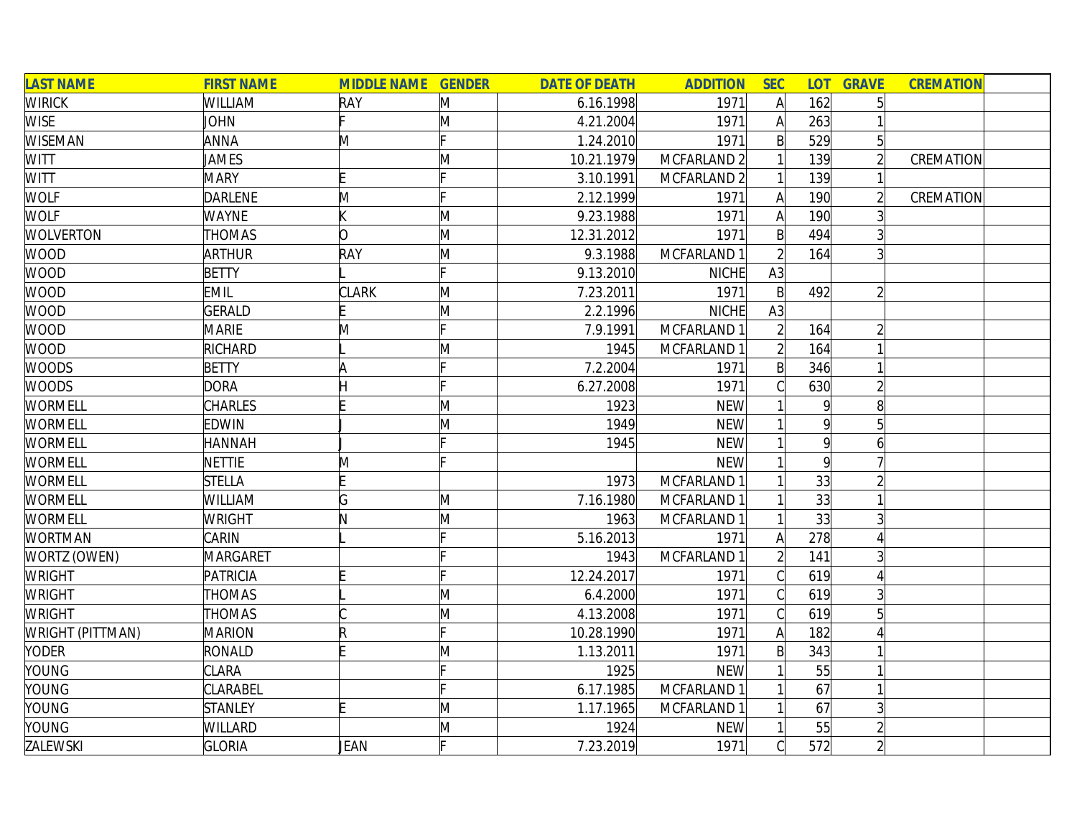| <b>LAST NAME</b>        | <b>FIRST NAME</b> | <b>MIDDLE NAME GENDER</b> |   | <b>DATE OF DEATH</b> | <b>ADDITION</b>        | <b>SEC</b>   |              | <b>LOT GRAVE</b> | <b>CREMATION</b> |  |
|-------------------------|-------------------|---------------------------|---|----------------------|------------------------|--------------|--------------|------------------|------------------|--|
| <b>WIRICK</b>           | <b>WILLIAM</b>    | RAY                       | M | 6.16.1998            | 1971                   | A            | 162          |                  |                  |  |
| <b>WISE</b>             | <b>JOHN</b>       |                           | M | 4.21.2004            | 1971                   | $\mathsf{A}$ | 263          |                  |                  |  |
| <b>WISEMAN</b>          | <b>ANNA</b>       | M                         |   | 1.24.2010            | 1971                   | B            | 529          | 5 <sup>1</sup>   |                  |  |
| <b>WITT</b>             | JAMES             |                           | Μ | 10.21.1979           | MCFARLAND <sub>2</sub> |              | 139          |                  | CREMATION        |  |
| WITT                    | <b>MARY</b>       |                           |   | 3.10.1991            | MCFARLAND 2            |              | 139          |                  |                  |  |
| <b>WOLF</b>             | <b>DARLENE</b>    | M                         |   | 2.12.1999            | 1971                   | A            | 190          |                  | CREMATION        |  |
| <b>WOLF</b>             | <b>WAYNE</b>      |                           | M | 9.23.1988            | 1971                   | $\mathsf{A}$ | 190          |                  |                  |  |
| <b>WOLVERTON</b>        | <b>THOMAS</b>     | O                         | M | 12.31.2012           | 1971                   | $\mathsf{B}$ | 494          |                  |                  |  |
| <b>WOOD</b>             | <b>ARTHUR</b>     | RAY                       | M | 9.3.1988             | MCFARLAND 1            |              | 164          |                  |                  |  |
| <b>WOOD</b>             | <b>BETTY</b>      |                           |   | 9.13.2010            | <b>NICHE</b>           | A3           |              |                  |                  |  |
| <b>WOOD</b>             | <b>EMIL</b>       | <b>CLARK</b>              | M | 7.23.2011            | 1971                   | $\mathsf{B}$ | 492          |                  |                  |  |
| <b>WOOD</b>             | GERALD            |                           | M | 2.2.1996             | <b>NICHE</b>           | A3           |              |                  |                  |  |
| <b>WOOD</b>             | <b>MARIE</b>      | M                         |   | 7.9.1991             | MCFARLAND 1            |              | 164          |                  |                  |  |
| <b>WOOD</b>             | RICHARD           |                           | M | 1945                 | MCFARLAND 1            |              | 164          |                  |                  |  |
| <b>WOODS</b>            | BETTY             | Α                         |   | 7.2.2004             | 1971                   | B            | 346          |                  |                  |  |
| <b>WOODS</b>            | <b>DORA</b>       |                           |   | 6.27.2008            | 1971                   |              | 630          |                  |                  |  |
| <b>WORMELL</b>          | <b>CHARLES</b>    |                           | M | 1923                 | <b>NEW</b>             |              | 9            | 8                |                  |  |
| WORMELL                 | <b>EDWIN</b>      |                           | Μ | 1949                 | <b>NEW</b>             |              | 9            | 5 <sup>1</sup>   |                  |  |
| <b>WORMELL</b>          | <b>HANNAH</b>     |                           |   | 1945                 | <b>NEW</b>             |              | $\mathsf{q}$ | 61               |                  |  |
| <b>WORMELL</b>          | <b>NETTIE</b>     | M                         |   |                      | <b>NEW</b>             |              | $\mathsf{q}$ |                  |                  |  |
| <b>WORMELL</b>          | <b>STELLA</b>     |                           |   | 1973                 | MCFARLAND 1            |              | 33           |                  |                  |  |
| <b>WORMELL</b>          | WILLIAM           | G                         | M | 7.16.1980            | MCFARLAND 1            |              | 33           |                  |                  |  |
| <b>WORMELL</b>          | <b>WRIGHT</b>     | N                         | M | 1963                 | MCFARLAND 1            |              | 33           |                  |                  |  |
| <b>WORTMAN</b>          | CARIN             |                           |   | 5.16.2013            | 1971                   | A            | 278          |                  |                  |  |
| WORTZ (OWEN)            | MARGARET          |                           |   | 1943                 | MCFARLAND 1            |              | 141          |                  |                  |  |
| <b>WRIGHT</b>           | PATRICIA          |                           |   | 12.24.2017           | 1971                   |              | 619          |                  |                  |  |
| <b>WRIGHT</b>           | THOMAS            |                           | M | 6.4.2000             | 1971                   |              | 619          |                  |                  |  |
| <b>WRIGHT</b>           | <b>THOMAS</b>     |                           | M | 4.13.2008            | 1971                   |              | 619          |                  |                  |  |
| <b>WRIGHT (PITTMAN)</b> | <b>MARION</b>     |                           |   | 10.28.1990           | 1971                   | A            | 182          |                  |                  |  |
| <b>YODER</b>            | RONALD            |                           | M | 1.13.2011            | 1971                   | $\mathsf{B}$ | 343          |                  |                  |  |
| YOUNG                   | <b>CLARA</b>      |                           |   | 1925                 | <b>NEW</b>             |              | 55           |                  |                  |  |
| YOUNG                   | <b>CLARABEL</b>   |                           |   | 6.17.1985            | MCFARLAND 1            |              | 67           |                  |                  |  |
| YOUNG                   | <b>STANLEY</b>    |                           | M | 1.17.1965            | MCFARLAND 1            |              | 67           |                  |                  |  |
| YOUNG                   | WILLARD           |                           | M | 1924                 | <b>NEW</b>             |              | 55           |                  |                  |  |
| ZALEWSKI                | <b>GLORIA</b>     | JEAN                      |   | 7.23.2019            | 1971                   |              | 572          |                  |                  |  |